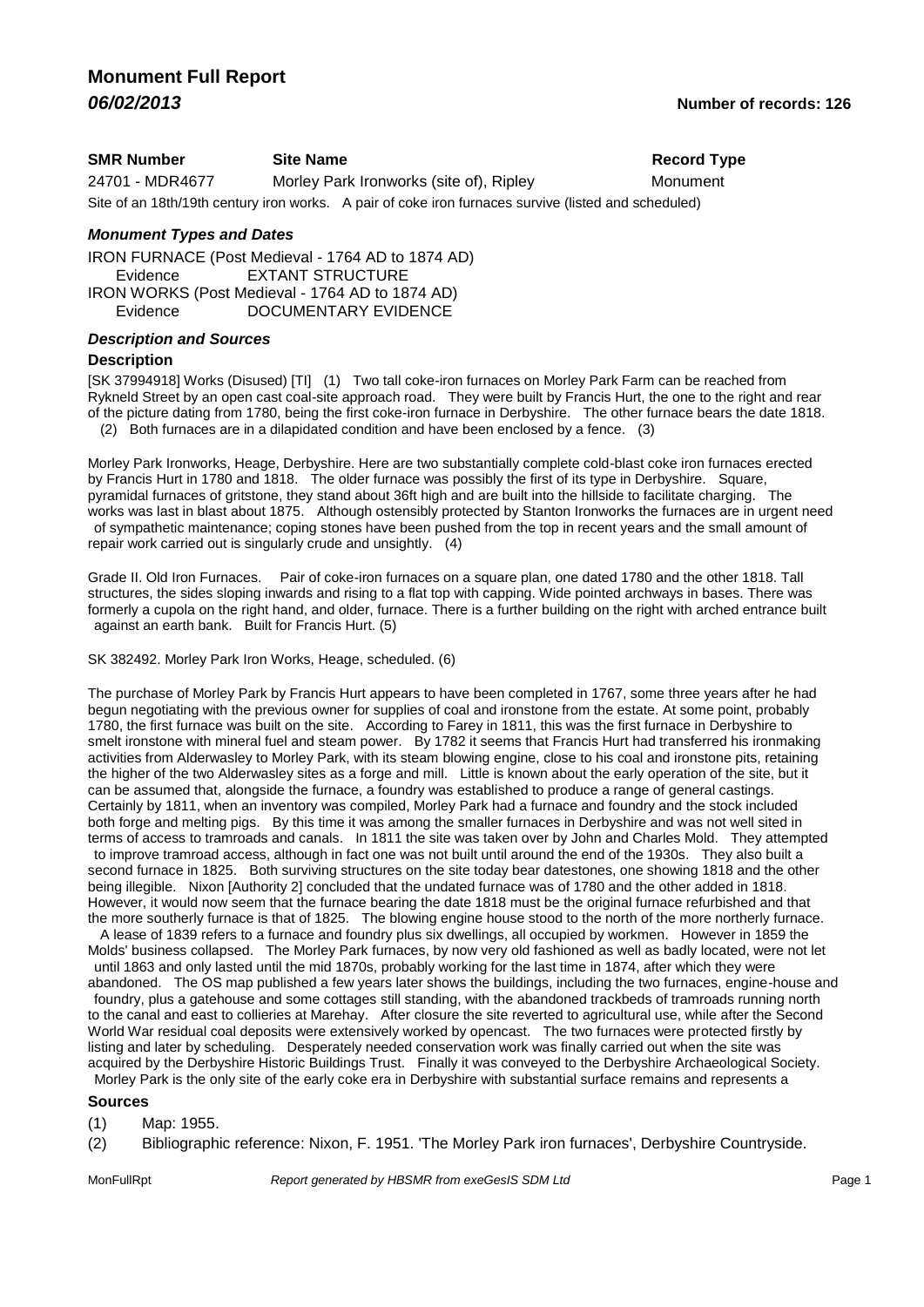### **SMR Number Site Name Record Type Record Type** 24701 - MDR4677 Morley Park Ironworks (site of), Ripley Monument Site of an 18th/19th century iron works. A pair of coke iron furnaces survive (listed and scheduled)

#### *Monument Types and Dates*

IRON FURNACE (Post Medieval - 1764 AD to 1874 AD) Evidence **EXTANT STRUCTURE** IRON WORKS (Post Medieval - 1764 AD to 1874 AD) Evidence DOCUMENTARY EVIDENCE

#### *Description and Sources*

#### **Description**

[SK 37994918] Works (Disused) [TI] (1) Two tall coke-iron furnaces on Morley Park Farm can be reached from Rykneld Street by an open cast coal-site approach road. They were built by Francis Hurt, the one to the right and rear of the picture dating from 1780, being the first coke-iron furnace in Derbyshire. The other furnace bears the date 1818. (2) Both furnaces are in a dilapidated condition and have been enclosed by a fence. (3)

Morley Park Ironworks, Heage, Derbyshire. Here are two substantially complete cold-blast coke iron furnaces erected by Francis Hurt in 1780 and 1818. The older furnace was possibly the first of its type in Derbyshire. Square, pyramidal furnaces of gritstone, they stand about 36ft high and are built into the hillside to facilitate charging. The works was last in blast about 1875. Although ostensibly protected by Stanton Ironworks the furnaces are in urgent need of sympathetic maintenance; coping stones have been pushed from the top in recent years and the small amount of repair work carried out is singularly crude and unsightly. (4)

Grade II. Old Iron Furnaces. Pair of coke-iron furnaces on a square plan, one dated 1780 and the other 1818. Tall structures, the sides sloping inwards and rising to a flat top with capping. Wide pointed archways in bases. There was formerly a cupola on the right hand, and older, furnace. There is a further building on the right with arched entrance built against an earth bank. Built for Francis Hurt. (5)

SK 382492. Morley Park Iron Works, Heage, scheduled. (6)

The purchase of Morley Park by Francis Hurt appears to have been completed in 1767, some three years after he had begun negotiating with the previous owner for supplies of coal and ironstone from the estate. At some point, probably 1780, the first furnace was built on the site. According to Farey in 1811, this was the first furnace in Derbyshire to smelt ironstone with mineral fuel and steam power. By 1782 it seems that Francis Hurt had transferred his ironmaking activities from Alderwasley to Morley Park, with its steam blowing engine, close to his coal and ironstone pits, retaining the higher of the two Alderwasley sites as a forge and mill. Little is known about the early operation of the site, but it can be assumed that, alongside the furnace, a foundry was established to produce a range of general castings. Certainly by 1811, when an inventory was compiled, Morley Park had a furnace and foundry and the stock included both forge and melting pigs. By this time it was among the smaller furnaces in Derbyshire and was not well sited in terms of access to tramroads and canals. In 1811 the site was taken over by John and Charles Mold. They attempted to improve tramroad access, although in fact one was not built until around the end of the 1930s. They also built a second furnace in 1825. Both surviving structures on the site today bear datestones, one showing 1818 and the other being illegible. Nixon [Authority 2] concluded that the undated furnace was of 1780 and the other added in 1818. However, it would now seem that the furnace bearing the date 1818 must be the original furnace refurbished and that the more southerly furnace is that of 1825. The blowing engine house stood to the north of the more northerly furnace.

 A lease of 1839 refers to a furnace and foundry plus six dwellings, all occupied by workmen. However in 1859 the Molds' business collapsed. The Morley Park furnaces, by now very old fashioned as well as badly located, were not let until 1863 and only lasted until the mid 1870s, probably working for the last time in 1874, after which they were abandoned. The OS map published a few years later shows the buildings, including the two furnaces, engine-house and foundry, plus a gatehouse and some cottages still standing, with the abandoned trackbeds of tramroads running north to the canal and east to collieries at Marehay. After closure the site reverted to agricultural use, while after the Second World War residual coal deposits were extensively worked by opencast. The two furnaces were protected firstly by listing and later by scheduling. Desperately needed conservation work was finally carried out when the site was acquired by the Derbyshire Historic Buildings Trust. Finally it was conveyed to the Derbyshire Archaeological Society. Morley Park is the only site of the early coke era in Derbyshire with substantial surface remains and represents a

#### **Sources**

(1) Map: 1955.

(2) Bibliographic reference: Nixon, F. 1951. 'The Morley Park iron furnaces', Derbyshire Countryside.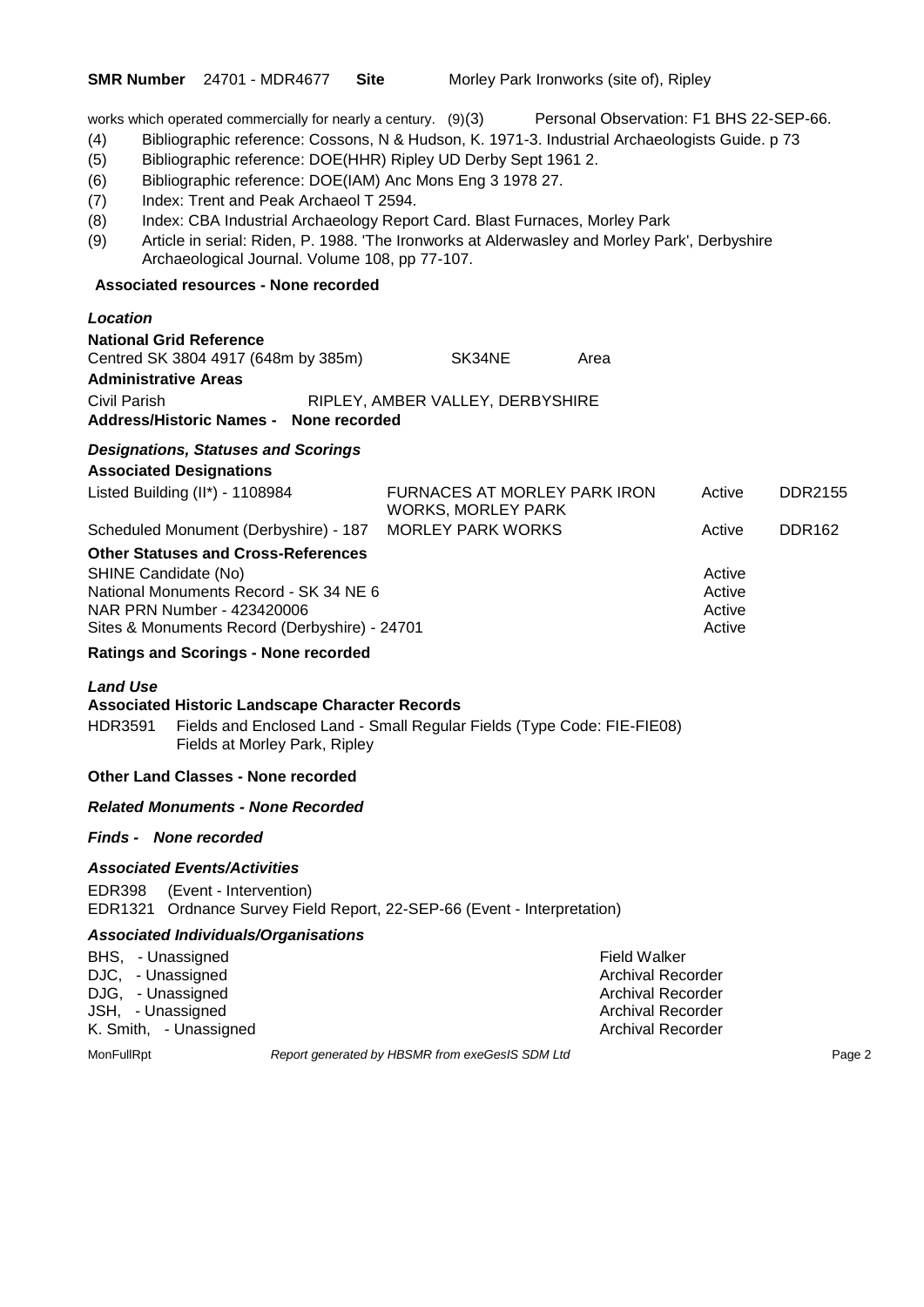works which operated commercially for nearly a century. (9)(3) Personal Observation: F1 BHS 22-SEP-66.

- (4) Bibliographic reference: Cossons, N & Hudson, K. 1971-3. Industrial Archaeologists Guide. p 73
- (5) Bibliographic reference: DOE(HHR) Ripley UD Derby Sept 1961 2.
- (6) Bibliographic reference: DOE(IAM) Anc Mons Eng 3 1978 27.
- (7) Index: Trent and Peak Archaeol T 2594.
- (8) Index: CBA Industrial Archaeology Report Card. Blast Furnaces, Morley Park
- (9) Article in serial: Riden, P. 1988. 'The Ironworks at Alderwasley and Morley Park', Derbyshire Archaeological Journal. Volume 108, pp 77-107.

#### **Associated resources - None recorded**

| Location                                                                                                                                                                                    |                                                           |      |                                      |               |
|---------------------------------------------------------------------------------------------------------------------------------------------------------------------------------------------|-----------------------------------------------------------|------|--------------------------------------|---------------|
| <b>National Grid Reference</b><br>Centred SK 3804 4917 (648m by 385m)<br><b>Administrative Areas</b>                                                                                        | SK34NE                                                    | Area |                                      |               |
| Civil Parish                                                                                                                                                                                | RIPLEY, AMBER VALLEY, DERBYSHIRE                          |      |                                      |               |
| Address/Historic Names - None recorded                                                                                                                                                      |                                                           |      |                                      |               |
| <b>Designations, Statuses and Scorings</b><br><b>Associated Designations</b>                                                                                                                |                                                           |      |                                      |               |
| Listed Building (II*) - 1108984                                                                                                                                                             | FURNACES AT MORLEY PARK IRON<br><b>WORKS, MORLEY PARK</b> |      | Active                               | DDR2155       |
| Scheduled Monument (Derbyshire) - 187                                                                                                                                                       | <b>MORLEY PARK WORKS</b>                                  |      | Active                               | <b>DDR162</b> |
| <b>Other Statuses and Cross-References</b><br>SHINE Candidate (No)<br>National Monuments Record - SK 34 NE 6<br>NAR PRN Number - 423420006<br>Sites & Monuments Record (Derbyshire) - 24701 |                                                           |      | Active<br>Active<br>Active<br>Active |               |

#### **Ratings and Scorings - None recorded**

#### *Land Use*

#### **Associated Historic Landscape Character Records**

HDR3591 Fields and Enclosed Land - Small Regular Fields (Type Code: FIE-FIE08) Fields at Morley Park, Ripley

#### **Other Land Classes - None recorded**

### *Related Monuments - None Recorded*

#### *Finds - None recorded*

#### *Associated Events/Activities*

EDR398 (Event - Intervention) EDR1321 Ordnance Survey Field Report, 22-SEP-66 (Event - Interpretation)

#### *Associated Individuals/Organisations*

| BHS, - Unassigned      | Field Walker             |
|------------------------|--------------------------|
| DJC, - Unassigned      | <b>Archival Recorder</b> |
| DJG. - Unassigned      | Archival Recorder        |
| JSH, - Unassigned      | <b>Archival Recorder</b> |
| K. Smith, - Unassigned | Archival Recorder        |

MonFullRpt *Report generated by HBSMR from exeGesIS SDM Ltd Rage 2*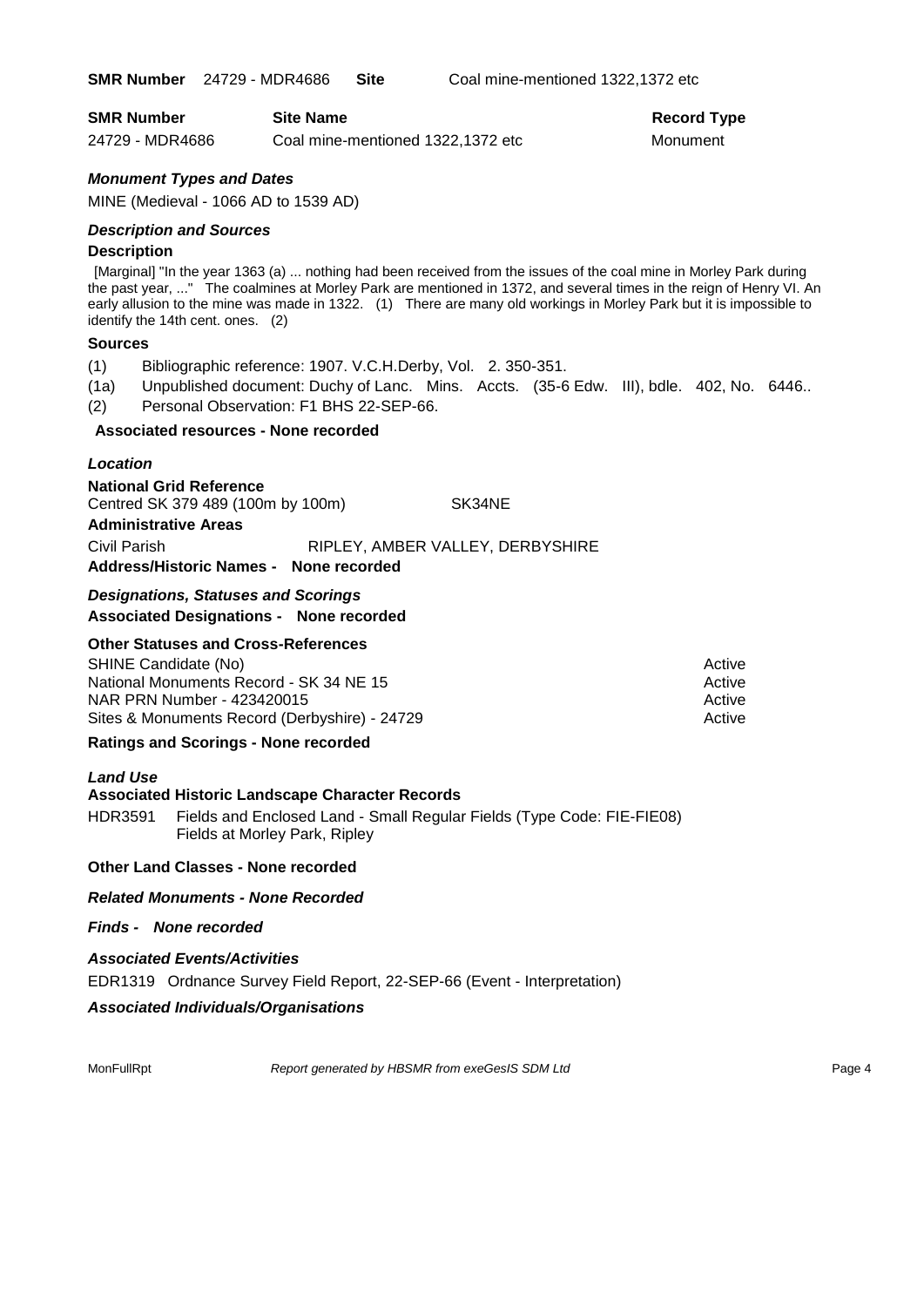**SMR Number** 24729 - MDR4686 **Site** Coal mine-mentioned 1322,1372 etc

| <b>SMR Number</b> | <b>Site Name</b>                  | <b>Record Type</b> |
|-------------------|-----------------------------------|--------------------|
| 24729 - MDR4686   | Coal mine-mentioned 1322,1372 etc | Monument           |

### *Monument Types and Dates*

MINE (Medieval - 1066 AD to 1539 AD)

#### *Description and Sources*

#### **Description**

[Marginal] "In the year 1363 (a) ... nothing had been received from the issues of the coal mine in Morley Park during the past year, ..." The coalmines at Morley Park are mentioned in 1372, and several times in the reign of Henry VI. An early allusion to the mine was made in 1322. (1) There are many old workings in Morley Park but it is impossible to identify the 14th cent. ones. (2)

#### **Sources**

- (1) Bibliographic reference: 1907. V.C.H.Derby, Vol. 2. 350-351.
- (1a) Unpublished document: Duchy of Lanc. Mins. Accts. (35-6 Edw. III), bdle. 402, No. 6446..
- (2) Personal Observation: F1 BHS 22-SEP-66.

#### **Associated resources - None recorded**

### *Location*

**National Grid Reference** Centred SK 379 489 (100m by 100m) SK34NE

### **Administrative Areas**

Civil Parish RIPLEY, AMBER VALLEY, DERBYSHIRE

## **Address/Historic Names - None recorded** *Designations, Statuses and Scorings*

## **Associated Designations - None recorded**

### **Other Statuses and Cross-References**

| SHINE Candidate (No)                          | Active |
|-----------------------------------------------|--------|
| National Monuments Record - SK 34 NE 15       | Active |
| NAR PRN Number - 423420015                    | Active |
| Sites & Monuments Record (Derbyshire) - 24729 | Active |

#### **Ratings and Scorings - None recorded**

#### *Land Use*

#### **Associated Historic Landscape Character Records**

HDR3591 Fields and Enclosed Land - Small Regular Fields (Type Code: FIE-FIE08) Fields at Morley Park, Ripley

#### **Other Land Classes - None recorded**

#### *Related Monuments - None Recorded*

#### *Finds - None recorded*

#### *Associated Events/Activities*

EDR1319 Ordnance Survey Field Report, 22-SEP-66 (Event - Interpretation)

#### *Associated Individuals/Organisations*

MonFullRpt *Report generated by HBSMR from exeGesIS SDM Ltd Rage 4* **Page 4**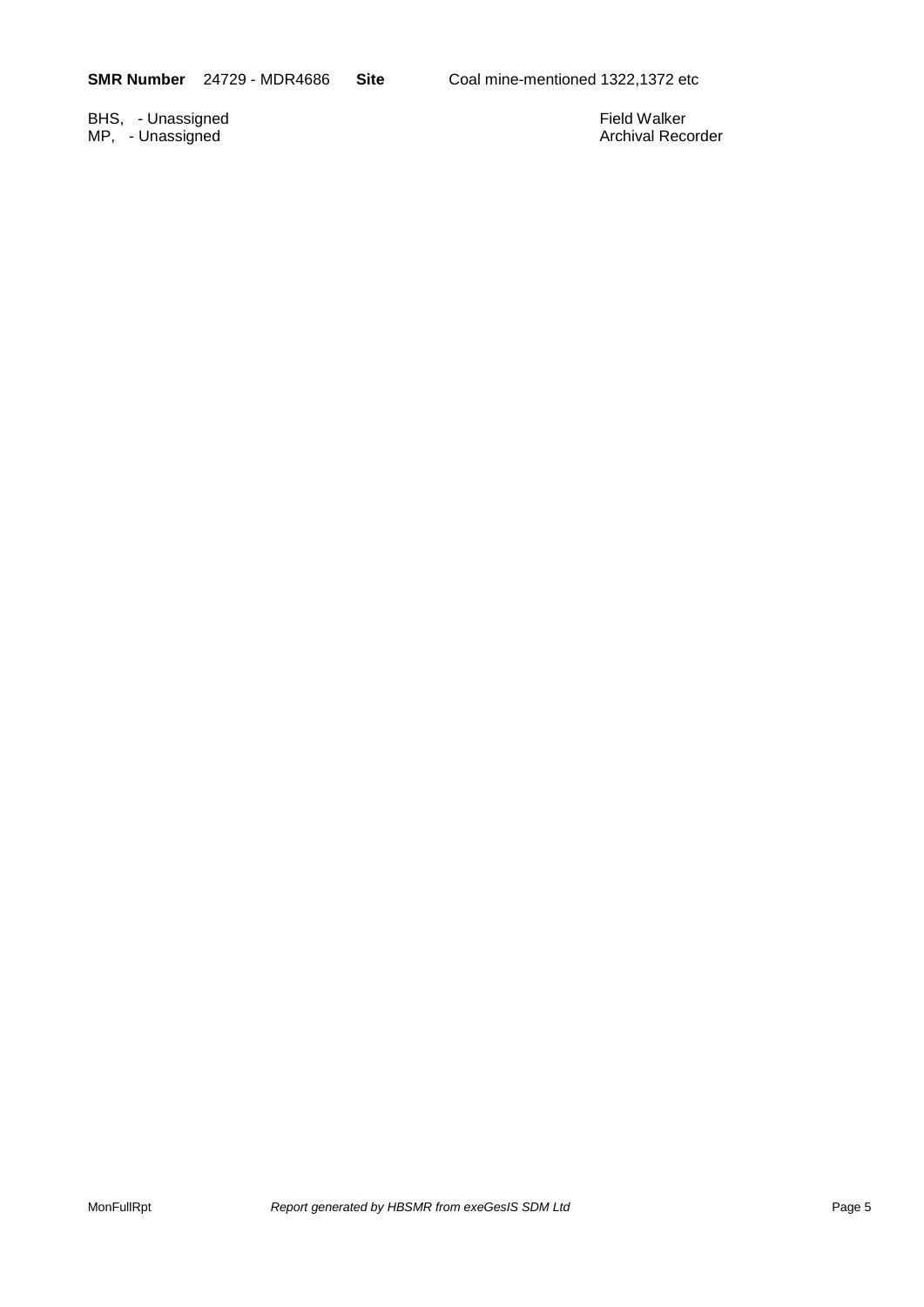BHS, - Unassigned Eine and Society and Society and Society and Society and Society and Society and Society and Society and Society and Society and Society and Society and Society and Society and Society and Society and Soc MP, - Unassigned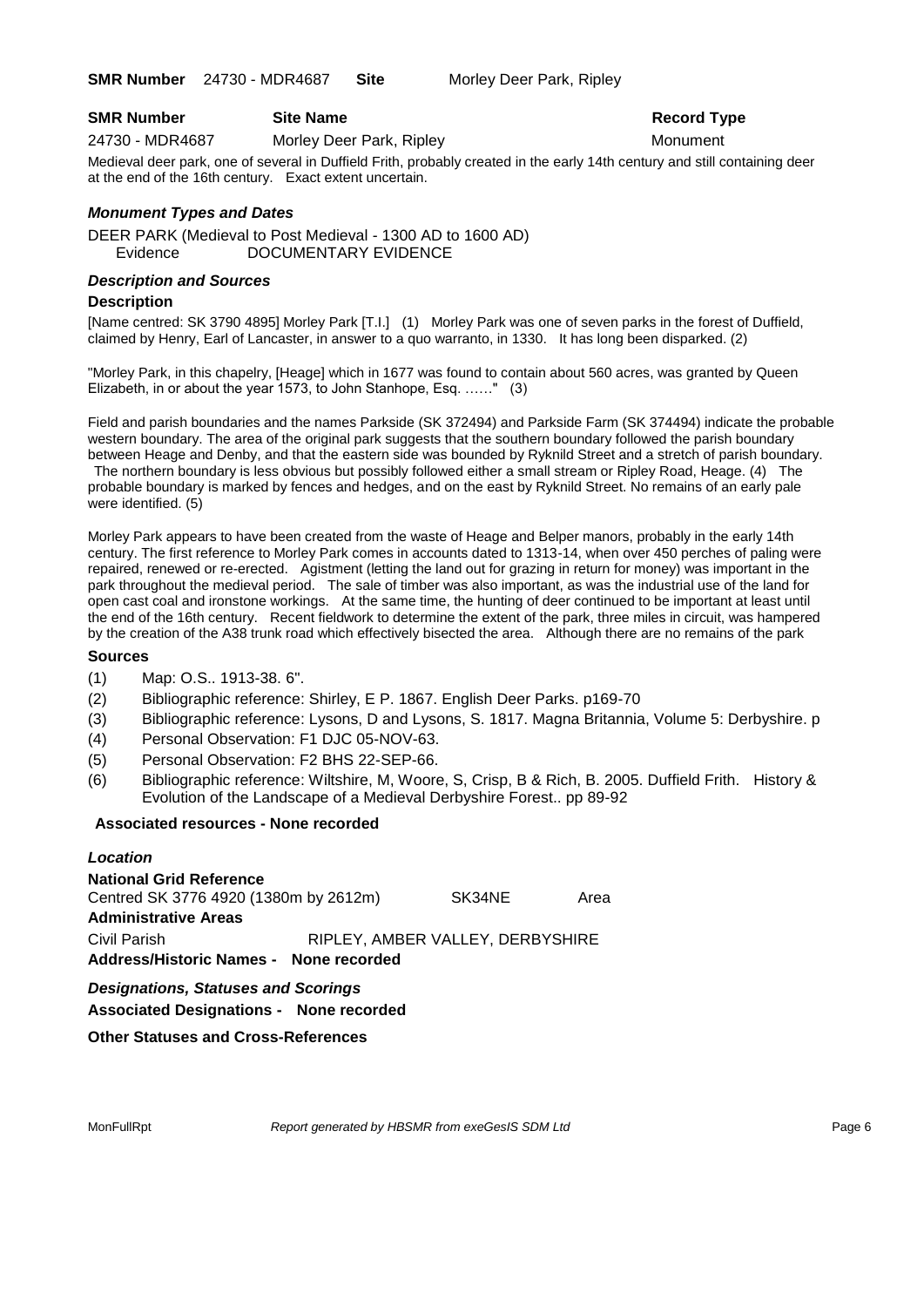**SMR Number** 24730 - MDR4687 **Site** Morley Deer Park, Ripley

| <b>SMR Number</b> | <b>Site Name</b> |
|-------------------|------------------|
|                   |                  |

24730 - MDR4687 Morley Deer Park, Ripley Monument

### **Record Type**

Medieval deer park, one of several in Duffield Frith, probably created in the early 14th century and still containing deer at the end of the 16th century. Exact extent uncertain.

### *Monument Types and Dates*

DEER PARK (Medieval to Post Medieval - 1300 AD to 1600 AD) Evidence DOCUMENTARY EVIDENCE

### *Description and Sources*

#### **Description**

[Name centred: SK 3790 4895] Morley Park [T.I.] (1) Morley Park was one of seven parks in the forest of Duffield, claimed by Henry, Earl of Lancaster, in answer to a quo warranto, in 1330. It has long been disparked. (2)

"Morley Park, in this chapelry, [Heage] which in 1677 was found to contain about 560 acres, was granted by Queen Elizabeth, in or about the year 1573, to John Stanhope, Esq. ……" (3)

Field and parish boundaries and the names Parkside (SK 372494) and Parkside Farm (SK 374494) indicate the probable western boundary. The area of the original park suggests that the southern boundary followed the parish boundary between Heage and Denby, and that the eastern side was bounded by Ryknild Street and a stretch of parish boundary.

The northern boundary is less obvious but possibly followed either a small stream or Ripley Road, Heage. (4) The probable boundary is marked by fences and hedges, and on the east by Ryknild Street. No remains of an early pale were identified. (5)

Morley Park appears to have been created from the waste of Heage and Belper manors, probably in the early 14th century. The first reference to Morley Park comes in accounts dated to 1313-14, when over 450 perches of paling were repaired, renewed or re-erected. Agistment (letting the land out for grazing in return for money) was important in the park throughout the medieval period. The sale of timber was also important, as was the industrial use of the land for open cast coal and ironstone workings. At the same time, the hunting of deer continued to be important at least until the end of the 16th century. Recent fieldwork to determine the extent of the park, three miles in circuit, was hampered by the creation of the A38 trunk road which effectively bisected the area. Although there are no remains of the park

#### **Sources**

- (1) Map: O.S.. 1913-38. 6".
- (2) Bibliographic reference: Shirley, E P. 1867. English Deer Parks. p169-70
- (3) Bibliographic reference: Lysons, D and Lysons, S. 1817. Magna Britannia, Volume 5: Derbyshire. p
- (4) Personal Observation: F1 DJC 05-NOV-63.
- (5) Personal Observation: F2 BHS 22-SEP-66.
- (6) Bibliographic reference: Wiltshire, M, Woore, S, Crisp, B & Rich, B. 2005. Duffield Frith. History & Evolution of the Landscape of a Medieval Derbyshire Forest.. pp 89-92

### **Associated resources - None recorded**

#### *Location*

**National Grid Reference** Centred SK 3776 4920 (1380m by 2612m) SK34NE Area **Administrative Areas** Civil Parish RIPLEY, AMBER VALLEY, DERBYSHIRE **Address/Historic Names - None recorded**

*Designations, Statuses and Scorings* **Associated Designations - None recorded**

### **Other Statuses and Cross-References**

MonFullRpt *Report generated by HBSMR from exeGesIS SDM Ltd Rage 6* **Page 6**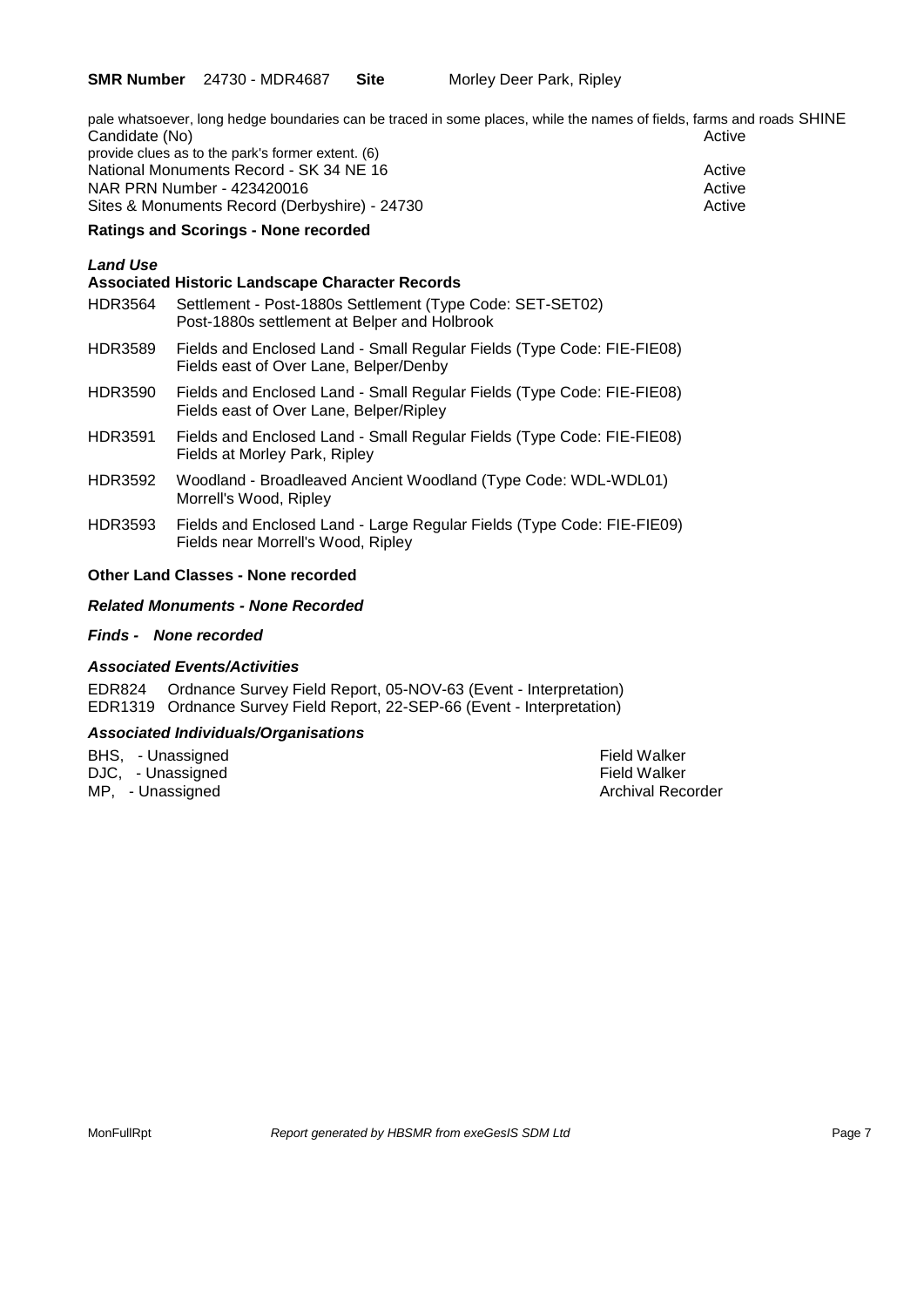pale whatsoever, long hedge boundaries can be traced in some places, while the names of fields, farms and roads SHINE Candidate (No) **Active** Candidate (No) provide clues as to the park's former extent. (6) National Monuments Record - SK 34 NE 16 Active Active Active NAR PRN Number - 423420016 Sites & Monuments Record (Derbyshire) - 24730 Active

#### **Ratings and Scorings - None recorded**

### *Land Use*

### **Associated Historic Landscape Character Records** HDR3564 Settlement - Post-1880s Settlement (Type Code: SET-SET02) Post-1880s settlement at Belper and Holbrook HDR3589 Fields and Enclosed Land - Small Regular Fields (Type Code: FIE-FIE08) Fields east of Over Lane, Belper/Denby HDR3590 Fields and Enclosed Land - Small Regular Fields (Type Code: FIE-FIE08) Fields east of Over Lane, Belper/Ripley HDR3591 Fields and Enclosed Land - Small Regular Fields (Type Code: FIE-FIE08) Fields at Morley Park, Ripley HDR3592 Woodland - Broadleaved Ancient Woodland (Type Code: WDL-WDL01) Morrell's Wood, Ripley HDR3593 Fields and Enclosed Land - Large Regular Fields (Type Code: FIE-FIE09) Fields near Morrell's Wood, Ripley

#### **Other Land Classes - None recorded**

#### *Related Monuments - None Recorded*

#### *Finds - None recorded*

#### *Associated Events/Activities*

EDR824 Ordnance Survey Field Report, 05-NOV-63 (Event - Interpretation) EDR1319 Ordnance Survey Field Report, 22-SEP-66 (Event - Interpretation)

#### *Associated Individuals/Organisations*

BHS, - Unassigned Executive Controller and the Second Price of the Field Walker (Second Price of the Field Walker of the Field Walker of the Second Price of the Second Price of the Second Price of the Second Price of the S DJC, - Unassigned<br>MP. - Unassigned Field Walker<br>MP. - Unassigned  $MP$ , - Unassigned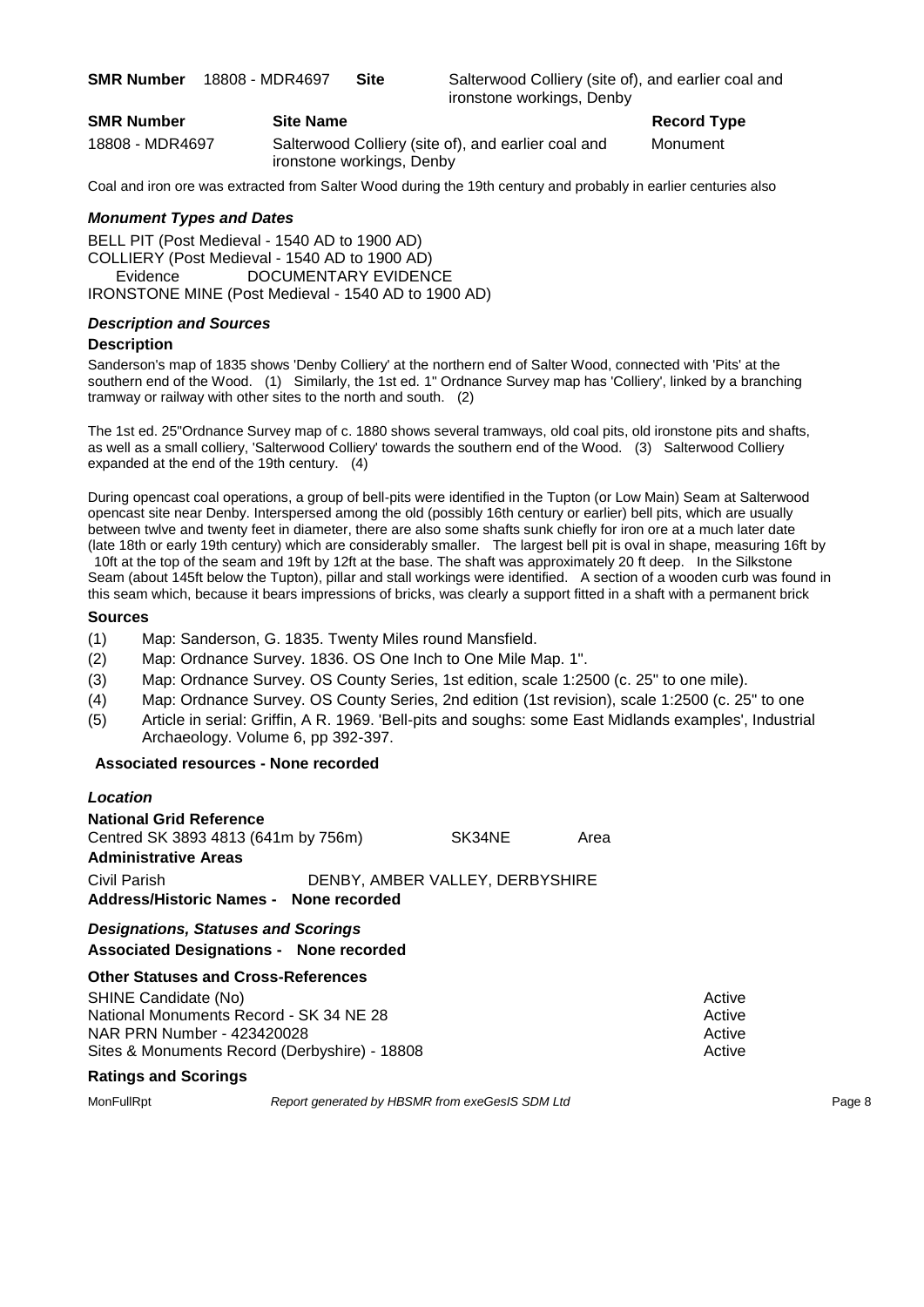**SMR Number** 18808 - MDR4697 **Site** Salterwood Colliery (site of), and earlier coal and ironstone workings, Denby

| <b>SMR Number</b> | <b>Site Name</b>             |
|-------------------|------------------------------|
| 18808 - MDR4697   | Salterwood Colliery (site of |
|                   | ironstone workings, Denby    |

**Record Type** 

of), and earlier coal and Monument

Coal and iron ore was extracted from Salter Wood during the 19th century and probably in earlier centuries also

#### *Monument Types and Dates*

BELL PIT (Post Medieval - 1540 AD to 1900 AD) COLLIERY (Post Medieval - 1540 AD to 1900 AD) Evidence DOCUMENTARY EVIDENCE IRONSTONE MINE (Post Medieval - 1540 AD to 1900 AD)

#### *Description and Sources*

#### **Description**

Sanderson's map of 1835 shows 'Denby Colliery' at the northern end of Salter Wood, connected with 'Pits' at the southern end of the Wood. (1) Similarly, the 1st ed. 1" Ordnance Survey map has 'Colliery', linked by a branching tramway or railway with other sites to the north and south. (2)

The 1st ed. 25"Ordnance Survey map of c. 1880 shows several tramways, old coal pits, old ironstone pits and shafts, as well as a small colliery, 'Salterwood Colliery' towards the southern end of the Wood. (3) Salterwood Colliery expanded at the end of the 19th century. (4)

During opencast coal operations, a group of bell-pits were identified in the Tupton (or Low Main) Seam at Salterwood opencast site near Denby. Interspersed among the old (possibly 16th century or earlier) bell pits, which are usually between twlve and twenty feet in diameter, there are also some shafts sunk chiefly for iron ore at a much later date (late 18th or early 19th century) which are considerably smaller. The largest bell pit is oval in shape, measuring 16ft by

10ft at the top of the seam and 19ft by 12ft at the base. The shaft was approximately 20 ft deep. In the Silkstone Seam (about 145ft below the Tupton), pillar and stall workings were identified. A section of a wooden curb was found in this seam which, because it bears impressions of bricks, was clearly a support fitted in a shaft with a permanent brick

#### **Sources**

- (1) Map: Sanderson, G. 1835. Twenty Miles round Mansfield.
- (2) Map: Ordnance Survey. 1836. OS One Inch to One Mile Map. 1".
- (3) Map: Ordnance Survey. OS County Series, 1st edition, scale 1:2500 (c. 25" to one mile).
- (4) Map: Ordnance Survey. OS County Series, 2nd edition (1st revision), scale 1:2500 (c. 25" to one
- (5) Article in serial: Griffin, A R. 1969. 'Bell-pits and soughs: some East Midlands examples', Industrial Archaeology. Volume 6, pp 392-397.

#### **Associated resources - None recorded**

| Location                            |                                        |                                 |      |
|-------------------------------------|----------------------------------------|---------------------------------|------|
| National Grid Reference             |                                        |                                 |      |
| Centred SK 3893 4813 (641m by 756m) |                                        | SK34NE                          | Area |
| Administrative Areas                |                                        |                                 |      |
| Civil Parish                        |                                        | DENBY, AMBER VALLEY, DERBYSHIRE |      |
|                                     | Address/Historic Names - None recorded |                                 |      |
| Designations Statuses and Scorings  |                                        |                                 |      |

#### *Designations, Statuses and Scorings* **Associated Designations - None recorded**

#### **Other Statuses and Cross-References**

| <b>SHINE Candidate (No)</b>                   | Active |
|-----------------------------------------------|--------|
| National Monuments Record - SK 34 NE 28       | Active |
| NAR PRN Number - 423420028                    | Active |
| Sites & Monuments Record (Derbyshire) - 18808 | Active |

#### **Ratings and Scorings**

MonFullRpt *Report generated by HBSMR from exeGesIS SDM Ltd Rage 8*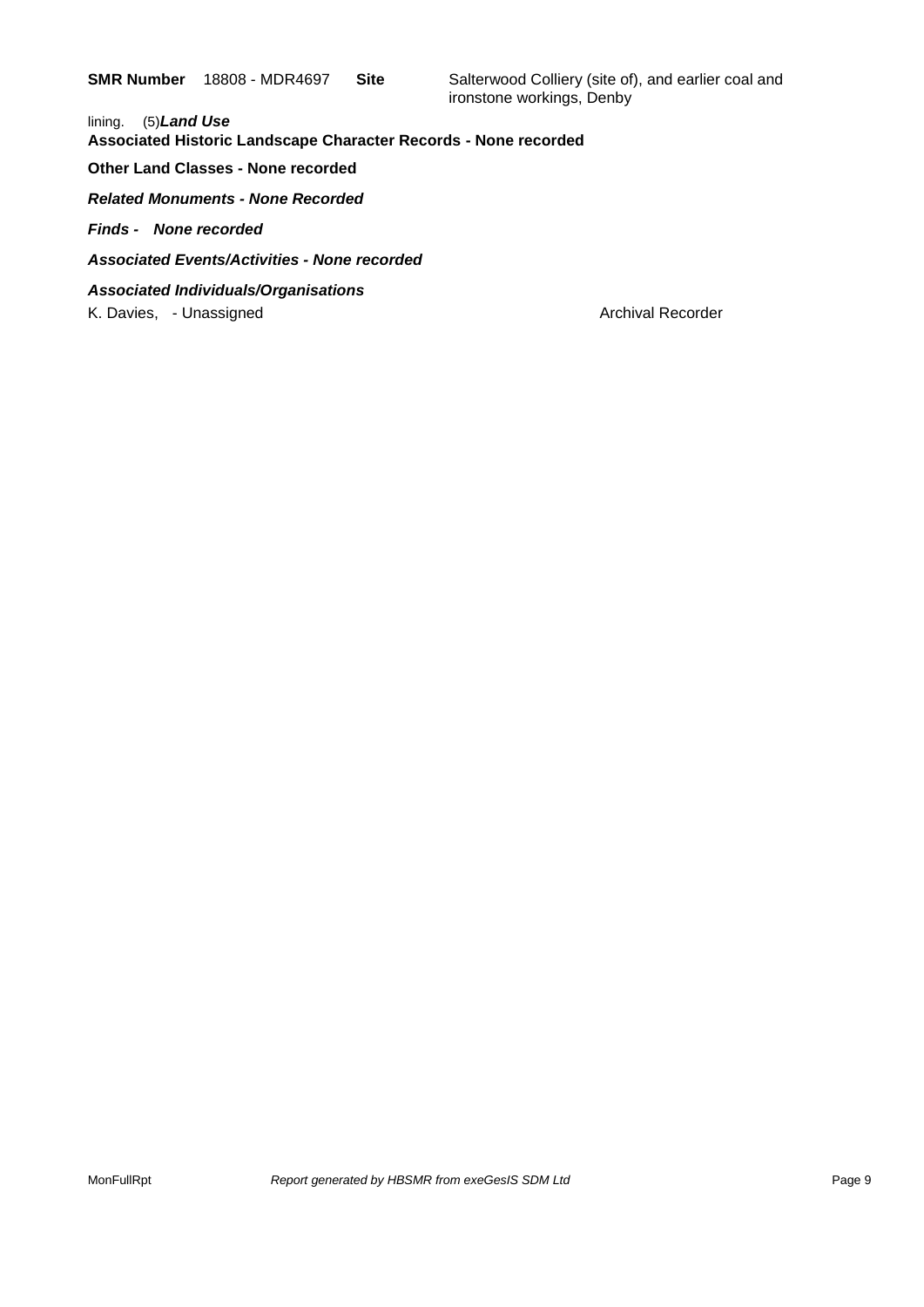**SMR Number** 18808 - MDR4697 **Site** Salterwood Colliery (site of), and earlier coal and ironstone workings, Denby

lining. (5)*Land Use*  **Associated Historic Landscape Character Records - None recorded Other Land Classes - None recorded** *Related Monuments - None Recorded Finds - None recorded Associated Events/Activities - None recorded Associated Individuals/Organisations* K. Davies, - Unassigned Archival Recorder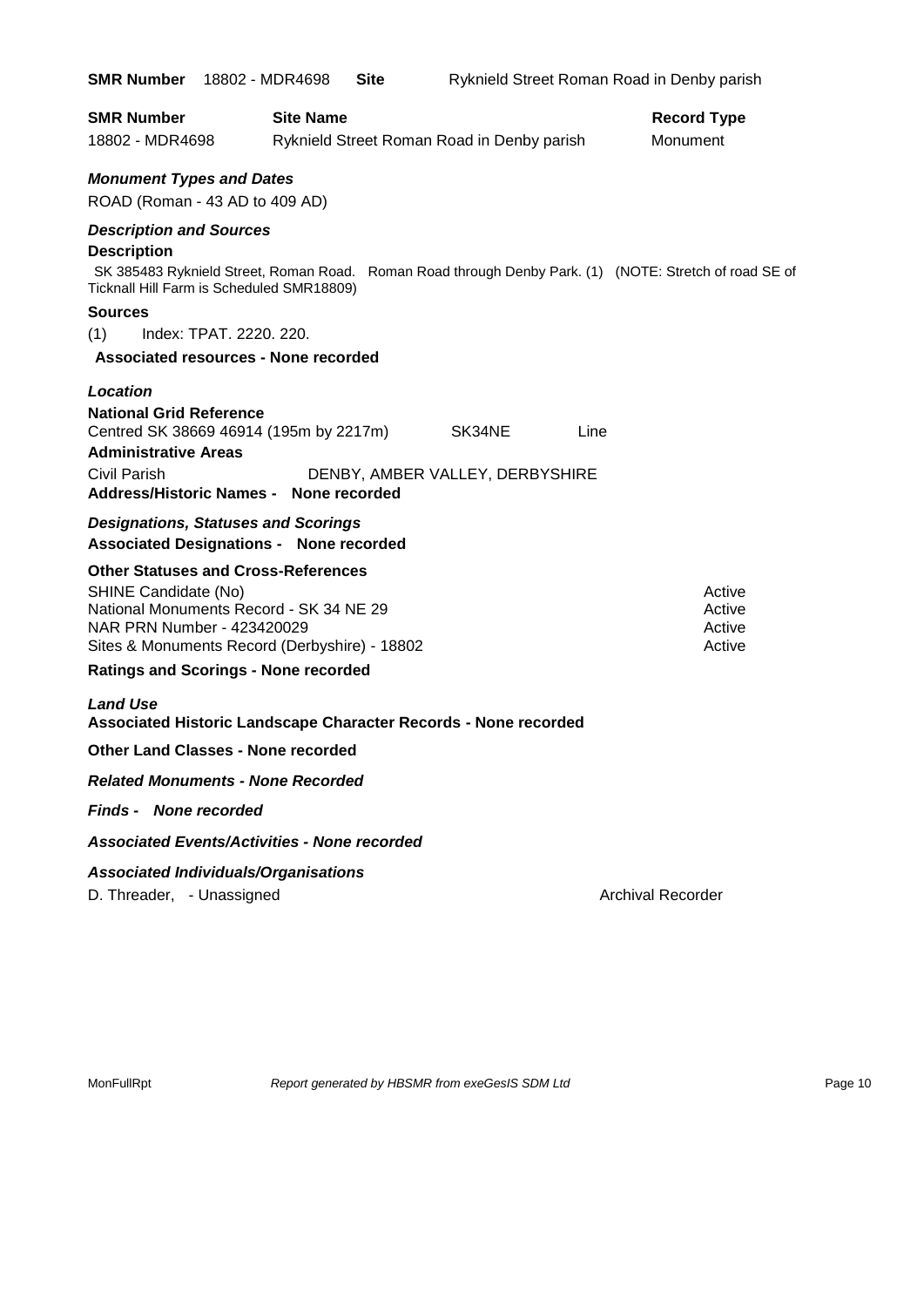| <b>SMR Number</b>                                                                                                                                                                             | 18802 - MDR4698  | Site |                                            |      | Ryknield Street Roman Road in Denby parish                                                             |
|-----------------------------------------------------------------------------------------------------------------------------------------------------------------------------------------------|------------------|------|--------------------------------------------|------|--------------------------------------------------------------------------------------------------------|
| <b>SMR Number</b><br>18802 - MDR4698                                                                                                                                                          | <b>Site Name</b> |      | Ryknield Street Roman Road in Denby parish |      | <b>Record Type</b><br>Monument                                                                         |
| <b>Monument Types and Dates</b><br>ROAD (Roman - 43 AD to 409 AD)                                                                                                                             |                  |      |                                            |      |                                                                                                        |
| <b>Description and Sources</b><br><b>Description</b><br>Ticknall Hill Farm is Scheduled SMR18809)<br>Sources<br>(1)<br>Index: TPAT. 2220. 220.<br><b>Associated resources - None recorded</b> |                  |      |                                            |      | SK 385483 Ryknield Street, Roman Road. Roman Road through Denby Park. (1) (NOTE: Stretch of road SE of |
| Location<br><b>National Grid Reference</b><br>Centred SK 38669 46914 (195m by 2217m)<br><b>Administrative Areas</b><br><b>Civil Parish</b><br>Address/Historic Names - None recorded          |                  |      | SK34NE<br>DENBY, AMBER VALLEY, DERBYSHIRE  | Line |                                                                                                        |
| <b>Designations, Statuses and Scorings</b><br><b>Associated Designations - None recorded</b>                                                                                                  |                  |      |                                            |      |                                                                                                        |
| <b>Other Statuses and Cross-References</b><br>SHINE Candidate (No)<br>National Monuments Record - SK 34 NE 29<br>NAR PRN Number - 423420029<br>Sites & Monuments Record (Derbyshire) - 18802  |                  |      |                                            |      | Active<br>Active<br>Active<br>Active                                                                   |
| <b>Ratings and Scorings - None recorded</b><br><b>Land Use</b>                                                                                                                                |                  |      |                                            |      |                                                                                                        |
| Associated Historic Landscape Character Records - None recorded                                                                                                                               |                  |      |                                            |      |                                                                                                        |
| <b>Other Land Classes - None recorded</b>                                                                                                                                                     |                  |      |                                            |      |                                                                                                        |
| <b>Related Monuments - None Recorded</b>                                                                                                                                                      |                  |      |                                            |      |                                                                                                        |
| <b>Finds - None recorded</b>                                                                                                                                                                  |                  |      |                                            |      |                                                                                                        |
| <b>Associated Events/Activities - None recorded</b>                                                                                                                                           |                  |      |                                            |      |                                                                                                        |
| <b>Associated Individuals/Organisations</b><br>D. Threader, - Unassigned                                                                                                                      |                  |      |                                            |      | <b>Archival Recorder</b>                                                                               |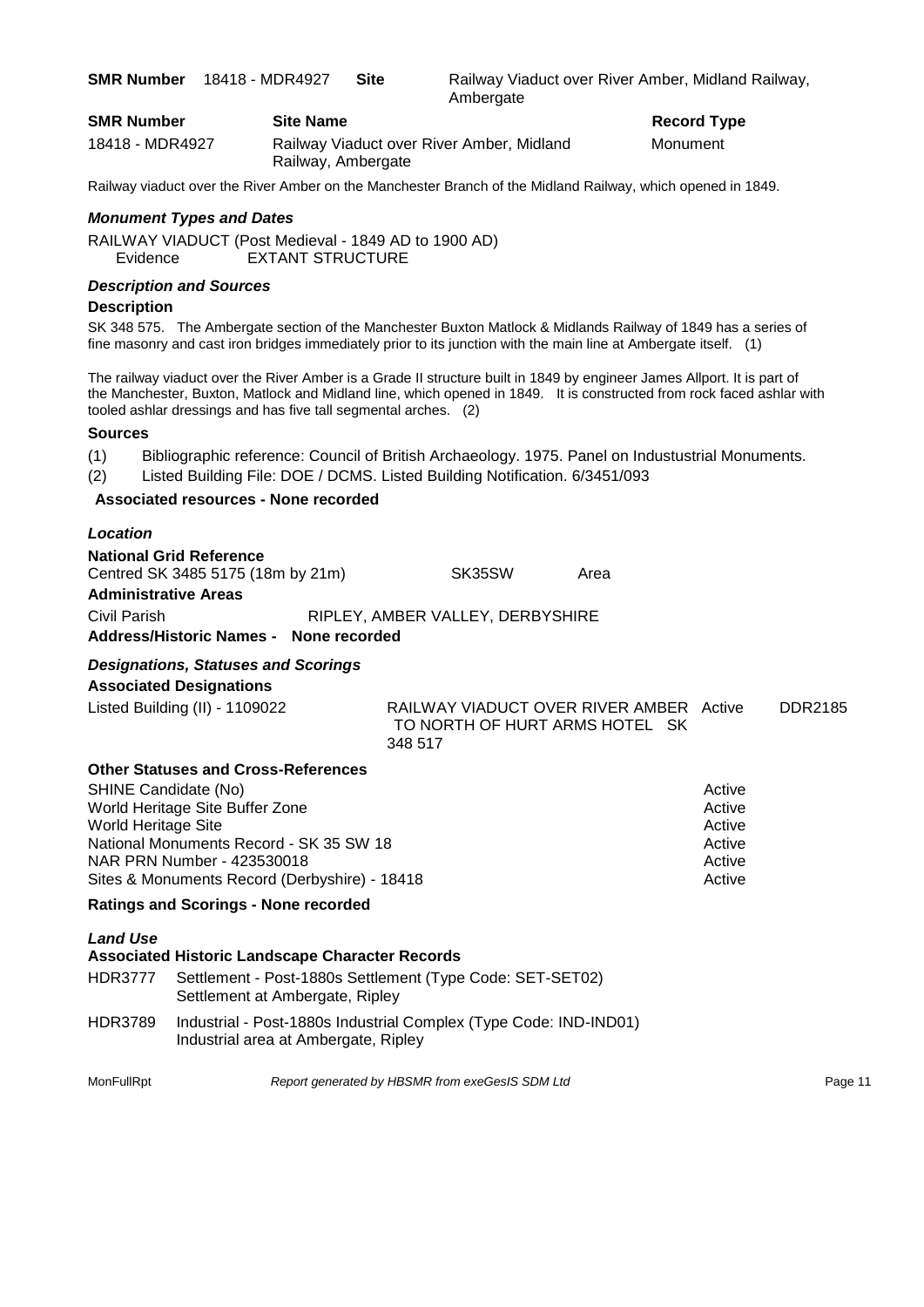**SMR Number** 18418 - MDR4927 **Site** Railway Viaduct over River Amber, Midland Railway, **Ambergate** 

**Record Type** 

| <b>SMR Number</b> | <b>Site Name</b>                                                | Record $T1$ |
|-------------------|-----------------------------------------------------------------|-------------|
| 18418 - MDR4927   | Railway Viaduct over River Amber, Midland<br>Railway, Ambergate | Monument    |

Railway viaduct over the River Amber on the Manchester Branch of the Midland Railway, which opened in 1849.

#### *Monument Types and Dates*

RAILWAY VIADUCT (Post Medieval - 1849 AD to 1900 AD) Evidence EXTANT STRUCTURE

#### *Description and Sources*

#### **Description**

SK 348 575. The Ambergate section of the Manchester Buxton Matlock & Midlands Railway of 1849 has a series of fine masonry and cast iron bridges immediately prior to its junction with the main line at Ambergate itself. (1)

The railway viaduct over the River Amber is a Grade II structure built in 1849 by engineer James Allport. It is part of the Manchester, Buxton, Matlock and Midland line, which opened in 1849. It is constructed from rock faced ashlar with tooled ashlar dressings and has five tall segmental arches. (2)

#### **Sources**

- (1) Bibliographic reference: Council of British Archaeology. 1975. Panel on Industustrial Monuments.
- (2) Listed Building File: DOE / DCMS. Listed Building Notification. 6/3451/093

### **Associated resources - None recorded**

| Location                                                                                                                                                |                                                                                      |      |                                                |         |
|---------------------------------------------------------------------------------------------------------------------------------------------------------|--------------------------------------------------------------------------------------|------|------------------------------------------------|---------|
| <b>National Grid Reference</b><br>Centred SK 3485 5175 (18m by 21m)<br><b>Administrative Areas</b>                                                      | SK35SW                                                                               | Area |                                                |         |
| Civil Parish<br>Address/Historic Names - None recorded                                                                                                  | RIPLEY, AMBER VALLEY, DERBYSHIRE                                                     |      |                                                |         |
| <b>Designations, Statuses and Scorings</b><br><b>Associated Designations</b>                                                                            |                                                                                      |      |                                                |         |
| Listed Building (II) - 1109022                                                                                                                          | RAILWAY VIADUCT OVER RIVER AMBER Active<br>TO NORTH OF HURT ARMS HOTEL SK<br>348 517 |      |                                                | DDR2185 |
| <b>Other Statuses and Cross-References</b>                                                                                                              |                                                                                      |      |                                                |         |
| SHINE Candidate (No)<br>World Heritage Site Buffer Zone<br>World Heritage Site<br>National Monuments Record - SK 35 SW 18<br>NAR PRN Number - 423530018 |                                                                                      |      | Active<br>Active<br>Active<br>Active<br>Active |         |
| Sites & Monuments Record (Derbyshire) - 18418                                                                                                           |                                                                                      |      | Active                                         |         |

#### **Ratings and Scorings - None recorded**

| <b>Associated Historic Landscape Character Records</b> |                                                                                                           |  |  |
|--------------------------------------------------------|-----------------------------------------------------------------------------------------------------------|--|--|
| <b>HDR3777</b>                                         | Settlement - Post-1880s Settlement (Type Code: SET-SET02)<br>Settlement at Ambergate, Ripley              |  |  |
| <b>HDR3789</b>                                         | Industrial - Post-1880s Industrial Complex (Type Code: IND-IND01)<br>Industrial area at Ambergate, Ripley |  |  |

MonFullRpt *Report generated by HBSMR from exeGesIS SDM Ltd Report 11*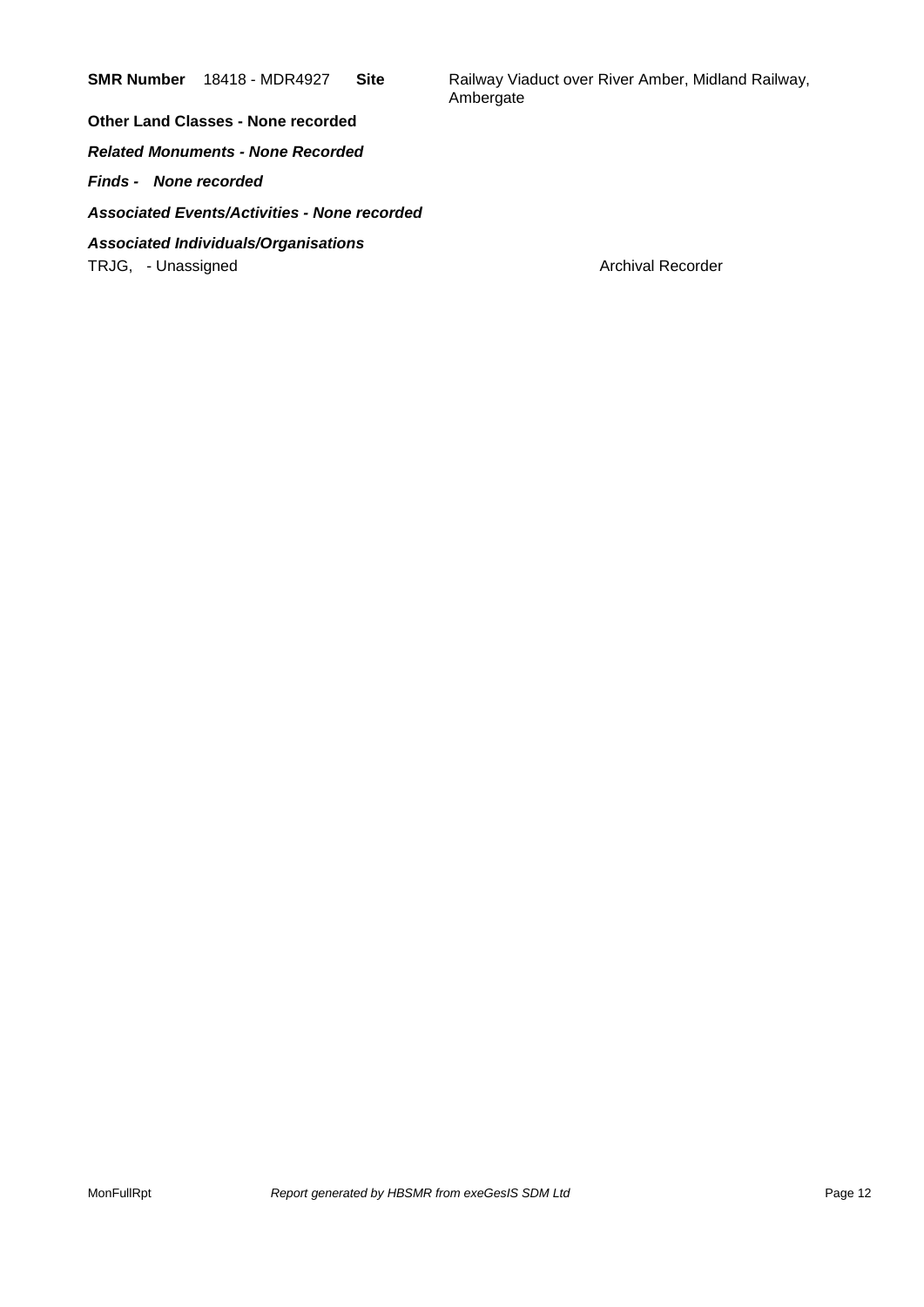**SMR Number** 18418 - MDR4927 Site Railway Viaduct over River Amber, Midland Railway, Ambergate

**Other Land Classes - None recorded** *Related Monuments - None Recorded Finds - None recorded Associated Events/Activities - None recorded Associated Individuals/Organisations* TRJG, - Unassigned Archival Recorder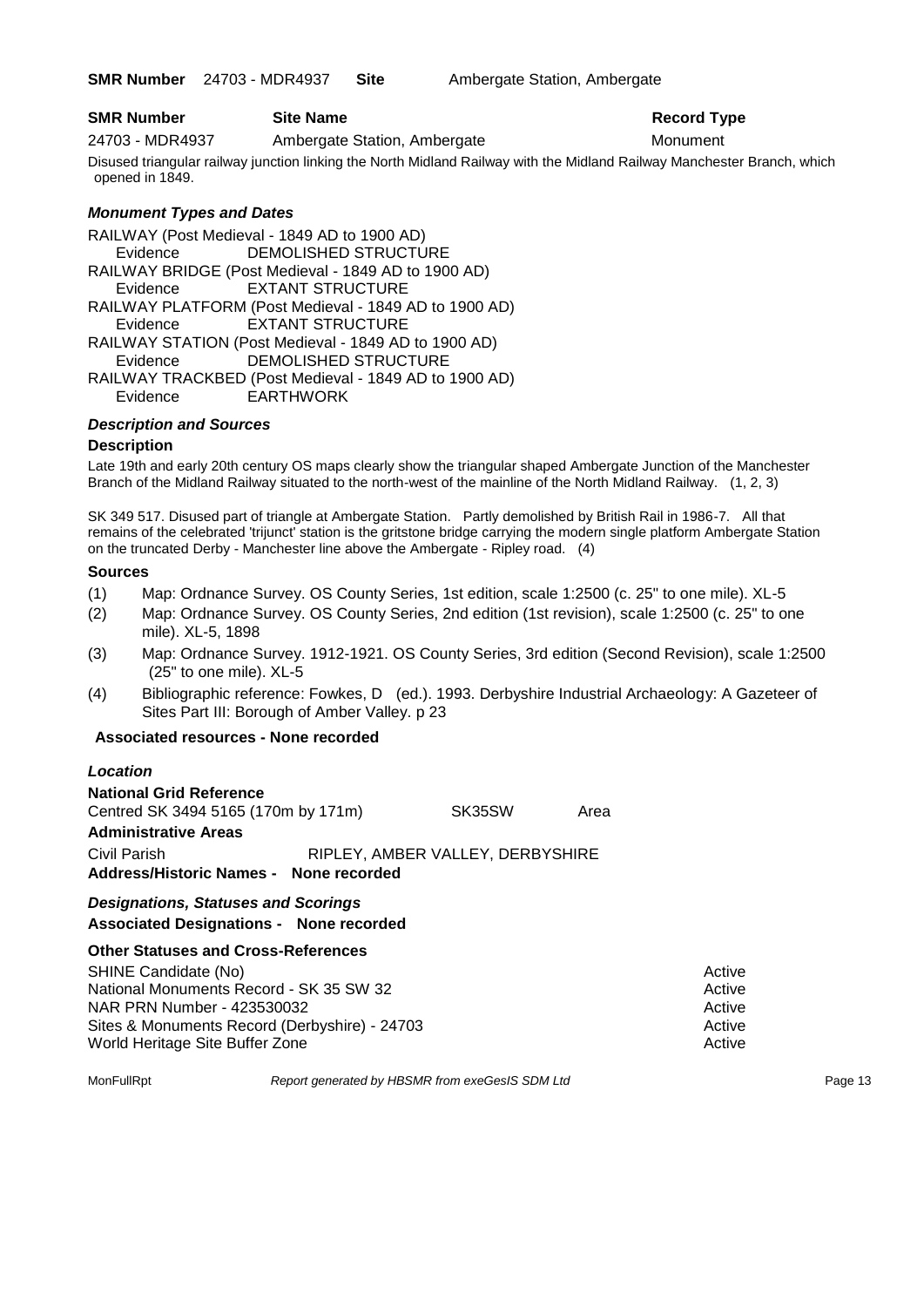**SMR Number** 24703 - MDR4937 **Site** Ambergate Station, Ambergate

#### **SMR Number Site Name Record Type Record Type**

24703 - MDR4937 Ambergate Station, Ambergate Monument

Disused triangular railway junction linking the North Midland Railway with the Midland Railway Manchester Branch, which opened in 1849.

### *Monument Types and Dates*

RAILWAY (Post Medieval - 1849 AD to 1900 AD) Evidence DEMOLISHED STRUCTURE RAILWAY BRIDGE (Post Medieval - 1849 AD to 1900 AD) Evidence EXTANT STRUCTURE RAILWAY PLATFORM (Post Medieval - 1849 AD to 1900 AD) Evidence EXTANT STRUCTURE RAILWAY STATION (Post Medieval - 1849 AD to 1900 AD) Evidence DEMOLISHED STRUCTURE RAILWAY TRACKBED (Post Medieval - 1849 AD to 1900 AD) Evidence EARTHWORK

#### *Description and Sources*

#### **Description**

Late 19th and early 20th century OS maps clearly show the triangular shaped Ambergate Junction of the Manchester Branch of the Midland Railway situated to the north-west of the mainline of the North Midland Railway. (1, 2, 3)

SK 349 517. Disused part of triangle at Ambergate Station. Partly demolished by British Rail in 1986-7. All that remains of the celebrated 'trijunct' station is the gritstone bridge carrying the modern single platform Ambergate Station on the truncated Derby - Manchester line above the Ambergate - Ripley road. (4)

#### **Sources**

- (1) Map: Ordnance Survey. OS County Series, 1st edition, scale 1:2500 (c. 25" to one mile). XL-5
- (2) Map: Ordnance Survey. OS County Series, 2nd edition (1st revision), scale 1:2500 (c. 25" to one mile). XL-5, 1898
- (3) Map: Ordnance Survey. 1912-1921. OS County Series, 3rd edition (Second Revision), scale 1:2500 (25" to one mile). XL-5
- (4) Bibliographic reference: Fowkes, D (ed.). 1993. Derbyshire Industrial Archaeology: A Gazeteer of Sites Part III: Borough of Amber Valley. p 23

#### **Associated resources - None recorded**

| Location                                                                                     |                                  |      |  |
|----------------------------------------------------------------------------------------------|----------------------------------|------|--|
| <b>National Grid Reference</b><br>Centred SK 3494 5165 (170m by 171m)                        | SK35SW                           | Area |  |
| <b>Administrative Areas</b>                                                                  |                                  |      |  |
| Civil Parish<br>Address/Historic Names - None recorded                                       | RIPLEY, AMBER VALLEY, DERBYSHIRE |      |  |
| <b>Designations, Statuses and Scorings</b><br><b>Associated Designations - None recorded</b> |                                  |      |  |

### **Other Statuses and Cross-References**

| SHINE Candidate (No)                          | Active |
|-----------------------------------------------|--------|
| National Monuments Record - SK 35 SW 32       | Active |
| NAR PRN Number - 423530032                    | Active |
| Sites & Monuments Record (Derbyshire) - 24703 | Active |
| World Heritage Site Buffer Zone               | Active |

MonFullRpt *Report generated by HBSMR from exeGesIS SDM Ltd Report 13*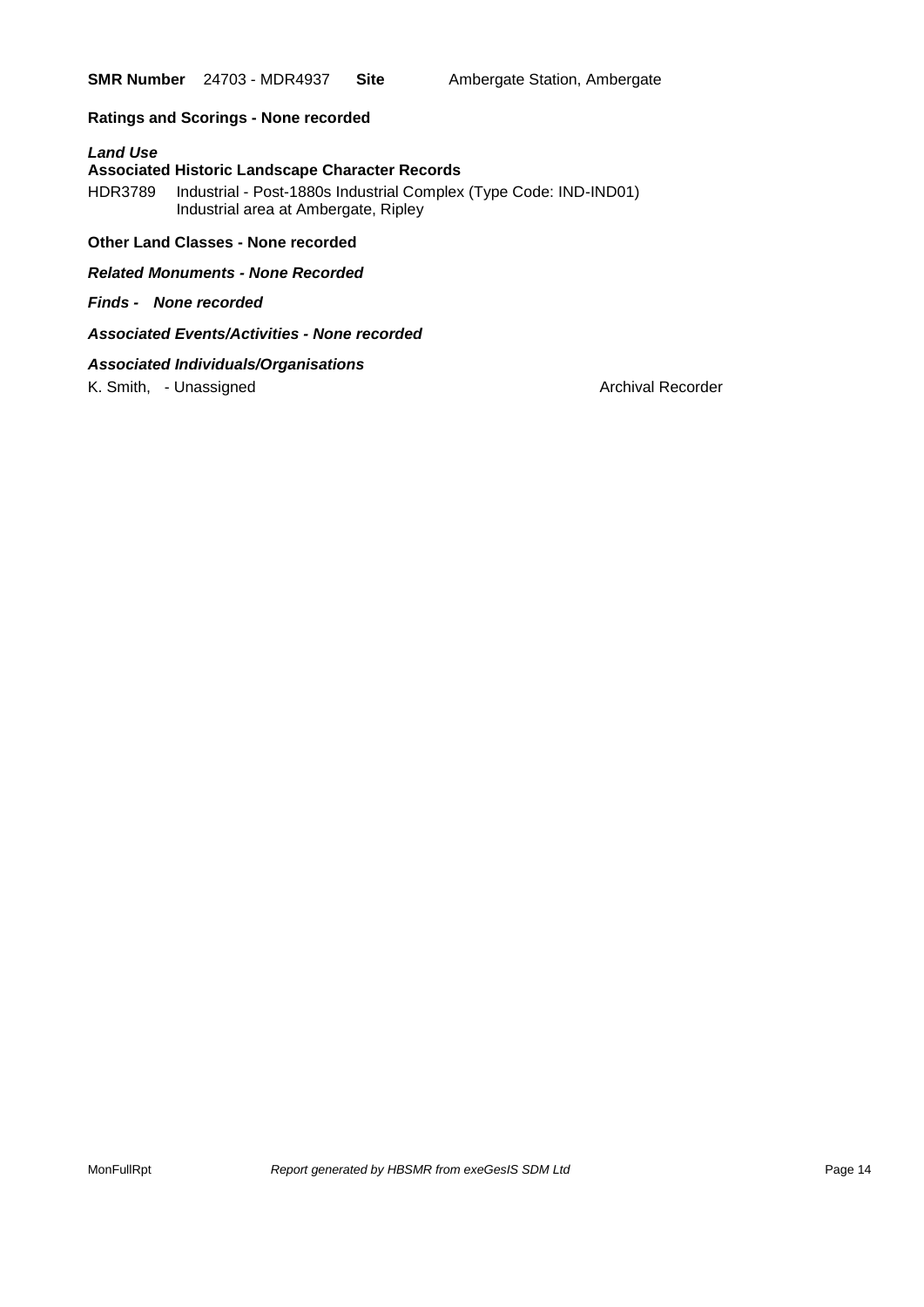**SMR Number** 24703 - MDR4937 Site Ambergate Station, Ambergate

### **Ratings and Scorings - None recorded**

#### *Land Use*

#### **Associated Historic Landscape Character Records**

HDR3789 Industrial - Post-1880s Industrial Complex (Type Code: IND-IND01) Industrial area at Ambergate, Ripley

### **Other Land Classes - None recorded**

*Related Monuments - None Recorded*

*Finds - None recorded*

### *Associated Events/Activities - None recorded*

### *Associated Individuals/Organisations*

K. Smith, - Unassigned Archival Recorder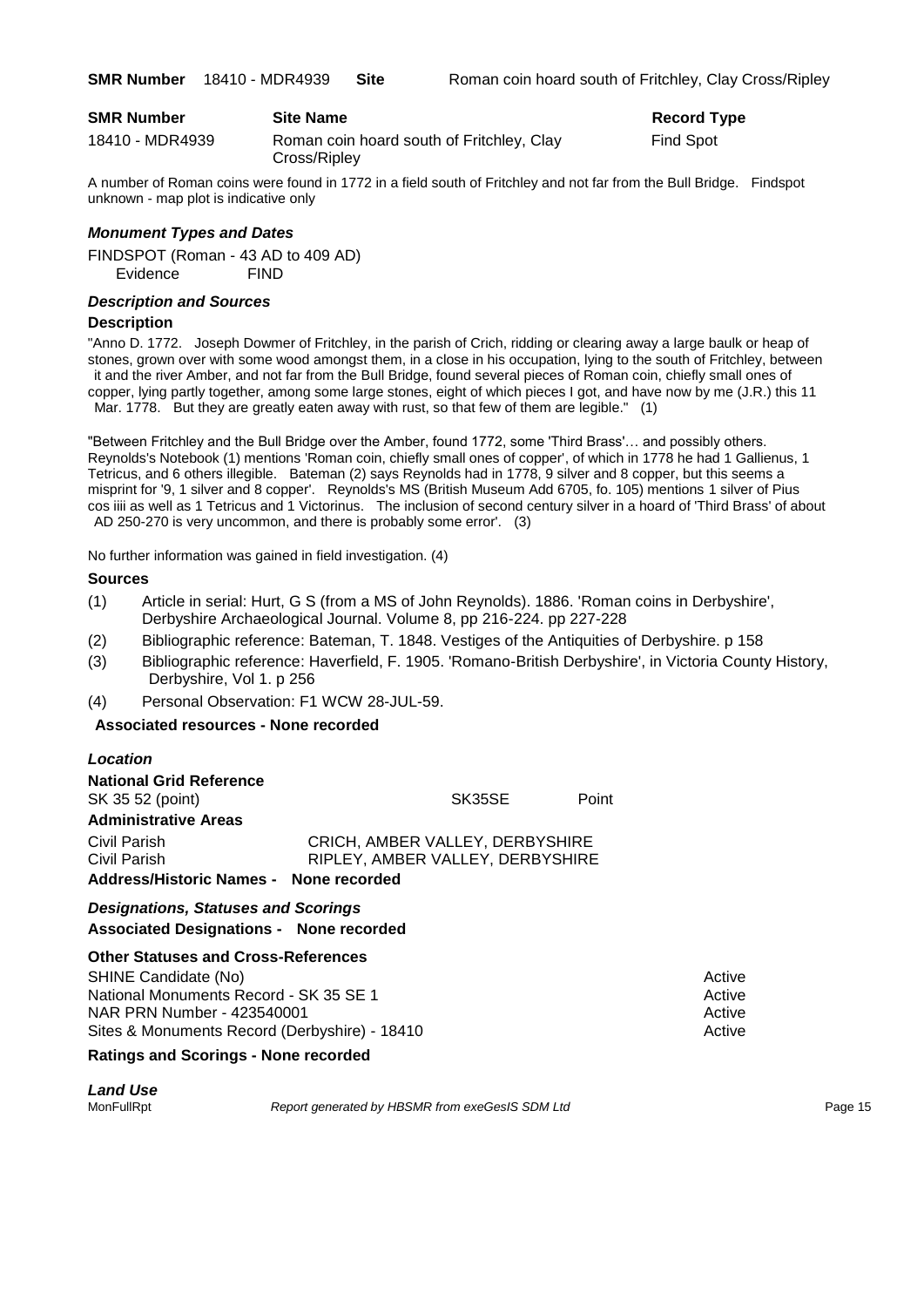| <b>SMR Number</b> | <b>Site Name</b>                                          | <b>Record Type</b> |
|-------------------|-----------------------------------------------------------|--------------------|
| 18410 - MDR4939   | Roman coin hoard south of Fritchley, Clay<br>Cross/Ripley | Find Spot          |
|                   |                                                           |                    |

A number of Roman coins were found in 1772 in a field south of Fritchley and not far from the Bull Bridge. Findspot unknown - map plot is indicative only

#### *Monument Types and Dates*

FINDSPOT (Roman - 43 AD to 409 AD) Evidence FIND

#### *Description and Sources*

#### **Description**

"Anno D. 1772. Joseph Dowmer of Fritchley, in the parish of Crich, ridding or clearing away a large baulk or heap of stones, grown over with some wood amongst them, in a close in his occupation, lying to the south of Fritchley, between it and the river Amber, and not far from the Bull Bridge, found several pieces of Roman coin, chiefly small ones of copper, lying partly together, among some large stones, eight of which pieces I got, and have now by me (J.R.) this 11 Mar. 1778. But they are greatly eaten away with rust, so that few of them are legible." (1)

"Between Fritchley and the Bull Bridge over the Amber, found 1772, some 'Third Brass'… and possibly others. Reynolds's Notebook (1) mentions 'Roman coin, chiefly small ones of copper', of which in 1778 he had 1 Gallienus, 1 Tetricus, and 6 others illegible. Bateman (2) says Reynolds had in 1778, 9 silver and 8 copper, but this seems a misprint for '9, 1 silver and 8 copper'. Reynolds's MS (British Museum Add 6705, fo. 105) mentions 1 silver of Pius cos iiii as well as 1 Tetricus and 1 Victorinus. The inclusion of second century silver in a hoard of 'Third Brass' of about AD 250-270 is very uncommon, and there is probably some error'. (3)

No further information was gained in field investigation. (4)

#### **Sources**

- (1) Article in serial: Hurt, G S (from a MS of John Reynolds). 1886. 'Roman coins in Derbyshire', Derbyshire Archaeological Journal. Volume 8, pp 216-224. pp 227-228
- (2) Bibliographic reference: Bateman, T. 1848. Vestiges of the Antiquities of Derbyshire. p 158
- (3) Bibliographic reference: Haverfield, F. 1905. 'Romano-British Derbyshire', in Victoria County History, Derbyshire, Vol 1. p 256
- (4) Personal Observation: F1 WCW 28-JUL-59.

#### **Associated resources - None recorded**

### *Location* **National Grid Reference** SK 35 52 (point) SK35SE Point **Administrative Areas** Civil Parish CRICH, AMBER VALLEY, DERBYSHIRE Civil Parish RIPLEY, AMBER VALLEY, DERBYSHIRE **Address/Historic Names - None recorded** *Designations, Statuses and Scorings*

**Associated Designations - None recorded**

#### **Other Statuses and Cross-References**

SHINE Candidate (No) **Active** Active 30 Active 30 Active 30 Active 30 Active 30 Active National Monuments Record - SK 35 SE 1 Active 36 Active 36 Active NAR PRN Number - 423540001 Active Active Active Active Active Sites & Monuments Record (Derbyshire) - 18410 Active

#### **Ratings and Scorings - None recorded**

*Land Use* 

MonFullRpt *Report generated by HBSMR from exeGesIS SDM Ltd* Page 15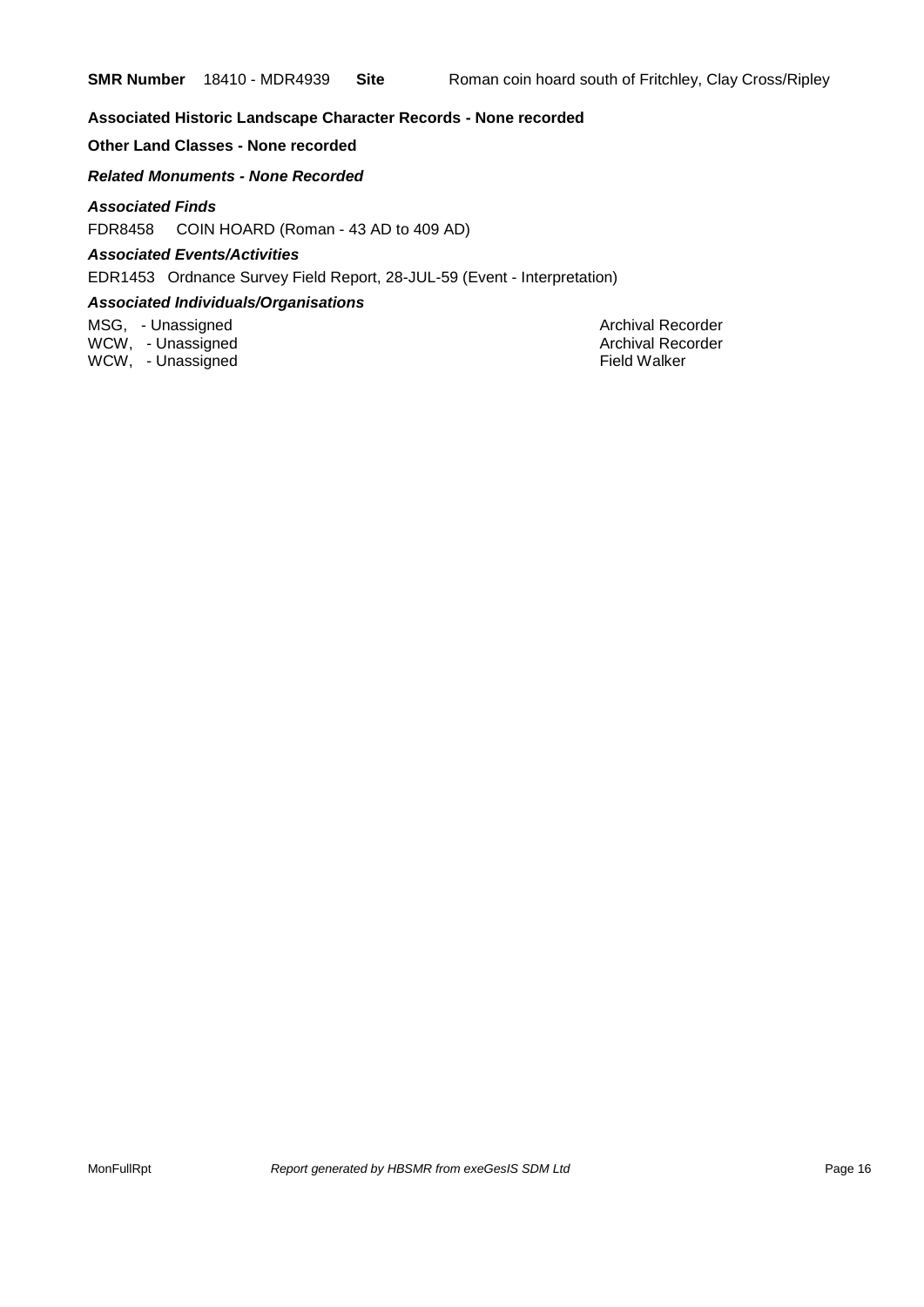### **Associated Historic Landscape Character Records - None recorded**

### **Other Land Classes - None recorded**

*Related Monuments - None Recorded*

### *Associated Finds*

FDR8458 COIN HOARD (Roman - 43 AD to 409 AD)

### *Associated Events/Activities*

EDR1453 Ordnance Survey Field Report, 28-JUL-59 (Event - Interpretation)

### *Associated Individuals/Organisations*

MSG, - Unassigned Archival Recorder WCW, - Unassigned **Archival Recorder** Archival Recorder WCW, - Unassigned **Field Walker**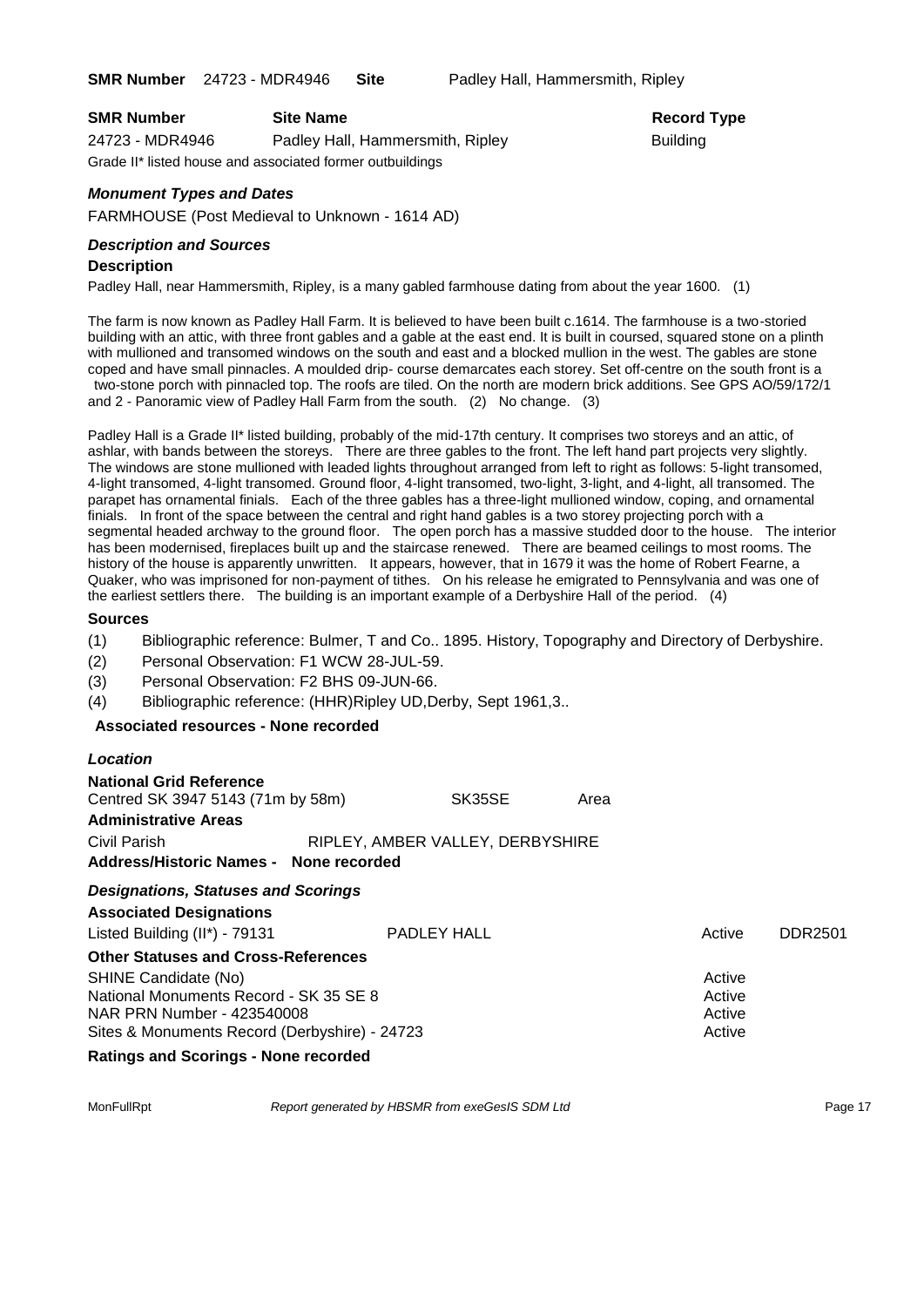**SMR Number** 24723 - MDR4946 **Site** Padley Hall, Hammersmith, Ripley

| <b>SMR Number</b>                                         | <b>Site Name</b>                 | Record          |
|-----------------------------------------------------------|----------------------------------|-----------------|
| 24723 - MDR4946                                           | Padley Hall, Hammersmith, Ripley | <b>Building</b> |
| Grade II* listed house and associated former outbuildings |                                  |                 |

### *Monument Types and Dates*

FARMHOUSE (Post Medieval to Unknown - 1614 AD)

### *Description and Sources*

#### **Description**

Padley Hall, near Hammersmith, Ripley, is a many gabled farmhouse dating from about the year 1600. (1)

The farm is now known as Padley Hall Farm. It is believed to have been built c.1614. The farmhouse is a two-storied building with an attic, with three front gables and a gable at the east end. It is built in coursed, squared stone on a plinth with mullioned and transomed windows on the south and east and a blocked mullion in the west. The gables are stone coped and have small pinnacles. A moulded drip- course demarcates each storey. Set off-centre on the south front is a two-stone porch with pinnacled top. The roofs are tiled. On the north are modern brick additions. See GPS AO/59/172/1 and 2 - Panoramic view of Padley Hall Farm from the south. (2) No change. (3)

Padley Hall is a Grade II\* listed building, probably of the mid-17th century. It comprises two storeys and an attic, of ashlar, with bands between the storeys. There are three gables to the front. The left hand part projects very slightly. The windows are stone mullioned with leaded lights throughout arranged from left to right as follows: 5-light transomed, 4-light transomed, 4-light transomed. Ground floor, 4-light transomed, two-light, 3-light, and 4-light, all transomed. The parapet has ornamental finials. Each of the three gables has a three-light mullioned window, coping, and ornamental finials. In front of the space between the central and right hand gables is a two storey projecting porch with a segmental headed archway to the ground floor. The open porch has a massive studded door to the house. The interior has been modernised, fireplaces built up and the staircase renewed. There are beamed ceilings to most rooms. The history of the house is apparently unwritten. It appears, however, that in 1679 it was the home of Robert Fearne, a Quaker, who was imprisoned for non-payment of tithes. On his release he emigrated to Pennsylvania and was one of the earliest settlers there. The building is an important example of a Derbyshire Hall of the period. (4)

#### **Sources**

- (1) Bibliographic reference: Bulmer, T and Co.. 1895. History, Topography and Directory of Derbyshire.
- (2) Personal Observation: F1 WCW 28-JUL-59.
- (3) Personal Observation: F2 BHS 09-JUN-66.
- (4) Bibliographic reference: (HHR)Ripley UD,Derby, Sept 1961,3..

#### **Associated resources - None recorded**

| Location                                                                                                                                                                                    |                                  |      |                                      |         |
|---------------------------------------------------------------------------------------------------------------------------------------------------------------------------------------------|----------------------------------|------|--------------------------------------|---------|
| <b>National Grid Reference</b><br>Centred SK 3947 5143 (71m by 58m)<br><b>Administrative Areas</b>                                                                                          | SK35SE                           | Area |                                      |         |
| Civil Parish<br>Address/Historic Names - None recorded                                                                                                                                      | RIPLEY, AMBER VALLEY, DERBYSHIRE |      |                                      |         |
| <b>Designations, Statuses and Scorings</b><br><b>Associated Designations</b><br>Listed Building (II*) - 79131                                                                               | PADLEY HALL                      |      | Active                               | DDR2501 |
| <b>Other Statuses and Cross-References</b><br>SHINE Candidate (No)<br>National Monuments Record - SK 35 SE 8<br>NAR PRN Number - 423540008<br>Sites & Monuments Record (Derbyshire) - 24723 |                                  |      | Active<br>Active<br>Active<br>Active |         |
| Battone and Basilians - Napel presented                                                                                                                                                     |                                  |      |                                      |         |

#### **Ratings and Scorings - None recorded**

MonFullRpt *Report generated by HBSMR from exeGesIS SDM Ltd Report 17* 

**Record Type**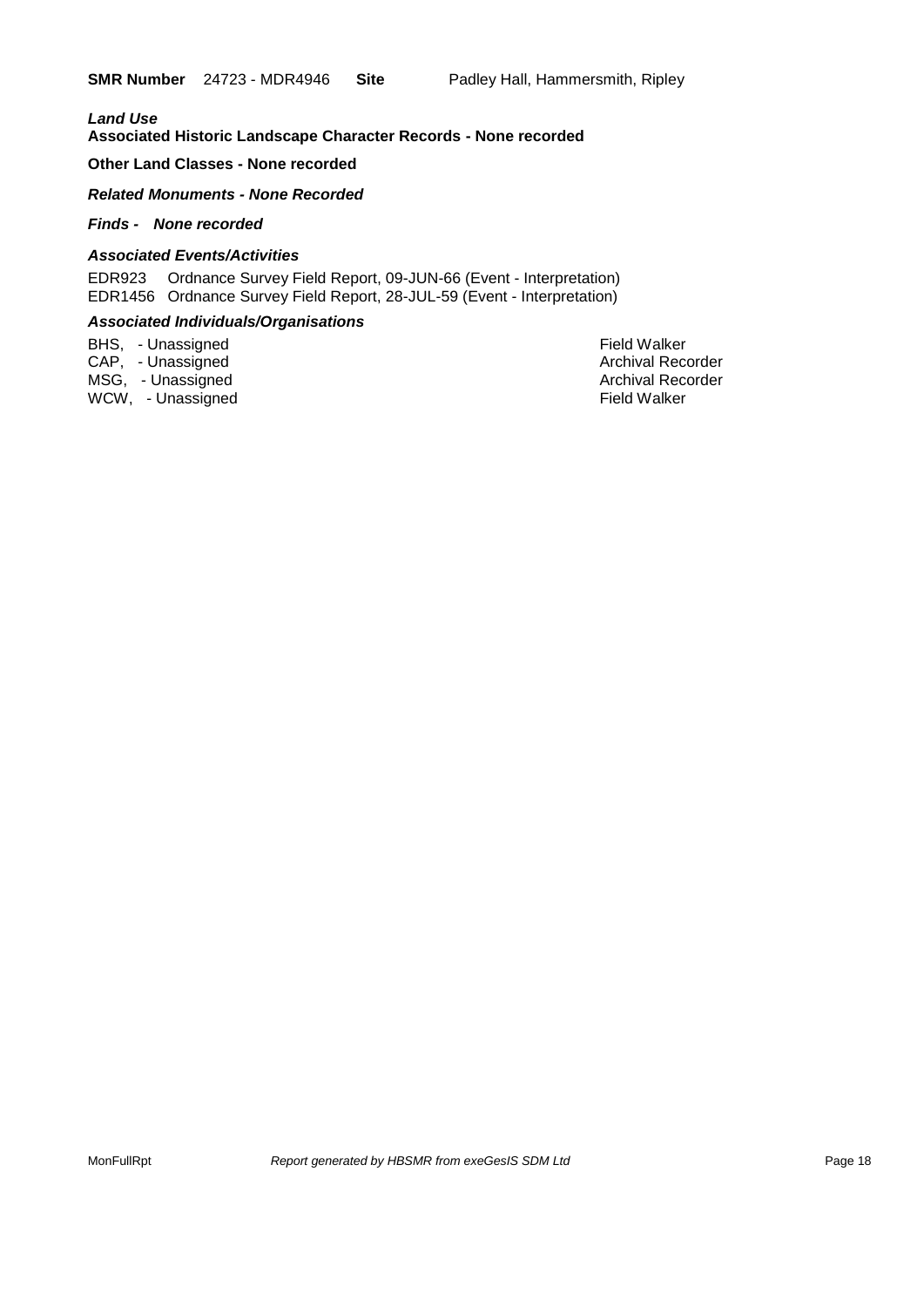### *Land Use*  **Associated Historic Landscape Character Records - None recorded**

#### **Other Land Classes - None recorded**

#### *Related Monuments - None Recorded*

### *Finds - None recorded*

#### *Associated Events/Activities*

EDR923 Ordnance Survey Field Report, 09-JUN-66 (Event - Interpretation) EDR1456 Ordnance Survey Field Report, 28-JUL-59 (Event - Interpretation)

#### *Associated Individuals/Organisations*

BHS, - Unassigned Field Walker CAP, - Unassigned Archival Recorder Archival Recorder Archival Recorder MSG, - Unassigned Archival Recorder Archival Recorder Archival Recorder Archival Recorder

WCW, - Unassigned **Field Walker**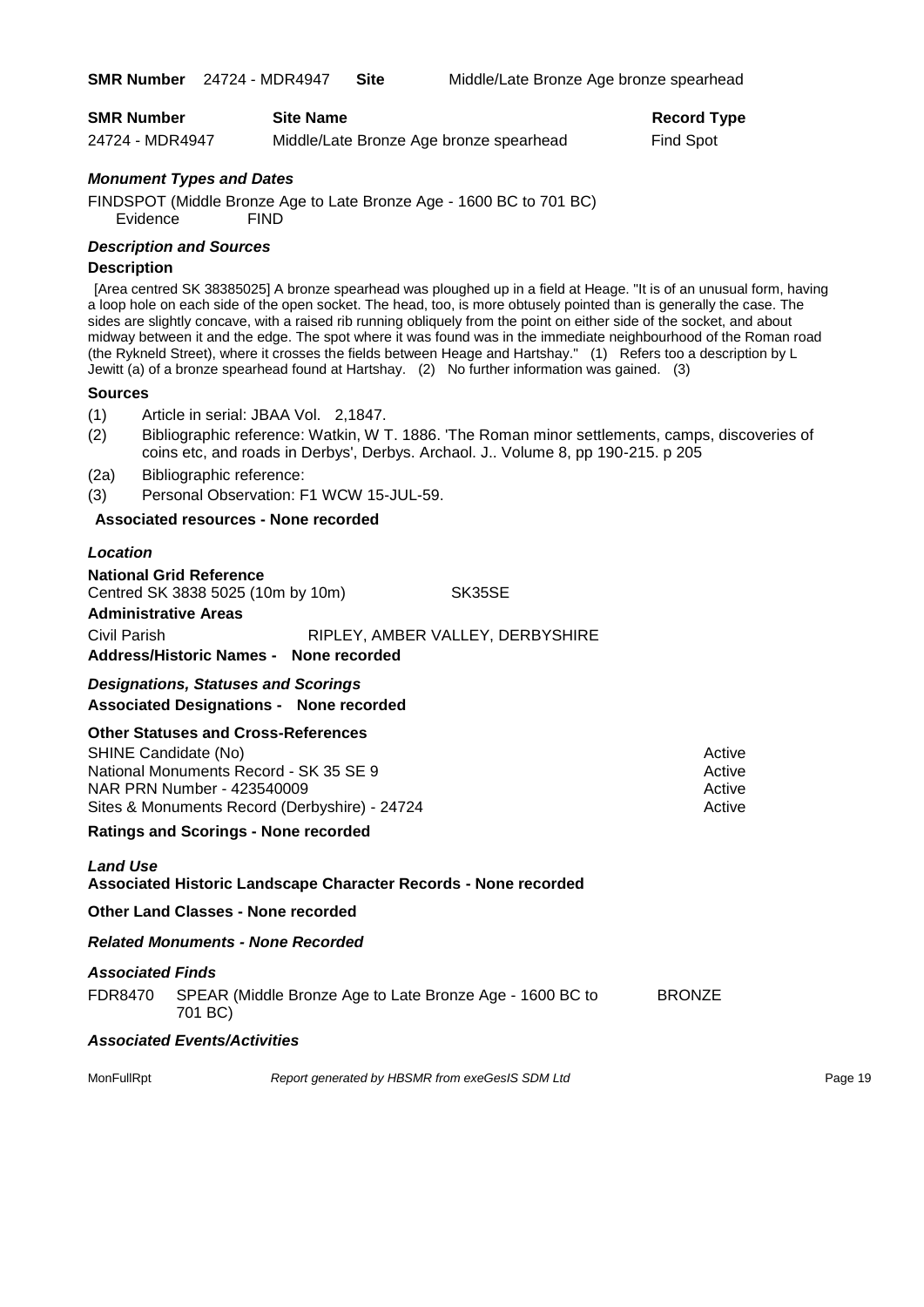| <b>SMR Number</b> | <b>Site Name</b>                        | <b>Record Type</b> |
|-------------------|-----------------------------------------|--------------------|
| 24724 - MDR4947   | Middle/Late Bronze Age bronze spearhead | Find Spot          |

#### *Monument Types and Dates*

FINDSPOT (Middle Bronze Age to Late Bronze Age - 1600 BC to 701 BC) Evidence FIND

#### *Description and Sources*

#### **Description**

[Area centred SK 38385025] A bronze spearhead was ploughed up in a field at Heage. "It is of an unusual form, having a loop hole on each side of the open socket. The head, too, is more obtusely pointed than is generally the case. The sides are slightly concave, with a raised rib running obliquely from the point on either side of the socket, and about midway between it and the edge. The spot where it was found was in the immediate neighbourhood of the Roman road (the Rykneld Street), where it crosses the fields between Heage and Hartshay." (1) Refers too a description by L Jewitt (a) of a bronze spearhead found at Hartshay. (2) No further information was gained. (3)

#### **Sources**

(1) Article in serial: JBAA Vol. 2,1847.

(2) Bibliographic reference: Watkin, W T. 1886. 'The Roman minor settlements, camps, discoveries of coins etc, and roads in Derbys', Derbys. Archaol. J.. Volume 8, pp 190-215. p 205

(2a) Bibliographic reference:

(3) Personal Observation: F1 WCW 15-JUL-59.

#### **Associated resources - None recorded**

#### *Location*

**National Grid Reference** Centred SK 3838 5025 (10m by 10m) SK35SE **Administrative Areas** Civil Parish RIPLEY, AMBER VALLEY, DERBYSHIRE **Address/Historic Names - None recorded**

### *Designations, Statuses and Scorings*

**Associated Designations - None recorded**

#### **Other Statuses and Cross-References**

SHINE Candidate (No) **Active** Active 30 Active 30 Active 30 Active 30 Active 30 Active National Monuments Record - SK 35 SE 9 Active Active NAR PRN Number - 423540009 Active Active Active Active Active Sites & Monuments Record (Derbyshire) - 24724 Active

#### **Ratings and Scorings - None recorded**

#### *Land Use*  **Associated Historic Landscape Character Records - None recorded**

**Other Land Classes - None recorded**

#### *Related Monuments - None Recorded*

#### *Associated Finds*

FDR8470 SPEAR (Middle Bronze Age to Late Bronze Age - 1600 BC to BRONZE 701 BC)

#### *Associated Events/Activities*

MonFullRpt *Report generated by HBSMR from exeGesIS SDM Ltd Report generated by HBSMR from exeGesIS SDM Ltd*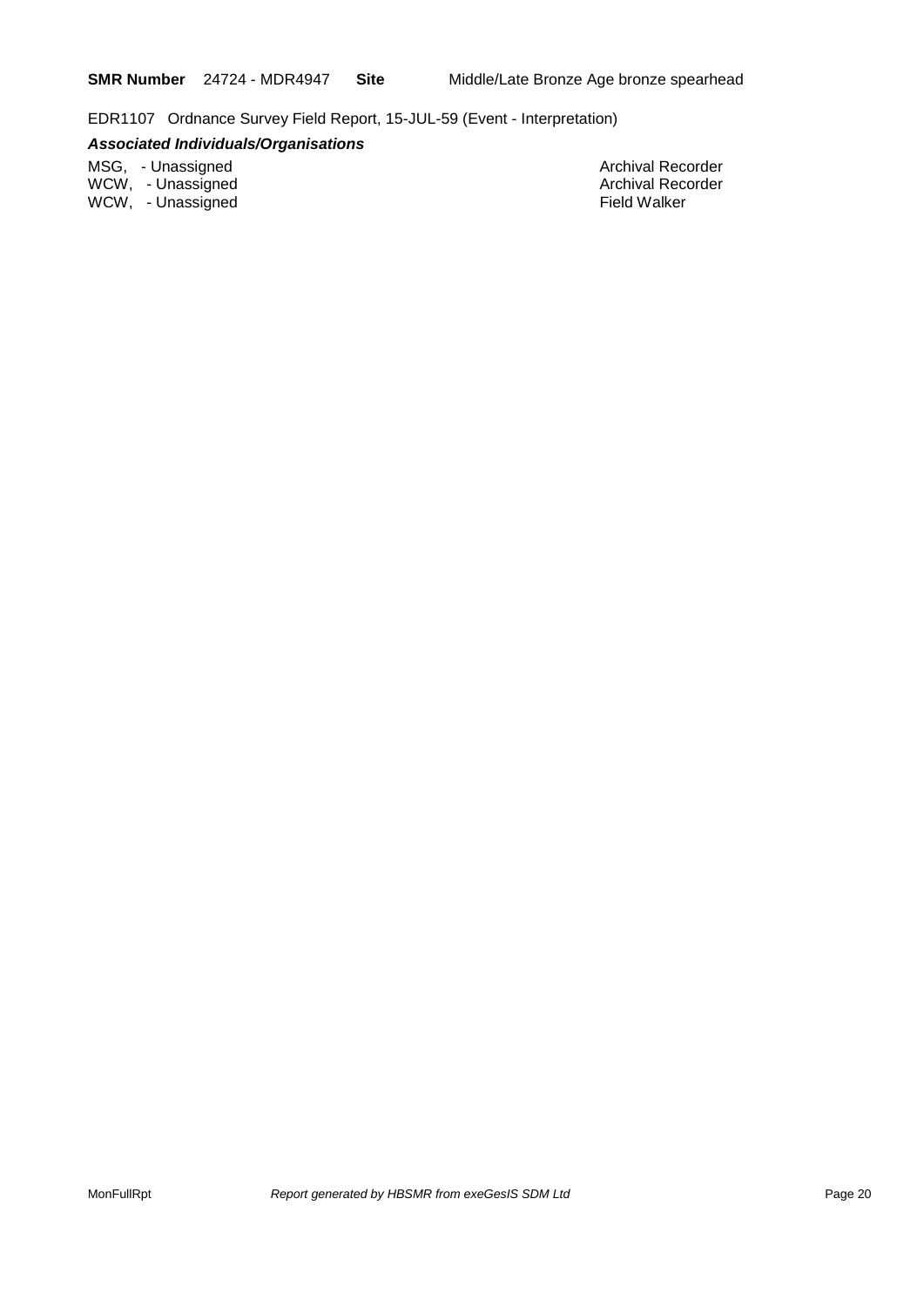EDR1107 Ordnance Survey Field Report, 15-JUL-59 (Event - Interpretation)

### *Associated Individuals/Organisations*

MSG, - Unassigned Archival Recorder Archival Recorder Archival Recorder Archival Recorder WCW, - Unassigned Archival Recorder Archival Recorder Archival Recorder WCW, - Unassigned **Field Walker**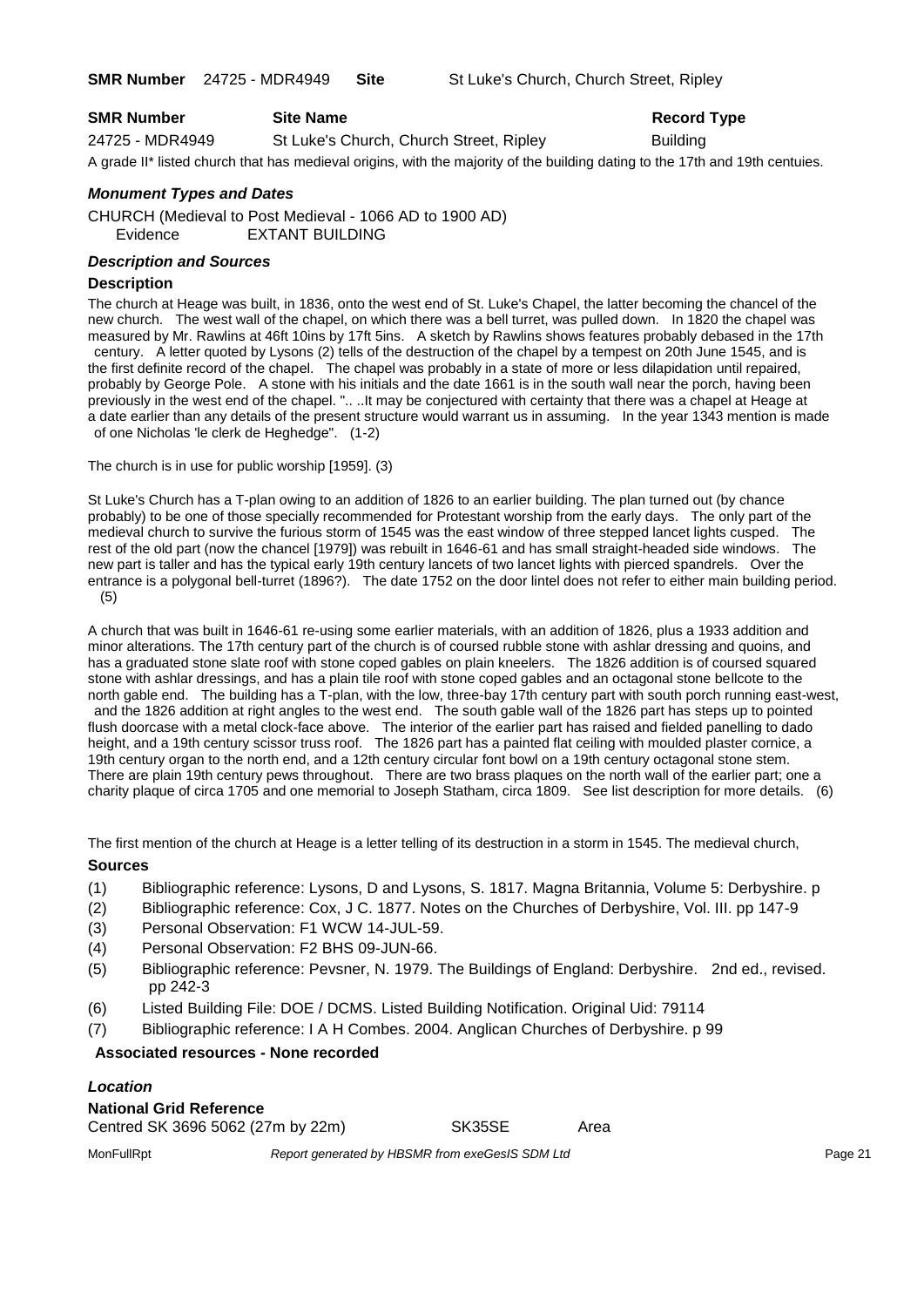**SMR Number** 24725 - MDR4949 **Site** St Luke's Church, Church Street, Ripley

| <b>SMR Number</b> | <b>Site Name</b>                                                                                                             | <b>Record Type</b> |
|-------------------|------------------------------------------------------------------------------------------------------------------------------|--------------------|
| 24725 - MDR4949   | St Luke's Church, Church Street, Ripley                                                                                      | <b>Building</b>    |
|                   | A grade II* listed church that has medieval origins, with the majority of the building dating to the 17th and 19th centuies. |                    |

### *Monument Types and Dates*

CHURCH (Medieval to Post Medieval - 1066 AD to 1900 AD) Evidence EXTANT BUILDING

#### *Description and Sources*

#### **Description**

The church at Heage was built, in 1836, onto the west end of St. Luke's Chapel, the latter becoming the chancel of the new church. The west wall of the chapel, on which there was a bell turret, was pulled down. In 1820 the chapel was measured by Mr. Rawlins at 46ft 10ins by 17ft 5ins. A sketch by Rawlins shows features probably debased in the 17th century. A letter quoted by Lysons (2) tells of the destruction of the chapel by a tempest on 20th June 1545, and is the first definite record of the chapel. The chapel was probably in a state of more or less dilapidation until repaired, probably by George Pole. A stone with his initials and the date 1661 is in the south wall near the porch, having been previously in the west end of the chapel. ".. ..It may be conjectured with certainty that there was a chapel at Heage at a date earlier than any details of the present structure would warrant us in assuming. In the year 1343 mention is made of one Nicholas 'le clerk de Heghedge". (1-2)

The church is in use for public worship [1959]. (3)

St Luke's Church has a T-plan owing to an addition of 1826 to an earlier building. The plan turned out (by chance probably) to be one of those specially recommended for Protestant worship from the early days. The only part of the medieval church to survive the furious storm of 1545 was the east window of three stepped lancet lights cusped. The rest of the old part (now the chancel [1979]) was rebuilt in 1646-61 and has small straight-headed side windows. The new part is taller and has the typical early 19th century lancets of two lancet lights with pierced spandrels. Over the entrance is a polygonal bell-turret (1896?). The date 1752 on the door lintel does not refer to either main building period. (5)

A church that was built in 1646-61 re-using some earlier materials, with an addition of 1826, plus a 1933 addition and minor alterations. The 17th century part of the church is of coursed rubble stone with ashlar dressing and quoins, and has a graduated stone slate roof with stone coped gables on plain kneelers. The 1826 addition is of coursed squared stone with ashlar dressings, and has a plain tile roof with stone coped gables and an octagonal stone bellcote to the north gable end. The building has a T-plan, with the low, three-bay 17th century part with south porch running east-west, and the 1826 addition at right angles to the west end. The south gable wall of the 1826 part has steps up to pointed flush doorcase with a metal clock-face above. The interior of the earlier part has raised and fielded panelling to dado height, and a 19th century scissor truss roof. The 1826 part has a painted flat ceiling with moulded plaster cornice, a 19th century organ to the north end, and a 12th century circular font bowl on a 19th century octagonal stone stem. There are plain 19th century pews throughout. There are two brass plaques on the north wall of the earlier part; one a charity plaque of circa 1705 and one memorial to Joseph Statham, circa 1809. See list description for more details. (6)

The first mention of the church at Heage is a letter telling of its destruction in a storm in 1545. The medieval church, **Sources**

#### (1) Bibliographic reference: Lysons, D and Lysons, S. 1817. Magna Britannia, Volume 5: Derbyshire. p

- (2) Bibliographic reference: Cox, J C. 1877. Notes on the Churches of Derbyshire, Vol. III. pp 147-9
- (3) Personal Observation: F1 WCW 14-JUL-59.
- (4) Personal Observation: F2 BHS 09-JUN-66.
- (5) Bibliographic reference: Pevsner, N. 1979. The Buildings of England: Derbyshire. 2nd ed., revised. pp 242-3
- (6) Listed Building File: DOE / DCMS. Listed Building Notification. Original Uid: 79114
- (7) Bibliographic reference: I A H Combes. 2004. Anglican Churches of Derbyshire. p 99

### **Associated resources - None recorded**

### *Location*

| National Grid Reference           |        |      |
|-----------------------------------|--------|------|
| Centred SK 3696 5062 (27m by 22m) | SK35SE | Area |

MonFullRpt *Report generated by HBSMR from exeGesIS SDM Ltd Report 9enerated by HBSMR from exeGesIS SDM Ltd*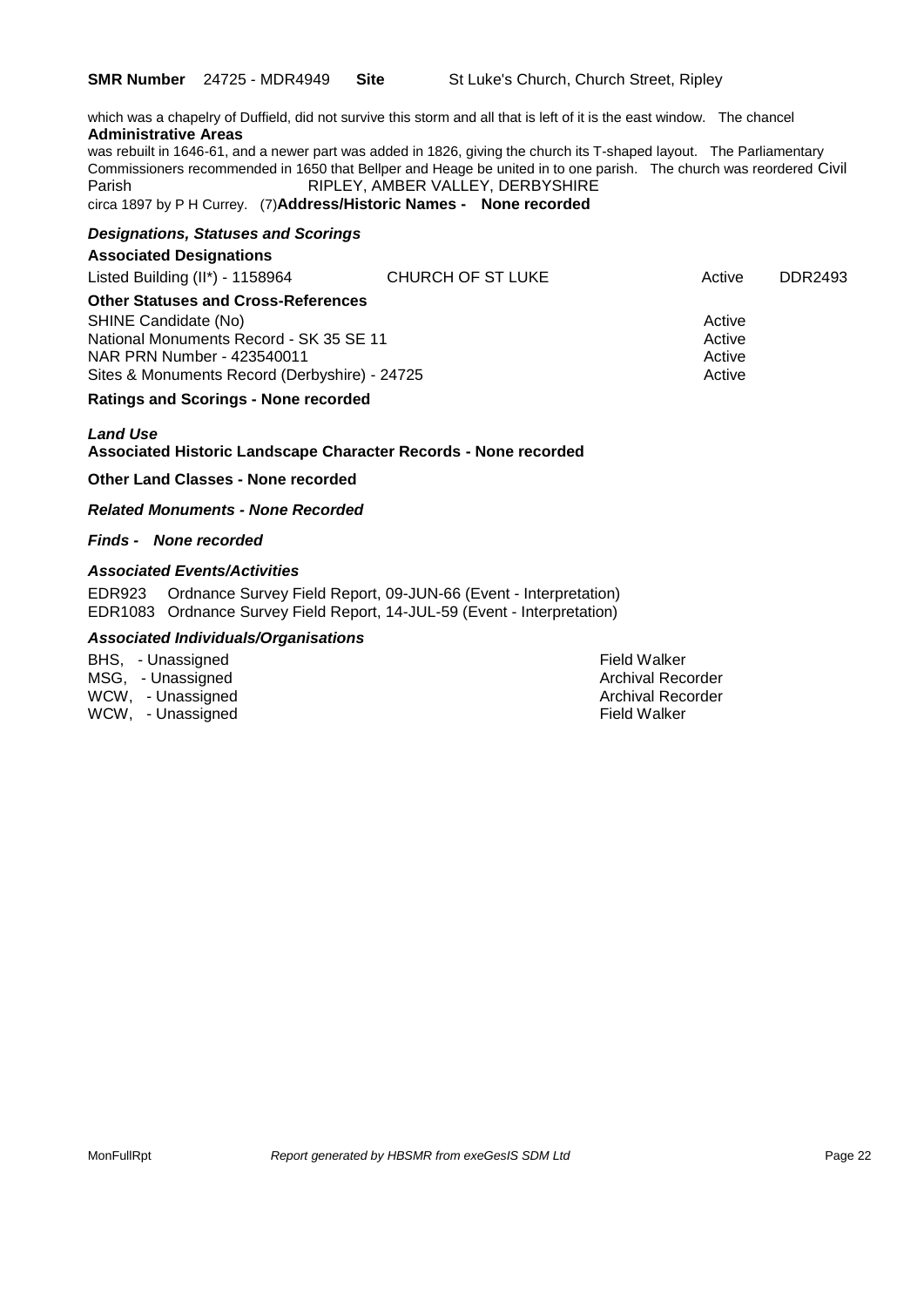which was a chapelry of Duffield, did not survive this storm and all that is left of it is the east window. The chancel **Administrative Areas**

was rebuilt in 1646-61, and a newer part was added in 1826, giving the church its T-shaped layout. The Parliamentary Commissioners recommended in 1650 that Bellper and Heage be united in to one parish. The church was reordered Civil Parish RIPLEY, AMBER VALLEY, DERBYSHIRE

circa 1897 by P H Currey. (7)**Address/Historic Names - None recorded**

#### *Designations, Statuses and Scorings*

#### **Associated Designations**

| Listed Building $(II^*)$ - 1158964            | CHURCH OF ST LUKE | Active | DDR2493 |
|-----------------------------------------------|-------------------|--------|---------|
| <b>Other Statuses and Cross-References</b>    |                   |        |         |
| SHINE Candidate (No)                          |                   | Active |         |
| National Monuments Record - SK 35 SE 11       |                   | Active |         |
| NAR PRN Number - 423540011                    |                   | Active |         |
| Sites & Monuments Record (Derbyshire) - 24725 |                   | Active |         |

#### **Ratings and Scorings - None recorded**

#### *Land Use*  **Associated Historic Landscape Character Records - None recorded**

**Other Land Classes - None recorded**

*Related Monuments - None Recorded*

*Finds - None recorded*

### *Associated Events/Activities*

EDR923 Ordnance Survey Field Report, 09-JUN-66 (Event - Interpretation) EDR1083 Ordnance Survey Field Report, 14-JUL-59 (Event - Interpretation)

#### *Associated Individuals/Organisations*

| BHS, - Unassigned | Field Walker |
|-------------------|--------------|
| MSG, - Unassigned | Archival Rec |
| WCW, - Unassigned | Archival Rec |
| WCW, - Unassigned | Field Walker |

Field Walker Archival Recorder Archival Recorder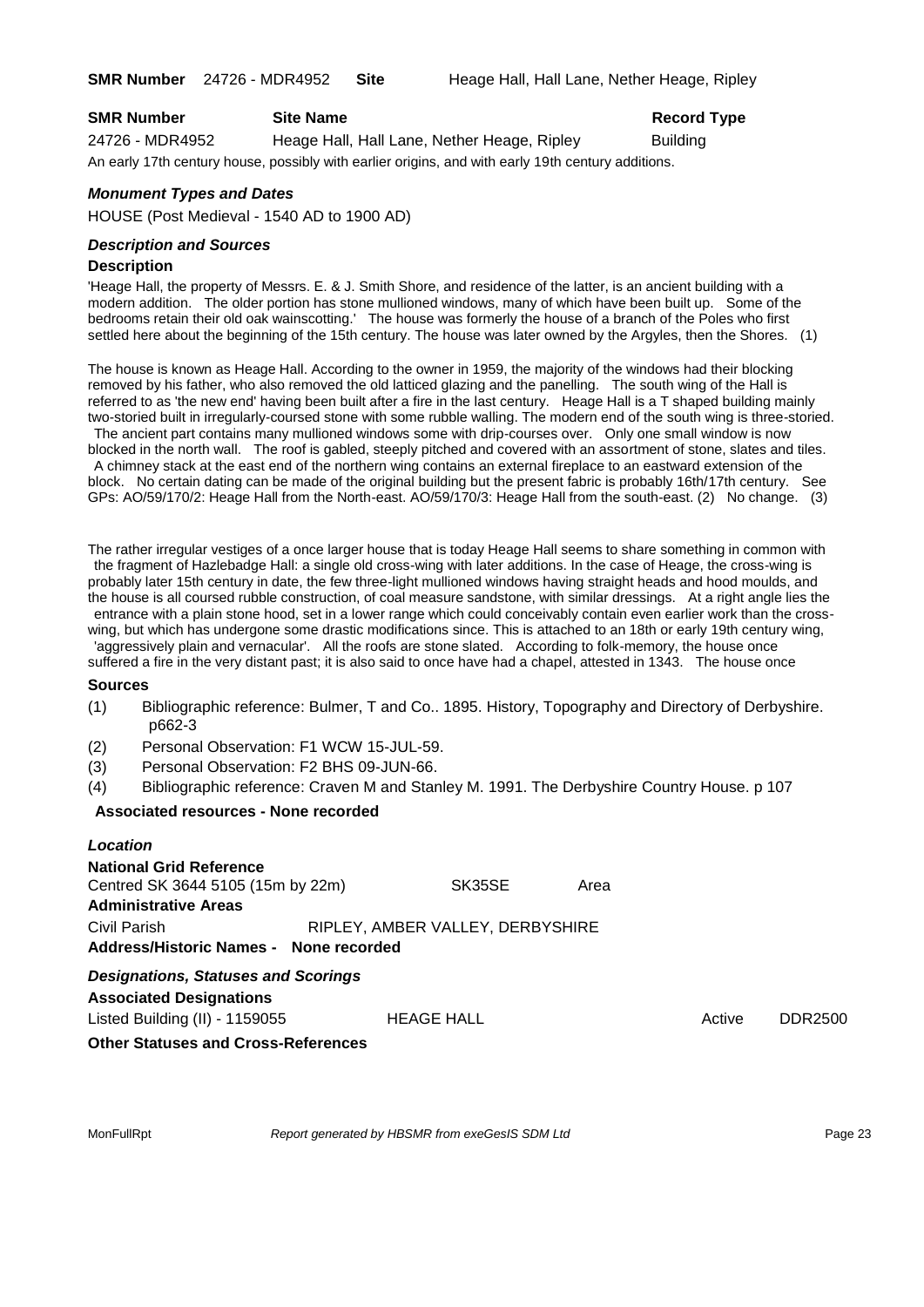| <b>SMR Number</b> | <b>Site Name</b>                            | <b>Record Type</b> |
|-------------------|---------------------------------------------|--------------------|
| 24726 - MDR4952   | Heage Hall, Hall Lane, Nether Heage, Ripley | <b>Building</b>    |
|                   |                                             |                    |

An early 17th century house, possibly with earlier origins, and with early 19th century additions.

#### *Monument Types and Dates*

HOUSE (Post Medieval - 1540 AD to 1900 AD)

### *Description and Sources*

#### **Description**

'Heage Hall, the property of Messrs. E. & J. Smith Shore, and residence of the latter, is an ancient building with a modern addition. The older portion has stone mullioned windows, many of which have been built up. Some of the bedrooms retain their old oak wainscotting.' The house was formerly the house of a branch of the Poles who first settled here about the beginning of the 15th century. The house was later owned by the Argyles, then the Shores. (1)

The house is known as Heage Hall. According to the owner in 1959, the majority of the windows had their blocking removed by his father, who also removed the old latticed glazing and the panelling. The south wing of the Hall is referred to as 'the new end' having been built after a fire in the last century. Heage Hall is a T shaped building mainly two-storied built in irregularly-coursed stone with some rubble walling. The modern end of the south wing is three-storied.

The ancient part contains many mullioned windows some with drip-courses over. Only one small window is now blocked in the north wall. The roof is gabled, steeply pitched and covered with an assortment of stone, slates and tiles. A chimney stack at the east end of the northern wing contains an external fireplace to an eastward extension of the block. No certain dating can be made of the original building but the present fabric is probably 16th/17th century. See GPs: AO/59/170/2: Heage Hall from the North-east. AO/59/170/3: Heage Hall from the south-east. (2) No change. (3)

The rather irregular vestiges of a once larger house that is today Heage Hall seems to share something in common with the fragment of Hazlebadge Hall: a single old cross-wing with later additions. In the case of Heage, the cross-wing is probably later 15th century in date, the few three-light mullioned windows having straight heads and hood moulds, and the house is all coursed rubble construction, of coal measure sandstone, with similar dressings. At a right angle lies the entrance with a plain stone hood, set in a lower range which could conceivably contain even earlier work than the cross-

wing, but which has undergone some drastic modifications since. This is attached to an 18th or early 19th century wing, 'aggressively plain and vernacular'. All the roofs are stone slated. According to folk-memory, the house once suffered a fire in the very distant past; it is also said to once have had a chapel, attested in 1343. The house once

#### **Sources**

- (1) Bibliographic reference: Bulmer, T and Co.. 1895. History, Topography and Directory of Derbyshire. p662-3
- (2) Personal Observation: F1 WCW 15-JUL-59.
- (3) Personal Observation: F2 BHS 09-JUN-66.
- (4) Bibliographic reference: Craven M and Stanley M. 1991. The Derbyshire Country House. p 107

#### **Associated resources - None recorded**

| Location                                   |                                  |      |        |         |
|--------------------------------------------|----------------------------------|------|--------|---------|
| <b>National Grid Reference</b>             |                                  |      |        |         |
| Centred SK 3644 5105 (15m by 22m)          | SK35SE                           | Area |        |         |
| <b>Administrative Areas</b>                |                                  |      |        |         |
| Civil Parish                               | RIPLEY, AMBER VALLEY, DERBYSHIRE |      |        |         |
| Address/Historic Names - None recorded     |                                  |      |        |         |
| <b>Designations, Statuses and Scorings</b> |                                  |      |        |         |
| <b>Associated Designations</b>             |                                  |      |        |         |
| Listed Building (II) - 1159055             | <b>HEAGE HALL</b>                |      | Active | DDR2500 |
| <b>Other Statuses and Cross-References</b> |                                  |      |        |         |

MonFullRpt *Report generated by HBSMR from exeGesIS SDM Ltd Report 9enerated by HBSMR from exeGesIS SDM Ltd*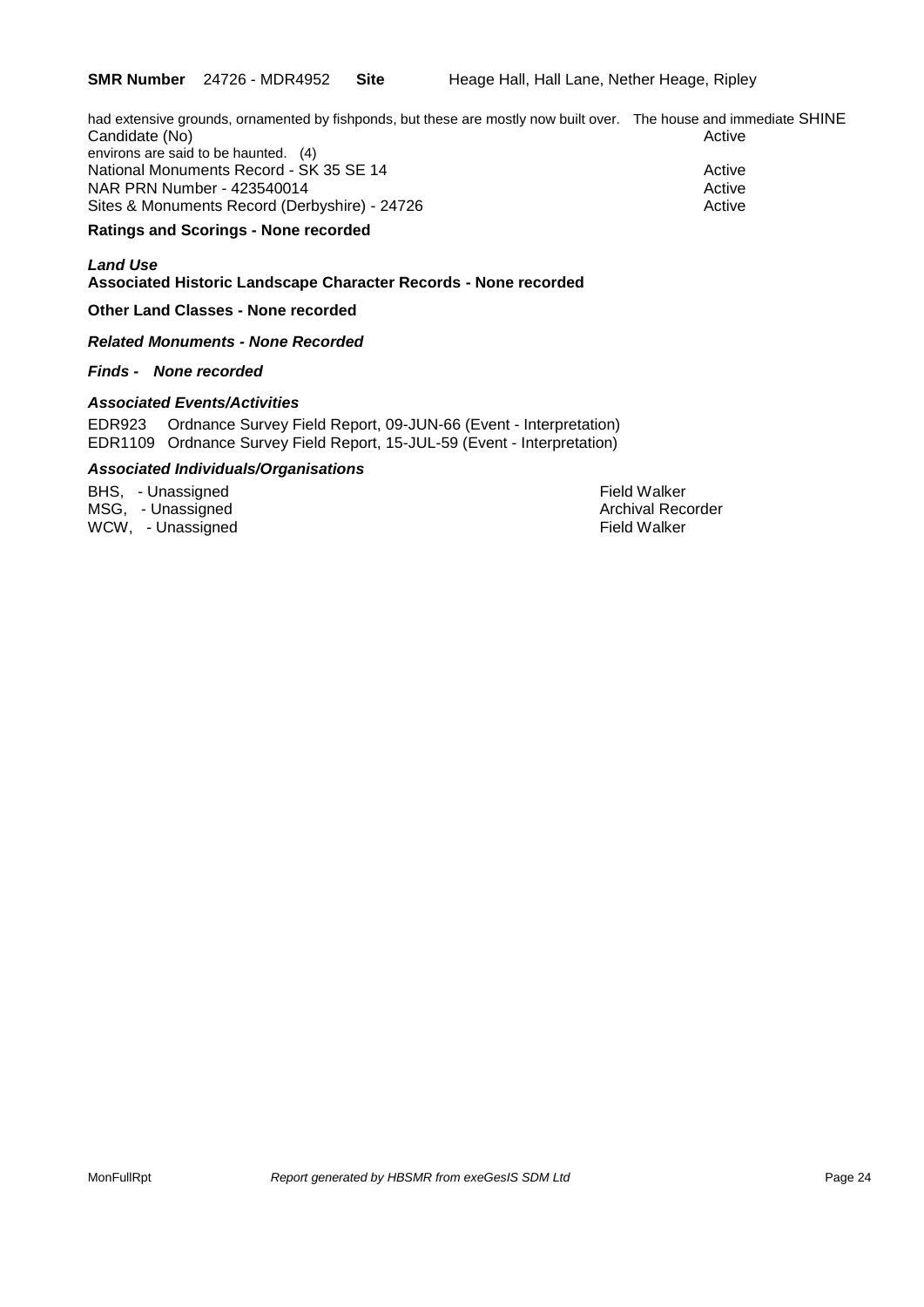had extensive grounds, ornamented by fishponds, but these are mostly now built over. The house and immediate SHINE Candidate (No) **Active** Candidate (No) environs are said to be haunted. (4) National Monuments Record - SK 35 SE 14 Active Active

NAR PRN Number - 423540014 Active Active Active Active Active Sites & Monuments Record (Derbyshire) - 24726 Active

### **Ratings and Scorings - None recorded**

### *Land Use*

**Associated Historic Landscape Character Records - None recorded**

#### **Other Land Classes - None recorded**

*Related Monuments - None Recorded*

#### *Finds - None recorded*

#### *Associated Events/Activities*

EDR923 Ordnance Survey Field Report, 09-JUN-66 (Event - Interpretation) EDR1109 Ordnance Survey Field Report, 15-JUL-59 (Event - Interpretation)

### *Associated Individuals/Organisations*

BHS, - Unassigned Field Walker MSG, - Unassigned Archival Recorder Archival Recorder Archival Recorder WCW, - Unassigned Field Walker (1999) and the United States of the Field Walker (1999) and the United States of the U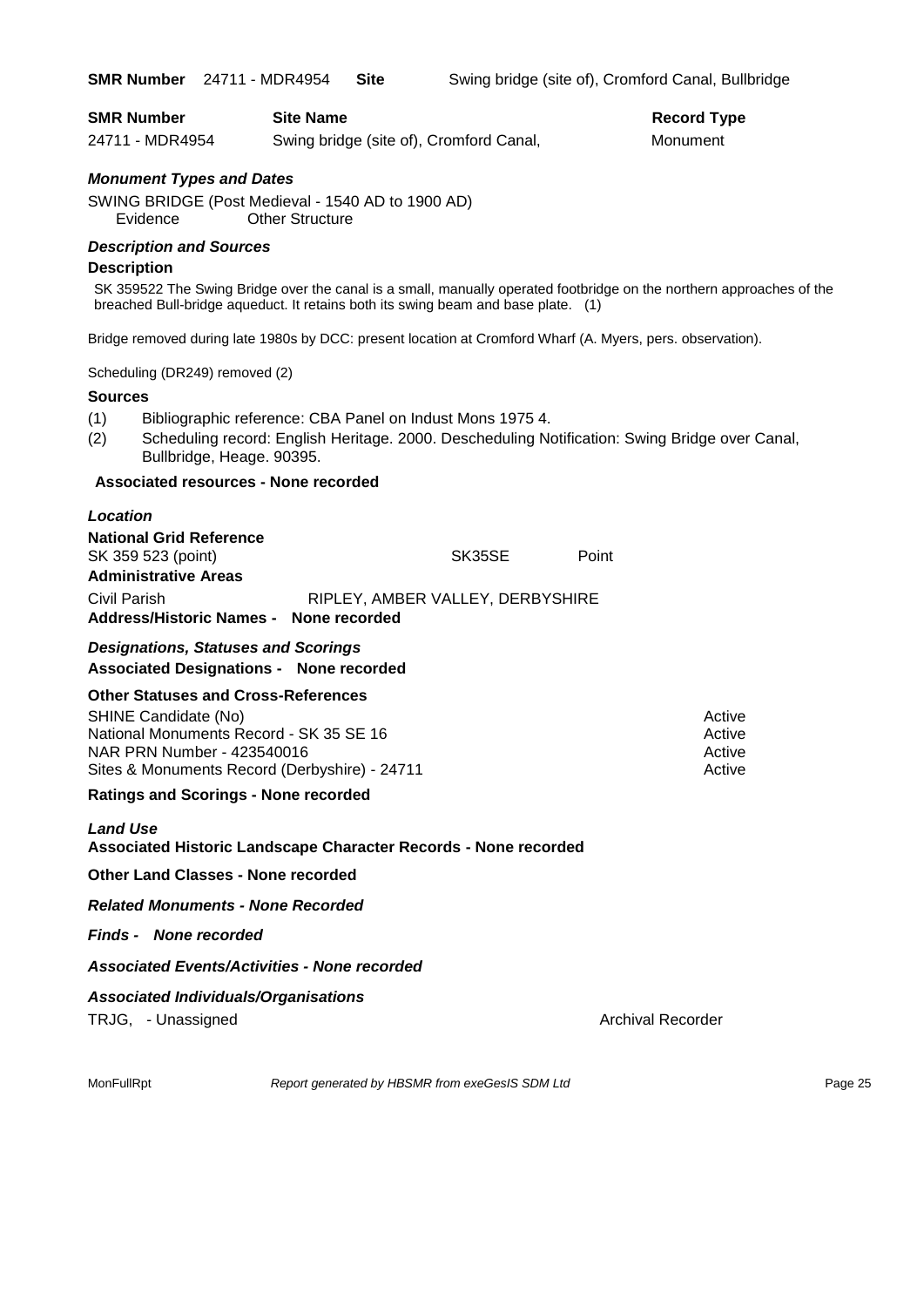| <b>SMR Number</b><br>24711 - MDR4954 | <b>Site Name</b><br>Swing bridge (site of), Cromford Canal, | <b>Record Type</b><br>Monument |
|--------------------------------------|-------------------------------------------------------------|--------------------------------|
| <b>Monument Types and Dates</b>      |                                                             |                                |
|                                      | SWING BRIDGE (Post Medieval - 1540 AD to 1900 AD)           |                                |
| Evidence                             | <b>Other Structure</b>                                      |                                |
|                                      |                                                             |                                |

#### *Description and Sources*

#### **Description**

SK 359522 The Swing Bridge over the canal is a small, manually operated footbridge on the northern approaches of the breached Bull-bridge aqueduct. It retains both its swing beam and base plate. (1)

Bridge removed during late 1980s by DCC: present location at Cromford Wharf (A. Myers, pers. observation).

Scheduling (DR249) removed (2)

#### **Sources**

- (1) Bibliographic reference: CBA Panel on Indust Mons 1975 4.
- (2) Scheduling record: English Heritage. 2000. Descheduling Notification: Swing Bridge over Canal, Bullbridge, Heage. 90395.

#### **Associated resources - None recorded**

| Location                                                                                     |                                  |        |       |        |
|----------------------------------------------------------------------------------------------|----------------------------------|--------|-------|--------|
| <b>National Grid Reference</b>                                                               |                                  |        |       |        |
| SK 359 523 (point)                                                                           |                                  | SK35SE | Point |        |
| <b>Administrative Areas</b>                                                                  |                                  |        |       |        |
| Civil Parish                                                                                 | RIPLEY, AMBER VALLEY, DERBYSHIRE |        |       |        |
| Address/Historic Names - None recorded                                                       |                                  |        |       |        |
| <b>Designations, Statuses and Scorings</b><br><b>Associated Designations - None recorded</b> |                                  |        |       |        |
| <b>Other Statuses and Cross-References</b>                                                   |                                  |        |       |        |
| SHINE Candidate (No)                                                                         |                                  |        |       | Active |

National Monuments Record - SK 35 SE 16 Active Active Active NAR PRN Number - 423540016 Active Active Active Active Active Sites & Monuments Record (Derbyshire) - 24711 Active

#### **Ratings and Scorings - None recorded**

*Land Use*  **Associated Historic Landscape Character Records - None recorded**

**Other Land Classes - None recorded**

*Related Monuments - None Recorded*

*Finds - None recorded*

*Associated Events/Activities - None recorded*

#### *Associated Individuals/Organisations*

TRJG, - Unassigned Archival Recorder Archival Recorder

MonFullRpt *Report generated by HBSMR from exeGesIS SDM Ltd* Page 25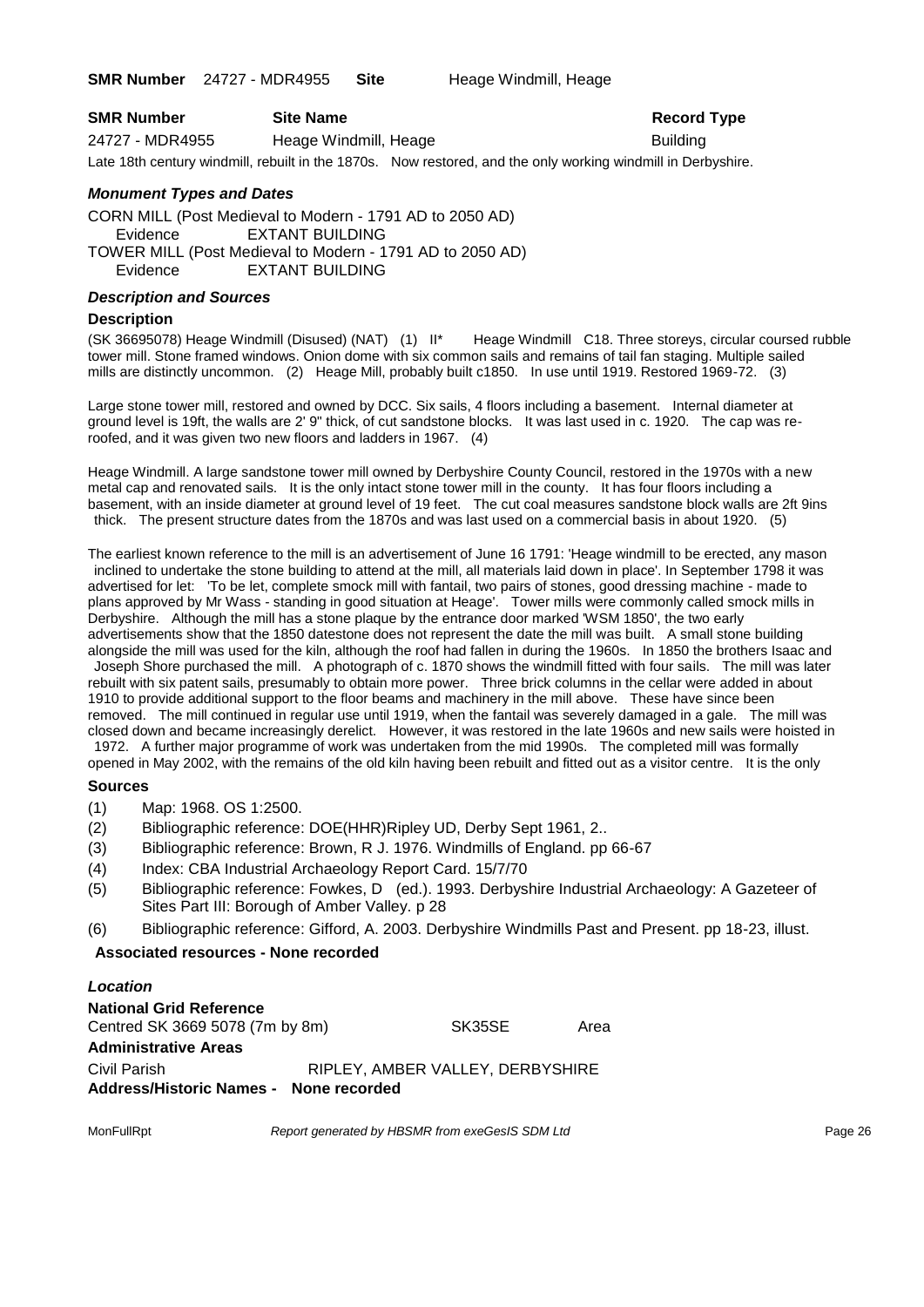**SMR Number** 24727 - MDR4955 **Site** Heage Windmill, Heage

| <b>SMR Number</b> | Record<br><b>Site Name</b> |                 |
|-------------------|----------------------------|-----------------|
| 24727 - MDR4955   | Heage Windmill, Heage      | <b>Building</b> |

**Record Type** 

Late 18th century windmill, rebuilt in the 1870s. Now restored, and the only working windmill in Derbyshire.

### *Monument Types and Dates*

CORN MILL (Post Medieval to Modern - 1791 AD to 2050 AD) Evidence EXTANT BUILDING TOWER MILL (Post Medieval to Modern - 1791 AD to 2050 AD) Evidence EXTANT BUILDING

### *Description and Sources*

#### **Description**

(SK 36695078) Heage Windmill (Disused) (NAT) (1) II\* Heage Windmill C18. Three storeys, circular coursed rubble tower mill. Stone framed windows. Onion dome with six common sails and remains of tail fan staging. Multiple sailed mills are distinctly uncommon. (2) Heage Mill, probably built c1850. In use until 1919. Restored 1969-72. (3)

Large stone tower mill, restored and owned by DCC. Six sails, 4 floors including a basement. Internal diameter at ground level is 19ft, the walls are 2' 9" thick, of cut sandstone blocks. It was last used in c. 1920. The cap was reroofed, and it was given two new floors and ladders in 1967. (4)

Heage Windmill. A large sandstone tower mill owned by Derbyshire County Council, restored in the 1970s with a new metal cap and renovated sails. It is the only intact stone tower mill in the county. It has four floors including a basement, with an inside diameter at ground level of 19 feet. The cut coal measures sandstone block walls are 2ft 9ins thick. The present structure dates from the 1870s and was last used on a commercial basis in about 1920. (5)

The earliest known reference to the mill is an advertisement of June 16 1791: 'Heage windmill to be erected, any mason inclined to undertake the stone building to attend at the mill, all materials laid down in place'. In September 1798 it was advertised for let: 'To be let, complete smock mill with fantail, two pairs of stones, good dressing machine - made to plans approved by Mr Wass - standing in good situation at Heage'. Tower mills were commonly called smock mills in Derbyshire. Although the mill has a stone plaque by the entrance door marked 'WSM 1850', the two early advertisements show that the 1850 datestone does not represent the date the mill was built. A small stone building alongside the mill was used for the kiln, although the roof had fallen in during the 1960s. In 1850 the brothers Isaac and

Joseph Shore purchased the mill. A photograph of c. 1870 shows the windmill fitted with four sails. The mill was later rebuilt with six patent sails, presumably to obtain more power. Three brick columns in the cellar were added in about 1910 to provide additional support to the floor beams and machinery in the mill above. These have since been removed. The mill continued in regular use until 1919, when the fantail was severely damaged in a gale. The mill was closed down and became increasingly derelict. However, it was restored in the late 1960s and new sails were hoisted in

1972. A further major programme of work was undertaken from the mid 1990s. The completed mill was formally opened in May 2002, with the remains of the old kiln having been rebuilt and fitted out as a visitor centre. It is the only

#### **Sources**

- (1) Map: 1968. OS 1:2500.
- (2) Bibliographic reference: DOE(HHR)Ripley UD, Derby Sept 1961, 2..
- (3) Bibliographic reference: Brown, R J. 1976. Windmills of England. pp 66-67
- (4) Index: CBA Industrial Archaeology Report Card. 15/7/70
- (5) Bibliographic reference: Fowkes, D (ed.). 1993. Derbyshire Industrial Archaeology: A Gazeteer of Sites Part III: Borough of Amber Valley. p 28
- (6) Bibliographic reference: Gifford, A. 2003. Derbyshire Windmills Past and Present. pp 18-23, illust.

#### **Associated resources - None recorded**

## *Location* **National Grid Reference**

Centred SK 3669 5078 (7m by 8m) SK35SE Area **Administrative Areas** Civil Parish RIPLEY, AMBER VALLEY, DERBYSHIRE **Address/Historic Names - None recorded**

MonFullRpt *Report generated by HBSMR from exeGesIS SDM Ltd* Page 26 Page 26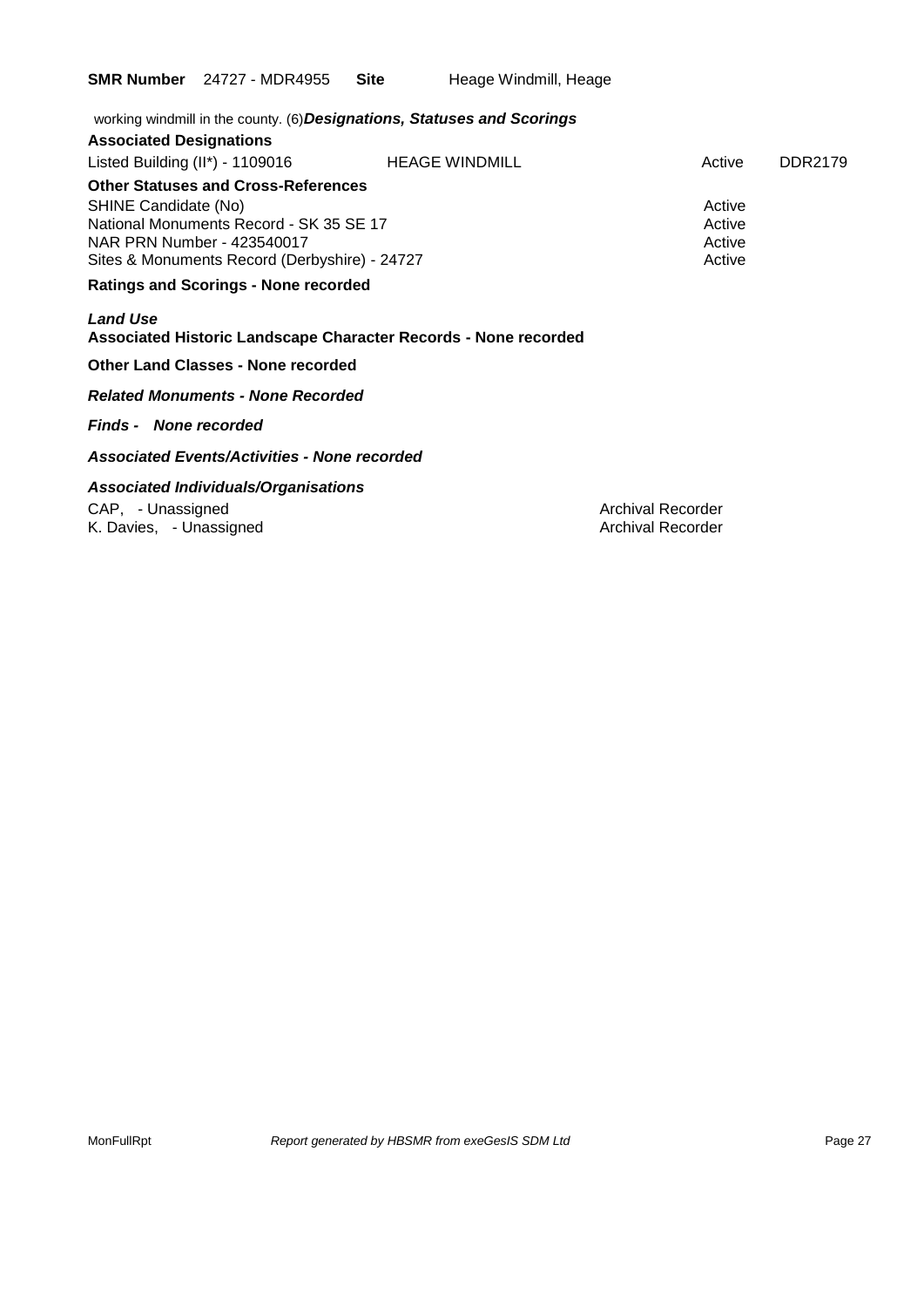**SMR Number** 24727 - MDR4955 Site Heage Windmill, Heage

| working windmill in the county. (6) Designations, Statuses and Scorings |        |         |
|-------------------------------------------------------------------------|--------|---------|
|                                                                         |        |         |
| <b>HEAGE WINDMILL</b>                                                   | Active | DDR2179 |
| <b>Other Statuses and Cross-References</b>                              |        |         |
|                                                                         | Active |         |
| National Monuments Record - SK 35 SE 17                                 | Active |         |
|                                                                         | Active |         |
| Sites & Monuments Record (Derbyshire) - 24727                           |        |         |
| <b>Ratings and Scorings - None recorded</b>                             |        |         |
| Associated Historic Landscape Character Records - None recorded         |        |         |
|                                                                         |        | Active  |

#### **Other Land Classes - None recorded**

*Related Monuments - None Recorded*

#### *Finds - None recorded*

*Associated Events/Activities - None recorded*

### *Associated Individuals/Organisations*

CAP, - Unassigned <br>
K. Davies, - Unassigned 
K. Davies, - Unassigned 
Archival Recorder K. Davies, - Unassigned

MonFullRpt *Report generated by HBSMR from exeGesIS SDM Ltd Report generated by HBSMR from exeGesIS SDM Ltd*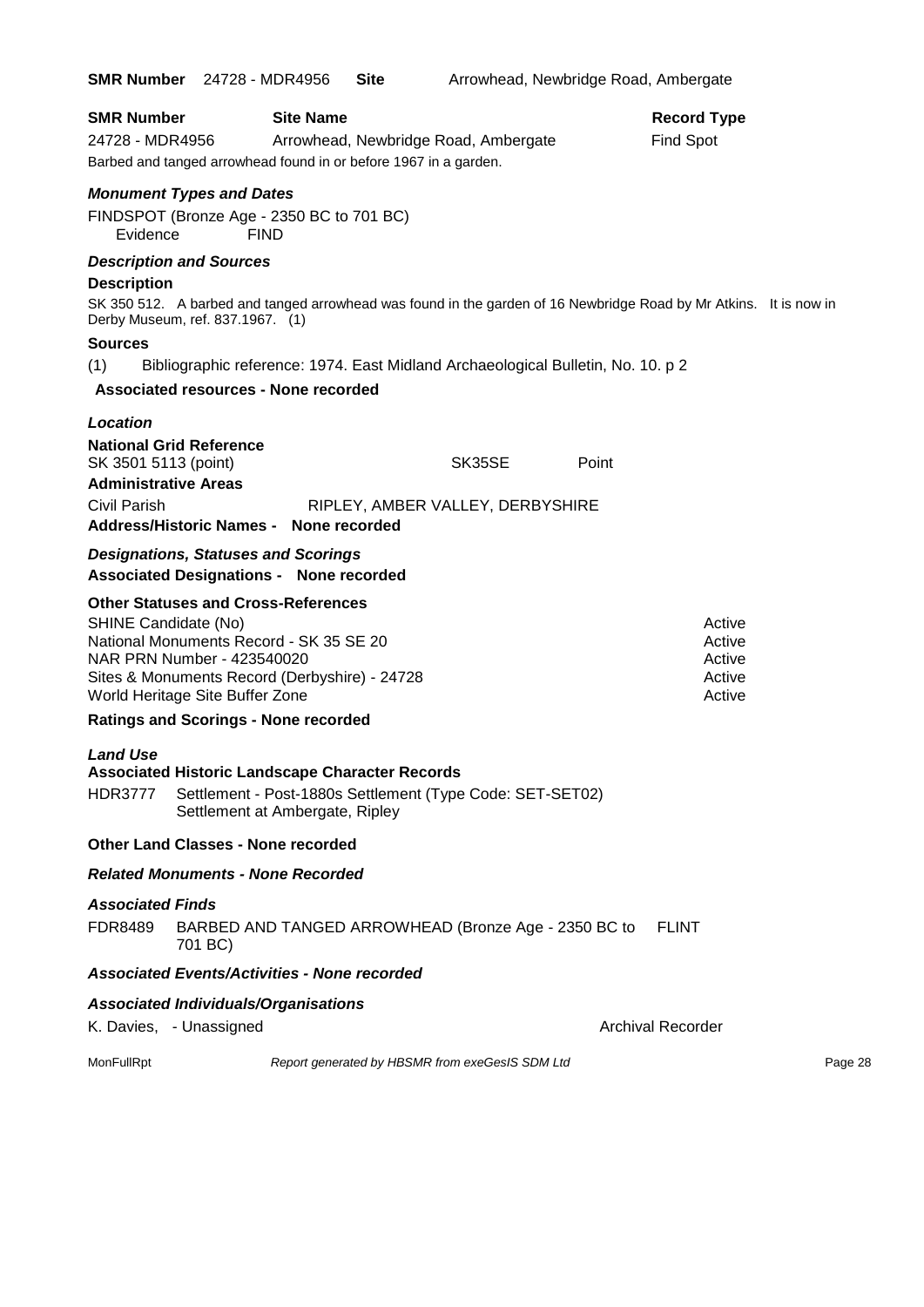|                                             | <b>SMR Number</b> 24728 - MDR4956                                                                                                                     | <b>Site</b> | Arrowhead, Newbridge Road, Ambergate |                          |                    |  |
|---------------------------------------------|-------------------------------------------------------------------------------------------------------------------------------------------------------|-------------|--------------------------------------|--------------------------|--------------------|--|
| <b>SMR Number</b>                           | <b>Site Name</b>                                                                                                                                      |             |                                      |                          | <b>Record Type</b> |  |
| 24728 - MDR4956                             |                                                                                                                                                       |             | Arrowhead, Newbridge Road, Ambergate |                          | <b>Find Spot</b>   |  |
|                                             | Barbed and tanged arrowhead found in or before 1967 in a garden.                                                                                      |             |                                      |                          |                    |  |
|                                             | <b>Monument Types and Dates</b>                                                                                                                       |             |                                      |                          |                    |  |
| Evidence                                    | FINDSPOT (Bronze Age - 2350 BC to 701 BC)<br><b>FIND</b>                                                                                              |             |                                      |                          |                    |  |
| <b>Description and Sources</b>              |                                                                                                                                                       |             |                                      |                          |                    |  |
| <b>Description</b>                          |                                                                                                                                                       |             |                                      |                          |                    |  |
|                                             | SK 350 512. A barbed and tanged arrowhead was found in the garden of 16 Newbridge Road by Mr Atkins. It is now in<br>Derby Museum, ref. 837.1967. (1) |             |                                      |                          |                    |  |
| Sources                                     |                                                                                                                                                       |             |                                      |                          |                    |  |
| (1)                                         | Bibliographic reference: 1974. East Midland Archaeological Bulletin, No. 10. p 2                                                                      |             |                                      |                          |                    |  |
|                                             | <b>Associated resources - None recorded</b>                                                                                                           |             |                                      |                          |                    |  |
| <b>Location</b>                             |                                                                                                                                                       |             |                                      |                          |                    |  |
| <b>National Grid Reference</b>              |                                                                                                                                                       |             |                                      |                          |                    |  |
| SK 3501 5113 (point)                        |                                                                                                                                                       |             | SK35SE                               | Point                    |                    |  |
| <b>Administrative Areas</b><br>Civil Parish |                                                                                                                                                       |             | RIPLEY, AMBER VALLEY, DERBYSHIRE     |                          |                    |  |
|                                             | Address/Historic Names - None recorded                                                                                                                |             |                                      |                          |                    |  |
|                                             | <b>Designations, Statuses and Scorings</b>                                                                                                            |             |                                      |                          |                    |  |
|                                             | <b>Associated Designations - None recorded</b>                                                                                                        |             |                                      |                          |                    |  |
|                                             | <b>Other Statuses and Cross-References</b>                                                                                                            |             |                                      |                          |                    |  |
| SHINE Candidate (No)                        |                                                                                                                                                       |             |                                      |                          | Active             |  |
|                                             | National Monuments Record - SK 35 SE 20<br>NAR PRN Number - 423540020                                                                                 |             |                                      |                          | Active<br>Active   |  |
|                                             | Sites & Monuments Record (Derbyshire) - 24728                                                                                                         |             |                                      |                          | Active             |  |
|                                             | World Heritage Site Buffer Zone                                                                                                                       |             |                                      |                          | Active             |  |
|                                             | <b>Ratings and Scorings - None recorded</b>                                                                                                           |             |                                      |                          |                    |  |
| <b>Land Use</b>                             |                                                                                                                                                       |             |                                      |                          |                    |  |
|                                             | Associated Historic Landscape Character Records                                                                                                       |             |                                      |                          |                    |  |
| HDR3777                                     | Settlement - Post-1880s Settlement (Type Code: SET-SET02)<br>Settlement at Ambergate, Ripley                                                          |             |                                      |                          |                    |  |
|                                             | <b>Other Land Classes - None recorded</b>                                                                                                             |             |                                      |                          |                    |  |
|                                             | <b>Related Monuments - None Recorded</b>                                                                                                              |             |                                      |                          |                    |  |
| <b>Associated Finds</b>                     |                                                                                                                                                       |             |                                      |                          |                    |  |
| FDR8489                                     | BARBED AND TANGED ARROWHEAD (Bronze Age - 2350 BC to<br>701 BC)                                                                                       |             |                                      |                          | <b>FLINT</b>       |  |
|                                             | <b>Associated Events/Activities - None recorded</b>                                                                                                   |             |                                      |                          |                    |  |
|                                             | <b>Associated Individuals/Organisations</b>                                                                                                           |             |                                      |                          |                    |  |
| K. Davies, - Unassigned                     |                                                                                                                                                       |             |                                      | <b>Archival Recorder</b> |                    |  |
|                                             |                                                                                                                                                       |             |                                      |                          |                    |  |

MonFullRpt *Report generated by HBSMR from exeGesIS SDM Ltd Rage 28* Page 28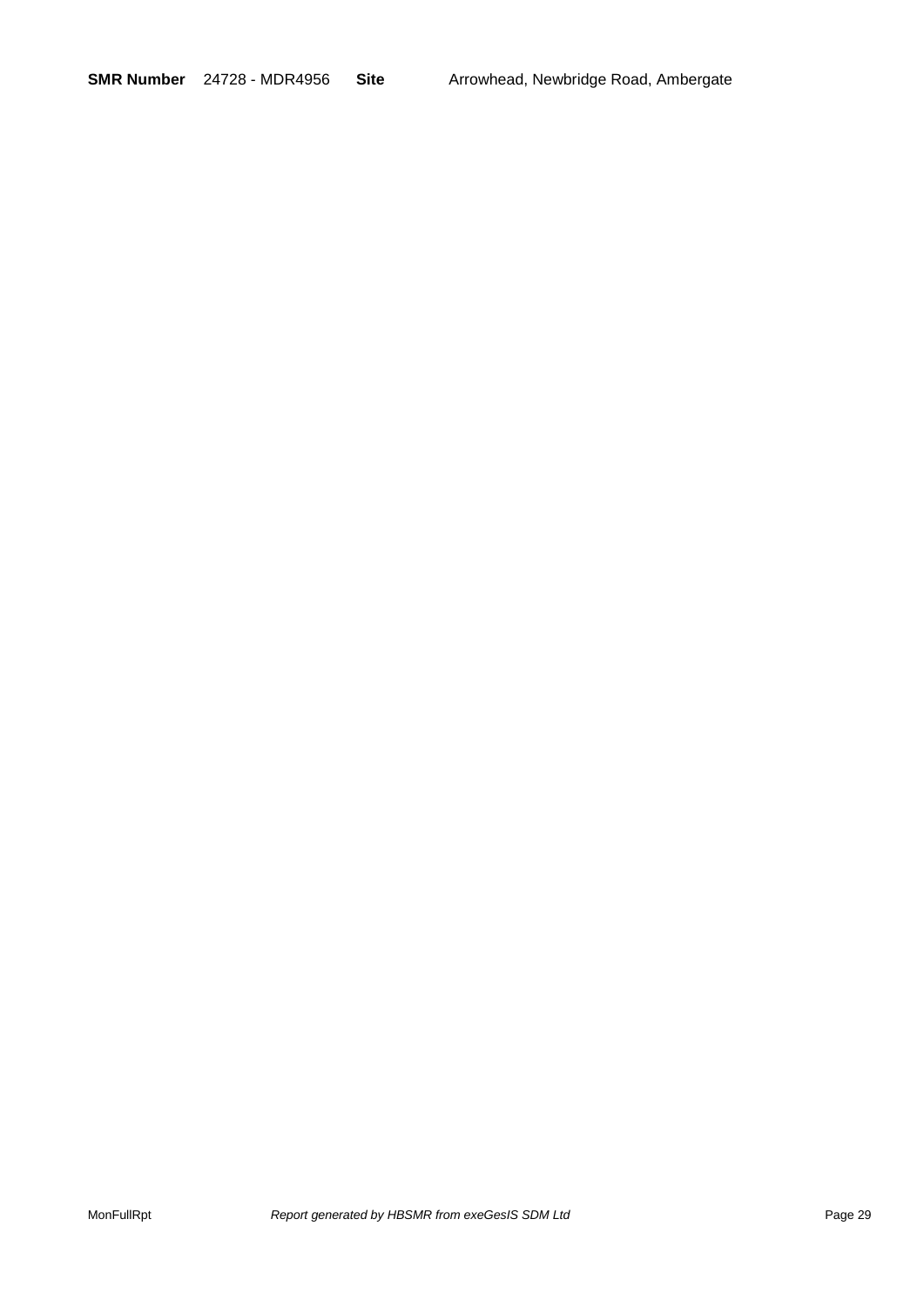**SMR Number** 24728 - MDR4956 **Site** Arrowhead, Newbridge Road, Ambergate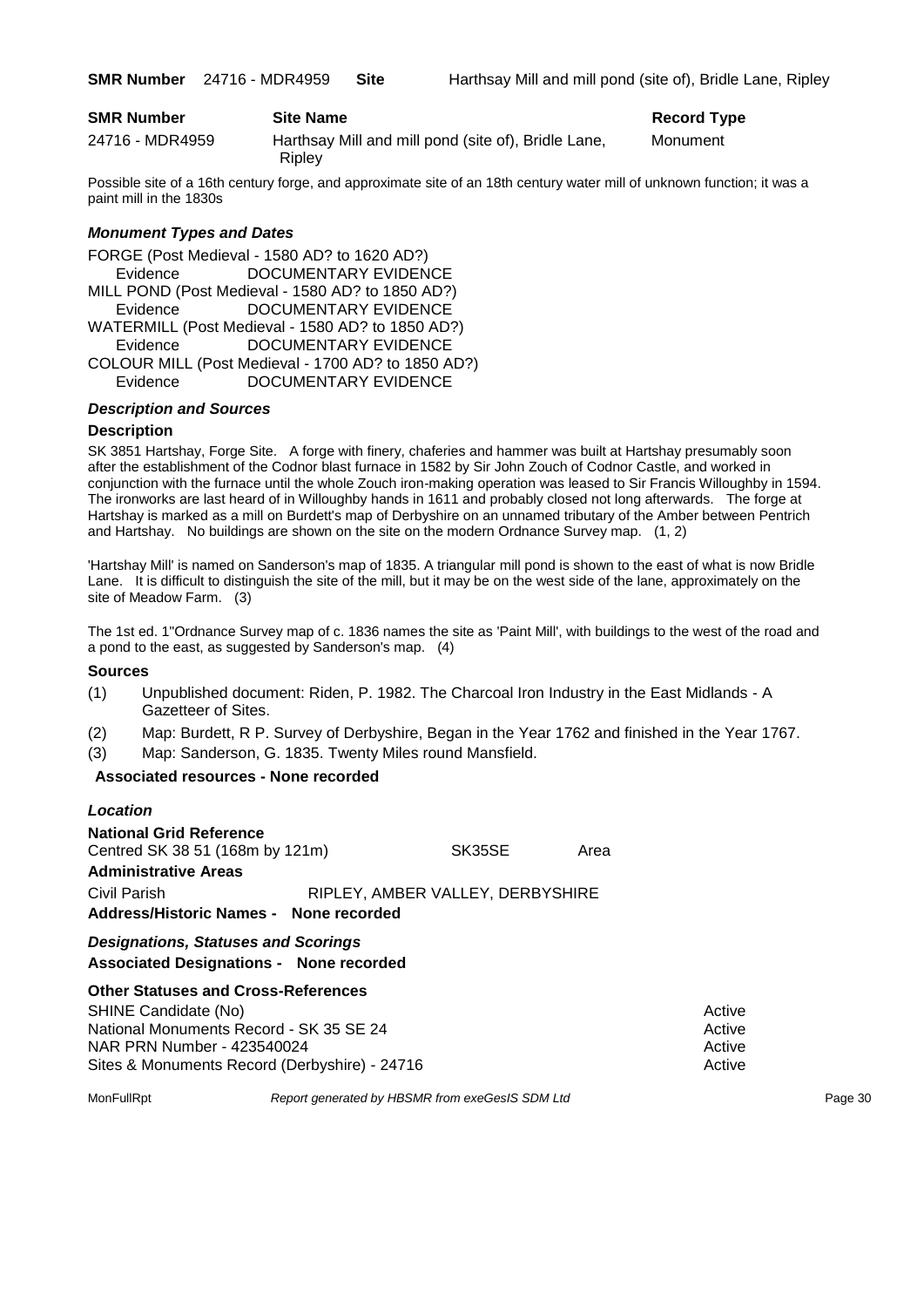| <b>SMR Number</b> | Site Name                                                     | <b>Record Type</b> |
|-------------------|---------------------------------------------------------------|--------------------|
| 24716 - MDR4959   | Harthsay Mill and mill pond (site of), Bridle Lane,<br>Ripley | Monument           |

Possible site of a 16th century forge, and approximate site of an 18th century water mill of unknown function; it was a paint mill in the 1830s

#### *Monument Types and Dates*

FORGE (Post Medieval - 1580 AD? to 1620 AD?) Evidence DOCUMENTARY EVIDENCE MILL POND (Post Medieval - 1580 AD? to 1850 AD?) Evidence DOCUMENTARY EVIDENCE WATERMILL (Post Medieval - 1580 AD? to 1850 AD?) Evidence DOCUMENTARY EVIDENCE COLOUR MILL (Post Medieval - 1700 AD? to 1850 AD?) Evidence DOCUMENTARY EVIDENCE

#### *Description and Sources*

#### **Description**

SK 3851 Hartshay, Forge Site. A forge with finery, chaferies and hammer was built at Hartshay presumably soon after the establishment of the Codnor blast furnace in 1582 by Sir John Zouch of Codnor Castle, and worked in conjunction with the furnace until the whole Zouch iron-making operation was leased to Sir Francis Willoughby in 1594. The ironworks are last heard of in Willoughby hands in 1611 and probably closed not long afterwards. The forge at Hartshay is marked as a mill on Burdett's map of Derbyshire on an unnamed tributary of the Amber between Pentrich and Hartshay. No buildings are shown on the site on the modern Ordnance Survey map. (1, 2)

'Hartshay Mill' is named on Sanderson's map of 1835. A triangular mill pond is shown to the east of what is now Bridle Lane. It is difficult to distinguish the site of the mill, but it may be on the west side of the lane, approximately on the site of Meadow Farm. (3)

The 1st ed. 1"Ordnance Survey map of c. 1836 names the site as 'Paint Mill', with buildings to the west of the road and a pond to the east, as suggested by Sanderson's map. (4)

#### **Sources**

- (1) Unpublished document: Riden, P. 1982. The Charcoal Iron Industry in the East Midlands A Gazetteer of Sites.
- (2) Map: Burdett, R P. Survey of Derbyshire, Began in the Year 1762 and finished in the Year 1767.
- (3) Map: Sanderson, G. 1835. Twenty Miles round Mansfield.

#### **Associated resources - None recorded**

| Location                               |                                  |      |
|----------------------------------------|----------------------------------|------|
| <b>National Grid Reference</b>         |                                  |      |
| Centred SK 38 51 (168m by 121m)        | SK35SE                           | Area |
| <b>Administrative Areas</b>            |                                  |      |
| Civil Parish                           | RIPLEY, AMBER VALLEY, DERBYSHIRE |      |
| Address/Historic Names - None recorded |                                  |      |

*Designations, Statuses and Scorings* **Associated Designations - None recorded**

| <b>Other Statuses and Cross-References</b>    |        |
|-----------------------------------------------|--------|
| SHINE Candidate (No)                          | Active |
| National Monuments Record - SK 35 SE 24       | Active |
| NAR PRN Number - 423540024                    | Active |
| Sites & Monuments Record (Derbyshire) - 24716 | Active |

MonFullRpt *Report generated by HBSMR from exeGesIS SDM Ltd* Page 30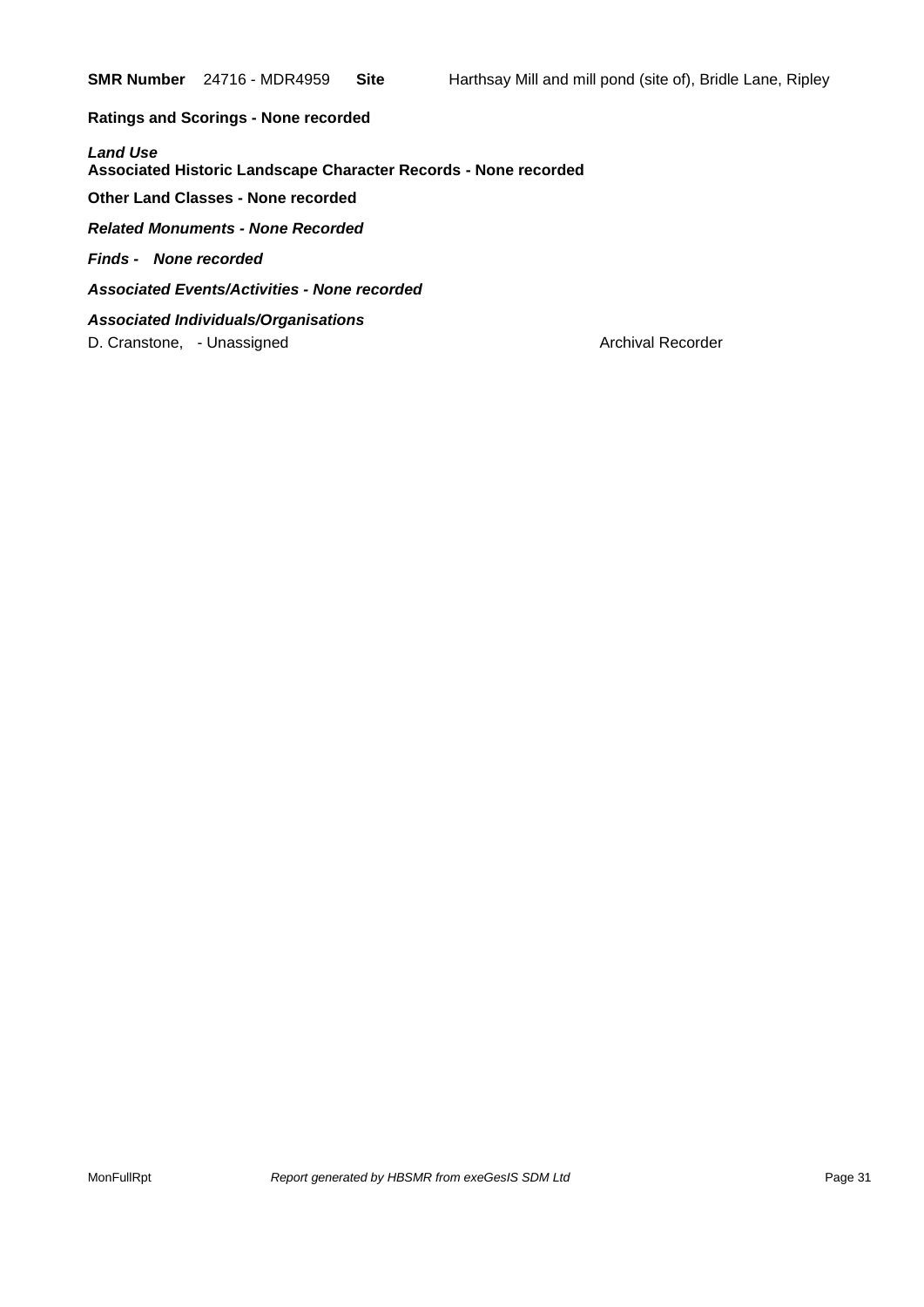**Ratings and Scorings - None recorded**

*Land Use*  **Associated Historic Landscape Character Records - None recorded**

**Other Land Classes - None recorded**

*Related Monuments - None Recorded*

*Finds - None recorded*

*Associated Events/Activities - None recorded*

*Associated Individuals/Organisations* D. Cranstone, - Unassigned Archival Recorder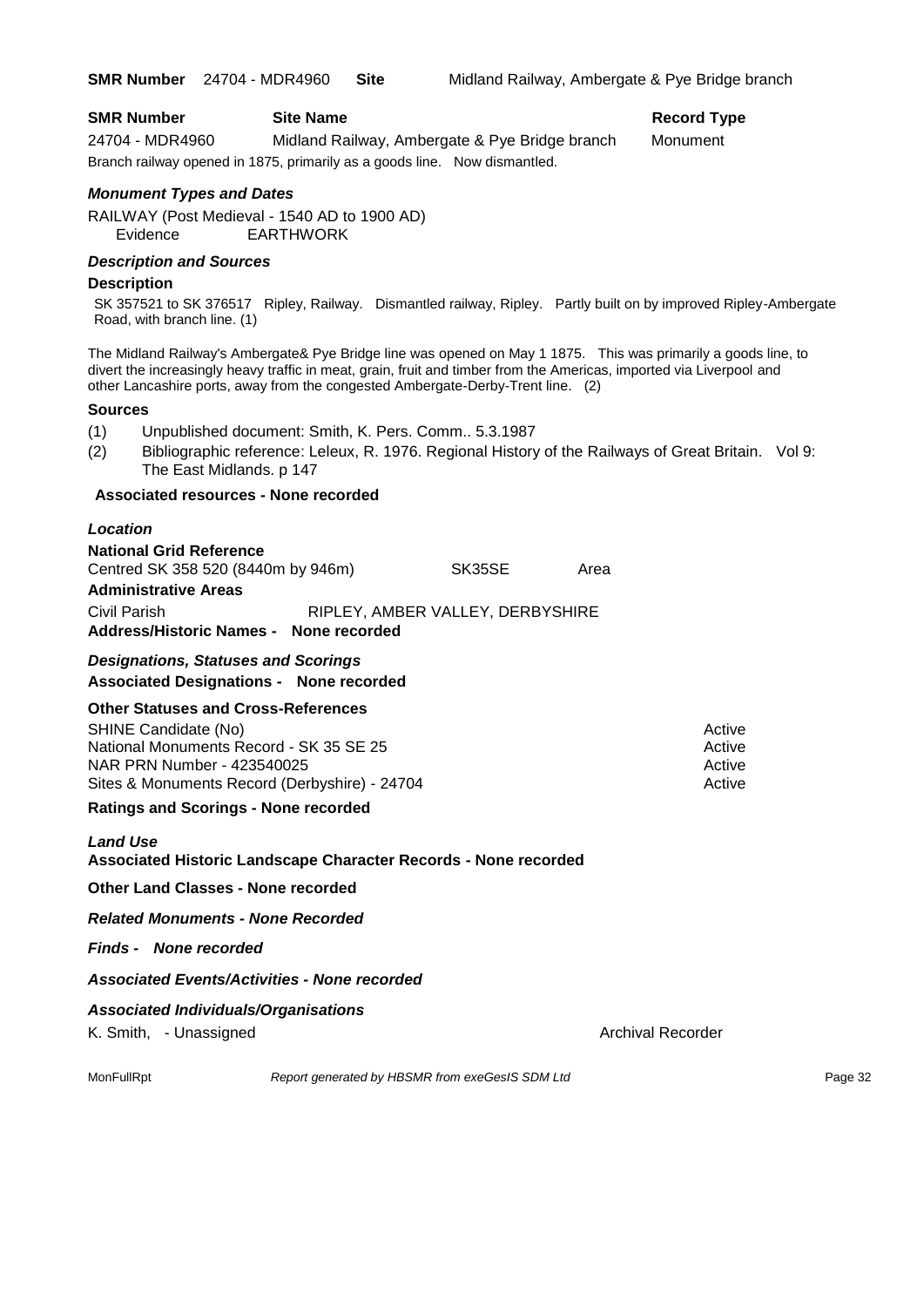| <b>SMR Number</b> | <b>Site Name</b> |
|-------------------|------------------|
|-------------------|------------------|

**Record Type** 

24704 - MDR4960 Midland Railway, Ambergate & Pye Bridge branch Monument Branch railway opened in 1875, primarily as a goods line. Now dismantled.

#### *Monument Types and Dates*

RAILWAY (Post Medieval - 1540 AD to 1900 AD) Evidence EARTHWORK

#### *Description and Sources*

#### **Description**

SK 357521 to SK 376517 Ripley, Railway. Dismantled railway, Ripley. Partly built on by improved Ripley-Ambergate Road, with branch line. (1)

The Midland Railway's Ambergate& Pye Bridge line was opened on May 1 1875. This was primarily a goods line, to divert the increasingly heavy traffic in meat, grain, fruit and timber from the Americas, imported via Liverpool and other Lancashire ports, away from the congested Ambergate-Derby-Trent line. (2)

#### **Sources**

(1) Unpublished document: Smith, K. Pers. Comm.. 5.3.1987

(2) Bibliographic reference: Leleux, R. 1976. Regional History of the Railways of Great Britain. Vol 9: The East Midlands. p 147

### **Associated resources - None recorded**

#### *Location*

**National Grid Reference** Centred SK 358 520 (8440m by 946m) SK35SE Area **Administrative Areas** Civil Parish RIPLEY, AMBER VALLEY, DERBYSHIRE **Address/Historic Names - None recorded**

### *Designations, Statuses and Scorings* **Associated Designations - None recorded**

### **Other Statuses and Cross-References**

| SHINE Candidate (No)                          | Active |
|-----------------------------------------------|--------|
| National Monuments Record - SK 35 SE 25       | Active |
| NAR PRN Number - 423540025                    | Active |
| Sites & Monuments Record (Derbyshire) - 24704 | Active |

#### **Ratings and Scorings - None recorded**

### *Land Use*

### **Associated Historic Landscape Character Records - None recorded**

#### **Other Land Classes - None recorded**

*Related Monuments - None Recorded*

#### *Finds - None recorded*

### *Associated Events/Activities - None recorded*

### *Associated Individuals/Organisations*

K. Smith, - Unassigned Archival Recorder Archival Recorder

MonFullRpt *Report generated by HBSMR from exeGesIS SDM Ltd Report 9enerated by HBSMR from exeGesIS SDM Ltd*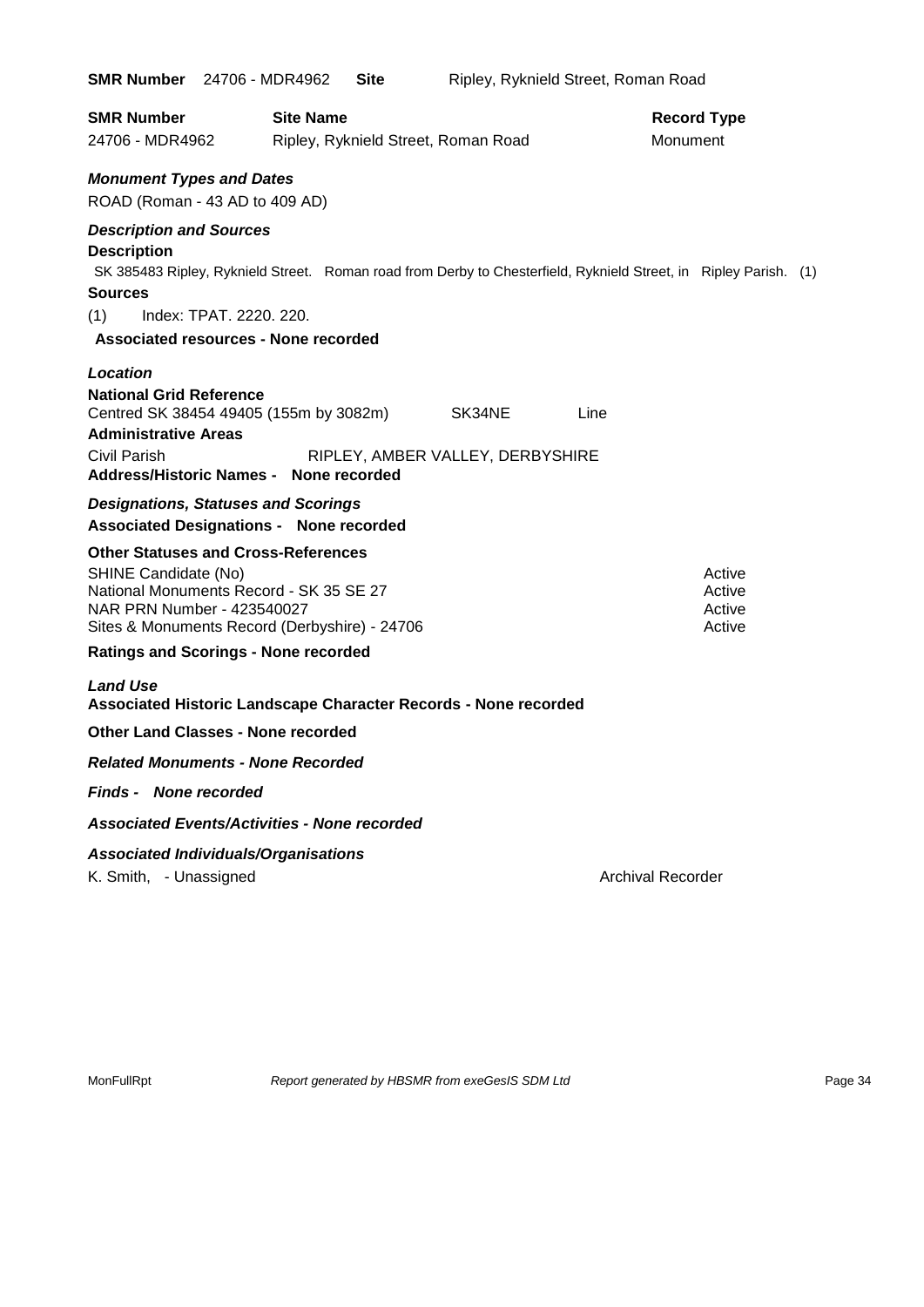| <b>SMR Number</b> 24706 - MDR4962                                                                                                                                                            | <b>Site</b>                                                                                                      | Ripley, Ryknield Street, Roman Road                |                                |                                      |
|----------------------------------------------------------------------------------------------------------------------------------------------------------------------------------------------|------------------------------------------------------------------------------------------------------------------|----------------------------------------------------|--------------------------------|--------------------------------------|
| <b>SMR Number</b><br>24706 - MDR4962                                                                                                                                                         | <b>Site Name</b><br>Ripley, Ryknield Street, Roman Road                                                          |                                                    | <b>Record Type</b><br>Monument |                                      |
| <b>Monument Types and Dates</b><br>ROAD (Roman - 43 AD to 409 AD)                                                                                                                            |                                                                                                                  |                                                    |                                |                                      |
| <b>Description and Sources</b><br><b>Description</b><br><b>Sources</b><br>Index: TPAT. 2220. 220.<br>(1)<br><b>Associated resources - None recorded</b>                                      | SK 385483 Ripley, Ryknield Street. Roman road from Derby to Chesterfield, Ryknield Street, in Ripley Parish. (1) |                                                    |                                |                                      |
| Location<br><b>National Grid Reference</b><br>Centred SK 38454 49405 (155m by 3082m)<br><b>Administrative Areas</b><br>Civil Parish<br>Address/Historic Names - None recorded                |                                                                                                                  | SK34NE<br>Line<br>RIPLEY, AMBER VALLEY, DERBYSHIRE |                                |                                      |
| <b>Designations, Statuses and Scorings</b><br><b>Associated Designations - None recorded</b>                                                                                                 |                                                                                                                  |                                                    |                                |                                      |
| <b>Other Statuses and Cross-References</b><br>SHINE Candidate (No)<br>National Monuments Record - SK 35 SE 27<br>NAR PRN Number - 423540027<br>Sites & Monuments Record (Derbyshire) - 24706 |                                                                                                                  |                                                    |                                | Active<br>Active<br>Active<br>Active |
| <b>Ratings and Scorings - None recorded</b>                                                                                                                                                  |                                                                                                                  |                                                    |                                |                                      |
| <b>Land Use</b><br>Associated Historic Landscape Character Records - None recorded                                                                                                           |                                                                                                                  |                                                    |                                |                                      |
| <b>Other Land Classes - None recorded</b>                                                                                                                                                    |                                                                                                                  |                                                    |                                |                                      |
| <b>Related Monuments - None Recorded</b>                                                                                                                                                     |                                                                                                                  |                                                    |                                |                                      |
| <b>Finds - None recorded</b>                                                                                                                                                                 |                                                                                                                  |                                                    |                                |                                      |
| <b>Associated Events/Activities - None recorded</b>                                                                                                                                          |                                                                                                                  |                                                    |                                |                                      |
| <b>Associated Individuals/Organisations</b><br>K. Smith, - Unassigned                                                                                                                        |                                                                                                                  |                                                    | <b>Archival Recorder</b>       |                                      |

MonFullRpt *Report generated by HBSMR from exeGesIS SDM Ltd Rage 34* Page 34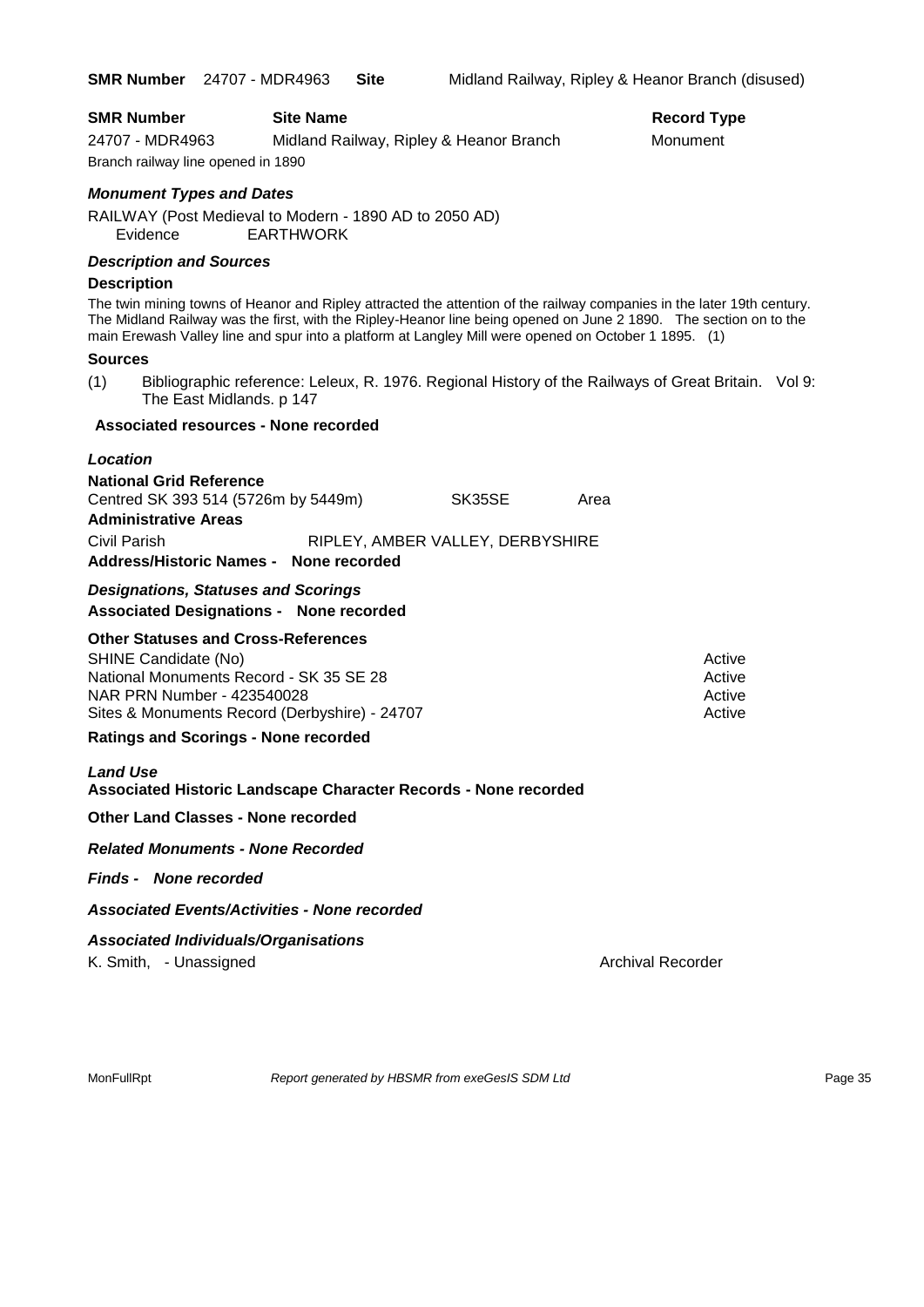| <b>SMR Number</b><br>24707 - MDR4963<br>Branch railway line opened in 1890                                                                                                                                                                                                                                                                                                                                                                                                                                      | <b>Site Name</b><br>Midland Railway, Ripley & Heanor Branch                                         |        |      | <b>Record Type</b><br>Monument       |
|-----------------------------------------------------------------------------------------------------------------------------------------------------------------------------------------------------------------------------------------------------------------------------------------------------------------------------------------------------------------------------------------------------------------------------------------------------------------------------------------------------------------|-----------------------------------------------------------------------------------------------------|--------|------|--------------------------------------|
| <b>Monument Types and Dates</b><br>RAILWAY (Post Medieval to Modern - 1890 AD to 2050 AD)<br>Evidence                                                                                                                                                                                                                                                                                                                                                                                                           | <b>EARTHWORK</b>                                                                                    |        |      |                                      |
| <b>Description and Sources</b><br><b>Description</b><br>The twin mining towns of Heanor and Ripley attracted the attention of the railway companies in the later 19th century.<br>The Midland Railway was the first, with the Ripley-Heanor line being opened on June 2 1890. The section on to the<br>main Erewash Valley line and spur into a platform at Langley Mill were opened on October 1 1895. (1)<br><b>Sources</b><br>(1)<br>The East Midlands. p 147<br><b>Associated resources - None recorded</b> | Bibliographic reference: Leleux, R. 1976. Regional History of the Railways of Great Britain. Vol 9: |        |      |                                      |
| Location<br><b>National Grid Reference</b><br>Centred SK 393 514 (5726m by 5449m)<br><b>Administrative Areas</b><br>Civil Parish<br>Address/Historic Names - None recorded                                                                                                                                                                                                                                                                                                                                      | RIPLEY, AMBER VALLEY, DERBYSHIRE                                                                    | SK35SE | Area |                                      |
| <b>Designations, Statuses and Scorings</b><br><b>Associated Designations - None recorded</b>                                                                                                                                                                                                                                                                                                                                                                                                                    |                                                                                                     |        |      |                                      |
| <b>Other Statuses and Cross-References</b><br>SHINE Candidate (No)<br>National Monuments Record - SK 35 SE 28<br>NAR PRN Number - 423540028<br>Sites & Monuments Record (Derbyshire) - 24707<br><b>Ratings and Scorings - None recorded</b>                                                                                                                                                                                                                                                                     |                                                                                                     |        |      | Active<br>Active<br>Active<br>Active |
| <b>Land Use</b><br>Associated Historic Landscape Character Records - None recorded                                                                                                                                                                                                                                                                                                                                                                                                                              |                                                                                                     |        |      |                                      |
| <b>Other Land Classes - None recorded</b>                                                                                                                                                                                                                                                                                                                                                                                                                                                                       |                                                                                                     |        |      |                                      |
| <b>Related Monuments - None Recorded</b>                                                                                                                                                                                                                                                                                                                                                                                                                                                                        |                                                                                                     |        |      |                                      |
| <b>Finds - None recorded</b>                                                                                                                                                                                                                                                                                                                                                                                                                                                                                    |                                                                                                     |        |      |                                      |
| <b>Associated Events/Activities - None recorded</b>                                                                                                                                                                                                                                                                                                                                                                                                                                                             |                                                                                                     |        |      |                                      |
| <b>Associated Individuals/Organisations</b><br>K. Smith, - Unassigned                                                                                                                                                                                                                                                                                                                                                                                                                                           |                                                                                                     |        |      | <b>Archival Recorder</b>             |

MonFullRpt *Report generated by HBSMR from exeGesIS SDM Ltd Rage 35* Page 35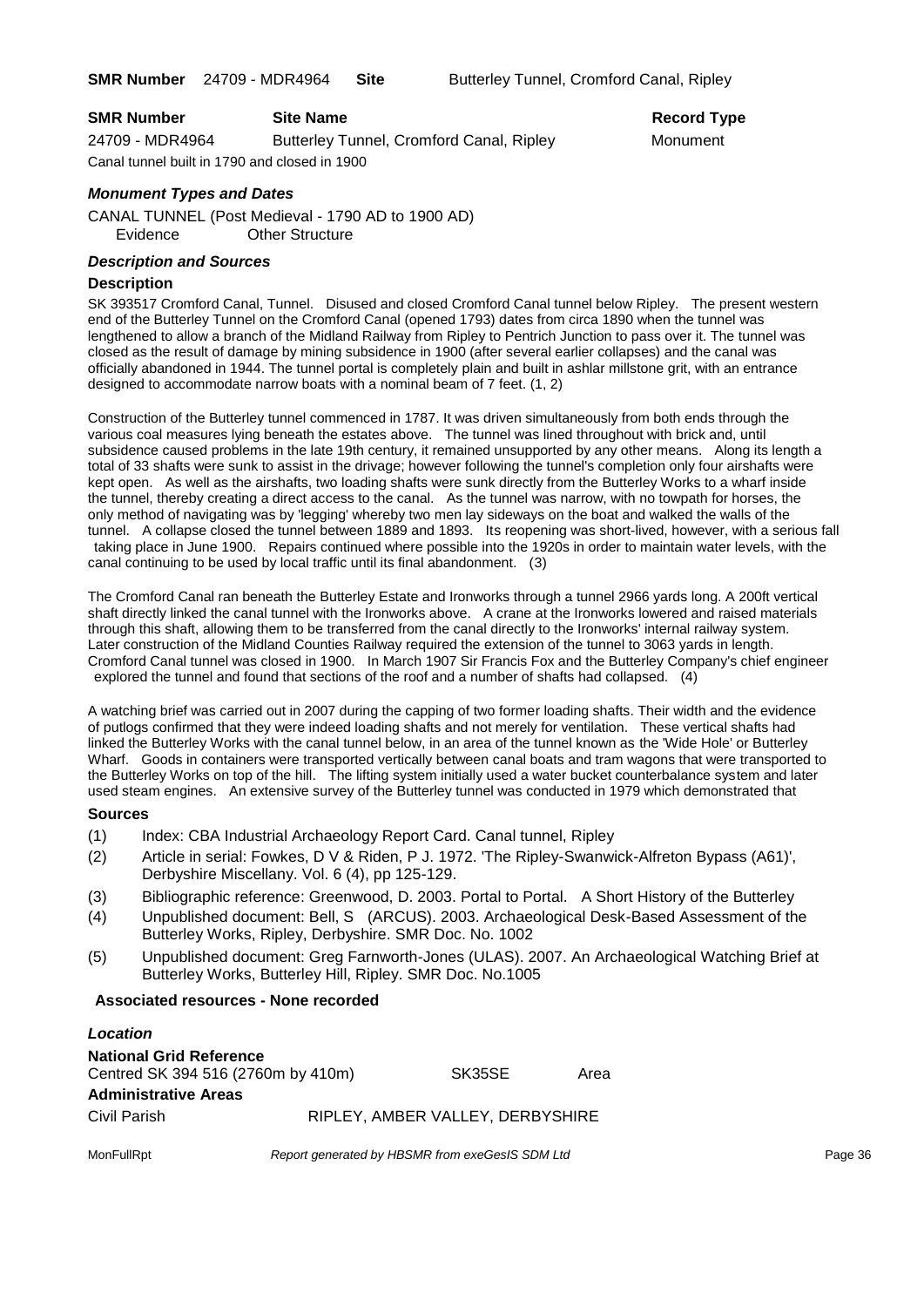| <b>SMR Number</b>                             | <b>Site Name</b>                         | Record Ty |
|-----------------------------------------------|------------------------------------------|-----------|
| 24709 - MDR4964                               | Butterley Tunnel, Cromford Canal, Ripley | Monument  |
| Canal tunnel built in 1790 and closed in 1900 |                                          |           |

# **Record Type**

### *Monument Types and Dates*

CANAL TUNNEL (Post Medieval - 1790 AD to 1900 AD) Evidence Other Structure

#### *Description and Sources*

#### **Description**

SK 393517 Cromford Canal, Tunnel. Disused and closed Cromford Canal tunnel below Ripley. The present western end of the Butterley Tunnel on the Cromford Canal (opened 1793) dates from circa 1890 when the tunnel was lengthened to allow a branch of the Midland Railway from Ripley to Pentrich Junction to pass over it. The tunnel was closed as the result of damage by mining subsidence in 1900 (after several earlier collapses) and the canal was officially abandoned in 1944. The tunnel portal is completely plain and built in ashlar millstone grit, with an entrance designed to accommodate narrow boats with a nominal beam of 7 feet. (1, 2)

Construction of the Butterley tunnel commenced in 1787. It was driven simultaneously from both ends through the various coal measures lying beneath the estates above. The tunnel was lined throughout with brick and, until subsidence caused problems in the late 19th century, it remained unsupported by any other means. Along its length a total of 33 shafts were sunk to assist in the drivage; however following the tunnel's completion only four airshafts were kept open. As well as the airshafts, two loading shafts were sunk directly from the Butterley Works to a wharf inside the tunnel, thereby creating a direct access to the canal. As the tunnel was narrow, with no towpath for horses, the only method of navigating was by 'legging' whereby two men lay sideways on the boat and walked the walls of the tunnel. A collapse closed the tunnel between 1889 and 1893. Its reopening was short-lived, however, with a serious fall taking place in June 1900. Repairs continued where possible into the 1920s in order to maintain water levels, with the canal continuing to be used by local traffic until its final abandonment. (3)

The Cromford Canal ran beneath the Butterley Estate and Ironworks through a tunnel 2966 yards long. A 200ft vertical shaft directly linked the canal tunnel with the Ironworks above. A crane at the Ironworks lowered and raised materials through this shaft, allowing them to be transferred from the canal directly to the Ironworks' internal railway system. Later construction of the Midland Counties Railway required the extension of the tunnel to 3063 yards in length. Cromford Canal tunnel was closed in 1900. In March 1907 Sir Francis Fox and the Butterley Company's chief engineer explored the tunnel and found that sections of the roof and a number of shafts had collapsed. (4)

A watching brief was carried out in 2007 during the capping of two former loading shafts. Their width and the evidence of putlogs confirmed that they were indeed loading shafts and not merely for ventilation. These vertical shafts had linked the Butterley Works with the canal tunnel below, in an area of the tunnel known as the 'Wide Hole' or Butterley Wharf. Goods in containers were transported vertically between canal boats and tram wagons that were transported to the Butterley Works on top of the hill. The lifting system initially used a water bucket counterbalance system and later used steam engines. An extensive survey of the Butterley tunnel was conducted in 1979 which demonstrated that

#### **Sources**

- (1) Index: CBA Industrial Archaeology Report Card. Canal tunnel, Ripley
- (2) Article in serial: Fowkes, D V & Riden, P J. 1972. 'The Ripley-Swanwick-Alfreton Bypass (A61)', Derbyshire Miscellany. Vol. 6 (4), pp 125-129.
- (3) Bibliographic reference: Greenwood, D. 2003. Portal to Portal. A Short History of the Butterley
- (4) Unpublished document: Bell, S (ARCUS). 2003. Archaeological Desk-Based Assessment of the Butterley Works, Ripley, Derbyshire. SMR Doc. No. 1002
- (5) Unpublished document: Greg Farnworth-Jones (ULAS). 2007. An Archaeological Watching Brief at Butterley Works, Butterley Hill, Ripley. SMR Doc. No.1005

#### **Associated resources - None recorded**

| Location                           |                                  |      |
|------------------------------------|----------------------------------|------|
| <b>National Grid Reference</b>     |                                  |      |
| Centred SK 394 516 (2760m by 410m) | SK35SE                           | Area |
| <b>Administrative Areas</b>        |                                  |      |
| Civil Parish                       | RIPLEY, AMBER VALLEY, DERBYSHIRE |      |

MonFullRpt *Report generated by HBSMR from exeGesIS SDM Ltd Report 9enerated by HBSMR from exeGesIS SDM Ltd*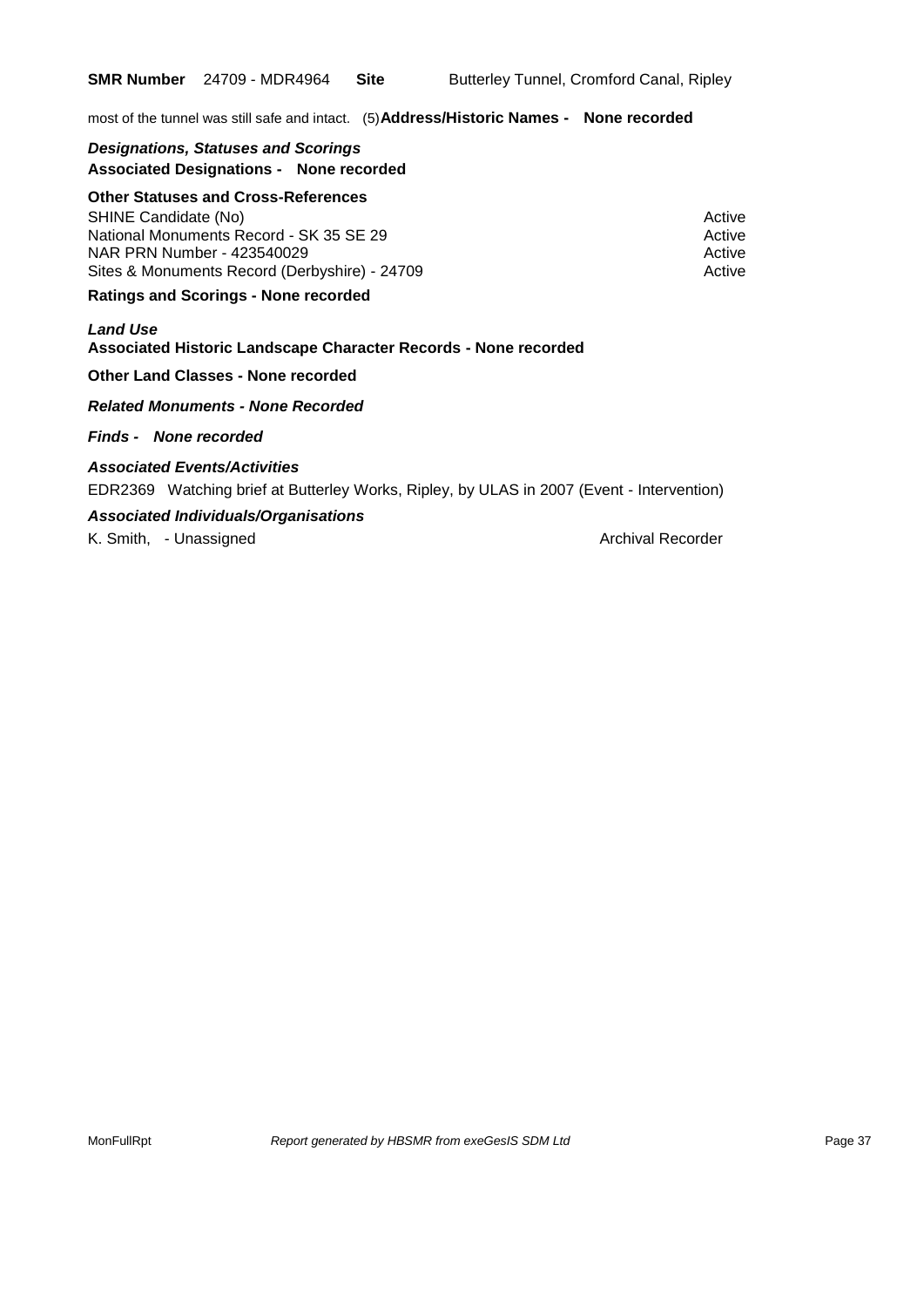most of the tunnel was still safe and intact. (5)**Address/Historic Names - None recorded**

#### *Designations, Statuses and Scorings* **Associated Designations - None recorded**

#### **Other Statuses and Cross-References**

SHINE Candidate (No) **Active** Active 30 Active 30 Active 30 Active 30 Active 30 Active National Monuments Record - SK 35 SE 29 Active 30 Active NAR PRN Number - 423540029 Active Active Active Active Active Sites & Monuments Record (Derbyshire) - 24709 Active

#### **Ratings and Scorings - None recorded**

#### *Land Use*  **Associated Historic Landscape Character Records - None recorded**

#### **Other Land Classes - None recorded**

#### *Related Monuments - None Recorded*

#### *Finds - None recorded*

#### *Associated Events/Activities*

EDR2369 Watching brief at Butterley Works, Ripley, by ULAS in 2007 (Event - Intervention)

#### *Associated Individuals/Organisations*

K. Smith, - Unassigned Archival Recorder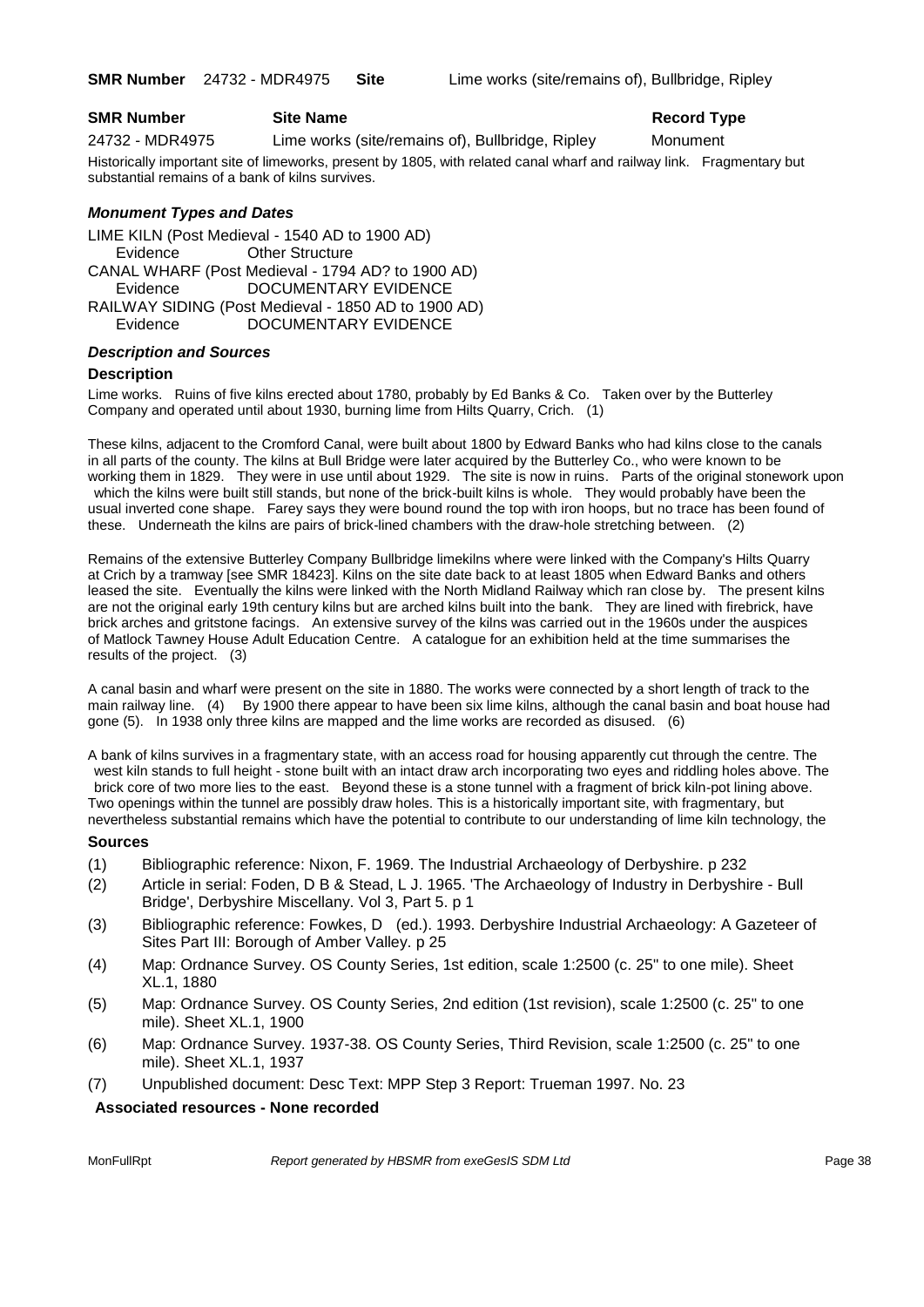#### **SMR Number Site Name Record Type Record Type**

24732 - MDR4975 Lime works (site/remains of), Bullbridge, Ripley Monument

Historically important site of limeworks, present by 1805, with related canal wharf and railway link. Fragmentary but substantial remains of a bank of kilns survives.

#### *Monument Types and Dates*

LIME KILN (Post Medieval - 1540 AD to 1900 AD) Evidence Other Structure CANAL WHARF (Post Medieval - 1794 AD? to 1900 AD) Evidence DOCUMENTARY EVIDENCE RAILWAY SIDING (Post Medieval - 1850 AD to 1900 AD) Evidence DOCUMENTARY EVIDENCE

#### *Description and Sources*

#### **Description**

Lime works. Ruins of five kilns erected about 1780, probably by Ed Banks & Co. Taken over by the Butterley Company and operated until about 1930, burning lime from Hilts Quarry, Crich. (1)

These kilns, adjacent to the Cromford Canal, were built about 1800 by Edward Banks who had kilns close to the canals in all parts of the county. The kilns at Bull Bridge were later acquired by the Butterley Co., who were known to be working them in 1829. They were in use until about 1929. The site is now in ruins. Parts of the original stonework upon which the kilns were built still stands, but none of the brick-built kilns is whole. They would probably have been the usual inverted cone shape. Farey says they were bound round the top with iron hoops, but no trace has been found of these. Underneath the kilns are pairs of brick-lined chambers with the draw-hole stretching between. (2)

Remains of the extensive Butterley Company Bullbridge limekilns where were linked with the Company's Hilts Quarry at Crich by a tramway [see SMR 18423]. Kilns on the site date back to at least 1805 when Edward Banks and others leased the site. Eventually the kilns were linked with the North Midland Railway which ran close by. The present kilns are not the original early 19th century kilns but are arched kilns built into the bank. They are lined with firebrick, have brick arches and gritstone facings. An extensive survey of the kilns was carried out in the 1960s under the auspices of Matlock Tawney House Adult Education Centre. A catalogue for an exhibition held at the time summarises the results of the project. (3)

A canal basin and wharf were present on the site in 1880. The works were connected by a short length of track to the main railway line. (4) By 1900 there appear to have been six lime kilns, although the canal basin and boat house had gone (5). In 1938 only three kilns are mapped and the lime works are recorded as disused. (6)

A bank of kilns survives in a fragmentary state, with an access road for housing apparently cut through the centre. The west kiln stands to full height - stone built with an intact draw arch incorporating two eyes and riddling holes above. The brick core of two more lies to the east. Beyond these is a stone tunnel with a fragment of brick kiln-pot lining above. Two openings within the tunnel are possibly draw holes. This is a historically important site, with fragmentary, but nevertheless substantial remains which have the potential to contribute to our understanding of lime kiln technology, the

#### **Sources**

- (1) Bibliographic reference: Nixon, F. 1969. The Industrial Archaeology of Derbyshire. p 232
- (2) Article in serial: Foden, D B & Stead, L J. 1965. 'The Archaeology of Industry in Derbyshire Bull Bridge', Derbyshire Miscellany. Vol 3, Part 5. p 1
- (3) Bibliographic reference: Fowkes, D (ed.). 1993. Derbyshire Industrial Archaeology: A Gazeteer of Sites Part III: Borough of Amber Valley. p 25
- (4) Map: Ordnance Survey. OS County Series, 1st edition, scale 1:2500 (c. 25" to one mile). Sheet XL.1, 1880
- (5) Map: Ordnance Survey. OS County Series, 2nd edition (1st revision), scale 1:2500 (c. 25" to one mile). Sheet XL.1, 1900
- (6) Map: Ordnance Survey. 1937-38. OS County Series, Third Revision, scale 1:2500 (c. 25" to one mile). Sheet XL.1, 1937
- (7) Unpublished document: Desc Text: MPP Step 3 Report: Trueman 1997. No. 23

#### **Associated resources - None recorded**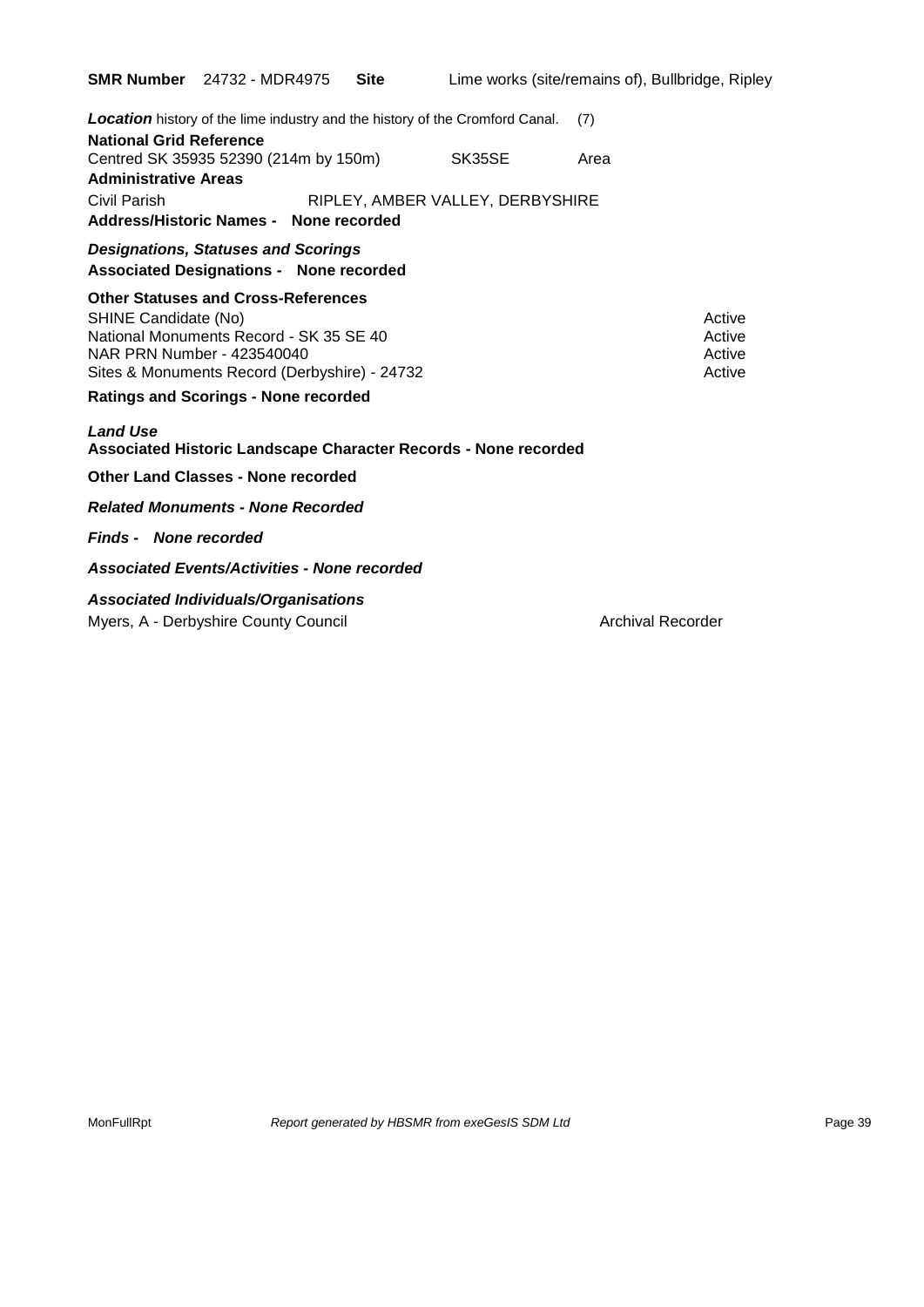|                                                    | <b>SMR Number</b> 24732 - MDR4975                                                                                                                                                     | Site | Lime works (site/remains of), Bullbridge, Ripley |                          |                                      |
|----------------------------------------------------|---------------------------------------------------------------------------------------------------------------------------------------------------------------------------------------|------|--------------------------------------------------|--------------------------|--------------------------------------|
| <b>National Grid Reference</b>                     | <b>Location</b> history of the lime industry and the history of the Cromford Canal.                                                                                                   |      |                                                  | (7)                      |                                      |
| <b>Administrative Areas</b>                        | Centred SK 35935 52390 (214m by 150m)                                                                                                                                                 |      | SK35SE                                           | Area                     |                                      |
| Civil Parish                                       | Address/Historic Names - None recorded                                                                                                                                                |      | RIPLEY, AMBER VALLEY, DERBYSHIRE                 |                          |                                      |
|                                                    | <b>Designations, Statuses and Scorings</b><br><b>Associated Designations - None recorded</b>                                                                                          |      |                                                  |                          |                                      |
| SHINE Candidate (No)<br>NAR PRN Number - 423540040 | <b>Other Statuses and Cross-References</b><br>National Monuments Record - SK 35 SE 40<br>Sites & Monuments Record (Derbyshire) - 24732<br><b>Ratings and Scorings - None recorded</b> |      |                                                  |                          | Active<br>Active<br>Active<br>Active |
| <b>Land Use</b>                                    | Associated Historic Landscape Character Records - None recorded                                                                                                                       |      |                                                  |                          |                                      |
|                                                    | <b>Other Land Classes - None recorded</b>                                                                                                                                             |      |                                                  |                          |                                      |
|                                                    | <b>Related Monuments - None Recorded</b>                                                                                                                                              |      |                                                  |                          |                                      |
| <b>Finds - None recorded</b>                       |                                                                                                                                                                                       |      |                                                  |                          |                                      |
|                                                    | <b>Associated Events/Activities - None recorded</b>                                                                                                                                   |      |                                                  |                          |                                      |
|                                                    | <b>Associated Individuals/Organisations</b><br>Myers, A - Derbyshire County Council                                                                                                   |      |                                                  | <b>Archival Recorder</b> |                                      |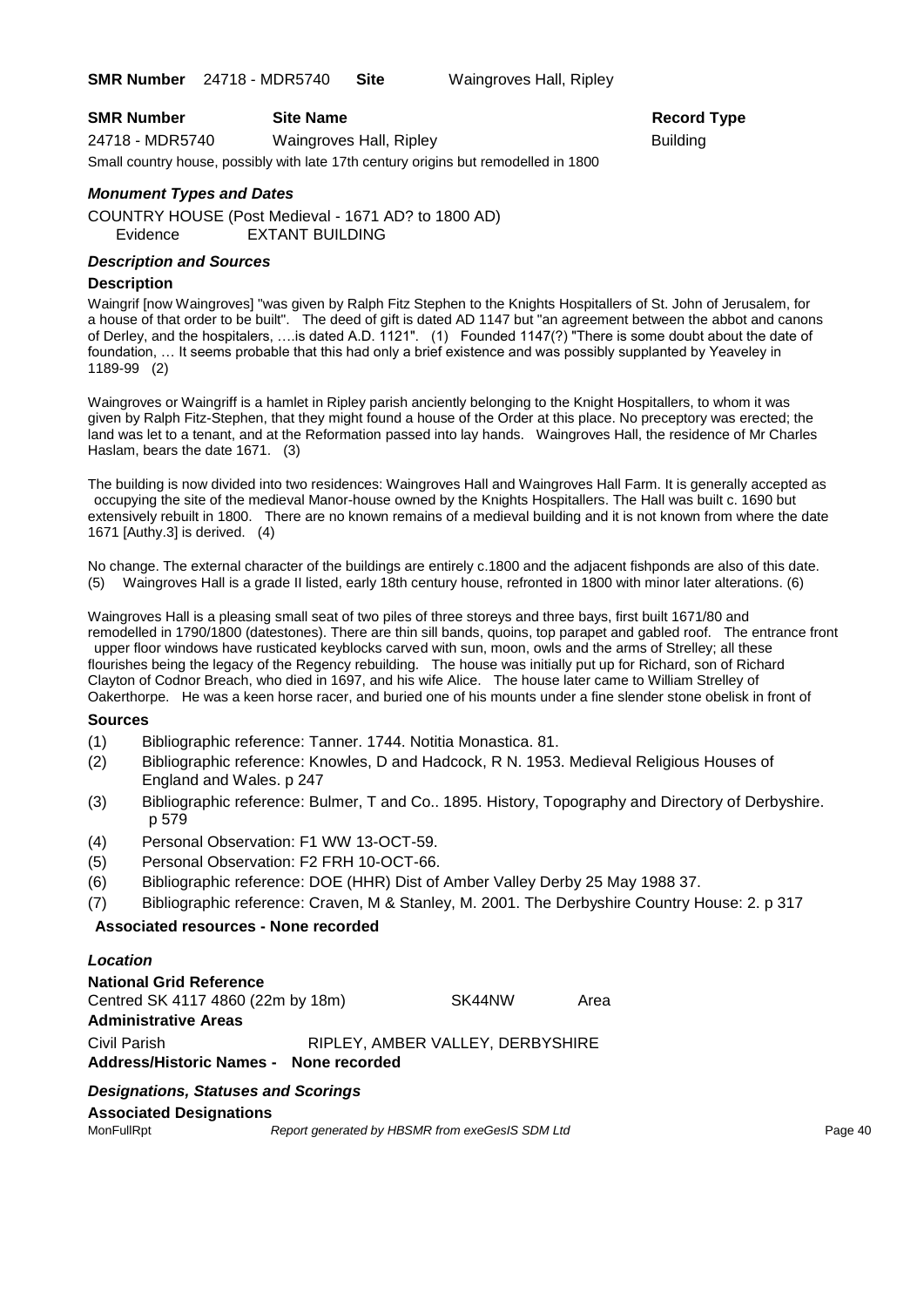**SMR Number** 24718 - MDR5740 **Site** Waingroves Hall, Ripley

| <b>SMR Number</b> | <b>Site Name</b>        | Record          |
|-------------------|-------------------------|-----------------|
| 24718 - MDR5740   | Waingroves Hall, Ripley | <b>Building</b> |

Small country house, possibly with late 17th century origins but remodelled in 1800

#### *Monument Types and Dates*

COUNTRY HOUSE (Post Medieval - 1671 AD? to 1800 AD) Evidence EXTANT BUILDING

#### *Description and Sources*

#### **Description**

Waingrif [now Waingroves] "was given by Ralph Fitz Stephen to the Knights Hospitallers of St. John of Jerusalem, for a house of that order to be built". The deed of gift is dated AD 1147 but "an agreement between the abbot and canons of Derley, and the hospitalers, ….is dated A.D. 1121". (1) Founded 1147(?) "There is some doubt about the date of foundation, … It seems probable that this had only a brief existence and was possibly supplanted by Yeaveley in 1189-99 (2)

**Record Type** 

Waingroves or Waingriff is a hamlet in Ripley parish anciently belonging to the Knight Hospitallers, to whom it was given by Ralph Fitz-Stephen, that they might found a house of the Order at this place. No preceptory was erected; the land was let to a tenant, and at the Reformation passed into lay hands. Waingroves Hall, the residence of Mr Charles Haslam, bears the date 1671. (3)

The building is now divided into two residences: Waingroves Hall and Waingroves Hall Farm. It is generally accepted as occupying the site of the medieval Manor-house owned by the Knights Hospitallers. The Hall was built c. 1690 but extensively rebuilt in 1800. There are no known remains of a medieval building and it is not known from where the date 1671 [Authy.3] is derived. (4)

No change. The external character of the buildings are entirely c.1800 and the adjacent fishponds are also of this date. (5) Waingroves Hall is a grade II listed, early 18th century house, refronted in 1800 with minor later alterations. (6)

Waingroves Hall is a pleasing small seat of two piles of three storeys and three bays, first built 1671/80 and remodelled in 1790/1800 (datestones). There are thin sill bands, quoins, top parapet and gabled roof. The entrance front upper floor windows have rusticated keyblocks carved with sun, moon, owls and the arms of Strelley; all these flourishes being the legacy of the Regency rebuilding. The house was initially put up for Richard, son of Richard Clayton of Codnor Breach, who died in 1697, and his wife Alice. The house later came to William Strelley of Oakerthorpe. He was a keen horse racer, and buried one of his mounts under a fine slender stone obelisk in front of

#### **Sources**

- (1) Bibliographic reference: Tanner. 1744. Notitia Monastica. 81.
- (2) Bibliographic reference: Knowles, D and Hadcock, R N. 1953. Medieval Religious Houses of England and Wales. p 247
- (3) Bibliographic reference: Bulmer, T and Co.. 1895. History, Topography and Directory of Derbyshire. p 579
- (4) Personal Observation: F1 WW 13-OCT-59.
- (5) Personal Observation: F2 FRH 10-OCT-66.
- (6) Bibliographic reference: DOE (HHR) Dist of Amber Valley Derby 25 May 1988 37.
- (7) Bibliographic reference: Craven, M & Stanley, M. 2001. The Derbyshire Country House: 2. p 317

#### **Associated resources - None recorded**

### *Location* **National Grid Reference** Centred SK 4117 4860 (22m by 18m) SK44NW Area **Administrative Areas** Civil Parish RIPLEY, AMBER VALLEY, DERBYSHIRE **Address/Historic Names - None recorded**

#### *Designations, Statuses and Scorings*

**Associated Designations**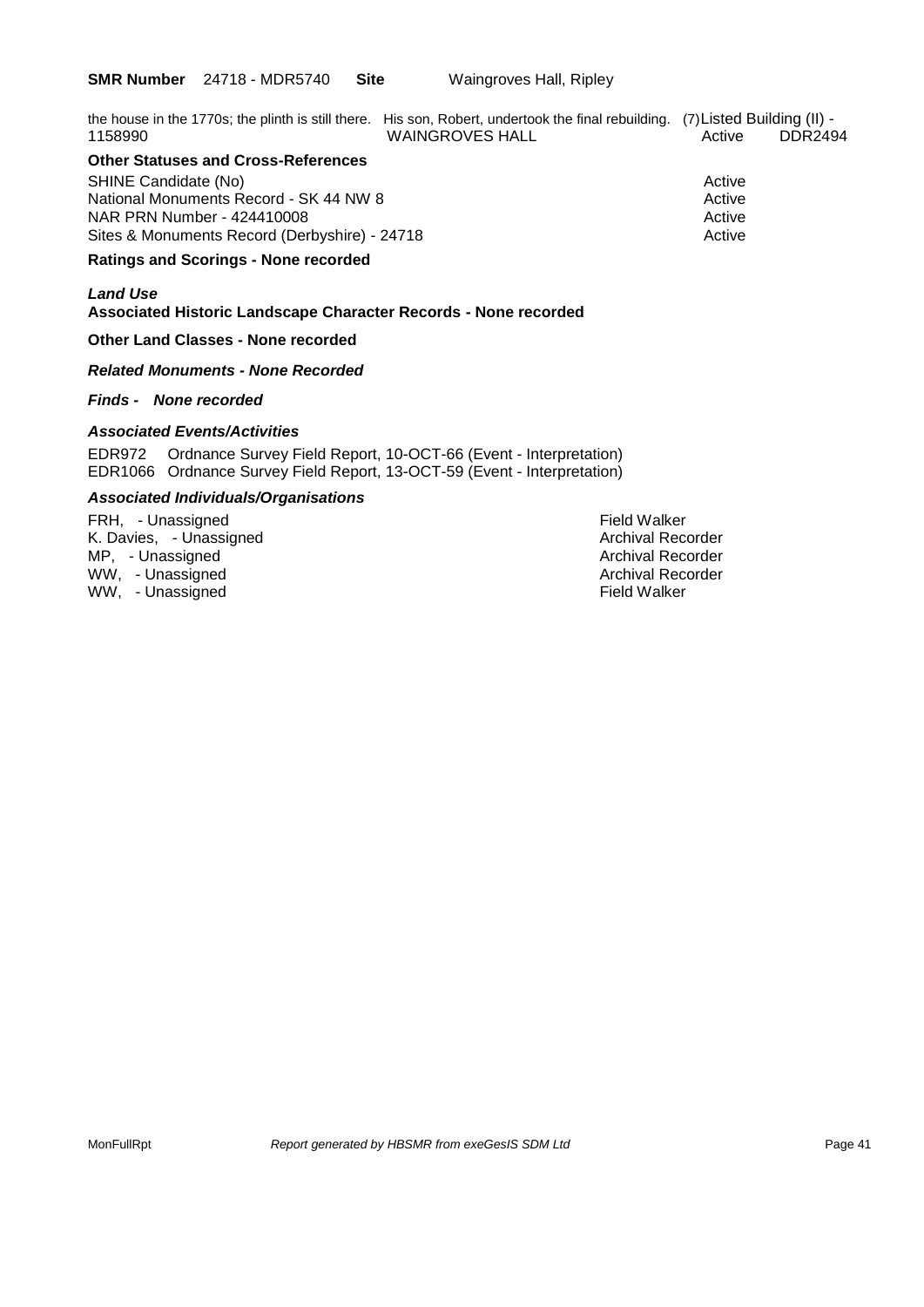|         | the house in the 1770s; the plinth is still there. His son, Robert, undertook the final rebuilding. (7) Listed Building (II) - |        |         |
|---------|--------------------------------------------------------------------------------------------------------------------------------|--------|---------|
| 1158990 | <b>WAINGROVES HALL</b>                                                                                                         | Active | DDR2494 |

### **Other Statuses and Cross-References**

SHINE Candidate (No) **Active** 3 Active 3 Active 3 Active 3 Active 3 Active 3 Active National Monuments Record - SK 44 NW 8 Active NAR PRN Number - 424410008 Active Number - 424410008 Sites & Monuments Record (Derbyshire) - 24718 Active

#### **Ratings and Scorings - None recorded**

#### *Land Use*  **Associated Historic Landscape Character Records - None recorded**

#### **Other Land Classes - None recorded**

#### *Related Monuments - None Recorded*

#### *Finds - None recorded*

#### *Associated Events/Activities*

EDR972 Ordnance Survey Field Report, 10-OCT-66 (Event - Interpretation) EDR1066 Ordnance Survey Field Report, 13-OCT-59 (Event - Interpretation)

#### *Associated Individuals/Organisations*

FRH, - Unassigned and the settlement of the settlement of the Field Walker (Field Walker and Field Walker and Field Walker and Field Walker and Field Walker and Field Walker and Field Walker and Field Walker and Field Walk K. Davies, - Unassigned MP, - Unassigned Archival Recorder Archival Recorder Archival Recorder WW, - Unassigned Archival Recorder WW, -Unassigned Field Walker The Local Management of the Local Management of the Field Walker The Local Ma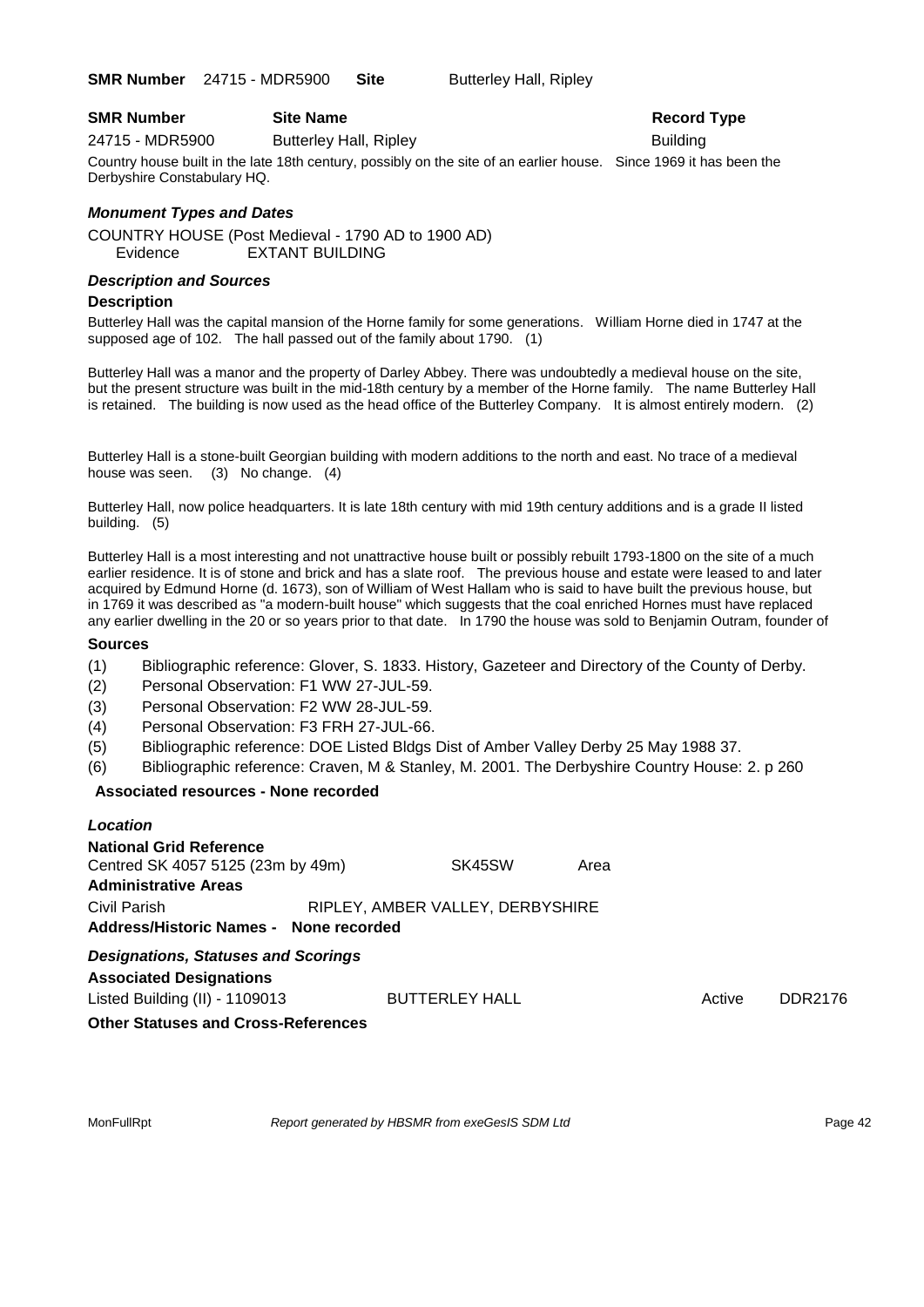**SMR Number** 24715 - MDR5900 **Site** Butterley Hall, Ripley

#### **SMR Number Site Name Record Type Record Type**

24715 - MDR5900 Butterley Hall, Ripley Building

Country house built in the late 18th century, possibly on the site of an earlier house. Since 1969 it has been the Derbyshire Constabulary HQ.

#### *Monument Types and Dates*

COUNTRY HOUSE (Post Medieval - 1790 AD to 1900 AD) Evidence EXTANT BUILDING

#### *Description and Sources*

#### **Description**

Butterley Hall was the capital mansion of the Horne family for some generations. William Horne died in 1747 at the supposed age of 102. The hall passed out of the family about 1790. (1)

Butterley Hall was a manor and the property of Darley Abbey. There was undoubtedly a medieval house on the site, but the present structure was built in the mid-18th century by a member of the Horne family. The name Butterley Hall is retained. The building is now used as the head office of the Butterley Company. It is almost entirely modern. (2)

Butterley Hall is a stone-built Georgian building with modern additions to the north and east. No trace of a medieval house was seen. (3) No change. (4)

Butterley Hall, now police headquarters. It is late 18th century with mid 19th century additions and is a grade II listed building. (5)

Butterley Hall is a most interesting and not unattractive house built or possibly rebuilt 1793-1800 on the site of a much earlier residence. It is of stone and brick and has a slate roof. The previous house and estate were leased to and later acquired by Edmund Horne (d. 1673), son of William of West Hallam who is said to have built the previous house, but in 1769 it was described as "a modern-built house" which suggests that the coal enriched Hornes must have replaced any earlier dwelling in the 20 or so years prior to that date. In 1790 the house was sold to Benjamin Outram, founder of

#### **Sources**

- (1) Bibliographic reference: Glover, S. 1833. History, Gazeteer and Directory of the County of Derby.
- (2) Personal Observation: F1 WW 27-JUL-59.
- (3) Personal Observation: F2 WW 28-JUL-59.
- (4) Personal Observation: F3 FRH 27-JUL-66.
- (5) Bibliographic reference: DOE Listed Bldgs Dist of Amber Valley Derby 25 May 1988 37.
- (6) Bibliographic reference: Craven, M & Stanley, M. 2001. The Derbyshire Country House: 2. p 260

#### **Associated resources - None recorded**

| Location                                                                                           |                                  |      |        |         |
|----------------------------------------------------------------------------------------------------|----------------------------------|------|--------|---------|
| <b>National Grid Reference</b><br>Centred SK 4057 5125 (23m by 49m)<br><b>Administrative Areas</b> | SK45SW                           | Area |        |         |
| Civil Parish<br>Address/Historic Names - None recorded                                             | RIPLEY, AMBER VALLEY, DERBYSHIRE |      |        |         |
| <b>Designations, Statuses and Scorings</b><br><b>Associated Designations</b>                       |                                  |      |        |         |
| Listed Building (II) - 1109013                                                                     | <b>BUTTERLEY HALL</b>            |      | Active | DDR2176 |
| <b>Other Statuses and Cross-References</b>                                                         |                                  |      |        |         |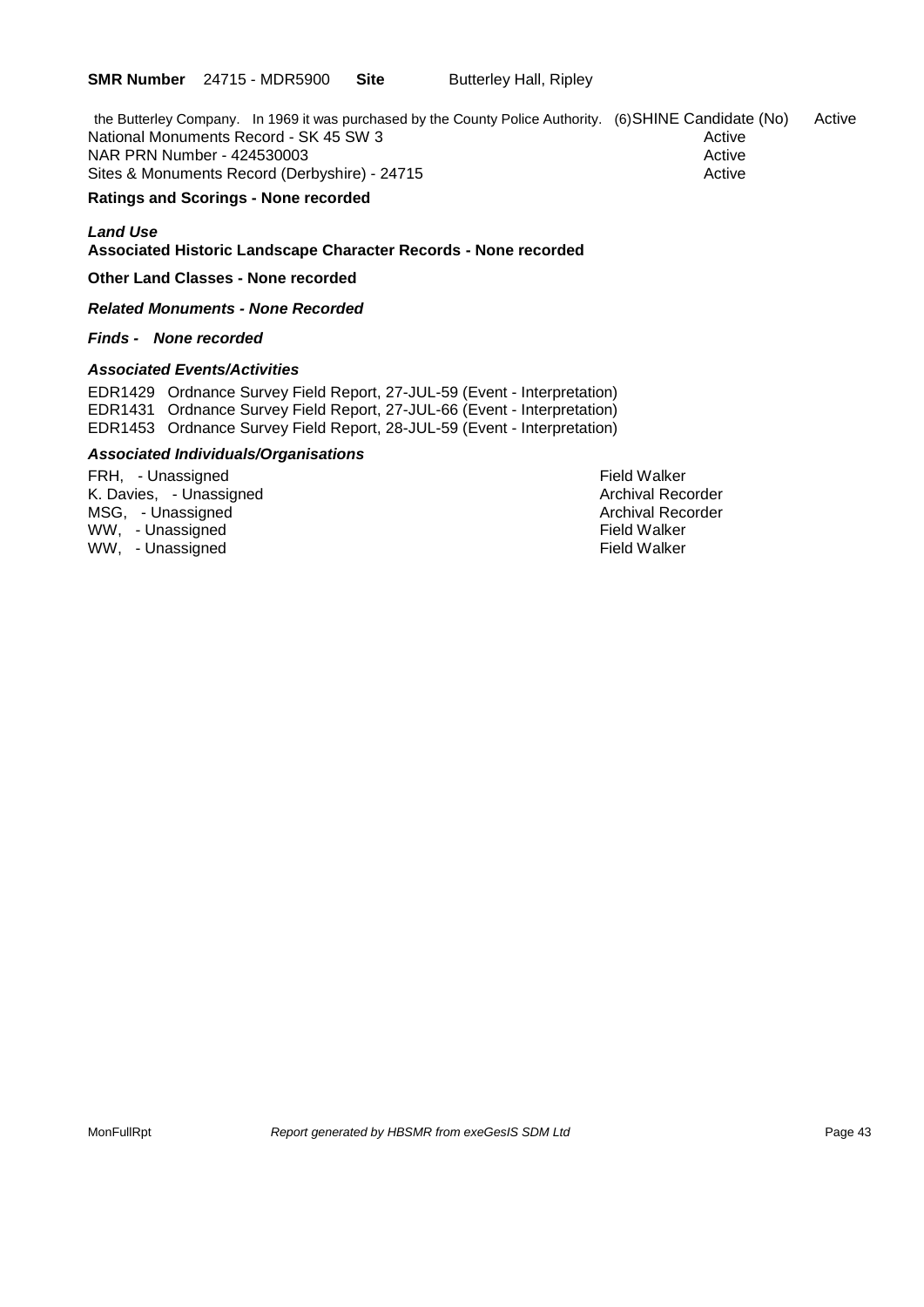the Butterley Company. In 1969 it was purchased by the County Police Authority. (6)SHINE Candidate (No) Active National Monuments Record - SK 45 SW 3 Active Active Active NAR PRN Number - 424530003 Active Active Active Active Active Active Active Active Sites & Monuments Record (Derbyshire) - 24715 Active

#### **Ratings and Scorings - None recorded**

#### *Land Use*  **Associated Historic Landscape Character Records - None recorded**

**Other Land Classes - None recorded**

*Related Monuments - None Recorded*

#### *Finds - None recorded*

#### *Associated Events/Activities*

EDR1429 Ordnance Survey Field Report, 27-JUL-59 (Event - Interpretation) EDR1431 Ordnance Survey Field Report, 27-JUL-66 (Event - Interpretation) EDR1453 Ordnance Survey Field Report, 28-JUL-59 (Event - Interpretation)

#### *Associated Individuals/Organisations*

FRH, - Unassigned Field Walker K. Davies, - Unassigned Archival Recorder (Archival Recorder Archival Recorder Archival Recorder Archival Recorder (Archival Recorder Archival Recorder Archival Recorder (Archival Recorder Archival Recorder (Archival Recor MSG, - Unassigned Archival Recorder and Archival Recorder and Archival Recorder and Archival Recorder and Archival Recorder and Archival Recorder and Archival Recorder and Archival Recorder and Archival Recorder and Archiv WW, - Unassigned WW, - Unassigned **Field Walker**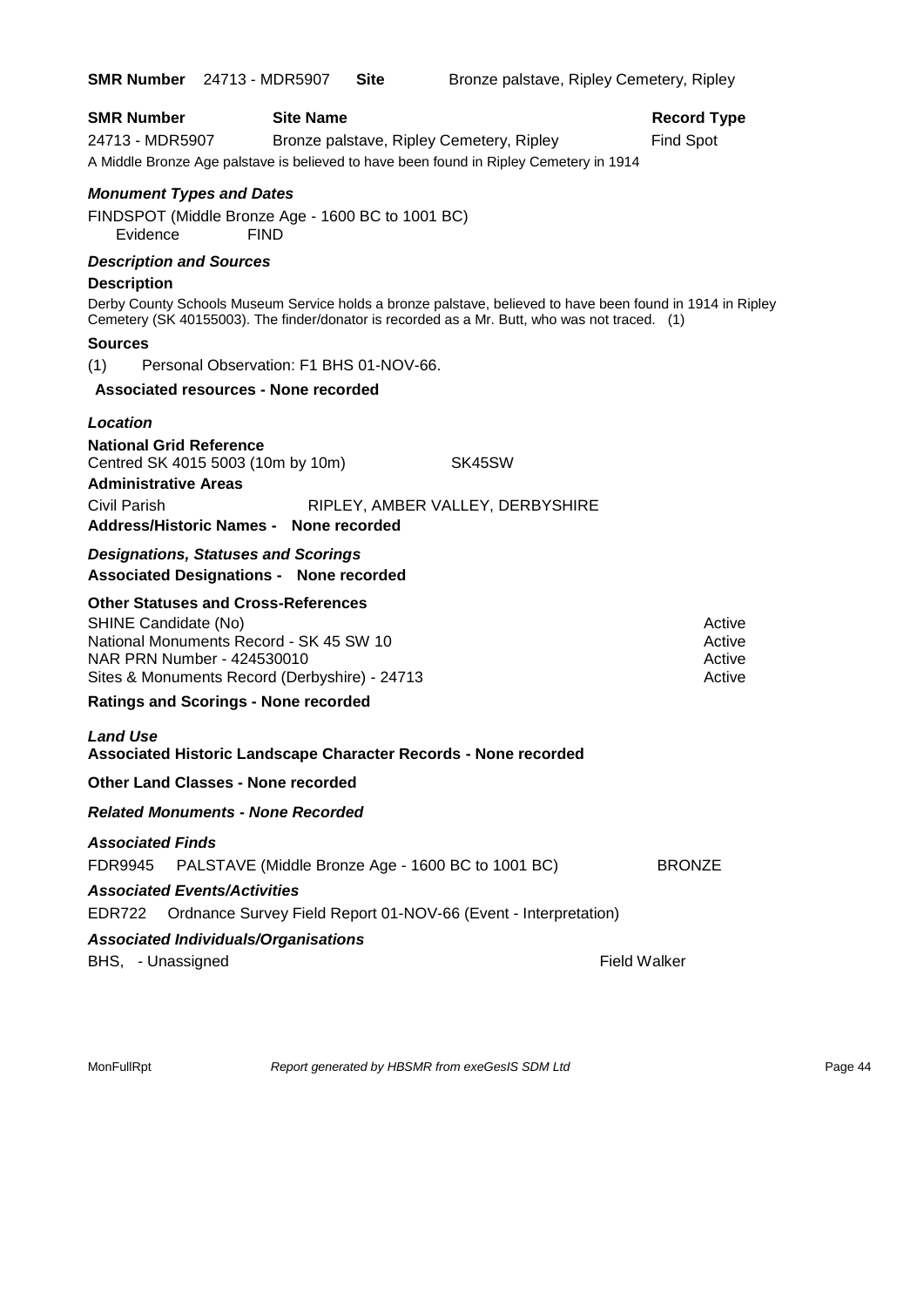| <b>SMR Number</b> 24713 - MDR5907                                                                                                                                                                                                           | <b>Site</b><br>Bronze palstave, Ripley Cemetery, Ripley                                                                                                                                                     |
|---------------------------------------------------------------------------------------------------------------------------------------------------------------------------------------------------------------------------------------------|-------------------------------------------------------------------------------------------------------------------------------------------------------------------------------------------------------------|
| <b>SMR Number</b><br><b>Site Name</b><br>24713 - MDR5907<br>A Middle Bronze Age palstave is believed to have been found in Ripley Cemetery in 1914                                                                                          | <b>Record Type</b><br><b>Find Spot</b><br>Bronze palstave, Ripley Cemetery, Ripley                                                                                                                          |
| <b>Monument Types and Dates</b><br>FINDSPOT (Middle Bronze Age - 1600 BC to 1001 BC)<br><b>FIND</b><br>Evidence                                                                                                                             |                                                                                                                                                                                                             |
| <b>Description and Sources</b><br><b>Description</b>                                                                                                                                                                                        | Derby County Schools Museum Service holds a bronze palstave, believed to have been found in 1914 in Ripley<br>Cemetery (SK 40155003). The finder/donator is recorded as a Mr. Butt, who was not traced. (1) |
| <b>Sources</b><br>Personal Observation: F1 BHS 01-NOV-66.<br>(1)<br>Associated resources - None recorded                                                                                                                                    |                                                                                                                                                                                                             |
| Location<br><b>National Grid Reference</b><br>Centred SK 4015 5003 (10m by 10m)<br><b>Administrative Areas</b><br><b>Civil Parish</b><br>Address/Historic Names - None recorded                                                             | SK45SW<br>RIPLEY, AMBER VALLEY, DERBYSHIRE                                                                                                                                                                  |
| <b>Designations, Statuses and Scorings</b><br><b>Associated Designations - None recorded</b>                                                                                                                                                |                                                                                                                                                                                                             |
| <b>Other Statuses and Cross-References</b><br>SHINE Candidate (No)<br>National Monuments Record - SK 45 SW 10<br>NAR PRN Number - 424530010<br>Sites & Monuments Record (Derbyshire) - 24713<br><b>Ratings and Scorings - None recorded</b> | Active<br>Active<br>Active<br>Active                                                                                                                                                                        |
| <b>Land Use</b>                                                                                                                                                                                                                             |                                                                                                                                                                                                             |
| Associated Historic Landscape Character Records - None recorded<br><b>Other Land Classes - None recorded</b>                                                                                                                                |                                                                                                                                                                                                             |
| <b>Related Monuments - None Recorded</b>                                                                                                                                                                                                    |                                                                                                                                                                                                             |
| <b>Associated Finds</b><br>PALSTAVE (Middle Bronze Age - 1600 BC to 1001 BC)<br>FDR9945<br><b>Associated Events/Activities</b><br><b>EDR722</b>                                                                                             | <b>BRONZE</b><br>Ordnance Survey Field Report 01-NOV-66 (Event - Interpretation)                                                                                                                            |
| <b>Associated Individuals/Organisations</b><br>BHS, - Unassigned                                                                                                                                                                            | <b>Field Walker</b>                                                                                                                                                                                         |

MonFullRpt *Report generated by HBSMR from exeGesIS SDM Ltd Rage 44* Page 44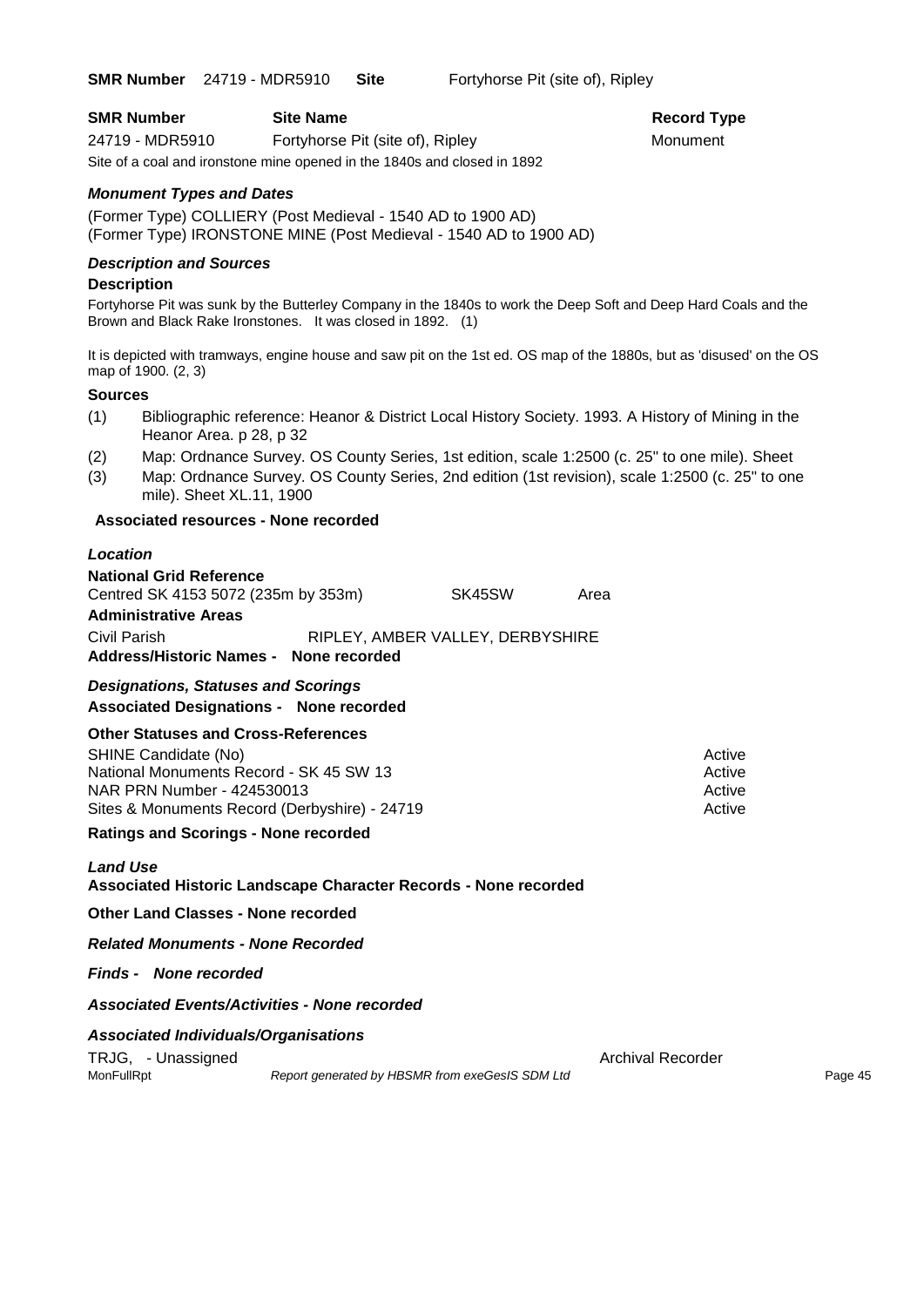**SMR Number** 24719 - MDR5910 **Site** Fortyhorse Pit (site of), Ripley

**Record Type** 

| <b>SMR Number</b> | <b>Site Name</b>                                                         | Record $T1$ |
|-------------------|--------------------------------------------------------------------------|-------------|
| 24719 - MDR5910   | Fortyhorse Pit (site of), Ripley                                         | Monument    |
|                   | Site of a coal and ironstone mine opened in the 1840s and closed in 1892 |             |

#### *Monument Types and Dates*

(Former Type) COLLIERY (Post Medieval - 1540 AD to 1900 AD) (Former Type) IRONSTONE MINE (Post Medieval - 1540 AD to 1900 AD)

#### *Description and Sources*

#### **Description**

Fortyhorse Pit was sunk by the Butterley Company in the 1840s to work the Deep Soft and Deep Hard Coals and the Brown and Black Rake Ironstones. It was closed in 1892. (1)

It is depicted with tramways, engine house and saw pit on the 1st ed. OS map of the 1880s, but as 'disused' on the OS map of 1900. (2, 3)

#### **Sources**

- (1) Bibliographic reference: Heanor & District Local History Society. 1993. A History of Mining in the Heanor Area. p 28, p 32
- (2) Map: Ordnance Survey. OS County Series, 1st edition, scale 1:2500 (c. 25" to one mile). Sheet
- (3) Map: Ordnance Survey. OS County Series, 2nd edition (1st revision), scale 1:2500 (c. 25" to one mile). Sheet XL.11, 1900

#### **Associated resources - None recorded**

#### *Location*

**National Grid Reference** Centred SK 4153 5072 (235m by 353m) SK45SW Area **Administrative Areas** Civil Parish RIPLEY, AMBER VALLEY, DERBYSHIRE **Address/Historic Names - None recorded**

#### *Designations, Statuses and Scorings* **Associated Designations - None recorded**

#### **Other Statuses and Cross-References**

SHINE Candidate (No) **Active** 3 Active 3 Active 3 Active 3 Active 3 Active 3 Active National Monuments Record - SK 45 SW 13<br>
NAR PRN Number - 424530013 NAR PRN Number - 424530013 Sites & Monuments Record (Derbyshire) - 24719 Active

**Ratings and Scorings - None recorded**

#### *Land Use*  **Associated Historic Landscape Character Records - None recorded**

**Other Land Classes - None recorded**

#### *Related Monuments - None Recorded*

*Finds - None recorded*

#### *Associated Events/Activities - None recorded*

#### *Associated Individuals/Organisations*

TRJG, - Unassigned Archival Recorder Archival Recorder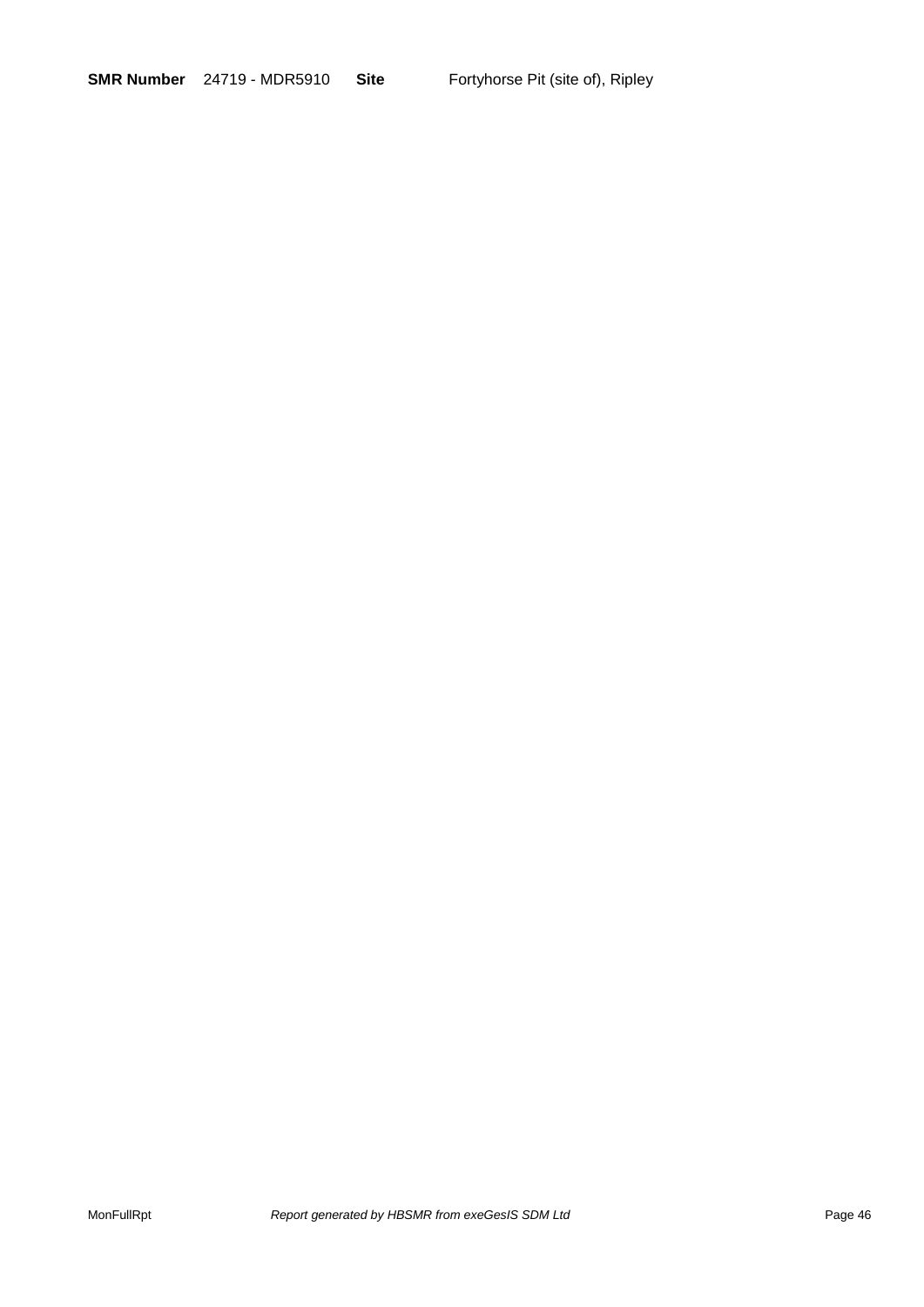**SMR Number** 24719 - MDR5910 **Site** Fortyhorse Pit (site of), Ripley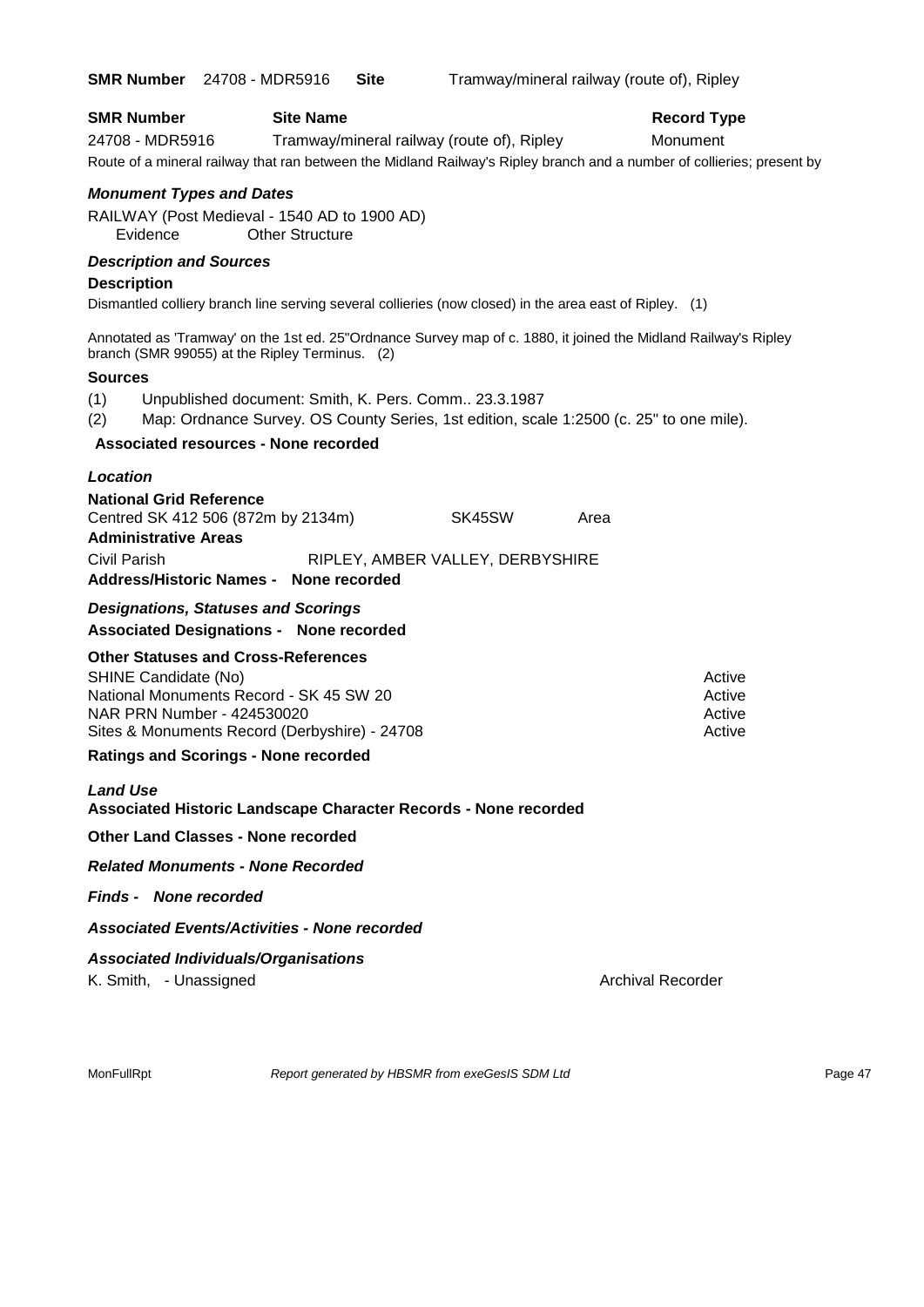|                                                                                      | <b>SMR Number</b> 24708 - MDR5916                                                                                                                                    | <b>Site</b> | Tramway/mineral railway (route of), Ripley |      |                                                                                                                                                          |
|--------------------------------------------------------------------------------------|----------------------------------------------------------------------------------------------------------------------------------------------------------------------|-------------|--------------------------------------------|------|----------------------------------------------------------------------------------------------------------------------------------------------------------|
| <b>SMR Number</b><br>24708 - MDR5916                                                 | <b>Site Name</b>                                                                                                                                                     |             | Tramway/mineral railway (route of), Ripley |      | <b>Record Type</b><br>Monument<br>Route of a mineral railway that ran between the Midland Railway's Ripley branch and a number of collieries; present by |
| <b>Monument Types and Dates</b><br>Evidence                                          | RAILWAY (Post Medieval - 1540 AD to 1900 AD)<br><b>Other Structure</b>                                                                                               |             |                                            |      |                                                                                                                                                          |
| <b>Description and Sources</b>                                                       |                                                                                                                                                                      |             |                                            |      |                                                                                                                                                          |
| <b>Description</b>                                                                   | Dismantled colliery branch line serving several collieries (now closed) in the area east of Ripley. (1)                                                              |             |                                            |      |                                                                                                                                                          |
|                                                                                      | Annotated as 'Tramway' on the 1st ed. 25"Ordnance Survey map of c. 1880, it joined the Midland Railway's Ripley<br>branch (SMR 99055) at the Ripley Terminus. (2)    |             |                                            |      |                                                                                                                                                          |
| <b>Sources</b>                                                                       |                                                                                                                                                                      |             |                                            |      |                                                                                                                                                          |
| (1)<br>(2)                                                                           | Unpublished document: Smith, K. Pers. Comm 23.3.1987<br>Map: Ordnance Survey. OS County Series, 1st edition, scale 1:2500 (c. 25" to one mile).                      |             |                                            |      |                                                                                                                                                          |
|                                                                                      | Associated resources - None recorded                                                                                                                                 |             |                                            |      |                                                                                                                                                          |
| Location                                                                             |                                                                                                                                                                      |             |                                            |      |                                                                                                                                                          |
| <b>National Grid Reference</b><br><b>Administrative Areas</b><br><b>Civil Parish</b> | Centred SK 412 506 (872m by 2134m)                                                                                                                                   |             | SK45SW<br>RIPLEY, AMBER VALLEY, DERBYSHIRE | Area |                                                                                                                                                          |
|                                                                                      | Address/Historic Names - None recorded                                                                                                                               |             |                                            |      |                                                                                                                                                          |
|                                                                                      | <b>Designations, Statuses and Scorings</b><br><b>Associated Designations - None recorded</b>                                                                         |             |                                            |      |                                                                                                                                                          |
| SHINE Candidate (No)                                                                 | <b>Other Statuses and Cross-References</b><br>National Monuments Record - SK 45 SW 20<br>NAR PRN Number - 424530020<br>Sites & Monuments Record (Derbyshire) - 24708 |             |                                            |      | Active<br>Active<br>Active<br>Active                                                                                                                     |
|                                                                                      | <b>Ratings and Scorings - None recorded</b>                                                                                                                          |             |                                            |      |                                                                                                                                                          |
| <b>Land Use</b>                                                                      | Associated Historic Landscape Character Records - None recorded                                                                                                      |             |                                            |      |                                                                                                                                                          |
|                                                                                      | <b>Other Land Classes - None recorded</b>                                                                                                                            |             |                                            |      |                                                                                                                                                          |
|                                                                                      | <b>Related Monuments - None Recorded</b>                                                                                                                             |             |                                            |      |                                                                                                                                                          |
| <b>Finds - None recorded</b>                                                         |                                                                                                                                                                      |             |                                            |      |                                                                                                                                                          |
|                                                                                      | <b>Associated Events/Activities - None recorded</b>                                                                                                                  |             |                                            |      |                                                                                                                                                          |
|                                                                                      | <b>Associated Individuals/Organisations</b>                                                                                                                          |             |                                            |      |                                                                                                                                                          |
| K. Smith, - Unassigned                                                               |                                                                                                                                                                      |             |                                            |      | <b>Archival Recorder</b>                                                                                                                                 |
|                                                                                      |                                                                                                                                                                      |             |                                            |      |                                                                                                                                                          |

MonFullRpt *Report generated by HBSMR from exeGesIS SDM Ltd Rage 47* Page 47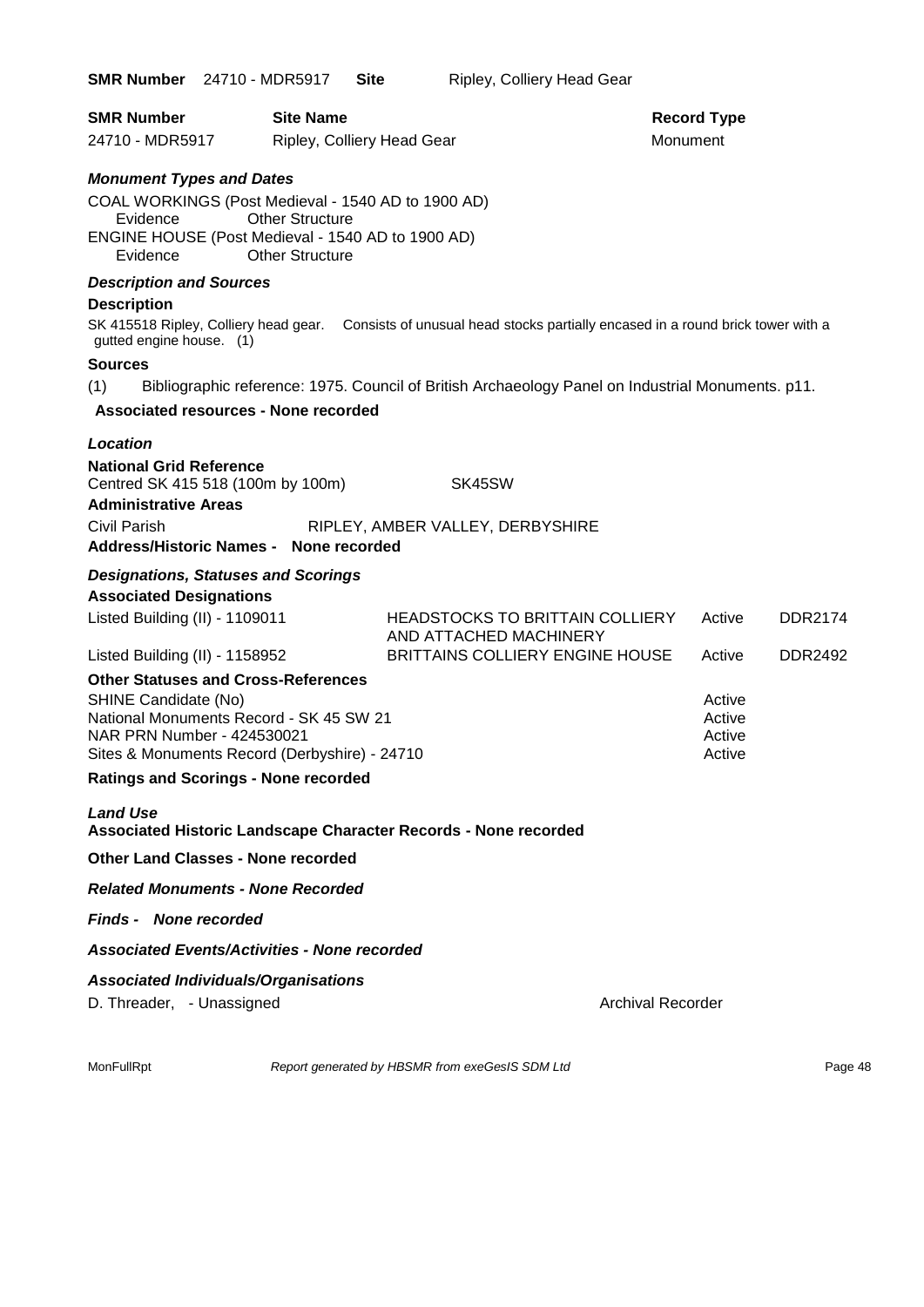| <b>SMR Number</b> 24710 - MDR5917 | Site | Ripley, Colliery Head Gear |
|-----------------------------------|------|----------------------------|
|-----------------------------------|------|----------------------------|

| <b>SMR Number</b> | <b>Site Name</b>           | <b>Record Ty</b> |
|-------------------|----------------------------|------------------|
| 24710 - MDR5917   | Ripley, Colliery Head Gear | Monument         |

# **Record Type**

#### *Monument Types and Dates*

COAL WORKINGS (Post Medieval - 1540 AD to 1900 AD) Evidence Other Structure ENGINE HOUSE (Post Medieval - 1540 AD to 1900 AD) Evidence Other Structure

#### *Description and Sources*

#### **Description**

SK 415518 Ripley, Colliery head gear. Consists of unusual head stocks partially encased in a round brick tower with a gutted engine house. (1)

#### **Sources**

(1) Bibliographic reference: 1975. Council of British Archaeology Panel on Industrial Monuments. p11.

#### **Associated resources - None recorded**

#### *Location*

**National Grid Reference** Centred SK 415 518 (100m by 100m) SK45SW **Administrative Areas**

Civil Parish RIPLEY, AMBER VALLEY, DERBYSHIRE

#### **Address/Historic Names - None recorded**

### *Designations, Statuses and Scorings*

#### **Associated Designations**

| <b>HEADSTOCKS TO BRITTAIN COLLIERY</b><br>AND ATTACHED MACHINERY | Active                                                                                   | DDR2174        |
|------------------------------------------------------------------|------------------------------------------------------------------------------------------|----------------|
| <b>BRITTAINS COLLIERY ENGINE HOUSE</b>                           | Active                                                                                   | <b>DDR2492</b> |
|                                                                  |                                                                                          |                |
|                                                                  | Active                                                                                   |                |
|                                                                  | Active                                                                                   |                |
|                                                                  | Active                                                                                   |                |
|                                                                  | Active                                                                                   |                |
|                                                                  |                                                                                          |                |
|                                                                  | National Monuments Record - SK 45 SW 21<br>Sites & Monuments Record (Derbyshire) - 24710 |                |

#### *Land Use*  **Associated Historic Landscape Character Records - None recorded**

#### **Other Land Classes - None recorded**

#### *Related Monuments - None Recorded*

#### *Finds - None recorded*

#### *Associated Events/Activities - None recorded*

#### *Associated Individuals/Organisations*

D. Threader, - Unassigned Archival Recorder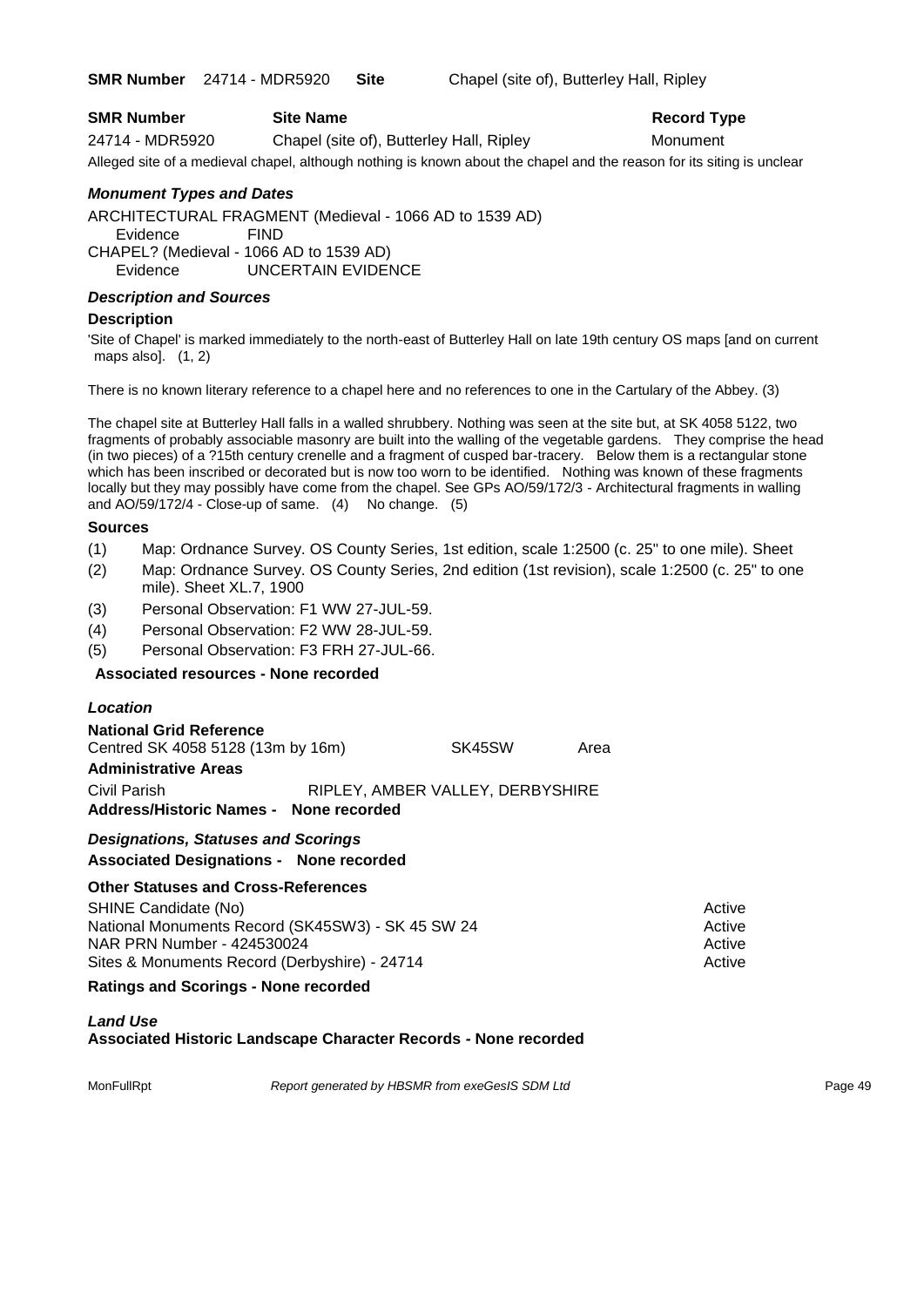**SMR Number** 24714 - MDR5920 **Site** Chapel (site of), Butterley Hall, Ripley

| <b>SMR Number</b><br><b>Site Name</b> |  |
|---------------------------------------|--|
|---------------------------------------|--|

24714 - MDR5920 Chapel (site of), Butterley Hall, Ripley Monument

Alleged site of a medieval chapel, although nothing is known about the chapel and the reason for its siting is unclear

#### *Monument Types and Dates*

ARCHITECTURAL FRAGMENT (Medieval - 1066 AD to 1539 AD) Evidence FIND CHAPEL? (Medieval - 1066 AD to 1539 AD) Evidence UNCERTAIN EVIDENCE

#### *Description and Sources*

#### **Description**

'Site of Chapel' is marked immediately to the north-east of Butterley Hall on late 19th century OS maps [and on current maps also].  $(1, 2)$ 

There is no known literary reference to a chapel here and no references to one in the Cartulary of the Abbey. (3)

The chapel site at Butterley Hall falls in a walled shrubbery. Nothing was seen at the site but, at SK 4058 5122, two fragments of probably associable masonry are built into the walling of the vegetable gardens. They comprise the head (in two pieces) of a ?15th century crenelle and a fragment of cusped bar-tracery. Below them is a rectangular stone which has been inscribed or decorated but is now too worn to be identified. Nothing was known of these fragments locally but they may possibly have come from the chapel. See GPs AO/59/172/3 - Architectural fragments in walling and AO/59/172/4 - Close-up of same. (4) No change. (5)

#### **Sources**

- (1) Map: Ordnance Survey. OS County Series, 1st edition, scale 1:2500 (c. 25" to one mile). Sheet
- (2) Map: Ordnance Survey. OS County Series, 2nd edition (1st revision), scale 1:2500 (c. 25" to one mile). Sheet XL.7, 1900
- (3) Personal Observation: F1 WW 27-JUL-59.
- (4) Personal Observation: F2 WW 28-JUL-59.
- (5) Personal Observation: F3 FRH 27-JUL-66.

#### **Associated resources - None recorded**

| <b>Location</b>                                                                                                  |                                  |      |                  |
|------------------------------------------------------------------------------------------------------------------|----------------------------------|------|------------------|
| <b>National Grid Reference</b><br>Centred SK 4058 5128 (13m by 16m)<br><b>Administrative Areas</b>               | SK45SW                           | Area |                  |
| Civil Parish<br>Address/Historic Names - None recorded                                                           | RIPLEY, AMBER VALLEY, DERBYSHIRE |      |                  |
| <b>Designations, Statuses and Scorings</b><br><b>Associated Designations - None recorded</b>                     |                                  |      |                  |
| Other Statuses and Cross-References<br>SHINE Candidate (No)<br>National Monuments Record (SK45SW3) - SK 45 SW 24 |                                  |      | Active<br>Active |

#### **Ratings and Scorings - None recorded**

#### *Land Use*  **Associated Historic Landscape Character Records - None recorded**

MonFullRpt *Report generated by HBSMR from exeGesIS SDM Ltd Report generated by HBSMR from exeGesIS SDM Ltd* 

NAR PRN Number - 424530024 Active Active Active Active Active Sites & Monuments Record (Derbyshire) - 24714 Active

# **Record Type**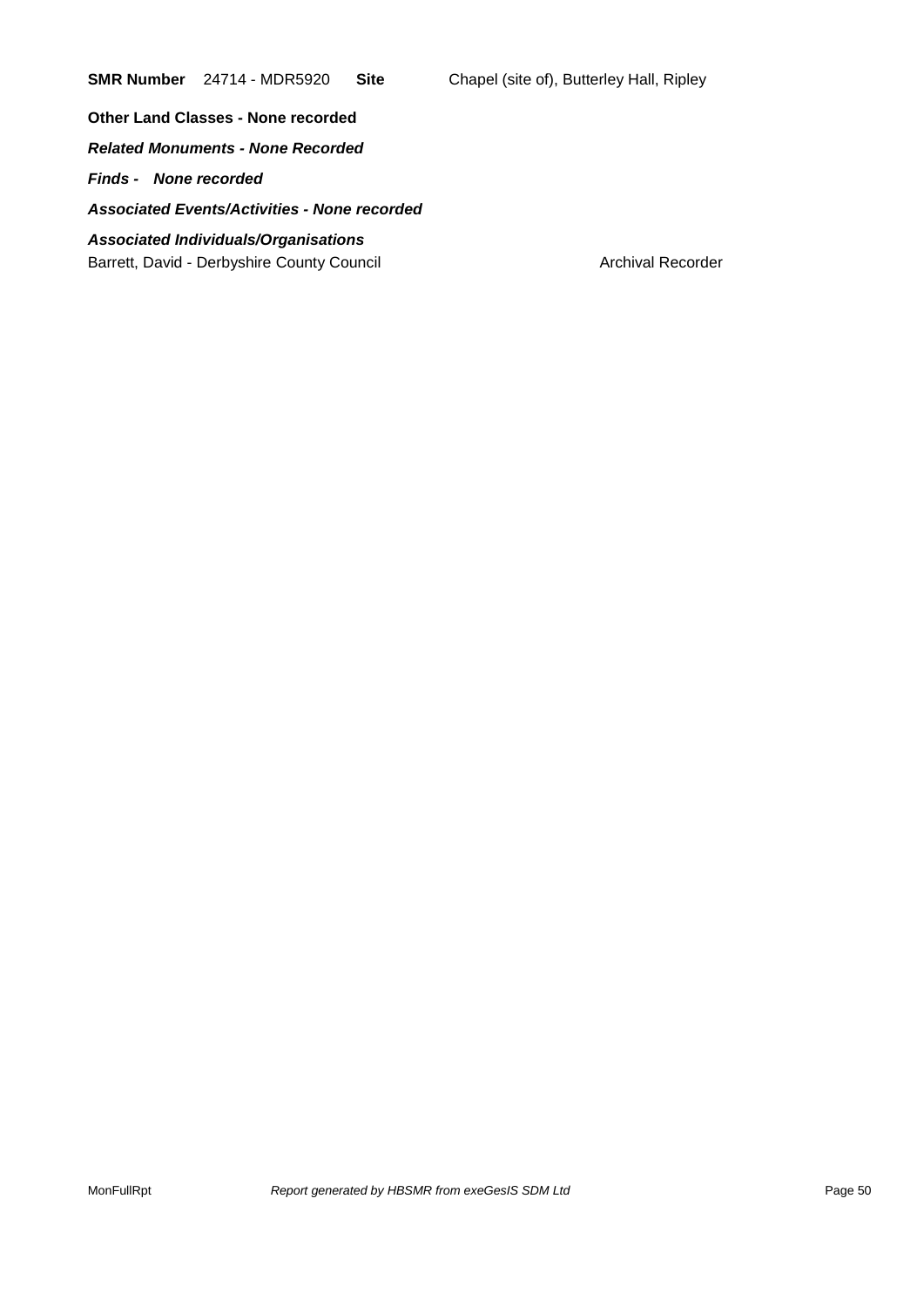**SMR Number** 24714 - MDR5920 **Site** Chapel (site of), Butterley Hall, Ripley

**Other Land Classes - None recorded**

*Related Monuments - None Recorded*

*Finds - None recorded*

*Associated Events/Activities - None recorded*

#### *Associated Individuals/Organisations* Barrett, David - Derbyshire County Council **Archival Recorder** Archival Recorder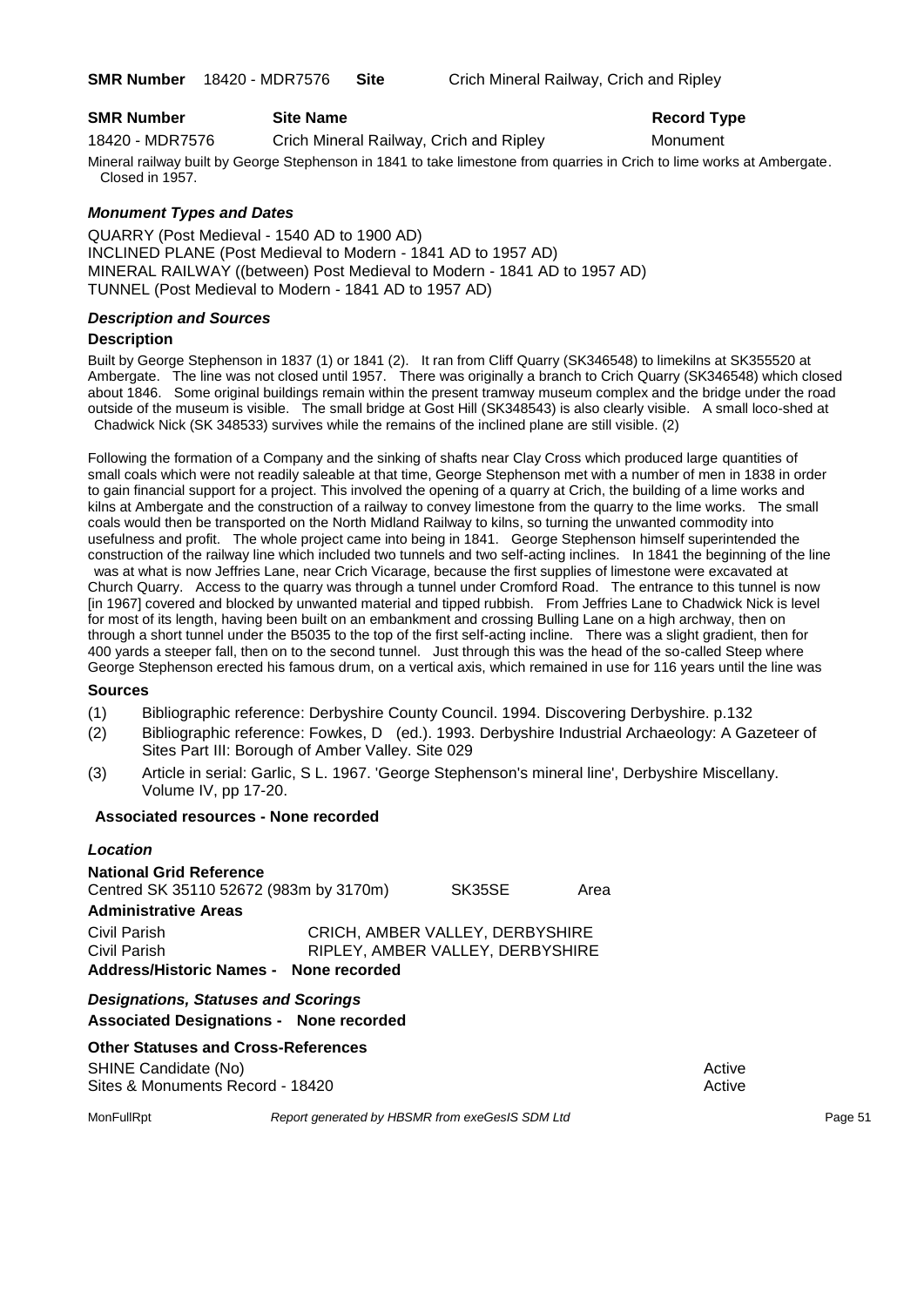**SMR Number** 18420 - MDR7576 **Site** Crich Mineral Railway, Crich and Ripley

| <b>SMR Number</b> |  | <b>Site Name</b> |
|-------------------|--|------------------|
|                   |  |                  |

18420 - MDR7576 Crich Mineral Railway, Crich and Ripley Monument

**Record Type** 

Mineral railway built by George Stephenson in 1841 to take limestone from quarries in Crich to lime works at Ambergate. Closed in 1957.

#### *Monument Types and Dates*

QUARRY (Post Medieval - 1540 AD to 1900 AD) INCLINED PLANE (Post Medieval to Modern - 1841 AD to 1957 AD) MINERAL RAILWAY ((between) Post Medieval to Modern - 1841 AD to 1957 AD) TUNNEL (Post Medieval to Modern - 1841 AD to 1957 AD)

#### *Description and Sources*

#### **Description**

Built by George Stephenson in 1837 (1) or 1841 (2). It ran from Cliff Quarry (SK346548) to limekilns at SK355520 at Ambergate. The line was not closed until 1957. There was originally a branch to Crich Quarry (SK346548) which closed about 1846. Some original buildings remain within the present tramway museum complex and the bridge under the road outside of the museum is visible. The small bridge at Gost Hill (SK348543) is also clearly visible. A small loco-shed at Chadwick Nick (SK 348533) survives while the remains of the inclined plane are still visible. (2)

Following the formation of a Company and the sinking of shafts near Clay Cross which produced large quantities of small coals which were not readily saleable at that time, George Stephenson met with a number of men in 1838 in order to gain financial support for a project. This involved the opening of a quarry at Crich, the building of a lime works and kilns at Ambergate and the construction of a railway to convey limestone from the quarry to the lime works. The small coals would then be transported on the North Midland Railway to kilns, so turning the unwanted commodity into usefulness and profit. The whole project came into being in 1841. George Stephenson himself superintended the construction of the railway line which included two tunnels and two self-acting inclines. In 1841 the beginning of the line was at what is now Jeffries Lane, near Crich Vicarage, because the first supplies of limestone were excavated at Church Quarry. Access to the quarry was through a tunnel under Cromford Road. The entrance to this tunnel is now [in 1967] covered and blocked by unwanted material and tipped rubbish. From Jeffries Lane to Chadwick Nick is level for most of its length, having been built on an embankment and crossing Bulling Lane on a high archway, then on through a short tunnel under the B5035 to the top of the first self-acting incline. There was a slight gradient, then for 400 yards a steeper fall, then on to the second tunnel. Just through this was the head of the so-called Steep where George Stephenson erected his famous drum, on a vertical axis, which remained in use for 116 years until the line was

#### **Sources**

- (1) Bibliographic reference: Derbyshire County Council. 1994. Discovering Derbyshire. p.132
- (2) Bibliographic reference: Fowkes, D (ed.). 1993. Derbyshire Industrial Archaeology: A Gazeteer of Sites Part III: Borough of Amber Valley. Site 029
- (3) Article in serial: Garlic, S L. 1967. 'George Stephenson's mineral line', Derbyshire Miscellany. Volume IV, pp 17-20.

#### **Associated resources - None recorded**

#### *Location* **National Grid Reference**

| <b>Designations, Statuses and Scorings</b><br><b>Associated Designations - None recorded</b> |  |                                                                     |      |
|----------------------------------------------------------------------------------------------|--|---------------------------------------------------------------------|------|
| Civil Parish<br>Civil Parish<br>Address/Historic Names - None recorded                       |  | CRICH, AMBER VALLEY, DERBYSHIRE<br>RIPLEY, AMBER VALLEY, DERBYSHIRE |      |
| <b>Administrative Areas</b>                                                                  |  |                                                                     |      |
| National Grid Reference<br>Centred SK 35110 52672 (983m by 3170m)                            |  | SK35SE                                                              | Area |

#### **Other Statuses and Cross-References**

SHINE Candidate (No) **Active** Active 30 Active 30 Active 30 Active 30 Active 30 Active Sites & Monuments Record - 18420 Active Active Active Active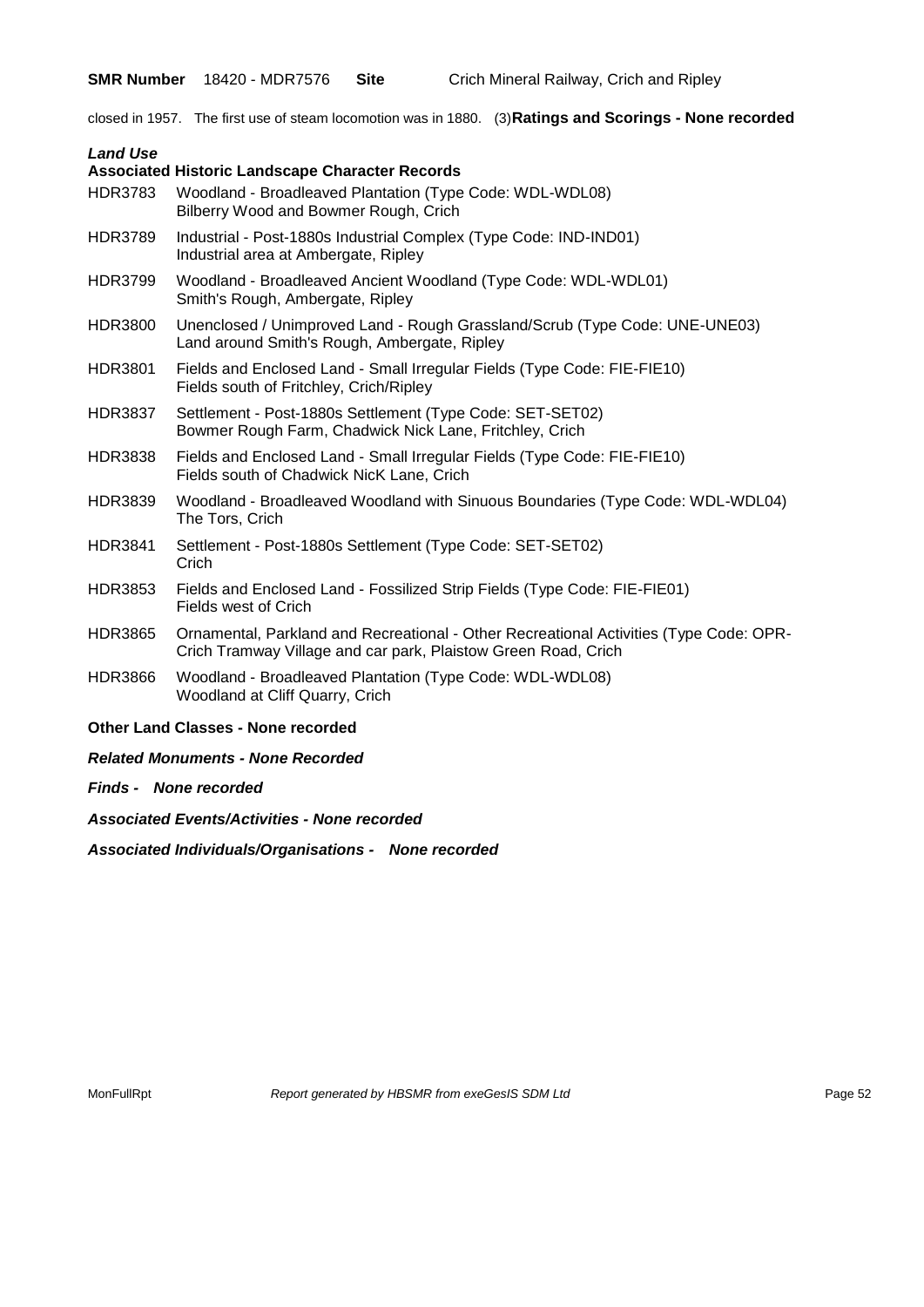**SMR Number** 18420 - MDR7576 **Site** Crich Mineral Railway, Crich and Ripley

closed in 1957. The first use of steam locomotion was in 1880. (3)**Ratings and Scorings - None recorded**

| <b>Land Use</b> |                                                                                                                                                          |
|-----------------|----------------------------------------------------------------------------------------------------------------------------------------------------------|
|                 | <b>Associated Historic Landscape Character Records</b>                                                                                                   |
| <b>HDR3783</b>  | Woodland - Broadleaved Plantation (Type Code: WDL-WDL08)<br>Bilberry Wood and Bowmer Rough, Crich                                                        |
| <b>HDR3789</b>  | Industrial - Post-1880s Industrial Complex (Type Code: IND-IND01)<br>Industrial area at Ambergate, Ripley                                                |
| <b>HDR3799</b>  | Woodland - Broadleaved Ancient Woodland (Type Code: WDL-WDL01)<br>Smith's Rough, Ambergate, Ripley                                                       |
| HDR3800         | Unenclosed / Unimproved Land - Rough Grassland/Scrub (Type Code: UNE-UNE03)<br>Land around Smith's Rough, Ambergate, Ripley                              |
| <b>HDR3801</b>  | Fields and Enclosed Land - Small Irregular Fields (Type Code: FIE-FIE10)<br>Fields south of Fritchley, Crich/Ripley                                      |
| <b>HDR3837</b>  | Settlement - Post-1880s Settlement (Type Code: SET-SET02)<br>Bowmer Rough Farm, Chadwick Nick Lane, Fritchley, Crich                                     |
| <b>HDR3838</b>  | Fields and Enclosed Land - Small Irregular Fields (Type Code: FIE-FIE10)<br>Fields south of Chadwick NicK Lane, Crich                                    |
| HDR3839         | Woodland - Broadleaved Woodland with Sinuous Boundaries (Type Code: WDL-WDL04)<br>The Tors, Crich                                                        |
| <b>HDR3841</b>  | Settlement - Post-1880s Settlement (Type Code: SET-SET02)<br>Crich                                                                                       |
| <b>HDR3853</b>  | Fields and Enclosed Land - Fossilized Strip Fields (Type Code: FIE-FIE01)<br>Fields west of Crich                                                        |
| <b>HDR3865</b>  | Ornamental, Parkland and Recreational - Other Recreational Activities (Type Code: OPR-<br>Crich Tramway Village and car park, Plaistow Green Road, Crich |
| <b>HDR3866</b>  | Woodland - Broadleaved Plantation (Type Code: WDL-WDL08)<br>Woodland at Cliff Quarry, Crich                                                              |
|                 | <b>Other Land Classes - None recorded</b>                                                                                                                |
|                 | <b>Related Monuments - None Recorded</b>                                                                                                                 |
|                 | <b>Finds - None recorded</b>                                                                                                                             |
|                 | <b>Associated Events/Activities - None recorded</b>                                                                                                      |

MonFullRpt *Report generated by HBSMR from exeGesIS SDM Ltd Rage 52* Page 52

*Associated Individuals/Organisations - None recorded*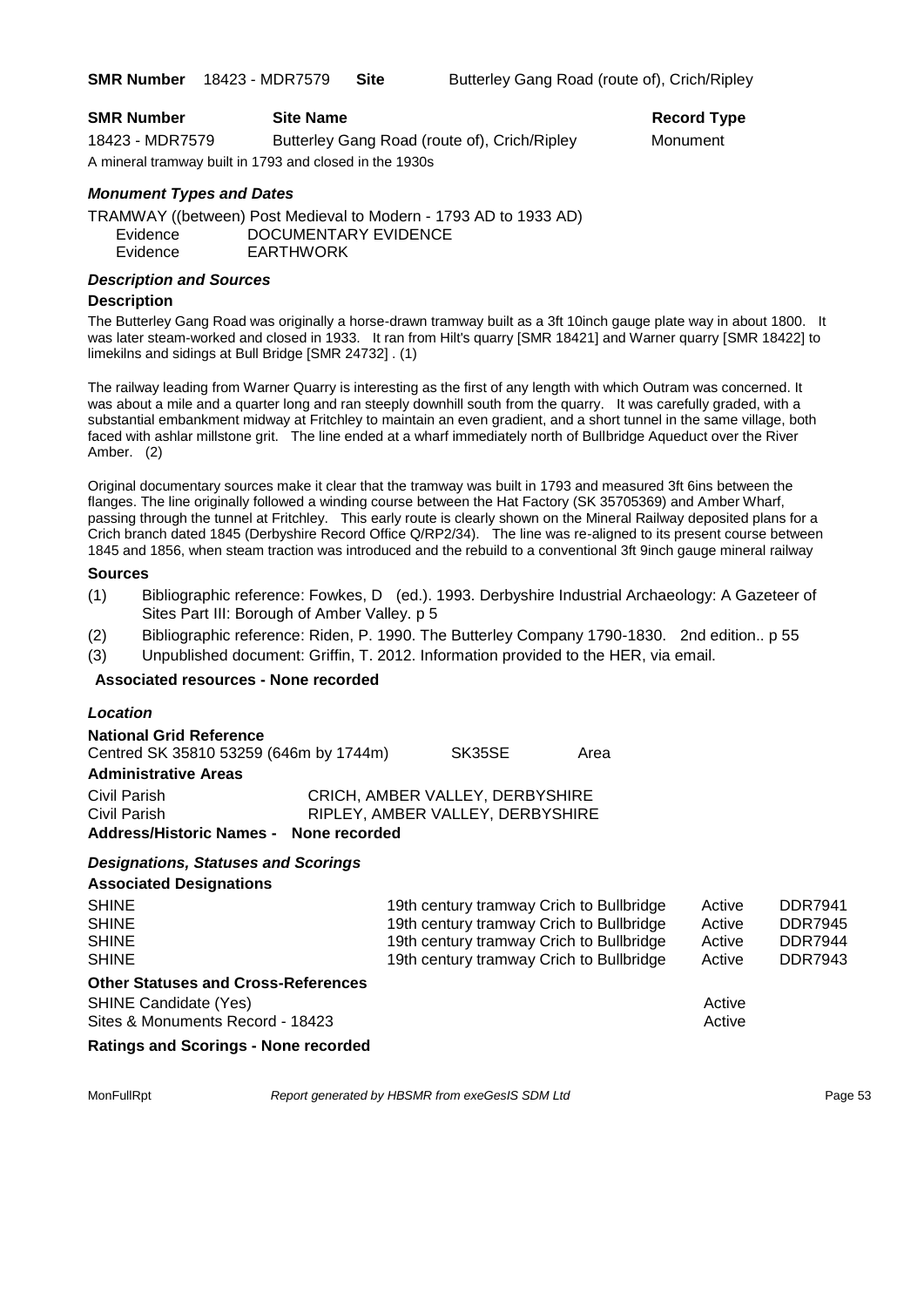**Record Type** 

| <b>SMR Number</b>                                       | <b>Site Name</b>                             | Record Ty |
|---------------------------------------------------------|----------------------------------------------|-----------|
| 18423 - MDR7579                                         | Butterley Gang Road (route of), Crich/Ripley | Monument  |
| A mineral tramway built in 1793 and closed in the 1930s |                                              |           |

#### *Monument Types and Dates*

TRAMWAY ((between) Post Medieval to Modern - 1793 AD to 1933 AD) Evidence DOCUMENTARY EVIDENCE Evidence EARTHWORK

#### *Description and Sources*

#### **Description**

The Butterley Gang Road was originally a horse-drawn tramway built as a 3ft 10inch gauge plate way in about 1800. It was later steam-worked and closed in 1933. It ran from Hilt's quarry [SMR 18421] and Warner quarry [SMR 18422] to limekilns and sidings at Bull Bridge [SMR 24732] . (1)

The railway leading from Warner Quarry is interesting as the first of any length with which Outram was concerned. It was about a mile and a quarter long and ran steeply downhill south from the quarry. It was carefully graded, with a substantial embankment midway at Fritchley to maintain an even gradient, and a short tunnel in the same village, both faced with ashlar millstone grit. The line ended at a wharf immediately north of Bullbridge Aqueduct over the River Amber. (2)

Original documentary sources make it clear that the tramway was built in 1793 and measured 3ft 6ins between the flanges. The line originally followed a winding course between the Hat Factory (SK 35705369) and Amber Wharf, passing through the tunnel at Fritchley. This early route is clearly shown on the Mineral Railway deposited plans for a Crich branch dated 1845 (Derbyshire Record Office Q/RP2/34). The line was re-aligned to its present course between 1845 and 1856, when steam traction was introduced and the rebuild to a conventional 3ft 9inch gauge mineral railway

#### **Sources**

- (1) Bibliographic reference: Fowkes, D (ed.). 1993. Derbyshire Industrial Archaeology: A Gazeteer of Sites Part III: Borough of Amber Valley. p 5
- (2) Bibliographic reference: Riden, P. 1990. The Butterley Company 1790-1830. 2nd edition.. p 55
- (3) Unpublished document: Griffin, T. 2012. Information provided to the HER, via email.

#### **Associated resources - None recorded**

| Location                                                         |                                                                                      |                                          |      |                  |                |
|------------------------------------------------------------------|--------------------------------------------------------------------------------------|------------------------------------------|------|------------------|----------------|
| <b>National Grid Reference</b>                                   |                                                                                      |                                          |      |                  |                |
| Centred SK 35810 53259 (646m by 1744m)                           |                                                                                      | SK35SE                                   | Area |                  |                |
| <b>Administrative Areas</b>                                      |                                                                                      |                                          |      |                  |                |
| Civil Parish<br>Civil Parish<br><b>Address/Historic Names -</b>  | CRICH, AMBER VALLEY, DERBYSHIRE<br>RIPLEY, AMBER VALLEY, DERBYSHIRE<br>None recorded |                                          |      |                  |                |
| <b>Designations, Statuses and Scorings</b>                       |                                                                                      |                                          |      |                  |                |
| <b>Associated Designations</b>                                   |                                                                                      |                                          |      |                  |                |
| <b>SHINE</b>                                                     |                                                                                      | 19th century tramway Crich to Bullbridge |      | Active           | <b>DDR7941</b> |
| <b>SHINE</b>                                                     |                                                                                      | 19th century tramway Crich to Bullbridge |      | Active           | <b>DDR7945</b> |
| <b>SHINE</b>                                                     |                                                                                      | 19th century tramway Crich to Bullbridge |      | Active           | <b>DDR7944</b> |
| <b>SHINE</b>                                                     |                                                                                      | 19th century tramway Crich to Bullbridge |      | Active           | <b>DDR7943</b> |
| <b>Other Statuses and Cross-References</b>                       |                                                                                      |                                          |      |                  |                |
| <b>SHINE Candidate (Yes)</b><br>Sites & Monuments Record - 18423 |                                                                                      |                                          |      | Active<br>Active |                |
| <b>Ratings and Scorings - None recorded</b>                      |                                                                                      |                                          |      |                  |                |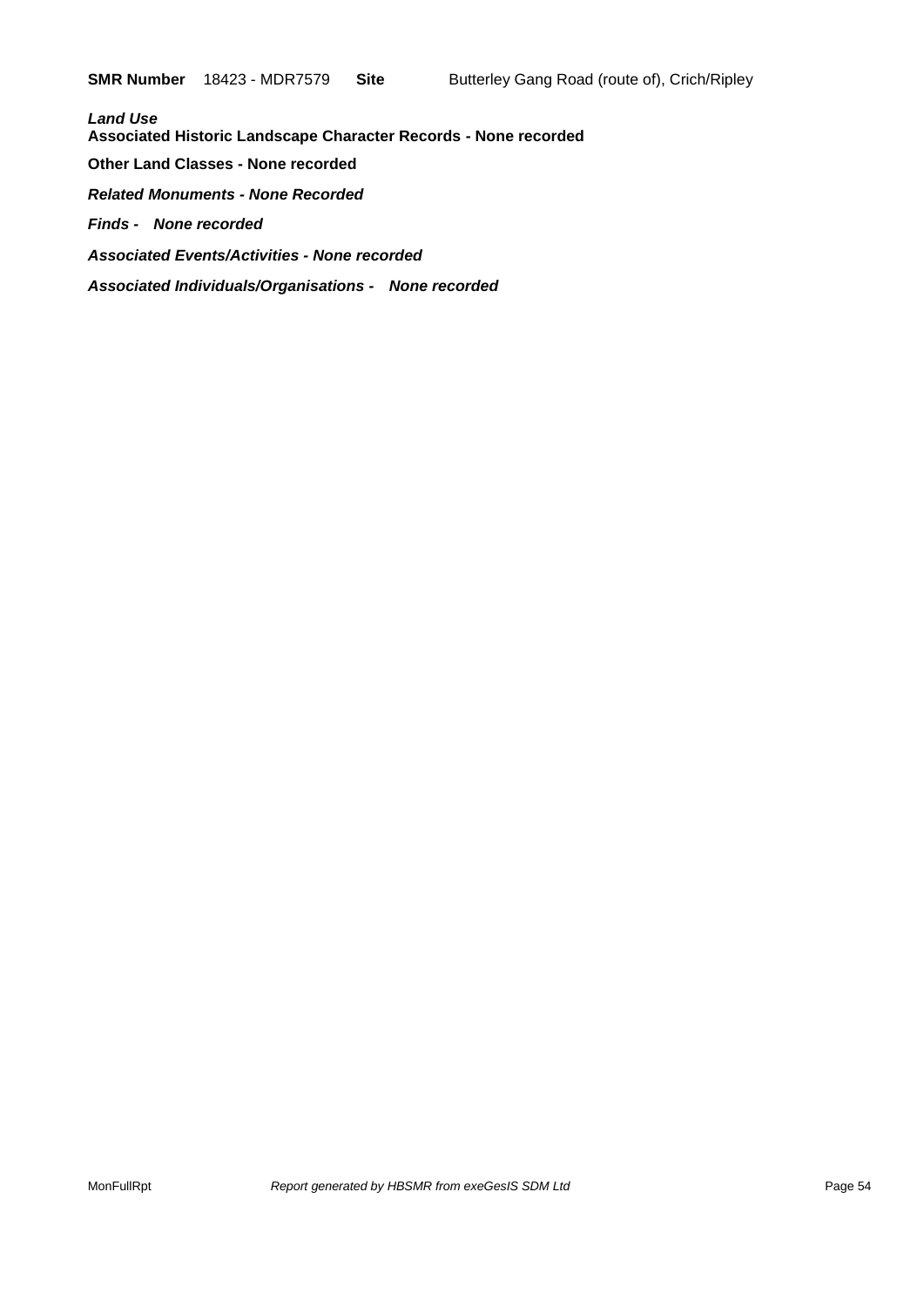*Land Use*  **Associated Historic Landscape Character Records - None recorded Other Land Classes - None recorded** *Related Monuments - None Recorded Finds - None recorded Associated Events/Activities - None recorded Associated Individuals/Organisations - None recorded*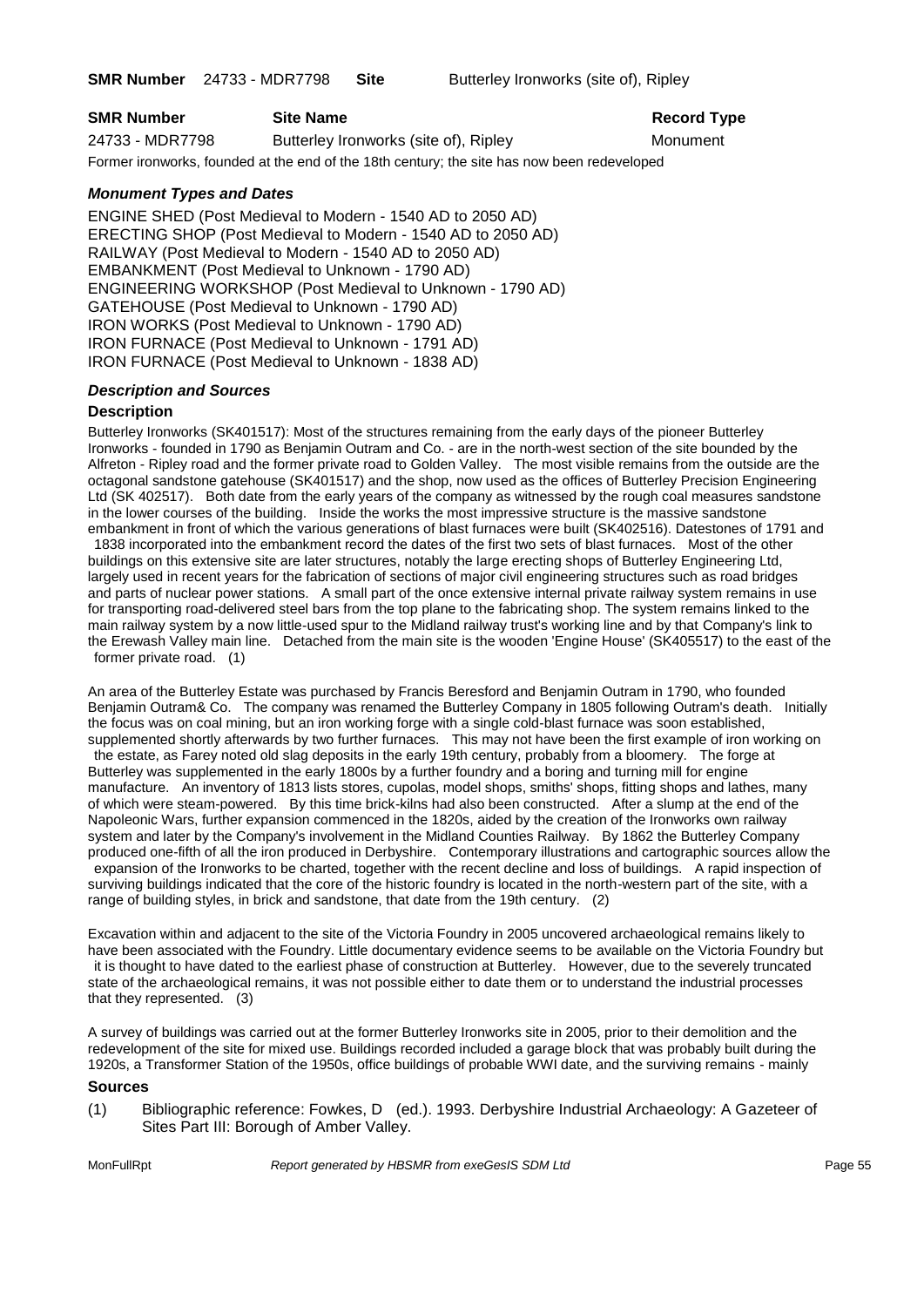**SMR Number** 24733 - MDR7798 **Site** Butterley Ironworks (site of), Ripley

| <b>SMR Number</b> | <b>Site Name</b>                      | <b>Record Type</b> |
|-------------------|---------------------------------------|--------------------|
| 24733 - MDR7798   | Butterley Ironworks (site of), Ripley | Monument           |

Former ironworks, founded at the end of the 18th century; the site has now been redeveloped

#### *Monument Types and Dates*

ENGINE SHED (Post Medieval to Modern - 1540 AD to 2050 AD) ERECTING SHOP (Post Medieval to Modern - 1540 AD to 2050 AD) RAILWAY (Post Medieval to Modern - 1540 AD to 2050 AD) EMBANKMENT (Post Medieval to Unknown - 1790 AD) ENGINEERING WORKSHOP (Post Medieval to Unknown - 1790 AD) GATEHOUSE (Post Medieval to Unknown - 1790 AD) IRON WORKS (Post Medieval to Unknown - 1790 AD) IRON FURNACE (Post Medieval to Unknown - 1791 AD) IRON FURNACE (Post Medieval to Unknown - 1838 AD)

#### *Description and Sources*

#### **Description**

Butterley Ironworks (SK401517): Most of the structures remaining from the early days of the pioneer Butterley Ironworks - founded in 1790 as Benjamin Outram and Co. - are in the north-west section of the site bounded by the Alfreton - Ripley road and the former private road to Golden Valley. The most visible remains from the outside are the octagonal sandstone gatehouse (SK401517) and the shop, now used as the offices of Butterley Precision Engineering Ltd (SK 402517). Both date from the early years of the company as witnessed by the rough coal measures sandstone in the lower courses of the building. Inside the works the most impressive structure is the massive sandstone embankment in front of which the various generations of blast furnaces were built (SK402516). Datestones of 1791 and

1838 incorporated into the embankment record the dates of the first two sets of blast furnaces. Most of the other buildings on this extensive site are later structures, notably the large erecting shops of Butterley Engineering Ltd, largely used in recent years for the fabrication of sections of major civil engineering structures such as road bridges and parts of nuclear power stations. A small part of the once extensive internal private railway system remains in use for transporting road-delivered steel bars from the top plane to the fabricating shop. The system remains linked to the main railway system by a now little-used spur to the Midland railway trust's working line and by that Company's link to the Erewash Valley main line. Detached from the main site is the wooden 'Engine House' (SK405517) to the east of the former private road. (1)

An area of the Butterley Estate was purchased by Francis Beresford and Benjamin Outram in 1790, who founded Benjamin Outram& Co. The company was renamed the Butterley Company in 1805 following Outram's death. Initially the focus was on coal mining, but an iron working forge with a single cold-blast furnace was soon established, supplemented shortly afterwards by two further furnaces. This may not have been the first example of iron working on the estate, as Farey noted old slag deposits in the early 19th century, probably from a bloomery. The forge at Butterley was supplemented in the early 1800s by a further foundry and a boring and turning mill for engine manufacture. An inventory of 1813 lists stores, cupolas, model shops, smiths' shops, fitting shops and lathes, many of which were steam-powered. By this time brick-kilns had also been constructed. After a slump at the end of the Napoleonic Wars, further expansion commenced in the 1820s, aided by the creation of the Ironworks own railway system and later by the Company's involvement in the Midland Counties Railway. By 1862 the Butterley Company produced one-fifth of all the iron produced in Derbyshire. Contemporary illustrations and cartographic sources allow the expansion of the Ironworks to be charted, together with the recent decline and loss of buildings. A rapid inspection of surviving buildings indicated that the core of the historic foundry is located in the north-western part of the site, with a range of building styles, in brick and sandstone, that date from the 19th century. (2)

Excavation within and adjacent to the site of the Victoria Foundry in 2005 uncovered archaeological remains likely to have been associated with the Foundry. Little documentary evidence seems to be available on the Victoria Foundry but it is thought to have dated to the earliest phase of construction at Butterley. However, due to the severely truncated state of the archaeological remains, it was not possible either to date them or to understand the industrial processes that they represented. (3)

A survey of buildings was carried out at the former Butterley Ironworks site in 2005, prior to their demolition and the redevelopment of the site for mixed use. Buildings recorded included a garage block that was probably built during the 1920s, a Transformer Station of the 1950s, office buildings of probable WWI date, and the surviving remains - mainly

#### **Sources**

(1) Bibliographic reference: Fowkes, D (ed.). 1993. Derbyshire Industrial Archaeology: A Gazeteer of Sites Part III: Borough of Amber Valley.

MonFullRpt *Report generated by HBSMR from exeGesIS SDM Ltd Report 55*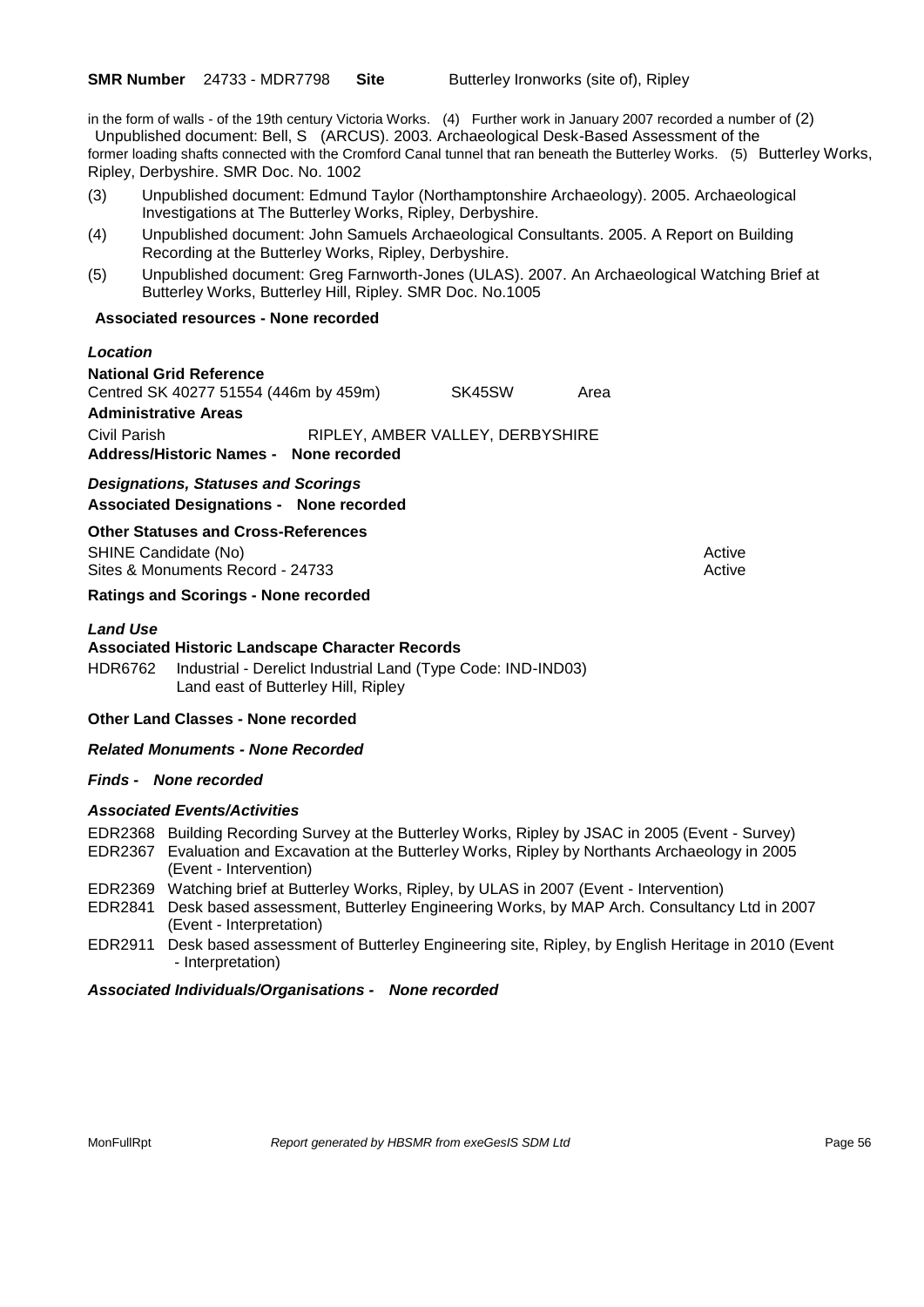in the form of walls - of the 19th century Victoria Works. (4) Further work in January 2007 recorded a number of (2) Unpublished document: Bell, S (ARCUS). 2003. Archaeological Desk-Based Assessment of the former loading shafts connected with the Cromford Canal tunnel that ran beneath the Butterley Works. (5) Butterley Works, Ripley, Derbyshire. SMR Doc. No. 1002

- (3) Unpublished document: Edmund Taylor (Northamptonshire Archaeology). 2005. Archaeological Investigations at The Butterley Works, Ripley, Derbyshire.
- (4) Unpublished document: John Samuels Archaeological Consultants. 2005. A Report on Building Recording at the Butterley Works, Ripley, Derbyshire.
- (5) Unpublished document: Greg Farnworth-Jones (ULAS). 2007. An Archaeological Watching Brief at Butterley Works, Butterley Hill, Ripley. SMR Doc. No.1005

#### **Associated resources - None recorded**

#### *Location*

**National Grid Reference** Centred SK 40277 51554 (446m by 459m) SK45SW Area **Administrative Areas** Civil Parish RIPLEY, AMBER VALLEY, DERBYSHIRE **Address/Historic Names - None recorded**

*Designations, Statuses and Scorings* **Associated Designations - None recorded**

#### **Other Statuses and Cross-References**

SHINE Candidate (No) **Active** Active 30 Active 30 Active 30 Active 30 Active 30 Active Sites & Monuments Record - 24733 Active Active Active Active

#### **Ratings and Scorings - None recorded**

#### *Land Use*

**Associated Historic Landscape Character Records** HDR6762 Industrial - Derelict Industrial Land (Type Code: IND-IND03)

Land east of Butterley Hill, Ripley

#### **Other Land Classes - None recorded**

#### *Related Monuments - None Recorded*

#### *Finds - None recorded*

#### *Associated Events/Activities*

- EDR2368 Building Recording Survey at the Butterley Works, Ripley by JSAC in 2005 (Event Survey) EDR2367 Evaluation and Excavation at the Butterley Works, Ripley by Northants Archaeology in 2005 (Event - Intervention)
- EDR2369 Watching brief at Butterley Works, Ripley, by ULAS in 2007 (Event Intervention)
- EDR2841 Desk based assessment, Butterley Engineering Works, by MAP Arch. Consultancy Ltd in 2007 (Event - Interpretation)
- EDR2911 Desk based assessment of Butterley Engineering site, Ripley, by English Heritage in 2010 (Event - Interpretation)

#### *Associated Individuals/Organisations - None recorded*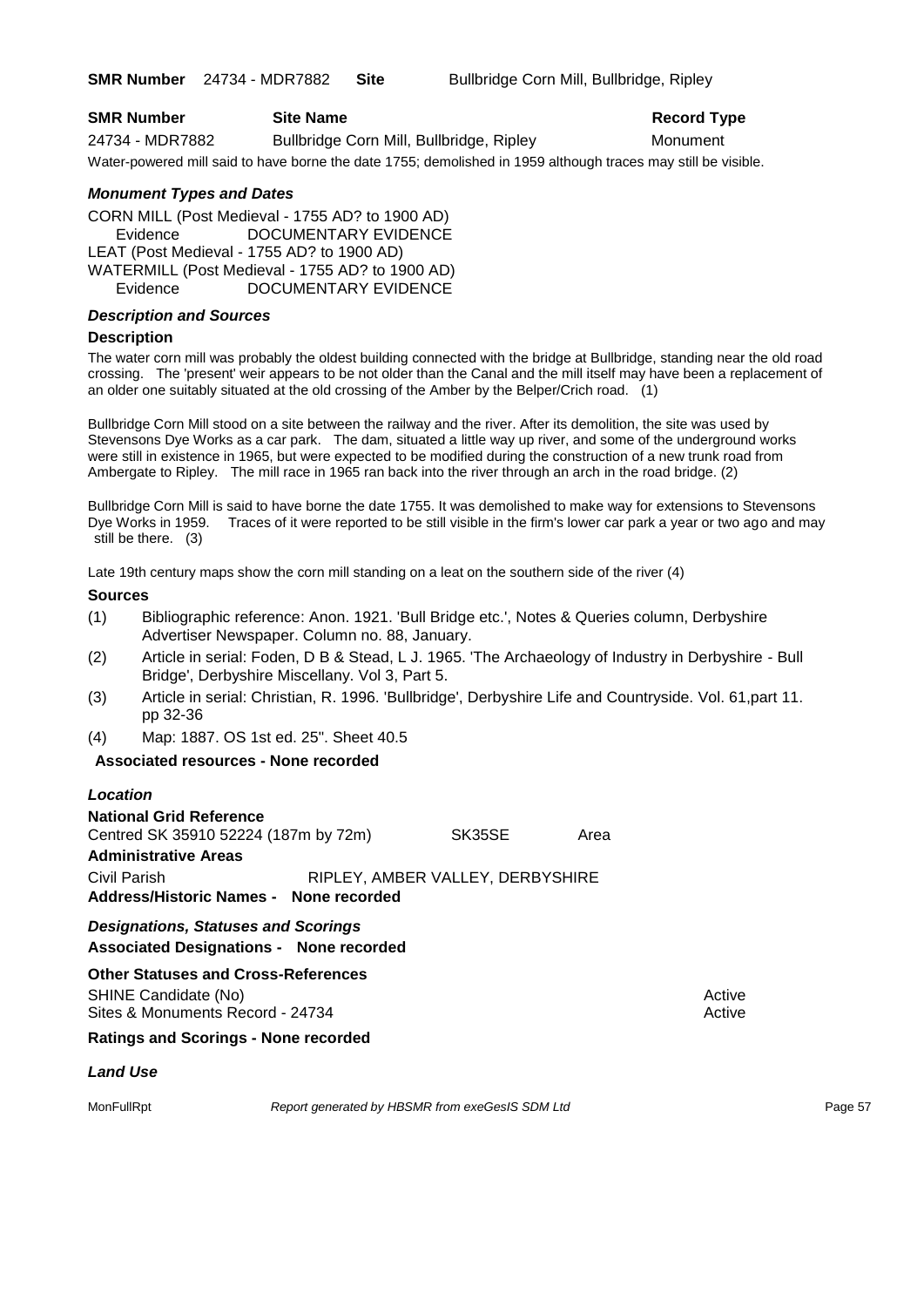**SMR Number** 24734 - MDR7882 **Site** Bullbridge Corn Mill, Bullbridge, Ripley

| <b>SMR Number</b> | <b>Site Name</b>                                                                                              | <b>Record Type</b> |
|-------------------|---------------------------------------------------------------------------------------------------------------|--------------------|
| 24734 - MDR7882   | Bullbridge Corn Mill, Bullbridge, Ripley                                                                      | Monument           |
|                   | Water-powered mill said to have borne the date 1755; demolished in 1959 although traces may still be visible. |                    |

#### *Monument Types and Dates*

CORN MILL (Post Medieval - 1755 AD? to 1900 AD) Evidence DOCUMENTARY EVIDENCE LEAT (Post Medieval - 1755 AD? to 1900 AD) WATERMILL (Post Medieval - 1755 AD? to 1900 AD) Evidence DOCUMENTARY EVIDENCE

#### *Description and Sources*

#### **Description**

The water corn mill was probably the oldest building connected with the bridge at Bullbridge, standing near the old road crossing. The 'present' weir appears to be not older than the Canal and the mill itself may have been a replacement of an older one suitably situated at the old crossing of the Amber by the Belper/Crich road. (1)

Bullbridge Corn Mill stood on a site between the railway and the river. After its demolition, the site was used by Stevensons Dye Works as a car park. The dam, situated a little way up river, and some of the underground works were still in existence in 1965, but were expected to be modified during the construction of a new trunk road from Ambergate to Ripley. The mill race in 1965 ran back into the river through an arch in the road bridge. (2)

Bullbridge Corn Mill is said to have borne the date 1755. It was demolished to make way for extensions to Stevensons Dye Works in 1959. Traces of it were reported to be still visible in the firm's lower car park a year or two ago and may still be there. (3)

Late 19th century maps show the corn mill standing on a leat on the southern side of the river (4)

#### **Sources**

- (1) Bibliographic reference: Anon. 1921. 'Bull Bridge etc.', Notes & Queries column, Derbyshire Advertiser Newspaper. Column no. 88, January.
- (2) Article in serial: Foden, D B & Stead, L J. 1965. 'The Archaeology of Industry in Derbyshire Bull Bridge', Derbyshire Miscellany. Vol 3, Part 5.
- (3) Article in serial: Christian, R. 1996. 'Bullbridge', Derbyshire Life and Countryside. Vol. 61,part 11. pp 32-36
- (4) Map: 1887. OS 1st ed. 25". Sheet 40.5

#### **Associated resources - None recorded**

#### *Location*

**National Grid Reference** Centred SK 35910 52224 (187m by 72m) SK35SE Area **Administrative Areas** Civil Parish RIPLEY, AMBER VALLEY, DERBYSHIRE **Address/Historic Names - None recorded**

*Designations, Statuses and Scorings* **Associated Designations - None recorded**

**Other Statuses and Cross-References** SHINE Candidate (No) **Active** Active 30 Active 30 Active 30 Active 30 Active 30 Active Sites & Monuments Record - 24734 Active Active Active Active

#### **Ratings and Scorings - None recorded**

#### *Land Use*

MonFullRpt *Report generated by HBSMR from exeGesIS SDM Ltd Report 57*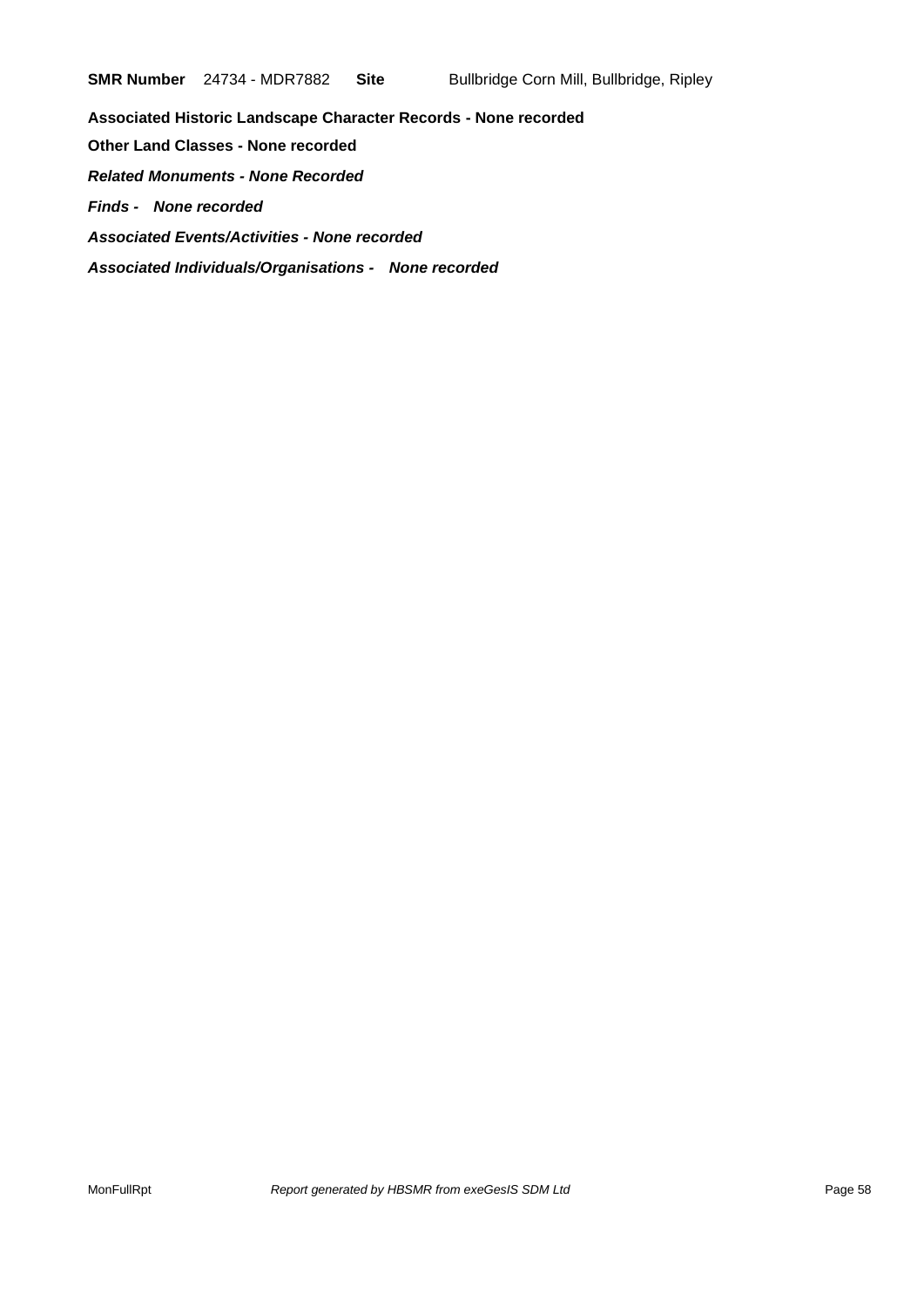**Associated Historic Landscape Character Records - None recorded Other Land Classes - None recorded** *Related Monuments - None Recorded Finds - None recorded Associated Events/Activities - None recorded Associated Individuals/Organisations - None recorded*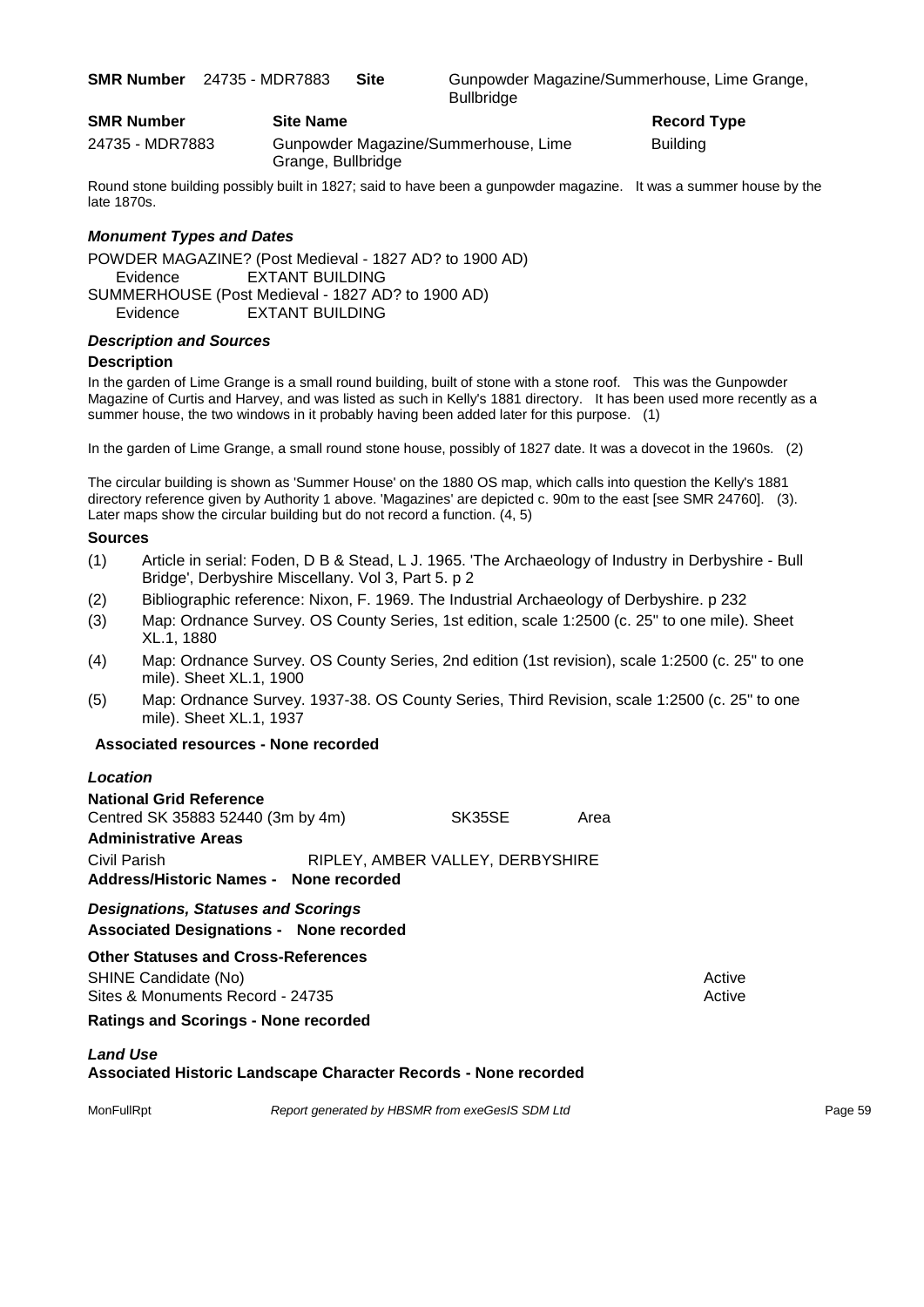**SMR Number** 24735 - MDR7883 Site Gunpowder Magazine/Summerhouse, Lime Grange, **Bullbridge** 

| <b>SMR Number</b> | <b>Site Name</b>                                           | Record          |
|-------------------|------------------------------------------------------------|-----------------|
| 24735 - MDR7883   | Gunpowder Magazine/Summerhouse, Lime<br>Grange, Bullbridge | <b>Building</b> |

**Record Type** 

Round stone building possibly built in 1827; said to have been a gunpowder magazine. It was a summer house by the late 1870s.

#### *Monument Types and Dates*

POWDER MAGAZINE? (Post Medieval - 1827 AD? to 1900 AD) Evidence EXTANT BUILDING SUMMERHOUSE (Post Medieval - 1827 AD? to 1900 AD) Evidence EXTANT BUILDING

#### *Description and Sources*

#### **Description**

In the garden of Lime Grange is a small round building, built of stone with a stone roof. This was the Gunpowder Magazine of Curtis and Harvey, and was listed as such in Kelly's 1881 directory. It has been used more recently as a summer house, the two windows in it probably having been added later for this purpose. (1)

In the garden of Lime Grange, a small round stone house, possibly of 1827 date. It was a dovecot in the 1960s. (2)

The circular building is shown as 'Summer House' on the 1880 OS map, which calls into question the Kelly's 1881 directory reference given by Authority 1 above. 'Magazines' are depicted c. 90m to the east [see SMR 24760]. (3). Later maps show the circular building but do not record a function. (4, 5)

#### **Sources**

- (1) Article in serial: Foden, D B & Stead, L J. 1965. 'The Archaeology of Industry in Derbyshire Bull Bridge', Derbyshire Miscellany. Vol 3, Part 5. p 2
- (2) Bibliographic reference: Nixon, F. 1969. The Industrial Archaeology of Derbyshire. p 232
- (3) Map: Ordnance Survey. OS County Series, 1st edition, scale 1:2500 (c. 25" to one mile). Sheet XL.1, 1880
- (4) Map: Ordnance Survey. OS County Series, 2nd edition (1st revision), scale 1:2500 (c. 25" to one mile). Sheet XL.1, 1900
- (5) Map: Ordnance Survey. 1937-38. OS County Series, Third Revision, scale 1:2500 (c. 25" to one mile). Sheet XL.1, 1937

#### **Associated resources - None recorded**

#### *Location*

| <b>National Grid Reference</b>             |  |                                  |      |
|--------------------------------------------|--|----------------------------------|------|
| Centred SK 35883 52440 (3m by 4m)          |  | SK35SE                           | Area |
| <b>Administrative Areas</b>                |  |                                  |      |
| Civil Parish                               |  | RIPLEY, AMBER VALLEY, DERBYSHIRE |      |
| Address/Historic Names - None recorded     |  |                                  |      |
| <b>Designations, Statuses and Scorings</b> |  |                                  |      |

**Associated Designations - None recorded**

**Other Statuses and Cross-References** SHINE Candidate (No) **Active** 3 Active 3 Active 3 Active 3 Active 3 Active 3 Active

Sites & Monuments Record - 24735 Active Active Active Active

**Ratings and Scorings - None recorded**

#### *Land Use*

**Associated Historic Landscape Character Records - None recorded**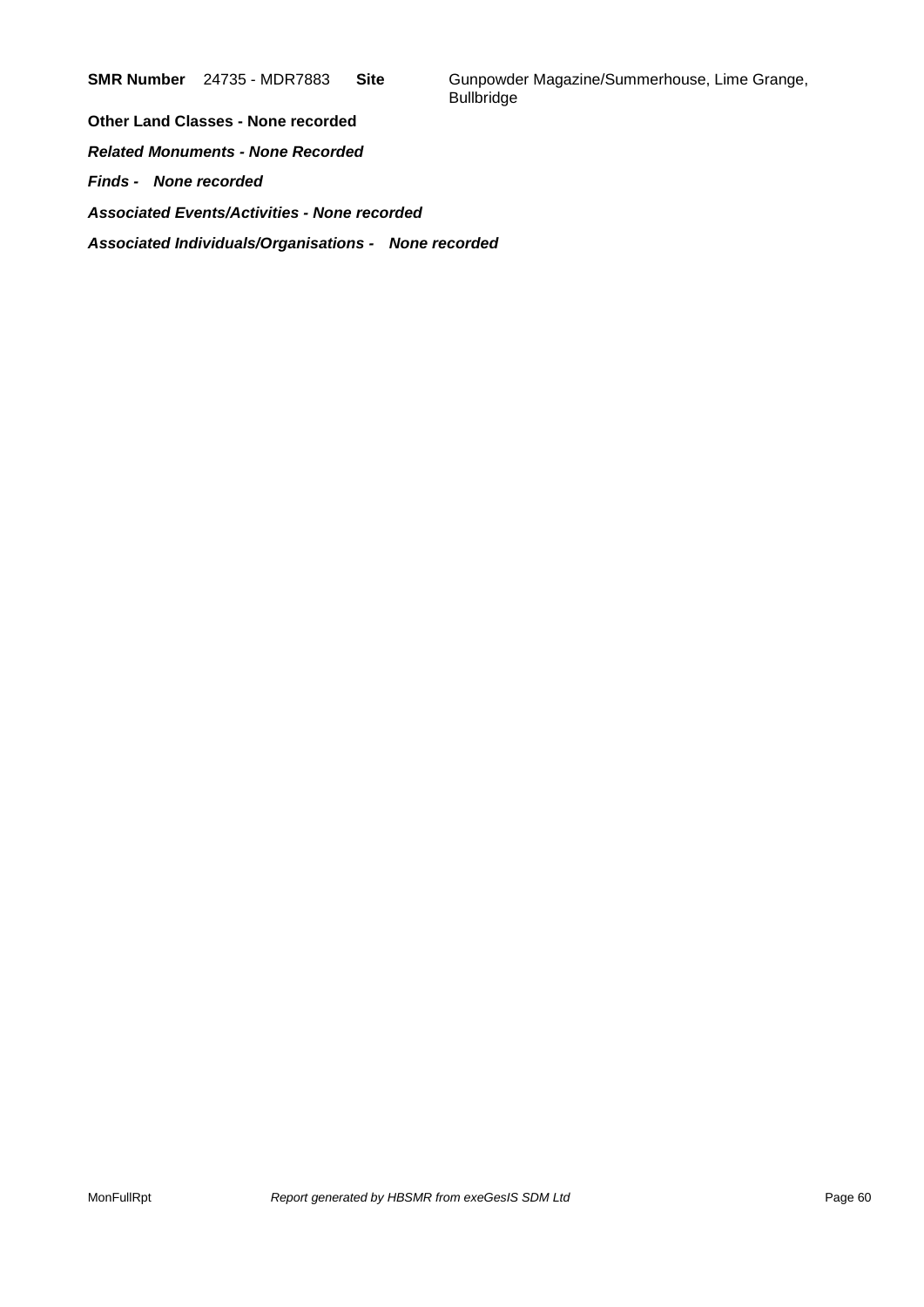**SMR Number** 24735 - MDR7883 **Site** Gunpowder Magazine/Summerhouse, Lime Grange, **Bullbridge** 

**Other Land Classes - None recorded** *Related Monuments - None Recorded Finds - None recorded Associated Events/Activities - None recorded Associated Individuals/Organisations - None recorded*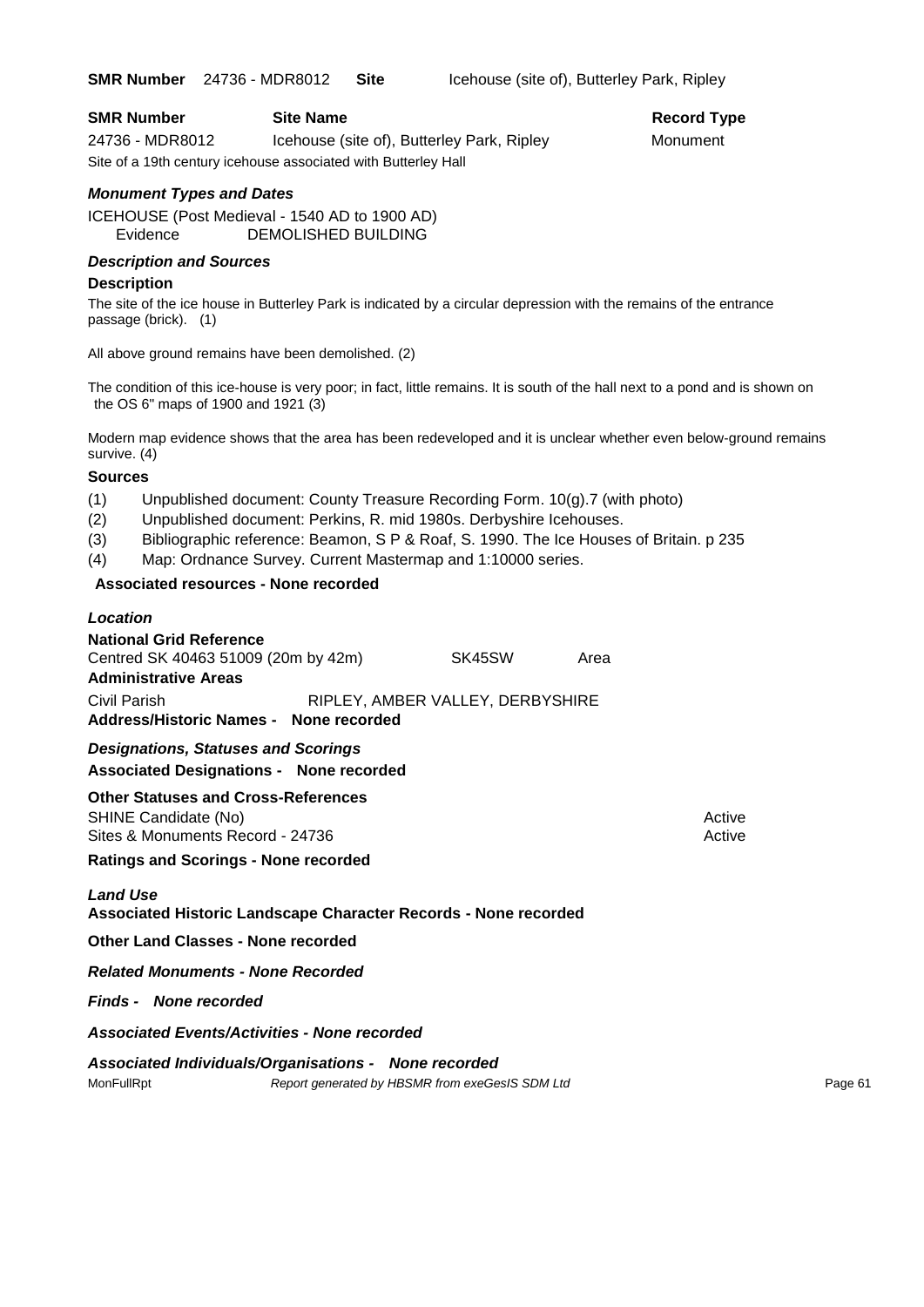**SMR Number** 24736 - MDR8012 **Site** Icehouse (site of), Butterley Park, Ripley

| <b>SMR Number</b> | <b>Site Name</b>                                               | Record Ty |
|-------------------|----------------------------------------------------------------|-----------|
| 24736 - MDR8012   | Icehouse (site of), Butterley Park, Ripley                     | Monument  |
|                   | Site of a 19th century icehouse associated with Butterley Hall |           |

#### *Monument Types and Dates*

ICEHOUSE (Post Medieval - 1540 AD to 1900 AD) Evidence DEMOLISHED BUILDING

#### *Description and Sources*

#### **Description**

The site of the ice house in Butterley Park is indicated by a circular depression with the remains of the entrance passage (brick). (1)

All above ground remains have been demolished. (2)

The condition of this ice-house is very poor; in fact, little remains. It is south of the hall next to a pond and is shown on the OS 6" maps of 1900 and 1921 (3)

Modern map evidence shows that the area has been redeveloped and it is unclear whether even below-ground remains survive. (4)

#### **Sources**

(1) Unpublished document: County Treasure Recording Form. 10(g).7 (with photo)

- (2) Unpublished document: Perkins, R. mid 1980s. Derbyshire Icehouses.
- (3) Bibliographic reference: Beamon, S P & Roaf, S. 1990. The Ice Houses of Britain. p 235
- (4) Map: Ordnance Survey. Current Mastermap and 1:10000 series.

#### **Associated resources - None recorded**

#### *Location*

| <b>National Grid Reference</b>                                                               |                                  |      |        |
|----------------------------------------------------------------------------------------------|----------------------------------|------|--------|
| Centred SK 40463 51009 (20m by 42m)                                                          | SK45SW                           | Area |        |
| <b>Administrative Areas</b>                                                                  |                                  |      |        |
| Civil Parish                                                                                 | RIPLEY, AMBER VALLEY, DERBYSHIRE |      |        |
| Address/Historic Names - None recorded                                                       |                                  |      |        |
| <b>Designations, Statuses and Scorings</b><br><b>Associated Designations - None recorded</b> |                                  |      |        |
| <b>Other Statuses and Cross-References</b>                                                   |                                  |      |        |
| SHINE Candidate (No)                                                                         |                                  |      | Active |
| Sites & Monuments Record - 24736                                                             |                                  |      | Active |
| <b>Ratings and Scorings - None recorded</b>                                                  |                                  |      |        |
| <b>Land Use</b><br>Associated Historic Landscape Character Records - None recorded           |                                  |      |        |
| <b>Other Land Classes - None recorded</b>                                                    |                                  |      |        |
| <b>Related Monuments - None Recorded</b>                                                     |                                  |      |        |
| <b>Finds - None recorded</b>                                                                 |                                  |      |        |
| <b>Associated Events/Activities - None recorded</b>                                          |                                  |      |        |
| Associated Individuals/Organisations - None recorded                                         |                                  |      |        |

MonFullRpt *Report generated by HBSMR from exeGesIS SDM Ltd Report generated by HBSMR from exeGesIS SDM Ltd* 

## **Record Type**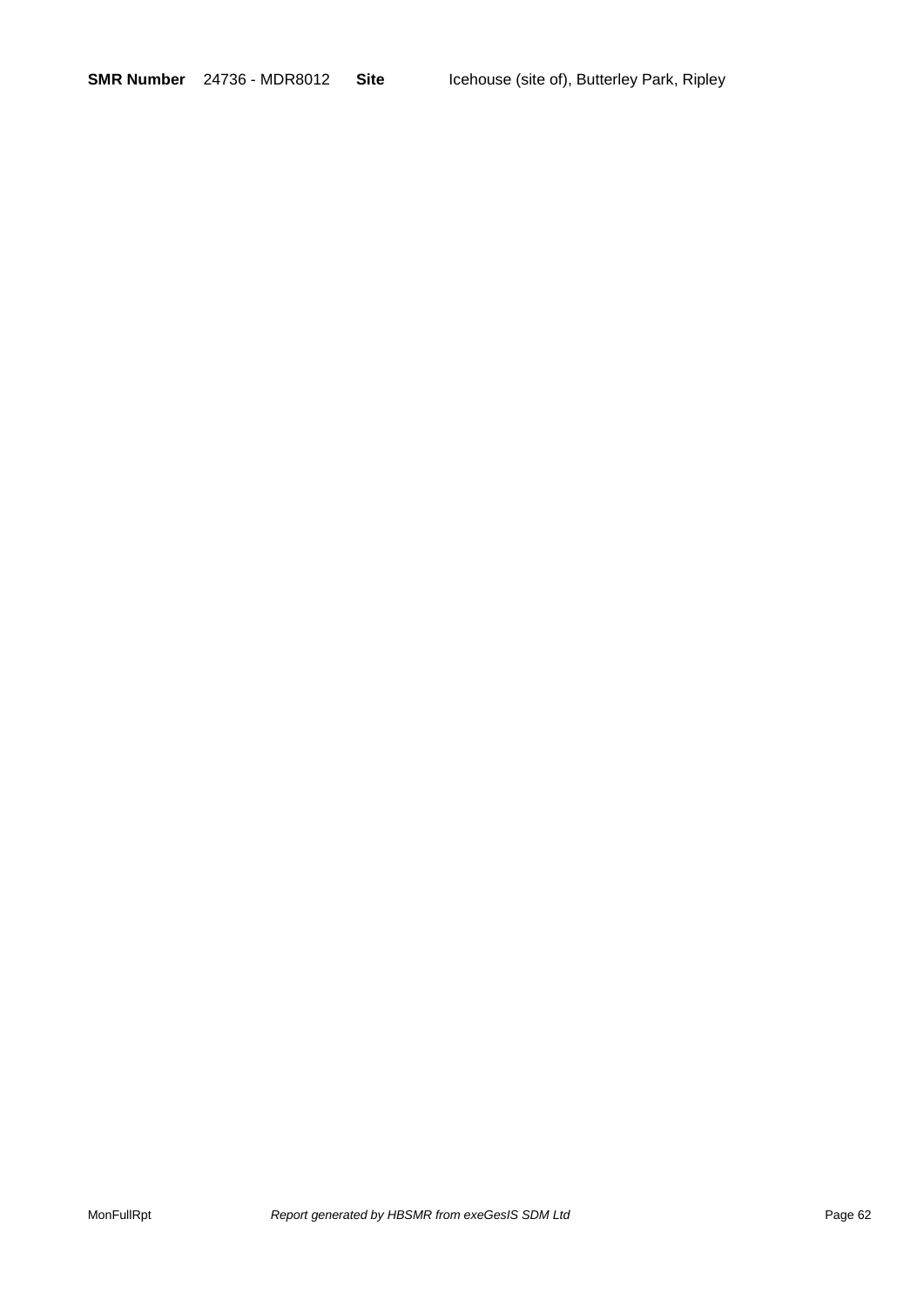**SMR Number** 24736 - MDR8012 **Site** Icehouse (site of), Butterley Park, Ripley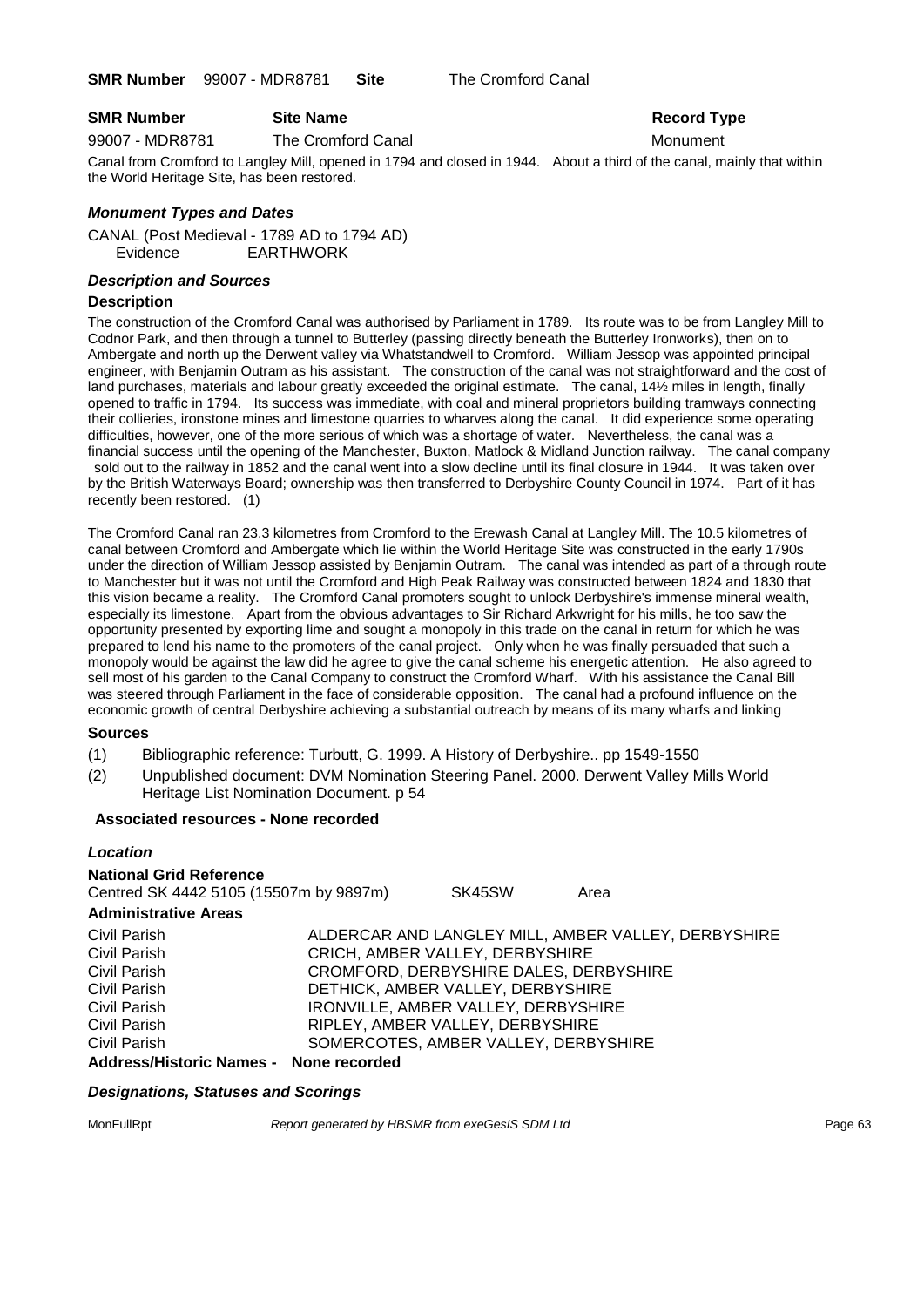#### **SMR Number Site Name Record Type Record Type**

99007 - MDR8781 The Cromford Canal Monument

Canal from Cromford to Langley Mill, opened in 1794 and closed in 1944. About a third of the canal, mainly that within the World Heritage Site, has been restored.

#### *Monument Types and Dates*

CANAL (Post Medieval - 1789 AD to 1794 AD) Evidence EARTHWORK

#### *Description and Sources*

#### **Description**

The construction of the Cromford Canal was authorised by Parliament in 1789. Its route was to be from Langley Mill to Codnor Park, and then through a tunnel to Butterley (passing directly beneath the Butterley Ironworks), then on to Ambergate and north up the Derwent valley via Whatstandwell to Cromford. William Jessop was appointed principal engineer, with Benjamin Outram as his assistant. The construction of the canal was not straightforward and the cost of land purchases, materials and labour greatly exceeded the original estimate. The canal, 14½ miles in length, finally opened to traffic in 1794. Its success was immediate, with coal and mineral proprietors building tramways connecting their collieries, ironstone mines and limestone quarries to wharves along the canal. It did experience some operating difficulties, however, one of the more serious of which was a shortage of water. Nevertheless, the canal was a financial success until the opening of the Manchester, Buxton, Matlock & Midland Junction railway. The canal company sold out to the railway in 1852 and the canal went into a slow decline until its final closure in 1944. It was taken over by the British Waterways Board; ownership was then transferred to Derbyshire County Council in 1974. Part of it has recently been restored. (1)

The Cromford Canal ran 23.3 kilometres from Cromford to the Erewash Canal at Langley Mill. The 10.5 kilometres of canal between Cromford and Ambergate which lie within the World Heritage Site was constructed in the early 1790s under the direction of William Jessop assisted by Benjamin Outram. The canal was intended as part of a through route to Manchester but it was not until the Cromford and High Peak Railway was constructed between 1824 and 1830 that this vision became a reality. The Cromford Canal promoters sought to unlock Derbyshire's immense mineral wealth, especially its limestone. Apart from the obvious advantages to Sir Richard Arkwright for his mills, he too saw the opportunity presented by exporting lime and sought a monopoly in this trade on the canal in return for which he was prepared to lend his name to the promoters of the canal project. Only when he was finally persuaded that such a monopoly would be against the law did he agree to give the canal scheme his energetic attention. He also agreed to sell most of his garden to the Canal Company to construct the Cromford Wharf. With his assistance the Canal Bill was steered through Parliament in the face of considerable opposition. The canal had a profound influence on the economic growth of central Derbyshire achieving a substantial outreach by means of its many wharfs and linking

#### **Sources**

- (1) Bibliographic reference: Turbutt, G. 1999. A History of Derbyshire.. pp 1549-1550
- (2) Unpublished document: DVM Nomination Steering Panel. 2000. Derwent Valley Mills World Heritage List Nomination Document. p 54

#### **Associated resources - None recorded**

#### *Location*

#### **National Grid Reference** Centred SK 4442 5105 (15507m by 9897m) SK45SW Area **Administrative Areas** Civil Parish ALDERCAR AND LANGLEY MILL, AMBER VALLEY, DERBYSHIRE Civil Parish CRICH, AMBER VALLEY, DERBYSHIRE Civil Parish CROMFORD, DERBYSHIRE DALES, DERBYSHIRE Civil Parish DETHICK, AMBER VALLEY, DERBYSHIRE Civil Parish IRONVILLE, AMBER VALLEY, DERBYSHIRE Civil Parish **RIPLEY, AMBER VALLEY, DERBYSHIRE**<br>Civil Parish **RIPLEY, AMBER VALLEY, DERBY** SOMERCOTES, AMBER VALLEY, DERBYSHIRE **Address/Historic Names - None recorded**

#### *Designations, Statuses and Scorings*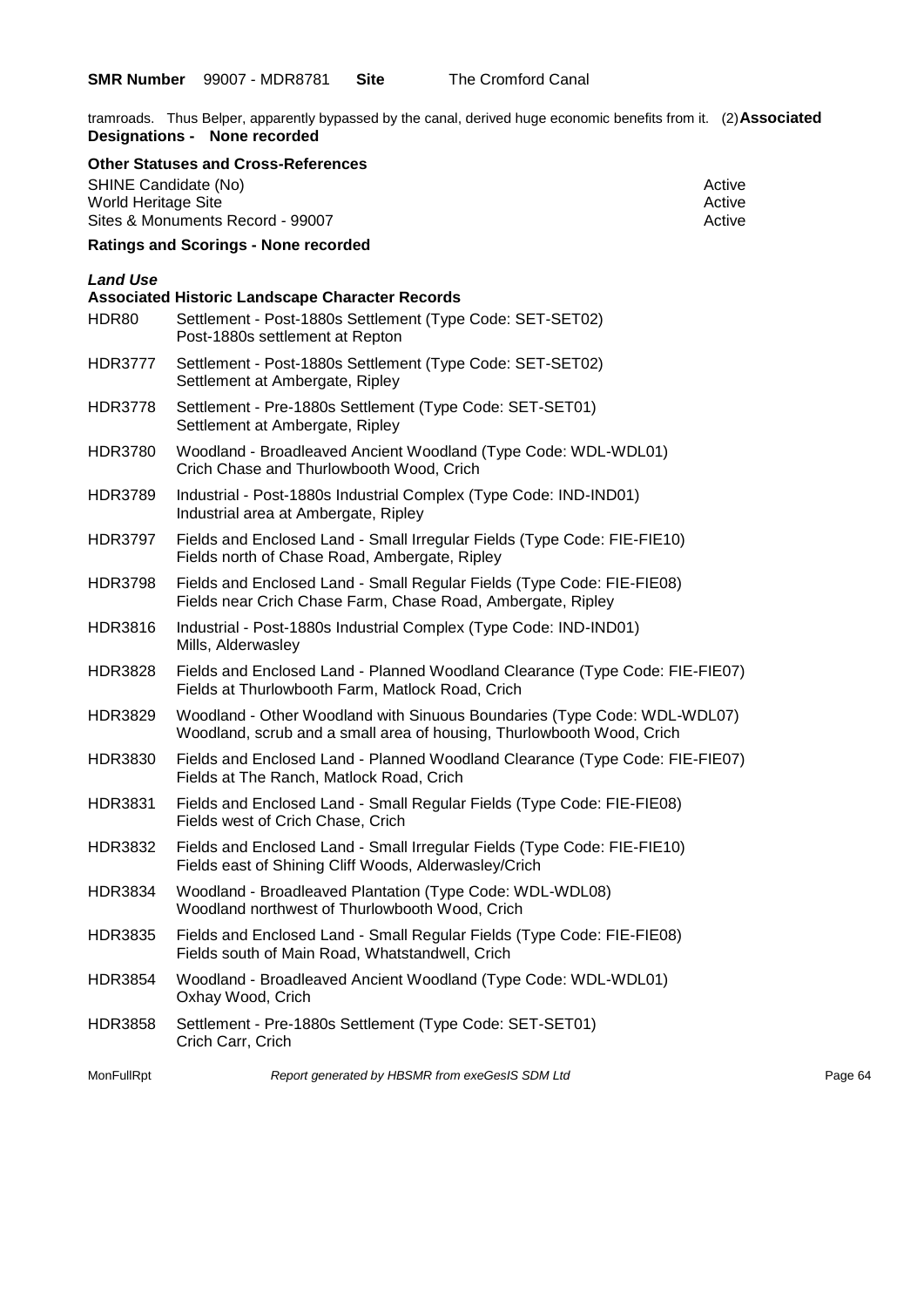tramroads. Thus Belper, apparently bypassed by the canal, derived huge economic benefits from it. (2)**Associated Designations - None recorded**

|                                             | <b>Other Statuses and Cross-References</b>                                                                                                        |                  |
|---------------------------------------------|---------------------------------------------------------------------------------------------------------------------------------------------------|------------------|
| SHINE Candidate (No)<br>World Heritage Site |                                                                                                                                                   | Active<br>Active |
| Sites & Monuments Record - 99007            |                                                                                                                                                   | Active           |
|                                             | <b>Ratings and Scorings - None recorded</b>                                                                                                       |                  |
| <b>Land Use</b><br>HDR80                    | <b>Associated Historic Landscape Character Records</b><br>Settlement - Post-1880s Settlement (Type Code: SET-SET02)                               |                  |
|                                             | Post-1880s settlement at Repton                                                                                                                   |                  |
| <b>HDR3777</b>                              | Settlement - Post-1880s Settlement (Type Code: SET-SET02)<br>Settlement at Ambergate, Ripley                                                      |                  |
| <b>HDR3778</b>                              | Settlement - Pre-1880s Settlement (Type Code: SET-SET01)<br>Settlement at Ambergate, Ripley                                                       |                  |
| HDR3780                                     | Woodland - Broadleaved Ancient Woodland (Type Code: WDL-WDL01)<br>Crich Chase and Thurlowbooth Wood, Crich                                        |                  |
| <b>HDR3789</b>                              | Industrial - Post-1880s Industrial Complex (Type Code: IND-IND01)<br>Industrial area at Ambergate, Ripley                                         |                  |
| <b>HDR3797</b>                              | Fields and Enclosed Land - Small Irregular Fields (Type Code: FIE-FIE10)<br>Fields north of Chase Road, Ambergate, Ripley                         |                  |
| <b>HDR3798</b>                              | Fields and Enclosed Land - Small Regular Fields (Type Code: FIE-FIE08)<br>Fields near Crich Chase Farm, Chase Road, Ambergate, Ripley             |                  |
| <b>HDR3816</b>                              | Industrial - Post-1880s Industrial Complex (Type Code: IND-IND01)<br>Mills, Alderwasley                                                           |                  |
| <b>HDR3828</b>                              | Fields and Enclosed Land - Planned Woodland Clearance (Type Code: FIE-FIE07)<br>Fields at Thurlowbooth Farm, Matlock Road, Crich                  |                  |
| HDR3829                                     | Woodland - Other Woodland with Sinuous Boundaries (Type Code: WDL-WDL07)<br>Woodland, scrub and a small area of housing, Thurlowbooth Wood, Crich |                  |
| <b>HDR3830</b>                              | Fields and Enclosed Land - Planned Woodland Clearance (Type Code: FIE-FIE07)<br>Fields at The Ranch, Matlock Road, Crich                          |                  |
| <b>HDR3831</b>                              | Fields and Enclosed Land - Small Regular Fields (Type Code: FIE-FIE08)<br>Fields west of Crich Chase, Crich                                       |                  |
| <b>HDR3832</b>                              | Fields and Enclosed Land - Small Irregular Fields (Type Code: FIE-FIE10)<br>Fields east of Shining Cliff Woods, Alderwasley/Crich                 |                  |
| <b>HDR3834</b>                              | Woodland - Broadleaved Plantation (Type Code: WDL-WDL08)<br>Woodland northwest of Thurlowbooth Wood, Crich                                        |                  |
| <b>HDR3835</b>                              | Fields and Enclosed Land - Small Regular Fields (Type Code: FIE-FIE08)<br>Fields south of Main Road, Whatstandwell, Crich                         |                  |
| <b>HDR3854</b>                              | Woodland - Broadleaved Ancient Woodland (Type Code: WDL-WDL01)<br>Oxhay Wood, Crich                                                               |                  |
| <b>HDR3858</b>                              | Settlement - Pre-1880s Settlement (Type Code: SET-SET01)<br>Crich Carr, Crich                                                                     |                  |
| MonFullRpt                                  | Report generated by HBSMR from exeGesIS SDM Ltd                                                                                                   | Page 64          |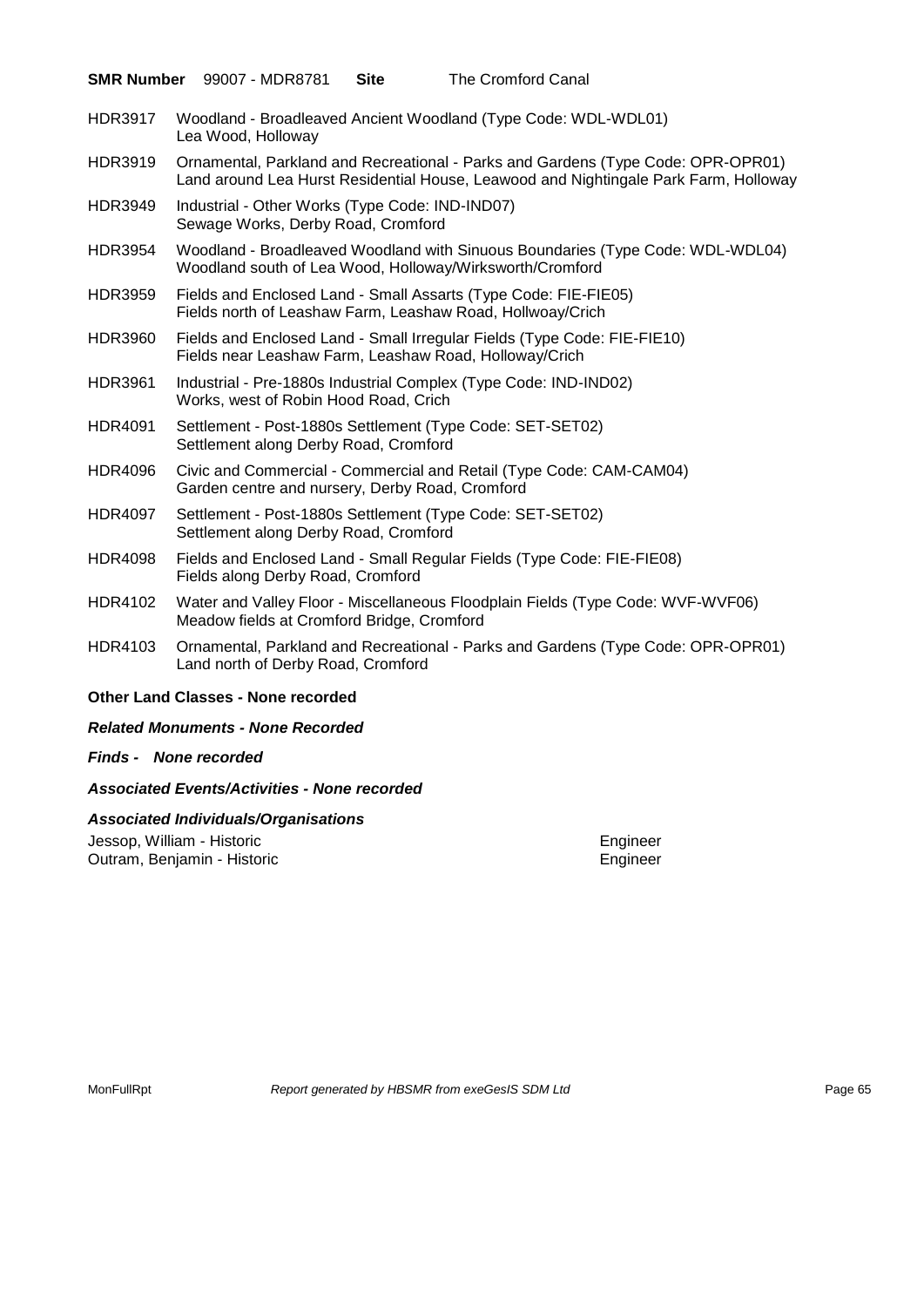|                | <b>SMR Number</b> 99007 - MDR8781<br><b>Site</b>                                      | The Cromford Canal                                                                                                                                                       |
|----------------|---------------------------------------------------------------------------------------|--------------------------------------------------------------------------------------------------------------------------------------------------------------------------|
| <b>HDR3917</b> | Lea Wood, Holloway                                                                    | Woodland - Broadleaved Ancient Woodland (Type Code: WDL-WDL01)                                                                                                           |
| <b>HDR3919</b> |                                                                                       | Ornamental, Parkland and Recreational - Parks and Gardens (Type Code: OPR-OPR01)<br>Land around Lea Hurst Residential House, Leawood and Nightingale Park Farm, Holloway |
| <b>HDR3949</b> | Industrial - Other Works (Type Code: IND-IND07)<br>Sewage Works, Derby Road, Cromford |                                                                                                                                                                          |
| <b>HDR3954</b> |                                                                                       | Woodland - Broadleaved Woodland with Sinuous Boundaries (Type Code: WDL-WDL04)<br>Woodland south of Lea Wood, Holloway/Wirksworth/Cromford                               |
| <b>HDR3959</b> |                                                                                       | Fields and Enclosed Land - Small Assarts (Type Code: FIE-FIE05)<br>Fields north of Leashaw Farm, Leashaw Road, Hollwoay/Crich                                            |
| <b>HDR3960</b> | Fields near Leashaw Farm, Leashaw Road, Holloway/Crich                                | Fields and Enclosed Land - Small Irregular Fields (Type Code: FIE-FIE10)                                                                                                 |
| <b>HDR3961</b> | Works, west of Robin Hood Road, Crich                                                 | Industrial - Pre-1880s Industrial Complex (Type Code: IND-IND02)                                                                                                         |
| <b>HDR4091</b> | Settlement along Derby Road, Cromford                                                 | Settlement - Post-1880s Settlement (Type Code: SET-SET02)                                                                                                                |
| <b>HDR4096</b> | Garden centre and nursery, Derby Road, Cromford                                       | Civic and Commercial - Commercial and Retail (Type Code: CAM-CAM04)                                                                                                      |
| <b>HDR4097</b> | Settlement along Derby Road, Cromford                                                 | Settlement - Post-1880s Settlement (Type Code: SET-SET02)                                                                                                                |
| <b>HDR4098</b> | Fields along Derby Road, Cromford                                                     | Fields and Enclosed Land - Small Regular Fields (Type Code: FIE-FIE08)                                                                                                   |
| HDR4102        | Meadow fields at Cromford Bridge, Cromford                                            | Water and Valley Floor - Miscellaneous Floodplain Fields (Type Code: WVF-WVF06)                                                                                          |
| HDR4103        | Land north of Derby Road, Cromford                                                    | Ornamental, Parkland and Recreational - Parks and Gardens (Type Code: OPR-OPR01)                                                                                         |
|                | <b>Other Land Classes - None recorded</b>                                             |                                                                                                                                                                          |

#### *Related Monuments - None Recorded*

*Finds - None recorded*

#### *Associated Events/Activities - None recorded*

#### *Associated Individuals/Organisations*

Jessop, William - Historic Engineer<br>
Outram, Benjamin - Historic Engineer<br>
Engineer Outram, Benjamin - Historic

MonFullRpt *Report generated by HBSMR from exeGesIS SDM Ltd Rage 65* Page 65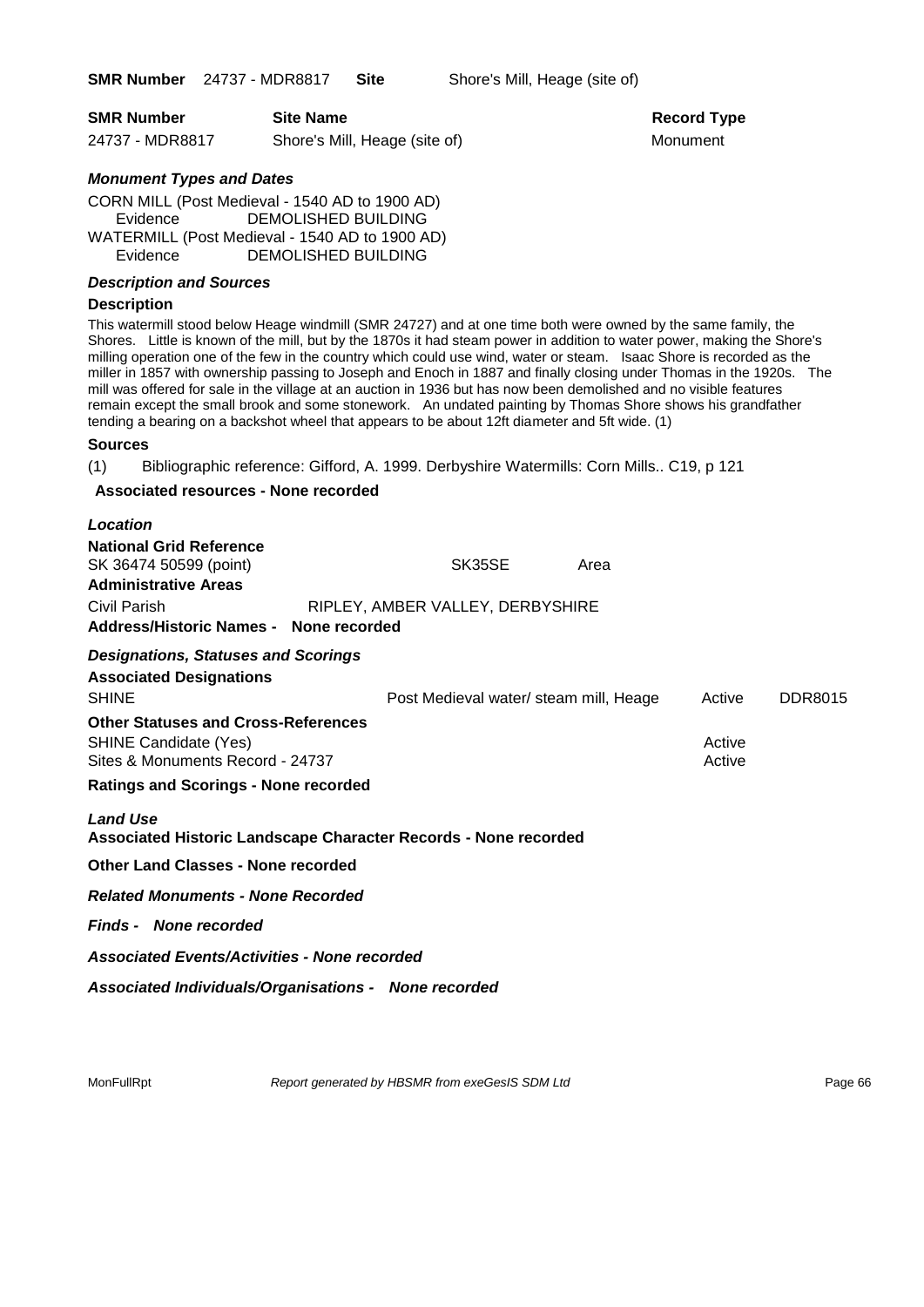**SMR Number** 24737 - MDR8817 **Site** Shore's Mill, Heage (site of)

| <b>SMR Number</b> | <b>Site Name</b>              | <b>Record Ty</b> |
|-------------------|-------------------------------|------------------|
| 24737 - MDR8817   | Shore's Mill, Heage (site of) | Monument         |

**Record Type** 

#### *Monument Types and Dates*

CORN MILL (Post Medieval - 1540 AD to 1900 AD) Evidence DEMOLISHED BUILDING WATERMILL (Post Medieval - 1540 AD to 1900 AD) Evidence DEMOLISHED BUILDING

#### *Description and Sources*

#### **Description**

This watermill stood below Heage windmill (SMR 24727) and at one time both were owned by the same family, the Shores. Little is known of the mill, but by the 1870s it had steam power in addition to water power, making the Shore's milling operation one of the few in the country which could use wind, water or steam. Isaac Shore is recorded as the miller in 1857 with ownership passing to Joseph and Enoch in 1887 and finally closing under Thomas in the 1920s. The mill was offered for sale in the village at an auction in 1936 but has now been demolished and no visible features remain except the small brook and some stonework. An undated painting by Thomas Shore shows his grandfather tending a bearing on a backshot wheel that appears to be about 12ft diameter and 5ft wide. (1)

#### **Sources**

(1) Bibliographic reference: Gifford, A. 1999. Derbyshire Watermills: Corn Mills.. C19, p 121

#### **Associated resources - None recorded**

| Location                                                                                  |                                        |      |        |                |
|-------------------------------------------------------------------------------------------|----------------------------------------|------|--------|----------------|
| <b>National Grid Reference</b><br>SK 36474 50599 (point)                                  | SK35SE                                 | Area |        |                |
| <b>Administrative Areas</b>                                                               |                                        |      |        |                |
| Civil Parish                                                                              | RIPLEY, AMBER VALLEY, DERBYSHIRE       |      |        |                |
| Address/Historic Names - None recorded                                                    |                                        |      |        |                |
| <b>Designations, Statuses and Scorings</b>                                                |                                        |      |        |                |
| <b>Associated Designations</b>                                                            |                                        |      |        |                |
| <b>SHINE</b>                                                                              | Post Medieval water/ steam mill, Heage |      | Active | <b>DDR8015</b> |
| <b>Other Statuses and Cross-References</b>                                                |                                        |      |        |                |
| <b>SHINE Candidate (Yes)</b>                                                              |                                        |      | Active |                |
| Sites & Monuments Record - 24737                                                          |                                        |      | Active |                |
| <b>Ratings and Scorings - None recorded</b>                                               |                                        |      |        |                |
|                                                                                           |                                        |      |        |                |
| <b>Land Use</b><br><b>Associated Historic Landscape Character Records - None recorded</b> |                                        |      |        |                |
| Other Land Classes - None recorded                                                        |                                        |      |        |                |
| <b>Related Monuments - None Recorded</b>                                                  |                                        |      |        |                |
| <b>Finds - None recorded</b>                                                              |                                        |      |        |                |
| <b>Associated Events/Activities - None recorded</b>                                       |                                        |      |        |                |
| Associated Individuals/Organisations - None recorded                                      |                                        |      |        |                |
|                                                                                           |                                        |      |        |                |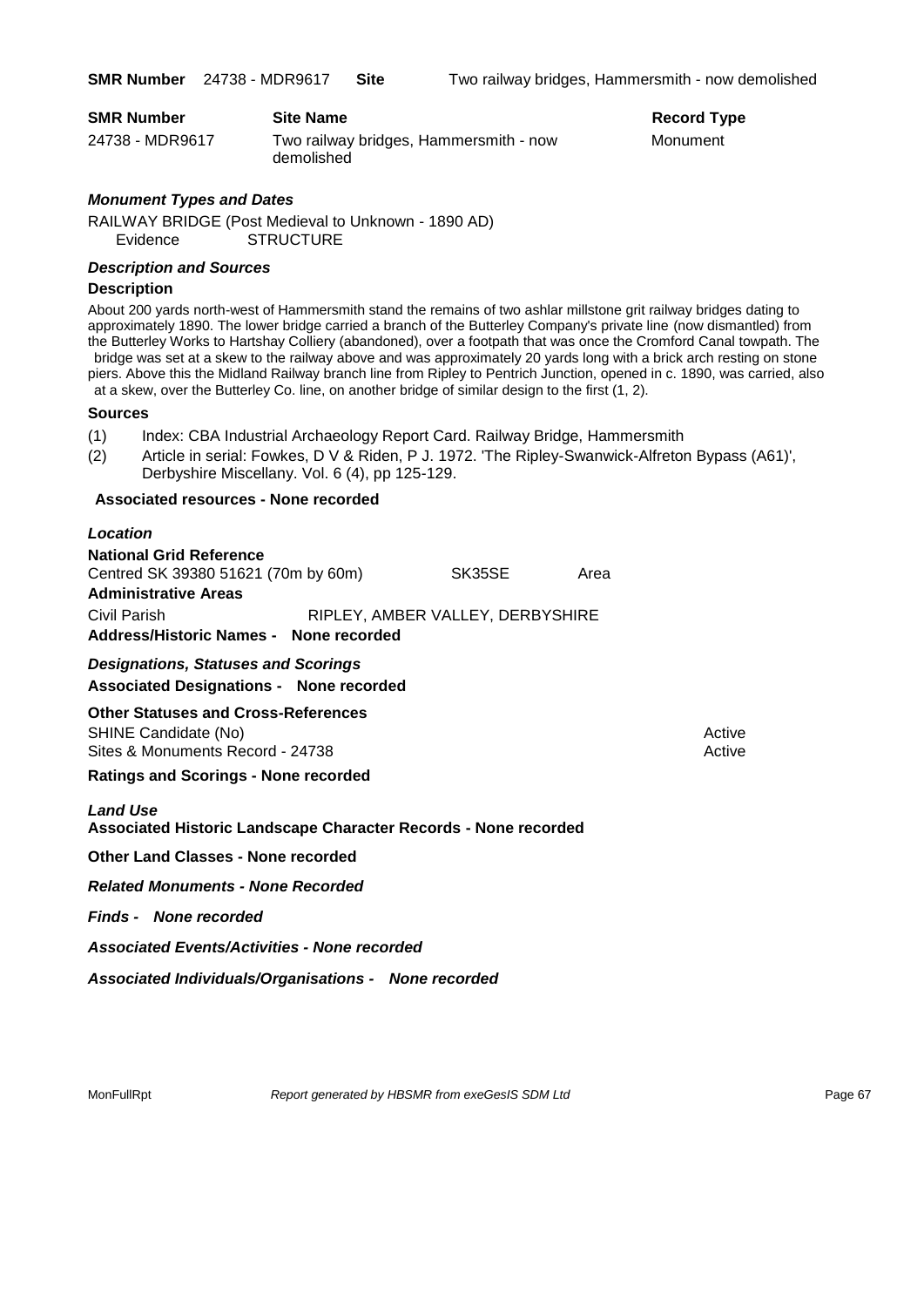| <b>SMR Number</b> | <b>Site Name</b>                                     | <b>Record Ty</b> |
|-------------------|------------------------------------------------------|------------------|
| 24738 - MDR9617   | Two railway bridges, Hammersmith - now<br>demolished | Monument         |

# **Record Type**

#### *Monument Types and Dates*

RAILWAY BRIDGE (Post Medieval to Unknown - 1890 AD) Evidence STRUCTURE

#### *Description and Sources*

#### **Description**

About 200 yards north-west of Hammersmith stand the remains of two ashlar millstone grit railway bridges dating to approximately 1890. The lower bridge carried a branch of the Butterley Company's private line (now dismantled) from the Butterley Works to Hartshay Colliery (abandoned), over a footpath that was once the Cromford Canal towpath. The bridge was set at a skew to the railway above and was approximately 20 yards long with a brick arch resting on stone piers. Above this the Midland Railway branch line from Ripley to Pentrich Junction, opened in c. 1890, was carried, also at a skew, over the Butterley Co. line, on another bridge of similar design to the first (1, 2).

#### **Sources**

- (1) Index: CBA Industrial Archaeology Report Card. Railway Bridge, Hammersmith
- (2) Article in serial: Fowkes, D V & Riden, P J. 1972. 'The Ripley-Swanwick-Alfreton Bypass (A61)', Derbyshire Miscellany. Vol. 6 (4), pp 125-129.

#### **Associated resources - None recorded**

| Location                                                                                               |                                  |      |                  |
|--------------------------------------------------------------------------------------------------------|----------------------------------|------|------------------|
| <b>National Grid Reference</b><br>Centred SK 39380 51621 (70m by 60m)<br><b>Administrative Areas</b>   | SK35SE                           | Area |                  |
| Civil Parish<br>Address/Historic Names - None recorded                                                 | RIPLEY, AMBER VALLEY, DERBYSHIRE |      |                  |
| <b>Designations, Statuses and Scorings</b><br><b>Associated Designations - None recorded</b>           |                                  |      |                  |
| <b>Other Statuses and Cross-References</b><br>SHINE Candidate (No)<br>Sites & Monuments Record - 24738 |                                  |      | Active<br>Active |
| <b>Ratings and Scorings - None recorded</b>                                                            |                                  |      |                  |
| <b>Land Use</b><br>Associated Historic Landscape Character Records - None recorded                     |                                  |      |                  |
| Other Land Classes - None recorded                                                                     |                                  |      |                  |
| <b>Related Monuments - None Recorded</b>                                                               |                                  |      |                  |
| <b>Finds - None recorded</b>                                                                           |                                  |      |                  |

*Associated Events/Activities - None recorded*

*Associated Individuals/Organisations - None recorded*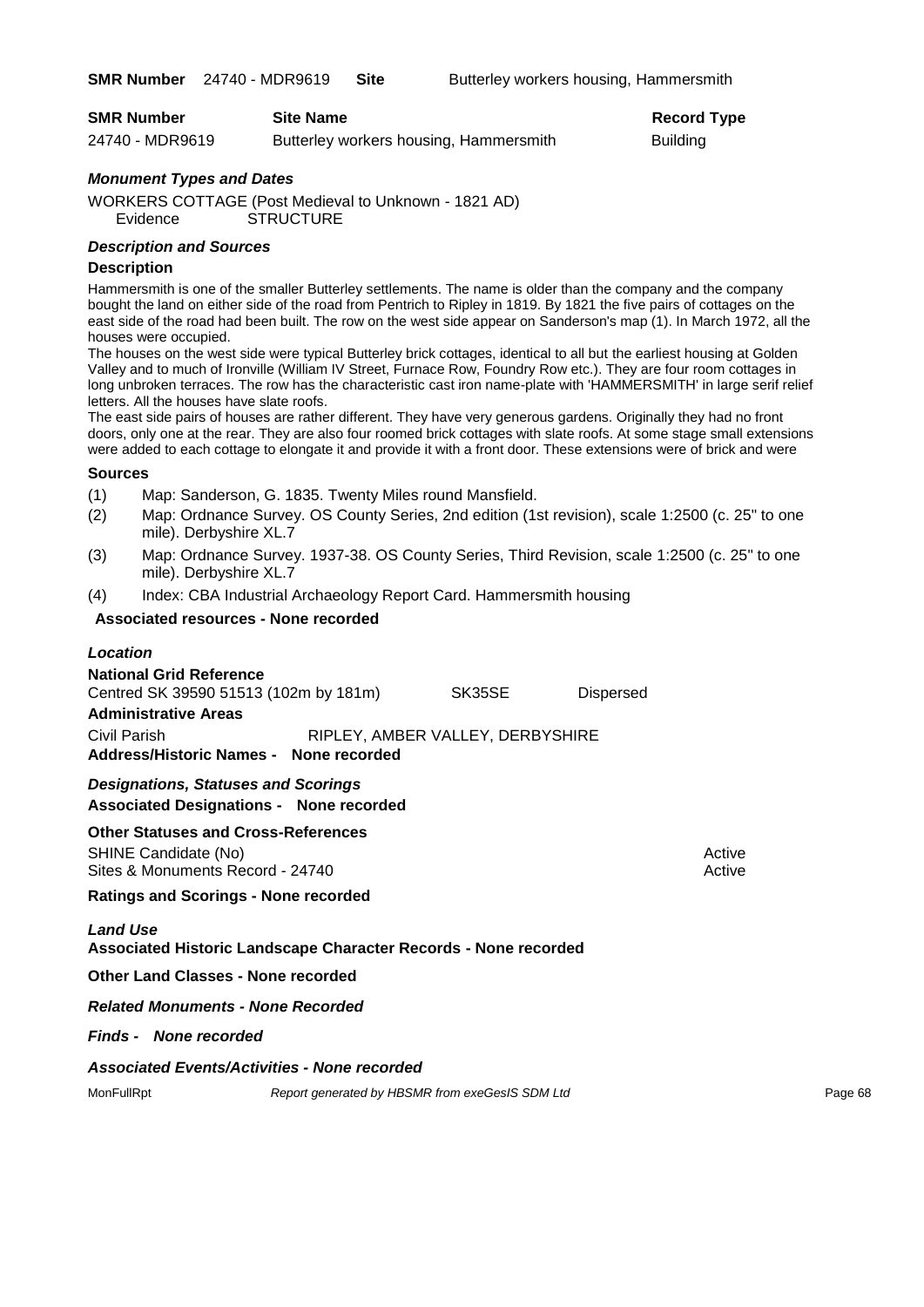| <b>SMR Number</b> | <b>Site Name</b>                       | <b>Record Type</b> |
|-------------------|----------------------------------------|--------------------|
| 24740 - MDR9619   | Butterley workers housing, Hammersmith | <b>Building</b>    |

#### *Monument Types and Dates*

WORKERS COTTAGE (Post Medieval to Unknown - 1821 AD) **STRUCTURE** 

#### *Description and Sources*

#### **Description**

Hammersmith is one of the smaller Butterley settlements. The name is older than the company and the company bought the land on either side of the road from Pentrich to Ripley in 1819. By 1821 the five pairs of cottages on the east side of the road had been built. The row on the west side appear on Sanderson's map (1). In March 1972, all the houses were occupied.

The houses on the west side were typical Butterley brick cottages, identical to all but the earliest housing at Golden Valley and to much of Ironville (William IV Street, Furnace Row, Foundry Row etc.). They are four room cottages in long unbroken terraces. The row has the characteristic cast iron name-plate with 'HAMMERSMITH' in large serif relief letters. All the houses have slate roofs.

The east side pairs of houses are rather different. They have very generous gardens. Originally they had no front doors, only one at the rear. They are also four roomed brick cottages with slate roofs. At some stage small extensions were added to each cottage to elongate it and provide it with a front door. These extensions were of brick and were

#### **Sources**

- (1) Map: Sanderson, G. 1835. Twenty Miles round Mansfield.
- (2) Map: Ordnance Survey. OS County Series, 2nd edition (1st revision), scale 1:2500 (c. 25" to one mile). Derbyshire XL.7
- (3) Map: Ordnance Survey. 1937-38. OS County Series, Third Revision, scale 1:2500 (c. 25" to one mile). Derbyshire XL.7
- (4) Index: CBA Industrial Archaeology Report Card. Hammersmith housing

#### **Associated resources - None recorded**

| <b>Location</b>                                                                                        |                                                 |                                  |                  |                  |         |
|--------------------------------------------------------------------------------------------------------|-------------------------------------------------|----------------------------------|------------------|------------------|---------|
| <b>National Grid Reference</b><br>Centred SK 39590 51513 (102m by 181m)<br><b>Administrative Areas</b> |                                                 | SK35SE                           | <b>Dispersed</b> |                  |         |
| Civil Parish<br>Address/Historic Names - None recorded                                                 |                                                 | RIPLEY, AMBER VALLEY, DERBYSHIRE |                  |                  |         |
| <b>Designations, Statuses and Scorings</b><br><b>Associated Designations - None recorded</b>           |                                                 |                                  |                  |                  |         |
| <b>Other Statuses and Cross-References</b><br>SHINE Candidate (No)<br>Sites & Monuments Record - 24740 |                                                 |                                  |                  | Active<br>Active |         |
| <b>Ratings and Scorings - None recorded</b>                                                            |                                                 |                                  |                  |                  |         |
| <b>Land Use</b><br><b>Associated Historic Landscape Character Records - None recorded</b>              |                                                 |                                  |                  |                  |         |
| <b>Other Land Classes - None recorded</b>                                                              |                                                 |                                  |                  |                  |         |
| <b>Related Monuments - None Recorded</b>                                                               |                                                 |                                  |                  |                  |         |
| <b>Finds - None recorded</b>                                                                           |                                                 |                                  |                  |                  |         |
| <b>Associated Events/Activities - None recorded</b>                                                    |                                                 |                                  |                  |                  |         |
| MonFullRpt                                                                                             | Report generated by HBSMR from exeGesIS SDM Ltd |                                  |                  |                  | Page 68 |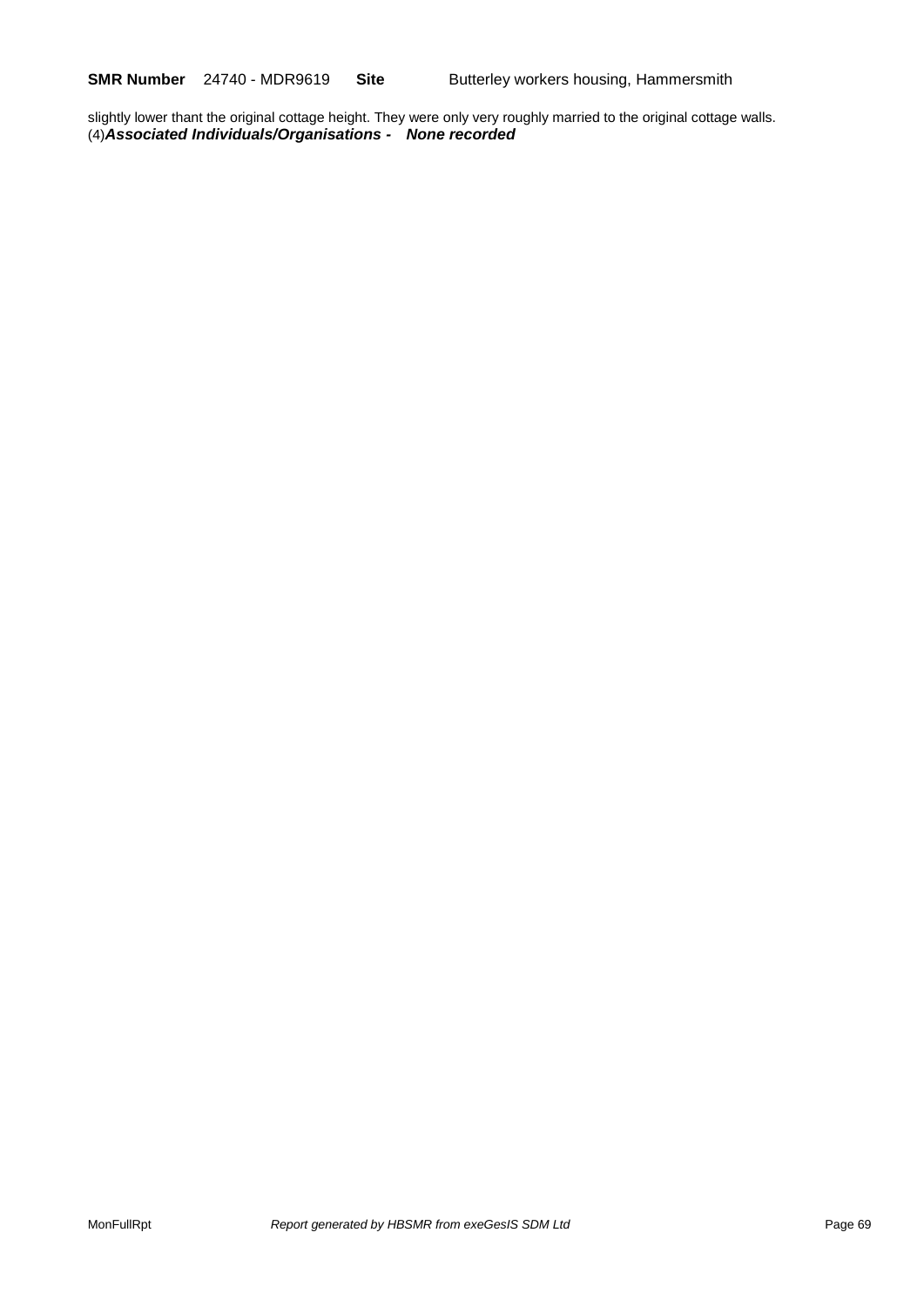**SMR Number** 24740 - MDR9619 **Site** Butterley workers housing, Hammersmith

slightly lower thant the original cottage height. They were only very roughly married to the original cottage walls. (4)*Associated Individuals/Organisations - None recorded*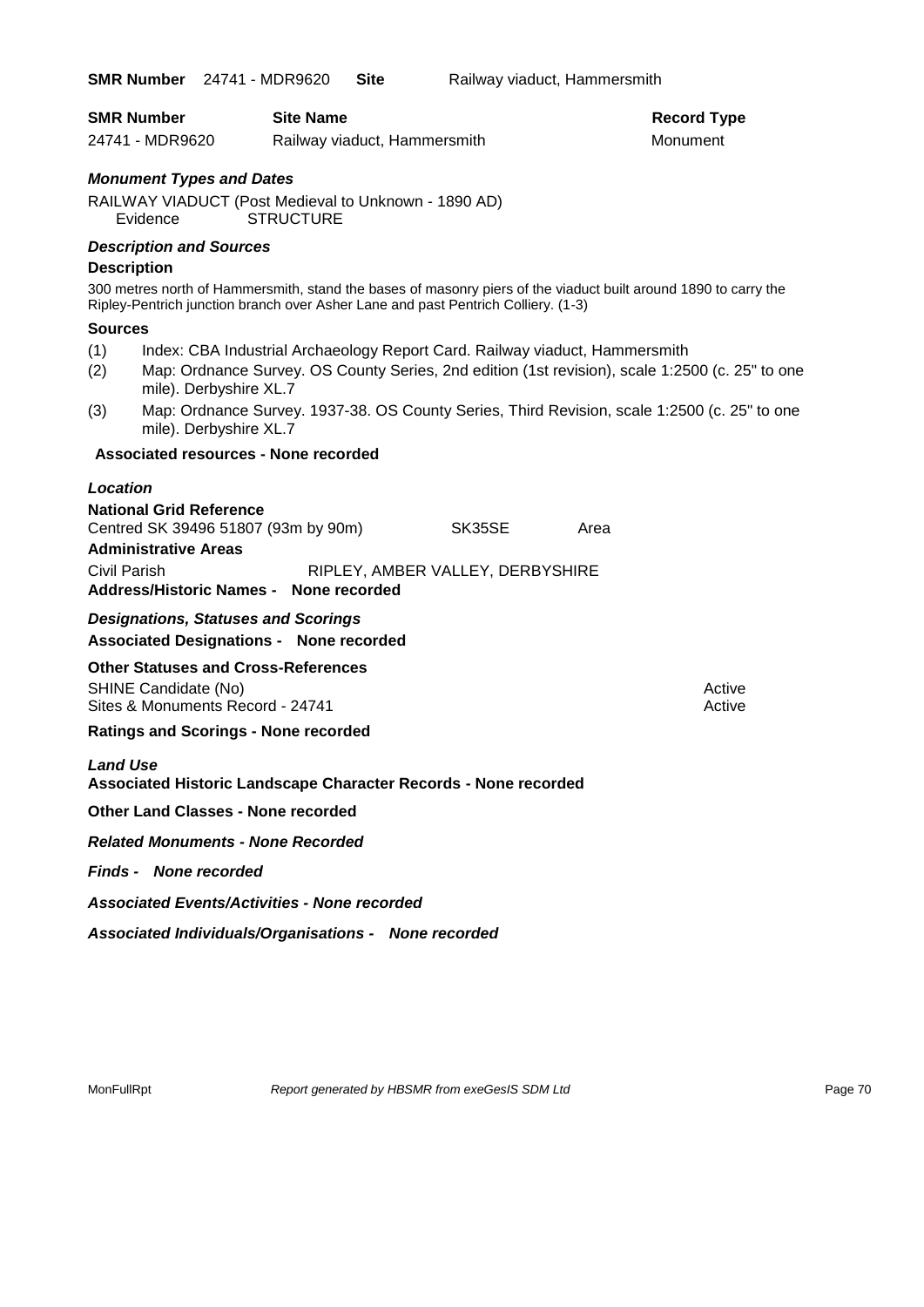| <b>SMR Number</b>                                                                                                                                                                                    | <b>Site Name</b>                                                            |                                  |      | <b>Record Type</b>                                                                              |
|------------------------------------------------------------------------------------------------------------------------------------------------------------------------------------------------------|-----------------------------------------------------------------------------|----------------------------------|------|-------------------------------------------------------------------------------------------------|
| 24741 - MDR9620                                                                                                                                                                                      | Railway viaduct, Hammersmith                                                |                                  |      | Monument                                                                                        |
| <b>Monument Types and Dates</b>                                                                                                                                                                      |                                                                             |                                  |      |                                                                                                 |
| RAILWAY VIADUCT (Post Medieval to Unknown - 1890 AD)                                                                                                                                                 |                                                                             |                                  |      |                                                                                                 |
| Evidence                                                                                                                                                                                             | <b>STRUCTURE</b>                                                            |                                  |      |                                                                                                 |
| <b>Description and Sources</b>                                                                                                                                                                       |                                                                             |                                  |      |                                                                                                 |
| <b>Description</b>                                                                                                                                                                                   |                                                                             |                                  |      |                                                                                                 |
| 300 metres north of Hammersmith, stand the bases of masonry piers of the viaduct built around 1890 to carry the<br>Ripley-Pentrich junction branch over Asher Lane and past Pentrich Colliery. (1-3) |                                                                             |                                  |      |                                                                                                 |
| <b>Sources</b>                                                                                                                                                                                       |                                                                             |                                  |      |                                                                                                 |
| (1)<br>(2)<br>mile). Derbyshire XL.7                                                                                                                                                                 | Index: CBA Industrial Archaeology Report Card. Railway viaduct, Hammersmith |                                  |      | Map: Ordnance Survey. OS County Series, 2nd edition (1st revision), scale 1:2500 (c. 25" to one |
| (3)<br>mile). Derbyshire XL.7                                                                                                                                                                        |                                                                             |                                  |      | Map: Ordnance Survey. 1937-38. OS County Series, Third Revision, scale 1:2500 (c. 25" to one    |
| <b>Associated resources - None recorded</b>                                                                                                                                                          |                                                                             |                                  |      |                                                                                                 |
| Location                                                                                                                                                                                             |                                                                             |                                  |      |                                                                                                 |
| <b>National Grid Reference</b>                                                                                                                                                                       |                                                                             |                                  |      |                                                                                                 |
| Centred SK 39496 51807 (93m by 90m)                                                                                                                                                                  |                                                                             | SK35SE                           | Area |                                                                                                 |
| <b>Administrative Areas</b>                                                                                                                                                                          |                                                                             |                                  |      |                                                                                                 |
| <b>Civil Parish</b>                                                                                                                                                                                  |                                                                             | RIPLEY, AMBER VALLEY, DERBYSHIRE |      |                                                                                                 |
| Address/Historic Names - None recorded                                                                                                                                                               |                                                                             |                                  |      |                                                                                                 |
| <b>Designations, Statuses and Scorings</b>                                                                                                                                                           |                                                                             |                                  |      |                                                                                                 |
| <b>Associated Designations - None recorded</b>                                                                                                                                                       |                                                                             |                                  |      |                                                                                                 |
| <b>Other Statuses and Cross-References</b>                                                                                                                                                           |                                                                             |                                  |      |                                                                                                 |
| SHINE Candidate (No)<br>Sites & Monuments Record - 24741                                                                                                                                             |                                                                             |                                  |      | Active<br>Active                                                                                |
| <b>Ratings and Scorings - None recorded</b>                                                                                                                                                          |                                                                             |                                  |      |                                                                                                 |
|                                                                                                                                                                                                      |                                                                             |                                  |      |                                                                                                 |
| <b>Land Use</b><br>Associated Historic Landscape Character Records - None recorded                                                                                                                   |                                                                             |                                  |      |                                                                                                 |
| <b>Other Land Classes - None recorded</b>                                                                                                                                                            |                                                                             |                                  |      |                                                                                                 |
| <b>Related Monuments - None Recorded</b>                                                                                                                                                             |                                                                             |                                  |      |                                                                                                 |
| <b>Finds - None recorded</b>                                                                                                                                                                         |                                                                             |                                  |      |                                                                                                 |
| <b>Associated Events/Activities - None recorded</b>                                                                                                                                                  |                                                                             |                                  |      |                                                                                                 |
| Associated Individuals/Organisations - None recorded                                                                                                                                                 |                                                                             |                                  |      |                                                                                                 |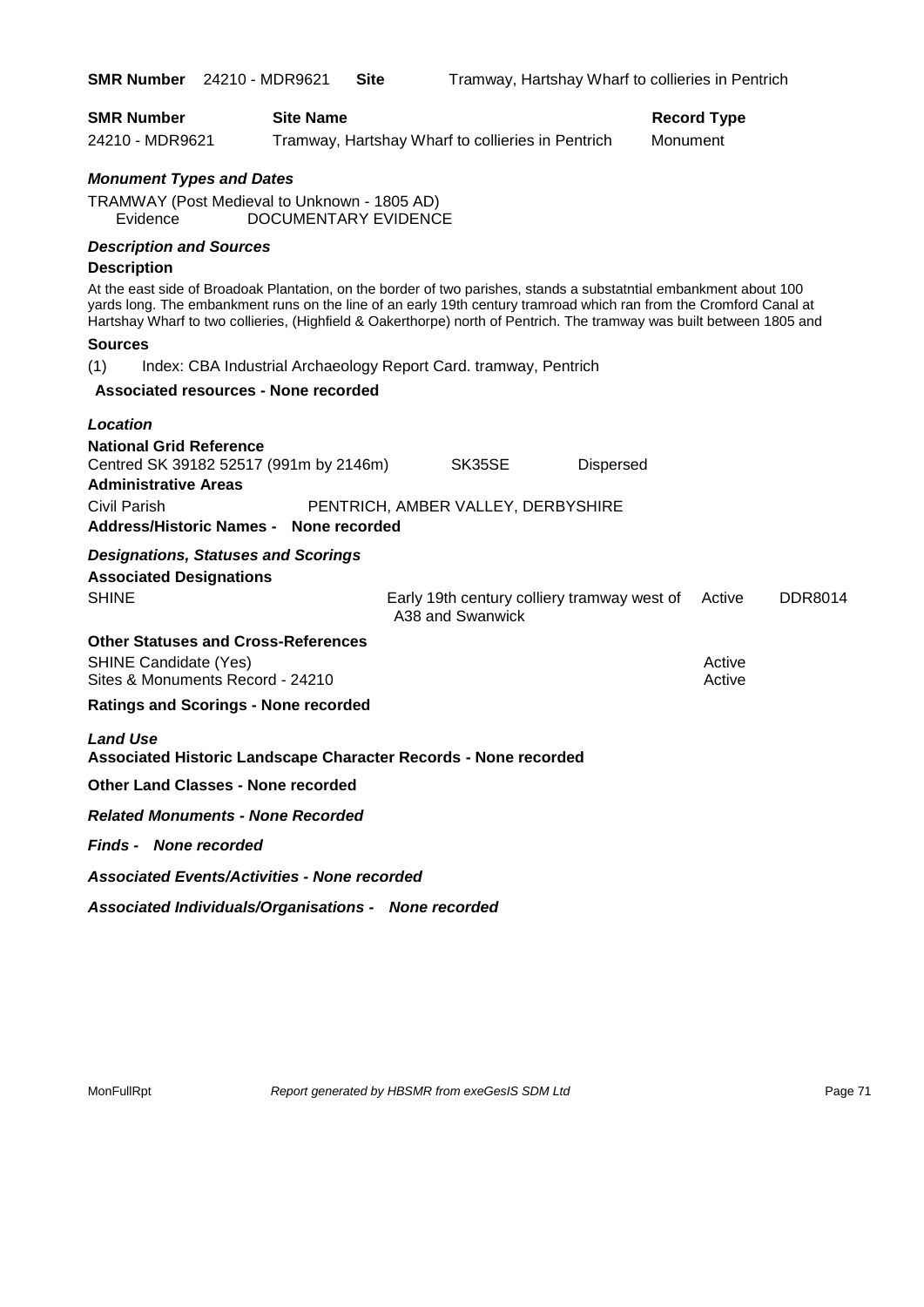| <b>SMR Number</b> 24210 - MDR9621                                                                              |                      | <b>Site</b> |                                                                                                                                                                                                                                                                                                                                                                   | Tramway, Hartshay Wharf to collieries in Pentrich |          |                    |                |
|----------------------------------------------------------------------------------------------------------------|----------------------|-------------|-------------------------------------------------------------------------------------------------------------------------------------------------------------------------------------------------------------------------------------------------------------------------------------------------------------------------------------------------------------------|---------------------------------------------------|----------|--------------------|----------------|
| <b>SMR Number</b>                                                                                              | <b>Site Name</b>     |             |                                                                                                                                                                                                                                                                                                                                                                   |                                                   |          | <b>Record Type</b> |                |
| 24210 - MDR9621                                                                                                |                      |             | Tramway, Hartshay Wharf to collieries in Pentrich                                                                                                                                                                                                                                                                                                                 |                                                   | Monument |                    |                |
| <b>Monument Types and Dates</b>                                                                                |                      |             |                                                                                                                                                                                                                                                                                                                                                                   |                                                   |          |                    |                |
| TRAMWAY (Post Medieval to Unknown - 1805 AD)<br>Evidence                                                       | DOCUMENTARY EVIDENCE |             |                                                                                                                                                                                                                                                                                                                                                                   |                                                   |          |                    |                |
| <b>Description and Sources</b>                                                                                 |                      |             |                                                                                                                                                                                                                                                                                                                                                                   |                                                   |          |                    |                |
| <b>Description</b>                                                                                             |                      |             | At the east side of Broadoak Plantation, on the border of two parishes, stands a substatntial embankment about 100<br>yards long. The embankment runs on the line of an early 19th century tramroad which ran from the Cromford Canal at<br>Hartshay Wharf to two collieries, (Highfield & Oakerthorpe) north of Pentrich. The tramway was built between 1805 and |                                                   |          |                    |                |
| <b>Sources</b>                                                                                                 |                      |             |                                                                                                                                                                                                                                                                                                                                                                   |                                                   |          |                    |                |
| (1)                                                                                                            |                      |             | Index: CBA Industrial Archaeology Report Card. tramway, Pentrich                                                                                                                                                                                                                                                                                                  |                                                   |          |                    |                |
| Associated resources - None recorded                                                                           |                      |             |                                                                                                                                                                                                                                                                                                                                                                   |                                                   |          |                    |                |
| Location                                                                                                       |                      |             |                                                                                                                                                                                                                                                                                                                                                                   |                                                   |          |                    |                |
| <b>National Grid Reference</b><br>Centred SK 39182 52517 (991m by 2146m)<br><b>Administrative Areas</b>        |                      |             | SK35SE                                                                                                                                                                                                                                                                                                                                                            | <b>Dispersed</b>                                  |          |                    |                |
| Civil Parish<br><b>Address/Historic Names -</b>                                                                | None recorded        |             | PENTRICH, AMBER VALLEY, DERBYSHIRE                                                                                                                                                                                                                                                                                                                                |                                                   |          |                    |                |
| <b>Designations, Statuses and Scorings</b>                                                                     |                      |             |                                                                                                                                                                                                                                                                                                                                                                   |                                                   |          |                    |                |
| <b>Associated Designations</b><br><b>SHINE</b>                                                                 |                      |             | Early 19th century colliery tramway west of<br>A38 and Swanwick                                                                                                                                                                                                                                                                                                   |                                                   |          | Active             | <b>DDR8014</b> |
| <b>Other Statuses and Cross-References</b><br><b>SHINE Candidate (Yes)</b><br>Sites & Monuments Record - 24210 |                      |             |                                                                                                                                                                                                                                                                                                                                                                   |                                                   |          | Active<br>Active   |                |
| <b>Ratings and Scorings - None recorded</b>                                                                    |                      |             |                                                                                                                                                                                                                                                                                                                                                                   |                                                   |          |                    |                |
| <b>Land Use</b>                                                                                                |                      |             | <b>Associated Historic Landscape Character Records - None recorded</b>                                                                                                                                                                                                                                                                                            |                                                   |          |                    |                |
| <b>Other Land Classes - None recorded</b>                                                                      |                      |             |                                                                                                                                                                                                                                                                                                                                                                   |                                                   |          |                    |                |
| <b>Related Monuments - None Recorded</b>                                                                       |                      |             |                                                                                                                                                                                                                                                                                                                                                                   |                                                   |          |                    |                |
| <b>Finds - None recorded</b>                                                                                   |                      |             |                                                                                                                                                                                                                                                                                                                                                                   |                                                   |          |                    |                |
| <b>Associated Events/Activities - None recorded</b>                                                            |                      |             |                                                                                                                                                                                                                                                                                                                                                                   |                                                   |          |                    |                |
| Associated Individuals/Organisations - None recorded                                                           |                      |             |                                                                                                                                                                                                                                                                                                                                                                   |                                                   |          |                    |                |

MonFullRpt *Report generated by HBSMR from exeGesIS SDM Ltd Rage 71* Page 71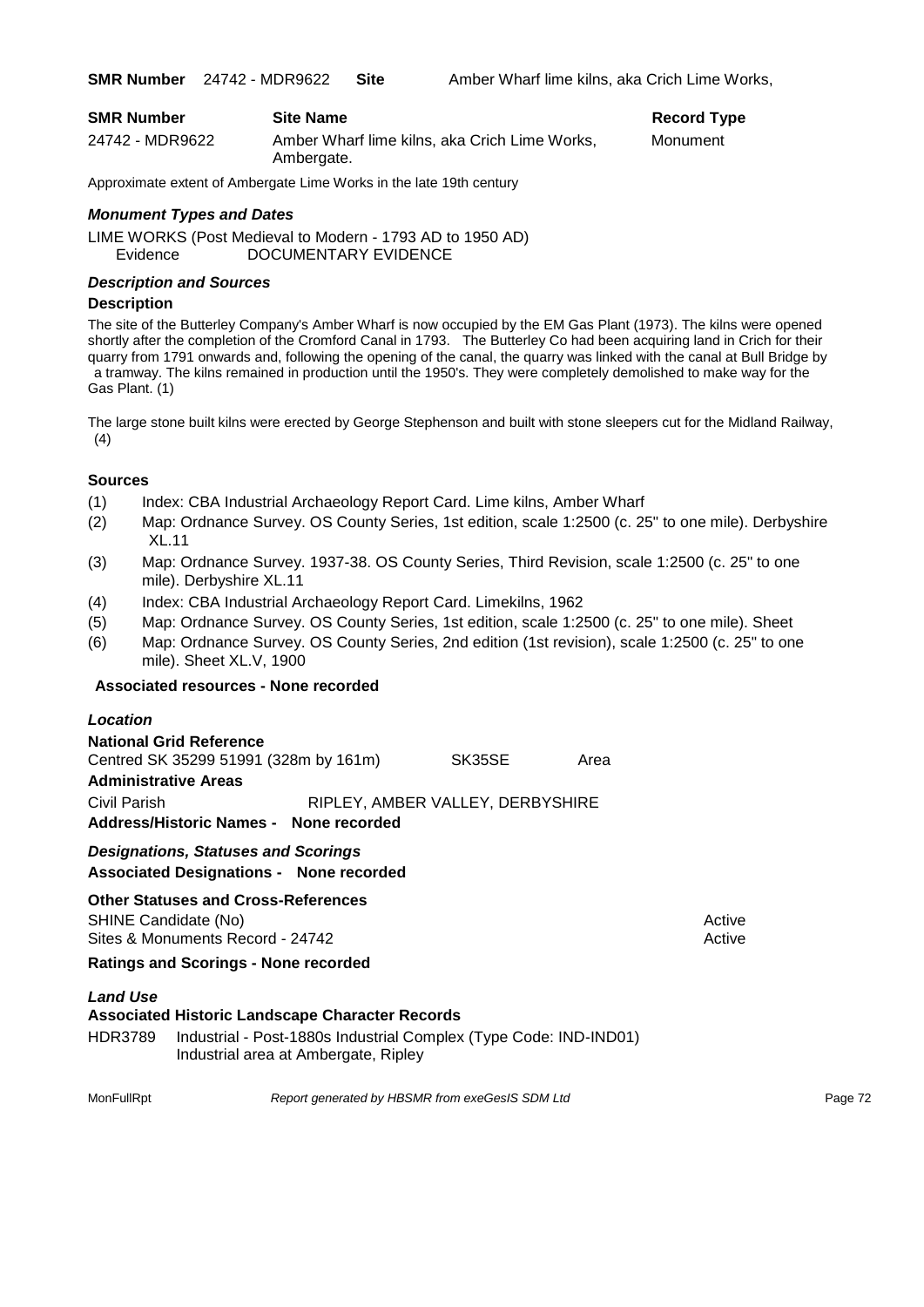| <b>SMR Number</b> | <b>Site Name</b>                                            | <b>Record Type</b> |
|-------------------|-------------------------------------------------------------|--------------------|
| 24742 - MDR9622   | Amber Wharf lime kilns, aka Crich Lime Works,<br>Ambergate. | Monument           |

Approximate extent of Ambergate Lime Works in the late 19th century

#### *Monument Types and Dates*

LIME WORKS (Post Medieval to Modern - 1793 AD to 1950 AD) Evidence DOCUMENTARY EVIDENCE

#### *Description and Sources*

#### **Description**

The site of the Butterley Company's Amber Wharf is now occupied by the EM Gas Plant (1973). The kilns were opened shortly after the completion of the Cromford Canal in 1793. The Butterley Co had been acquiring land in Crich for their quarry from 1791 onwards and, following the opening of the canal, the quarry was linked with the canal at Bull Bridge by a tramway. The kilns remained in production until the 1950's. They were completely demolished to make way for the Gas Plant. (1)

The large stone built kilns were erected by George Stephenson and built with stone sleepers cut for the Midland Railway,  $(4)$ 

#### **Sources**

- (1) Index: CBA Industrial Archaeology Report Card. Lime kilns, Amber Wharf
- (2) Map: Ordnance Survey. OS County Series, 1st edition, scale 1:2500 (c. 25" to one mile). Derbyshire XL.11
- (3) Map: Ordnance Survey. 1937-38. OS County Series, Third Revision, scale 1:2500 (c. 25" to one mile). Derbyshire XL.11
- (4) Index: CBA Industrial Archaeology Report Card. Limekilns, 1962
- (5) Map: Ordnance Survey. OS County Series, 1st edition, scale 1:2500 (c. 25" to one mile). Sheet
- (6) Map: Ordnance Survey. OS County Series, 2nd edition (1st revision), scale 1:2500 (c. 25" to one mile). Sheet XL.V, 1900

#### **Associated resources - None recorded**

| Location |
|----------|
|----------|

| <b>National Grid Reference</b>        |               |                                  |  |
|---------------------------------------|---------------|----------------------------------|--|
| Centred SK 35299 51991 (328m by 161m) | SK35SE        | Area                             |  |
| <b>Administrative Areas</b>           |               |                                  |  |
| Civil Parish                          |               | RIPLEY, AMBER VALLEY, DERBYSHIRE |  |
| <b>Address/Historic Names -</b>       | None recorded |                                  |  |

#### *Designations, Statuses and Scorings* **Associated Designations - None recorded**

#### **Other Statuses and Cross-References**

SHINE Candidate (No) and the state of the state of the state of the state of the state of the state of the state of the state of the state of the state of the state of the state of the state of the state of the state of th Sites & Monuments Record - 24742 Active Active Active Active

**Ratings and Scorings - None recorded**

#### *Land Use*

#### **Associated Historic Landscape Character Records**

HDR3789 Industrial - Post-1880s Industrial Complex (Type Code: IND-IND01) Industrial area at Ambergate, Ripley

MonFullRpt *Report generated by HBSMR from exeGesIS SDM Ltd Report 12 Age 72*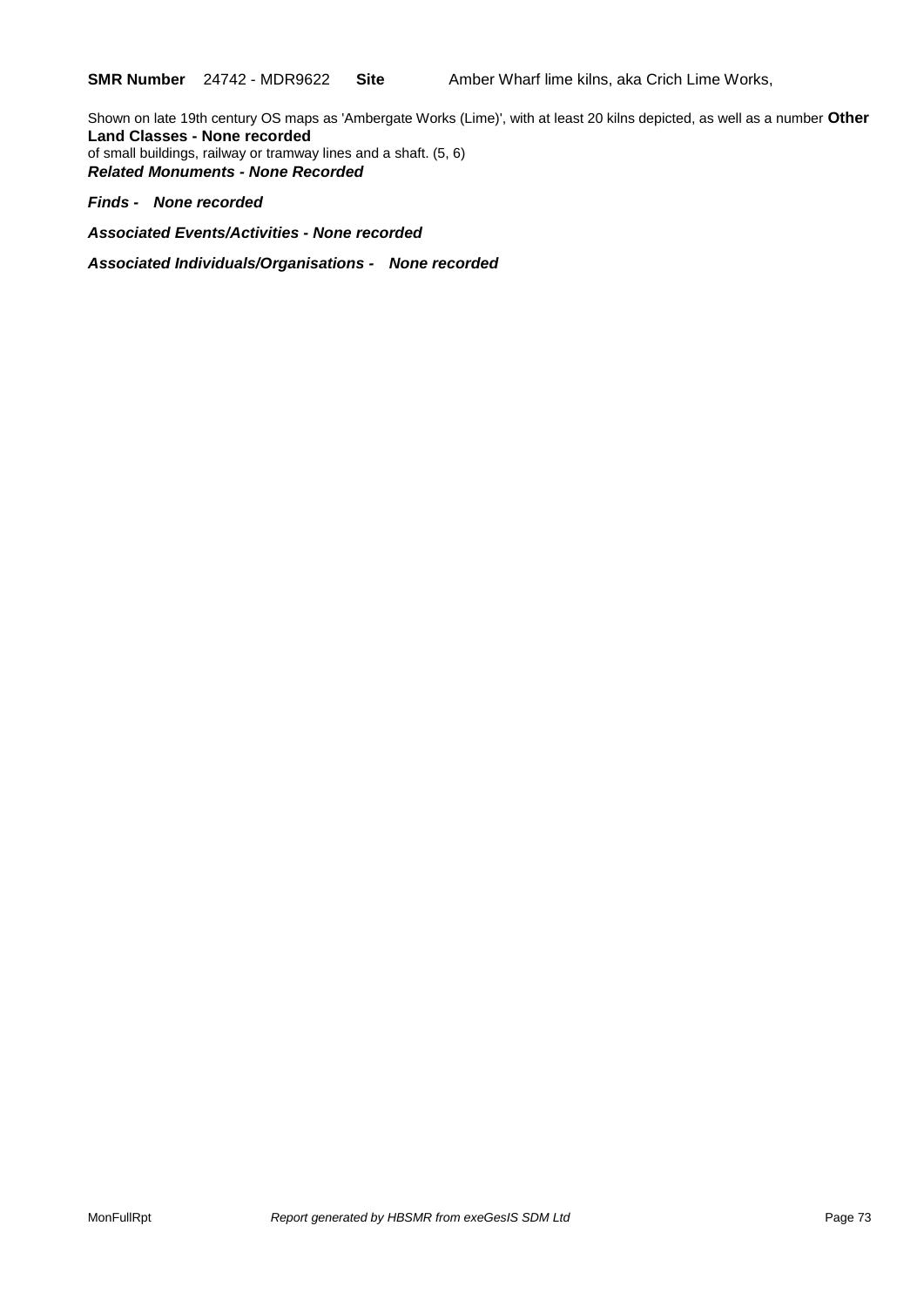Shown on late 19th century OS maps as 'Ambergate Works (Lime)', with at least 20 kilns depicted, as well as a number **Other Land Classes - None recorded** of small buildings, railway or tramway lines and a shaft. (5, 6) *Related Monuments - None Recorded*

#### *Finds - None recorded*

*Associated Events/Activities - None recorded*

*Associated Individuals/Organisations - None recorded*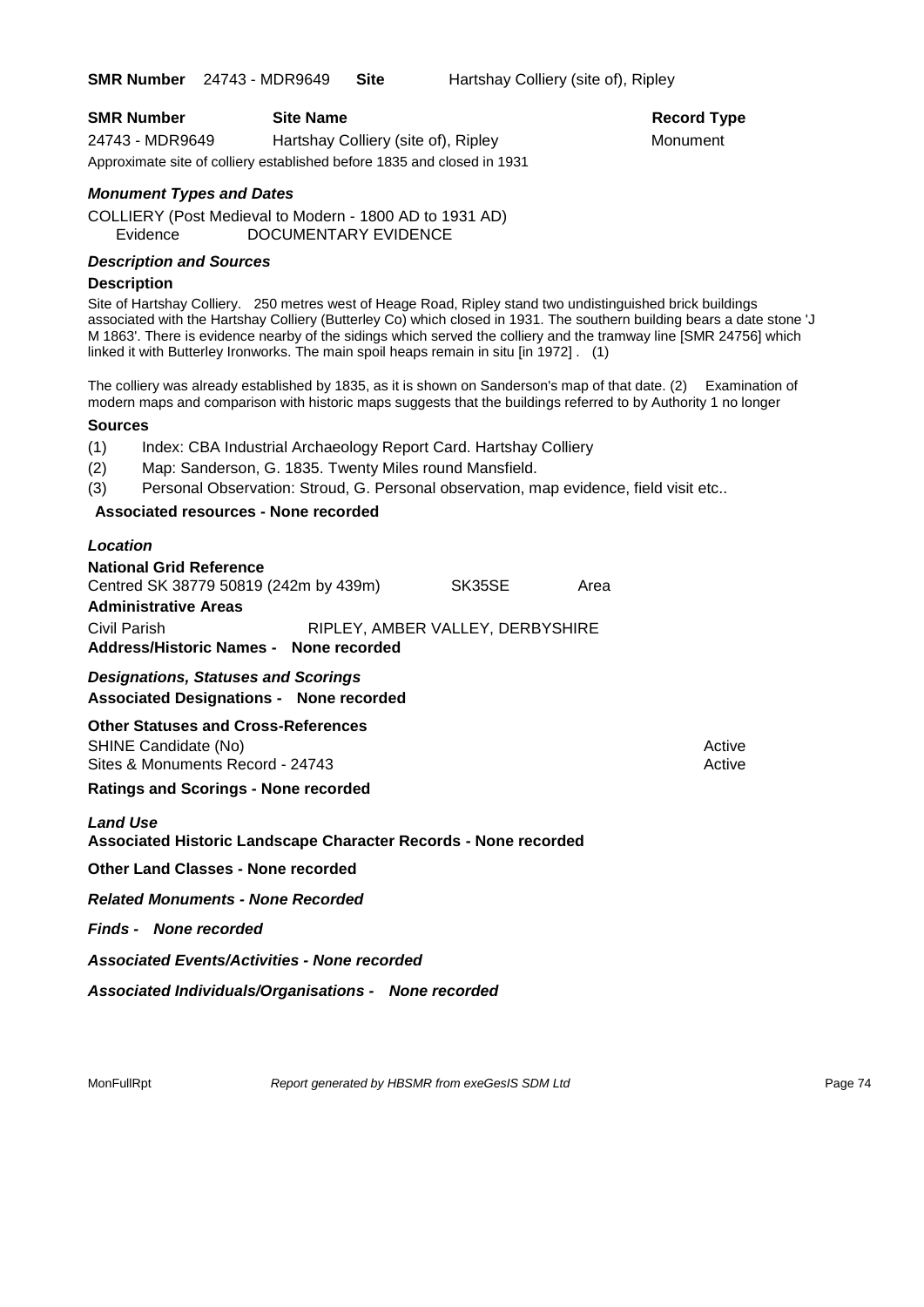**SMR Number** 24743 - MDR9649 **Site** Hartshay Colliery (site of), Ripley

| <b>SMR Number</b> | <b>Site Name</b>                                                        | <b>Record Ty</b> |
|-------------------|-------------------------------------------------------------------------|------------------|
| 24743 - MDR9649   | Hartshay Colliery (site of), Ripley                                     | Monument         |
|                   | Approximate site of colliery established before 1835 and closed in 1931 |                  |

# **Record Type**

#### *Monument Types and Dates*

COLLIERY (Post Medieval to Modern - 1800 AD to 1931 AD) Evidence DOCUMENTARY EVIDENCE

#### *Description and Sources*

#### **Description**

Site of Hartshay Colliery. 250 metres west of Heage Road, Ripley stand two undistinguished brick buildings associated with the Hartshay Colliery (Butterley Co) which closed in 1931. The southern building bears a date stone 'J M 1863'. There is evidence nearby of the sidings which served the colliery and the tramway line [SMR 24756] which linked it with Butterley Ironworks. The main spoil heaps remain in situ [in 1972] . (1)

The colliery was already established by 1835, as it is shown on Sanderson's map of that date. (2) Examination of modern maps and comparison with historic maps suggests that the buildings referred to by Authority 1 no longer

#### **Sources**

(1) Index: CBA Industrial Archaeology Report Card. Hartshay Colliery

- (2) Map: Sanderson, G. 1835. Twenty Miles round Mansfield.
- (3) Personal Observation: Stroud, G. Personal observation, map evidence, field visit etc..

#### **Associated resources - None recorded**

#### *Location*

| <b>National Grid Reference</b>         |                                  |      |
|----------------------------------------|----------------------------------|------|
| Centred SK 38779 50819 (242m by 439m)  | SK35SE                           | Area |
| <b>Administrative Areas</b>            |                                  |      |
| Civil Parish                           | RIPLEY, AMBER VALLEY, DERBYSHIRE |      |
| Address/Historic Names - None recorded |                                  |      |

#### *Designations, Statuses and Scorings*

**Associated Designations - None recorded**

**Other Statuses and Cross-References** SHINE Candidate (No) **Active** Active 30 Active 30 Active 30 Active 30 Active 30 Active

Sites & Monuments Record - 24743 Active Active Active Active

**Ratings and Scorings - None recorded**

#### *Land Use*

#### **Associated Historic Landscape Character Records - None recorded**

**Other Land Classes - None recorded**

*Related Monuments - None Recorded*

*Finds - None recorded*

*Associated Events/Activities - None recorded*

*Associated Individuals/Organisations - None recorded*

MonFullRpt *Report generated by HBSMR from exeGesIS SDM Ltd Report 9enerated by HBSMR from exeGesIS SDM Ltd*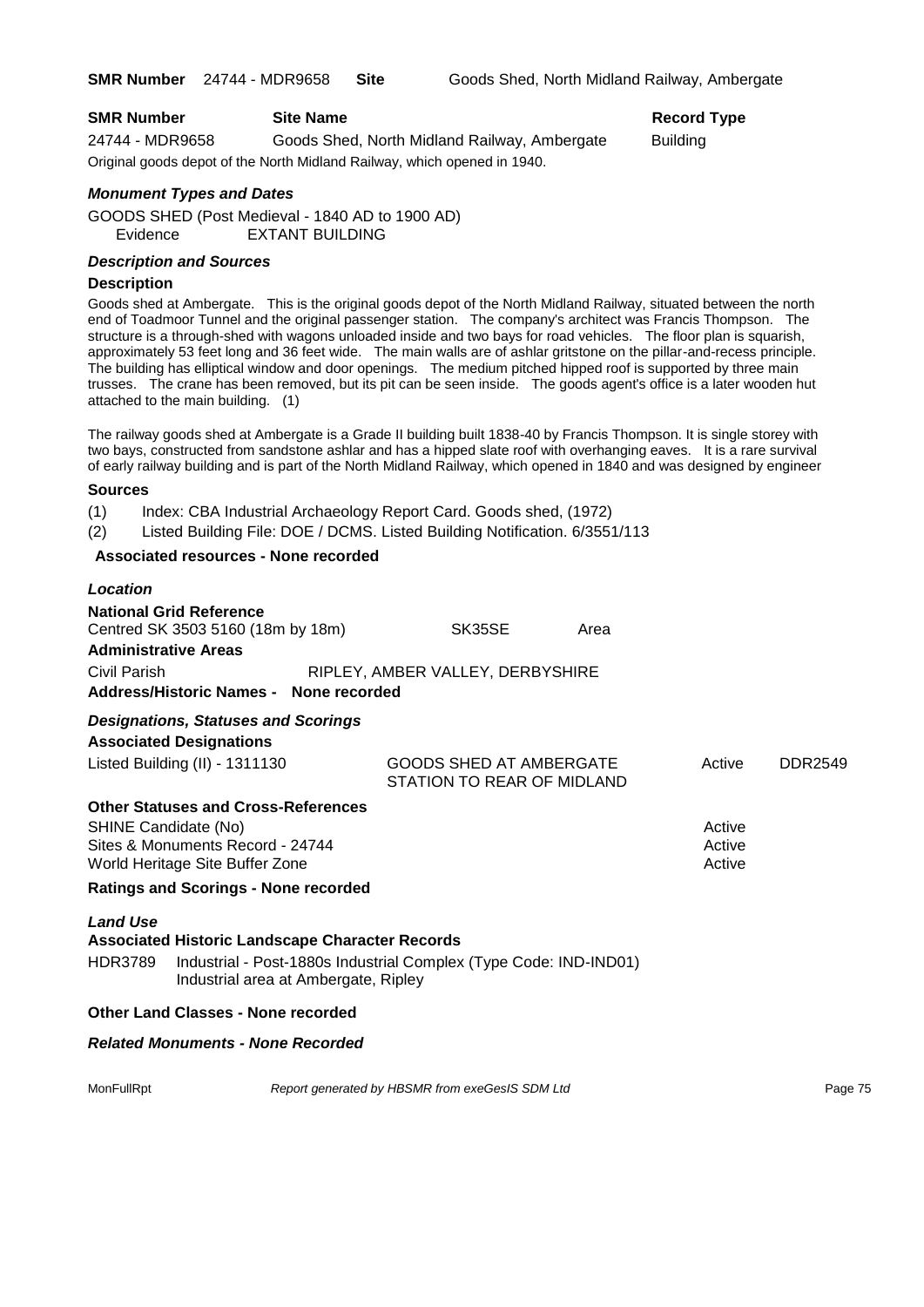#### **SMR Number Site Name Record Type Record Type**

24744 - MDR9658 Goods Shed, North Midland Railway, Ambergate Building Original goods depot of the North Midland Railway, which opened in 1940.

#### *Monument Types and Dates*

GOODS SHED (Post Medieval - 1840 AD to 1900 AD) Evidence EXTANT BUILDING

#### *Description and Sources*

#### **Description**

Goods shed at Ambergate. This is the original goods depot of the North Midland Railway, situated between the north end of Toadmoor Tunnel and the original passenger station. The company's architect was Francis Thompson. The structure is a through-shed with wagons unloaded inside and two bays for road vehicles. The floor plan is squarish, approximately 53 feet long and 36 feet wide. The main walls are of ashlar gritstone on the pillar-and-recess principle. The building has elliptical window and door openings. The medium pitched hipped roof is supported by three main trusses. The crane has been removed, but its pit can be seen inside. The goods agent's office is a later wooden hut attached to the main building. (1)

The railway goods shed at Ambergate is a Grade II building built 1838-40 by Francis Thompson. It is single storey with two bays, constructed from sandstone ashlar and has a hipped slate roof with overhanging eaves. It is a rare survival of early railway building and is part of the North Midland Railway, which opened in 1840 and was designed by engineer

#### **Sources**

(1) Index: CBA Industrial Archaeology Report Card. Goods shed, (1972)

(2) Listed Building File: DOE / DCMS. Listed Building Notification. 6/3551/113

#### **Associated resources - None recorded**

| Location                          |                                                                                                                                                                     |                                                       |      |                            |         |
|-----------------------------------|---------------------------------------------------------------------------------------------------------------------------------------------------------------------|-------------------------------------------------------|------|----------------------------|---------|
| <b>Administrative Areas</b>       | <b>National Grid Reference</b><br>Centred SK 3503 5160 (18m by 18m)                                                                                                 | SK35SE                                                | Area |                            |         |
| Civil Parish                      | Address/Historic Names - None recorded                                                                                                                              | RIPLEY, AMBER VALLEY, DERBYSHIRE                      |      |                            |         |
|                                   | <b>Designations, Statuses and Scorings</b><br><b>Associated Designations</b><br>Listed Building (II) - 1311130                                                      | GOODS SHED AT AMBERGATE<br>STATION TO REAR OF MIDLAND |      | Active                     | DDR2549 |
| SHINE Candidate (No)              | <b>Other Statuses and Cross-References</b><br>Sites & Monuments Record - 24744<br>World Heritage Site Buffer Zone                                                   |                                                       |      | Active<br>Active<br>Active |         |
|                                   | <b>Ratings and Scorings - None recorded</b>                                                                                                                         |                                                       |      |                            |         |
| <b>Land Use</b><br><b>HDR3789</b> | <b>Associated Historic Landscape Character Records</b><br>Industrial - Post-1880s Industrial Complex (Type Code: IND-IND01)<br>Industrial area at Ambergate, Ripley |                                                       |      |                            |         |
|                                   | <b>Other Land Classes - None recorded</b>                                                                                                                           |                                                       |      |                            |         |
|                                   | <b>Related Monuments - None Recorded</b>                                                                                                                            |                                                       |      |                            |         |
| MonFullRpt                        |                                                                                                                                                                     | Report generated by HBSMR from exeGesIS SDM Ltd       |      |                            | Page 75 |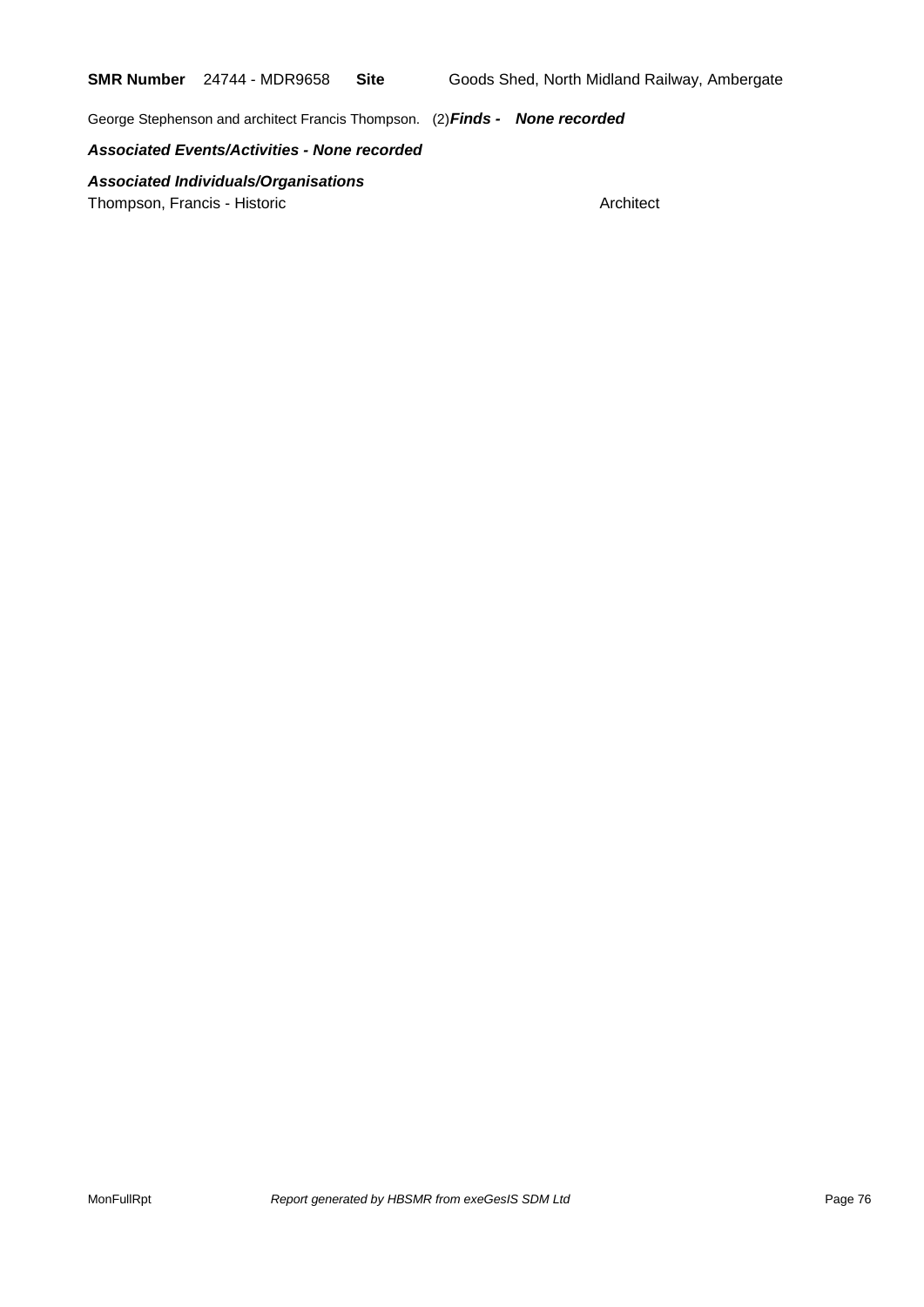George Stephenson and architect Francis Thompson. (2)*Finds - None recorded*

*Associated Events/Activities - None recorded*

*Associated Individuals/Organisations*

Thompson, Francis - Historic **Architect** Architect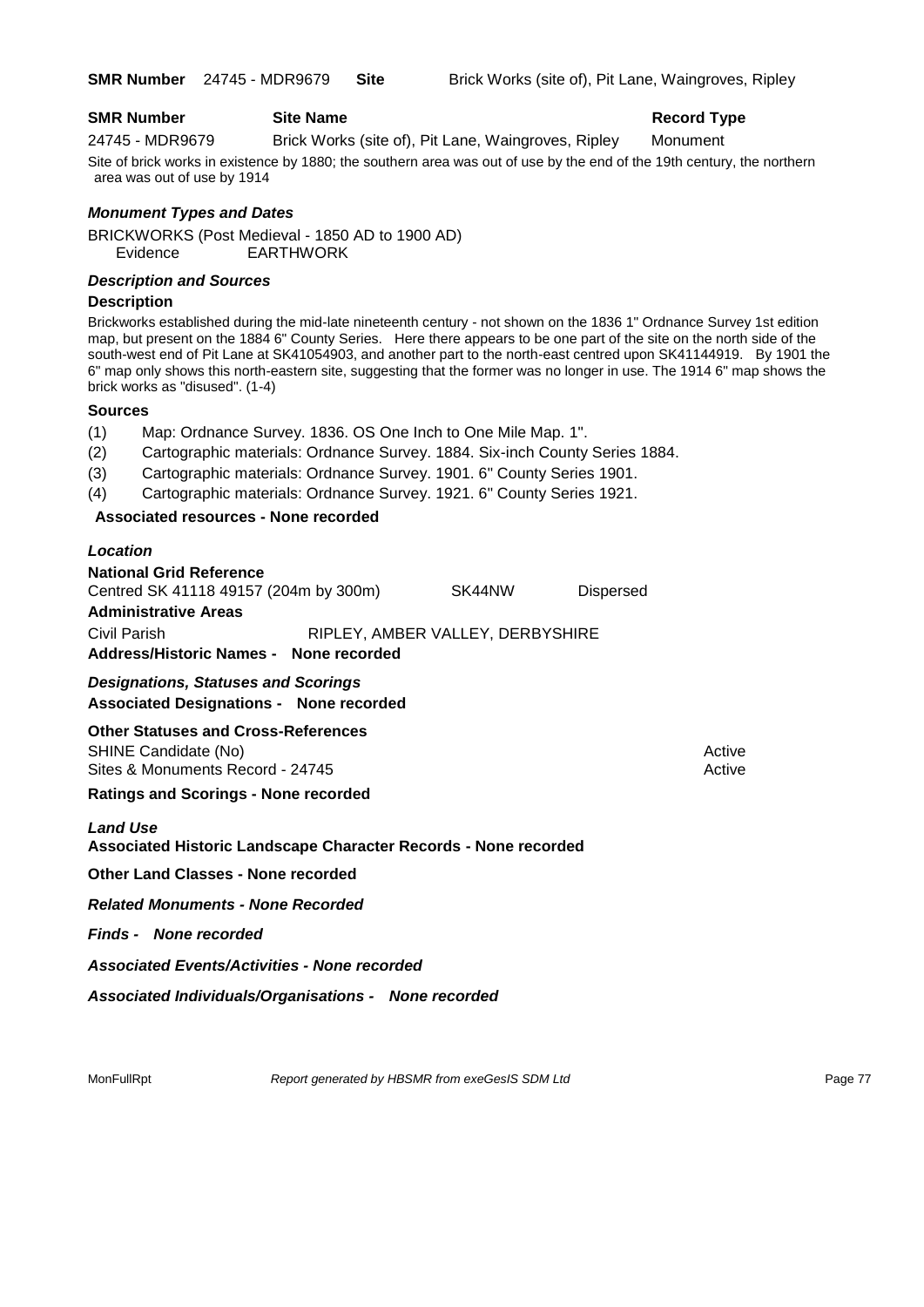#### **SMR Number Site Name Record Type Record Type**

24745 - MDR9679 Brick Works (site of), Pit Lane, Waingroves, Ripley Monument Site of brick works in existence by 1880; the southern area was out of use by the end of the 19th century, the northern

area was out of use by 1914

#### *Monument Types and Dates*

BRICKWORKS (Post Medieval - 1850 AD to 1900 AD) Evidence EARTHWORK

#### *Description and Sources*

#### **Description**

Brickworks established during the mid-late nineteenth century - not shown on the 1836 1" Ordnance Survey 1st edition map, but present on the 1884 6" County Series. Here there appears to be one part of the site on the north side of the south-west end of Pit Lane at SK41054903, and another part to the north-east centred upon SK41144919. By 1901 the 6" map only shows this north-eastern site, suggesting that the former was no longer in use. The 1914 6" map shows the brick works as "disused". (1-4)

#### **Sources**

- (1) Map: Ordnance Survey. 1836. OS One Inch to One Mile Map. 1".
- (2) Cartographic materials: Ordnance Survey. 1884. Six-inch County Series 1884.
- (3) Cartographic materials: Ordnance Survey. 1901. 6" County Series 1901.
- (4) Cartographic materials: Ordnance Survey. 1921. 6" County Series 1921.

### **Associated resources - None recorded**

#### *Location*

| <b>National Grid Reference</b>        |               |                                  |                  |
|---------------------------------------|---------------|----------------------------------|------------------|
| Centred SK 41118 49157 (204m by 300m) |               | SK44NW                           | <b>Dispersed</b> |
| <b>Administrative Areas</b>           |               |                                  |                  |
| Civil Parish                          |               | RIPLEY, AMBER VALLEY, DERBYSHIRE |                  |
| <b>Address/Historic Names -</b>       | None recorded |                                  |                  |

*Designations, Statuses and Scorings* **Associated Designations - None recorded**

# **Other Statuses and Cross-References**

SHINE Candidate (No) **Active** Active Sites & Monuments Record - 24745 Active Active Active Active

#### **Ratings and Scorings - None recorded**

#### *Land Use*

#### **Associated Historic Landscape Character Records - None recorded**

**Other Land Classes - None recorded**

*Related Monuments - None Recorded*

*Finds - None recorded*

*Associated Events/Activities - None recorded*

*Associated Individuals/Organisations - None recorded*

MonFullRpt *Report generated by HBSMR from exeGesIS SDM Ltd Report permits and Report and Report generated by HBSMR from exeGesIS SDM Ltd*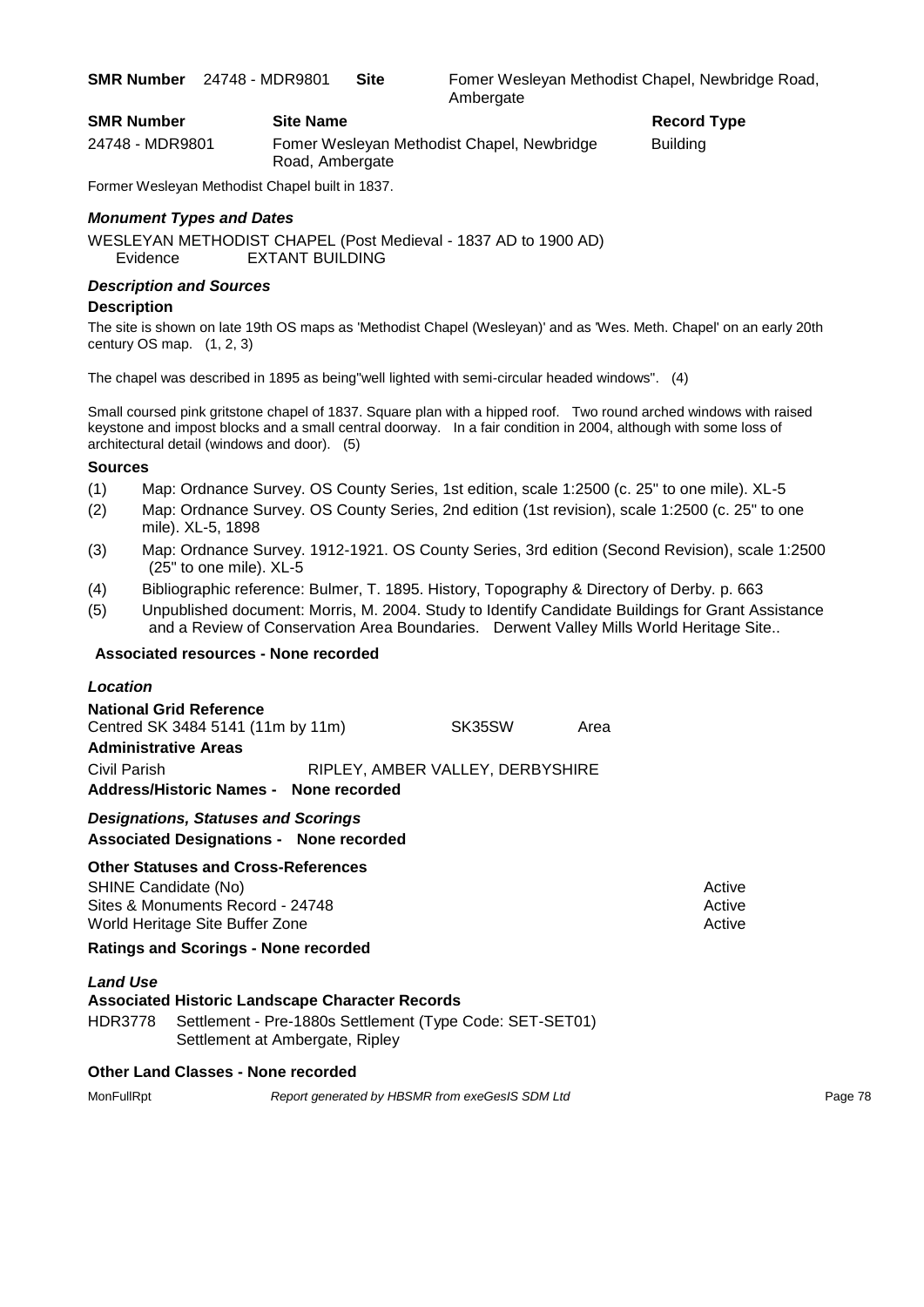**SMR Number** 24748 - MDR9801 **Site** Fomer Wesleyan Methodist Chapel, Newbridge Road, **Ambergate** 

**Record Type** 

| <b>SMR Number</b> | <b>Site Name</b>                                              | Record   |
|-------------------|---------------------------------------------------------------|----------|
| 24748 - MDR9801   | Fomer Wesleyan Methodist Chapel, Newbridge<br>Road, Ambergate | Building |

Former Wesleyan Methodist Chapel built in 1837.

#### *Monument Types and Dates*

WESLEYAN METHODIST CHAPEL (Post Medieval - 1837 AD to 1900 AD) Evidence EXTANT BUILDING

#### *Description and Sources*

#### **Description**

The site is shown on late 19th OS maps as 'Methodist Chapel (Wesleyan)' and as 'Wes. Meth. Chapel' on an early 20th century OS map.  $(1, 2, 3)$ 

The chapel was described in 1895 as being"well lighted with semi-circular headed windows". (4)

Small coursed pink gritstone chapel of 1837. Square plan with a hipped roof. Two round arched windows with raised keystone and impost blocks and a small central doorway. In a fair condition in 2004, although with some loss of architectural detail (windows and door). (5)

#### **Sources**

- (1) Map: Ordnance Survey. OS County Series, 1st edition, scale 1:2500 (c. 25" to one mile). XL-5
- (2) Map: Ordnance Survey. OS County Series, 2nd edition (1st revision), scale 1:2500 (c. 25" to one mile). XL-5, 1898
- (3) Map: Ordnance Survey. 1912-1921. OS County Series, 3rd edition (Second Revision), scale 1:2500 (25" to one mile). XL-5
- (4) Bibliographic reference: Bulmer, T. 1895. History, Topography & Directory of Derby. p. 663
- (5) Unpublished document: Morris, M. 2004. Study to Identify Candidate Buildings for Grant Assistance and a Review of Conservation Area Boundaries. Derwent Valley Mills World Heritage Site..

#### **Associated resources - None recorded**

#### *Location*

| <b>National Grid Reference</b>         |  |                                  |      |
|----------------------------------------|--|----------------------------------|------|
| Centred SK 3484 5141 (11m by 11m)      |  | SK35SW                           | Area |
| <b>Administrative Areas</b>            |  |                                  |      |
| Civil Parish                           |  | RIPLEY, AMBER VALLEY, DERBYSHIRE |      |
| Address/Historic Names - None recorded |  |                                  |      |

### *Designations, Statuses and Scorings*

**Associated Designations - None recorded**

### **Other Statuses and Cross-References**

SHINE Candidate (No) **Active** 3 Active 3 Active 3 Active 3 Active 3 Active 3 Active Sites & Monuments Record - 24748 Active Active Active Active World Heritage Site Buffer Zone Active Active Active Active Active Active Active Active

**Ratings and Scorings - None recorded**

### *Land Use*

|  | <b>Associated Historic Landscape Character Records</b> |                                                                  |
|--|--------------------------------------------------------|------------------------------------------------------------------|
|  |                                                        | HDR3778 Settlement - Pre-1880s Settlement (Type Code: SET-SET01) |

Settlement at Ambergate, Ripley

### **Other Land Classes - None recorded**

MonFullRpt *Report generated by HBSMR from exeGesIS SDM Ltd Report 9enerated by HBSMR from exeGesIS SDM Ltd*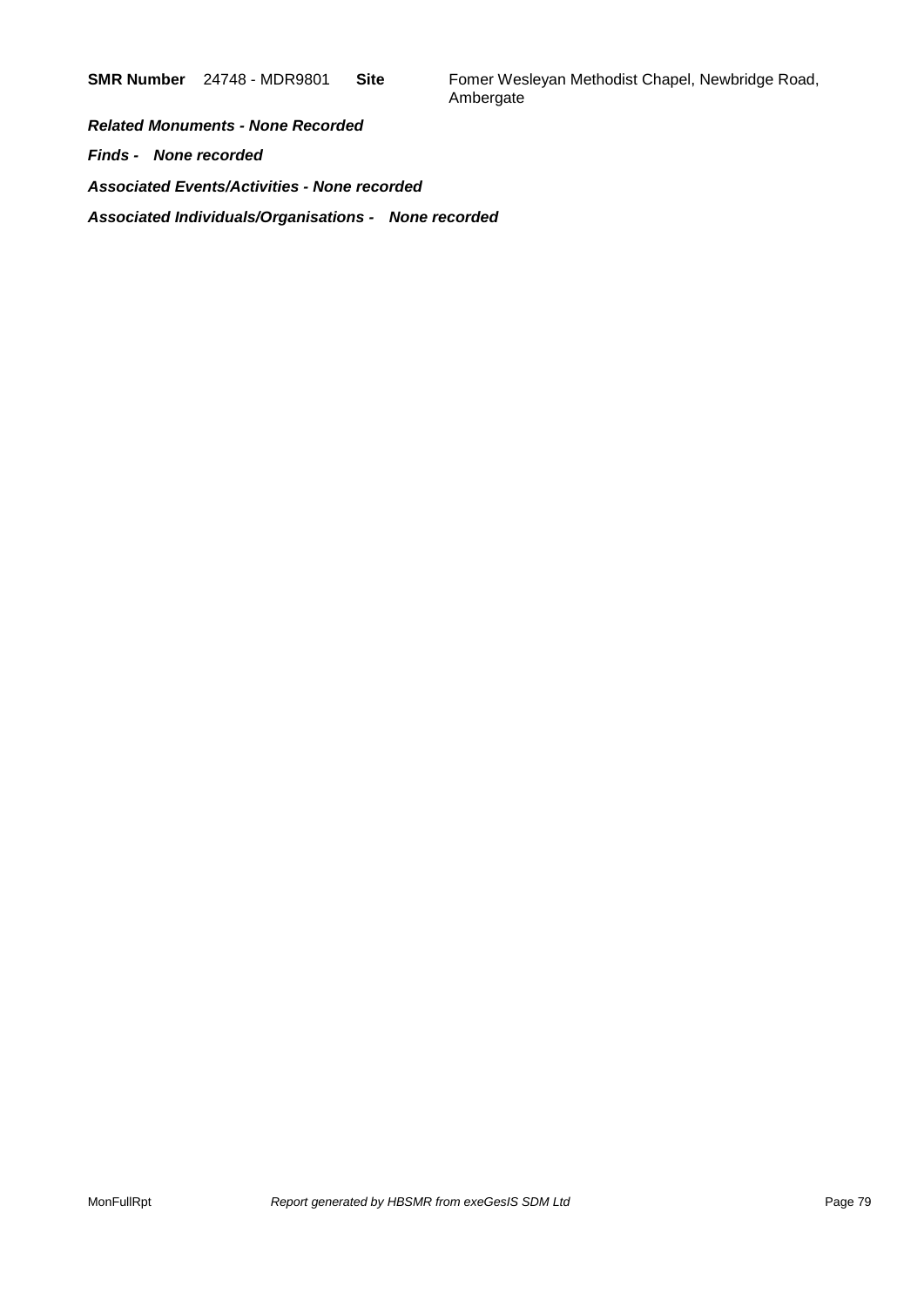**SMR Number** 24748 - MDR9801 **Site** Fomer Wesleyan Methodist Chapel, Newbridge Road, Ambergate

*Related Monuments - None Recorded Finds - None recorded Associated Events/Activities - None recorded Associated Individuals/Organisations - None recorded*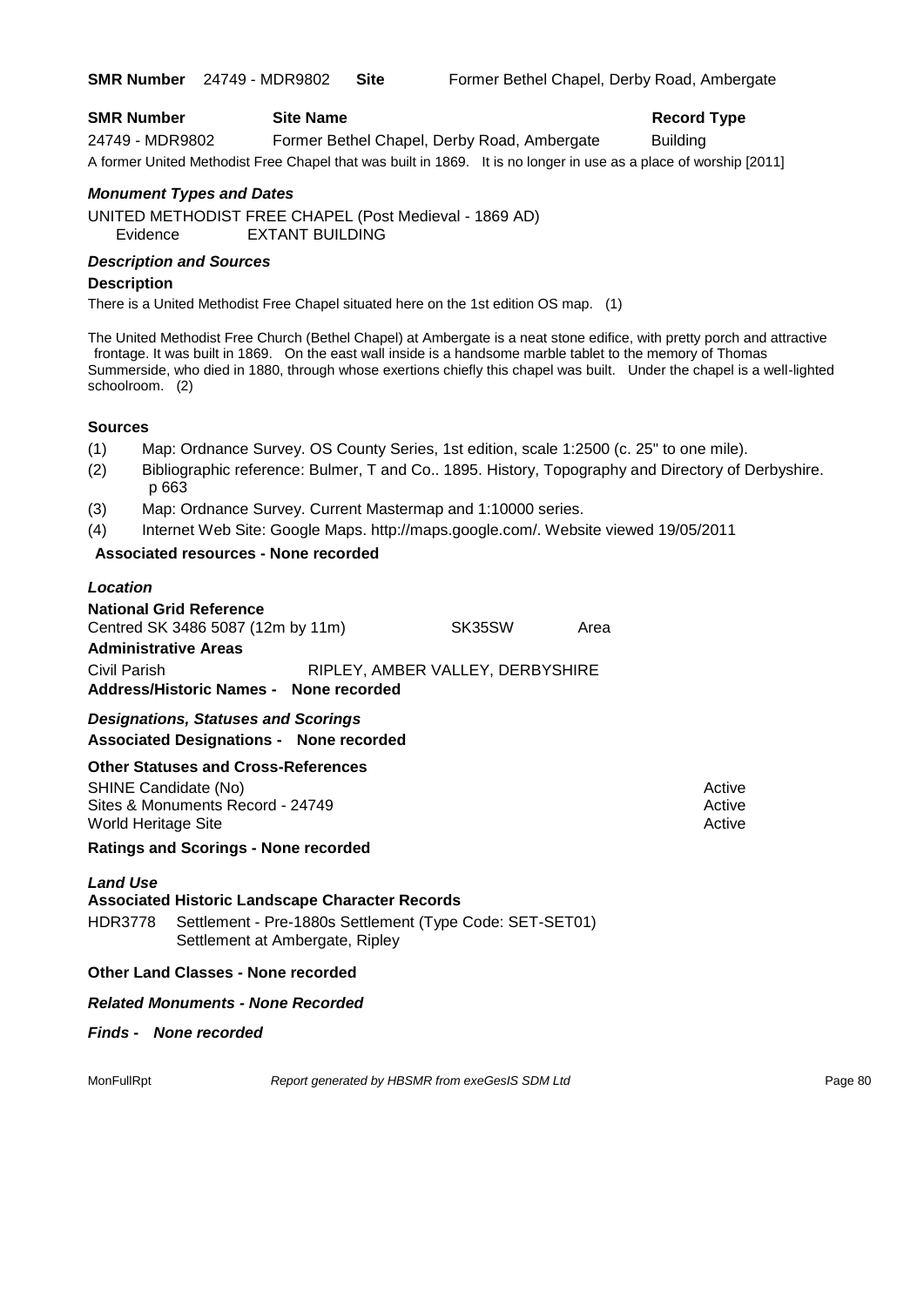| <b>SMR Number</b> | <b>Site Name</b>                                                                                                  | <b>Record Type</b> |
|-------------------|-------------------------------------------------------------------------------------------------------------------|--------------------|
| 24749 - MDR9802   | Former Bethel Chapel, Derby Road, Ambergate                                                                       | <b>Building</b>    |
|                   | A former United Methodist Free Chapel that was built in 1869. It is no longer in use as a place of worship [2011] |                    |

#### *Monument Types and Dates*

UNITED METHODIST FREE CHAPEL (Post Medieval - 1869 AD) Evidence EXTANT BUILDING

#### *Description and Sources*

#### **Description**

There is a United Methodist Free Chapel situated here on the 1st edition OS map. (1)

The United Methodist Free Church (Bethel Chapel) at Ambergate is a neat stone edifice, with pretty porch and attractive frontage. It was built in 1869. On the east wall inside is a handsome marble tablet to the memory of Thomas Summerside, who died in 1880, through whose exertions chiefly this chapel was built. Under the chapel is a well-lighted schoolroom. (2)

#### **Sources**

- (1) Map: Ordnance Survey. OS County Series, 1st edition, scale 1:2500 (c. 25" to one mile).
- (2) Bibliographic reference: Bulmer, T and Co.. 1895. History, Topography and Directory of Derbyshire. p 663
- (3) Map: Ordnance Survey. Current Mastermap and 1:10000 series.
- (4) Internet Web Site: Google Maps. http://maps.google.com/. Website viewed 19/05/2011

#### **Associated resources - None recorded**

#### *Location*

| <b>National Grid Reference</b>         |                                  |      |
|----------------------------------------|----------------------------------|------|
| Centred SK 3486 5087 (12m by 11m)      | SK35SW                           | Area |
| <b>Administrative Areas</b>            |                                  |      |
| Civil Parish                           | RIPLEY, AMBER VALLEY, DERBYSHIRE |      |
| Address/Historic Names - None recorded |                                  |      |

*Designations, Statuses and Scorings* **Associated Designations - None recorded**

#### **Other Statuses and Cross-References**

SHINE Candidate (No) **Active** Active **Active** Active **Active** Active **Active** Active Sites & Monuments Record - 24749 Active Active Active Active World Heritage Site **Active** Active Active Active Active Active Active Active Active Active Active

**Ratings and Scorings - None recorded**

#### *Land Use*

#### **Associated Historic Landscape Character Records**

HDR3778 Settlement - Pre-1880s Settlement (Type Code: SET-SET01) Settlement at Ambergate, Ripley

#### **Other Land Classes - None recorded**

#### *Related Monuments - None Recorded*

#### *Finds - None recorded*

MonFullRpt *Report generated by HBSMR from exeGesIS SDM Ltd Report 9enerated by HBSMR from exeGesIS SDM Ltd*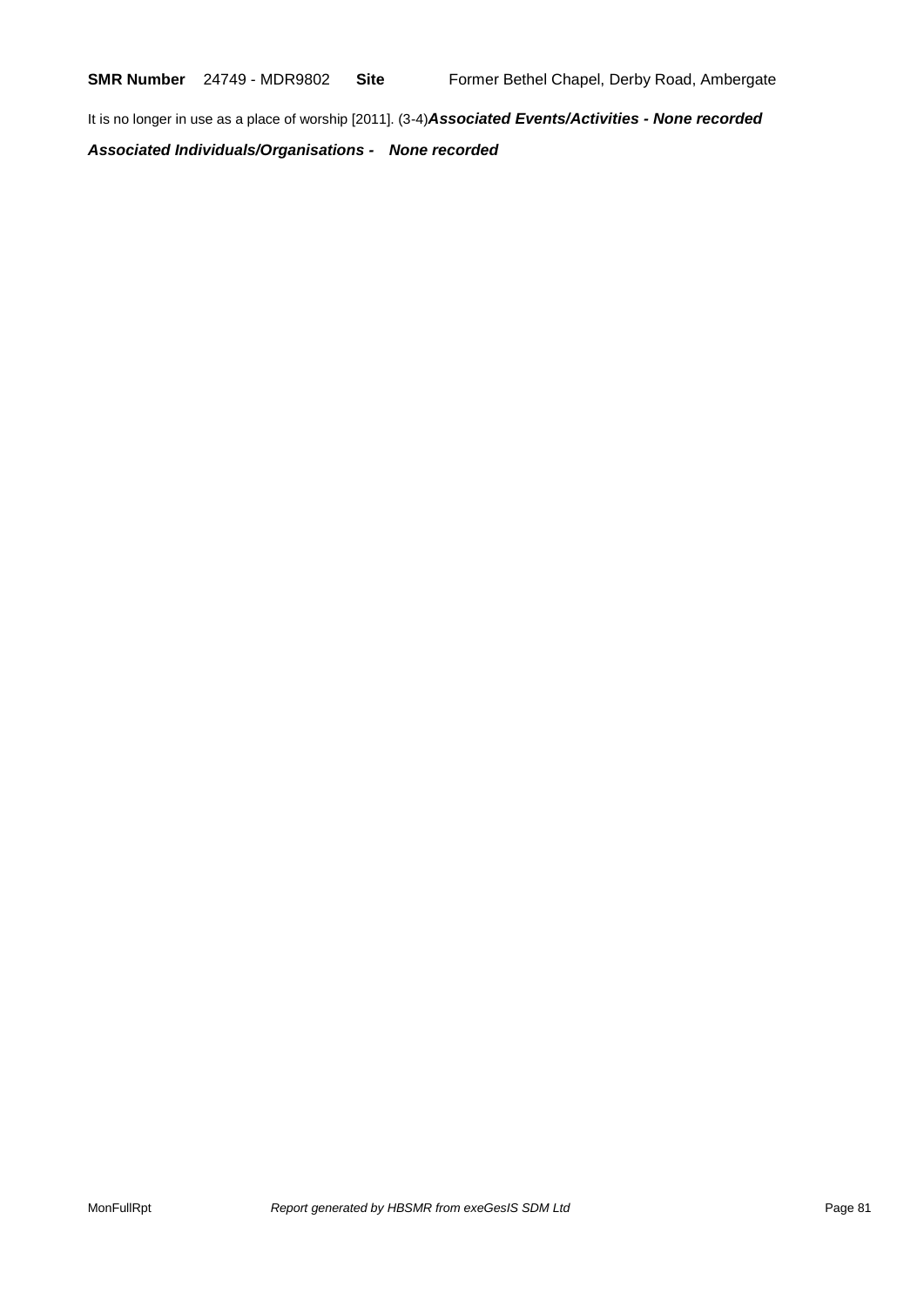**SMR Number** 24749 - MDR9802 **Site** Former Bethel Chapel, Derby Road, Ambergate

It is no longer in use as a place of worship [2011]. (3-4)*Associated Events/Activities - None recorded*

*Associated Individuals/Organisations - None recorded*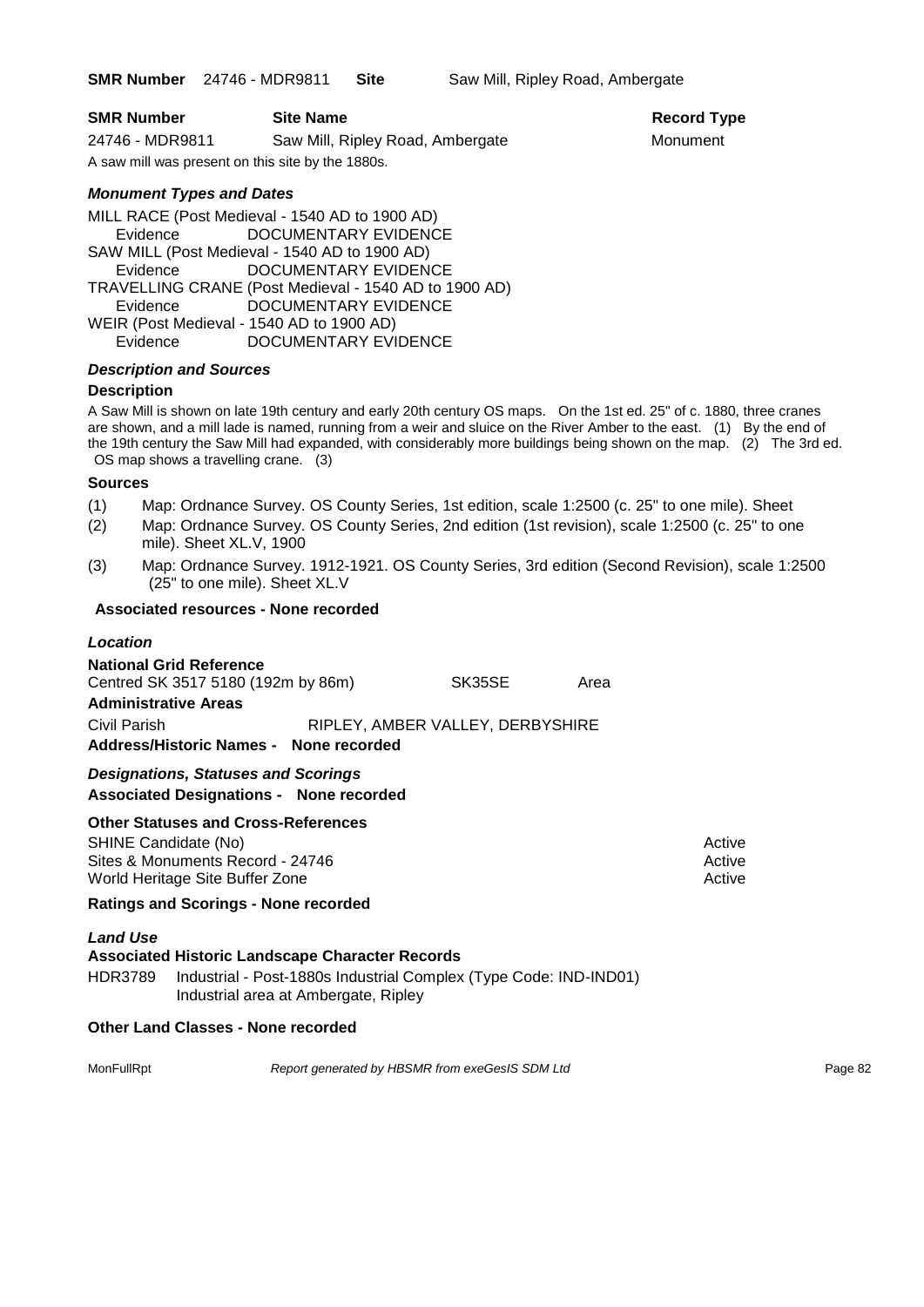**SMR Number** 24746 - MDR9811 **Site** Saw Mill, Ripley Road, Ambergate

*Monument Types and Dates*

MILL RACE (Post Medieval - 1540 AD to 1900 AD) Evidence DOCUMENTARY EVIDENCE SAW MILL (Post Medieval - 1540 AD to 1900 AD) Evidence DOCUMENTARY EVIDENCE TRAVELLING CRANE (Post Medieval - 1540 AD to 1900 AD) Evidence DOCUMENTARY EVIDENCE WEIR (Post Medieval - 1540 AD to 1900 AD) Evidence DOCUMENTARY EVIDENCE

#### *Description and Sources*

#### **Description**

A Saw Mill is shown on late 19th century and early 20th century OS maps. On the 1st ed. 25" of c. 1880, three cranes are shown, and a mill lade is named, running from a weir and sluice on the River Amber to the east. (1) By the end of the 19th century the Saw Mill had expanded, with considerably more buildings being shown on the map. (2) The 3rd ed. OS map shows a travelling crane. (3)

#### **Sources**

- (1) Map: Ordnance Survey. OS County Series, 1st edition, scale 1:2500 (c. 25" to one mile). Sheet
- (2) Map: Ordnance Survey. OS County Series, 2nd edition (1st revision), scale 1:2500 (c. 25" to one mile). Sheet XL.V, 1900
- (3) Map: Ordnance Survey. 1912-1921. OS County Series, 3rd edition (Second Revision), scale 1:2500 (25" to one mile). Sheet XL.V

#### **Associated resources - None recorded**

#### *Location*

| <b>National Grid Reference</b>                         |                                  |      |        |
|--------------------------------------------------------|----------------------------------|------|--------|
| Centred SK 3517 5180 (192m by 86m)                     | SK35SE                           | Area |        |
| <b>Administrative Areas</b>                            |                                  |      |        |
| Civil Parish<br>Address/Historic Names - None recorded | RIPLEY, AMBER VALLEY, DERBYSHIRE |      |        |
| <b>Designations, Statuses and Scorings</b>             |                                  |      |        |
| <b>Associated Designations - None recorded</b>         |                                  |      |        |
| <b>Other Statuses and Cross-References</b>             |                                  |      |        |
| SHINE Candidate (No)                                   |                                  |      | ⊾ctive |

Sites & Monuments Record - 24746 Active Active Active Active World Heritage Site Buffer Zone Active Active Active Active Active Active Active

### **Ratings and Scorings - None recorded**

#### *Land Use*

#### **Associated Historic Landscape Character Records** HDR3789 Industrial - Post-1880s Industrial Complex (Type Code: IND-IND01)

Industrial area at Ambergate, Ripley

#### **Other Land Classes - None recorded**

MonFullRpt *Report generated by HBSMR from exeGesIS SDM Ltd Report 9enerated by HBSMR from exeGesIS SDM Ltd*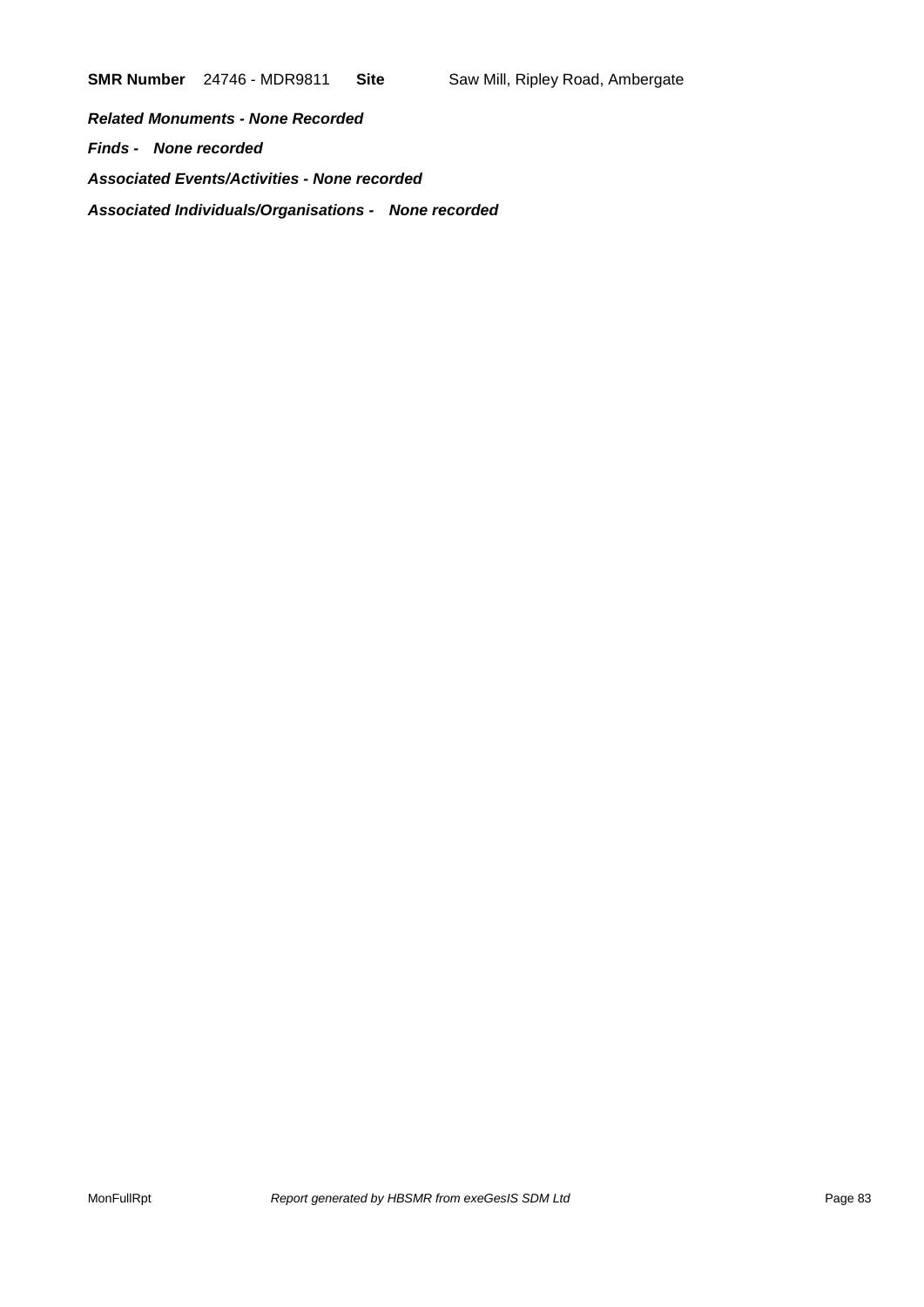**SMR Number** 24746 - MDR9811 **Site** Saw Mill, Ripley Road, Ambergate

*Related Monuments - None Recorded Finds - None recorded Associated Events/Activities - None recorded Associated Individuals/Organisations - None recorded*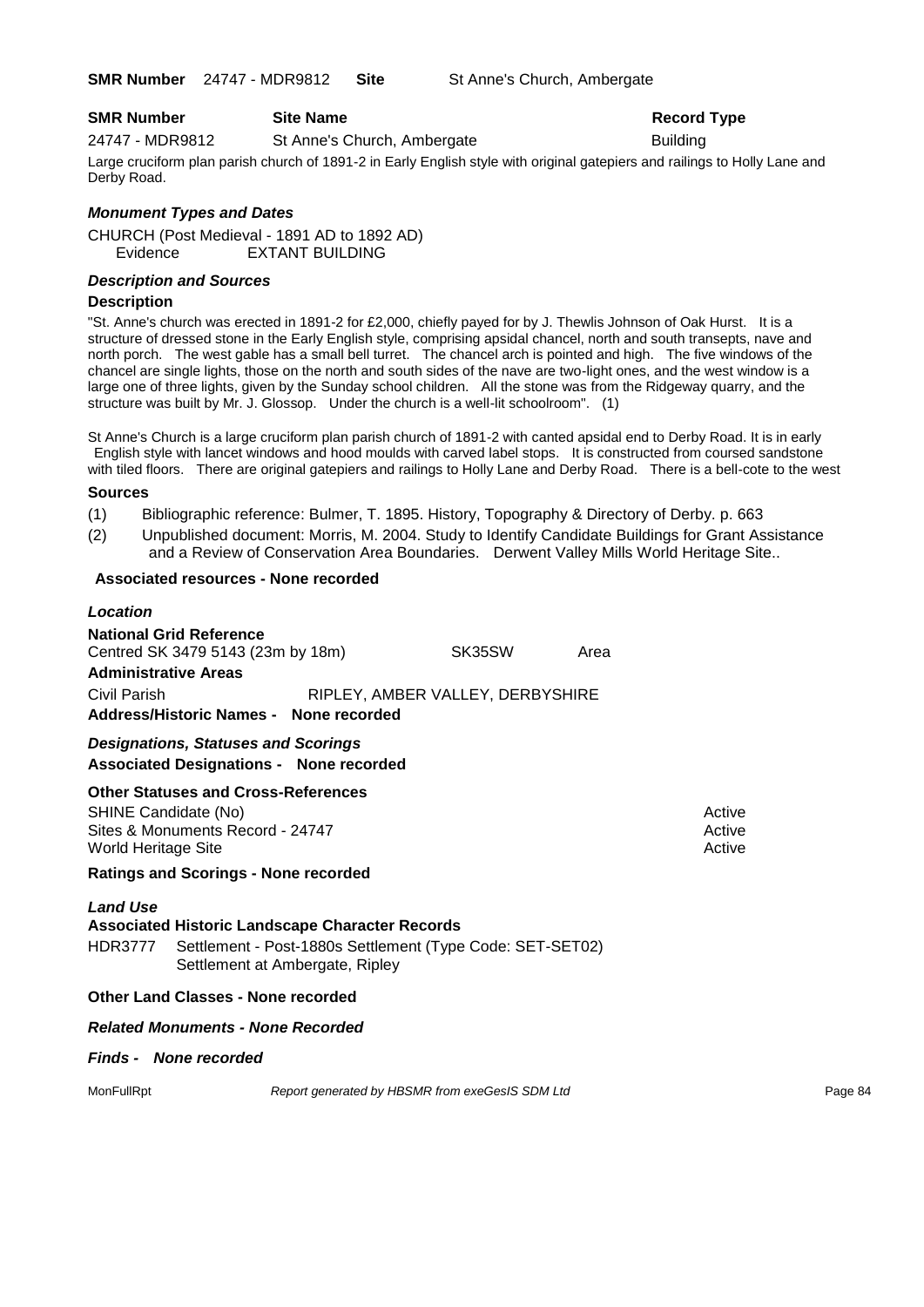**SMR Number** 24747 - MDR9812 **Site** St Anne's Church, Ambergate

#### **SMR Number Site Name Record Type Record Type**

24747 - MDR9812 St Anne's Church, Ambergate Building

Large cruciform plan parish church of 1891-2 in Early English style with original gatepiers and railings to Holly Lane and Derby Road.

#### *Monument Types and Dates*

CHURCH (Post Medieval - 1891 AD to 1892 AD) Evidence EXTANT BUILDING

#### *Description and Sources*

#### **Description**

"St. Anne's church was erected in 1891-2 for £2,000, chiefly payed for by J. Thewlis Johnson of Oak Hurst. It is a structure of dressed stone in the Early English style, comprising apsidal chancel, north and south transepts, nave and north porch. The west gable has a small bell turret. The chancel arch is pointed and high. The five windows of the chancel are single lights, those on the north and south sides of the nave are two-light ones, and the west window is a large one of three lights, given by the Sunday school children. All the stone was from the Ridgeway quarry, and the structure was built by Mr. J. Glossop. Under the church is a well-lit schoolroom". (1)

St Anne's Church is a large cruciform plan parish church of 1891-2 with canted apsidal end to Derby Road. It is in early English style with lancet windows and hood moulds with carved label stops. It is constructed from coursed sandstone with tiled floors. There are original gatepiers and railings to Holly Lane and Derby Road. There is a bell-cote to the west

#### **Sources**

- (1) Bibliographic reference: Bulmer, T. 1895. History, Topography & Directory of Derby. p. 663
- (2) Unpublished document: Morris, M. 2004. Study to Identify Candidate Buildings for Grant Assistance
	- and a Review of Conservation Area Boundaries. Derwent Valley Mills World Heritage Site..

#### **Associated resources - None recorded**

| Location                                    |                                                                                |                                                                                           |                                                           |      |                            |         |
|---------------------------------------------|--------------------------------------------------------------------------------|-------------------------------------------------------------------------------------------|-----------------------------------------------------------|------|----------------------------|---------|
| <b>Administrative Areas</b><br>Civil Parish | <b>National Grid Reference</b><br>Centred SK 3479 5143 (23m by 18m)            |                                                                                           | SK35SW<br>RIPLEY, AMBER VALLEY, DERBYSHIRE                | Area |                            |         |
|                                             |                                                                                | Address/Historic Names - None recorded                                                    |                                                           |      |                            |         |
|                                             | <b>Designations, Statuses and Scorings</b>                                     | <b>Associated Designations - None recorded</b>                                            |                                                           |      |                            |         |
| SHINE Candidate (No)<br>World Heritage Site | <b>Other Statuses and Cross-References</b><br>Sites & Monuments Record - 24747 |                                                                                           |                                                           |      | Active<br>Active<br>Active |         |
|                                             | <b>Ratings and Scorings - None recorded</b>                                    |                                                                                           |                                                           |      |                            |         |
| <b>Land Use</b><br><b>HDR3777</b>           |                                                                                | <b>Associated Historic Landscape Character Records</b><br>Settlement at Ambergate, Ripley | Settlement - Post-1880s Settlement (Type Code: SET-SET02) |      |                            |         |
|                                             | Other Land Classes - None recorded                                             |                                                                                           |                                                           |      |                            |         |
|                                             | <b>Related Monuments - None Recorded</b>                                       |                                                                                           |                                                           |      |                            |         |
|                                             | <b>Finds - None recorded</b>                                                   |                                                                                           |                                                           |      |                            |         |
| MonFullRpt                                  |                                                                                |                                                                                           | Report generated by HBSMR from exeGesIS SDM Ltd           |      |                            | Page 84 |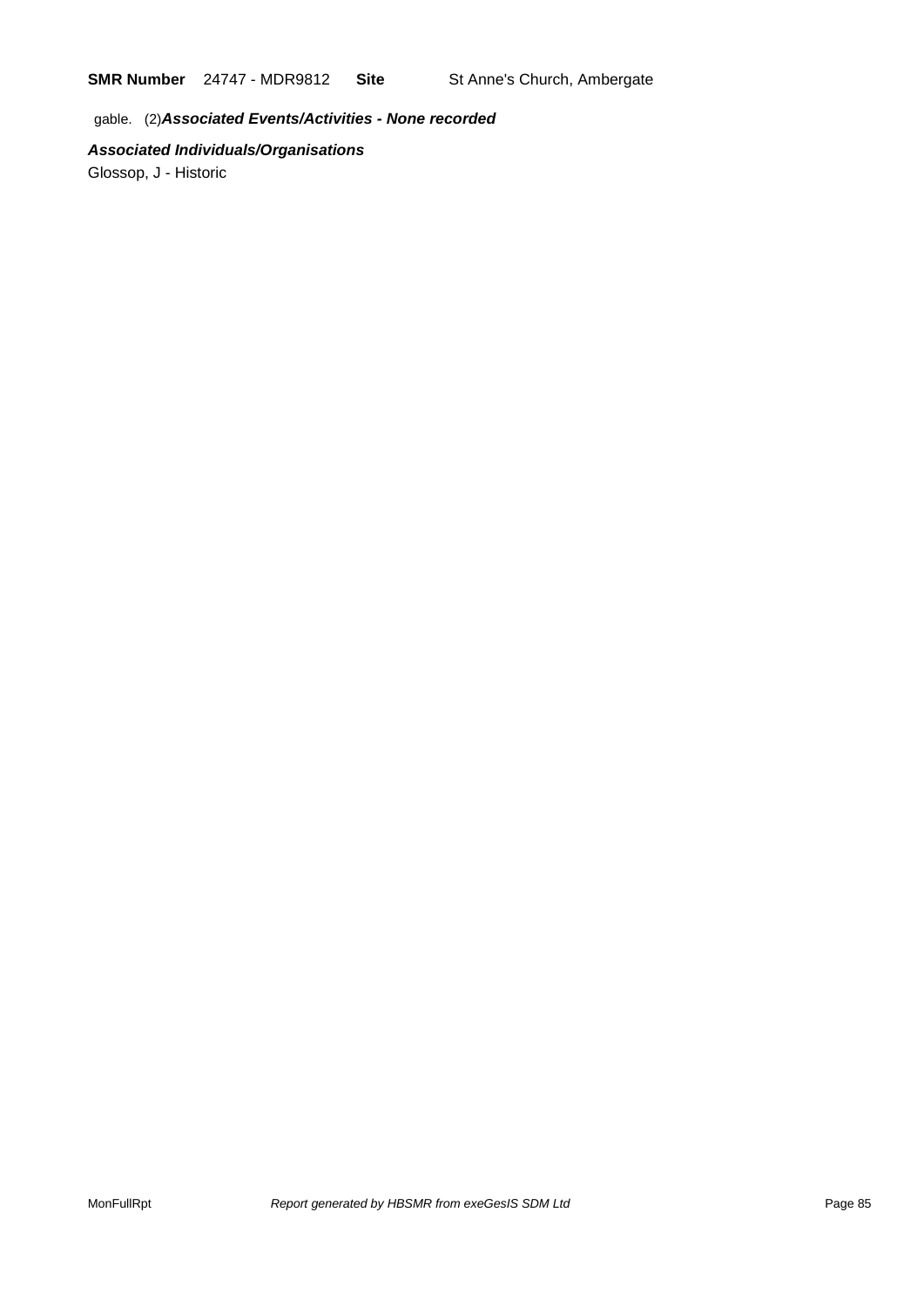**SMR Number** 24747 - MDR9812 **Site** St Anne's Church, Ambergate

gable. (2)*Associated Events/Activities - None recorded*

### *Associated Individuals/Organisations*

Glossop, J - Historic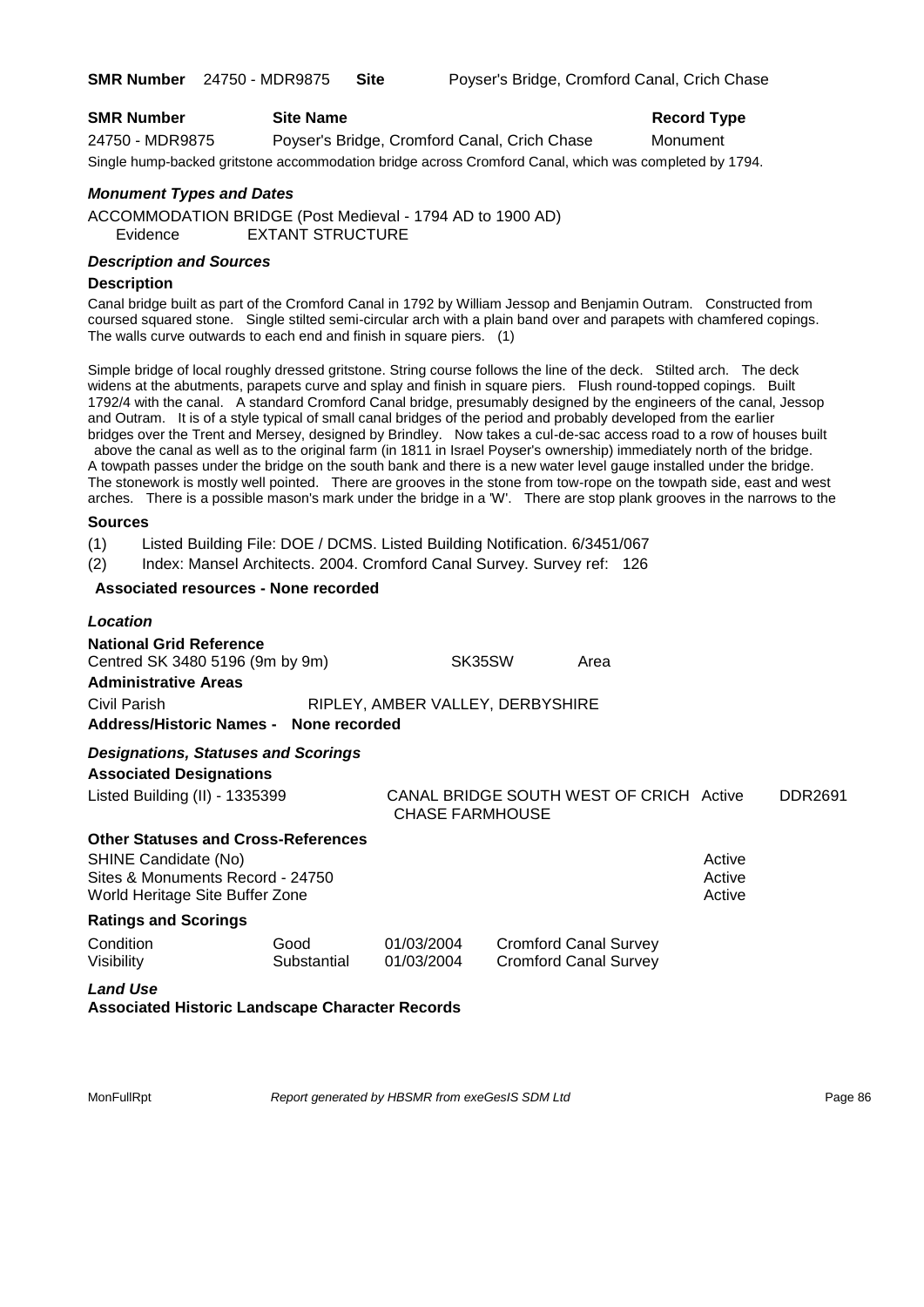| <b>SMR Number</b> | <b>Site Name</b>                                                                                      | <b>Record Type</b> |
|-------------------|-------------------------------------------------------------------------------------------------------|--------------------|
| 24750 - MDR9875   | Poyser's Bridge, Cromford Canal, Crich Chase                                                          | Monument           |
|                   | Single hump-backed gritstone accommodation bridge across Cromford Canal, which was completed by 1794. |                    |

#### *Monument Types and Dates*

ACCOMMODATION BRIDGE (Post Medieval - 1794 AD to 1900 AD) Evidence EXTANT STRUCTURE

#### *Description and Sources*

#### **Description**

Canal bridge built as part of the Cromford Canal in 1792 by William Jessop and Benjamin Outram. Constructed from coursed squared stone. Single stilted semi-circular arch with a plain band over and parapets with chamfered copings. The walls curve outwards to each end and finish in square piers. (1)

Simple bridge of local roughly dressed gritstone. String course follows the line of the deck. Stilted arch. The deck widens at the abutments, parapets curve and splay and finish in square piers. Flush round-topped copings. Built 1792/4 with the canal. A standard Cromford Canal bridge, presumably designed by the engineers of the canal, Jessop and Outram. It is of a style typical of small canal bridges of the period and probably developed from the earlier bridges over the Trent and Mersey, designed by Brindley. Now takes a cul-de-sac access road to a row of houses built above the canal as well as to the original farm (in 1811 in Israel Poyser's ownership) immediately north of the bridge. A towpath passes under the bridge on the south bank and there is a new water level gauge installed under the bridge. The stonework is mostly well pointed. There are grooves in the stone from tow-rope on the towpath side, east and west arches. There is a possible mason's mark under the bridge in a 'W'. There are stop plank grooves in the narrows to the

#### **Sources**

(1) Listed Building File: DOE / DCMS. Listed Building Notification. 6/3451/067

(2) Index: Mansel Architects. 2004. Cromford Canal Survey. Survey ref: 126

#### **Associated resources - None recorded**

| Location                                                                                                                                  |                     |                                  |                                                              |                            |                |
|-------------------------------------------------------------------------------------------------------------------------------------------|---------------------|----------------------------------|--------------------------------------------------------------|----------------------------|----------------|
| <b>National Grid Reference</b><br>Centred SK 3480 5196 (9m by 9m)<br><b>Administrative Areas</b>                                          |                     | SK35SW                           | Area                                                         |                            |                |
| Civil Parish<br>Address/Historic Names - None recorded                                                                                    |                     | RIPLEY, AMBER VALLEY, DERBYSHIRE |                                                              |                            |                |
| <b>Designations, Statuses and Scorings</b><br><b>Associated Designations</b>                                                              |                     |                                  |                                                              |                            |                |
| Listed Building (II) - 1335399                                                                                                            |                     | <b>CHASE FARMHOUSE</b>           | CANAL BRIDGE SOUTH WEST OF CRICH Active                      |                            | <b>DDR2691</b> |
| <b>Other Statuses and Cross-References</b><br>SHINE Candidate (No)<br>Sites & Monuments Record - 24750<br>World Heritage Site Buffer Zone |                     |                                  |                                                              | Active<br>Active<br>Active |                |
| <b>Ratings and Scorings</b>                                                                                                               |                     |                                  |                                                              |                            |                |
| Condition<br>Visibility                                                                                                                   | Good<br>Substantial | 01/03/2004<br>01/03/2004         | <b>Cromford Canal Survey</b><br><b>Cromford Canal Survey</b> |                            |                |
| <b>Land Use</b><br><b>Associated Historic Landscape Character Records</b>                                                                 |                     |                                  |                                                              |                            |                |

MonFullRpt *Report generated by HBSMR from exeGesIS SDM Ltd Report 9enerated by HBSMR from exeGesIS SDM Ltd*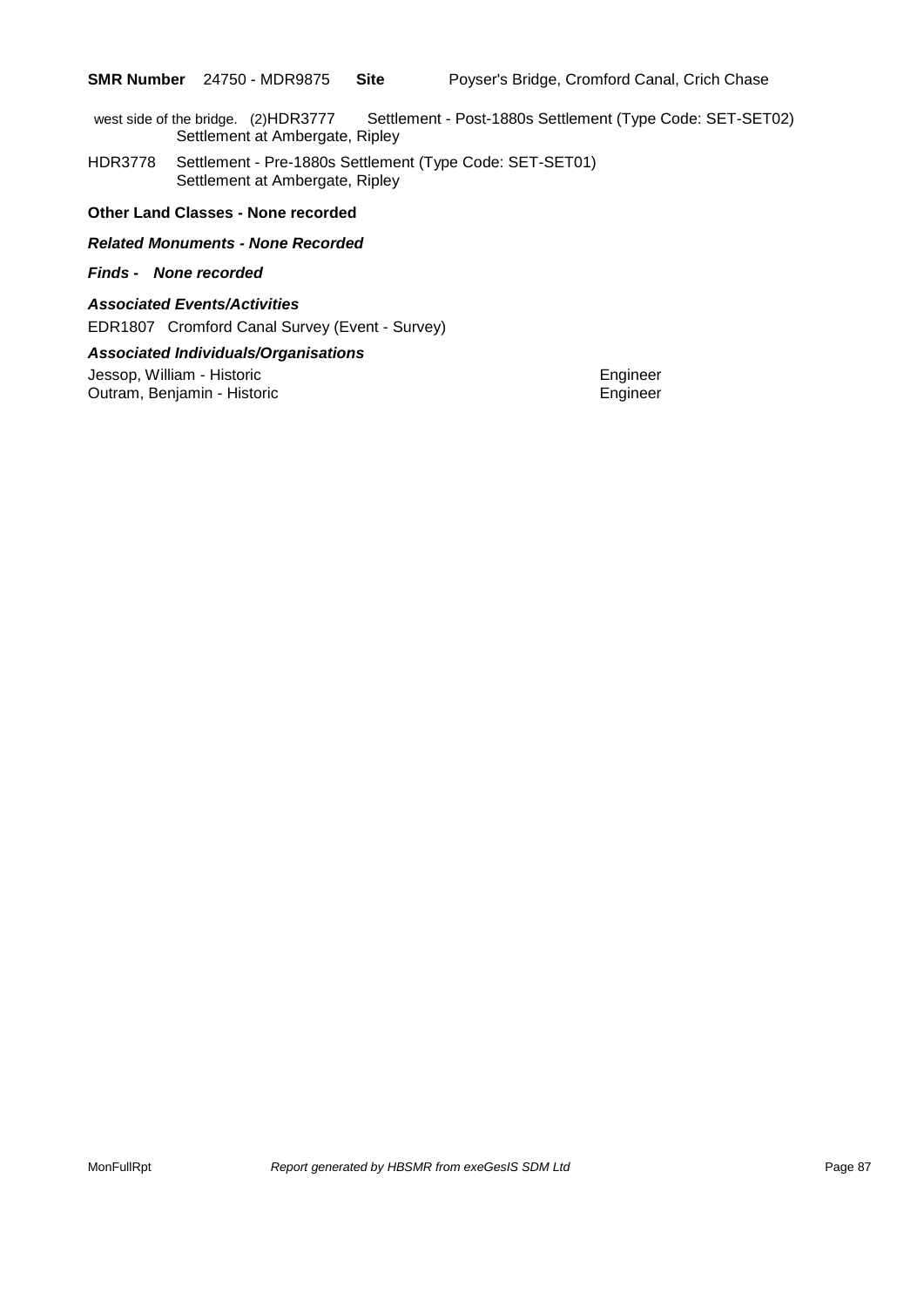west side of the bridge. (2)HDR3777 Settlement - Post-1880s Settlement (Type Code: SET-SET02) Settlement at Ambergate, Ripley

HDR3778 Settlement - Pre-1880s Settlement (Type Code: SET-SET01) Settlement at Ambergate, Ripley

#### **Other Land Classes - None recorded**

#### *Related Monuments - None Recorded*

#### *Finds - None recorded*

#### *Associated Events/Activities*

EDR1807 Cromford Canal Survey (Event - Survey)

#### *Associated Individuals/Organisations*

Jessop, William - Historic **Engineer** Engineer Outram, Benjamin - Historic **Engineer** Engineer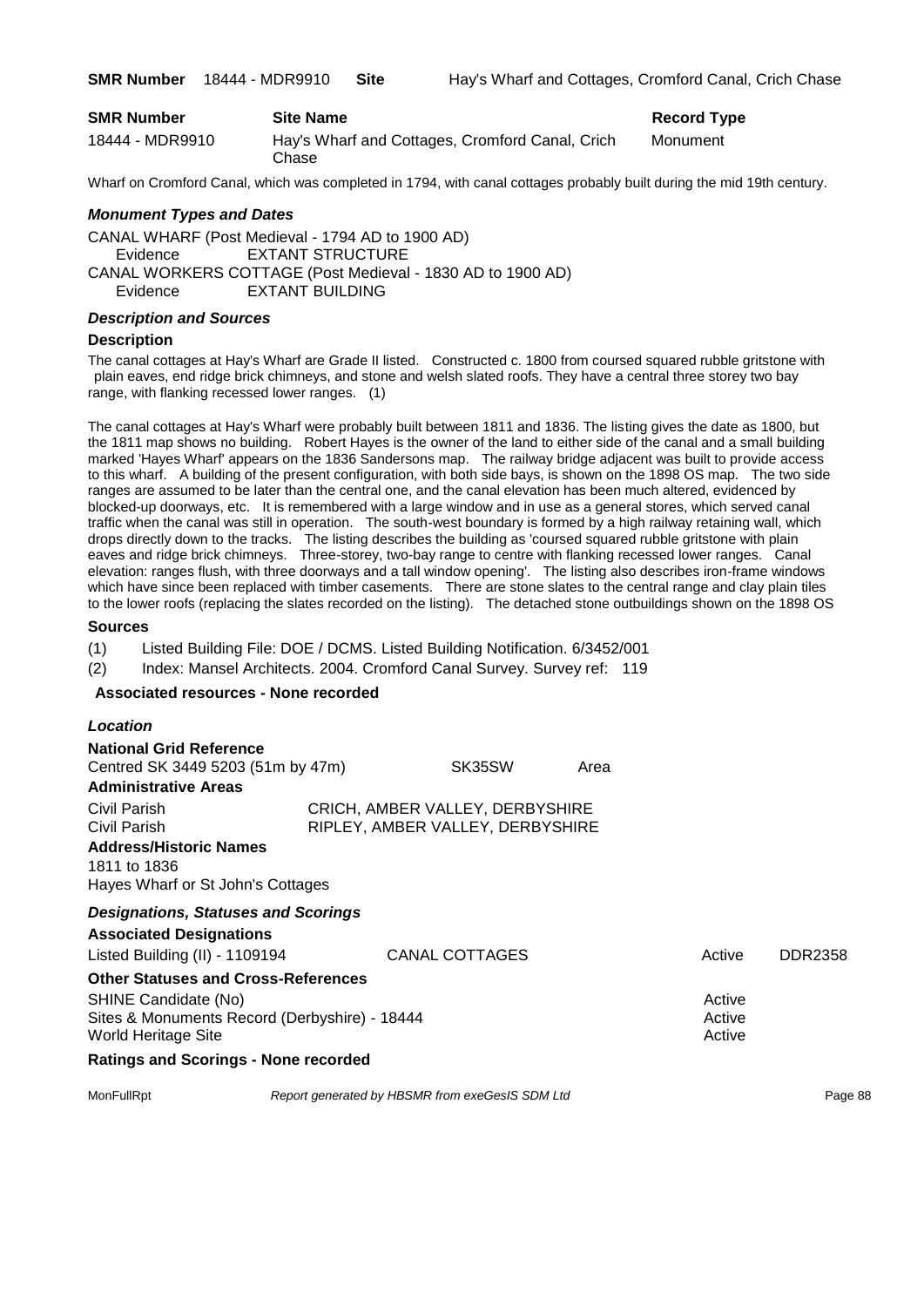| <b>SMR Number</b> | <b>Site Name</b>                                         | <b>Record Type</b> |
|-------------------|----------------------------------------------------------|--------------------|
| 18444 - MDR9910   | Hay's Wharf and Cottages, Cromford Canal, Crich<br>Chase | Monument           |

Wharf on Cromford Canal, which was completed in 1794, with canal cottages probably built during the mid 19th century.

#### *Monument Types and Dates*

CANAL WHARF (Post Medieval - 1794 AD to 1900 AD) Evidence EXTANT STRUCTURE CANAL WORKERS COTTAGE (Post Medieval - 1830 AD to 1900 AD) Evidence EXTANT BUILDING

#### *Description and Sources*

#### **Description**

The canal cottages at Hay's Wharf are Grade II listed. Constructed c. 1800 from coursed squared rubble gritstone with plain eaves, end ridge brick chimneys, and stone and welsh slated roofs. They have a central three storey two bay range, with flanking recessed lower ranges. (1)

The canal cottages at Hay's Wharf were probably built between 1811 and 1836. The listing gives the date as 1800, but the 1811 map shows no building. Robert Hayes is the owner of the land to either side of the canal and a small building marked 'Hayes Wharf' appears on the 1836 Sandersons map. The railway bridge adjacent was built to provide access to this wharf. A building of the present configuration, with both side bays, is shown on the 1898 OS map. The two side ranges are assumed to be later than the central one, and the canal elevation has been much altered, evidenced by blocked-up doorways, etc. It is remembered with a large window and in use as a general stores, which served canal traffic when the canal was still in operation. The south-west boundary is formed by a high railway retaining wall, which drops directly down to the tracks. The listing describes the building as 'coursed squared rubble gritstone with plain eaves and ridge brick chimneys. Three-storey, two-bay range to centre with flanking recessed lower ranges. Canal elevation: ranges flush, with three doorways and a tall window opening'. The listing also describes iron-frame windows which have since been replaced with timber casements. There are stone slates to the central range and clay plain tiles to the lower roofs (replacing the slates recorded on the listing). The detached stone outbuildings shown on the 1898 OS

#### **Sources**

*Location*

(1) Listed Building File: DOE / DCMS. Listed Building Notification. 6/3452/001

(2) Index: Mansel Architects. 2004. Cromford Canal Survey. Survey ref: 119

#### **Associated resources - None recorded**

| Lutauun                                                                                                            |                                                                                             |                                                                     |      |                                      |                |
|--------------------------------------------------------------------------------------------------------------------|---------------------------------------------------------------------------------------------|---------------------------------------------------------------------|------|--------------------------------------|----------------|
| <b>National Grid Reference</b><br>Centred SK 3449 5203 (51m by 47m)<br><b>Administrative Areas</b>                 |                                                                                             | SK35SW                                                              | Area |                                      |                |
| Civil Parish<br>Civil Parish<br><b>Address/Historic Names</b><br>1811 to 1836<br>Hayes Wharf or St John's Cottages |                                                                                             | CRICH, AMBER VALLEY, DERBYSHIRE<br>RIPLEY, AMBER VALLEY, DERBYSHIRE |      |                                      |                |
| <b>Designations, Statuses and Scorings</b><br><b>Associated Designations</b>                                       |                                                                                             |                                                                     |      |                                      |                |
| Listed Building (II) - 1109194<br>SHINE Candidate (No)<br>World Heritage Site                                      | <b>Other Statuses and Cross-References</b><br>Sites & Monuments Record (Derbyshire) - 18444 | CANAL COTTAGES                                                      |      | Active<br>Active<br>Active<br>Active | <b>DDR2358</b> |
|                                                                                                                    | <b>Ratings and Scorings - None recorded</b>                                                 |                                                                     |      |                                      |                |
| MonFullRpt                                                                                                         |                                                                                             | Report generated by HBSMR from exeGesIS SDM Ltd                     |      |                                      | Page 88        |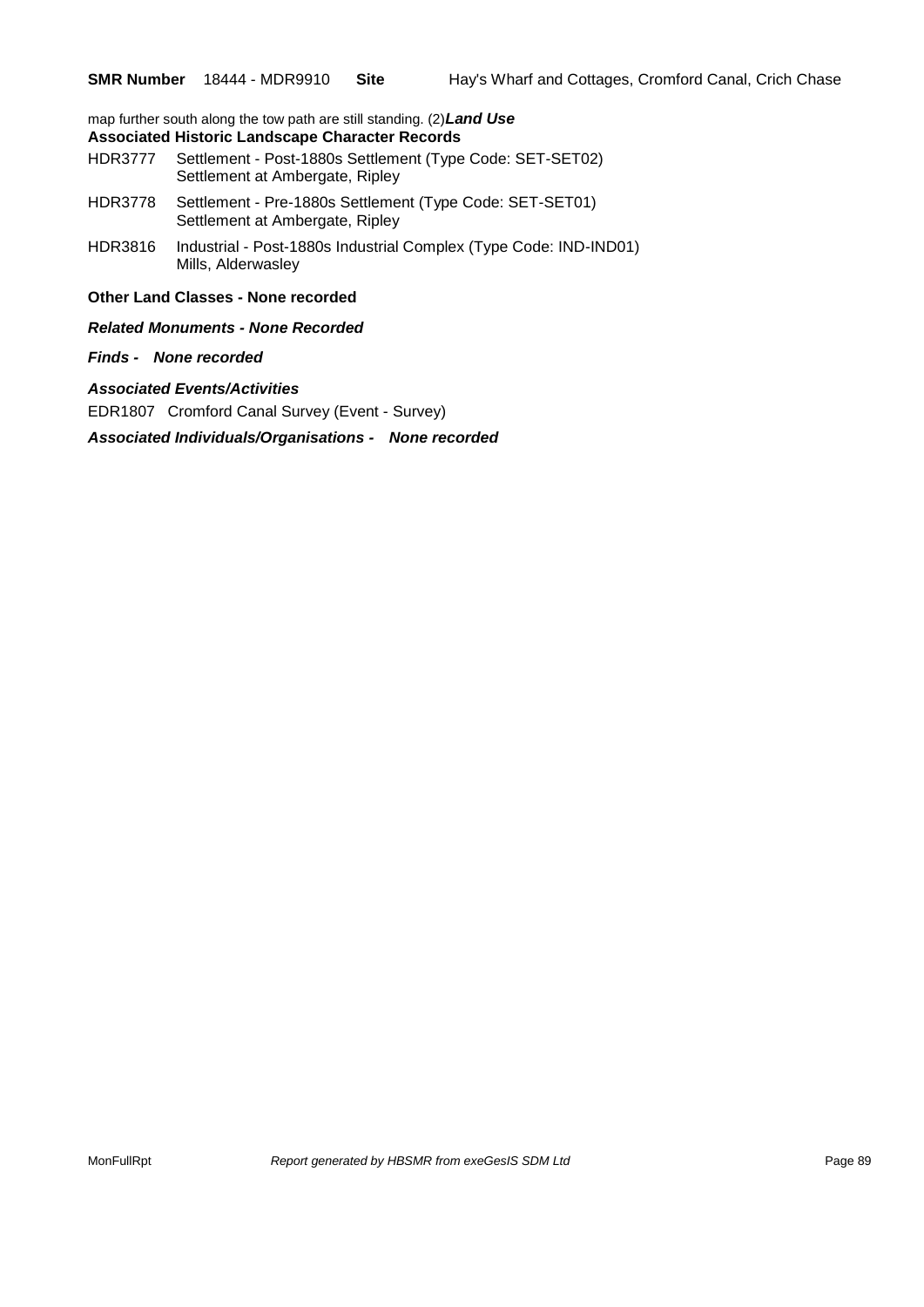map further south along the tow path are still standing. (2)*Land Use*  **Associated Historic Landscape Character Records**

### HDR3777 Settlement - Post-1880s Settlement (Type Code: SET-SET02) Settlement at Ambergate, Ripley

- HDR3778 Settlement Pre-1880s Settlement (Type Code: SET-SET01) Settlement at Ambergate, Ripley
- HDR3816 Industrial Post-1880s Industrial Complex (Type Code: IND-IND01) Mills, Alderwasley

#### **Other Land Classes - None recorded**

*Related Monuments - None Recorded*

#### *Finds - None recorded*

*Associated Events/Activities*

EDR1807 Cromford Canal Survey (Event - Survey)

*Associated Individuals/Organisations - None recorded*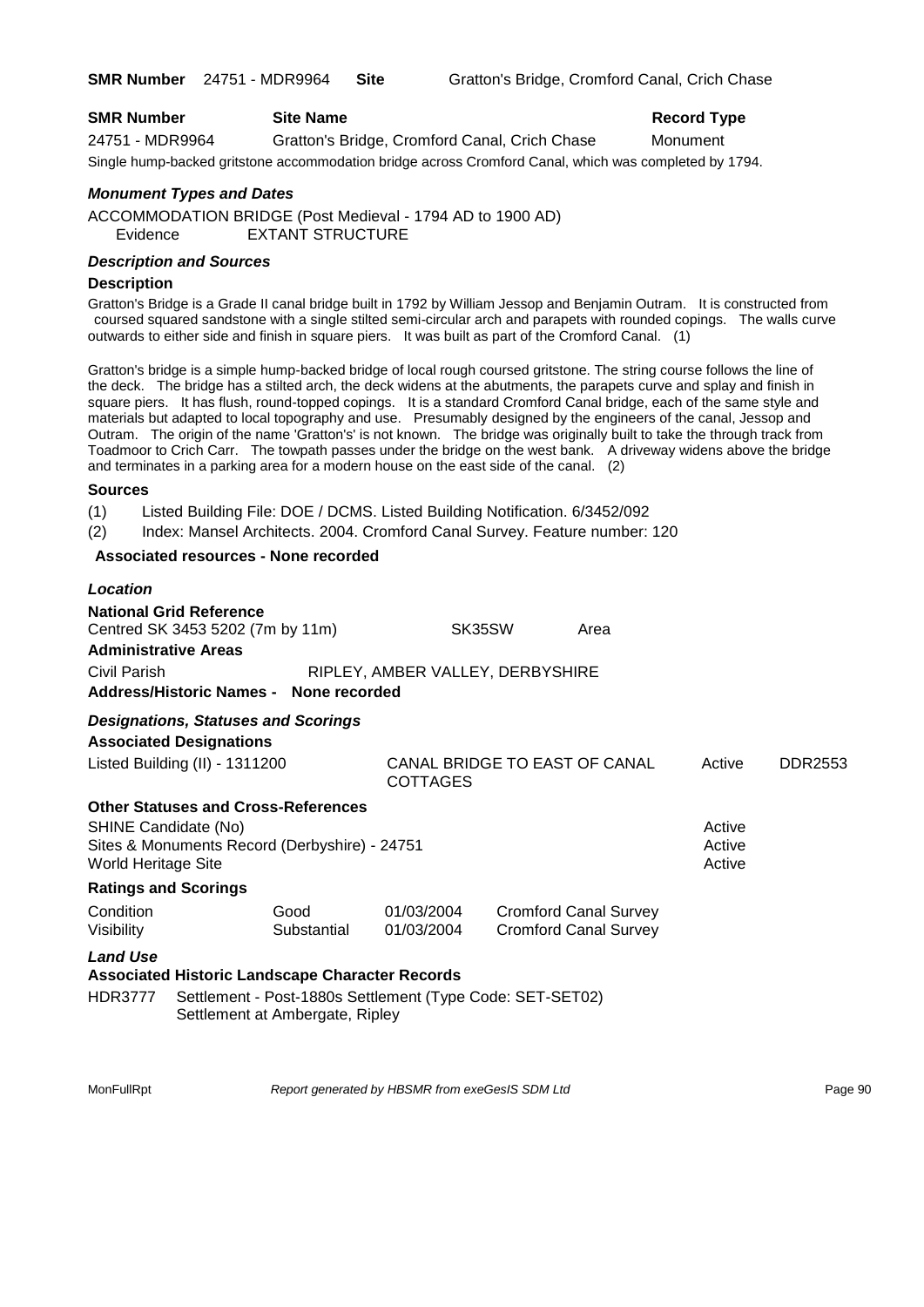| <b>SMR Number</b> | <b>Site Name</b>                              | <b>Record Type</b> |
|-------------------|-----------------------------------------------|--------------------|
| 24751 - MDR9964   | Gratton's Bridge, Cromford Canal, Crich Chase | Monument           |
| .                 |                                               |                    |

Single hump-backed gritstone accommodation bridge across Cromford Canal, which was completed by 1794.

#### *Monument Types and Dates*

ACCOMMODATION BRIDGE (Post Medieval - 1794 AD to 1900 AD) Evidence EXTANT STRUCTURE

#### *Description and Sources*

#### **Description**

Gratton's Bridge is a Grade II canal bridge built in 1792 by William Jessop and Benjamin Outram. It is constructed from coursed squared sandstone with a single stilted semi-circular arch and parapets with rounded copings. The walls curve outwards to either side and finish in square piers. It was built as part of the Cromford Canal. (1)

Gratton's bridge is a simple hump-backed bridge of local rough coursed gritstone. The string course follows the line of the deck. The bridge has a stilted arch, the deck widens at the abutments, the parapets curve and splay and finish in square piers. It has flush, round-topped copings. It is a standard Cromford Canal bridge, each of the same style and materials but adapted to local topography and use. Presumably designed by the engineers of the canal, Jessop and Outram. The origin of the name 'Gratton's' is not known. The bridge was originally built to take the through track from Toadmoor to Crich Carr. The towpath passes under the bridge on the west bank. A driveway widens above the bridge and terminates in a parking area for a modern house on the east side of the canal. (2)

#### **Sources**

(1) Listed Building File: DOE / DCMS. Listed Building Notification. 6/3452/092

(2) Index: Mansel Architects. 2004. Cromford Canal Survey. Feature number: 120

#### **Associated resources - None recorded**

| Location                                                                          |                                                                                                                                                        |                                  |        |                                                              |                            |         |
|-----------------------------------------------------------------------------------|--------------------------------------------------------------------------------------------------------------------------------------------------------|----------------------------------|--------|--------------------------------------------------------------|----------------------------|---------|
| <b>Administrative Areas</b>                                                       | <b>National Grid Reference</b><br>Centred SK 3453 5202 (7m by 11m)                                                                                     |                                  | SK35SW | Area                                                         |                            |         |
| Civil Parish                                                                      | <b>Address/Historic Names - None recorded</b>                                                                                                          | RIPLEY, AMBER VALLEY, DERBYSHIRE |        |                                                              |                            |         |
|                                                                                   | <b>Designations, Statuses and Scorings</b><br><b>Associated Designations</b>                                                                           |                                  |        |                                                              |                            |         |
|                                                                                   | Listed Building (II) - 1311200                                                                                                                         | <b>COTTAGES</b>                  |        | CANAL BRIDGE TO EAST OF CANAL                                | Active                     | DDR2553 |
| SHINE Candidate (No)<br><b>World Heritage Site</b><br><b>Ratings and Scorings</b> | <b>Other Statuses and Cross-References</b><br>Sites & Monuments Record (Derbyshire) - 24751                                                            |                                  |        |                                                              | Active<br>Active<br>Active |         |
| Condition<br>Visibility                                                           | Good<br>Substantial                                                                                                                                    | 01/03/2004<br>01/03/2004         |        | <b>Cromford Canal Survey</b><br><b>Cromford Canal Survey</b> |                            |         |
| <b>Land Use</b><br><b>HDR3777</b>                                                 | <b>Associated Historic Landscape Character Records</b><br>Settlement - Post-1880s Settlement (Type Code: SET-SET02)<br>Settlement at Ambergate, Ripley |                                  |        |                                                              |                            |         |

MonFullRpt *Report generated by HBSMR from exeGesIS SDM Ltd* Page 90 **Page 90**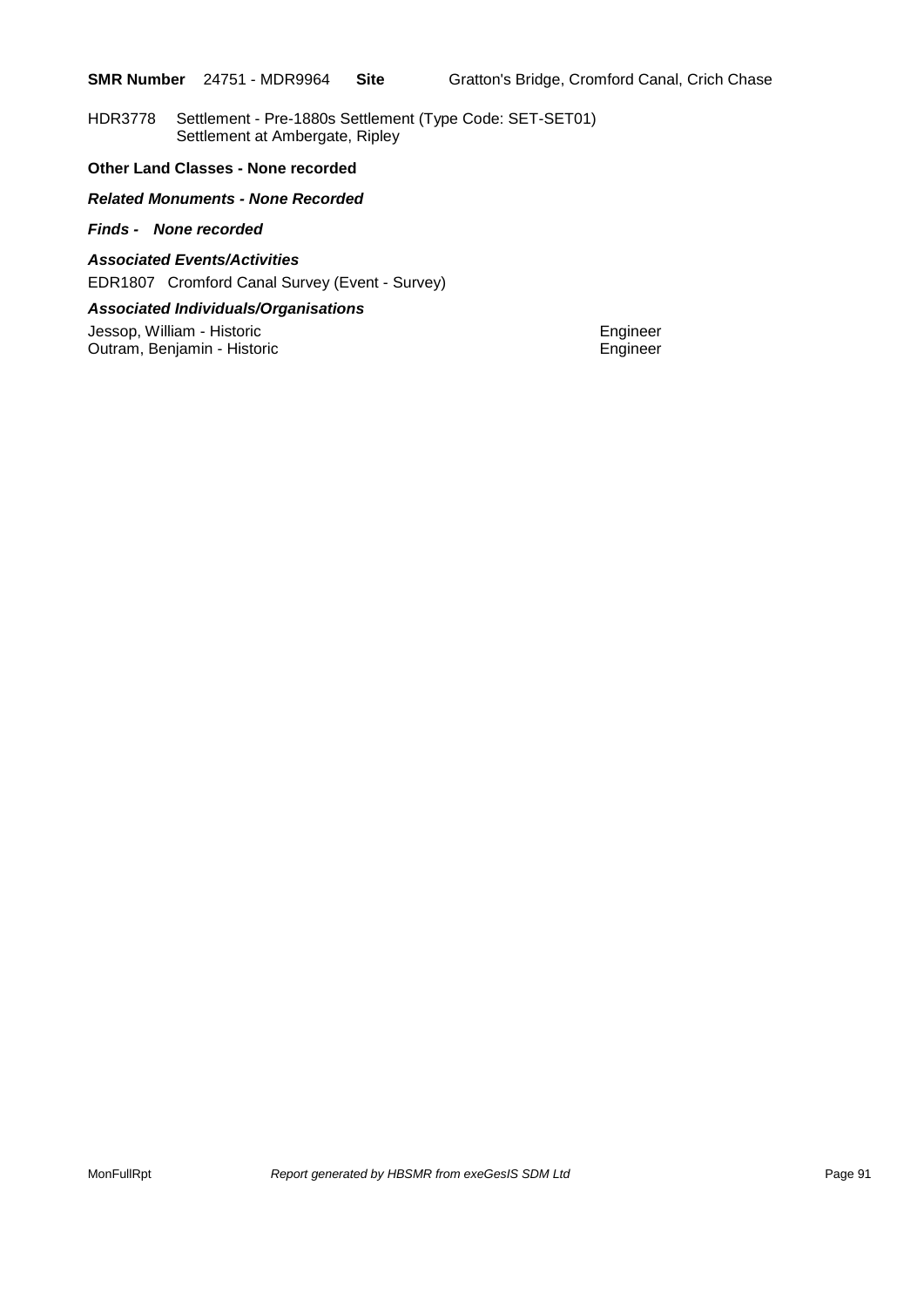HDR3778 Settlement - Pre-1880s Settlement (Type Code: SET-SET01) Settlement at Ambergate, Ripley

#### **Other Land Classes - None recorded**

#### *Related Monuments - None Recorded*

#### *Finds - None recorded*

#### *Associated Events/Activities*

EDR1807 Cromford Canal Survey (Event - Survey)

#### *Associated Individuals/Organisations*

Jessop, William - Historic **Contract Contract Contract Contract Contract Contract Contract Contract Contract Contract Contract Contract Contract Contract Contract Contract Contract Contract Contract Contract Contract Contr** Outram, Benjamin - Historic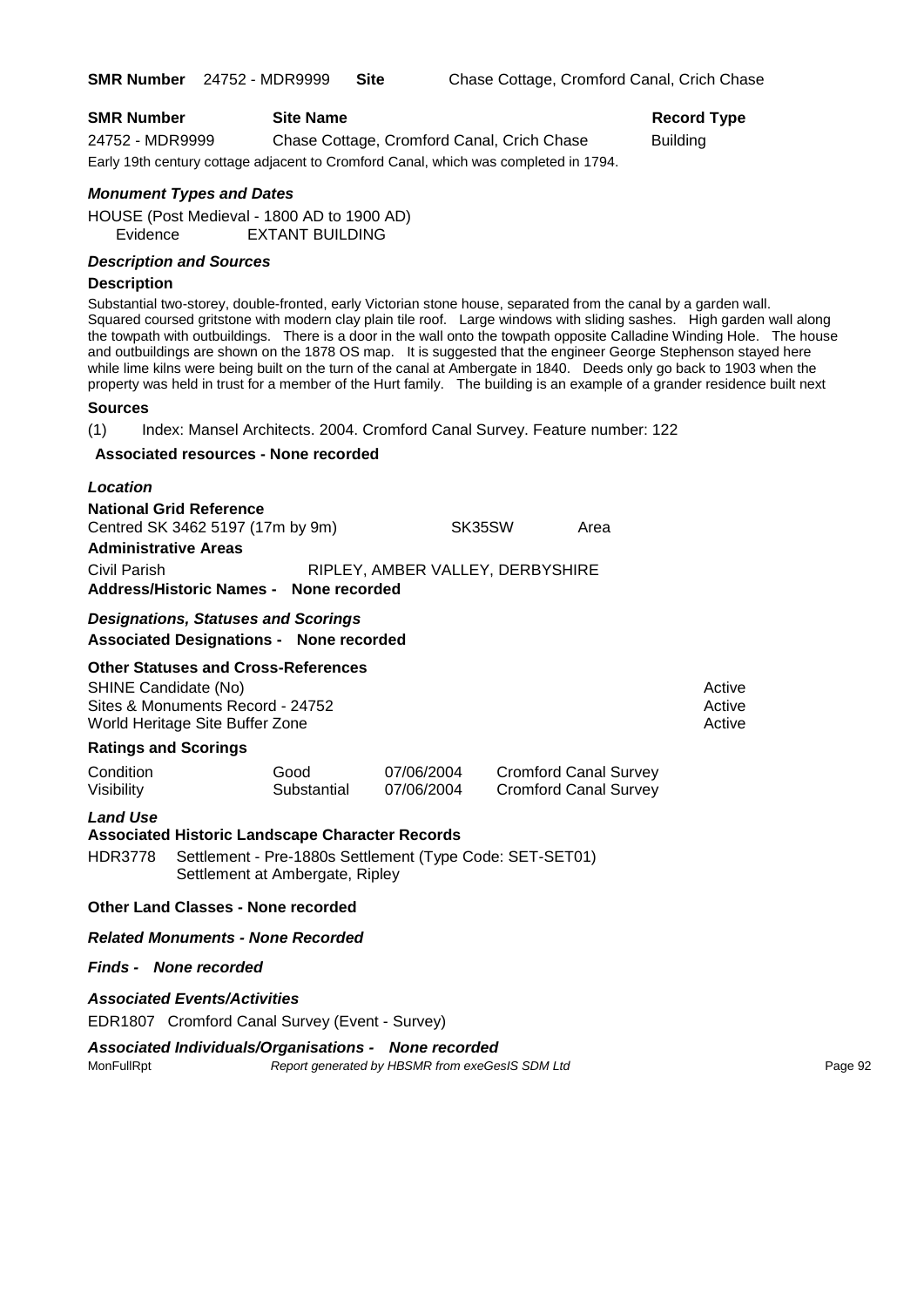| <b>SMR Number</b> | <b>Site Name</b>                                                                    | Record   |
|-------------------|-------------------------------------------------------------------------------------|----------|
| 24752 - MDR9999   | Chase Cottage, Cromford Canal, Crich Chase                                          | Building |
|                   | Early 19th century cottage adjacent to Cromford Canal, which was completed in 1794. |          |

# **Record Type**

*Monument Types and Dates*

HOUSE (Post Medieval - 1800 AD to 1900 AD) Evidence EXTANT BUILDING

#### *Description and Sources*

#### **Description**

Substantial two-storey, double-fronted, early Victorian stone house, separated from the canal by a garden wall. Squared coursed gritstone with modern clay plain tile roof. Large windows with sliding sashes. High garden wall along the towpath with outbuildings. There is a door in the wall onto the towpath opposite Calladine Winding Hole. The house and outbuildings are shown on the 1878 OS map. It is suggested that the engineer George Stephenson stayed here while lime kilns were being built on the turn of the canal at Ambergate in 1840. Deeds only go back to 1903 when the property was held in trust for a member of the Hurt family. The building is an example of a grander residence built next

#### **Sources**

(1) Index: Mansel Architects. 2004. Cromford Canal Survey. Feature number: 122

#### **Associated resources - None recorded**

| Location                               |                                  |      |
|----------------------------------------|----------------------------------|------|
| <b>National Grid Reference</b>         |                                  |      |
| Centred SK 3462 5197 (17m by 9m)       | SK35SW                           | Area |
| <b>Administrative Areas</b>            |                                  |      |
| Civil Parish                           | RIPLEY, AMBER VALLEY, DERBYSHIRE |      |
| Address/Historic Names - None recorded |                                  |      |

#### *Designations, Statuses and Scorings*

**Associated Designations - None recorded**

#### **Other Statuses and Cross-References**

SHINE Candidate (No) **Active** Active 30 Active 30 Active 30 Active 30 Active 30 Active Sites & Monuments Record - 24752 Active Active Active Active World Heritage Site Buffer Zone Active Active Active Active Active Active Active

#### **Ratings and Scorings**

| Condition  | Good        | 07/06/2004 | <b>Cromford Canal Survey</b> |
|------------|-------------|------------|------------------------------|
| Visibility | Substantial | 07/06/2004 | Cromford Canal Survey        |

#### *Land Use*

**Associated Historic Landscape Character Records** HDR3778 Settlement - Pre-1880s Settlement (Type Code: SET-SET01) Settlement at Ambergate, Ripley

#### **Other Land Classes - None recorded**

*Related Monuments - None Recorded*

#### *Finds - None recorded*

#### *Associated Events/Activities*

EDR1807 Cromford Canal Survey (Event - Survey)

#### *Associated Individuals/Organisations - None recorded*

MonFullRpt *Report generated by HBSMR from exeGesIS SDM Ltd Report generated by HBSMR from exeGesIS SDM Ltd*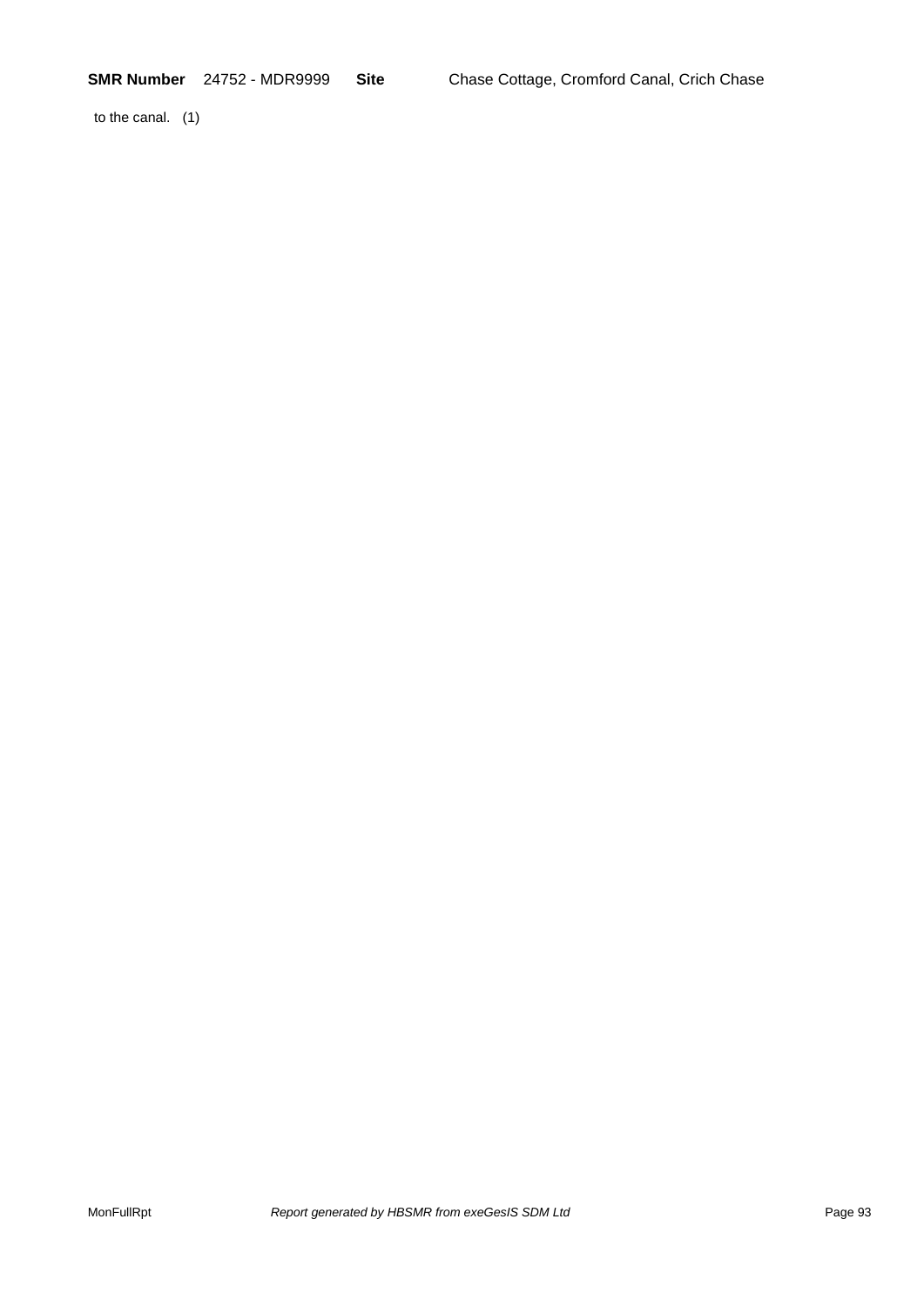to the canal. (1)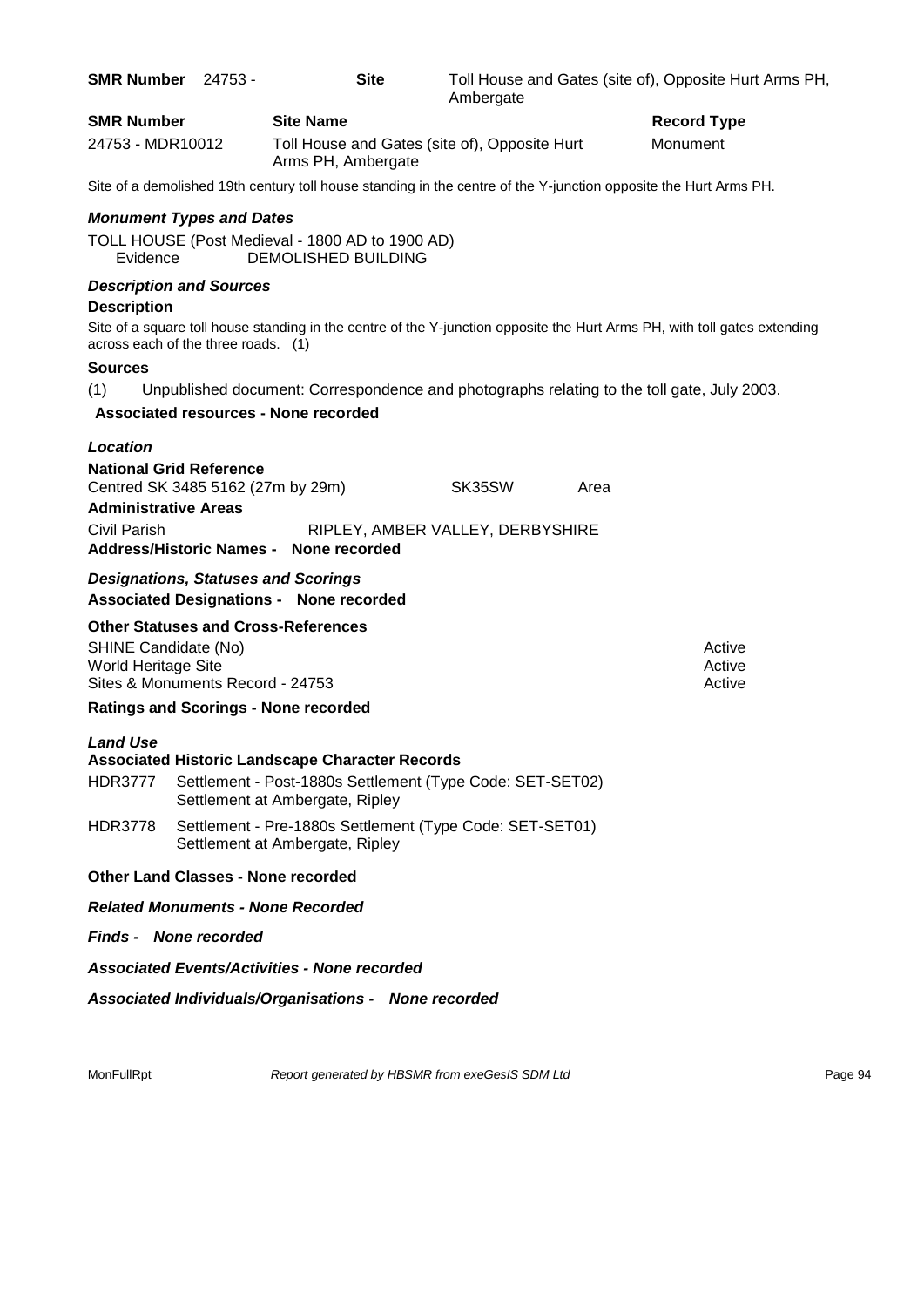| <b>Record Type</b><br>Monument<br>Toll House and Gates (site of), Opposite Hurt                                           |
|---------------------------------------------------------------------------------------------------------------------------|
|                                                                                                                           |
|                                                                                                                           |
| Site of a demolished 19th century toll house standing in the centre of the Y-junction opposite the Hurt Arms PH.          |
|                                                                                                                           |
|                                                                                                                           |
|                                                                                                                           |
| Site of a square toll house standing in the centre of the Y-junction opposite the Hurt Arms PH, with toll gates extending |
|                                                                                                                           |
| Unpublished document: Correspondence and photographs relating to the toll gate, July 2003.                                |
|                                                                                                                           |
|                                                                                                                           |
| SK35SW<br>Area                                                                                                            |
|                                                                                                                           |
| RIPLEY, AMBER VALLEY, DERBYSHIRE                                                                                          |
|                                                                                                                           |
|                                                                                                                           |
| Active                                                                                                                    |
| Active<br>Active                                                                                                          |
|                                                                                                                           |
|                                                                                                                           |
|                                                                                                                           |
| Settlement - Post-1880s Settlement (Type Code: SET-SET02)                                                                 |
| Settlement - Pre-1880s Settlement (Type Code: SET-SET01)                                                                  |
|                                                                                                                           |
|                                                                                                                           |
|                                                                                                                           |
|                                                                                                                           |
| Associated Individuals/Organisations - None recorded                                                                      |
|                                                                                                                           |

MonFullRpt *Report generated by HBSMR from exeGesIS SDM Ltd Rage 94* Page 94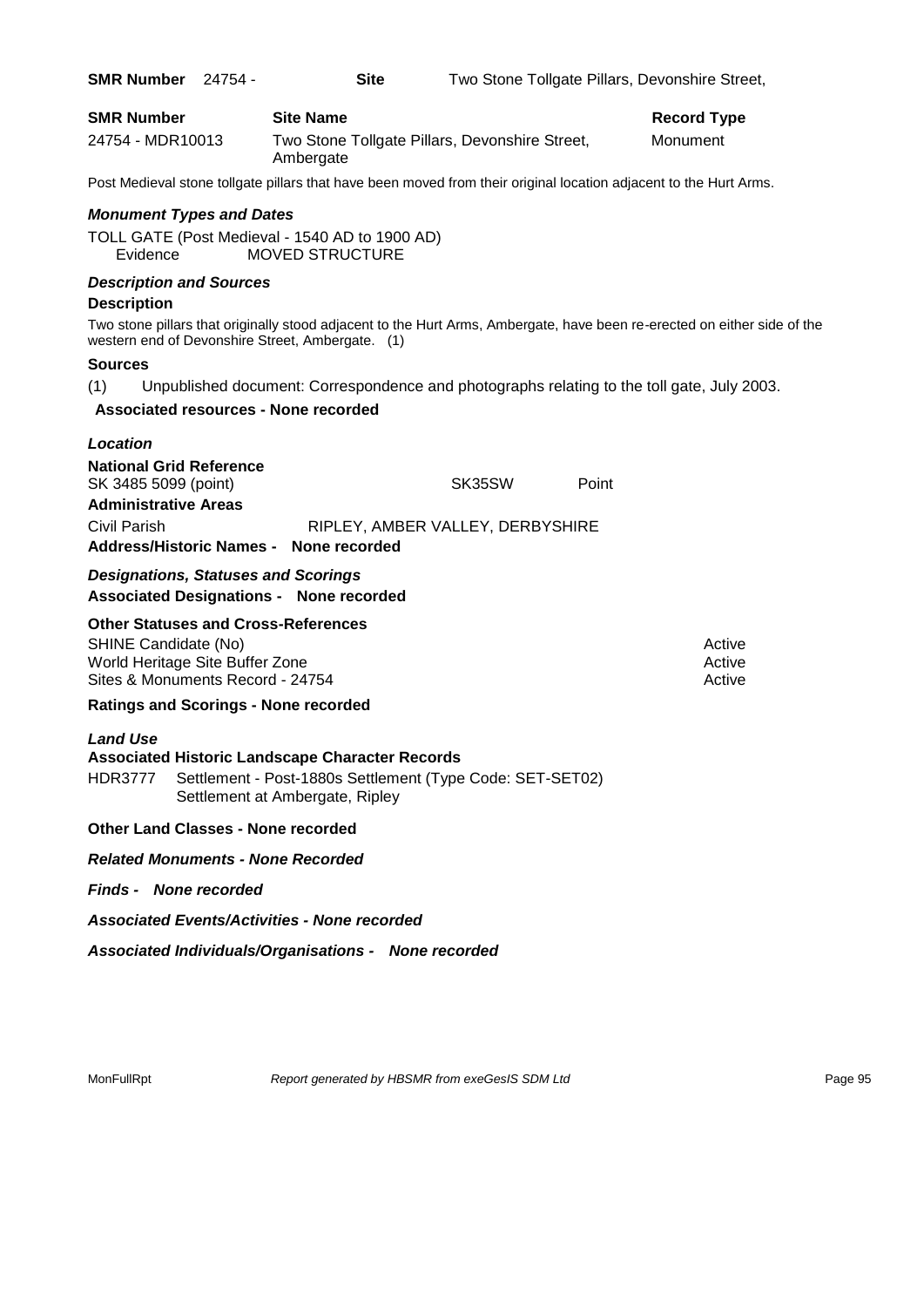| <b>SMR Number</b>                                       | 24754 - | <b>Site</b>                                                                                                                                            |                                  |       | Two Stone Tollgate Pillars, Devonshire Street,                                                                           |
|---------------------------------------------------------|---------|--------------------------------------------------------------------------------------------------------------------------------------------------------|----------------------------------|-------|--------------------------------------------------------------------------------------------------------------------------|
| <b>SMR Number</b>                                       |         | <b>Site Name</b>                                                                                                                                       |                                  |       | <b>Record Type</b>                                                                                                       |
| 24754 - MDR10013                                        |         | Two Stone Tollgate Pillars, Devonshire Street,<br>Ambergate                                                                                            |                                  |       | Monument                                                                                                                 |
|                                                         |         | Post Medieval stone tollgate pillars that have been moved from their original location adjacent to the Hurt Arms.                                      |                                  |       |                                                                                                                          |
| <b>Monument Types and Dates</b>                         |         |                                                                                                                                                        |                                  |       |                                                                                                                          |
| Evidence                                                |         | TOLL GATE (Post Medieval - 1540 AD to 1900 AD)<br><b>MOVED STRUCTURE</b>                                                                               |                                  |       |                                                                                                                          |
| <b>Description and Sources</b>                          |         |                                                                                                                                                        |                                  |       |                                                                                                                          |
| <b>Description</b>                                      |         |                                                                                                                                                        |                                  |       | Two stone pillars that originally stood adjacent to the Hurt Arms, Ambergate, have been re-erected on either side of the |
|                                                         |         | western end of Devonshire Street, Ambergate. (1)                                                                                                       |                                  |       |                                                                                                                          |
| <b>Sources</b>                                          |         |                                                                                                                                                        |                                  |       |                                                                                                                          |
| (1)                                                     |         | Unpublished document: Correspondence and photographs relating to the toll gate, July 2003.                                                             |                                  |       |                                                                                                                          |
|                                                         |         | <b>Associated resources - None recorded</b>                                                                                                            |                                  |       |                                                                                                                          |
| Location                                                |         |                                                                                                                                                        |                                  |       |                                                                                                                          |
| <b>National Grid Reference</b><br>SK 3485 5099 (point)  |         |                                                                                                                                                        | SK35SW                           | Point |                                                                                                                          |
| <b>Administrative Areas</b>                             |         |                                                                                                                                                        |                                  |       |                                                                                                                          |
| Civil Parish                                            |         |                                                                                                                                                        | RIPLEY, AMBER VALLEY, DERBYSHIRE |       |                                                                                                                          |
|                                                         |         | Address/Historic Names - None recorded                                                                                                                 |                                  |       |                                                                                                                          |
| <b>Designations, Statuses and Scorings</b>              |         | <b>Associated Designations - None recorded</b>                                                                                                         |                                  |       |                                                                                                                          |
| <b>Other Statuses and Cross-References</b>              |         |                                                                                                                                                        |                                  |       |                                                                                                                          |
| SHINE Candidate (No)<br>World Heritage Site Buffer Zone |         |                                                                                                                                                        |                                  |       | Active<br>Active                                                                                                         |
| Sites & Monuments Record - 24754                        |         |                                                                                                                                                        |                                  |       | Active                                                                                                                   |
| <b>Ratings and Scorings - None recorded</b>             |         |                                                                                                                                                        |                                  |       |                                                                                                                          |
| <b>Land Use</b>                                         |         |                                                                                                                                                        |                                  |       |                                                                                                                          |
| <b>HDR3777</b>                                          |         | <b>Associated Historic Landscape Character Records</b><br>Settlement - Post-1880s Settlement (Type Code: SET-SET02)<br>Settlement at Ambergate, Ripley |                                  |       |                                                                                                                          |
| <b>Other Land Classes - None recorded</b>               |         |                                                                                                                                                        |                                  |       |                                                                                                                          |
| <b>Related Monuments - None Recorded</b>                |         |                                                                                                                                                        |                                  |       |                                                                                                                          |
| <b>Finds - None recorded</b>                            |         |                                                                                                                                                        |                                  |       |                                                                                                                          |
|                                                         |         | <b>Associated Events/Activities - None recorded</b>                                                                                                    |                                  |       |                                                                                                                          |
|                                                         |         | Associated Individuals/Organisations - None recorded                                                                                                   |                                  |       |                                                                                                                          |

MonFullRpt *Report generated by HBSMR from exeGesIS SDM Ltd Rage 95* Page 95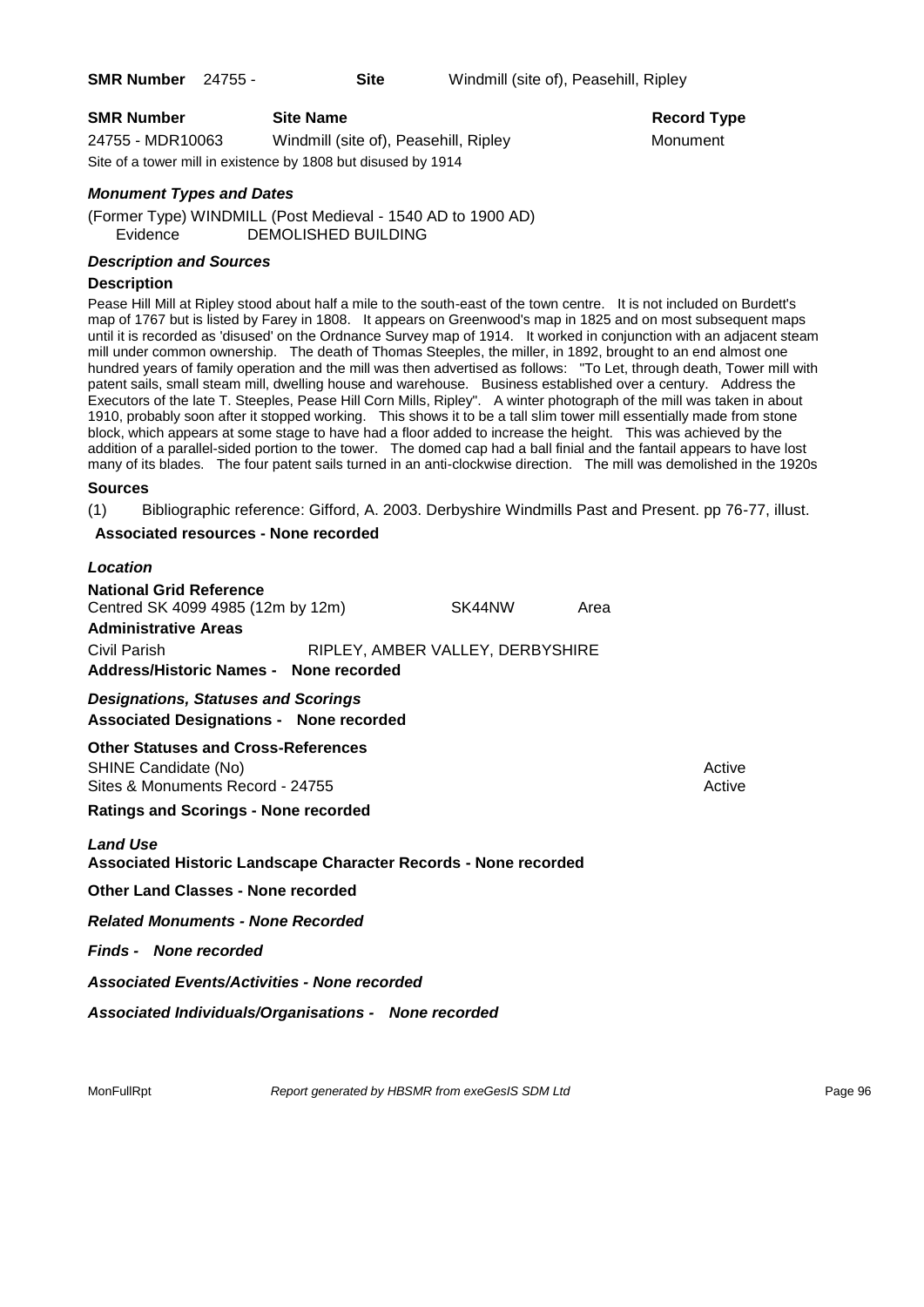| <b>SMR Number</b> | <b>Site Name</b>                                              | Record Ty |
|-------------------|---------------------------------------------------------------|-----------|
| 24755 - MDR10063  | Windmill (site of), Peasehill, Ripley                         | Monument  |
|                   | Site of a tower mill in existence by 1808 but disused by 1914 |           |

#### *Monument Types and Dates*

(Former Type) WINDMILL (Post Medieval - 1540 AD to 1900 AD) Evidence DEMOLISHED BUILDING

#### *Description and Sources*

#### **Description**

Pease Hill Mill at Ripley stood about half a mile to the south-east of the town centre. It is not included on Burdett's map of 1767 but is listed by Farey in 1808. It appears on Greenwood's map in 1825 and on most subsequent maps until it is recorded as 'disused' on the Ordnance Survey map of 1914. It worked in conjunction with an adjacent steam mill under common ownership. The death of Thomas Steeples, the miller, in 1892, brought to an end almost one hundred years of family operation and the mill was then advertised as follows: "To Let, through death, Tower mill with patent sails, small steam mill, dwelling house and warehouse. Business established over a century. Address the Executors of the late T. Steeples, Pease Hill Corn Mills, Ripley". A winter photograph of the mill was taken in about 1910, probably soon after it stopped working. This shows it to be a tall slim tower mill essentially made from stone block, which appears at some stage to have had a floor added to increase the height. This was achieved by the addition of a parallel-sided portion to the tower. The domed cap had a ball finial and the fantail appears to have lost many of its blades. The four patent sails turned in an anti-clockwise direction. The mill was demolished in the 1920s

**Record Type** 

#### **Sources**

(1) Bibliographic reference: Gifford, A. 2003. Derbyshire Windmills Past and Present. pp 76-77, illust.

#### **Associated resources - None recorded**

| Location                                                                                               |                                  |        |      |                  |
|--------------------------------------------------------------------------------------------------------|----------------------------------|--------|------|------------------|
| <b>National Grid Reference</b><br>Centred SK 4099 4985 (12m by 12m)<br><b>Administrative Areas</b>     |                                  | SK44NW | Area |                  |
| Civil Parish<br>Address/Historic Names - None recorded                                                 | RIPLEY, AMBER VALLEY, DERBYSHIRE |        |      |                  |
| <b>Designations, Statuses and Scorings</b><br><b>Associated Designations - None recorded</b>           |                                  |        |      |                  |
| <b>Other Statuses and Cross-References</b><br>SHINE Candidate (No)<br>Sites & Monuments Record - 24755 |                                  |        |      | Active<br>Active |
| <b>Ratings and Scorings - None recorded</b>                                                            |                                  |        |      |                  |
| <b>Land Use</b><br>Associated Historic Landscape Character Records - None recorded                     |                                  |        |      |                  |
| Other Land Classes - None recorded                                                                     |                                  |        |      |                  |
| <b>Related Monuments - None Recorded</b>                                                               |                                  |        |      |                  |
| Finds - None recorded                                                                                  |                                  |        |      |                  |

*Associated Events/Activities - None recorded*

*Associated Individuals/Organisations - None recorded*

MonFullRpt *Report generated by HBSMR from exeGesIS SDM Ltd Report 96* Page 96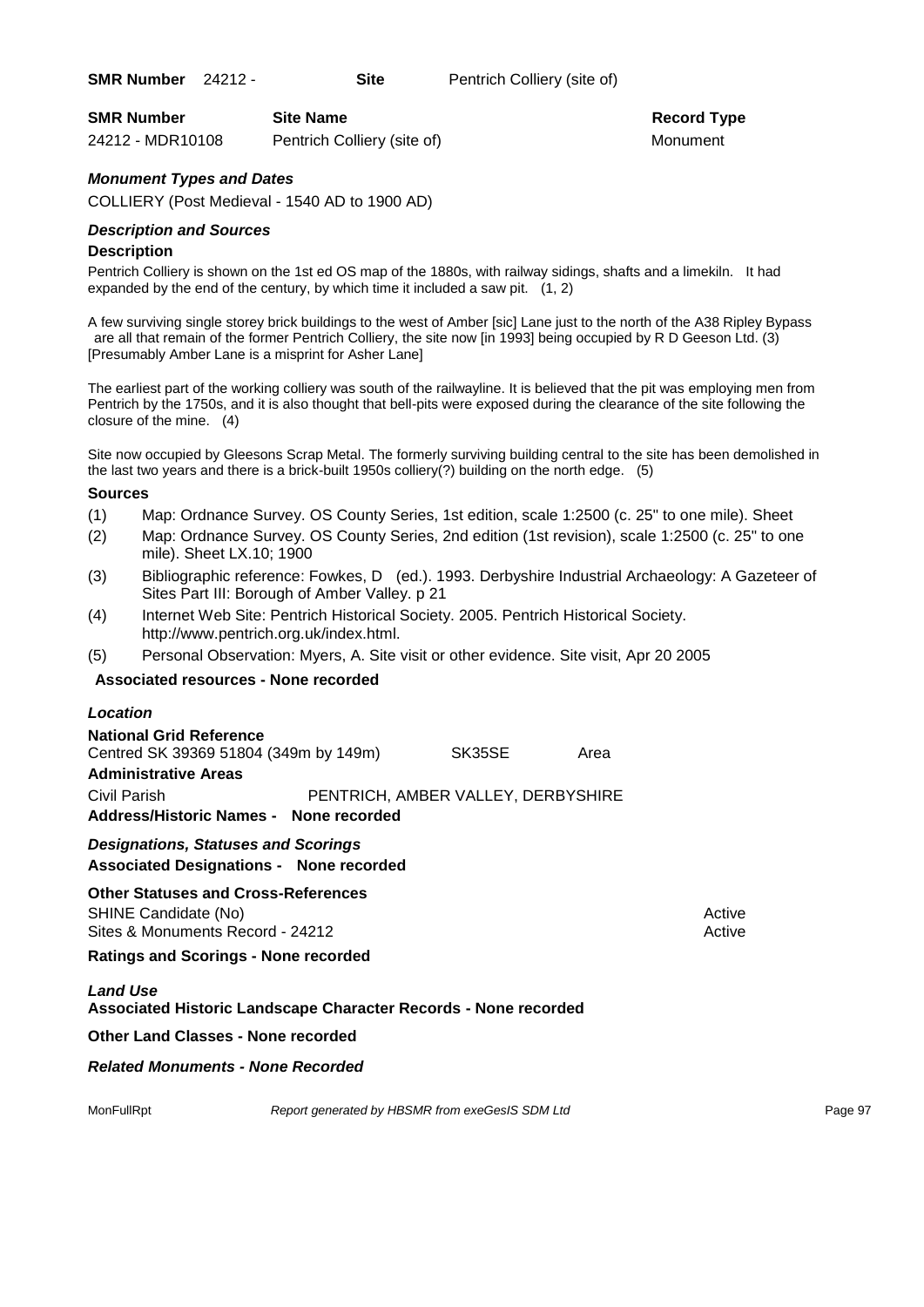| <b>SMR Number</b> | <b>Site Name</b>            | <b>Record Ty</b> |
|-------------------|-----------------------------|------------------|
| 24212 - MDR10108  | Pentrich Colliery (site of) | Monument         |

**Record Type** 

#### *Monument Types and Dates*

COLLIERY (Post Medieval - 1540 AD to 1900 AD)

#### *Description and Sources*

#### **Description**

Pentrich Colliery is shown on the 1st ed OS map of the 1880s, with railway sidings, shafts and a limekiln. It had expanded by the end of the century, by which time it included a saw pit. (1, 2)

A few surviving single storey brick buildings to the west of Amber [sic] Lane just to the north of the A38 Ripley Bypass are all that remain of the former Pentrich Colliery, the site now [in 1993] being occupied by R D Geeson Ltd. (3) [Presumably Amber Lane is a misprint for Asher Lane]

The earliest part of the working colliery was south of the railwayline. It is believed that the pit was employing men from Pentrich by the 1750s, and it is also thought that bell-pits were exposed during the clearance of the site following the closure of the mine. (4)

Site now occupied by Gleesons Scrap Metal. The formerly surviving building central to the site has been demolished in the last two years and there is a brick-built 1950s colliery(?) building on the north edge. (5)

#### **Sources**

- (1) Map: Ordnance Survey. OS County Series, 1st edition, scale 1:2500 (c. 25" to one mile). Sheet
- (2) Map: Ordnance Survey. OS County Series, 2nd edition (1st revision), scale 1:2500 (c. 25" to one mile). Sheet LX.10; 1900
- (3) Bibliographic reference: Fowkes, D (ed.). 1993. Derbyshire Industrial Archaeology: A Gazeteer of Sites Part III: Borough of Amber Valley. p 21
- (4) Internet Web Site: Pentrich Historical Society. 2005. Pentrich Historical Society. http://www.pentrich.org.uk/index.html.
- (5) Personal Observation: Myers, A. Site visit or other evidence. Site visit, Apr 20 2005

#### **Associated resources - None recorded**

| <b>Location</b>                        |                                    |      |
|----------------------------------------|------------------------------------|------|
| <b>National Grid Reference</b>         |                                    |      |
| Centred SK 39369 51804 (349m by 149m)  | SK35SE                             | Area |
| <b>Administrative Areas</b>            |                                    |      |
| Civil Parish                           | PENTRICH, AMBER VALLEY, DERBYSHIRE |      |
| Address/Historic Names - None recorded |                                    |      |
| Designations, Clatuses and Coorings    |                                    |      |

*Designations, Statuses and Scorings*

**Associated Designations - None recorded**

# **Other Statuses and Cross-References**

SHINE Candidate (No) and the state of the state of the state of the state of the state of the state of the state of the state of the state of the state of the state of the state of the state of the state of the state of th Sites & Monuments Record - 24212 Active Active Active Active

#### **Ratings and Scorings - None recorded**

#### *Land Use*  **Associated Historic Landscape Character Records - None recorded**

#### **Other Land Classes - None recorded**

#### *Related Monuments - None Recorded*

MonFullRpt *Report generated by HBSMR from exeGesIS SDM Ltd Report generated by HBSMR from exeGesIS SDM Ltd*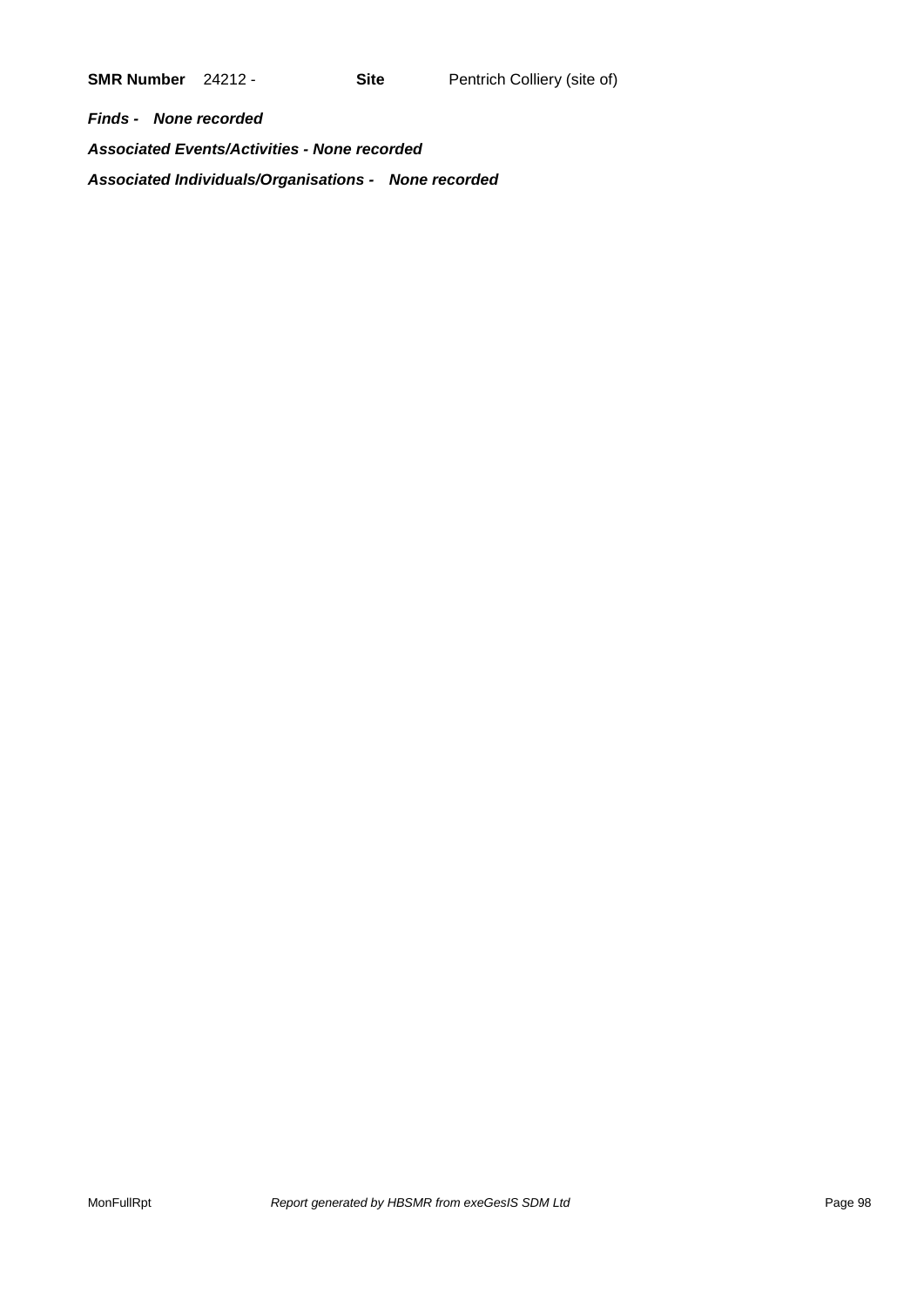*Finds - None recorded Associated Events/Activities - None recorded Associated Individuals/Organisations - None recorded*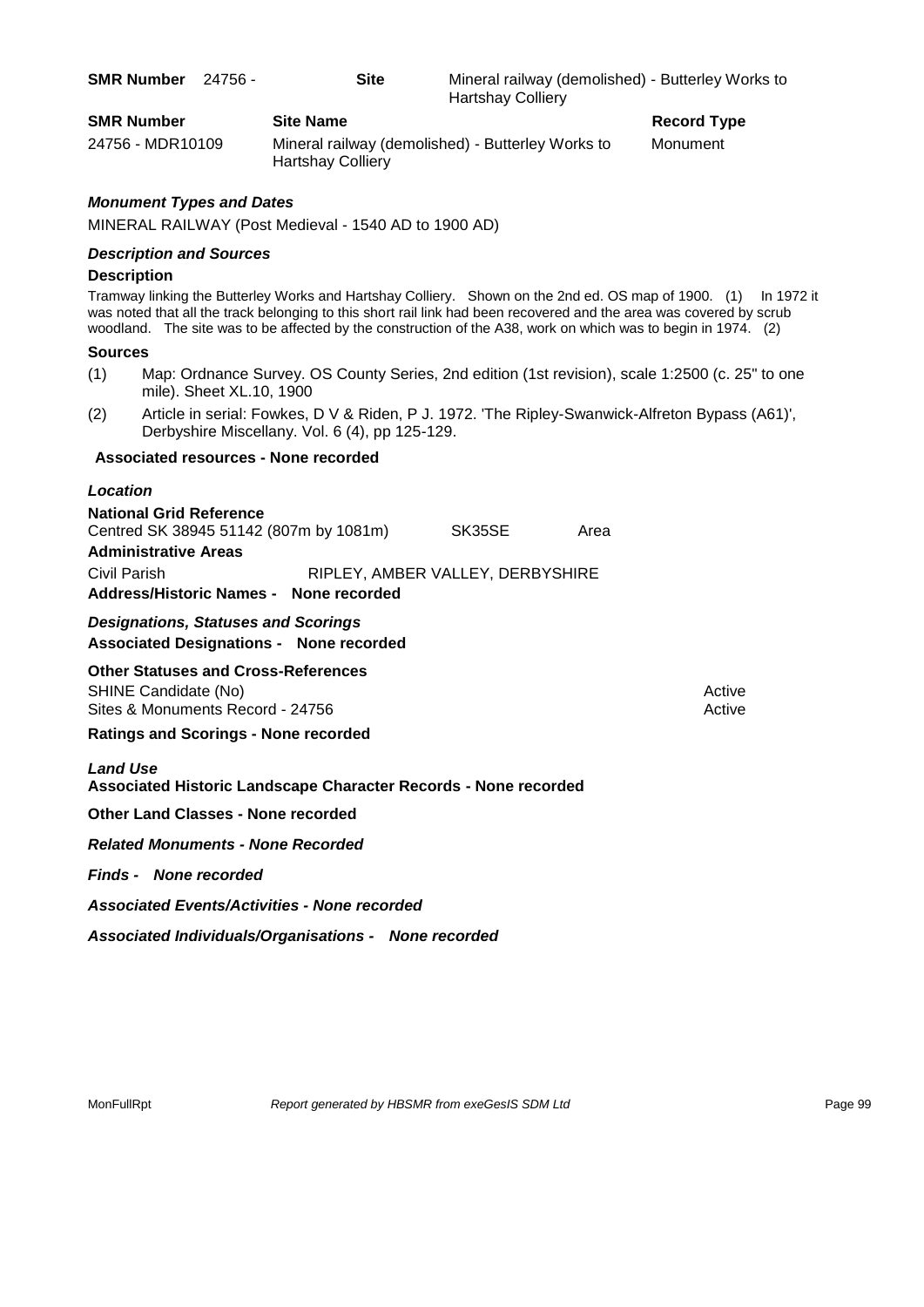| <b>SMR Number</b> | 24756 - | <b>Site</b>      | Mineral railway (demolished) - Butterley Works to<br><b>Hartshay Colliery</b> |                    |
|-------------------|---------|------------------|-------------------------------------------------------------------------------|--------------------|
| <b>SMR Number</b> |         | <b>Site Name</b> |                                                                               | <b>Record Type</b> |

24756 - MDR10109 Mineral railway (demolished) - Butterley Works to Monument Hartshay Colliery

### *Monument Types and Dates*

MINERAL RAILWAY (Post Medieval - 1540 AD to 1900 AD)

#### *Description and Sources*

#### **Description**

Tramway linking the Butterley Works and Hartshay Colliery. Shown on the 2nd ed. OS map of 1900. (1) In 1972 it was noted that all the track belonging to this short rail link had been recovered and the area was covered by scrub woodland. The site was to be affected by the construction of the A38, work on which was to begin in 1974. (2)

#### **Sources**

- (1) Map: Ordnance Survey. OS County Series, 2nd edition (1st revision), scale 1:2500 (c. 25" to one mile). Sheet XL.10, 1900
- (2) Article in serial: Fowkes, D V & Riden, P J. 1972. 'The Ripley-Swanwick-Alfreton Bypass (A61)', Derbyshire Miscellany. Vol. 6 (4), pp 125-129.

#### **Associated resources - None recorded**

| Location                                                                                                                                                          |                                  |        |      |                  |
|-------------------------------------------------------------------------------------------------------------------------------------------------------------------|----------------------------------|--------|------|------------------|
| <b>National Grid Reference</b><br>Centred SK 38945 51142 (807m by 1081m)<br><b>Administrative Areas</b><br>Civil Parish<br>Address/Historic Names - None recorded | RIPLEY, AMBER VALLEY, DERBYSHIRE | SK35SE | Area |                  |
| <b>Designations, Statuses and Scorings</b><br><b>Associated Designations - None recorded</b>                                                                      |                                  |        |      |                  |
| <b>Other Statuses and Cross-References</b><br>SHINE Candidate (No)<br>Sites & Monuments Record - 24756                                                            |                                  |        |      | Active<br>Active |
| <b>Ratings and Scorings - None recorded</b>                                                                                                                       |                                  |        |      |                  |
| <b>Land Use</b><br>Associated Historic Landscape Character Records - None recorded                                                                                |                                  |        |      |                  |
| <b>Other Land Classes - None recorded</b>                                                                                                                         |                                  |        |      |                  |
| <b>Related Monuments - None Recorded</b>                                                                                                                          |                                  |        |      |                  |
| <b>Finds - None recorded</b>                                                                                                                                      |                                  |        |      |                  |

*Associated Events/Activities - None recorded*

*Associated Individuals/Organisations - None recorded*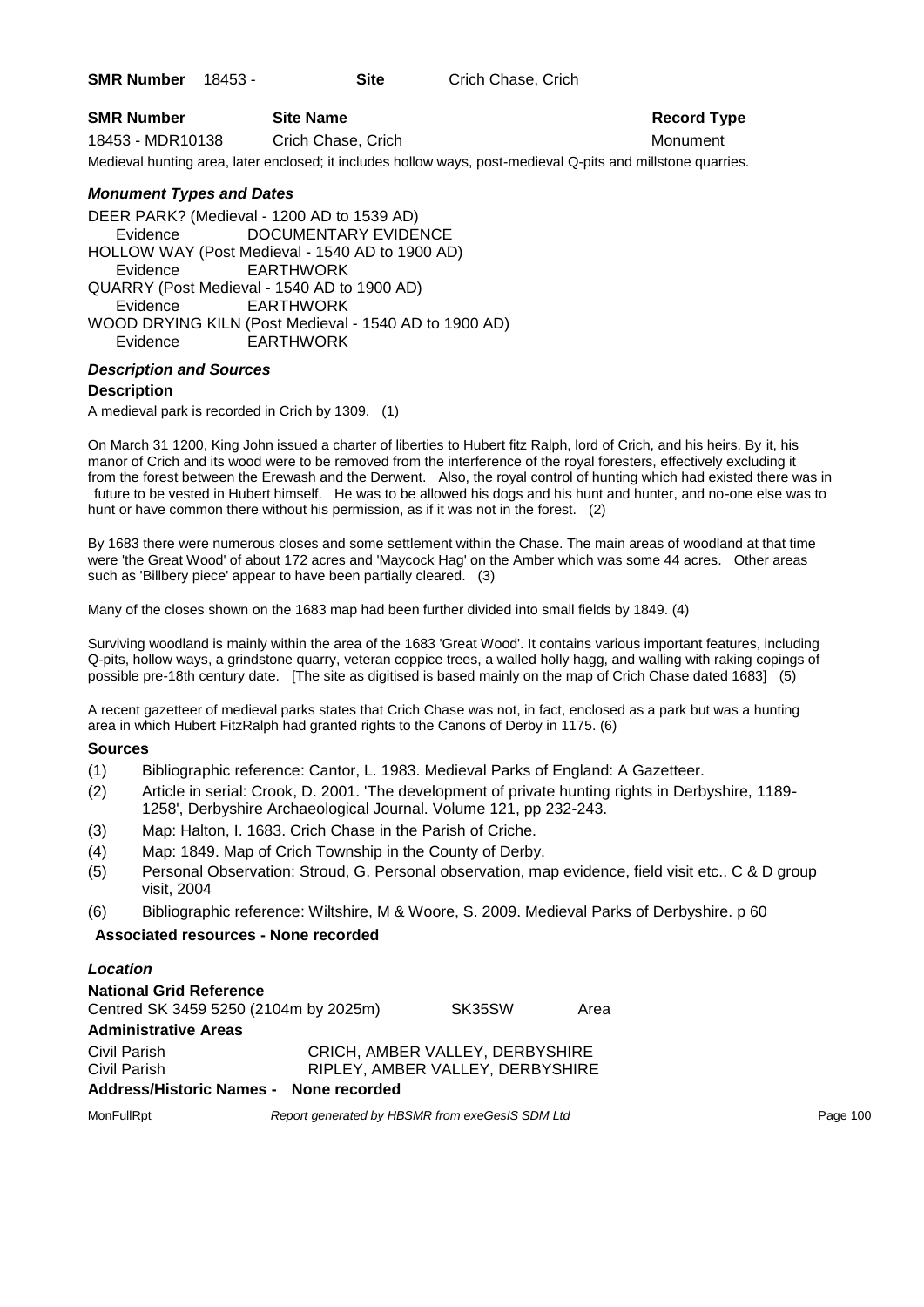**SMR Number** 18453 - **Site** Crich Chase, Crich

| <b>SMR Number</b> | <b>Site Name</b>   | <b>Record Ty</b> |
|-------------------|--------------------|------------------|
| 18453 - MDR10138  | Crich Chase, Crich | Monument         |

# **Record Type**

Medieval hunting area, later enclosed; it includes hollow ways, post-medieval Q-pits and millstone quarries.

### *Monument Types and Dates*

DEER PARK? (Medieval - 1200 AD to 1539 AD) Evidence DOCUMENTARY EVIDENCE HOLLOW WAY (Post Medieval - 1540 AD to 1900 AD) Evidence EARTHWORK QUARRY (Post Medieval - 1540 AD to 1900 AD) Evidence EARTHWORK WOOD DRYING KILN (Post Medieval - 1540 AD to 1900 AD) Evidence EARTHWORK

#### *Description and Sources*

#### **Description**

A medieval park is recorded in Crich by 1309. (1)

On March 31 1200, King John issued a charter of liberties to Hubert fitz Ralph, lord of Crich, and his heirs. By it, his manor of Crich and its wood were to be removed from the interference of the royal foresters, effectively excluding it from the forest between the Erewash and the Derwent. Also, the royal control of hunting which had existed there was in future to be vested in Hubert himself. He was to be allowed his dogs and his hunt and hunter, and no-one else was to hunt or have common there without his permission, as if it was not in the forest. (2)

By 1683 there were numerous closes and some settlement within the Chase. The main areas of woodland at that time were 'the Great Wood' of about 172 acres and 'Maycock Hag' on the Amber which was some 44 acres. Other areas such as 'Billbery piece' appear to have been partially cleared. (3)

Many of the closes shown on the 1683 map had been further divided into small fields by 1849. (4)

Surviving woodland is mainly within the area of the 1683 'Great Wood'. It contains various important features, including Q-pits, hollow ways, a grindstone quarry, veteran coppice trees, a walled holly hagg, and walling with raking copings of possible pre-18th century date. [The site as digitised is based mainly on the map of Crich Chase dated 1683] (5)

A recent gazetteer of medieval parks states that Crich Chase was not, in fact, enclosed as a park but was a hunting area in which Hubert FitzRalph had granted rights to the Canons of Derby in 1175. (6)

#### **Sources**

- (1) Bibliographic reference: Cantor, L. 1983. Medieval Parks of England: A Gazetteer.
- (2) Article in serial: Crook, D. 2001. 'The development of private hunting rights in Derbyshire, 1189- 1258', Derbyshire Archaeological Journal. Volume 121, pp 232-243.
- (3) Map: Halton, I. 1683. Crich Chase in the Parish of Criche.
- (4) Map: 1849. Map of Crich Township in the County of Derby.
- (5) Personal Observation: Stroud, G. Personal observation, map evidence, field visit etc.. C & D group visit, 2004
- (6) Bibliographic reference: Wiltshire, M & Woore, S. 2009. Medieval Parks of Derbyshire. p 60

#### **Associated resources - None recorded**

| Location                               |                                  |      |
|----------------------------------------|----------------------------------|------|
| <b>National Grid Reference</b>         |                                  |      |
| Centred SK 3459 5250 (2104m by 2025m)  | SK35SW                           | Area |
| <b>Administrative Areas</b>            |                                  |      |
| Civil Parish                           | CRICH, AMBER VALLEY, DERBYSHIRE  |      |
| Civil Parish                           | RIPLEY, AMBER VALLEY, DERBYSHIRE |      |
| Address/Historic Names - None recorded |                                  |      |
|                                        |                                  |      |

MonFullRpt *Report generated by HBSMR from exeGesIS SDM Ltd Report 100* Page 100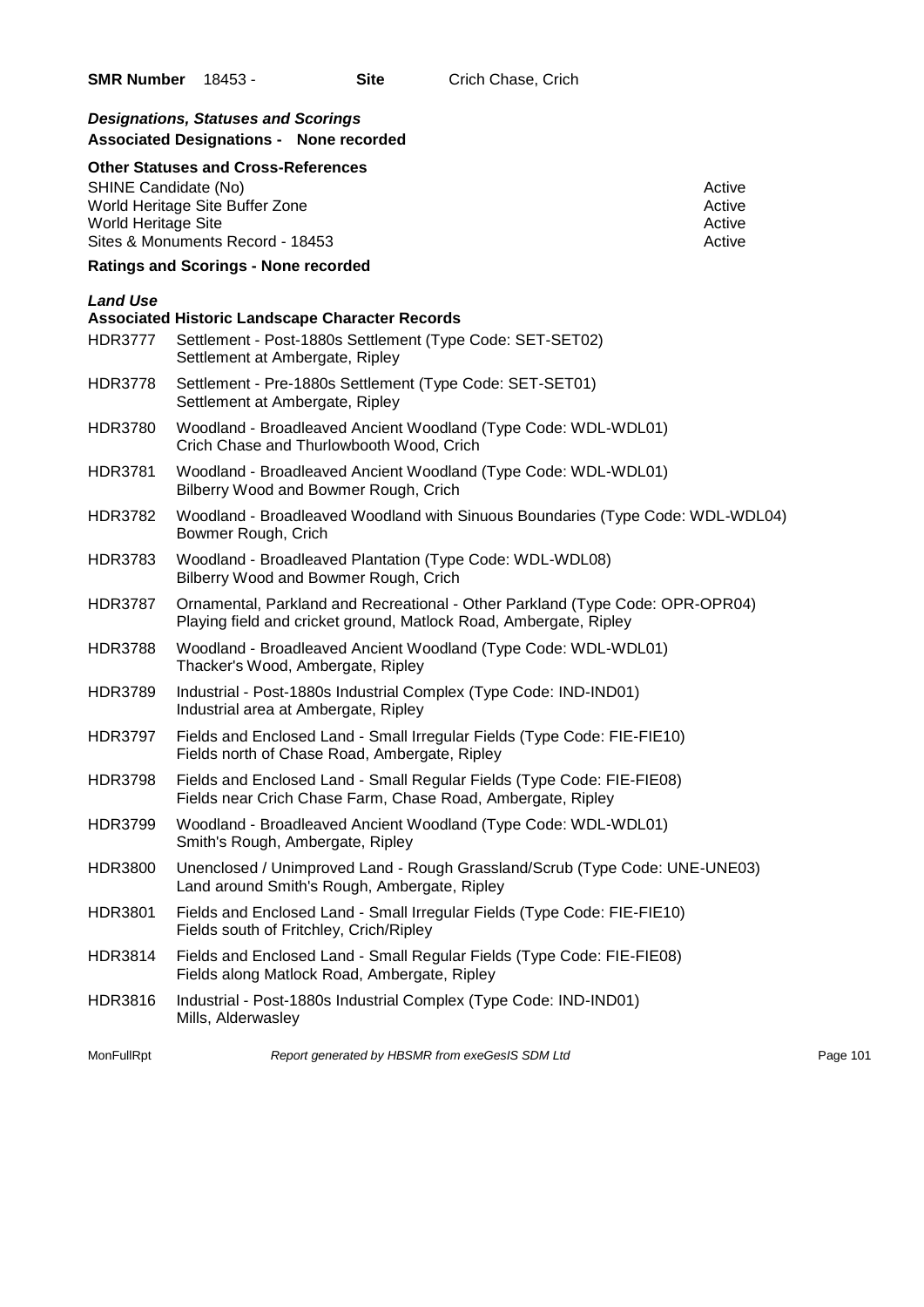## *Designations, Statuses and Scorings* **Associated Designations - None recorded**

#### **Other Statuses and Cross-References**

SHINE Candidate (No) and the state of the state of the state of the state of the state of the state of the state of the state of the state of the state of the state of the state of the state of the state of the state of th World Heritage Site Buffer Zone<br>
World Heritage Site<br>
Active<br>
Active World Heritage Site Sites & Monuments Record - 18453 Active

## **Ratings and Scorings - None recorded**

#### *Land Use*

|                | <b>Associated Historic Landscape Character Records</b>                                                                                             |          |
|----------------|----------------------------------------------------------------------------------------------------------------------------------------------------|----------|
| <b>HDR3777</b> | Settlement - Post-1880s Settlement (Type Code: SET-SET02)<br>Settlement at Ambergate, Ripley                                                       |          |
| HDR3778        | Settlement - Pre-1880s Settlement (Type Code: SET-SET01)<br>Settlement at Ambergate, Ripley                                                        |          |
| HDR3780        | Woodland - Broadleaved Ancient Woodland (Type Code: WDL-WDL01)<br>Crich Chase and Thurlowbooth Wood, Crich                                         |          |
| <b>HDR3781</b> | Woodland - Broadleaved Ancient Woodland (Type Code: WDL-WDL01)<br>Bilberry Wood and Bowmer Rough, Crich                                            |          |
| <b>HDR3782</b> | Woodland - Broadleaved Woodland with Sinuous Boundaries (Type Code: WDL-WDL04)<br>Bowmer Rough, Crich                                              |          |
| <b>HDR3783</b> | Woodland - Broadleaved Plantation (Type Code: WDL-WDL08)<br>Bilberry Wood and Bowmer Rough, Crich                                                  |          |
| HDR3787        | Ornamental, Parkland and Recreational - Other Parkland (Type Code: OPR-OPR04)<br>Playing field and cricket ground, Matlock Road, Ambergate, Ripley |          |
| <b>HDR3788</b> | Woodland - Broadleaved Ancient Woodland (Type Code: WDL-WDL01)<br>Thacker's Wood, Ambergate, Ripley                                                |          |
| <b>HDR3789</b> | Industrial - Post-1880s Industrial Complex (Type Code: IND-IND01)<br>Industrial area at Ambergate, Ripley                                          |          |
| <b>HDR3797</b> | Fields and Enclosed Land - Small Irregular Fields (Type Code: FIE-FIE10)<br>Fields north of Chase Road, Ambergate, Ripley                          |          |
| <b>HDR3798</b> | Fields and Enclosed Land - Small Regular Fields (Type Code: FIE-FIE08)<br>Fields near Crich Chase Farm, Chase Road, Ambergate, Ripley              |          |
| <b>HDR3799</b> | Woodland - Broadleaved Ancient Woodland (Type Code: WDL-WDL01)<br>Smith's Rough, Ambergate, Ripley                                                 |          |
| HDR3800        | Unenclosed / Unimproved Land - Rough Grassland/Scrub (Type Code: UNE-UNE03)<br>Land around Smith's Rough, Ambergate, Ripley                        |          |
| <b>HDR3801</b> | Fields and Enclosed Land - Small Irregular Fields (Type Code: FIE-FIE10)<br>Fields south of Fritchley, Crich/Ripley                                |          |
| <b>HDR3814</b> | Fields and Enclosed Land - Small Regular Fields (Type Code: FIE-FIE08)<br>Fields along Matlock Road, Ambergate, Ripley                             |          |
| <b>HDR3816</b> | Industrial - Post-1880s Industrial Complex (Type Code: IND-IND01)<br>Mills, Alderwasley                                                            |          |
| MonFullRpt     | Report generated by HBSMR from exeGesIS SDM Ltd                                                                                                    | Page 101 |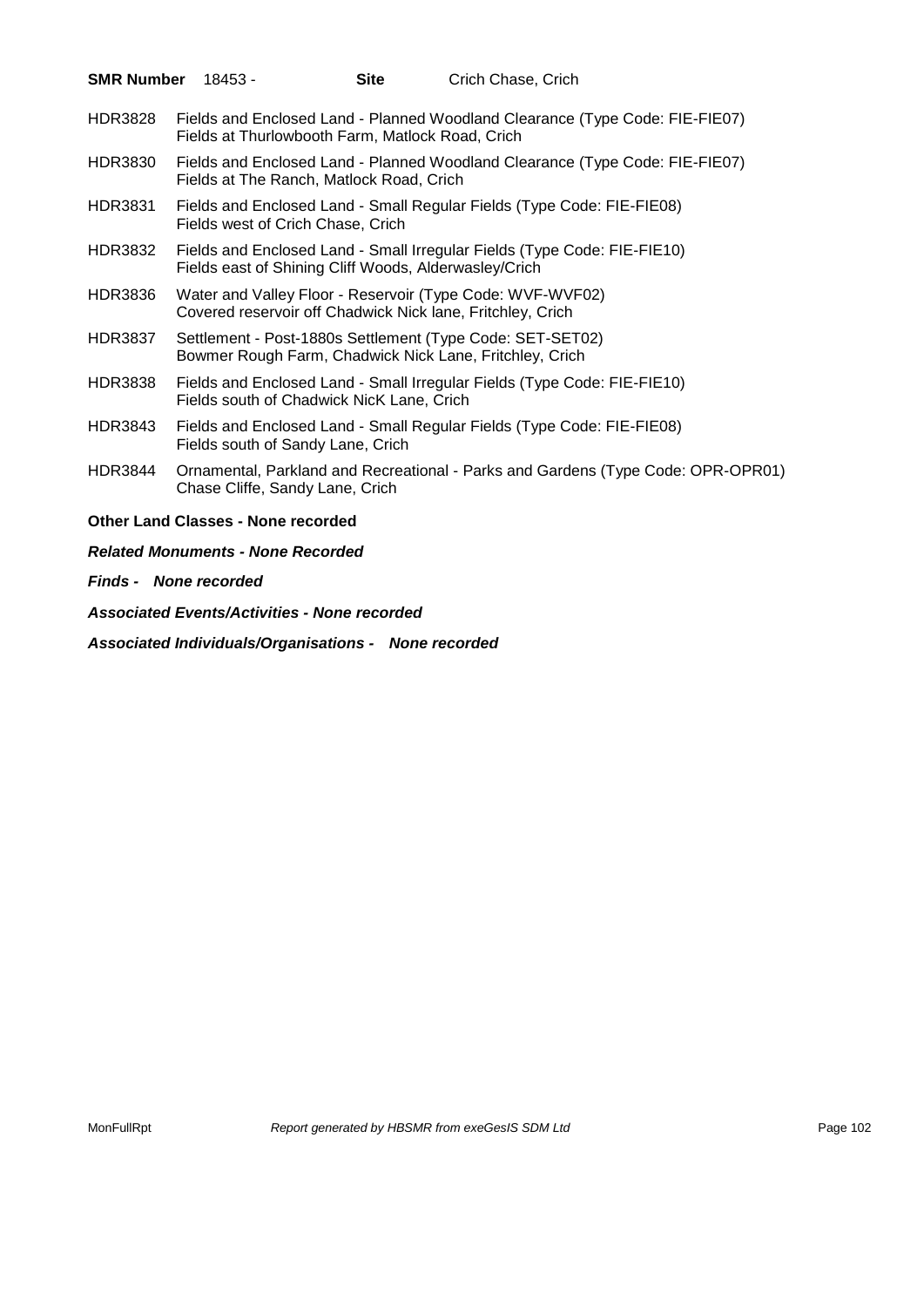| <b>SMR Number</b> | 18453 -                                   | <b>Site</b>                                           | Crich Chase, Crich                                                                                                      |  |
|-------------------|-------------------------------------------|-------------------------------------------------------|-------------------------------------------------------------------------------------------------------------------------|--|
| <b>HDR3828</b>    |                                           | Fields at Thurlowbooth Farm, Matlock Road, Crich      | Fields and Enclosed Land - Planned Woodland Clearance (Type Code: FIE-FIE07)                                            |  |
| <b>HDR3830</b>    |                                           | Fields at The Ranch, Matlock Road, Crich              | Fields and Enclosed Land - Planned Woodland Clearance (Type Code: FIE-FIE07)                                            |  |
| <b>HDR3831</b>    | Fields west of Crich Chase, Crich         |                                                       | Fields and Enclosed Land - Small Regular Fields (Type Code: FIE-FIE08)                                                  |  |
| <b>HDR3832</b>    |                                           | Fields east of Shining Cliff Woods, Alderwasley/Crich | Fields and Enclosed Land - Small Irregular Fields (Type Code: FIE-FIE10)                                                |  |
| <b>HDR3836</b>    |                                           |                                                       | Water and Valley Floor - Reservoir (Type Code: WVF-WVF02)<br>Covered reservoir off Chadwick Nick lane, Fritchley, Crich |  |
| <b>HDR3837</b>    |                                           |                                                       | Settlement - Post-1880s Settlement (Type Code: SET-SET02)<br>Bowmer Rough Farm, Chadwick Nick Lane, Fritchley, Crich    |  |
| <b>HDR3838</b>    |                                           | Fields south of Chadwick NicK Lane, Crich             | Fields and Enclosed Land - Small Irregular Fields (Type Code: FIE-FIE10)                                                |  |
| <b>HDR3843</b>    | Fields south of Sandy Lane, Crich         |                                                       | Fields and Enclosed Land - Small Regular Fields (Type Code: FIE-FIE08)                                                  |  |
| <b>HDR3844</b>    | Chase Cliffe, Sandy Lane, Crich           |                                                       | Ornamental, Parkland and Recreational - Parks and Gardens (Type Code: OPR-OPR01)                                        |  |
|                   | <b>Other Land Classes - None recorded</b> |                                                       |                                                                                                                         |  |
|                   | <b>Related Monuments - None Recorded</b>  |                                                       |                                                                                                                         |  |
|                   |                                           |                                                       |                                                                                                                         |  |

*Finds - None recorded*

*Associated Events/Activities - None recorded*

*Associated Individuals/Organisations - None recorded*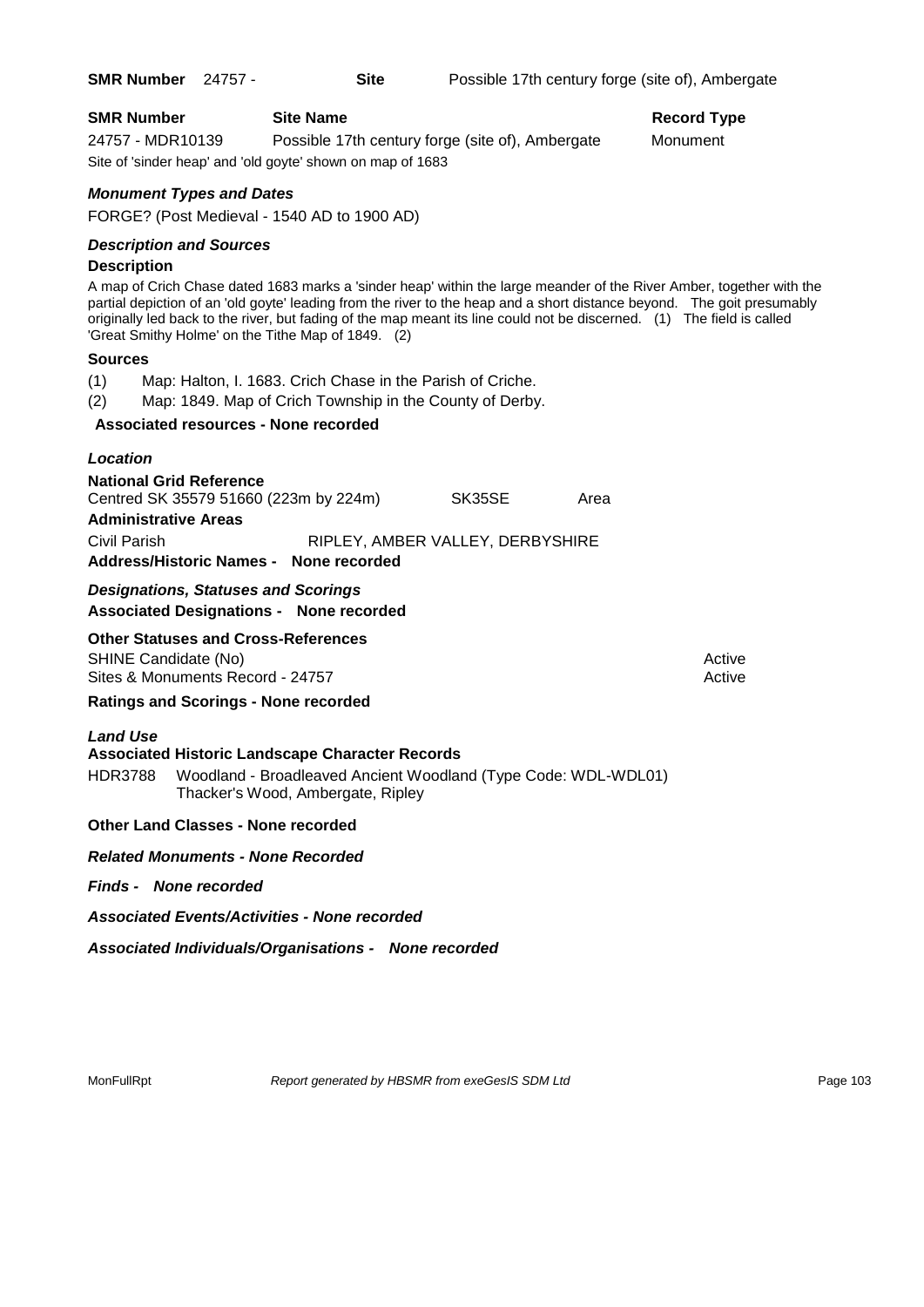#### **SMR Number Site Name Record Type Record Type**

24757 - MDR10139 Possible 17th century forge (site of), Ambergate Monument Site of 'sinder heap' and 'old goyte' shown on map of 1683

#### *Monument Types and Dates*

FORGE? (Post Medieval - 1540 AD to 1900 AD)

#### *Description and Sources*

#### **Description**

A map of Crich Chase dated 1683 marks a 'sinder heap' within the large meander of the River Amber, together with the partial depiction of an 'old goyte' leading from the river to the heap and a short distance beyond. The goit presumably originally led back to the river, but fading of the map meant its line could not be discerned. (1) The field is called 'Great Smithy Holme' on the Tithe Map of 1849. (2)

#### **Sources**

(1) Map: Halton, I. 1683. Crich Chase in the Parish of Criche.

(2) Map: 1849. Map of Crich Township in the County of Derby.

#### **Associated resources - None recorded**

#### *Location*

| <b>National Grid Reference</b>         |                                  |      |
|----------------------------------------|----------------------------------|------|
| Centred SK 35579 51660 (223m by 224m)  | SK35SE                           | Area |
| <b>Administrative Areas</b>            |                                  |      |
| Civil Parish                           | RIPLEY, AMBER VALLEY, DERBYSHIRE |      |
| Address/Historic Names - None recorded |                                  |      |

*Designations, Statuses and Scorings* **Associated Designations - None recorded**

#### **Other Statuses and Cross-References**

SHINE Candidate (No) **Active** Active 30 Active 30 Active 30 Active 30 Active 30 Active Sites & Monuments Record - 24757 Active Active Active Active

#### **Ratings and Scorings - None recorded**

#### *Land Use*

#### **Associated Historic Landscape Character Records**

HDR3788 Woodland - Broadleaved Ancient Woodland (Type Code: WDL-WDL01) Thacker's Wood, Ambergate, Ripley

#### **Other Land Classes - None recorded**

#### *Related Monuments - None Recorded*

#### *Finds - None recorded*

*Associated Events/Activities - None recorded*

*Associated Individuals/Organisations - None recorded*

MonFullRpt *Report generated by HBSMR from exeGesIS SDM Ltd Report 103* Page 103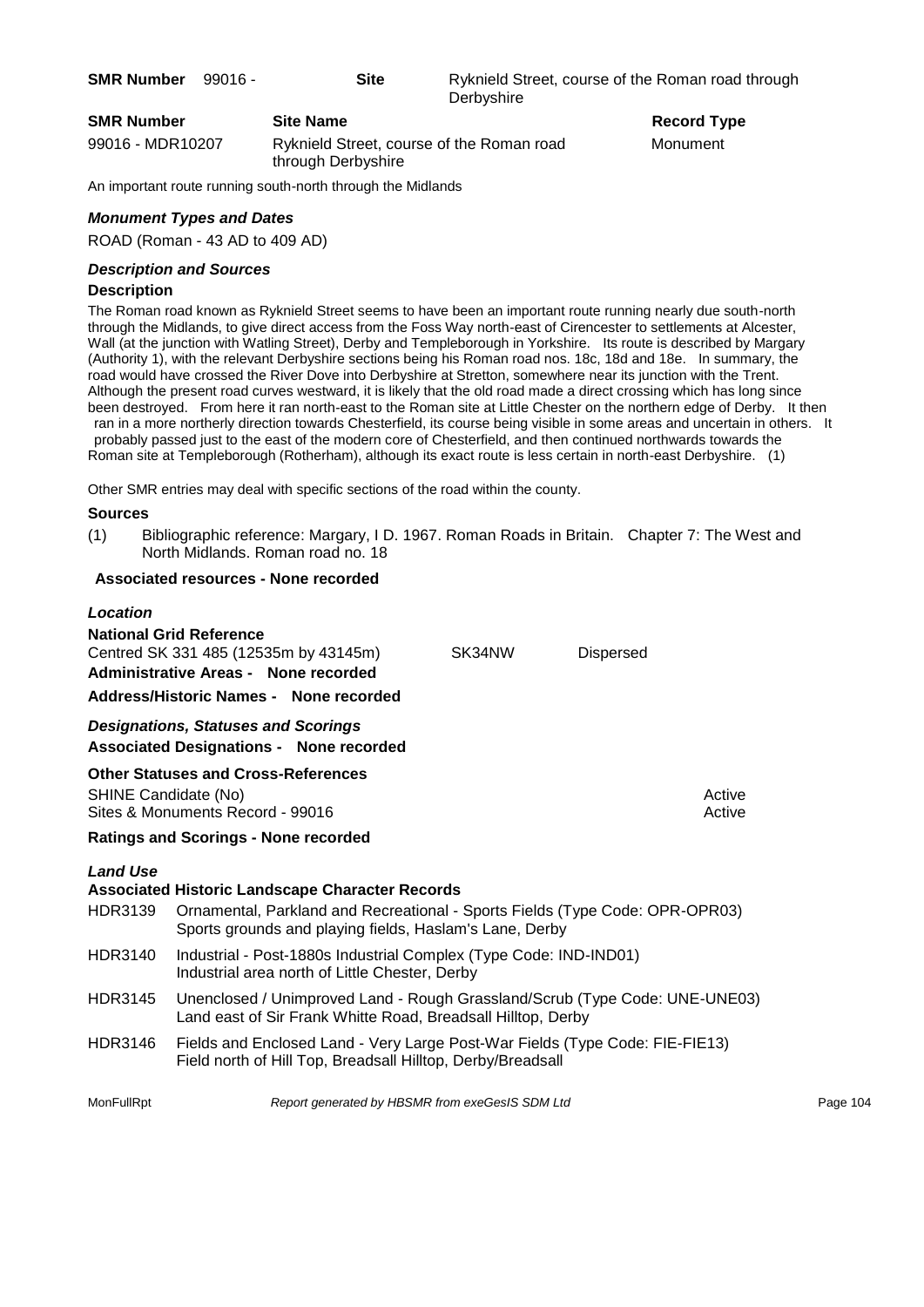| <b>SMR Number</b> | 99016 - |                  | <b>Site</b> | Ryknield Street, course of the Roman road through<br>Derbyshire |
|-------------------|---------|------------------|-------------|-----------------------------------------------------------------|
| <b>SMR Number</b> |         | <b>Site Name</b> |             | <b>Record Type</b>                                              |

99016 - MDR10207 Ryknield Street, course of the Roman road Monument through Derbyshire

An important route running south-north through the Midlands

#### *Monument Types and Dates*

ROAD (Roman - 43 AD to 409 AD)

#### *Description and Sources*

#### **Description**

The Roman road known as Ryknield Street seems to have been an important route running nearly due south-north through the Midlands, to give direct access from the Foss Way north-east of Cirencester to settlements at Alcester, Wall (at the junction with Watling Street), Derby and Templeborough in Yorkshire. Its route is described by Margary (Authority 1), with the relevant Derbyshire sections being his Roman road nos. 18c, 18d and 18e. In summary, the road would have crossed the River Dove into Derbyshire at Stretton, somewhere near its junction with the Trent. Although the present road curves westward, it is likely that the old road made a direct crossing which has long since been destroyed. From here it ran north-east to the Roman site at Little Chester on the northern edge of Derby. It then ran in a more northerly direction towards Chesterfield, its course being visible in some areas and uncertain in others. It probably passed just to the east of the modern core of Chesterfield, and then continued northwards towards the

Roman site at Templeborough (Rotherham), although its exact route is less certain in north-east Derbyshire. (1)

Other SMR entries may deal with specific sections of the road within the county.

#### **Sources**

(1) Bibliographic reference: Margary, I D. 1967. Roman Roads in Britain. Chapter 7: The West and North Midlands. Roman road no. 18

#### **Associated resources - None recorded**

#### *Location*

| <b>National Grid Reference</b><br>Centred SK 331 485 (12535m by 43145m)<br><b>Administrative Areas - None recorded</b><br>Address/Historic Names - None recorded | SK34NW | <b>Dispersed</b> |                  |
|------------------------------------------------------------------------------------------------------------------------------------------------------------------|--------|------------------|------------------|
| <b>Designations, Statuses and Scorings</b><br><b>Associated Designations - None recorded</b>                                                                     |        |                  |                  |
| <b>Other Statuses and Cross-References</b><br>SHINE Candidate (No)<br>Sites & Monuments Record - 99016<br><b>Ratings and Scorings - None recorded</b>            |        |                  | Active<br>Active |
|                                                                                                                                                                  |        |                  |                  |

#### *Land Use*

# **Associated Historic Landscape Character Records** HDR3139 Ornamental, Parkland and Recreational - Sports Fields (Type Code: OPR-OPR03) Sports grounds and playing fields, Haslam's Lane, Derby HDR3140 Industrial - Post-1880s Industrial Complex (Type Code: IND-IND01) Industrial area north of Little Chester, Derby HDR3145 Unenclosed / Unimproved Land - Rough Grassland/Scrub (Type Code: UNE-UNE03) Land east of Sir Frank Whitte Road, Breadsall Hilltop, Derby HDR3146 Fields and Enclosed Land - Very Large Post-War Fields (Type Code: FIE-FIE13) Field north of Hill Top, Breadsall Hilltop, Derby/Breadsall MonFullRpt *Report generated by HBSMR from exeGesIS SDM Ltd Report 104*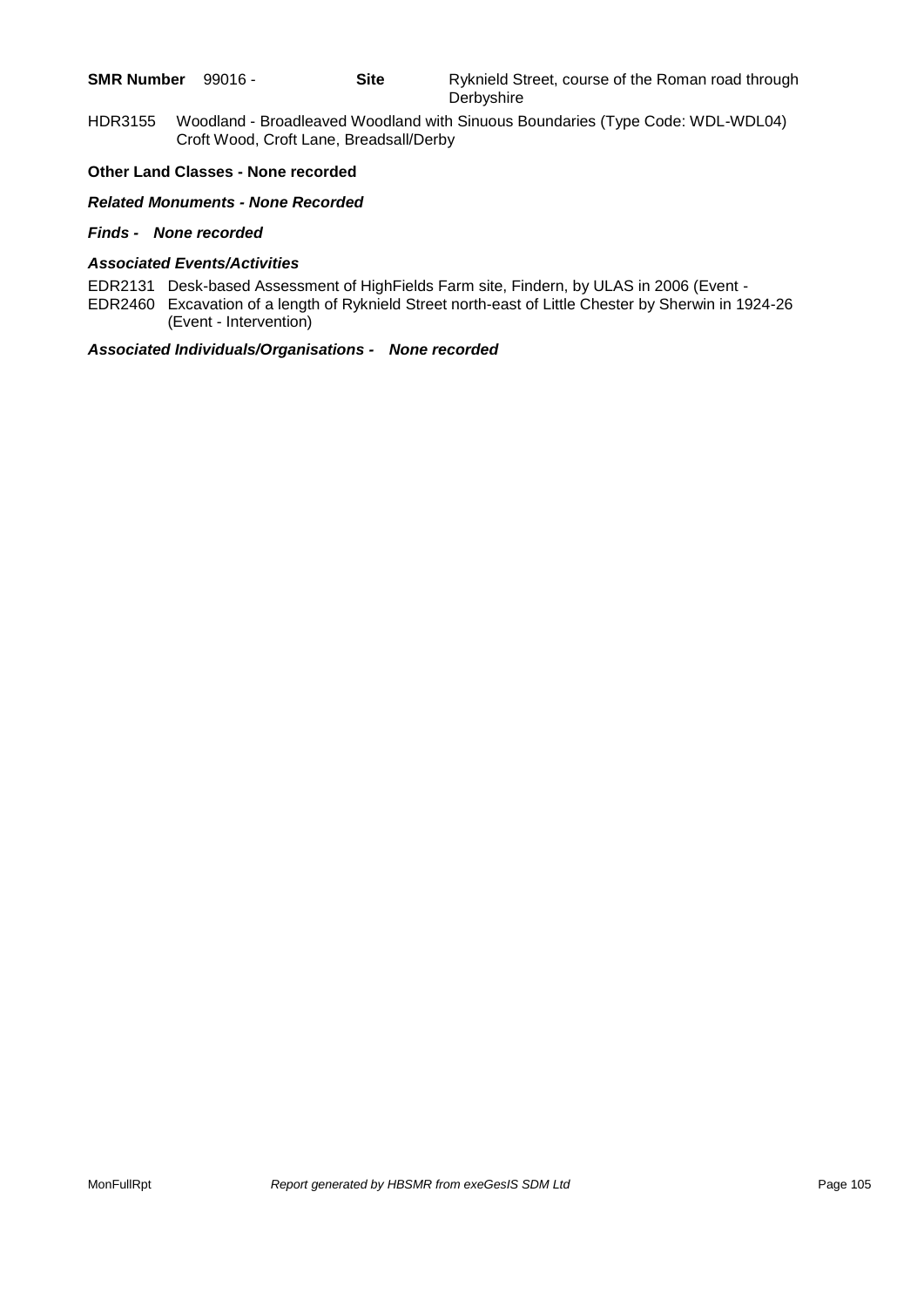| <b>SMR Number</b><br>$99016 -$ |
|--------------------------------|
|--------------------------------|

HDR3155 Woodland - Broadleaved Woodland with Sinuous Boundaries (Type Code: WDL-WDL04) Croft Wood, Croft Lane, Breadsall/Derby

#### **Other Land Classes - None recorded**

#### *Related Monuments - None Recorded*

#### *Finds - None recorded*

#### *Associated Events/Activities*

EDR2131 Desk-based Assessment of HighFields Farm site, Findern, by ULAS in 2006 (Event -

EDR2460 Excavation of a length of Ryknield Street north-east of Little Chester by Sherwin in 1924-26 (Event - Intervention)

#### *Associated Individuals/Organisations - None recorded*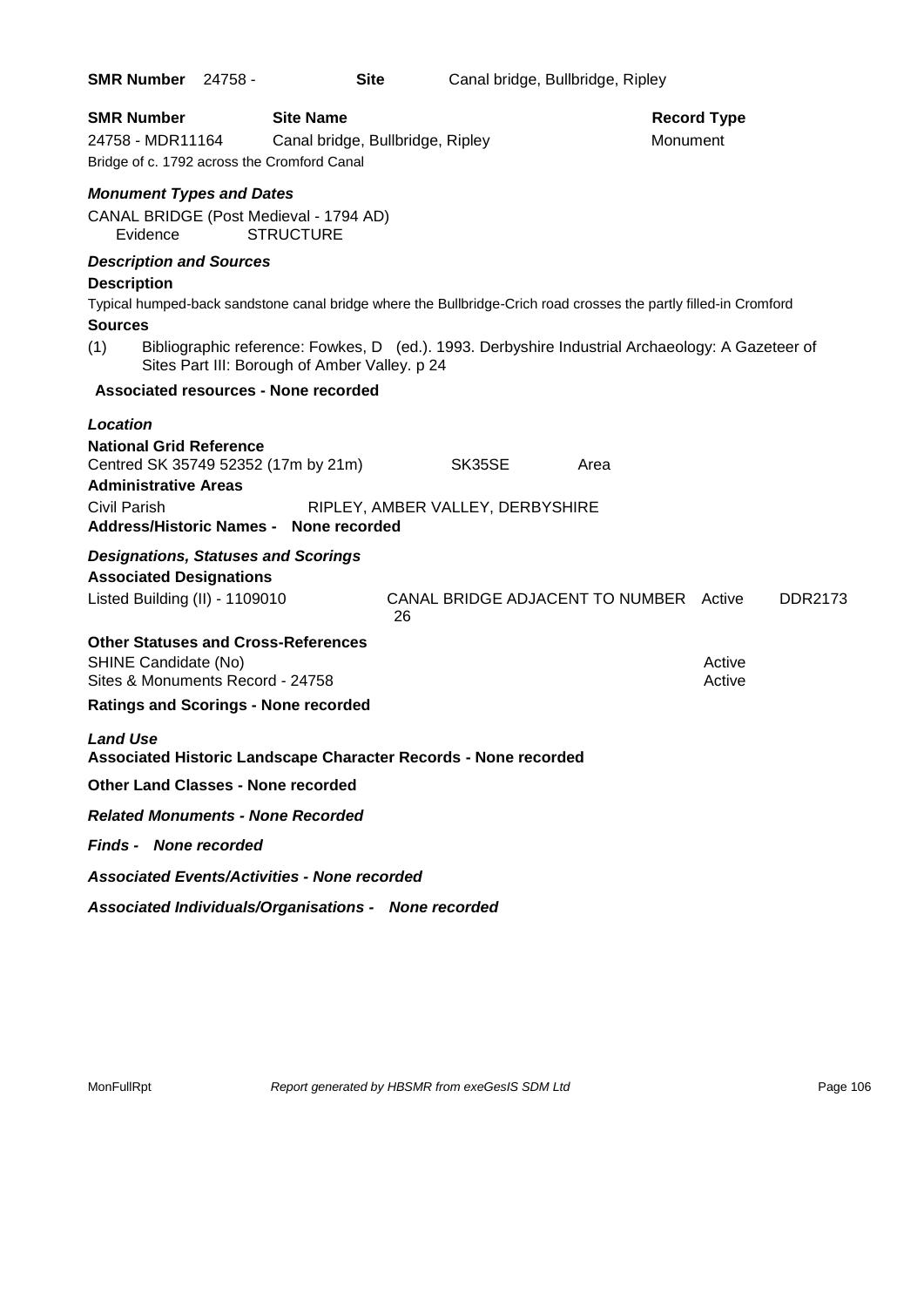| <b>SMR Number 24758 -</b>                                                                                            | <b>Site</b>                                                                                                                                       |                                              | Canal bridge, Bullbridge, Ripley |      |                                |                  |         |
|----------------------------------------------------------------------------------------------------------------------|---------------------------------------------------------------------------------------------------------------------------------------------------|----------------------------------------------|----------------------------------|------|--------------------------------|------------------|---------|
| <b>SMR Number</b><br>24758 - MDR11164<br>Bridge of c. 1792 across the Cromford Canal                                 | <b>Site Name</b><br>Canal bridge, Bullbridge, Ripley                                                                                              |                                              |                                  |      | <b>Record Type</b><br>Monument |                  |         |
| <b>Monument Types and Dates</b>                                                                                      |                                                                                                                                                   |                                              |                                  |      |                                |                  |         |
| Evidence                                                                                                             | CANAL BRIDGE (Post Medieval - 1794 AD)<br><b>STRUCTURE</b>                                                                                        |                                              |                                  |      |                                |                  |         |
| <b>Description and Sources</b><br><b>Description</b>                                                                 | Typical humped-back sandstone canal bridge where the Bullbridge-Crich road crosses the partly filled-in Cromford                                  |                                              |                                  |      |                                |                  |         |
| <b>Sources</b>                                                                                                       |                                                                                                                                                   |                                              |                                  |      |                                |                  |         |
| (1)                                                                                                                  | Bibliographic reference: Fowkes, D (ed.). 1993. Derbyshire Industrial Archaeology: A Gazeteer of<br>Sites Part III: Borough of Amber Valley. p 24 |                                              |                                  |      |                                |                  |         |
|                                                                                                                      | <b>Associated resources - None recorded</b>                                                                                                       |                                              |                                  |      |                                |                  |         |
| <b>Location</b>                                                                                                      |                                                                                                                                                   |                                              |                                  |      |                                |                  |         |
| <b>National Grid Reference</b><br>Centred SK 35749 52352 (17m by 21m)<br><b>Administrative Areas</b><br>Civil Parish |                                                                                                                                                   | SK35SE<br>RIPLEY, AMBER VALLEY, DERBYSHIRE   |                                  | Area |                                |                  |         |
|                                                                                                                      | <b>Address/Historic Names - None recorded</b>                                                                                                     |                                              |                                  |      |                                |                  |         |
| <b>Designations, Statuses and Scorings</b>                                                                           |                                                                                                                                                   |                                              |                                  |      |                                |                  |         |
| <b>Associated Designations</b><br>Listed Building (II) - 1109010                                                     |                                                                                                                                                   | CANAL BRIDGE ADJACENT TO NUMBER Active<br>26 |                                  |      |                                |                  | DDR2173 |
| <b>Other Statuses and Cross-References</b><br>SHINE Candidate (No)<br>Sites & Monuments Record - 24758               |                                                                                                                                                   |                                              |                                  |      |                                | Active<br>Active |         |
| <b>Ratings and Scorings - None recorded</b>                                                                          |                                                                                                                                                   |                                              |                                  |      |                                |                  |         |
| <b>Land Use</b>                                                                                                      | Associated Historic Landscape Character Records - None recorded                                                                                   |                                              |                                  |      |                                |                  |         |
| <b>Other Land Classes - None recorded</b>                                                                            |                                                                                                                                                   |                                              |                                  |      |                                |                  |         |
| <b>Related Monuments - None Recorded</b>                                                                             |                                                                                                                                                   |                                              |                                  |      |                                |                  |         |
| <b>Finds - None recorded</b>                                                                                         |                                                                                                                                                   |                                              |                                  |      |                                |                  |         |
|                                                                                                                      | <b>Associated Events/Activities - None recorded</b>                                                                                               |                                              |                                  |      |                                |                  |         |
|                                                                                                                      | Associated Individuals/Organisations - None recorded                                                                                              |                                              |                                  |      |                                |                  |         |

MonFullRpt *Report generated by HBSMR from exeGesIS SDM Ltd Rage 106* Page 106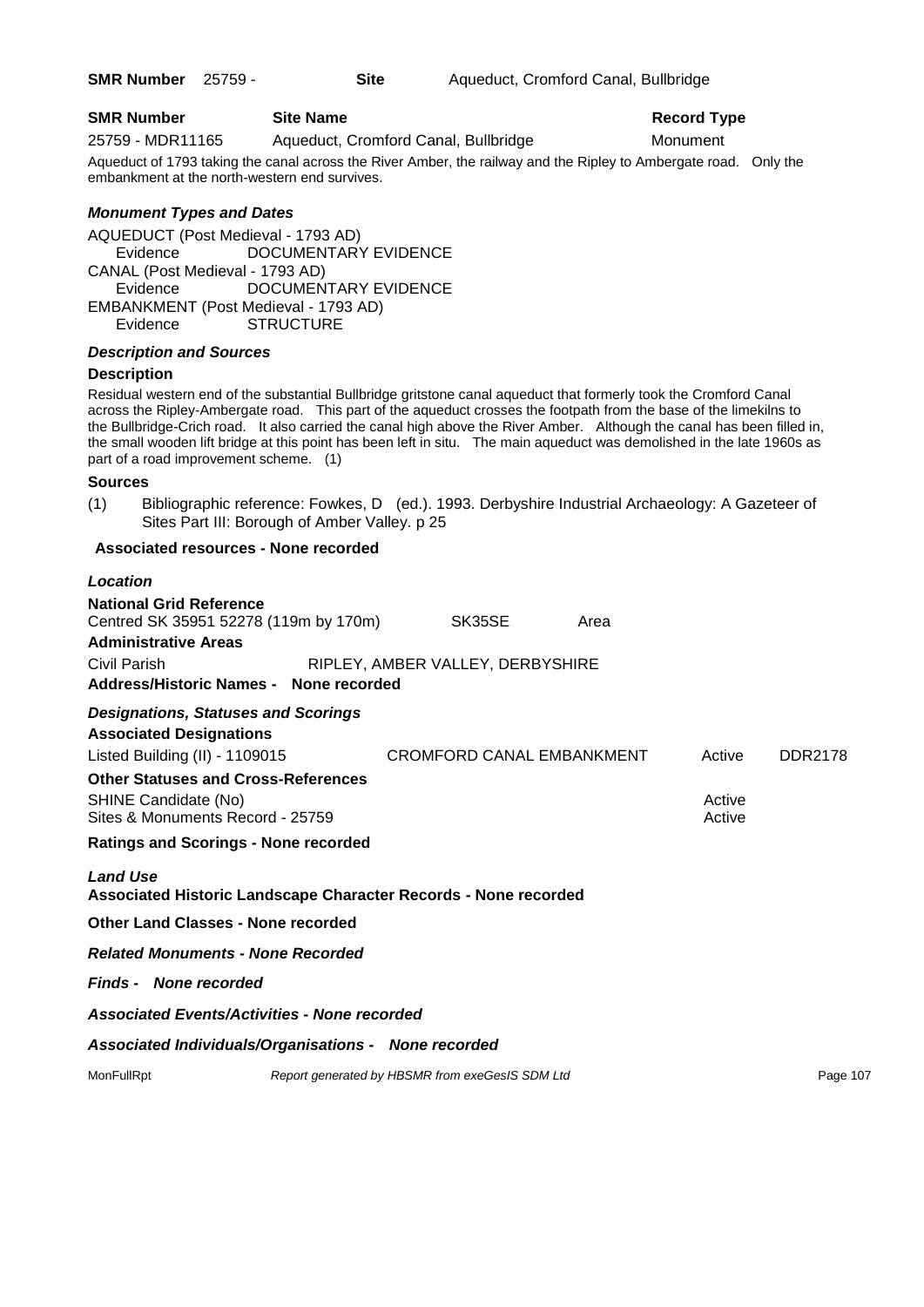### **SMR Number Site Name Record Type Record Type**

25759 - MDR11165 Aqueduct, Cromford Canal, Bullbridge Monument

Aqueduct of 1793 taking the canal across the River Amber, the railway and the Ripley to Ambergate road. Only the embankment at the north-western end survives.

### *Monument Types and Dates*

AQUEDUCT (Post Medieval - 1793 AD) Evidence DOCUMENTARY EVIDENCE CANAL (Post Medieval - 1793 AD) DOCUMENTARY EVIDENCE EMBANKMENT (Post Medieval - 1793 AD) Evidence STRUCTURE

#### *Description and Sources*

#### **Description**

Residual western end of the substantial Bullbridge gritstone canal aqueduct that formerly took the Cromford Canal across the Ripley-Ambergate road. This part of the aqueduct crosses the footpath from the base of the limekilns to the Bullbridge-Crich road. It also carried the canal high above the River Amber. Although the canal has been filled in, the small wooden lift bridge at this point has been left in situ. The main aqueduct was demolished in the late 1960s as part of a road improvement scheme. (1)

#### **Sources**

(1) Bibliographic reference: Fowkes, D (ed.). 1993. Derbyshire Industrial Archaeology: A Gazeteer of Sites Part III: Borough of Amber Valley. p 25

#### **Associated resources - None recorded**

#### *Location*

| <b>National Grid Reference</b><br>Centred SK 35951 52278 (119m by 170m) SK35SE<br><b>Administrative Areas</b>  |                                  |                                                 | Area |                  |                |  |  |  |  |
|----------------------------------------------------------------------------------------------------------------|----------------------------------|-------------------------------------------------|------|------------------|----------------|--|--|--|--|
| Civil Parish<br>Address/Historic Names - None recorded                                                         | RIPLEY, AMBER VALLEY, DERBYSHIRE |                                                 |      |                  |                |  |  |  |  |
| <b>Designations, Statuses and Scorings</b><br><b>Associated Designations</b><br>Listed Building (II) - 1109015 |                                  | CROMFORD CANAL EMBANKMENT                       |      | Active           | <b>DDR2178</b> |  |  |  |  |
| <b>Other Statuses and Cross-References</b><br>SHINE Candidate (No)<br>Sites & Monuments Record - 25759         |                                  |                                                 |      | Active<br>Active |                |  |  |  |  |
| <b>Ratings and Scorings - None recorded</b>                                                                    |                                  |                                                 |      |                  |                |  |  |  |  |
| <b>Land Use</b><br>Associated Historic Landscape Character Records - None recorded                             |                                  |                                                 |      |                  |                |  |  |  |  |
| <b>Other Land Classes - None recorded</b>                                                                      |                                  |                                                 |      |                  |                |  |  |  |  |
| <b>Related Monuments - None Recorded</b>                                                                       |                                  |                                                 |      |                  |                |  |  |  |  |
| <b>Finds - None recorded</b>                                                                                   |                                  |                                                 |      |                  |                |  |  |  |  |
| <b>Associated Events/Activities - None recorded</b>                                                            |                                  |                                                 |      |                  |                |  |  |  |  |
| Associated Individuals/Organisations - None recorded                                                           |                                  |                                                 |      |                  |                |  |  |  |  |
| MonFullRpt                                                                                                     |                                  | Report generated by HBSMR from exeGesIS SDM Ltd |      |                  | Page 107       |  |  |  |  |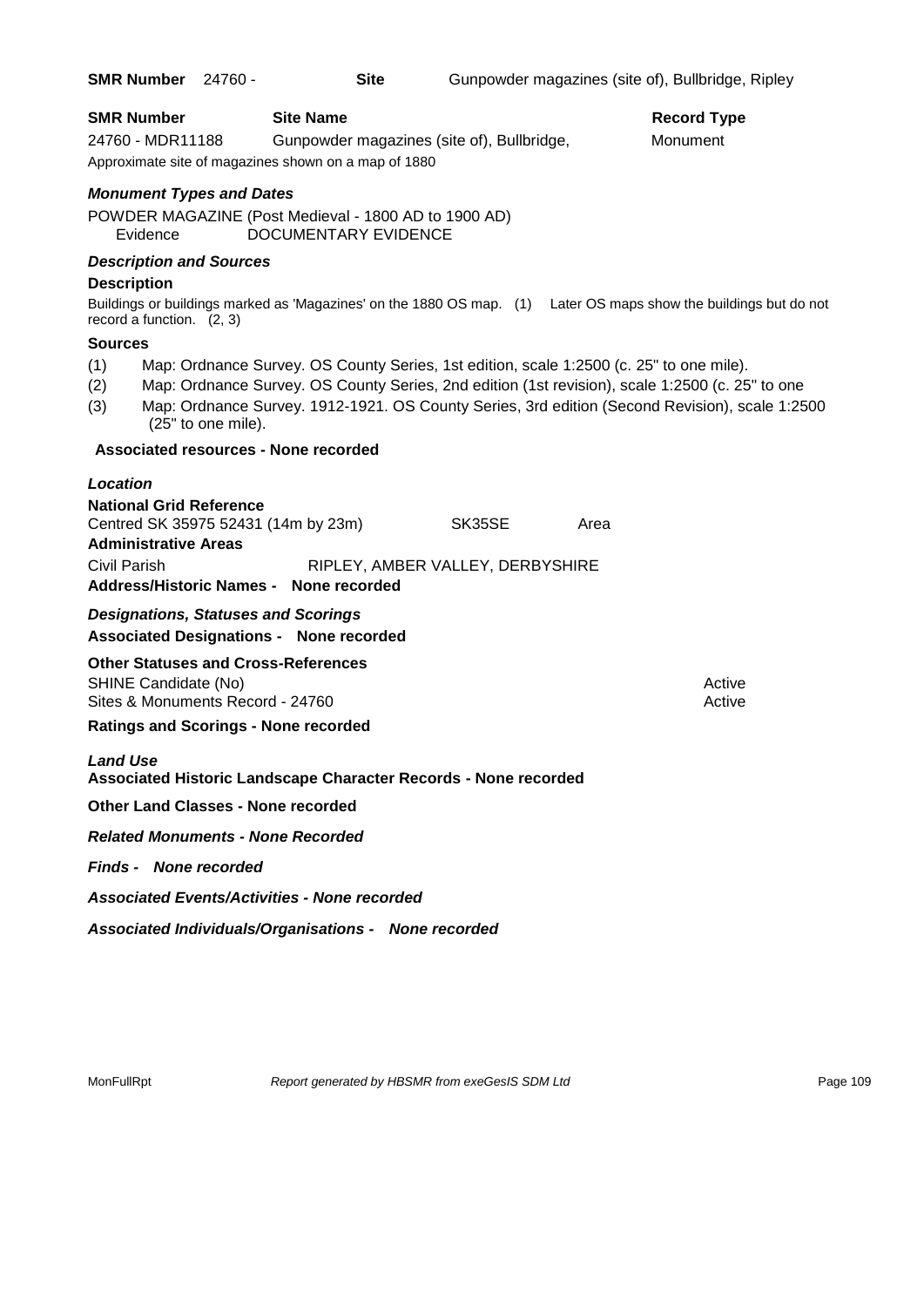| SMR Number 24760 -                                                                        |                                                                                                                               | <b>Site</b>                                |        |      | Gunpowder magazines (site of), Bullbridge, Ripley                                                                                                                                                 |
|-------------------------------------------------------------------------------------------|-------------------------------------------------------------------------------------------------------------------------------|--------------------------------------------|--------|------|---------------------------------------------------------------------------------------------------------------------------------------------------------------------------------------------------|
| <b>SMR Number</b><br>24760 - MDR11188                                                     | <b>Site Name</b><br>Approximate site of magazines shown on a map of 1880                                                      | Gunpowder magazines (site of), Bullbridge, |        |      | <b>Record Type</b><br>Monument                                                                                                                                                                    |
| <b>Monument Types and Dates</b><br>Evidence                                               | POWDER MAGAZINE (Post Medieval - 1800 AD to 1900 AD)                                                                          | DOCUMENTARY EVIDENCE                       |        |      |                                                                                                                                                                                                   |
| <b>Description and Sources</b><br><b>Description</b><br>record a function. $(2, 3)$       |                                                                                                                               |                                            |        |      | Buildings or buildings marked as 'Magazines' on the 1880 OS map. (1) Later OS maps show the buildings but do not                                                                                  |
| <b>Sources</b><br>(1)<br>(2)<br>(3)                                                       | Map: Ordnance Survey. OS County Series, 1st edition, scale 1:2500 (c. 25" to one mile).<br>(25" to one mile).                 |                                            |        |      | Map: Ordnance Survey. OS County Series, 2nd edition (1st revision), scale 1:2500 (c. 25" to one<br>Map: Ordnance Survey. 1912-1921. OS County Series, 3rd edition (Second Revision), scale 1:2500 |
|                                                                                           | Associated resources - None recorded                                                                                          |                                            |        |      |                                                                                                                                                                                                   |
| Location<br><b>National Grid Reference</b><br><b>Administrative Areas</b><br>Civil Parish | Centred SK 35975 52431 (14m by 23m)<br>Address/Historic Names - None recorded                                                 | RIPLEY, AMBER VALLEY, DERBYSHIRE           | SK35SE | Area |                                                                                                                                                                                                   |
|                                                                                           | <b>Designations, Statuses and Scorings</b><br><b>Associated Designations - None recorded</b>                                  |                                            |        |      |                                                                                                                                                                                                   |
| SHINE Candidate (No)                                                                      | <b>Other Statuses and Cross-References</b><br>Sites & Monuments Record - 24760<br><b>Ratings and Scorings - None recorded</b> |                                            |        |      | Active<br>Active                                                                                                                                                                                  |
| <b>Land Use</b>                                                                           | Associated Historic Landscape Character Records - None recorded                                                               |                                            |        |      |                                                                                                                                                                                                   |
|                                                                                           | <b>Other Land Classes - None recorded</b>                                                                                     |                                            |        |      |                                                                                                                                                                                                   |
|                                                                                           | <b>Related Monuments - None Recorded</b>                                                                                      |                                            |        |      |                                                                                                                                                                                                   |
| <b>Finds - None recorded</b>                                                              |                                                                                                                               |                                            |        |      |                                                                                                                                                                                                   |
|                                                                                           | <b>Associated Events/Activities - None recorded</b>                                                                           |                                            |        |      |                                                                                                                                                                                                   |
|                                                                                           | Associated Individuals/Organisations - None recorded                                                                          |                                            |        |      |                                                                                                                                                                                                   |

MonFullRpt *Report generated by HBSMR from exeGesIS SDM Ltd Rage 109* Page 109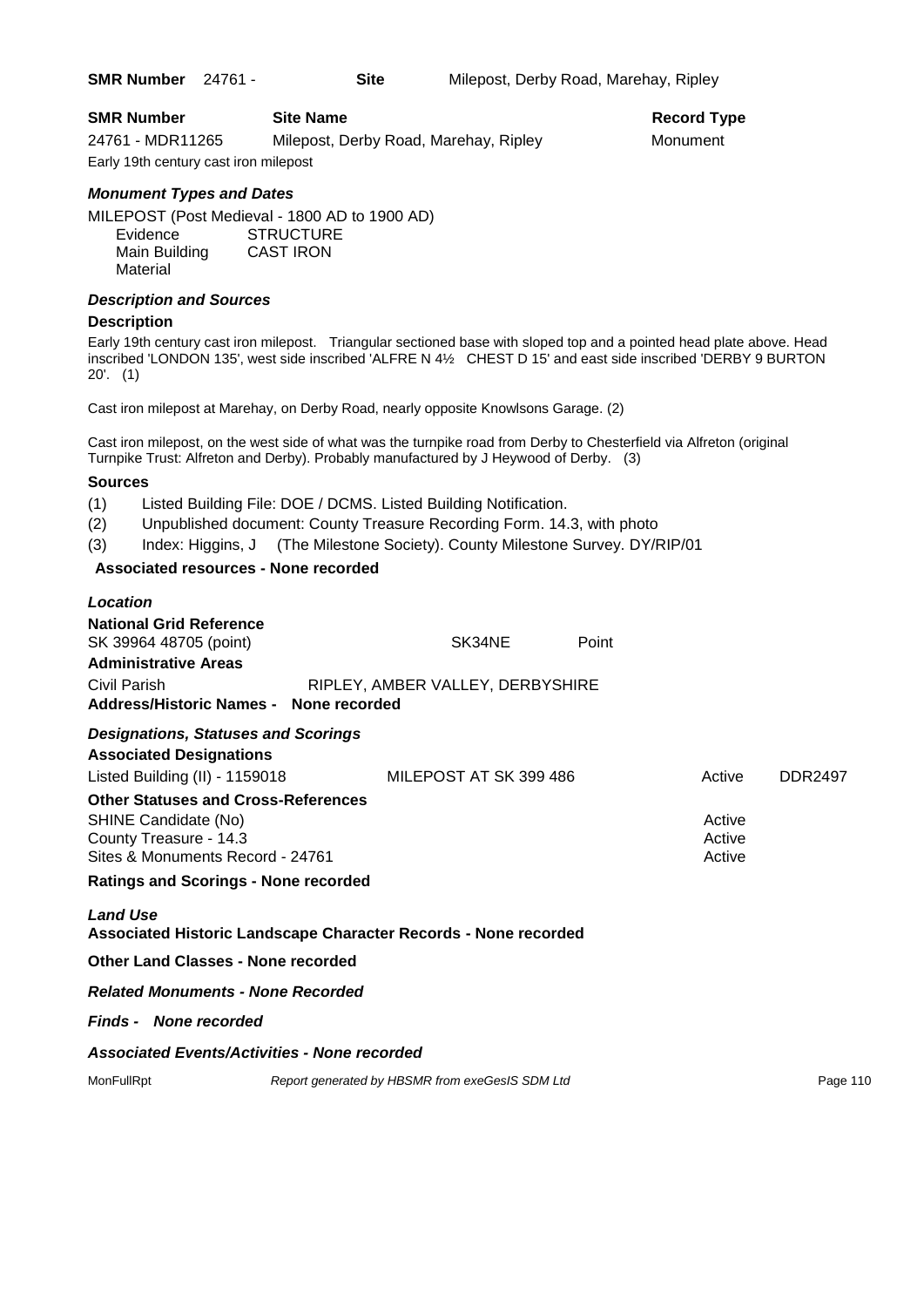**SMR Number** 24761 - **Site** Milepost, Derby Road, Marehay, Ripley

| <b>SMR Number</b>                     | <b>Site Name</b>                      | Record Ty |
|---------------------------------------|---------------------------------------|-----------|
| 24761 - MDR11265                      | Milepost, Derby Road, Marehay, Ripley | Monument  |
| Early 19th century cast iron milepost |                                       |           |

# *Monument Types and Dates*

MILEPOST (Post Medieval - 1800 AD to 1900 AD)

| Evidence      | <b>STRUCTURE</b> |
|---------------|------------------|
| Main Building | <b>CAST IRON</b> |
| Material      |                  |

# *Description and Sources*

#### **Description**

Early 19th century cast iron milepost. Triangular sectioned base with sloped top and a pointed head plate above. Head inscribed 'LONDON 135', west side inscribed 'ALFRE N 4½ CHEST D 15' and east side inscribed 'DERBY 9 BURTON 20'. (1)

Cast iron milepost at Marehay, on Derby Road, nearly opposite Knowlsons Garage. (2)

Cast iron milepost, on the west side of what was the turnpike road from Derby to Chesterfield via Alfreton (original Turnpike Trust: Alfreton and Derby). Probably manufactured by J Heywood of Derby. (3)

# **Sources**

- (1) Listed Building File: DOE / DCMS. Listed Building Notification.
- (2) Unpublished document: County Treasure Recording Form. 14.3, with photo
- (3) Index: Higgins, J (The Milestone Society). County Milestone Survey. DY/RIP/01

# **Associated resources - None recorded**

| Location                                                                                                                         |                                                 |                        |       |                            |                |
|----------------------------------------------------------------------------------------------------------------------------------|-------------------------------------------------|------------------------|-------|----------------------------|----------------|
| <b>National Grid Reference</b><br>SK 39964 48705 (point)<br><b>Administrative Areas</b>                                          |                                                 | SK34NE                 | Point |                            |                |
| Civil Parish<br>Address/Historic Names - None recorded                                                                           | RIPLEY, AMBER VALLEY, DERBYSHIRE                |                        |       |                            |                |
| <b>Designations, Statuses and Scorings</b><br><b>Associated Designations</b>                                                     |                                                 |                        |       |                            |                |
| Listed Building (II) - 1159018                                                                                                   |                                                 | MILEPOST AT SK 399 486 |       | Active                     | <b>DDR2497</b> |
| <b>Other Statuses and Cross-References</b><br>SHINE Candidate (No)<br>County Treasure - 14.3<br>Sites & Monuments Record - 24761 |                                                 |                        |       | Active<br>Active<br>Active |                |
| <b>Ratings and Scorings - None recorded</b>                                                                                      |                                                 |                        |       |                            |                |
| <b>Land Use</b><br>Associated Historic Landscape Character Records - None recorded                                               |                                                 |                        |       |                            |                |
| Other Land Classes - None recorded                                                                                               |                                                 |                        |       |                            |                |
| <b>Related Monuments - None Recorded</b>                                                                                         |                                                 |                        |       |                            |                |
| <b>Finds - None recorded</b>                                                                                                     |                                                 |                        |       |                            |                |
| <b>Associated Events/Activities - None recorded</b>                                                                              |                                                 |                        |       |                            |                |
| MonFullRpt                                                                                                                       | Report generated by HBSMR from exeGesIS SDM Ltd |                        |       |                            | Page 110       |
|                                                                                                                                  |                                                 |                        |       |                            |                |

**Record Type**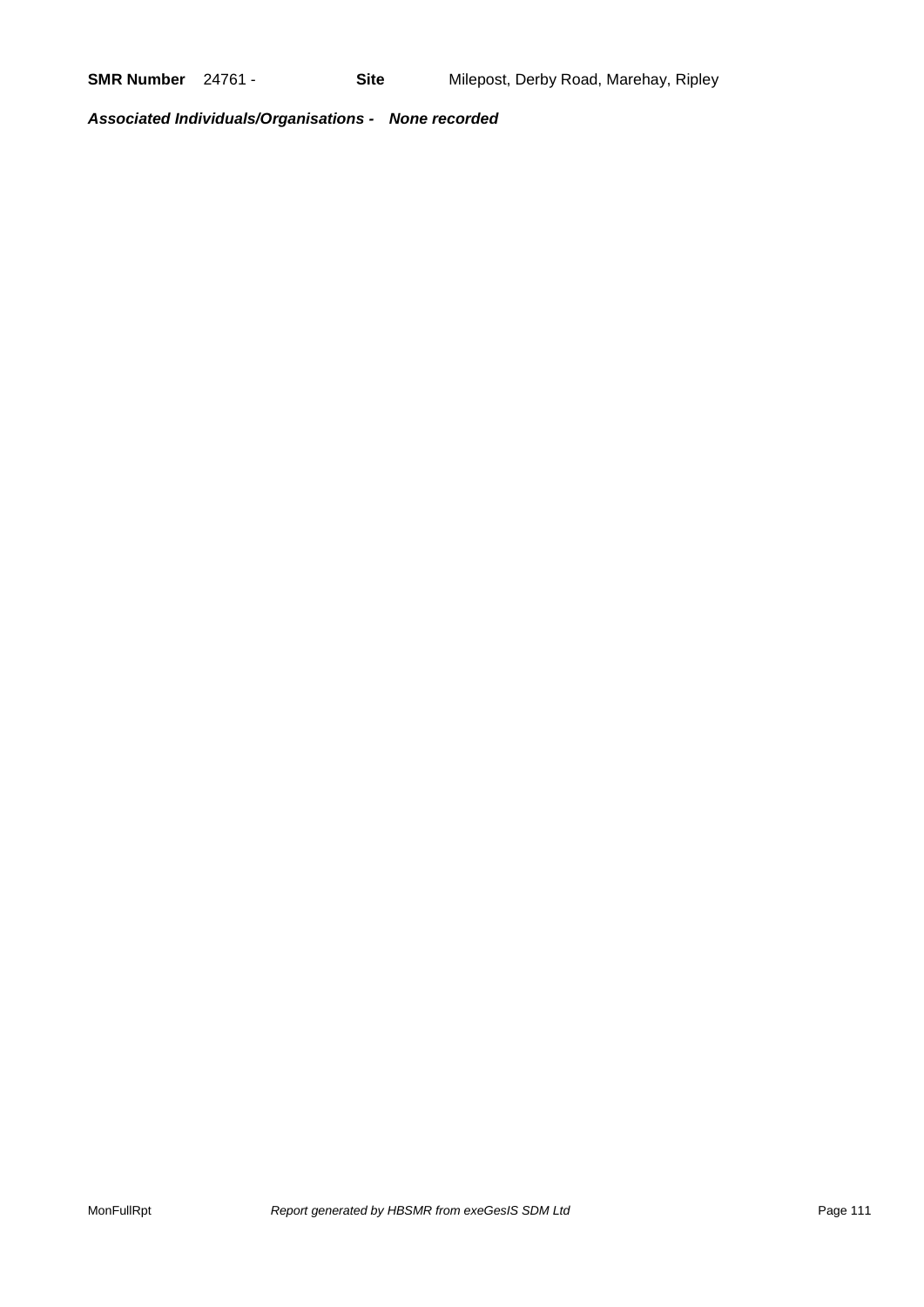*Associated Individuals/Organisations - None recorded*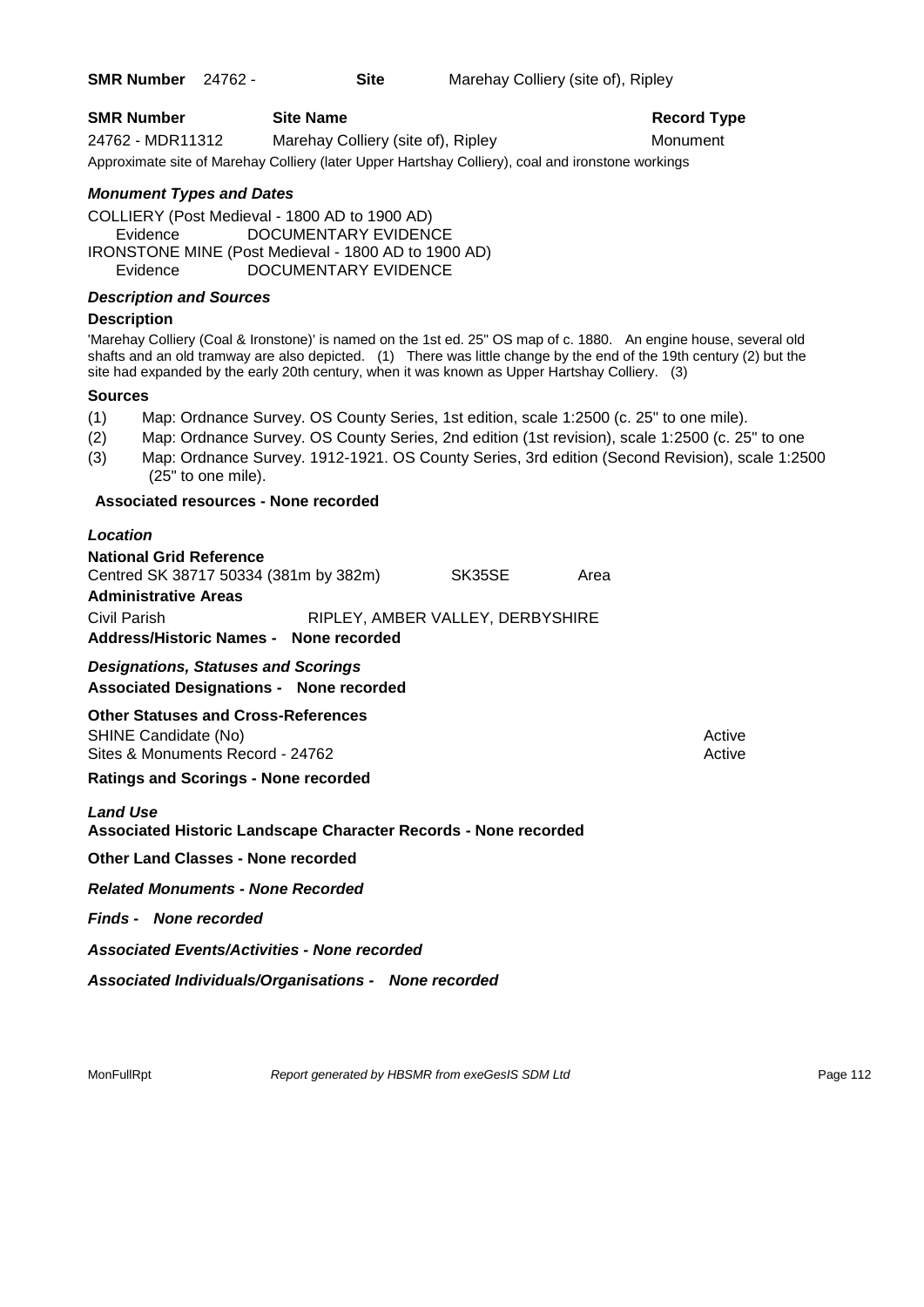**SMR Number** 24762 - **Site** Marehay Colliery (site of), Ripley

| <b>SMR Number</b> | <b>Site Name</b>                                                                                  | Record Ty |
|-------------------|---------------------------------------------------------------------------------------------------|-----------|
| 24762 - MDR11312  | Marehay Colliery (site of), Ripley                                                                | Monument  |
|                   | Approximate site of Marehay Colliery (later Upper Hartshay Colliery), coal and ironstone workings |           |

# *Monument Types and Dates*

COLLIERY (Post Medieval - 1800 AD to 1900 AD) Evidence DOCUMENTARY EVIDENCE IRONSTONE MINE (Post Medieval - 1800 AD to 1900 AD) Evidence DOCUMENTARY EVIDENCE

# *Description and Sources*

#### **Description**

'Marehay Colliery (Coal & Ironstone)' is named on the 1st ed. 25" OS map of c. 1880. An engine house, several old shafts and an old tramway are also depicted. (1) There was little change by the end of the 19th century (2) but the site had expanded by the early 20th century, when it was known as Upper Hartshay Colliery. (3)

**Record Type** 

#### **Sources**

- (1) Map: Ordnance Survey. OS County Series, 1st edition, scale 1:2500 (c. 25" to one mile).
- (2) Map: Ordnance Survey. OS County Series, 2nd edition (1st revision), scale 1:2500 (c. 25" to one
- (3) Map: Ordnance Survey. 1912-1921. OS County Series, 3rd edition (Second Revision), scale 1:2500 (25" to one mile).

#### **Associated resources - None recorded**

| Location                                                                                                                                                         |                                            |      |                  |
|------------------------------------------------------------------------------------------------------------------------------------------------------------------|--------------------------------------------|------|------------------|
| <b>National Grid Reference</b><br>Centred SK 38717 50334 (381m by 382m)<br><b>Administrative Areas</b><br>Civil Parish<br>Address/Historic Names - None recorded | SK35SE<br>RIPLEY, AMBER VALLEY, DERBYSHIRE | Area |                  |
| <b>Designations, Statuses and Scorings</b><br><b>Associated Designations - None recorded</b>                                                                     |                                            |      |                  |
| <b>Other Statuses and Cross-References</b><br>SHINE Candidate (No)<br>Sites & Monuments Record - 24762<br><b>Ratings and Scorings - None recorded</b>            |                                            |      | Active<br>Active |
| <b>Land Use</b><br>Associated Historic Landscape Character Records - None recorded                                                                               |                                            |      |                  |
| <b>Other Land Classes - None recorded</b>                                                                                                                        |                                            |      |                  |
| <b>Related Monuments - None Recorded</b>                                                                                                                         |                                            |      |                  |
| <b>Finds - None recorded</b>                                                                                                                                     |                                            |      |                  |
| <b>Associated Events/Activities - None recorded</b>                                                                                                              |                                            |      |                  |

*Associated Individuals/Organisations - None recorded*

MonFullRpt *Report generated by HBSMR from exeGesIS SDM Ltd Rage 112*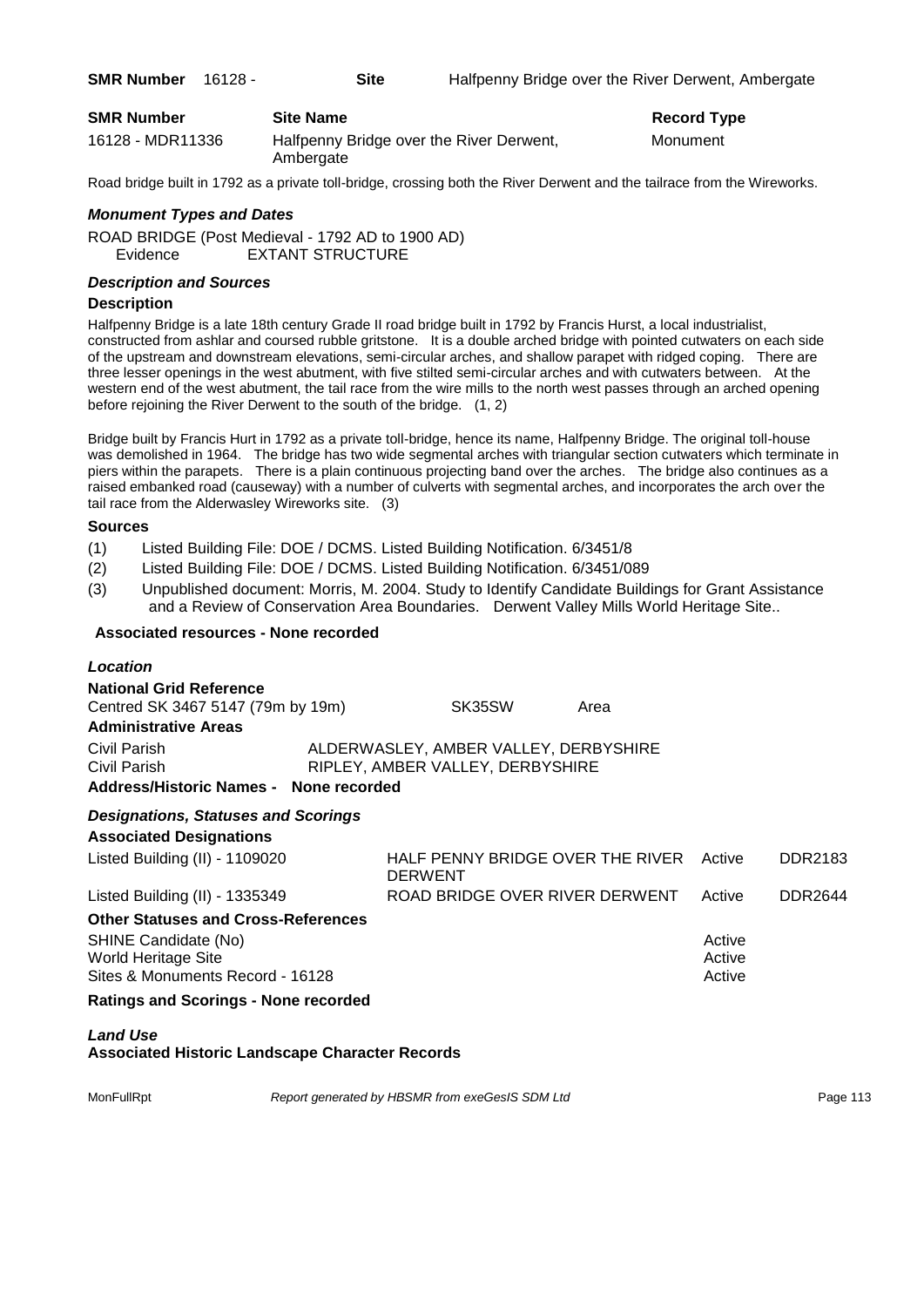| <b>SMR Number</b> | <b>Site Name</b>                                      | <b>Record Type</b> |
|-------------------|-------------------------------------------------------|--------------------|
| 16128 - MDR11336  | Halfpenny Bridge over the River Derwent,<br>Ambergate | Monument           |

Road bridge built in 1792 as a private toll-bridge, crossing both the River Derwent and the tailrace from the Wireworks.

#### *Monument Types and Dates*

ROAD BRIDGE (Post Medieval - 1792 AD to 1900 AD) Evidence EXTANT STRUCTURE

# *Description and Sources*

#### **Description**

Halfpenny Bridge is a late 18th century Grade II road bridge built in 1792 by Francis Hurst, a local industrialist, constructed from ashlar and coursed rubble gritstone. It is a double arched bridge with pointed cutwaters on each side of the upstream and downstream elevations, semi-circular arches, and shallow parapet with ridged coping. There are three lesser openings in the west abutment, with five stilted semi-circular arches and with cutwaters between. At the western end of the west abutment, the tail race from the wire mills to the north west passes through an arched opening before rejoining the River Derwent to the south of the bridge. (1, 2)

Bridge built by Francis Hurt in 1792 as a private toll-bridge, hence its name, Halfpenny Bridge. The original toll-house was demolished in 1964. The bridge has two wide segmental arches with triangular section cutwaters which terminate in piers within the parapets. There is a plain continuous projecting band over the arches. The bridge also continues as a raised embanked road (causeway) with a number of culverts with segmental arches, and incorporates the arch over the tail race from the Alderwasley Wireworks site. (3)

#### **Sources**

- (1) Listed Building File: DOE / DCMS. Listed Building Notification. 6/3451/8
- (2) Listed Building File: DOE / DCMS. Listed Building Notification. 6/3451/089
- (3) Unpublished document: Morris, M. 2004. Study to Identify Candidate Buildings for Grant Assistance and a Review of Conservation Area Boundaries. Derwent Valley Mills World Heritage Site..

# **Associated resources - None recorded**

# *Location* **National Grid Reference** Centred SK 3467 5147 (79m by 19m) SK35SW Area

**Administrative Areas** Civil Parish ALDERWASLEY, AMBER VALLEY, DERBYSHIRE Civil Parish RIPLEY, AMBER VALLEY, DERBYSHIRE

## **Address/Historic Names - None recorded**

# *Designations, Statuses and Scorings*

**Associated Designations** Listed Building (II) - 1109020 HALF PENNY BRIDGE OVER THE RIVER Active DDR2183 DERWENT Listed Building (II) - 1335349 ROAD BRIDGE OVER RIVER DERWENT Active DDR2644 **Other Statuses and Cross-References** SHINE Candidate (No) **Active** Active **Active** Active **Active** Active **Active** Active World Heritage Site **Active** Active Active Active Active Active Active Active Active Active Active Sites & Monuments Record - 16128 Active Active Active Active

#### **Ratings and Scorings - None recorded**

# *Land Use*

**Associated Historic Landscape Character Records**

MonFullRpt *Report generated by HBSMR from exeGesIS SDM Ltd Report 113*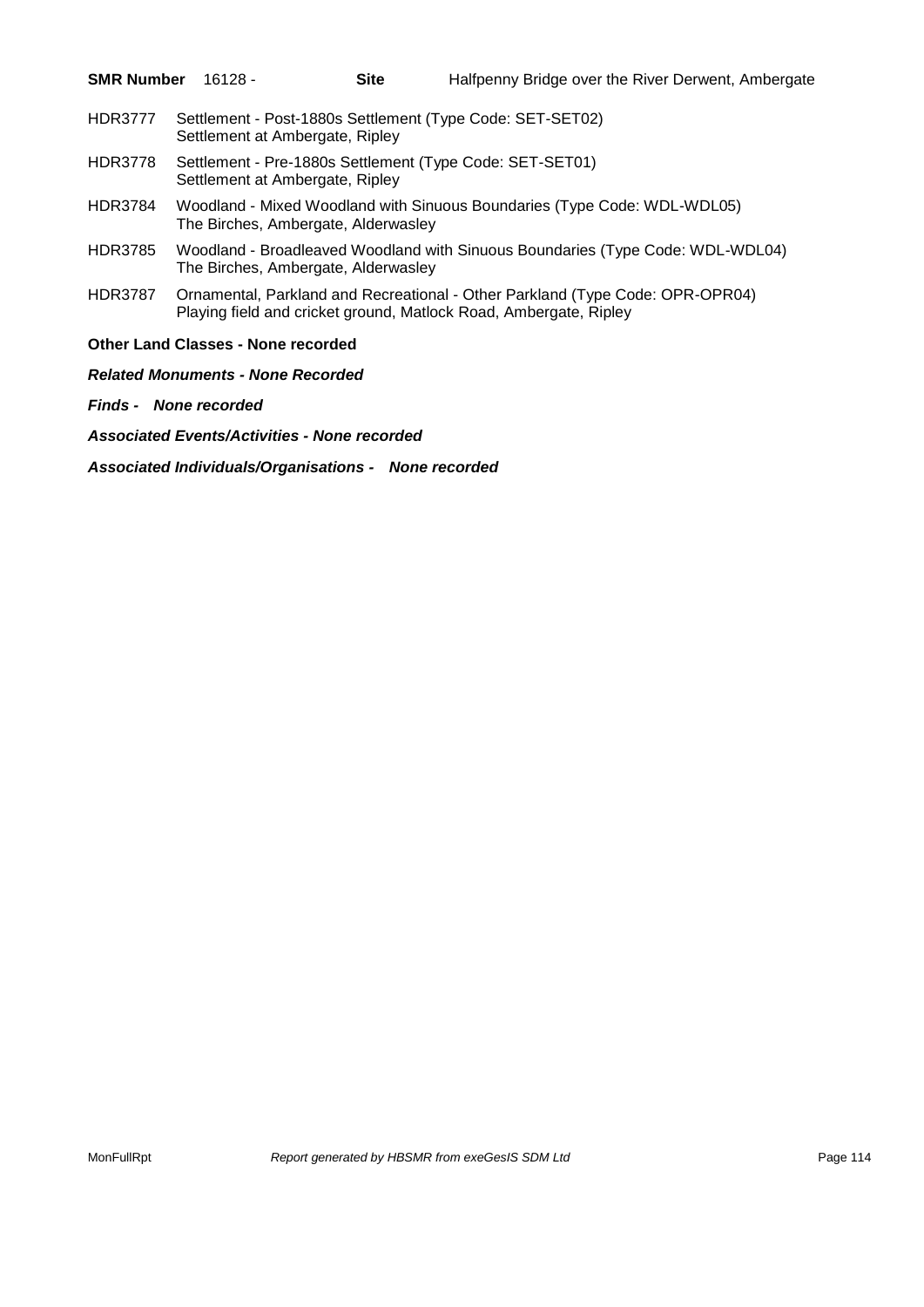| <b>SMR Number</b> 16128 - |  | <b>Site</b> | Halfpenny Bridge over the River Derwent, Ambergate |  |
|---------------------------|--|-------------|----------------------------------------------------|--|
|---------------------------|--|-------------|----------------------------------------------------|--|

- HDR3777 Settlement Post-1880s Settlement (Type Code: SET-SET02) Settlement at Ambergate, Ripley
- HDR3778 Settlement Pre-1880s Settlement (Type Code: SET-SET01) Settlement at Ambergate, Ripley
- HDR3784 Woodland Mixed Woodland with Sinuous Boundaries (Type Code: WDL-WDL05) The Birches, Ambergate, Alderwasley
- HDR3785 Woodland Broadleaved Woodland with Sinuous Boundaries (Type Code: WDL-WDL04) The Birches, Ambergate, Alderwasley
- HDR3787 Ornamental, Parkland and Recreational Other Parkland (Type Code: OPR-OPR04) Playing field and cricket ground, Matlock Road, Ambergate, Ripley

# **Other Land Classes - None recorded**

*Related Monuments - None Recorded*

*Finds - None recorded*

*Associated Events/Activities - None recorded*

*Associated Individuals/Organisations - None recorded*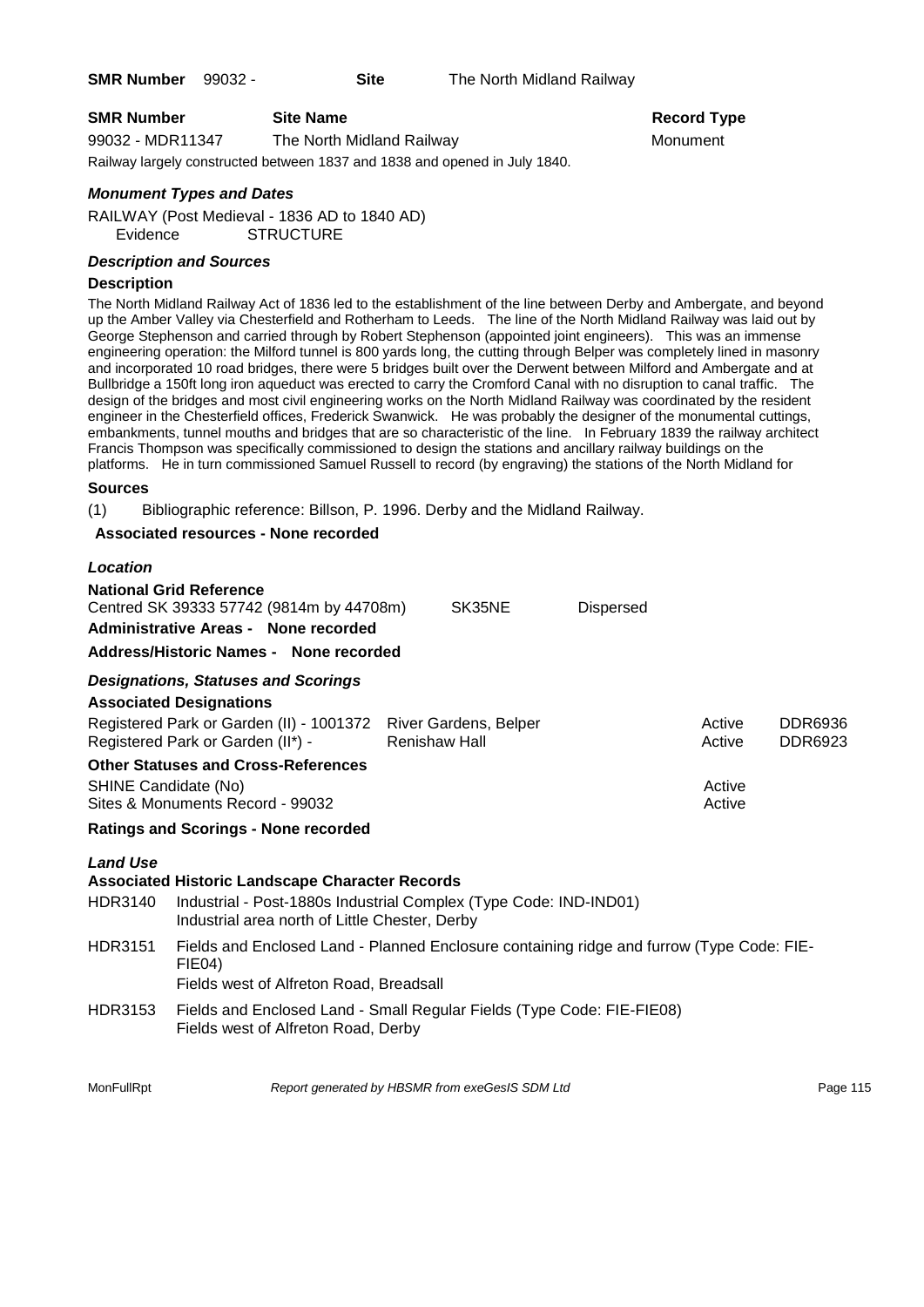**SMR Number** 99032 - **Site** The North Midland Railway

**SMR Number Site Name Record Type Record Type** 

99032 - MDR11347 The North Midland Railway Monument

Railway largely constructed between 1837 and 1838 and opened in July 1840.

# *Monument Types and Dates*

RAILWAY (Post Medieval - 1836 AD to 1840 AD) Evidence STRUCTURE

#### *Description and Sources*

#### **Description**

The North Midland Railway Act of 1836 led to the establishment of the line between Derby and Ambergate, and beyond up the Amber Valley via Chesterfield and Rotherham to Leeds. The line of the North Midland Railway was laid out by George Stephenson and carried through by Robert Stephenson (appointed joint engineers). This was an immense engineering operation: the Milford tunnel is 800 yards long, the cutting through Belper was completely lined in masonry and incorporated 10 road bridges, there were 5 bridges built over the Derwent between Milford and Ambergate and at Bullbridge a 150ft long iron aqueduct was erected to carry the Cromford Canal with no disruption to canal traffic. The design of the bridges and most civil engineering works on the North Midland Railway was coordinated by the resident engineer in the Chesterfield offices, Frederick Swanwick. He was probably the designer of the monumental cuttings, embankments, tunnel mouths and bridges that are so characteristic of the line. In February 1839 the railway architect Francis Thompson was specifically commissioned to design the stations and ancillary railway buildings on the platforms. He in turn commissioned Samuel Russell to record (by engraving) the stations of the North Midland for

# **Sources**

(1) Bibliographic reference: Billson, P. 1996. Derby and the Midland Railway.

# **Associated resources - None recorded**

| Location                          |                                                                                                                                                                               |                      |        |                  |                  |                           |
|-----------------------------------|-------------------------------------------------------------------------------------------------------------------------------------------------------------------------------|----------------------|--------|------------------|------------------|---------------------------|
|                                   | <b>National Grid Reference</b><br>Centred SK 39333 57742 (9814m by 44708m)<br>Administrative Areas - None recorded<br>Address/Historic Names - None recorded                  |                      | SK35NE | <b>Dispersed</b> |                  |                           |
|                                   | <b>Designations, Statuses and Scorings</b>                                                                                                                                    |                      |        |                  |                  |                           |
|                                   | <b>Associated Designations</b>                                                                                                                                                |                      |        |                  |                  |                           |
|                                   | Registered Park or Garden (II) - 1001372 River Gardens, Belper<br>Registered Park or Garden (II*) -                                                                           | <b>Renishaw Hall</b> |        |                  | Active<br>Active | <b>DDR6936</b><br>DDR6923 |
| <b>SHINE Candidate (No)</b>       | <b>Other Statuses and Cross-References</b><br>Sites & Monuments Record - 99032                                                                                                |                      |        |                  | Active<br>Active |                           |
|                                   | <b>Ratings and Scorings - None recorded</b>                                                                                                                                   |                      |        |                  |                  |                           |
| <b>Land Use</b><br><b>HDR3140</b> | <b>Associated Historic Landscape Character Records</b><br>Industrial - Post-1880s Industrial Complex (Type Code: IND-IND01)<br>Industrial area north of Little Chester, Derby |                      |        |                  |                  |                           |
| <b>HDR3151</b>                    | Fields and Enclosed Land - Planned Enclosure containing ridge and furrow (Type Code: FIE-<br><b>FIE04)</b><br>Fields west of Alfreton Road, Breadsall                         |                      |        |                  |                  |                           |
| HDR3153                           | Fields and Enclosed Land - Small Regular Fields (Type Code: FIE-FIE08)<br>Fields west of Alfreton Road, Derby                                                                 |                      |        |                  |                  |                           |

MonFullRpt *Report generated by HBSMR from exeGesIS SDM Ltd Rage 115*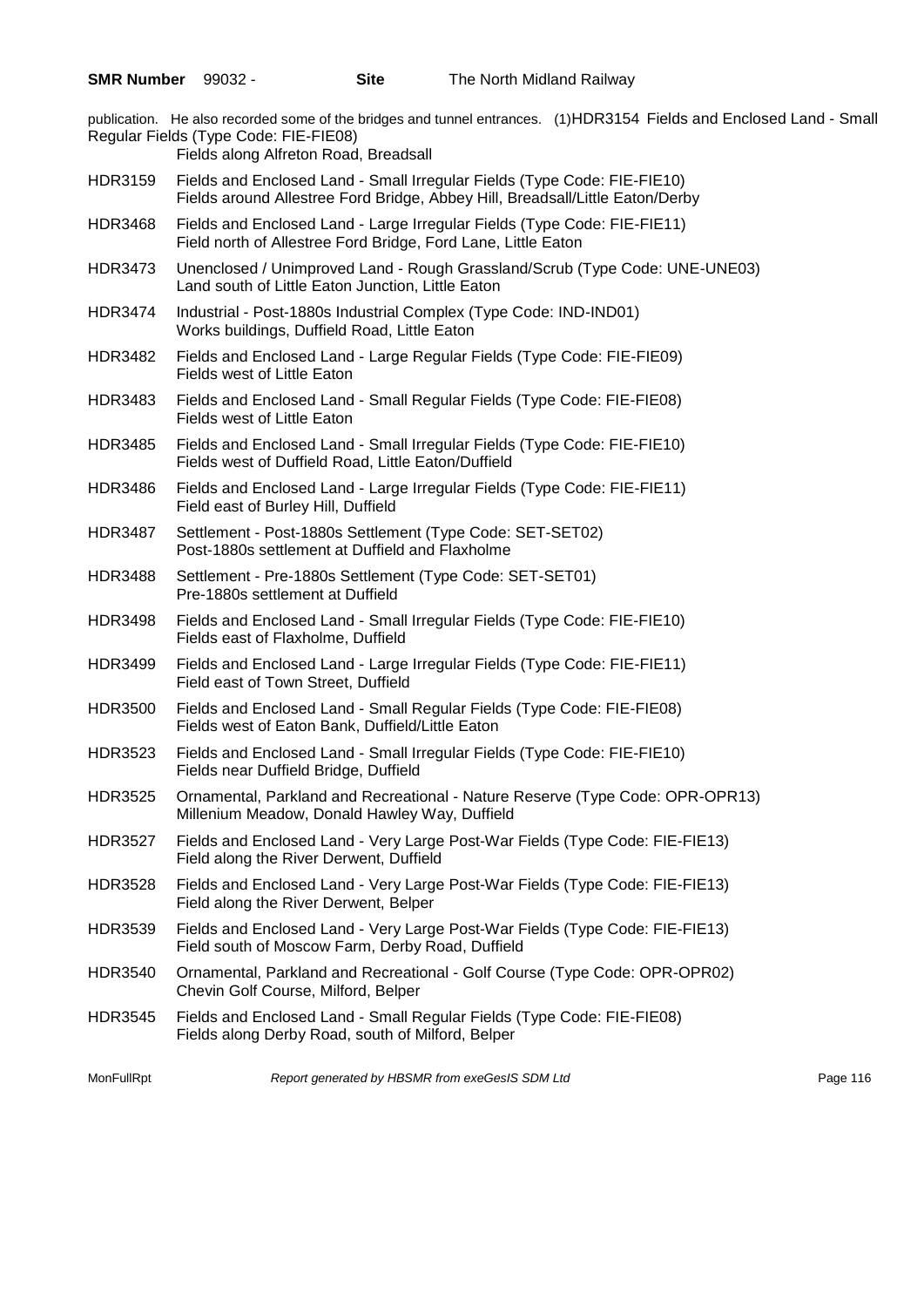publication. He also recorded some of the bridges and tunnel entrances. (1)HDR3154 Fields and Enclosed Land - Small Regular Fields (Type Code: FIE-FIE08)

Fields along Alfreton Road, Breadsall

- HDR3159 Fields and Enclosed Land Small Irregular Fields (Type Code: FIE-FIE10) Fields around Allestree Ford Bridge, Abbey Hill, Breadsall/Little Eaton/Derby
- HDR3468 Fields and Enclosed Land Large Irregular Fields (Type Code: FIE-FIE11) Field north of Allestree Ford Bridge, Ford Lane, Little Eaton
- HDR3473 Unenclosed / Unimproved Land Rough Grassland/Scrub (Type Code: UNE-UNE03) Land south of Little Eaton Junction, Little Eaton
- HDR3474 Industrial Post-1880s Industrial Complex (Type Code: IND-IND01) Works buildings, Duffield Road, Little Eaton
- HDR3482 Fields and Enclosed Land Large Regular Fields (Type Code: FIE-FIE09) Fields west of Little Eaton
- HDR3483 Fields and Enclosed Land Small Regular Fields (Type Code: FIE-FIE08) Fields west of Little Eaton
- HDR3485 Fields and Enclosed Land Small Irregular Fields (Type Code: FIE-FIE10) Fields west of Duffield Road, Little Eaton/Duffield
- HDR3486 Fields and Enclosed Land Large Irregular Fields (Type Code: FIE-FIE11) Field east of Burley Hill, Duffield
- HDR3487 Settlement Post-1880s Settlement (Type Code: SET-SET02) Post-1880s settlement at Duffield and Flaxholme
- HDR3488 Settlement Pre-1880s Settlement (Type Code: SET-SET01) Pre-1880s settlement at Duffield
- HDR3498 Fields and Enclosed Land Small Irregular Fields (Type Code: FIE-FIE10) Fields east of Flaxholme, Duffield
- HDR3499 Fields and Enclosed Land Large Irregular Fields (Type Code: FIE-FIE11) Field east of Town Street, Duffield
- HDR3500 Fields and Enclosed Land Small Regular Fields (Type Code: FIE-FIE08) Fields west of Eaton Bank, Duffield/Little Eaton
- HDR3523 Fields and Enclosed Land Small Irregular Fields (Type Code: FIE-FIE10) Fields near Duffield Bridge, Duffield
- HDR3525 Ornamental, Parkland and Recreational Nature Reserve (Type Code: OPR-OPR13) Millenium Meadow, Donald Hawley Way, Duffield
- HDR3527 Fields and Enclosed Land Very Large Post-War Fields (Type Code: FIE-FIE13) Field along the River Derwent, Duffield
- HDR3528 Fields and Enclosed Land Very Large Post-War Fields (Type Code: FIE-FIE13) Field along the River Derwent, Belper
- HDR3539 Fields and Enclosed Land Very Large Post-War Fields (Type Code: FIE-FIE13) Field south of Moscow Farm, Derby Road, Duffield
- HDR3540 Ornamental, Parkland and Recreational Golf Course (Type Code: OPR-OPR02) Chevin Golf Course, Milford, Belper
- HDR3545 Fields and Enclosed Land Small Regular Fields (Type Code: FIE-FIE08) Fields along Derby Road, south of Milford, Belper

MonFullRpt *Report generated by HBSMR from exeGesIS SDM Ltd Report 116*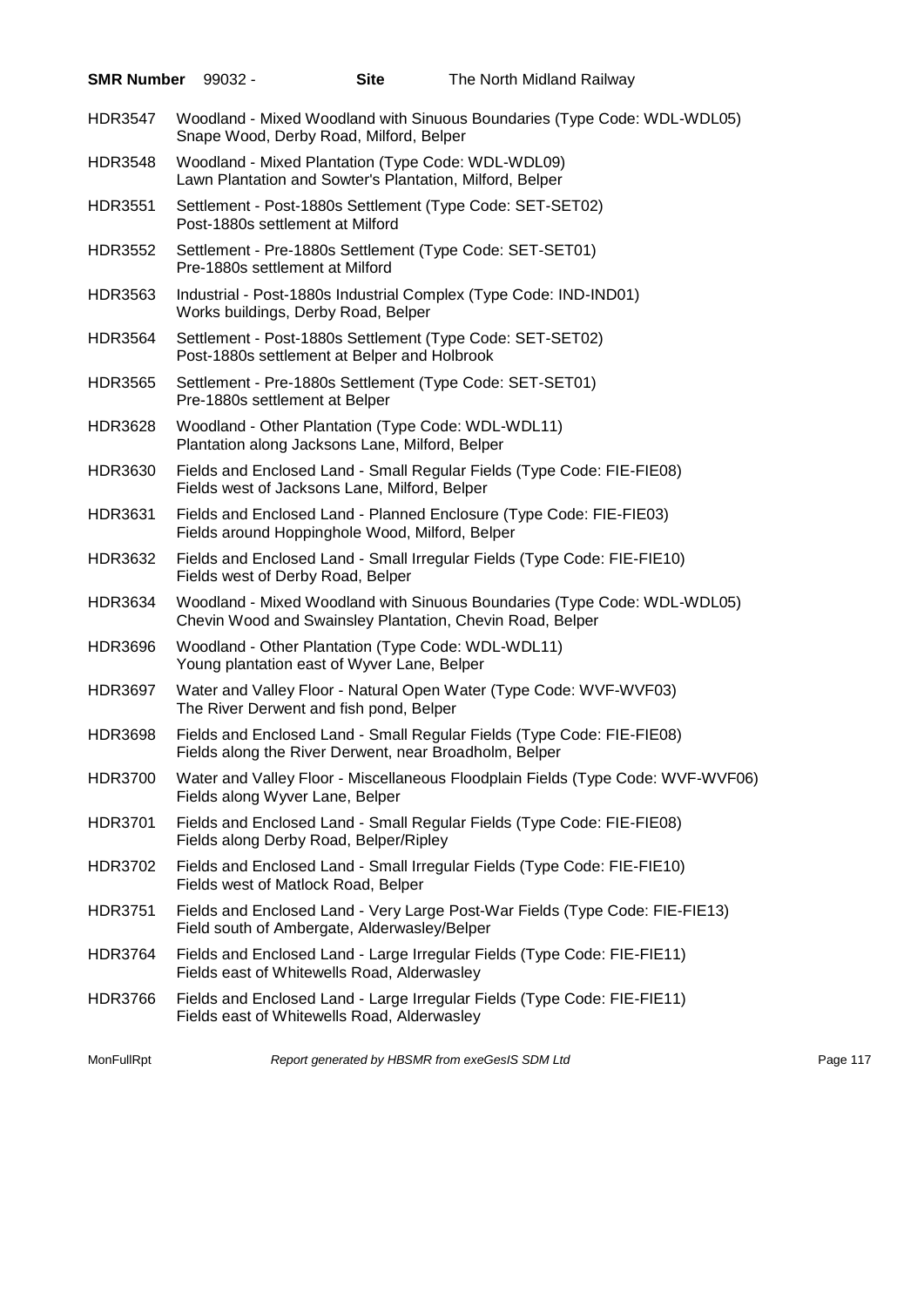| <b>SMR Number</b> | $99032 -$                         | <b>Site</b>                                                                                                    | The North Midland Railway                                                                                                             |          |
|-------------------|-----------------------------------|----------------------------------------------------------------------------------------------------------------|---------------------------------------------------------------------------------------------------------------------------------------|----------|
| <b>HDR3547</b>    |                                   | Snape Wood, Derby Road, Milford, Belper                                                                        | Woodland - Mixed Woodland with Sinuous Boundaries (Type Code: WDL-WDL05)                                                              |          |
| HDR3548           |                                   | Woodland - Mixed Plantation (Type Code: WDL-WDL09)<br>Lawn Plantation and Sowter's Plantation, Milford, Belper |                                                                                                                                       |          |
| <b>HDR3551</b>    | Post-1880s settlement at Milford  |                                                                                                                | Settlement - Post-1880s Settlement (Type Code: SET-SET02)                                                                             |          |
| <b>HDR3552</b>    | Pre-1880s settlement at Milford   |                                                                                                                | Settlement - Pre-1880s Settlement (Type Code: SET-SET01)                                                                              |          |
| HDR3563           |                                   | Works buildings, Derby Road, Belper                                                                            | Industrial - Post-1880s Industrial Complex (Type Code: IND-IND01)                                                                     |          |
| <b>HDR3564</b>    |                                   | Post-1880s settlement at Belper and Holbrook                                                                   | Settlement - Post-1880s Settlement (Type Code: SET-SET02)                                                                             |          |
| <b>HDR3565</b>    | Pre-1880s settlement at Belper    |                                                                                                                | Settlement - Pre-1880s Settlement (Type Code: SET-SET01)                                                                              |          |
| <b>HDR3628</b>    |                                   | Woodland - Other Plantation (Type Code: WDL-WDL11)<br>Plantation along Jacksons Lane, Milford, Belper          |                                                                                                                                       |          |
| <b>HDR3630</b>    |                                   | Fields west of Jacksons Lane, Milford, Belper                                                                  | Fields and Enclosed Land - Small Regular Fields (Type Code: FIE-FIE08)                                                                |          |
| <b>HDR3631</b>    |                                   | Fields around Hoppinghole Wood, Milford, Belper                                                                | Fields and Enclosed Land - Planned Enclosure (Type Code: FIE-FIE03)                                                                   |          |
| HDR3632           | Fields west of Derby Road, Belper |                                                                                                                | Fields and Enclosed Land - Small Irregular Fields (Type Code: FIE-FIE10)                                                              |          |
| HDR3634           |                                   |                                                                                                                | Woodland - Mixed Woodland with Sinuous Boundaries (Type Code: WDL-WDL05)<br>Chevin Wood and Swainsley Plantation, Chevin Road, Belper |          |
| <b>HDR3696</b>    |                                   | Woodland - Other Plantation (Type Code: WDL-WDL11)<br>Young plantation east of Wyver Lane, Belper              |                                                                                                                                       |          |
| <b>HDR3697</b>    |                                   | The River Derwent and fish pond, Belper                                                                        | Water and Valley Floor - Natural Open Water (Type Code: WVF-WVF03)                                                                    |          |
| <b>HDR3698</b>    |                                   | Fields along the River Derwent, near Broadholm, Belper                                                         | Fields and Enclosed Land - Small Regular Fields (Type Code: FIE-FIE08)                                                                |          |
| <b>HDR3700</b>    | Fields along Wyver Lane, Belper   |                                                                                                                | Water and Valley Floor - Miscellaneous Floodplain Fields (Type Code: WVF-WVF06)                                                       |          |
| <b>HDR3701</b>    |                                   | Fields along Derby Road, Belper/Ripley                                                                         | Fields and Enclosed Land - Small Regular Fields (Type Code: FIE-FIE08)                                                                |          |
| HDR3702           |                                   | Fields west of Matlock Road, Belper                                                                            | Fields and Enclosed Land - Small Irregular Fields (Type Code: FIE-FIE10)                                                              |          |
| <b>HDR3751</b>    |                                   | Field south of Ambergate, Alderwasley/Belper                                                                   | Fields and Enclosed Land - Very Large Post-War Fields (Type Code: FIE-FIE13)                                                          |          |
| <b>HDR3764</b>    |                                   | Fields east of Whitewells Road, Alderwasley                                                                    | Fields and Enclosed Land - Large Irregular Fields (Type Code: FIE-FIE11)                                                              |          |
| <b>HDR3766</b>    |                                   | Fields east of Whitewells Road, Alderwasley                                                                    | Fields and Enclosed Land - Large Irregular Fields (Type Code: FIE-FIE11)                                                              |          |
| MonFullRpt        |                                   |                                                                                                                | Report generated by HBSMR from exeGesIS SDM Ltd                                                                                       | Page 117 |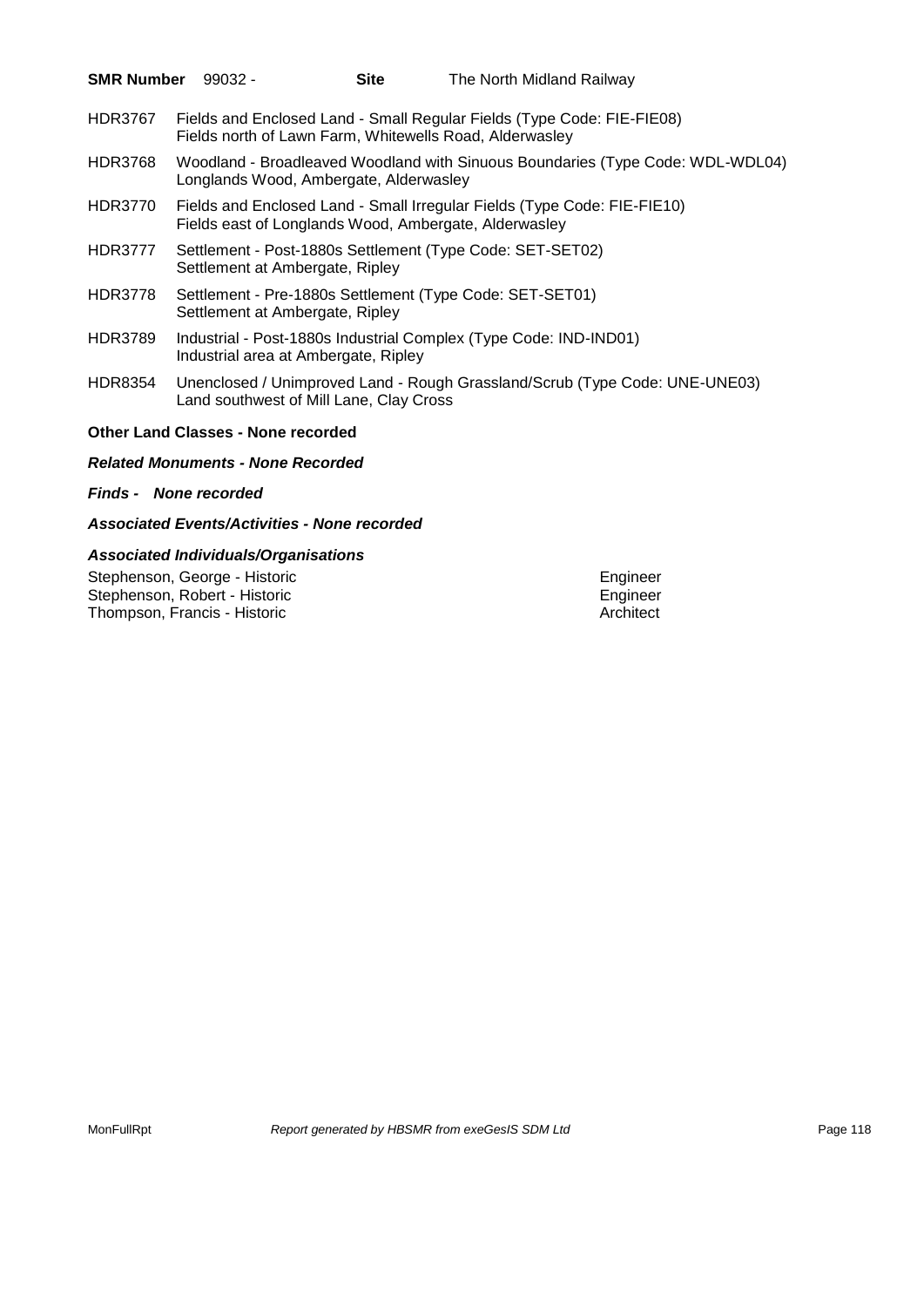| <b>SMR Number</b> | 99032 -                                   | Site                                    | The North Midland Railway                                                                                                         |  |
|-------------------|-------------------------------------------|-----------------------------------------|-----------------------------------------------------------------------------------------------------------------------------------|--|
| <b>HDR3767</b>    |                                           |                                         | Fields and Enclosed Land - Small Regular Fields (Type Code: FIE-FIE08)<br>Fields north of Lawn Farm, Whitewells Road, Alderwasley |  |
| <b>HDR3768</b>    |                                           | Longlands Wood, Ambergate, Alderwasley  | Woodland - Broadleaved Woodland with Sinuous Boundaries (Type Code: WDL-WDL04)                                                    |  |
| <b>HDR3770</b>    |                                           |                                         | Fields and Enclosed Land - Small Irregular Fields (Type Code: FIE-FIE10)<br>Fields east of Longlands Wood, Ambergate, Alderwasley |  |
| HDR3777           | Settlement at Ambergate, Ripley           |                                         | Settlement - Post-1880s Settlement (Type Code: SET-SET02)                                                                         |  |
| <b>HDR3778</b>    | Settlement at Ambergate, Ripley           |                                         | Settlement - Pre-1880s Settlement (Type Code: SET-SET01)                                                                          |  |
| HDR3789           |                                           | Industrial area at Ambergate, Ripley    | Industrial - Post-1880s Industrial Complex (Type Code: IND-IND01)                                                                 |  |
| HDR8354           |                                           | Land southwest of Mill Lane, Clay Cross | Unenclosed / Unimproved Land - Rough Grassland/Scrub (Type Code: UNE-UNE03)                                                       |  |
|                   | <b>Other Land Classes - None recorded</b> |                                         |                                                                                                                                   |  |

# *Related Monuments - None Recorded*

#### *Finds - None recorded*

#### *Associated Events/Activities - None recorded*

# *Associated Individuals/Organisations*

Stephenson, George - Historic Engineer<br>
Stephenson, Robert - Historic Engineer<br>
Engineer Stephenson, Robert - Historic **Engineer**<br>
Thompson, Francis - Historic **Engineer**<br>
Architect Thompson, Francis - Historic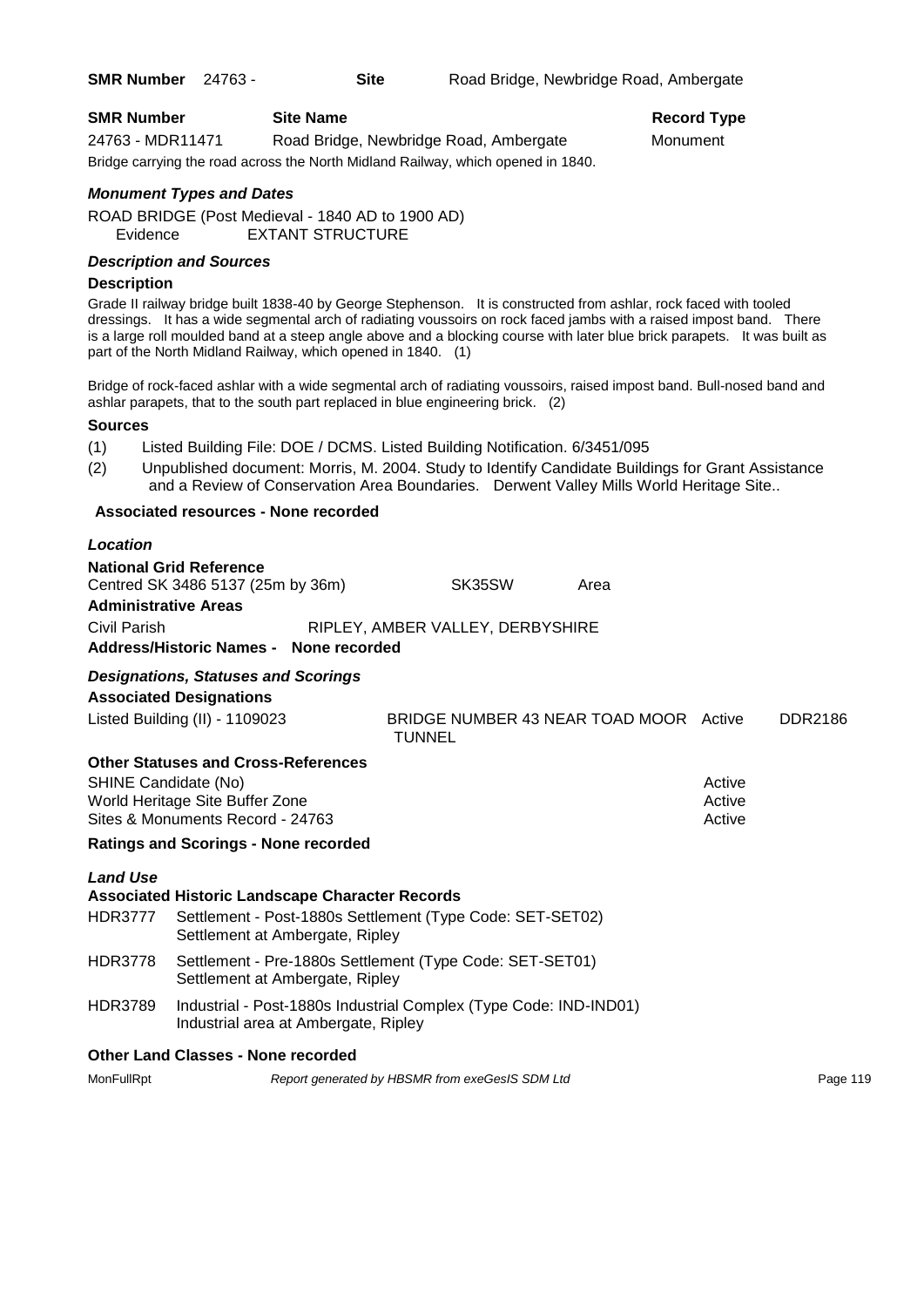| <b>SMR Number</b> | <b>Site Name</b>                                                                 | Record Ty |
|-------------------|----------------------------------------------------------------------------------|-----------|
| 24763 - MDR11471  | Road Bridge, Newbridge Road, Ambergate                                           | Monument  |
|                   | Bridge carrying the road across the North Midland Railway, which opened in 1840. |           |

# **Record Type**

# *Monument Types and Dates*

ROAD BRIDGE (Post Medieval - 1840 AD to 1900 AD) Evidence EXTANT STRUCTURE

# *Description and Sources*

#### **Description**

Grade II railway bridge built 1838-40 by George Stephenson. It is constructed from ashlar, rock faced with tooled dressings. It has a wide segmental arch of radiating voussoirs on rock faced jambs with a raised impost band. There is a large roll moulded band at a steep angle above and a blocking course with later blue brick parapets. It was built as part of the North Midland Railway, which opened in 1840. (1)

Bridge of rock-faced ashlar with a wide segmental arch of radiating voussoirs, raised impost band. Bull-nosed band and ashlar parapets, that to the south part replaced in blue engineering brick. (2)

# **Sources**

- (1) Listed Building File: DOE / DCMS. Listed Building Notification. 6/3451/095
- (2) Unpublished document: Morris, M. 2004. Study to Identify Candidate Buildings for Grant Assistance and a Review of Conservation Area Boundaries. Derwent Valley Mills World Heritage Site..

# **Associated resources - None recorded**

| Location                                    |                                                                                                                                                        |  |                                  |        |  |                                        |                            |                |
|---------------------------------------------|--------------------------------------------------------------------------------------------------------------------------------------------------------|--|----------------------------------|--------|--|----------------------------------------|----------------------------|----------------|
| <b>Administrative Areas</b><br>Civil Parish | <b>National Grid Reference</b><br>Centred SK 3486 5137 (25m by 36m)<br>Address/Historic Names - None recorded                                          |  | RIPLEY, AMBER VALLEY, DERBYSHIRE | SK35SW |  | Area                                   |                            |                |
|                                             | <b>Designations, Statuses and Scorings</b><br><b>Associated Designations</b><br>Listed Building (II) - 1109023                                         |  |                                  |        |  | BRIDGE NUMBER 43 NEAR TOAD MOOR Active |                            | <b>DDR2186</b> |
| <b>TUNNEL</b>                               |                                                                                                                                                        |  |                                  |        |  |                                        |                            |                |
| SHINE Candidate (No)                        | <b>Other Statuses and Cross-References</b><br>World Heritage Site Buffer Zone<br>Sites & Monuments Record - 24763                                      |  |                                  |        |  |                                        | Active<br>Active<br>Active |                |
|                                             | <b>Ratings and Scorings - None recorded</b>                                                                                                            |  |                                  |        |  |                                        |                            |                |
| <b>Land Use</b><br>HDR3777                  | <b>Associated Historic Landscape Character Records</b><br>Settlement - Post-1880s Settlement (Type Code: SET-SET02)<br>Settlement at Ambergate, Ripley |  |                                  |        |  |                                        |                            |                |
| HDR3778                                     | Settlement - Pre-1880s Settlement (Type Code: SET-SET01)<br>Settlement at Ambergate, Ripley                                                            |  |                                  |        |  |                                        |                            |                |
| <b>HDR3789</b>                              | Industrial - Post-1880s Industrial Complex (Type Code: IND-IND01)<br>Industrial area at Ambergate, Ripley                                              |  |                                  |        |  |                                        |                            |                |
|                                             | <b>Other Land Classes - None recorded</b>                                                                                                              |  |                                  |        |  |                                        |                            |                |

MonFullRpt *Report generated by HBSMR from exeGesIS SDM Ltd Report 119* Page 119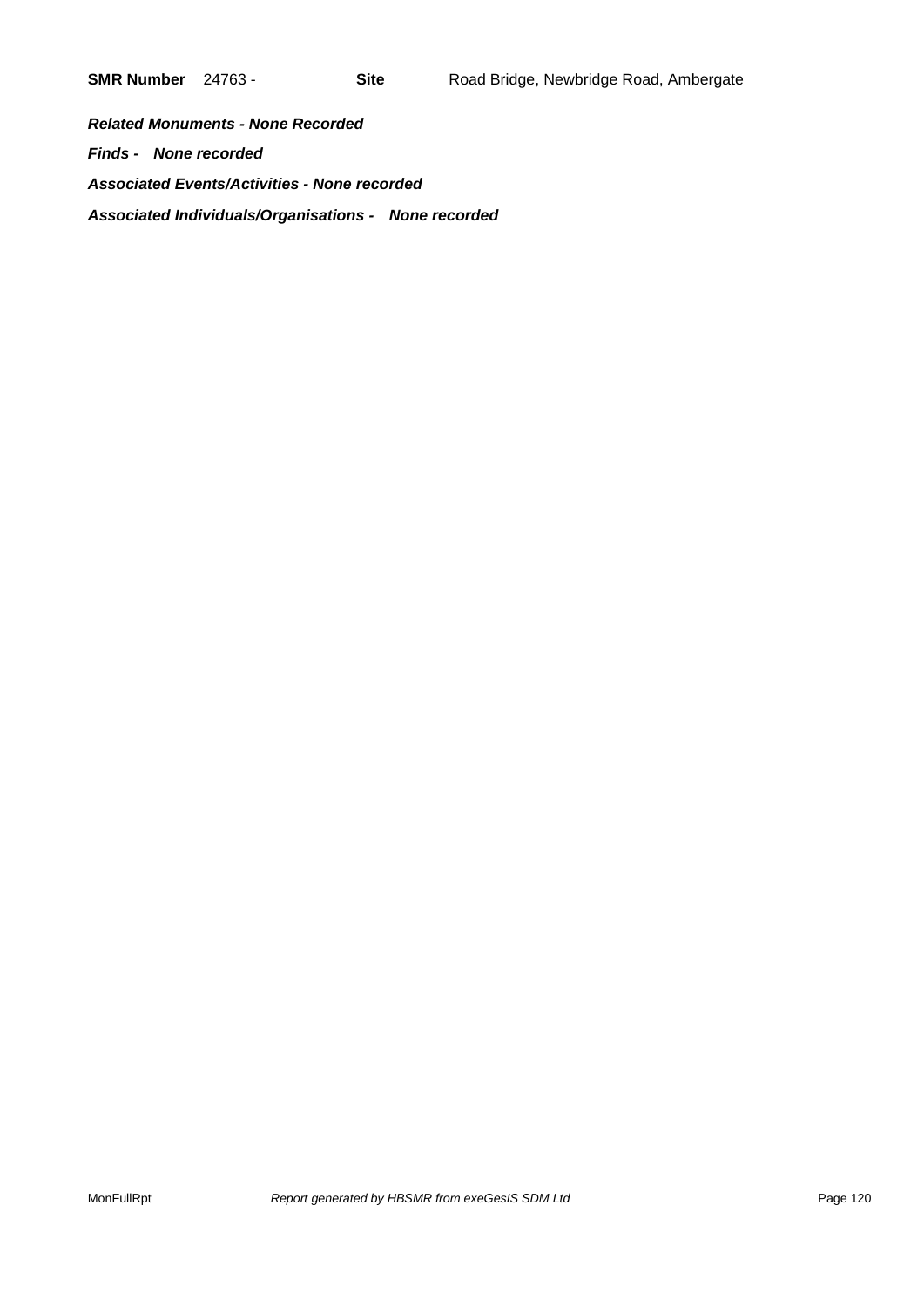*Related Monuments - None Recorded Finds - None recorded Associated Events/Activities - None recorded Associated Individuals/Organisations - None recorded*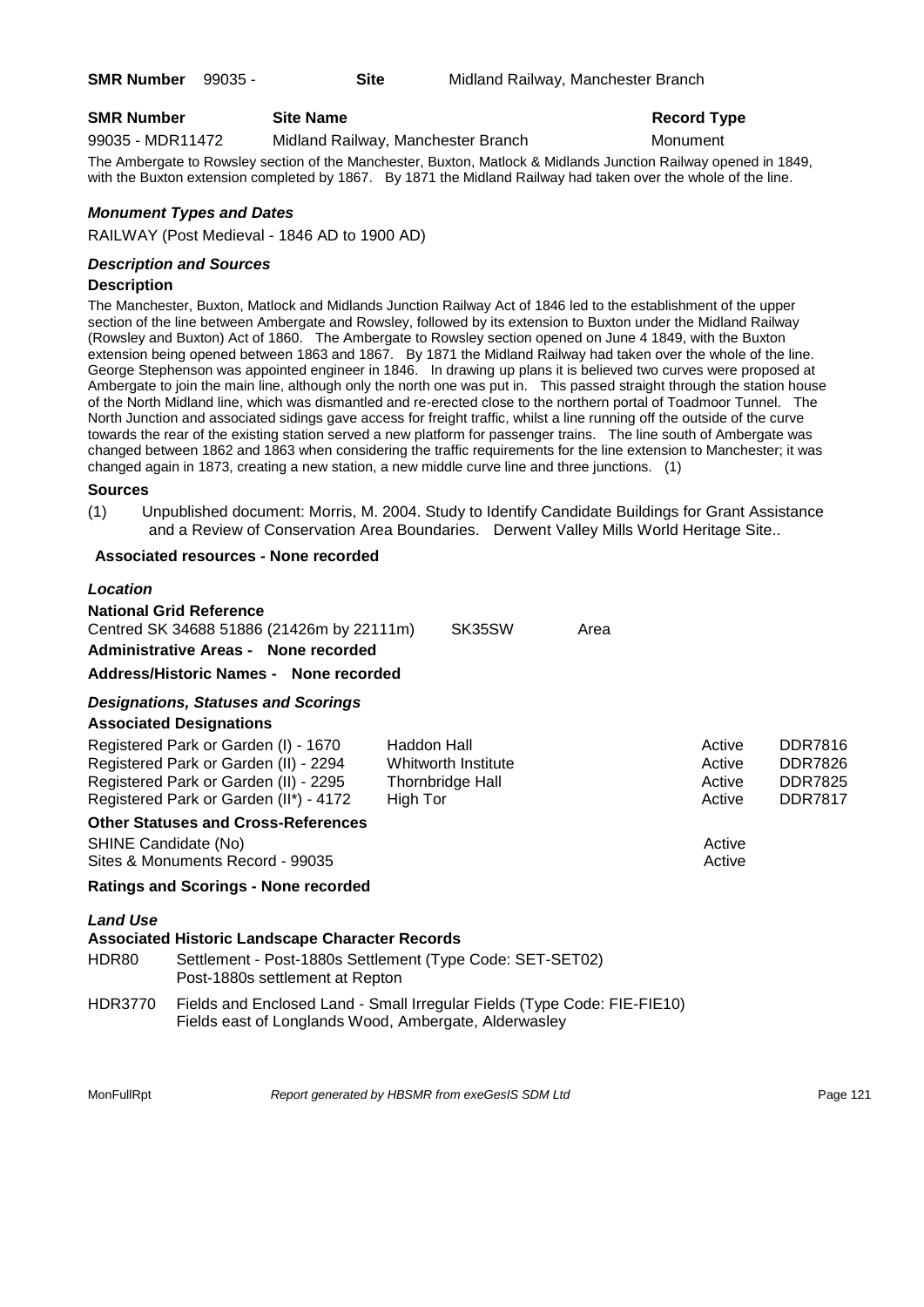# **SMR Number Site Name Record Type Record Type**

99035 - MDR11472 Midland Railway, Manchester Branch Monument

The Ambergate to Rowsley section of the Manchester, Buxton, Matlock & Midlands Junction Railway opened in 1849, with the Buxton extension completed by 1867. By 1871 the Midland Railway had taken over the whole of the line.

# *Monument Types and Dates*

RAILWAY (Post Medieval - 1846 AD to 1900 AD)

#### *Description and Sources*

#### **Description**

The Manchester, Buxton, Matlock and Midlands Junction Railway Act of 1846 led to the establishment of the upper section of the line between Ambergate and Rowsley, followed by its extension to Buxton under the Midland Railway (Rowsley and Buxton) Act of 1860. The Ambergate to Rowsley section opened on June 4 1849, with the Buxton extension being opened between 1863 and 1867. By 1871 the Midland Railway had taken over the whole of the line. George Stephenson was appointed engineer in 1846. In drawing up plans it is believed two curves were proposed at Ambergate to join the main line, although only the north one was put in. This passed straight through the station house of the North Midland line, which was dismantled and re-erected close to the northern portal of Toadmoor Tunnel. The North Junction and associated sidings gave access for freight traffic, whilst a line running off the outside of the curve towards the rear of the existing station served a new platform for passenger trains. The line south of Ambergate was changed between 1862 and 1863 when considering the traffic requirements for the line extension to Manchester; it was changed again in 1873, creating a new station, a new middle curve line and three junctions. (1)

#### **Sources**

(1) Unpublished document: Morris, M. 2004. Study to Identify Candidate Buildings for Grant Assistance and a Review of Conservation Area Boundaries. Derwent Valley Mills World Heritage Site..

#### **Associated resources - None recorded**

#### *Location*

| <b>National Grid Reference</b>            |        |      |
|-------------------------------------------|--------|------|
| Centred SK 34688 51886 (21426m by 22111m) | SK35SW | Area |
| Administrative Areas - None recorded      |        |      |

#### **Address/Historic Names - None recorded**

# *Designations, Statuses and Scorings*

# **Associated Designations**

|                                  | Registered Park or Garden (I) - 1670                   | Haddon Hall                                                              | Active | <b>DDR7816</b> |
|----------------------------------|--------------------------------------------------------|--------------------------------------------------------------------------|--------|----------------|
|                                  | Registered Park or Garden (II) - 2294                  | Whitworth Institute                                                      | Active | <b>DDR7826</b> |
|                                  | Registered Park or Garden (II) - 2295                  | Thornbridge Hall                                                         | Active | <b>DDR7825</b> |
|                                  | Registered Park or Garden (II*) - 4172                 | High Tor                                                                 | Active | <b>DDR7817</b> |
|                                  | <b>Other Statuses and Cross-References</b>             |                                                                          |        |                |
| SHINE Candidate (No)             |                                                        |                                                                          | Active |                |
| Sites & Monuments Record - 99035 |                                                        |                                                                          |        |                |
|                                  | <b>Ratings and Scorings - None recorded</b>            |                                                                          |        |                |
| <b>Land Use</b>                  |                                                        |                                                                          |        |                |
|                                  | <b>Associated Historic Landscape Character Records</b> |                                                                          |        |                |
| HDR80                            | Post-1880s settlement at Repton                        | Settlement - Post-1880s Settlement (Type Code: SET-SET02)                |        |                |
| <b>HDR3770</b>                   |                                                        | Fields and Enclosed Land - Small Irregular Fields (Type Code: FIE-FIE10) |        |                |

Fields east of Longlands Wood, Ambergate, Alderwasley

MonFullRpt *Report generated by HBSMR from exeGesIS SDM Ltd Report 121* Page 121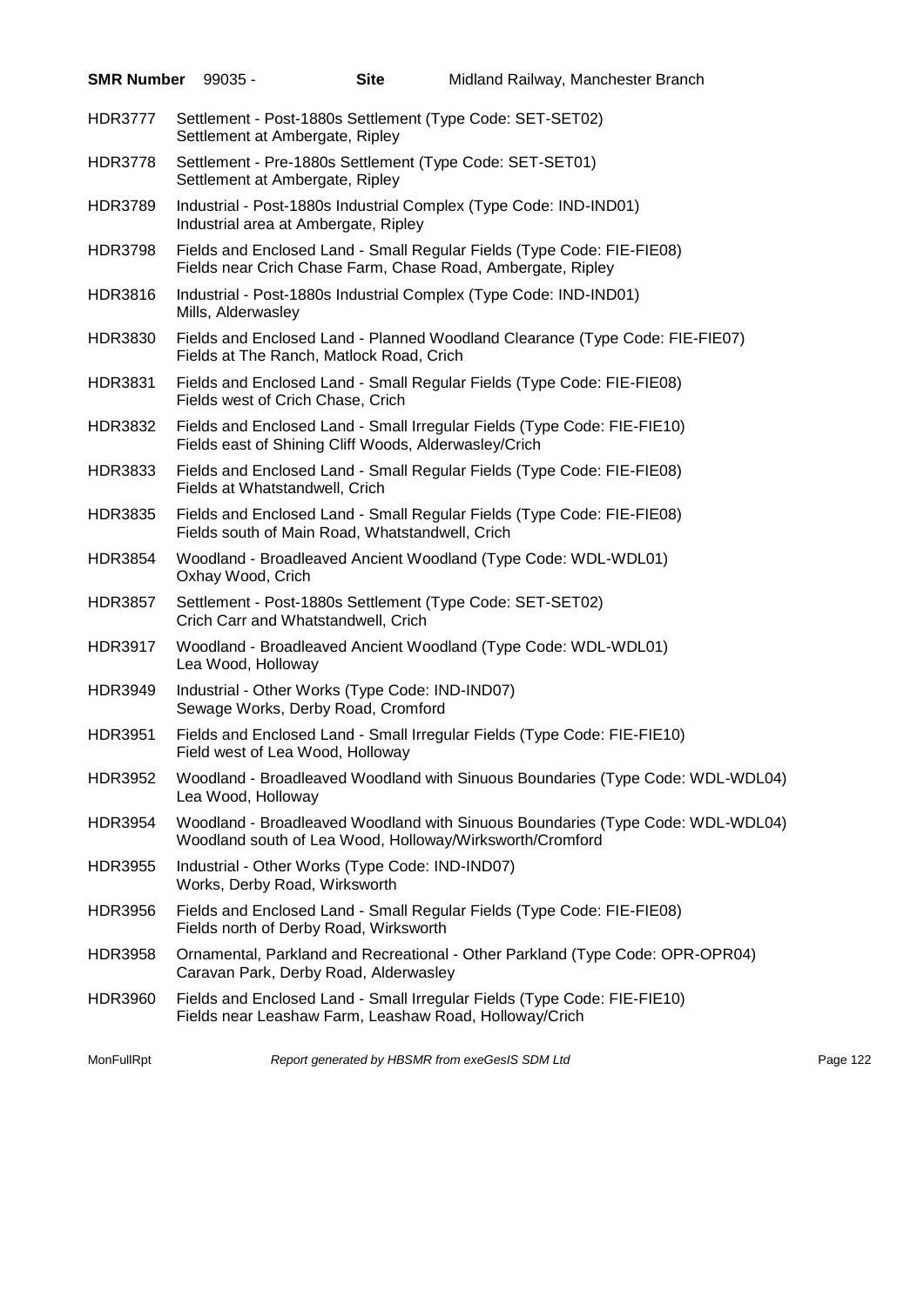| <b>SMR Number 99035 -</b> |                                | <b>Site</b>                                                                           | Midland Railway, Manchester Branch                                                                                                         |          |
|---------------------------|--------------------------------|---------------------------------------------------------------------------------------|--------------------------------------------------------------------------------------------------------------------------------------------|----------|
| <b>HDR3777</b>            |                                | Settlement at Ambergate, Ripley                                                       | Settlement - Post-1880s Settlement (Type Code: SET-SET02)                                                                                  |          |
| <b>HDR3778</b>            |                                | Settlement at Ambergate, Ripley                                                       | Settlement - Pre-1880s Settlement (Type Code: SET-SET01)                                                                                   |          |
| <b>HDR3789</b>            |                                | Industrial area at Ambergate, Ripley                                                  | Industrial - Post-1880s Industrial Complex (Type Code: IND-IND01)                                                                          |          |
| <b>HDR3798</b>            |                                |                                                                                       | Fields and Enclosed Land - Small Regular Fields (Type Code: FIE-FIE08)<br>Fields near Crich Chase Farm, Chase Road, Ambergate, Ripley      |          |
| <b>HDR3816</b>            | Mills, Alderwasley             |                                                                                       | Industrial - Post-1880s Industrial Complex (Type Code: IND-IND01)                                                                          |          |
| HDR3830                   |                                | Fields at The Ranch, Matlock Road, Crich                                              | Fields and Enclosed Land - Planned Woodland Clearance (Type Code: FIE-FIE07)                                                               |          |
| <b>HDR3831</b>            |                                | Fields west of Crich Chase, Crich                                                     | Fields and Enclosed Land - Small Regular Fields (Type Code: FIE-FIE08)                                                                     |          |
| <b>HDR3832</b>            |                                | Fields east of Shining Cliff Woods, Alderwasley/Crich                                 | Fields and Enclosed Land - Small Irregular Fields (Type Code: FIE-FIE10)                                                                   |          |
| HDR3833                   | Fields at Whatstandwell, Crich |                                                                                       | Fields and Enclosed Land - Small Regular Fields (Type Code: FIE-FIE08)                                                                     |          |
| <b>HDR3835</b>            |                                | Fields south of Main Road, Whatstandwell, Crich                                       | Fields and Enclosed Land - Small Regular Fields (Type Code: FIE-FIE08)                                                                     |          |
| <b>HDR3854</b>            | Oxhay Wood, Crich              |                                                                                       | Woodland - Broadleaved Ancient Woodland (Type Code: WDL-WDL01)                                                                             |          |
| <b>HDR3857</b>            |                                | Crich Carr and Whatstandwell, Crich                                                   | Settlement - Post-1880s Settlement (Type Code: SET-SET02)                                                                                  |          |
| <b>HDR3917</b>            | Lea Wood, Holloway             |                                                                                       | Woodland - Broadleaved Ancient Woodland (Type Code: WDL-WDL01)                                                                             |          |
| <b>HDR3949</b>            |                                | Industrial - Other Works (Type Code: IND-IND07)<br>Sewage Works, Derby Road, Cromford |                                                                                                                                            |          |
| <b>HDR3951</b>            |                                | Field west of Lea Wood, Holloway                                                      | Fields and Enclosed Land - Small Irregular Fields (Type Code: FIE-FIE10)                                                                   |          |
| <b>HDR3952</b>            | Lea Wood, Holloway             |                                                                                       | Woodland - Broadleaved Woodland with Sinuous Boundaries (Type Code: WDL-WDL04)                                                             |          |
| <b>HDR3954</b>            |                                |                                                                                       | Woodland - Broadleaved Woodland with Sinuous Boundaries (Type Code: WDL-WDL04)<br>Woodland south of Lea Wood, Holloway/Wirksworth/Cromford |          |
| <b>HDR3955</b>            |                                | Industrial - Other Works (Type Code: IND-IND07)<br>Works, Derby Road, Wirksworth      |                                                                                                                                            |          |
| <b>HDR3956</b>            |                                | Fields north of Derby Road, Wirksworth                                                | Fields and Enclosed Land - Small Regular Fields (Type Code: FIE-FIE08)                                                                     |          |
| <b>HDR3958</b>            |                                | Caravan Park, Derby Road, Alderwasley                                                 | Ornamental, Parkland and Recreational - Other Parkland (Type Code: OPR-OPR04)                                                              |          |
| HDR3960                   |                                |                                                                                       | Fields and Enclosed Land - Small Irregular Fields (Type Code: FIE-FIE10)<br>Fields near Leashaw Farm, Leashaw Road, Holloway/Crich         |          |
| MonFullRpt                |                                | Report generated by HBSMR from exeGesIS SDM Ltd                                       |                                                                                                                                            | Page 122 |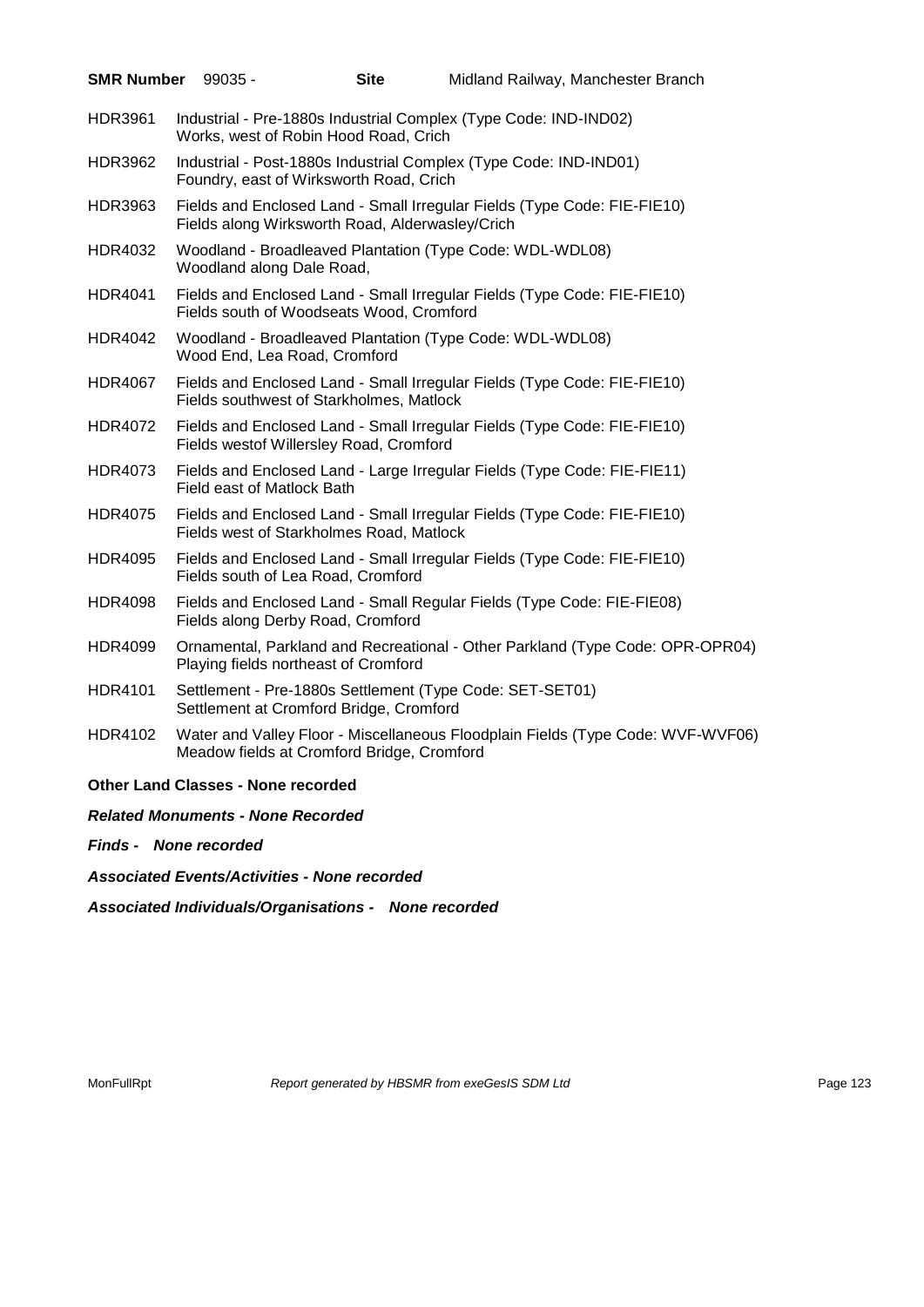| SMR Number 99035 - |                                           | <b>Site</b>                                     | Midland Railway, Manchester Branch                                              |
|--------------------|-------------------------------------------|-------------------------------------------------|---------------------------------------------------------------------------------|
| HDR3961            |                                           | Works, west of Robin Hood Road, Crich           | Industrial - Pre-1880s Industrial Complex (Type Code: IND-IND02)                |
| <b>HDR3962</b>     |                                           | Foundry, east of Wirksworth Road, Crich         | Industrial - Post-1880s Industrial Complex (Type Code: IND-IND01)               |
| HDR3963            |                                           | Fields along Wirksworth Road, Alderwasley/Crich | Fields and Enclosed Land - Small Irregular Fields (Type Code: FIE-FIE10)        |
| HDR4032            | Woodland along Dale Road,                 |                                                 | Woodland - Broadleaved Plantation (Type Code: WDL-WDL08)                        |
| HDR4041            |                                           | Fields south of Woodseats Wood, Cromford        | Fields and Enclosed Land - Small Irregular Fields (Type Code: FIE-FIE10)        |
| HDR4042            | Wood End, Lea Road, Cromford              |                                                 | Woodland - Broadleaved Plantation (Type Code: WDL-WDL08)                        |
| <b>HDR4067</b>     |                                           | Fields southwest of Starkholmes, Matlock        | Fields and Enclosed Land - Small Irregular Fields (Type Code: FIE-FIE10)        |
| <b>HDR4072</b>     |                                           | Fields westof Willersley Road, Cromford         | Fields and Enclosed Land - Small Irregular Fields (Type Code: FIE-FIE10)        |
| HDR4073            | Field east of Matlock Bath                |                                                 | Fields and Enclosed Land - Large Irregular Fields (Type Code: FIE-FIE11)        |
| HDR4075            |                                           | Fields west of Starkholmes Road, Matlock        | Fields and Enclosed Land - Small Irregular Fields (Type Code: FIE-FIE10)        |
| <b>HDR4095</b>     |                                           | Fields south of Lea Road, Cromford              | Fields and Enclosed Land - Small Irregular Fields (Type Code: FIE-FIE10)        |
| <b>HDR4098</b>     |                                           | Fields along Derby Road, Cromford               | Fields and Enclosed Land - Small Regular Fields (Type Code: FIE-FIE08)          |
| HDR4099            |                                           | Playing fields northeast of Cromford            | Ornamental, Parkland and Recreational - Other Parkland (Type Code: OPR-OPR04)   |
| <b>HDR4101</b>     |                                           | Settlement at Cromford Bridge, Cromford         | Settlement - Pre-1880s Settlement (Type Code: SET-SET01)                        |
| HDR4102            |                                           | Meadow fields at Cromford Bridge, Cromford      | Water and Valley Floor - Miscellaneous Floodplain Fields (Type Code: WVF-WVF06) |
|                    | <b>Other Land Classes - None recorded</b> |                                                 |                                                                                 |
|                    | <b>Related Monuments - None Recorded</b>  |                                                 |                                                                                 |
|                    | Finds - None recorded                     |                                                 |                                                                                 |

*Associated Events/Activities - None recorded*

*Associated Individuals/Organisations - None recorded*

MonFullRpt *Report generated by HBSMR from exeGesIS SDM Ltd Rage 123* Page 123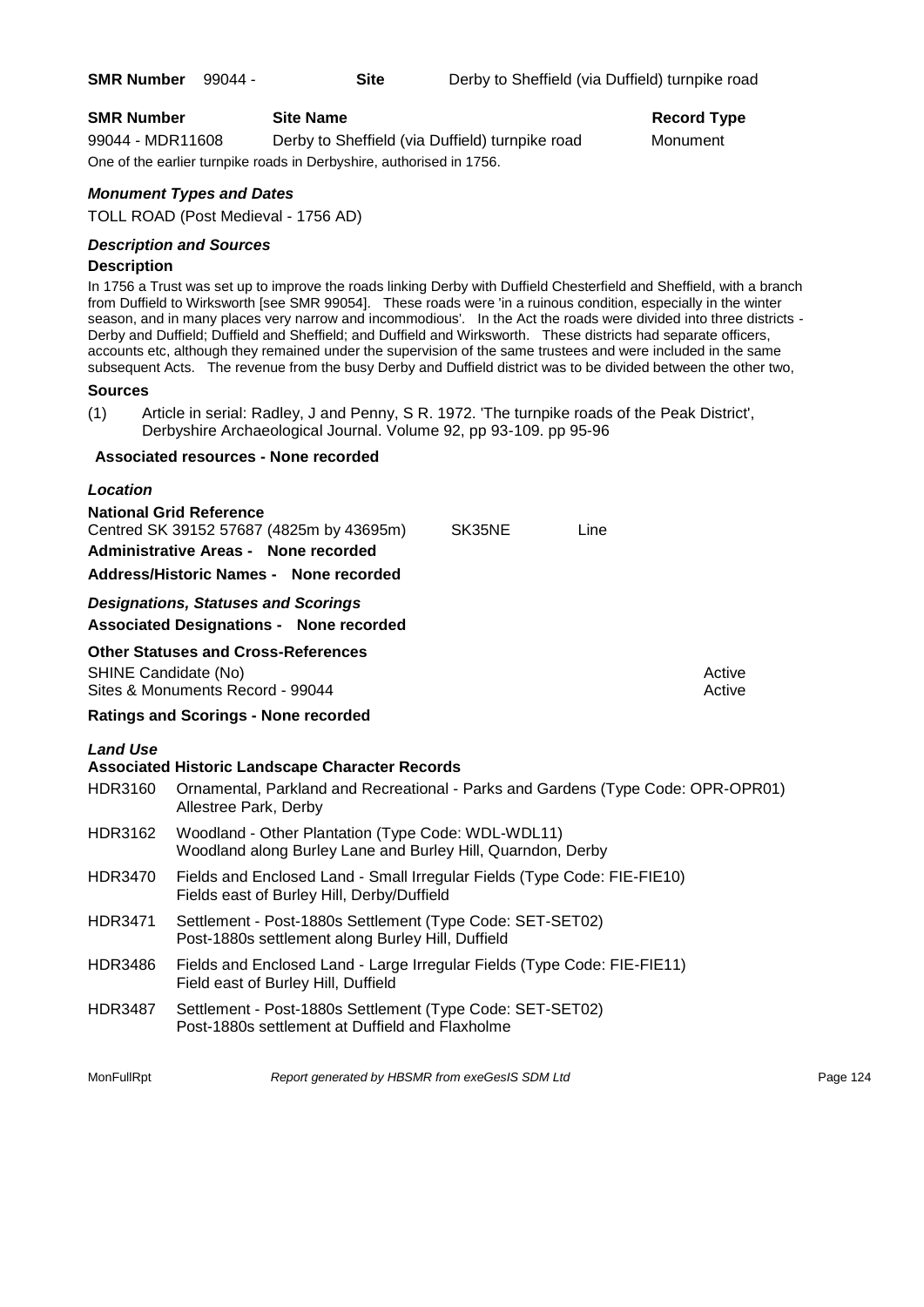# **SMR Number Site Name Record Type Record Type**

99044 - MDR11608 Derby to Sheffield (via Duffield) turnpike road Monument One of the earlier turnpike roads in Derbyshire, authorised in 1756.

# *Monument Types and Dates*

TOLL ROAD (Post Medieval - 1756 AD)

# *Description and Sources*

#### **Description**

In 1756 a Trust was set up to improve the roads linking Derby with Duffield Chesterfield and Sheffield, with a branch from Duffield to Wirksworth [see SMR 99054]. These roads were 'in a ruinous condition, especially in the winter season, and in many places very narrow and incommodious'. In the Act the roads were divided into three districts - Derby and Duffield; Duffield and Sheffield; and Duffield and Wirksworth. These districts had separate officers, accounts etc, although they remained under the supervision of the same trustees and were included in the same subsequent Acts. The revenue from the busy Derby and Duffield district was to be divided between the other two,

#### **Sources**

(1) Article in serial: Radley, J and Penny, S R. 1972. 'The turnpike roads of the Peak District', Derbyshire Archaeological Journal. Volume 92, pp 93-109. pp 95-96

#### **Associated resources - None recorded**

# *Location* **National Grid Reference** Centred SK 39152 57687 (4825m by 43695m) SK35NE Line **Administrative Areas - None recorded Address/Historic Names - None recorded** *Designations, Statuses and Scorings* **Associated Designations - None recorded Other Statuses and Cross-References** SHINE Candidate (No) **Active** Active 30 Active 30 Active 30 Active 30 Active 30 Active Sites & Monuments Record - 99044 Active Active Active Active **Ratings and Scorings - None recorded** *Land Use*  **Associated Historic Landscape Character Records** HDR3160 Ornamental, Parkland and Recreational - Parks and Gardens (Type Code: OPR-OPR01) Allestree Park, Derby HDR3162 Woodland - Other Plantation (Type Code: WDL-WDL11) Woodland along Burley Lane and Burley Hill, Quarndon, Derby HDR3470 Fields and Enclosed Land - Small Irregular Fields (Type Code: FIE-FIE10) Fields east of Burley Hill, Derby/Duffield HDR3471 Settlement - Post-1880s Settlement (Type Code: SET-SET02) Post-1880s settlement along Burley Hill, Duffield HDR3486 Fields and Enclosed Land - Large Irregular Fields (Type Code: FIE-FIE11) Field east of Burley Hill, Duffield HDR3487 Settlement - Post-1880s Settlement (Type Code: SET-SET02) Post-1880s settlement at Duffield and Flaxholme

MonFullRpt *Report generated by HBSMR from exeGesIS SDM Ltd Report 124* **Page 124**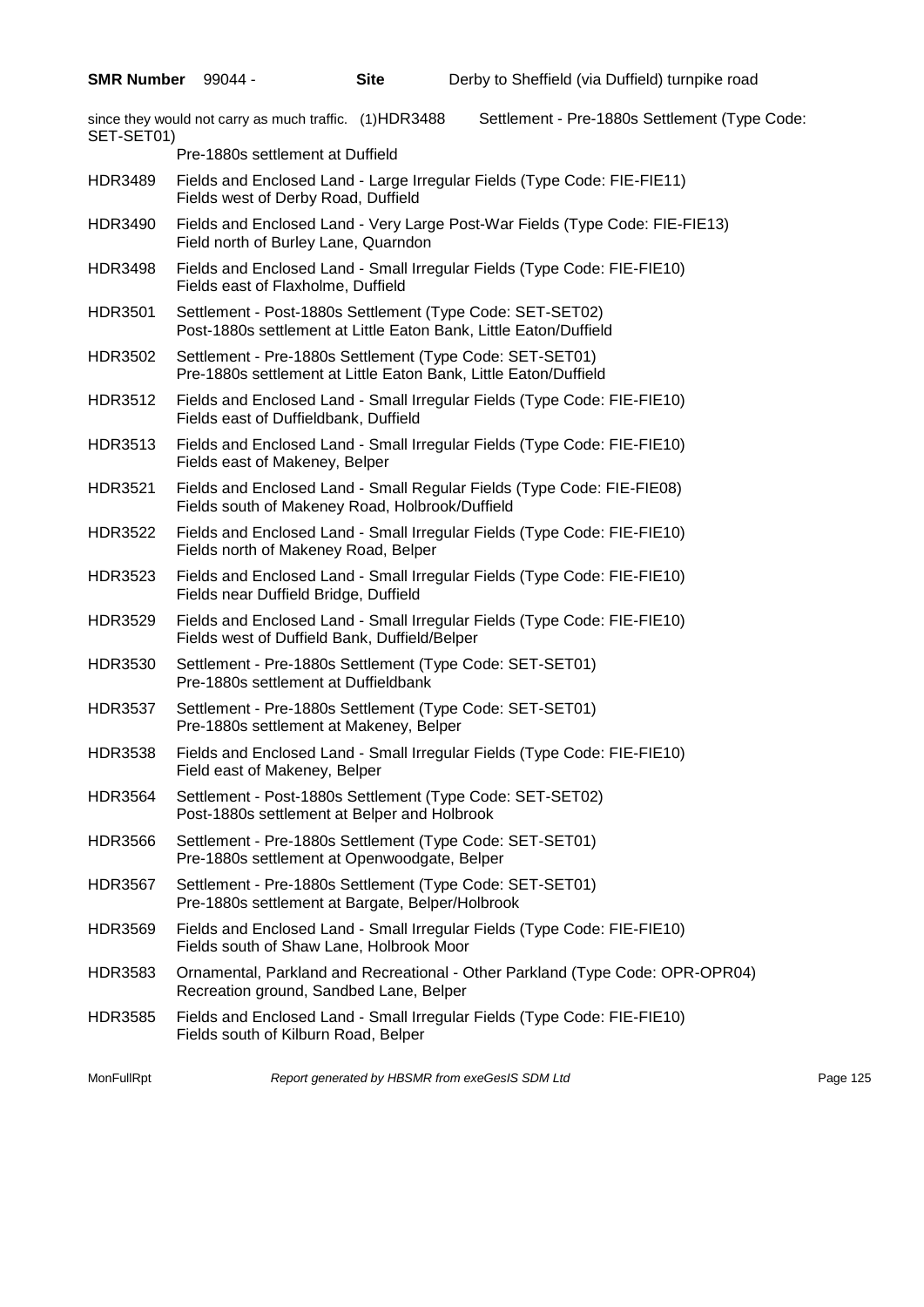since they would not carry as much traffic. (1)HDR3488 Settlement - Pre-1880s Settlement (Type Code: SET-SET01) Pre-1880s settlement at Duffield HDR3489 Fields and Enclosed Land - Large Irregular Fields (Type Code: FIE-FIE11) Fields west of Derby Road, Duffield HDR3490 Fields and Enclosed Land - Very Large Post-War Fields (Type Code: FIE-FIE13) Field north of Burley Lane, Quarndon HDR3498 Fields and Enclosed Land - Small Irregular Fields (Type Code: FIE-FIE10) Fields east of Flaxholme, Duffield HDR3501 Settlement - Post-1880s Settlement (Type Code: SET-SET02) Post-1880s settlement at Little Eaton Bank, Little Eaton/Duffield HDR3502 Settlement - Pre-1880s Settlement (Type Code: SET-SET01) Pre-1880s settlement at Little Eaton Bank, Little Eaton/Duffield HDR3512 Fields and Enclosed Land - Small Irregular Fields (Type Code: FIE-FIE10) Fields east of Duffieldbank, Duffield HDR3513 Fields and Enclosed Land - Small Irregular Fields (Type Code: FIE-FIE10) Fields east of Makeney, Belper HDR3521 Fields and Enclosed Land - Small Regular Fields (Type Code: FIE-FIE08) Fields south of Makeney Road, Holbrook/Duffield HDR3522 Fields and Enclosed Land - Small Irregular Fields (Type Code: FIE-FIE10) Fields north of Makeney Road, Belper HDR3523 Fields and Enclosed Land - Small Irregular Fields (Type Code: FIE-FIE10) Fields near Duffield Bridge, Duffield HDR3529 Fields and Enclosed Land - Small Irregular Fields (Type Code: FIE-FIE10) Fields west of Duffield Bank, Duffield/Belper HDR3530 Settlement - Pre-1880s Settlement (Type Code: SET-SET01) Pre-1880s settlement at Duffieldbank HDR3537 Settlement - Pre-1880s Settlement (Type Code: SET-SET01) Pre-1880s settlement at Makeney, Belper HDR3538 Fields and Enclosed Land - Small Irregular Fields (Type Code: FIE-FIE10) Field east of Makeney, Belper HDR3564 Settlement - Post-1880s Settlement (Type Code: SET-SET02) Post-1880s settlement at Belper and Holbrook HDR3566 Settlement - Pre-1880s Settlement (Type Code: SET-SET01) Pre-1880s settlement at Openwoodgate, Belper HDR3567 Settlement - Pre-1880s Settlement (Type Code: SET-SET01) Pre-1880s settlement at Bargate, Belper/Holbrook HDR3569 Fields and Enclosed Land - Small Irregular Fields (Type Code: FIE-FIE10) Fields south of Shaw Lane, Holbrook Moor HDR3583 Ornamental, Parkland and Recreational - Other Parkland (Type Code: OPR-OPR04) Recreation ground, Sandbed Lane, Belper HDR3585 Fields and Enclosed Land - Small Irregular Fields (Type Code: FIE-FIE10) Fields south of Kilburn Road, Belper

MonFullRpt *Report generated by HBSMR from exeGesIS SDM Ltd Report 125*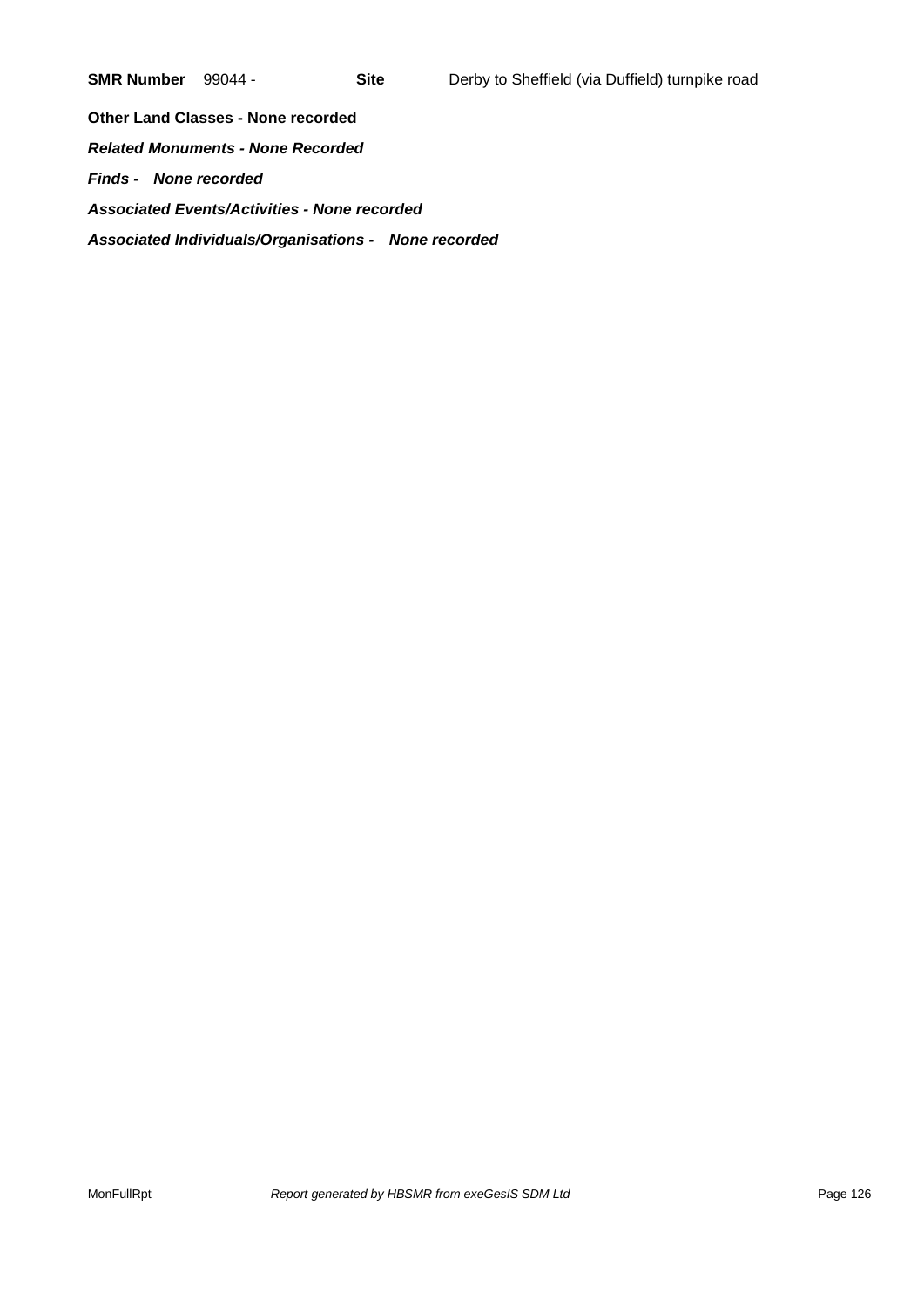**Other Land Classes - None recorded** *Related Monuments - None Recorded Finds - None recorded Associated Events/Activities - None recorded Associated Individuals/Organisations - None recorded*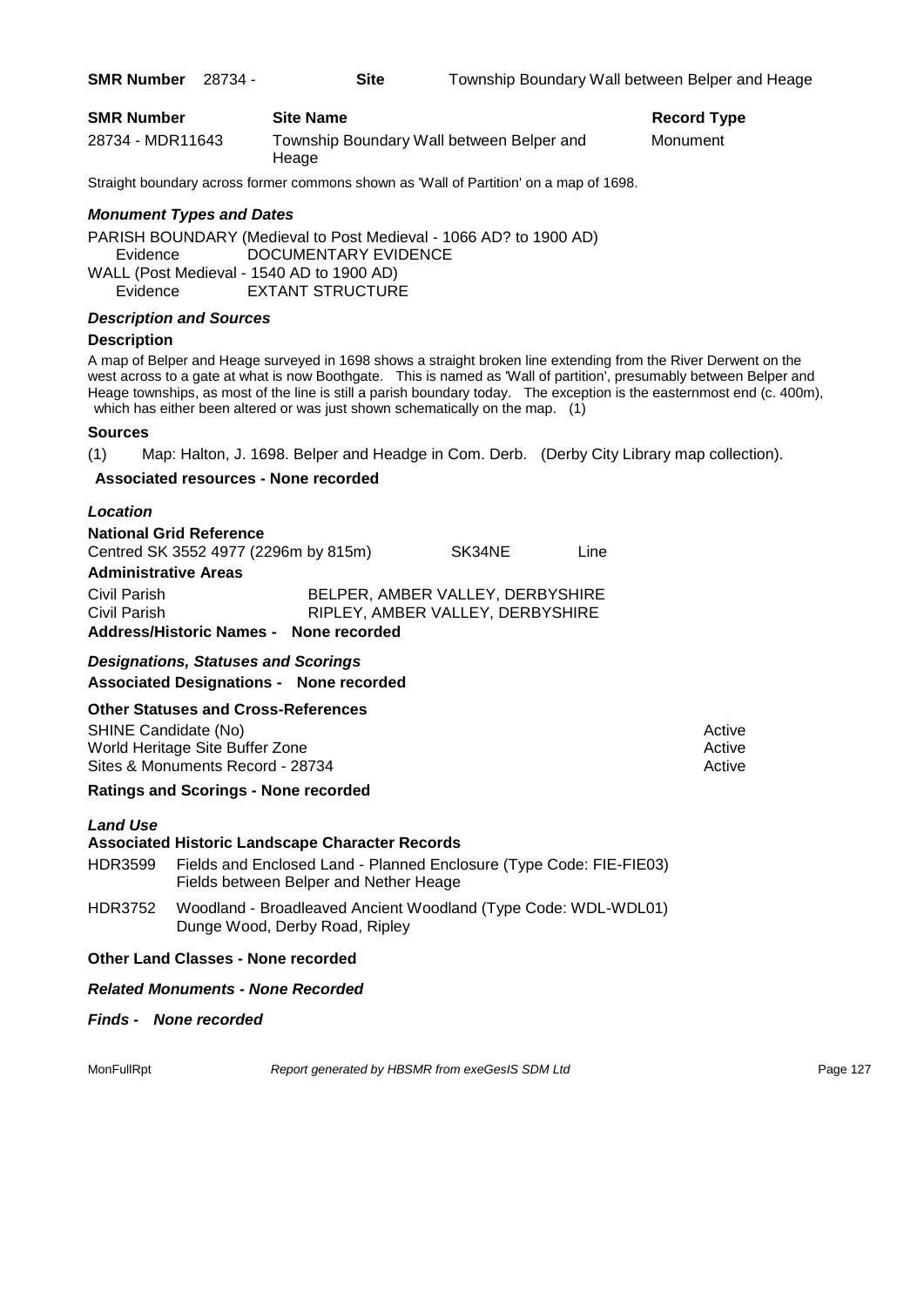| <b>SMR Number</b> | <b>Site Name</b>                                   | <b>Record Type</b> |
|-------------------|----------------------------------------------------|--------------------|
| 28734 - MDR11643  | Township Boundary Wall between Belper and<br>Heage | Monument           |

Straight boundary across former commons shown as 'Wall of Partition' on a map of 1698.

# *Monument Types and Dates*

PARISH BOUNDARY (Medieval to Post Medieval - 1066 AD? to 1900 AD) Evidence DOCUMENTARY EVIDENCE WALL (Post Medieval - 1540 AD to 1900 AD)

Evidence EXTANT STRUCTURE

# *Description and Sources*

# **Description**

A map of Belper and Heage surveyed in 1698 shows a straight broken line extending from the River Derwent on the west across to a gate at what is now Boothgate. This is named as 'Wall of partition', presumably between Belper and Heage townships, as most of the line is still a parish boundary today. The exception is the easternmost end (c. 400m), which has either been altered or was just shown schematically on the map. (1)

# **Sources**

(1) Map: Halton, J. 1698. Belper and Headge in Com. Derb. (Derby City Library map collection).

# **Associated resources - None recorded**

| Location                                                               |                                  |        |      |  |
|------------------------------------------------------------------------|----------------------------------|--------|------|--|
| <b>National Grid Reference</b><br>Centred SK 3552 4977 (2296m by 815m) |                                  | SK34NE | Line |  |
| <b>Administrative Areas</b>                                            |                                  |        |      |  |
| Civil Parish                                                           | BELPER, AMBER VALLEY, DERBYSHIRE |        |      |  |
| Civil Parish                                                           | RIPLEY, AMBER VALLEY, DERBYSHIRE |        |      |  |
| Address/Historic Names - None recorded                                 |                                  |        |      |  |

# *Designations, Statuses and Scorings* **Associated Designations - None recorded**

# **Other Statuses and Cross-References**

SHINE Candidate (No) **Active** Active 30 Active 30 Active 30 Active 30 Active 30 Active World Heritage Site Buffer Zone Active Active Active Active Active Active Active Active Sites & Monuments Record - 28734 Active Active Active Active

# **Ratings and Scorings - None recorded**

#### *Land Use*

# **Associated Historic Landscape Character Records**

- HDR3599 Fields and Enclosed Land Planned Enclosure (Type Code: FIE-FIE03) Fields between Belper and Nether Heage
- HDR3752 Woodland Broadleaved Ancient Woodland (Type Code: WDL-WDL01) Dunge Wood, Derby Road, Ripley

#### **Other Land Classes - None recorded**

#### *Related Monuments - None Recorded*

*Finds - None recorded*

MonFullRpt *Report generated by HBSMR from exeGesIS SDM Ltd Report 127*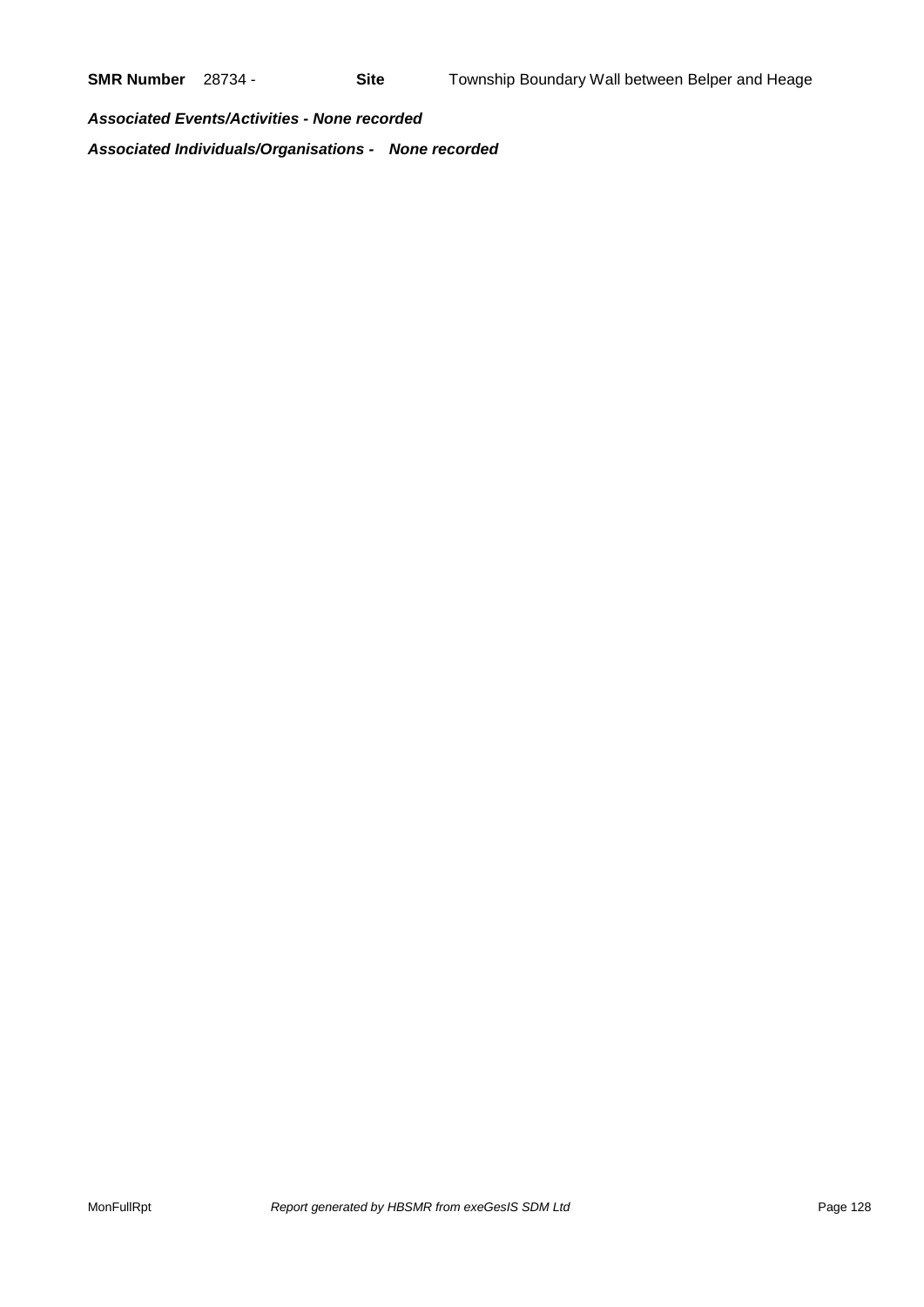*Associated Events/Activities - None recorded Associated Individuals/Organisations - None recorded*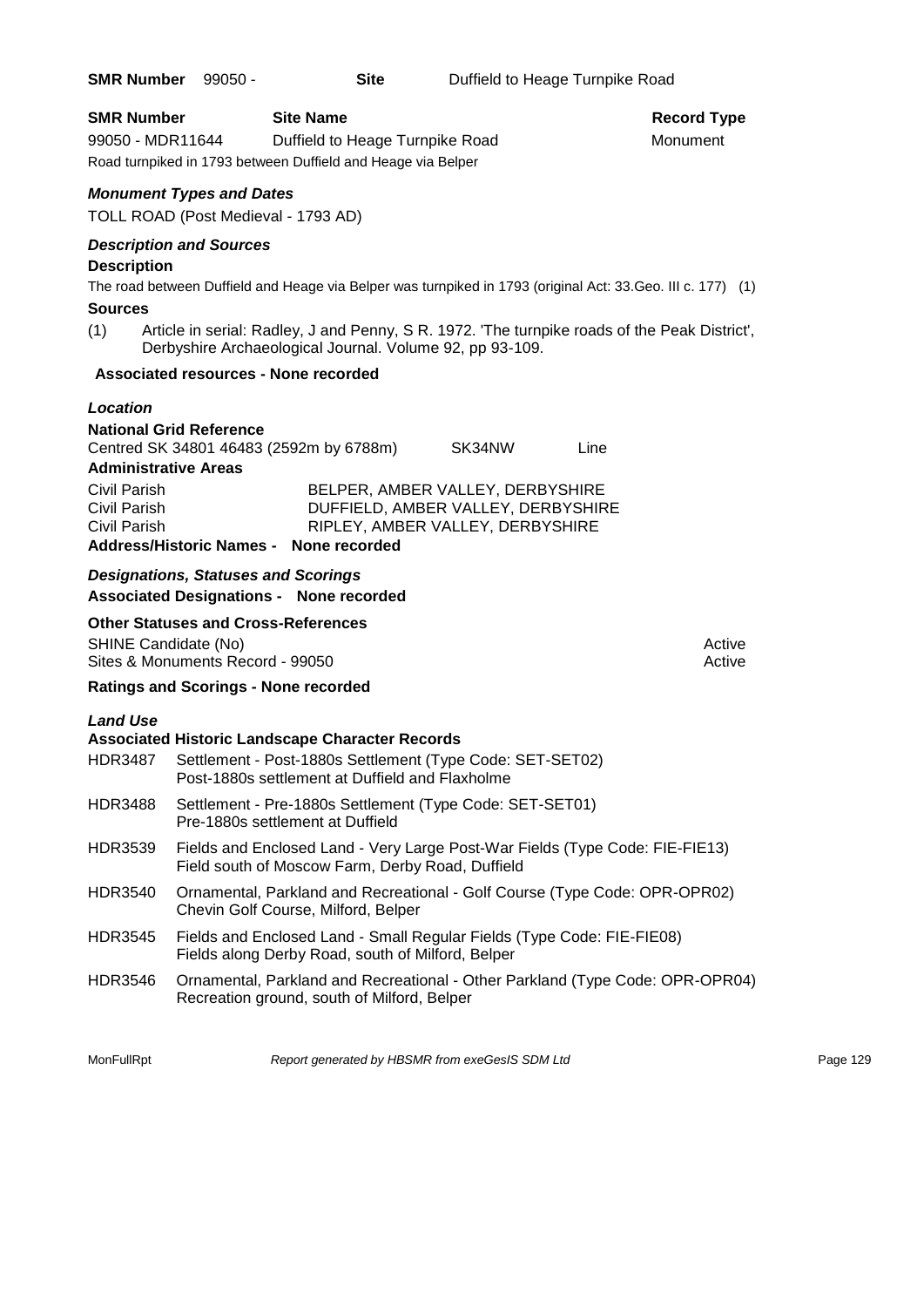|                                                                                                | SMR Number 99050 -                                                                                                                                                     | <b>Site</b>                     | Duffield to Heage Turnpike Road                                                                                      |                                                                                                                                                                                                               |
|------------------------------------------------------------------------------------------------|------------------------------------------------------------------------------------------------------------------------------------------------------------------------|---------------------------------|----------------------------------------------------------------------------------------------------------------------|---------------------------------------------------------------------------------------------------------------------------------------------------------------------------------------------------------------|
| <b>SMR Number</b><br>99050 - MDR11644                                                          | <b>Site Name</b><br>Road turnpiked in 1793 between Duffield and Heage via Belper                                                                                       | Duffield to Heage Turnpike Road |                                                                                                                      | <b>Record Type</b><br>Monument                                                                                                                                                                                |
|                                                                                                | <b>Monument Types and Dates</b><br>TOLL ROAD (Post Medieval - 1793 AD)                                                                                                 |                                 |                                                                                                                      |                                                                                                                                                                                                               |
| <b>Description</b><br><b>Sources</b><br>(1)                                                    | <b>Description and Sources</b><br>Derbyshire Archaeological Journal. Volume 92, pp 93-109.                                                                             |                                 |                                                                                                                      | The road between Duffield and Heage via Belper was turnpiked in 1793 (original Act: 33. Geo. III c. 177) (1)<br>Article in serial: Radley, J and Penny, S R. 1972. 'The turnpike roads of the Peak District', |
|                                                                                                | <b>Associated resources - None recorded</b>                                                                                                                            |                                 |                                                                                                                      |                                                                                                                                                                                                               |
| Location<br><b>Administrative Areas</b><br>Civil Parish<br><b>Civil Parish</b><br>Civil Parish | <b>National Grid Reference</b><br>Centred SK 34801 46483 (2592m by 6788m)<br>Address/Historic Names - None recorded                                                    |                                 | SK34NW<br>BELPER, AMBER VALLEY, DERBYSHIRE<br>DUFFIELD, AMBER VALLEY, DERBYSHIRE<br>RIPLEY, AMBER VALLEY, DERBYSHIRE | Line                                                                                                                                                                                                          |
|                                                                                                | <b>Designations, Statuses and Scorings</b><br><b>Associated Designations - None recorded</b>                                                                           |                                 |                                                                                                                      |                                                                                                                                                                                                               |
| SHINE Candidate (No)                                                                           | <b>Other Statuses and Cross-References</b><br>Sites & Monuments Record - 99050<br><b>Ratings and Scorings - None recorded</b>                                          |                                 |                                                                                                                      | Active<br>Active                                                                                                                                                                                              |
| <b>Land Use</b>                                                                                |                                                                                                                                                                        |                                 |                                                                                                                      |                                                                                                                                                                                                               |
| <b>HDR3487</b>                                                                                 | <b>Associated Historic Landscape Character Records</b><br>Settlement - Post-1880s Settlement (Type Code: SET-SET02)<br>Post-1880s settlement at Duffield and Flaxholme |                                 |                                                                                                                      |                                                                                                                                                                                                               |
| <b>HDR3488</b>                                                                                 | Settlement - Pre-1880s Settlement (Type Code: SET-SET01)<br>Pre-1880s settlement at Duffield                                                                           |                                 |                                                                                                                      |                                                                                                                                                                                                               |
| HDR3539                                                                                        | Fields and Enclosed Land - Very Large Post-War Fields (Type Code: FIE-FIE13)<br>Field south of Moscow Farm, Derby Road, Duffield                                       |                                 |                                                                                                                      |                                                                                                                                                                                                               |
| <b>HDR3540</b>                                                                                 | Chevin Golf Course, Milford, Belper                                                                                                                                    |                                 |                                                                                                                      | Ornamental, Parkland and Recreational - Golf Course (Type Code: OPR-OPR02)                                                                                                                                    |
| <b>HDR3545</b>                                                                                 | Fields and Enclosed Land - Small Regular Fields (Type Code: FIE-FIE08)                                                                                                 |                                 |                                                                                                                      |                                                                                                                                                                                                               |

Fields along Derby Road, south of Milford, Belper HDR3546 Ornamental, Parkland and Recreational - Other Parkland (Type Code: OPR-OPR04)

Recreation ground, south of Milford, Belper

MonFullRpt *Report generated by HBSMR from exeGesIS SDM Ltd Rage 129* Page 129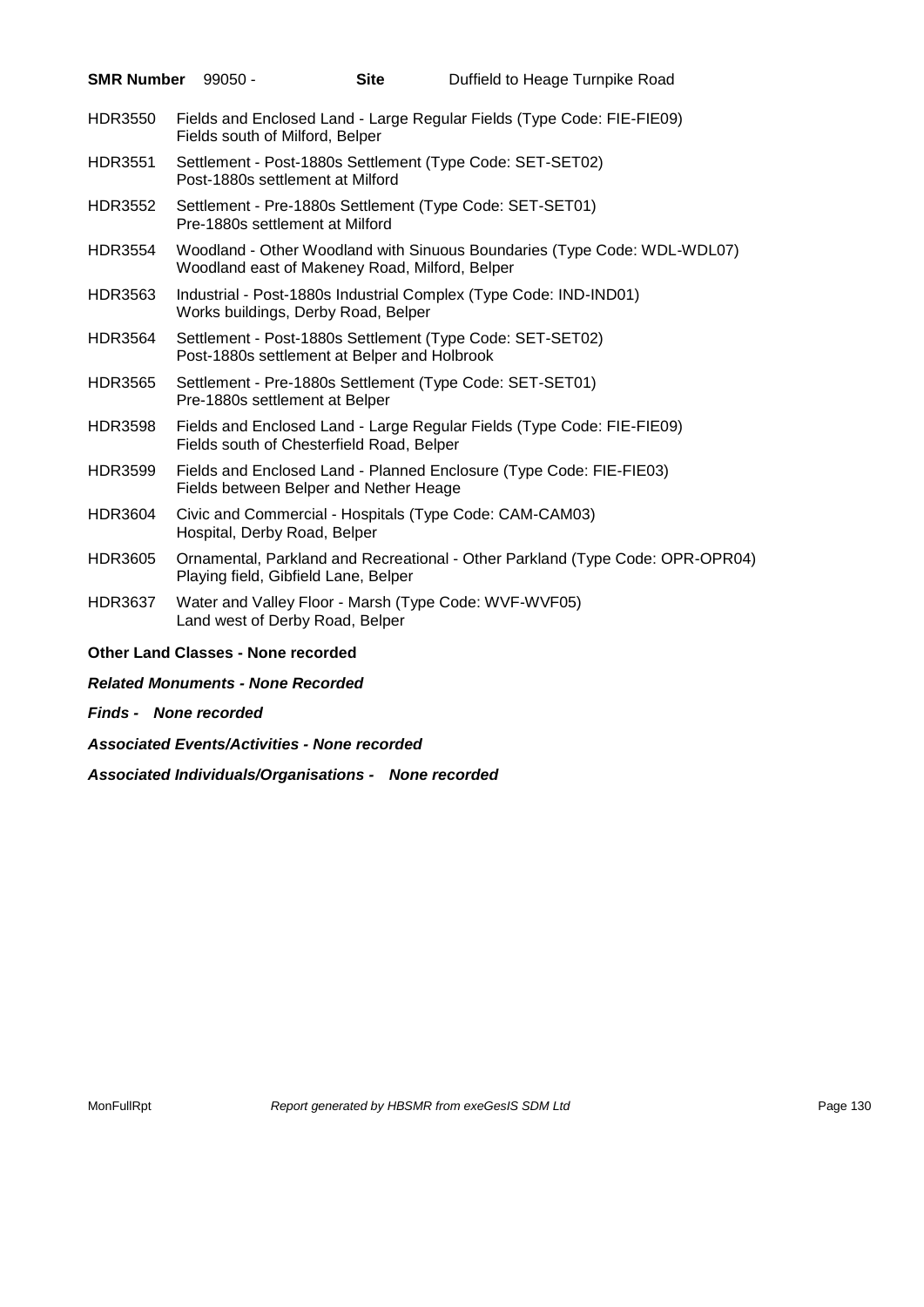| <b>SMR Number</b> | 99050 -                                   | <b>Site</b>                                    | Duffield to Heage Turnpike Road                                               |
|-------------------|-------------------------------------------|------------------------------------------------|-------------------------------------------------------------------------------|
| <b>HDR3550</b>    | Fields south of Milford, Belper           |                                                | Fields and Enclosed Land - Large Regular Fields (Type Code: FIE-FIE09)        |
| <b>HDR3551</b>    | Post-1880s settlement at Milford          |                                                | Settlement - Post-1880s Settlement (Type Code: SET-SET02)                     |
| <b>HDR3552</b>    | Pre-1880s settlement at Milford           |                                                | Settlement - Pre-1880s Settlement (Type Code: SET-SET01)                      |
| <b>HDR3554</b>    |                                           | Woodland east of Makeney Road, Milford, Belper | Woodland - Other Woodland with Sinuous Boundaries (Type Code: WDL-WDL07)      |
| HDR3563           |                                           | Works buildings, Derby Road, Belper            | Industrial - Post-1880s Industrial Complex (Type Code: IND-IND01)             |
| <b>HDR3564</b>    |                                           | Post-1880s settlement at Belper and Holbrook   | Settlement - Post-1880s Settlement (Type Code: SET-SET02)                     |
| <b>HDR3565</b>    | Pre-1880s settlement at Belper            |                                                | Settlement - Pre-1880s Settlement (Type Code: SET-SET01)                      |
| <b>HDR3598</b>    |                                           | Fields south of Chesterfield Road, Belper      | Fields and Enclosed Land - Large Regular Fields (Type Code: FIE-FIE09)        |
| <b>HDR3599</b>    |                                           | Fields between Belper and Nether Heage         | Fields and Enclosed Land - Planned Enclosure (Type Code: FIE-FIE03)           |
| <b>HDR3604</b>    | Hospital, Derby Road, Belper              |                                                | Civic and Commercial - Hospitals (Type Code: CAM-CAM03)                       |
| <b>HDR3605</b>    |                                           | Playing field, Gibfield Lane, Belper           | Ornamental, Parkland and Recreational - Other Parkland (Type Code: OPR-OPR04) |
| <b>HDR3637</b>    | Land west of Derby Road, Belper           |                                                | Water and Valley Floor - Marsh (Type Code: WVF-WVF05)                         |
|                   | <b>Other Land Classes - None recorded</b> |                                                |                                                                               |
|                   | <b>Related Monuments - None Recorded</b>  |                                                |                                                                               |

- *Finds None recorded*
- *Associated Events/Activities - None recorded*

*Associated Individuals/Organisations - None recorded*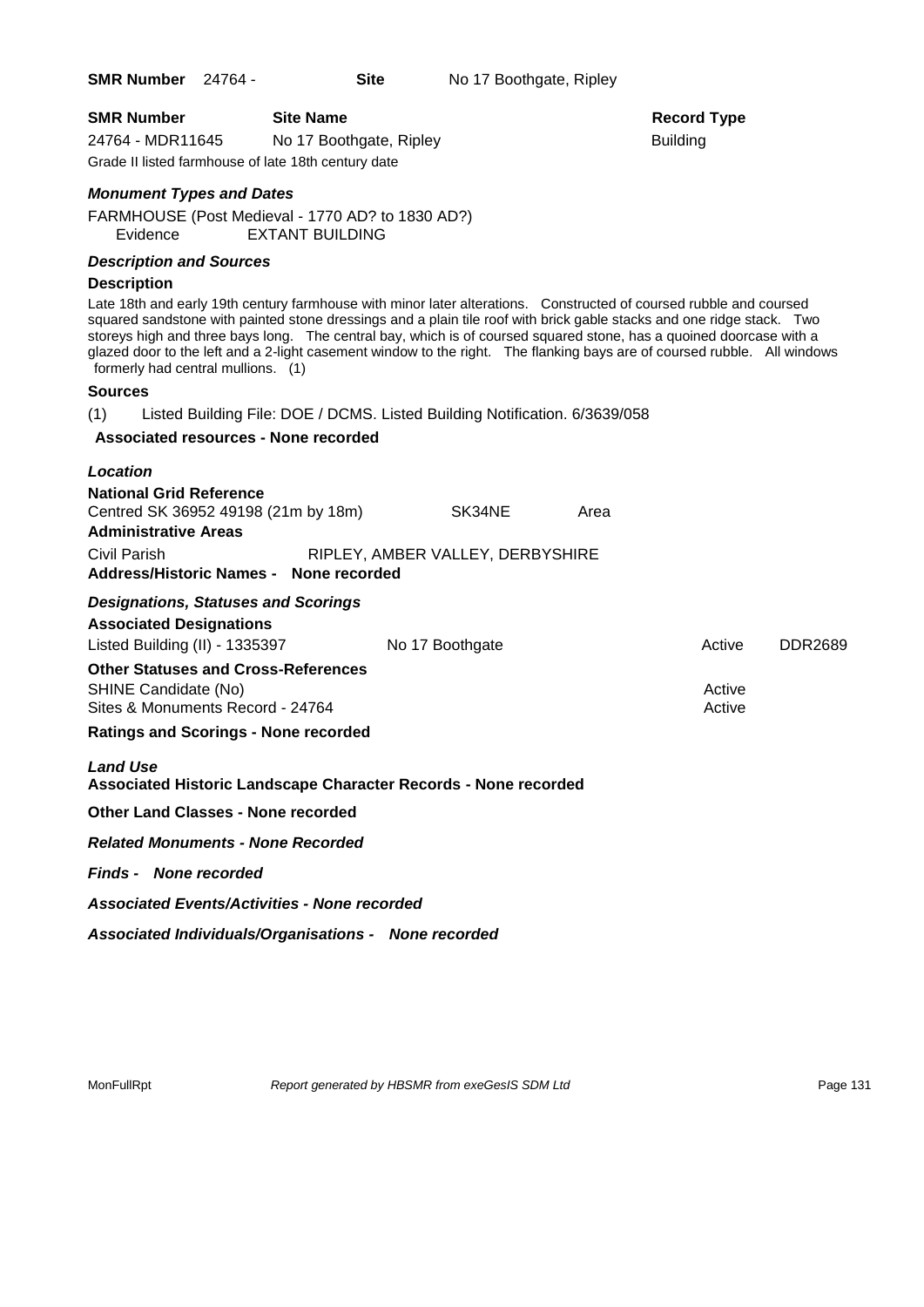| <b>SMR Number</b>                                   | <b>Site Name</b>        |                 |  |  |
|-----------------------------------------------------|-------------------------|-----------------|--|--|
| 24764 - MDR11645                                    | No 17 Boothgate, Ripley | <b>Building</b> |  |  |
| Grade II listed farmhouse of late 18th century date |                         |                 |  |  |

# *Monument Types and Dates*

FARMHOUSE (Post Medieval - 1770 AD? to 1830 AD?) Evidence EXTANT BUILDING

# *Description and Sources*

#### **Description**

Late 18th and early 19th century farmhouse with minor later alterations. Constructed of coursed rubble and coursed squared sandstone with painted stone dressings and a plain tile roof with brick gable stacks and one ridge stack. Two storeys high and three bays long. The central bay, which is of coursed squared stone, has a quoined doorcase with a glazed door to the left and a 2-light casement window to the right. The flanking bays are of coursed rubble. All windows formerly had central mullions. (1)

#### **Sources**

(1) Listed Building File: DOE / DCMS. Listed Building Notification. 6/3639/058

#### **Associated resources - None recorded**

| Location                                                                                                                       |                                            |      |                  |                |
|--------------------------------------------------------------------------------------------------------------------------------|--------------------------------------------|------|------------------|----------------|
| <b>National Grid Reference</b><br>Centred SK 36952 49198 (21m by 18m)<br><b>Administrative Areas</b><br>Civil Parish           | SK34NE<br>RIPLEY, AMBER VALLEY, DERBYSHIRE | Area |                  |                |
| Address/Historic Names - None recorded                                                                                         |                                            |      |                  |                |
| <b>Designations, Statuses and Scorings</b><br><b>Associated Designations</b><br>Listed Building (II) - 1335397 No 17 Boothgate |                                            |      | Active           | <b>DDR2689</b> |
| <b>Other Statuses and Cross-References</b><br>SHINE Candidate (No)<br>Sites & Monuments Record - 24764                         |                                            |      | Active<br>Active |                |
| <b>Ratings and Scorings - None recorded</b>                                                                                    |                                            |      |                  |                |
| <b>Land Use</b><br>Associated Historic Landscape Character Records - None recorded                                             |                                            |      |                  |                |
| <b>Other Land Classes - None recorded</b>                                                                                      |                                            |      |                  |                |
| <b>Related Monuments - None Recorded</b>                                                                                       |                                            |      |                  |                |
| <b>Finds - None recorded</b>                                                                                                   |                                            |      |                  |                |
| <b>Associated Events/Activities - None recorded</b>                                                                            |                                            |      |                  |                |
| Associated Individuals/Organisations - None recorded                                                                           |                                            |      |                  |                |

MonFullRpt *Report generated by HBSMR from exeGesIS SDM Ltd Rage 131* Page 131

# **Record Type**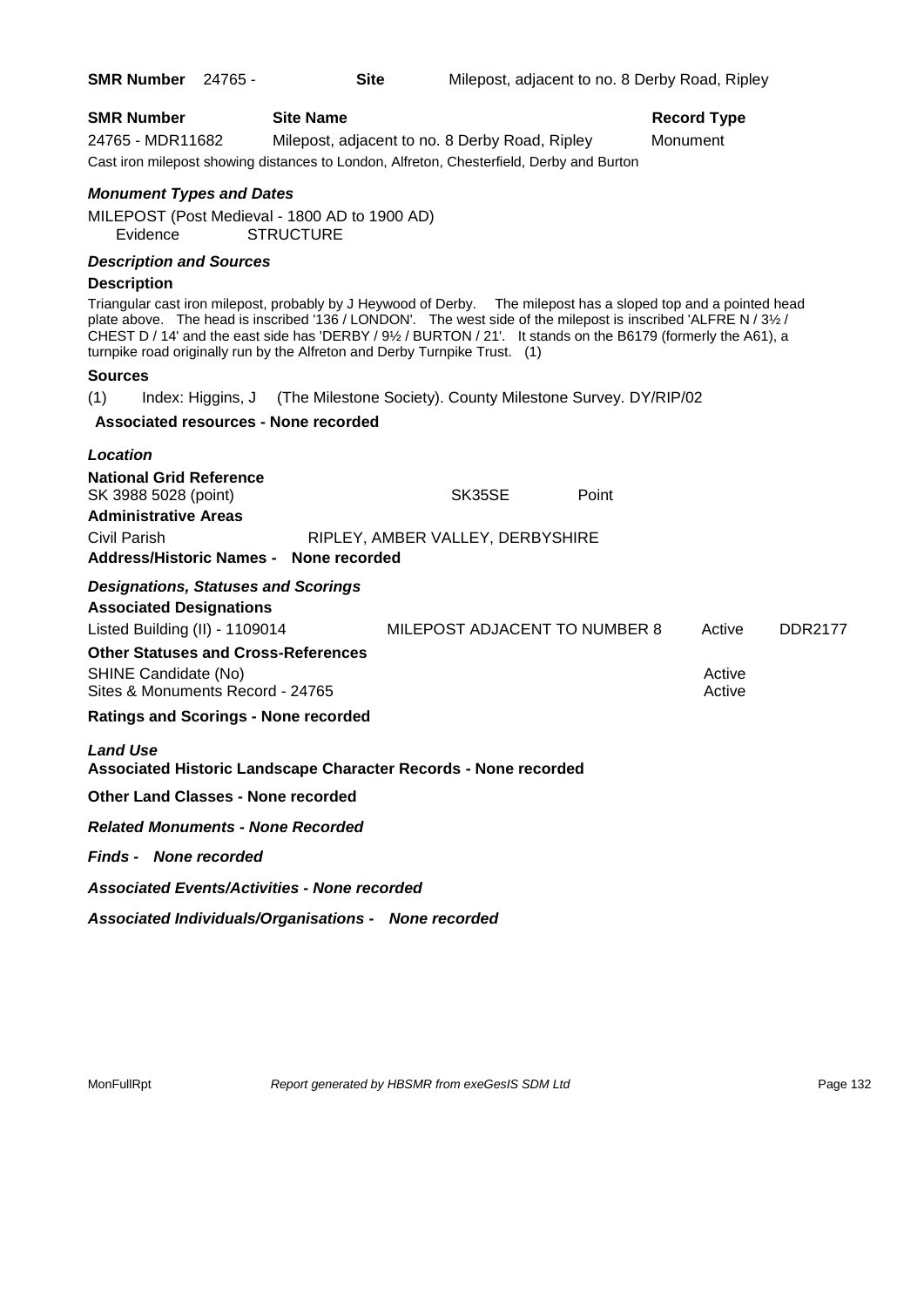| <b>SMR Number</b>                                                                                              | 24765 -           | <b>Site</b>                                 |                                                                                                                                                                                                                                                                                                                                                                                                                                   |       | Milepost, adjacent to no. 8 Derby Road, Ripley |                |
|----------------------------------------------------------------------------------------------------------------|-------------------|---------------------------------------------|-----------------------------------------------------------------------------------------------------------------------------------------------------------------------------------------------------------------------------------------------------------------------------------------------------------------------------------------------------------------------------------------------------------------------------------|-------|------------------------------------------------|----------------|
| <b>SMR Number</b><br>24765 - MDR11682                                                                          |                   | <b>Site Name</b>                            | Milepost, adjacent to no. 8 Derby Road, Ripley<br>Cast iron milepost showing distances to London, Alfreton, Chesterfield, Derby and Burton                                                                                                                                                                                                                                                                                        |       | <b>Record Type</b><br>Monument                 |                |
| <b>Monument Types and Dates</b><br>MILEPOST (Post Medieval - 1800 AD to 1900 AD)<br>Evidence                   |                   | <b>STRUCTURE</b>                            |                                                                                                                                                                                                                                                                                                                                                                                                                                   |       |                                                |                |
| <b>Description and Sources</b>                                                                                 |                   |                                             |                                                                                                                                                                                                                                                                                                                                                                                                                                   |       |                                                |                |
| <b>Description</b>                                                                                             |                   |                                             |                                                                                                                                                                                                                                                                                                                                                                                                                                   |       |                                                |                |
|                                                                                                                |                   |                                             | Triangular cast iron milepost, probably by J Heywood of Derby.  The milepost has a sloped top and a pointed head<br>plate above. The head is inscribed '136 / LONDON'. The west side of the milepost is inscribed 'ALFRE N / 3½ /<br>CHEST D / 14' and the east side has 'DERBY / 91/2 / BURTON / 21'. It stands on the B6179 (formerly the A61), a<br>turnpike road originally run by the Alfreton and Derby Turnpike Trust. (1) |       |                                                |                |
| <b>Sources</b>                                                                                                 |                   |                                             |                                                                                                                                                                                                                                                                                                                                                                                                                                   |       |                                                |                |
| (1)                                                                                                            | Index: Higgins, J |                                             | (The Milestone Society). County Milestone Survey. DY/RIP/02                                                                                                                                                                                                                                                                                                                                                                       |       |                                                |                |
|                                                                                                                |                   | <b>Associated resources - None recorded</b> |                                                                                                                                                                                                                                                                                                                                                                                                                                   |       |                                                |                |
| Location<br><b>National Grid Reference</b><br>SK 3988 5028 (point)<br><b>Administrative Areas</b>              |                   |                                             | SK35SE                                                                                                                                                                                                                                                                                                                                                                                                                            | Point |                                                |                |
| Civil Parish<br>Address/Historic Names - None recorded                                                         |                   |                                             | RIPLEY, AMBER VALLEY, DERBYSHIRE                                                                                                                                                                                                                                                                                                                                                                                                  |       |                                                |                |
| <b>Designations, Statuses and Scorings</b><br><b>Associated Designations</b><br>Listed Building (II) - 1109014 |                   |                                             | MILEPOST ADJACENT TO NUMBER 8                                                                                                                                                                                                                                                                                                                                                                                                     |       | Active                                         | <b>DDR2177</b> |
| <b>Other Statuses and Cross-References</b><br>SHINE Candidate (No)<br>Sites & Monuments Record - 24765         |                   |                                             |                                                                                                                                                                                                                                                                                                                                                                                                                                   |       | Active<br>Active                               |                |
| <b>Ratings and Scorings - None recorded</b>                                                                    |                   |                                             |                                                                                                                                                                                                                                                                                                                                                                                                                                   |       |                                                |                |
| <b>Land Use</b>                                                                                                |                   |                                             | Associated Historic Landscape Character Records - None recorded                                                                                                                                                                                                                                                                                                                                                                   |       |                                                |                |
| <b>Other Land Classes - None recorded</b>                                                                      |                   |                                             |                                                                                                                                                                                                                                                                                                                                                                                                                                   |       |                                                |                |
| <b>Related Monuments - None Recorded</b>                                                                       |                   |                                             |                                                                                                                                                                                                                                                                                                                                                                                                                                   |       |                                                |                |
| <b>Finds - None recorded</b>                                                                                   |                   |                                             |                                                                                                                                                                                                                                                                                                                                                                                                                                   |       |                                                |                |
| <b>Associated Events/Activities - None recorded</b>                                                            |                   |                                             |                                                                                                                                                                                                                                                                                                                                                                                                                                   |       |                                                |                |
|                                                                                                                |                   |                                             | Associated Individuals/Organisations - None recorded                                                                                                                                                                                                                                                                                                                                                                              |       |                                                |                |

MonFullRpt *Report generated by HBSMR from exeGesIS SDM Ltd Rage 132*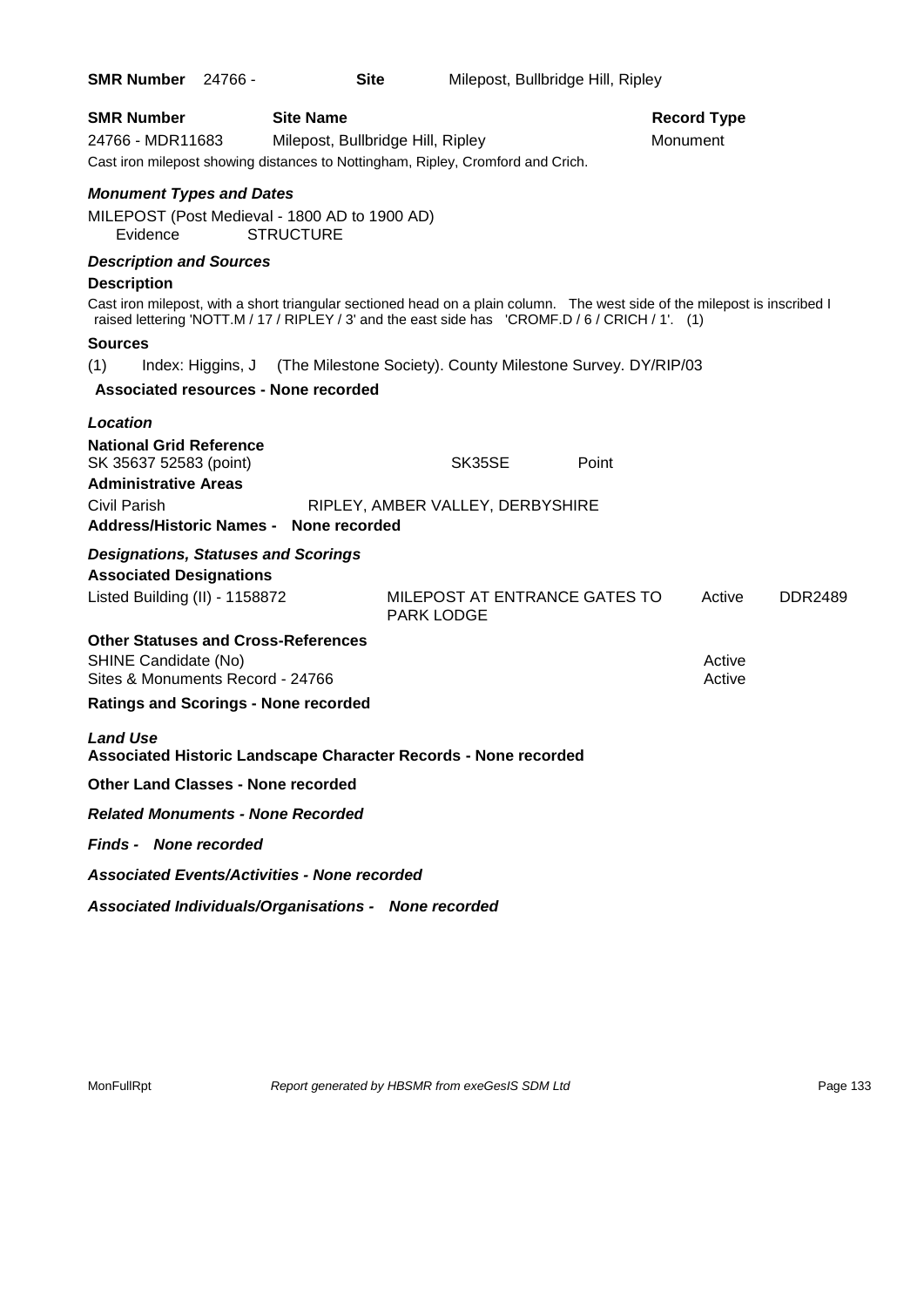| <b>SMR Number 24766 -</b>                                                                                                                                                                                                      | <b>Site</b>                                                 |                   | Milepost, Bullbridge Hill, Ripley |                                |                |
|--------------------------------------------------------------------------------------------------------------------------------------------------------------------------------------------------------------------------------|-------------------------------------------------------------|-------------------|-----------------------------------|--------------------------------|----------------|
| <b>SMR Number</b><br>24766 - MDR11683<br>Cast iron milepost showing distances to Nottingham, Ripley, Cromford and Crich.                                                                                                       | <b>Site Name</b><br>Milepost, Bullbridge Hill, Ripley       |                   |                                   | <b>Record Type</b><br>Monument |                |
| <b>Monument Types and Dates</b>                                                                                                                                                                                                |                                                             |                   |                                   |                                |                |
| MILEPOST (Post Medieval - 1800 AD to 1900 AD)<br>Evidence                                                                                                                                                                      | <b>STRUCTURE</b>                                            |                   |                                   |                                |                |
| <b>Description and Sources</b>                                                                                                                                                                                                 |                                                             |                   |                                   |                                |                |
| <b>Description</b>                                                                                                                                                                                                             |                                                             |                   |                                   |                                |                |
| Cast iron milepost, with a short triangular sectioned head on a plain column. The west side of the milepost is inscribed I<br>raised lettering 'NOTT.M / 17 / RIPLEY / 3' and the east side has 'CROMF.D / 6 / CRICH / 1'. (1) |                                                             |                   |                                   |                                |                |
| <b>Sources</b>                                                                                                                                                                                                                 |                                                             |                   |                                   |                                |                |
| (1)<br>Index: Higgins, J                                                                                                                                                                                                       | (The Milestone Society). County Milestone Survey. DY/RIP/03 |                   |                                   |                                |                |
| <b>Associated resources - None recorded</b>                                                                                                                                                                                    |                                                             |                   |                                   |                                |                |
| Location                                                                                                                                                                                                                       |                                                             |                   |                                   |                                |                |
| <b>National Grid Reference</b><br>SK 35637 52583 (point)                                                                                                                                                                       |                                                             | SK35SE            | Point                             |                                |                |
| <b>Administrative Areas</b>                                                                                                                                                                                                    |                                                             |                   |                                   |                                |                |
| Civil Parish<br><b>Address/Historic Names -</b>                                                                                                                                                                                | RIPLEY, AMBER VALLEY, DERBYSHIRE<br>None recorded           |                   |                                   |                                |                |
| <b>Designations, Statuses and Scorings</b>                                                                                                                                                                                     |                                                             |                   |                                   |                                |                |
| <b>Associated Designations</b>                                                                                                                                                                                                 |                                                             |                   |                                   |                                |                |
| Listed Building (II) - 1158872                                                                                                                                                                                                 |                                                             | <b>PARK LODGE</b> | MILEPOST AT ENTRANCE GATES TO     | Active                         | <b>DDR2489</b> |
| <b>Other Statuses and Cross-References</b>                                                                                                                                                                                     |                                                             |                   |                                   |                                |                |
| SHINE Candidate (No)<br>Sites & Monuments Record - 24766                                                                                                                                                                       |                                                             |                   |                                   | Active<br>Active               |                |
| <b>Ratings and Scorings - None recorded</b>                                                                                                                                                                                    |                                                             |                   |                                   |                                |                |
| <b>Land Use</b>                                                                                                                                                                                                                |                                                             |                   |                                   |                                |                |
| <b>Associated Historic Landscape Character Records - None recorded</b>                                                                                                                                                         |                                                             |                   |                                   |                                |                |
| <b>Other Land Classes - None recorded</b>                                                                                                                                                                                      |                                                             |                   |                                   |                                |                |
| <b>Related Monuments - None Recorded</b>                                                                                                                                                                                       |                                                             |                   |                                   |                                |                |
| <b>Finds - None recorded</b>                                                                                                                                                                                                   |                                                             |                   |                                   |                                |                |
| <b>Associated Events/Activities - None recorded</b>                                                                                                                                                                            |                                                             |                   |                                   |                                |                |
| Associated Individuals/Organisations - None recorded                                                                                                                                                                           |                                                             |                   |                                   |                                |                |

MonFullRpt *Report generated by HBSMR from exeGesIS SDM Ltd Rage 133*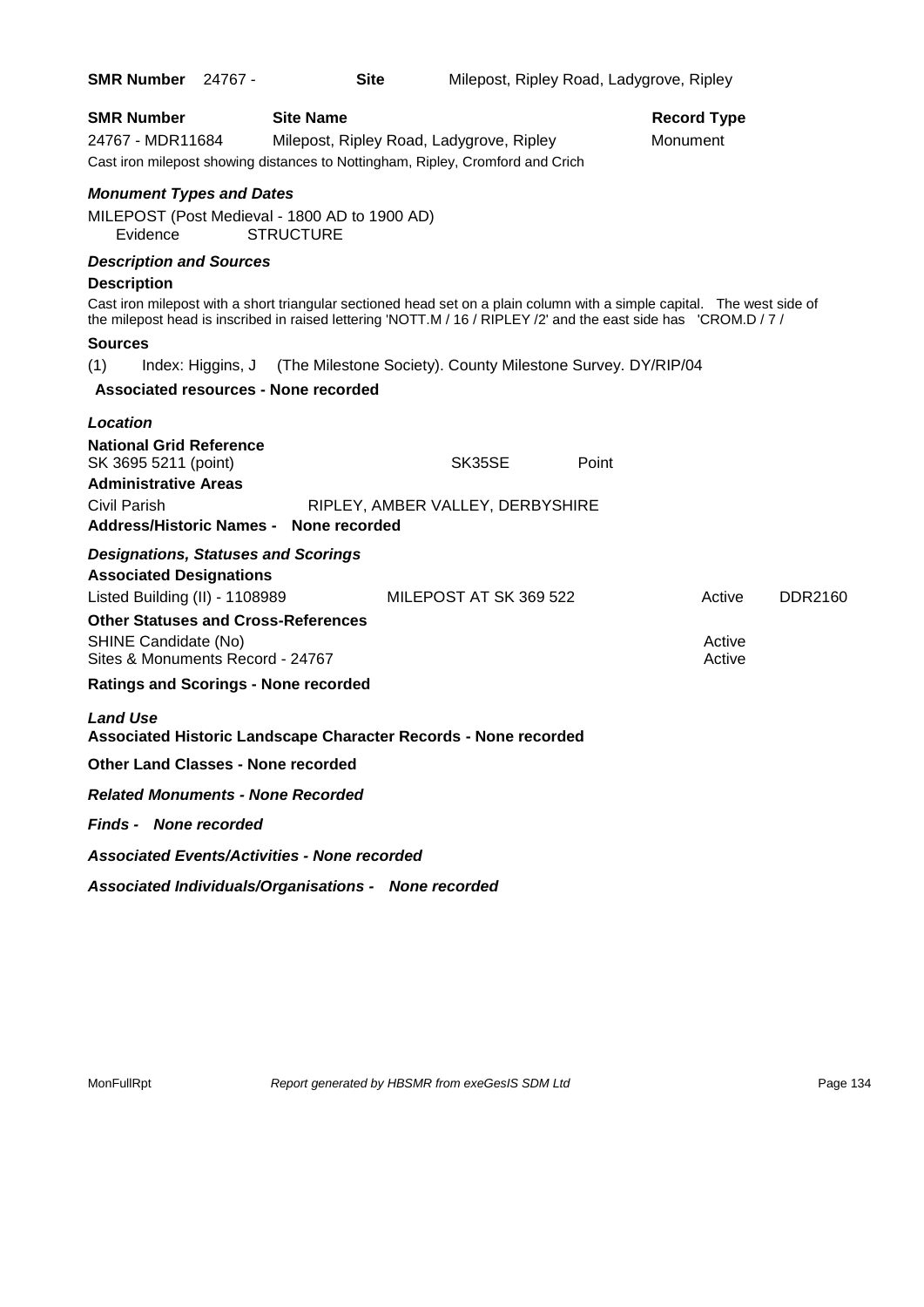| <b>SMR Number 24767 -</b>                                                                                                                                                                                                                                               |                   | <b>Site</b>                                 |                                                                                                                                                                                                                                                                                                            | Milepost, Ripley Road, Ladygrove, Ripley |                                |                            |         |
|-------------------------------------------------------------------------------------------------------------------------------------------------------------------------------------------------------------------------------------------------------------------------|-------------------|---------------------------------------------|------------------------------------------------------------------------------------------------------------------------------------------------------------------------------------------------------------------------------------------------------------------------------------------------------------|------------------------------------------|--------------------------------|----------------------------|---------|
| <b>SMR Number</b><br>24767 - MDR11684                                                                                                                                                                                                                                   |                   | <b>Site Name</b>                            | Milepost, Ripley Road, Ladygrove, Ripley<br>Cast iron milepost showing distances to Nottingham, Ripley, Cromford and Crich                                                                                                                                                                                 |                                          | <b>Record Type</b><br>Monument |                            |         |
| <b>Monument Types and Dates</b><br>MILEPOST (Post Medieval - 1800 AD to 1900 AD)<br>Evidence                                                                                                                                                                            |                   | <b>STRUCTURE</b>                            |                                                                                                                                                                                                                                                                                                            |                                          |                                |                            |         |
| <b>Description and Sources</b><br><b>Description</b><br><b>Sources</b><br>(1)                                                                                                                                                                                           | Index: Higgins, J |                                             | Cast iron milepost with a short triangular sectioned head set on a plain column with a simple capital. The west side of<br>the milepost head is inscribed in raised lettering 'NOTT.M / 16 / RIPLEY /2' and the east side has 'CROM.D / 7 /<br>(The Milestone Society). County Milestone Survey. DY/RIP/04 |                                          |                                |                            |         |
|                                                                                                                                                                                                                                                                         |                   | <b>Associated resources - None recorded</b> |                                                                                                                                                                                                                                                                                                            |                                          |                                |                            |         |
| <b>Location</b><br><b>National Grid Reference</b><br>SK 3695 5211 (point)<br><b>Administrative Areas</b><br>Civil Parish<br><b>Address/Historic Names -</b>                                                                                                             |                   | None recorded                               | SK35SE<br>RIPLEY, AMBER VALLEY, DERBYSHIRE                                                                                                                                                                                                                                                                 | Point                                    |                                |                            |         |
| <b>Designations, Statuses and Scorings</b><br><b>Associated Designations</b><br>Listed Building (II) - 1108989<br><b>Other Statuses and Cross-References</b><br>SHINE Candidate (No)<br>Sites & Monuments Record - 24767<br><b>Ratings and Scorings - None recorded</b> |                   |                                             | MILEPOST AT SK 369 522                                                                                                                                                                                                                                                                                     |                                          |                                | Active<br>Active<br>Active | DDR2160 |
| <b>Land Use</b>                                                                                                                                                                                                                                                         |                   |                                             | Associated Historic Landscape Character Records - None recorded                                                                                                                                                                                                                                            |                                          |                                |                            |         |
| <b>Other Land Classes - None recorded</b>                                                                                                                                                                                                                               |                   |                                             |                                                                                                                                                                                                                                                                                                            |                                          |                                |                            |         |
| <b>Related Monuments - None Recorded</b>                                                                                                                                                                                                                                |                   |                                             |                                                                                                                                                                                                                                                                                                            |                                          |                                |                            |         |
| <b>Finds - None recorded</b>                                                                                                                                                                                                                                            |                   |                                             |                                                                                                                                                                                                                                                                                                            |                                          |                                |                            |         |
| <b>Associated Events/Activities - None recorded</b>                                                                                                                                                                                                                     |                   |                                             |                                                                                                                                                                                                                                                                                                            |                                          |                                |                            |         |
|                                                                                                                                                                                                                                                                         |                   |                                             | Associated Individuals/Organisations - None recorded                                                                                                                                                                                                                                                       |                                          |                                |                            |         |

MonFullRpt *Report generated by HBSMR from exeGesIS SDM Ltd Rage 134* Page 134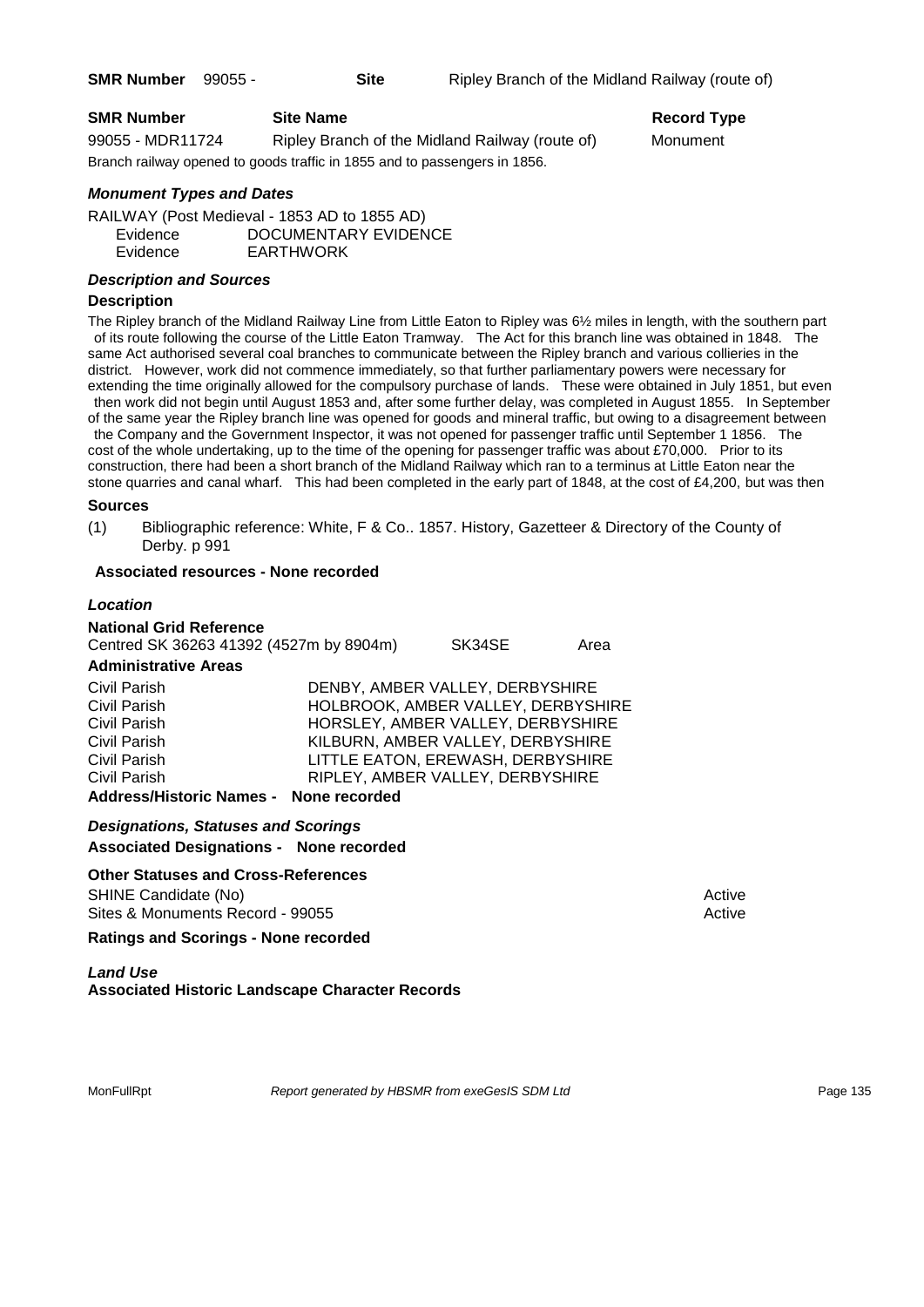| <b>SMR Number</b> | <b>Site Name</b>                                                          | Record Ty |
|-------------------|---------------------------------------------------------------------------|-----------|
| 99055 - MDR11724  | Ripley Branch of the Midland Railway (route of)                           | Monument  |
|                   | Branch railway opened to goods traffic in 1855 and to passengers in 1856. |           |

# **Record Type**

# *Monument Types and Dates*

RAILWAY (Post Medieval - 1853 AD to 1855 AD) Evidence DOCUMENTARY EVIDENCE Evidence EARTHWORK

# *Description and Sources*

# **Description**

The Ripley branch of the Midland Railway Line from Little Eaton to Ripley was 6½ miles in length, with the southern part of its route following the course of the Little Eaton Tramway. The Act for this branch line was obtained in 1848. The same Act authorised several coal branches to communicate between the Ripley branch and various collieries in the district. However, work did not commence immediately, so that further parliamentary powers were necessary for extending the time originally allowed for the compulsory purchase of lands. These were obtained in July 1851, but even

then work did not begin until August 1853 and, after some further delay, was completed in August 1855. In September of the same year the Ripley branch line was opened for goods and mineral traffic, but owing to a disagreement between the Company and the Government Inspector, it was not opened for passenger traffic until September 1 1856. The cost of the whole undertaking, up to the time of the opening for passenger traffic was about £70,000. Prior to its construction, there had been a short branch of the Midland Railway which ran to a terminus at Little Eaton near the stone quarries and canal wharf. This had been completed in the early part of 1848, at the cost of £4,200, but was then

#### **Sources**

(1) Bibliographic reference: White, F & Co.. 1857. History, Gazetteer & Directory of the County of Derby. p 991

#### **Associated resources - None recorded**

#### *Location*

| <b>National Grid Reference</b><br>Centred SK 36263 41392 (4527m by 8904m)<br><b>Administrative Areas</b> |                                    | SK34SE | Area |
|----------------------------------------------------------------------------------------------------------|------------------------------------|--------|------|
| Civil Parish                                                                                             | DENBY, AMBER VALLEY, DERBYSHIRE    |        |      |
| Civil Parish                                                                                             | HOLBROOK, AMBER VALLEY, DERBYSHIRE |        |      |
| Civil Parish                                                                                             | HORSLEY, AMBER VALLEY, DERBYSHIRE  |        |      |
| Civil Parish                                                                                             | KILBURN, AMBER VALLEY, DERBYSHIRE  |        |      |
| Civil Parish                                                                                             | LITTLE EATON, EREWASH, DERBYSHIRE  |        |      |
| Civil Parish                                                                                             | RIPLEY, AMBER VALLEY, DERBYSHIRE   |        |      |
| <b>Address/Historic Names -</b>                                                                          | None recorded                      |        |      |

*Designations, Statuses and Scorings*

**Associated Designations - None recorded**

#### **Other Statuses and Cross-References**

SHINE Candidate (No) **Active** Active 30 Active 30 Active 30 Active 30 Active 30 Active Sites & Monuments Record - 99055 Active Active Active Active

**Ratings and Scorings - None recorded**

# *Land Use*  **Associated Historic Landscape Character Records**

MonFullRpt *Report generated by HBSMR from exeGesIS SDM Ltd Report 135*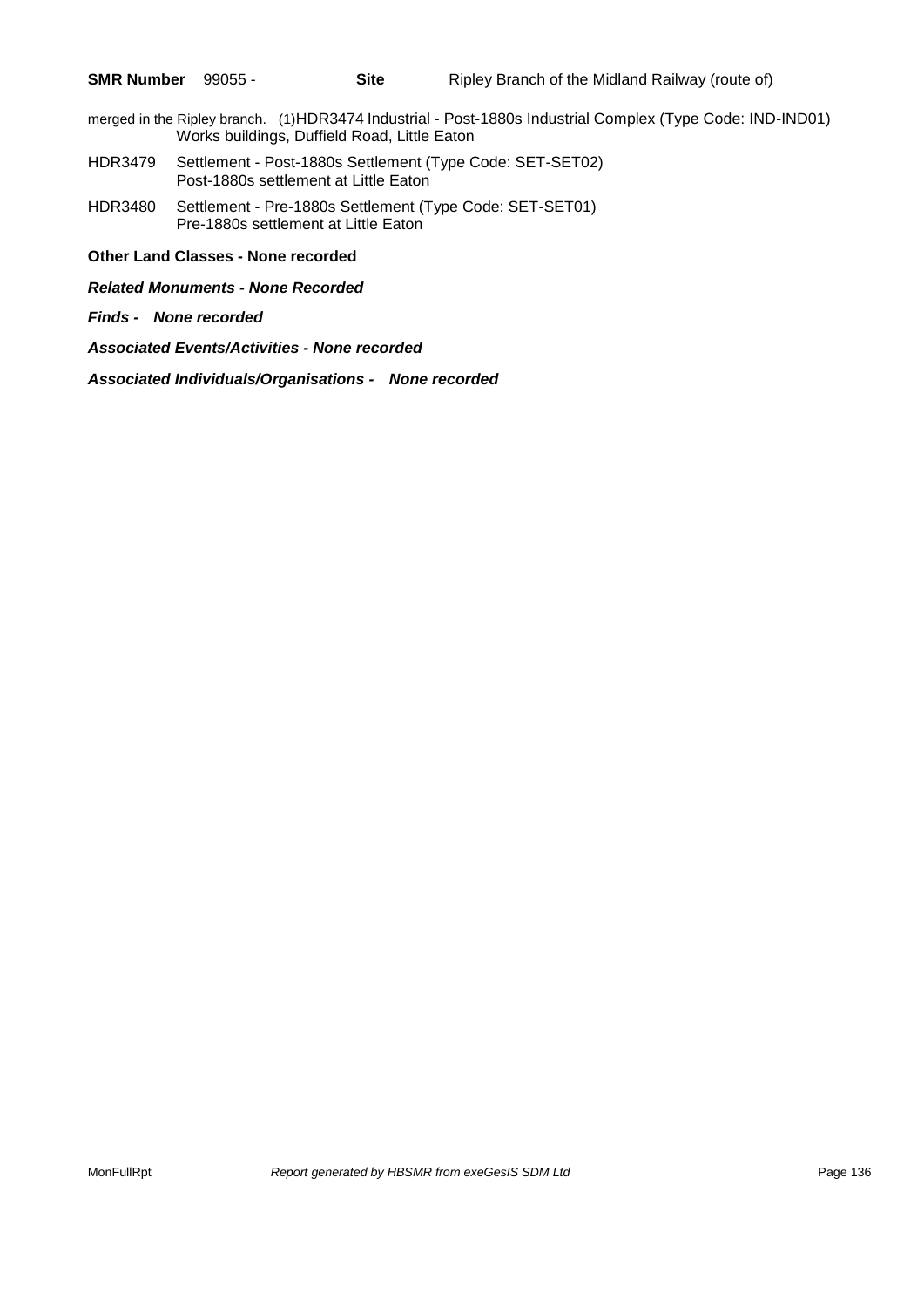- merged in the Ripley branch. (1)HDR3474 Industrial Post-1880s Industrial Complex (Type Code: IND-IND01) Works buildings, Duffield Road, Little Eaton
- HDR3479 Settlement Post-1880s Settlement (Type Code: SET-SET02) Post-1880s settlement at Little Eaton
- HDR3480 Settlement Pre-1880s Settlement (Type Code: SET-SET01) Pre-1880s settlement at Little Eaton

**Other Land Classes - None recorded**

*Related Monuments - None Recorded*

*Finds - None recorded*

*Associated Events/Activities - None recorded*

*Associated Individuals/Organisations - None recorded*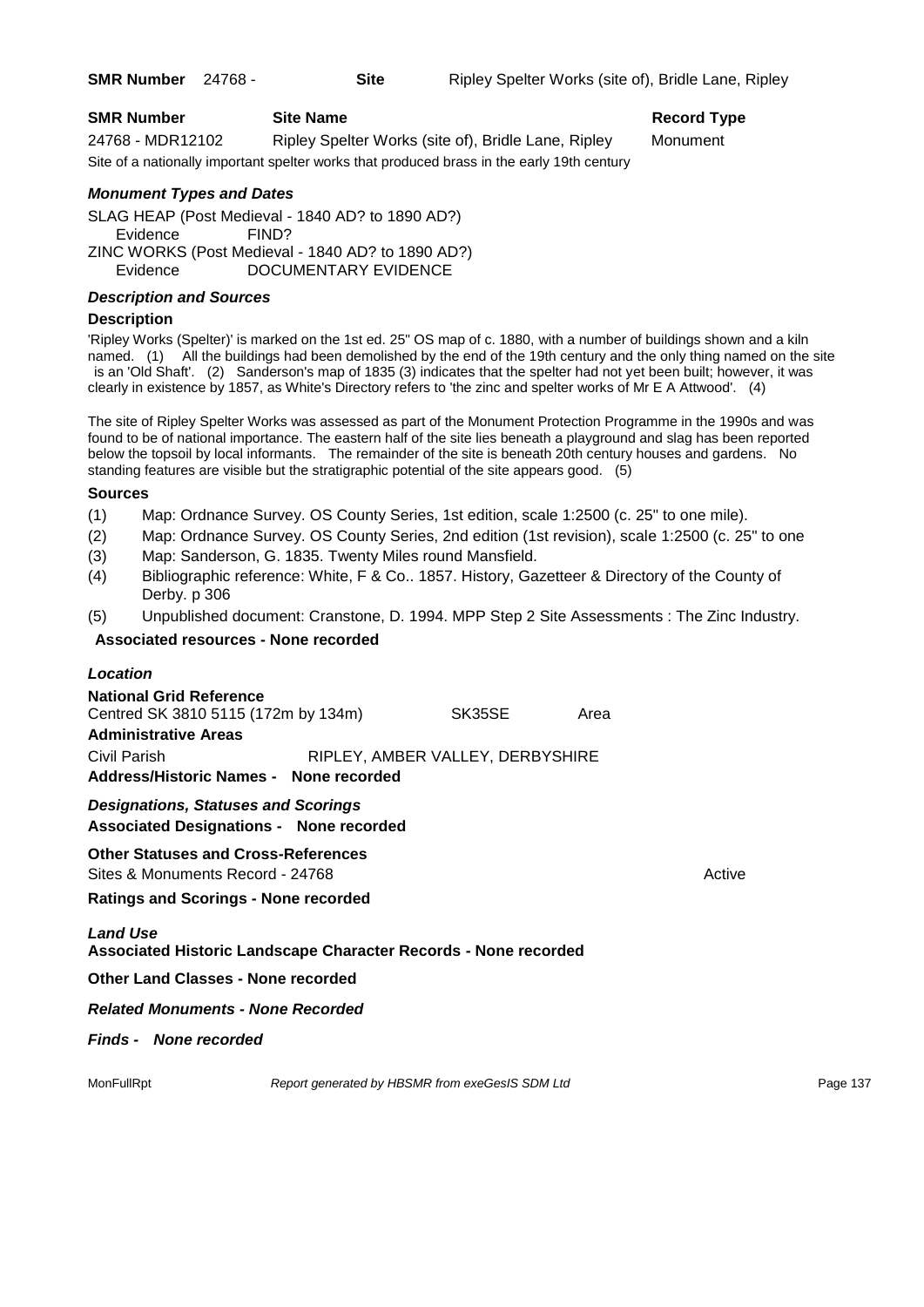| <b>SMR Number</b> | <b>Site Name</b>                                                                           | Record $T1$ |
|-------------------|--------------------------------------------------------------------------------------------|-------------|
| 24768 - MDR12102  | Ripley Spelter Works (site of), Bridle Lane, Ripley                                        | Monument    |
|                   | Site of a nationally important spelter works that produced brass in the early 19th century |             |

# **Record Type**

# *Monument Types and Dates*

SLAG HEAP (Post Medieval - 1840 AD? to 1890 AD?) Evidence FIND? ZINC WORKS (Post Medieval - 1840 AD? to 1890 AD?) Evidence DOCUMENTARY EVIDENCE

# *Description and Sources*

# **Description**

'Ripley Works (Spelter)' is marked on the 1st ed. 25" OS map of c. 1880, with a number of buildings shown and a kiln named. (1) All the buildings had been demolished by the end of the 19th century and the only thing named on the site is an 'Old Shaft'. (2) Sanderson's map of 1835 (3) indicates that the spelter had not yet been built; however, it was clearly in existence by 1857, as White's Directory refers to 'the zinc and spelter works of Mr E A Attwood'. (4)

The site of Ripley Spelter Works was assessed as part of the Monument Protection Programme in the 1990s and was found to be of national importance. The eastern half of the site lies beneath a playground and slag has been reported below the topsoil by local informants. The remainder of the site is beneath 20th century houses and gardens. No standing features are visible but the stratigraphic potential of the site appears good. (5)

# **Sources**

- (1) Map: Ordnance Survey. OS County Series, 1st edition, scale 1:2500 (c. 25" to one mile).
- (2) Map: Ordnance Survey. OS County Series, 2nd edition (1st revision), scale 1:2500 (c. 25" to one
- (3) Map: Sanderson, G. 1835. Twenty Miles round Mansfield.
- (4) Bibliographic reference: White, F & Co.. 1857. History, Gazetteer & Directory of the County of Derby. p 306
- (5) Unpublished document: Cranstone, D. 1994. MPP Step 2 Site Assessments : The Zinc Industry.

# **Associated resources - None recorded**

| Location                                                                                             |                                  |      |        |
|------------------------------------------------------------------------------------------------------|----------------------------------|------|--------|
| <b>National Grid Reference</b><br>Centred SK 3810 5115 (172m by 134m)<br><b>Administrative Areas</b> | SK35SE                           | Area |        |
| Civil Parish<br>Address/Historic Names - None recorded                                               | RIPLEY, AMBER VALLEY, DERBYSHIRE |      |        |
| <b>Designations, Statuses and Scorings</b><br><b>Associated Designations - None recorded</b>         |                                  |      |        |
| <b>Other Statuses and Cross-References</b><br>Sites & Monuments Record - 24768                       |                                  |      | Active |
| <b>Ratings and Scorings - None recorded</b>                                                          |                                  |      |        |
| <b>Land Use</b><br><b>Associated Historic Landscape Character Records - None recorded</b>            |                                  |      |        |
| <b>Other Land Classes - None recorded</b>                                                            |                                  |      |        |
| <b>Related Monuments - None Recorded</b>                                                             |                                  |      |        |
| <b>Finds - None recorded</b>                                                                         |                                  |      |        |

MonFullRpt *Report generated by HBSMR from exeGesIS SDM Ltd Report 137* Page 137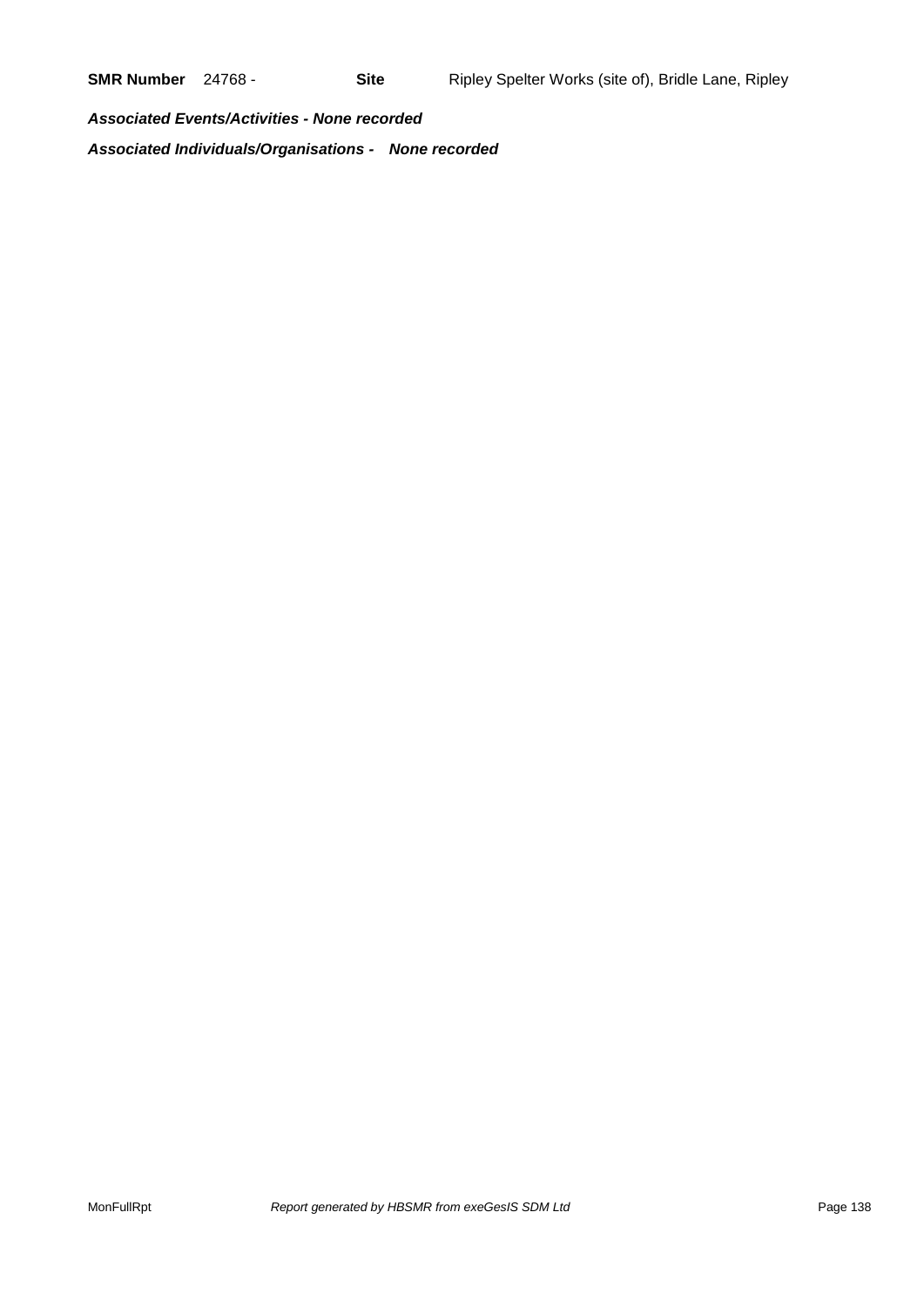*Associated Events/Activities - None recorded Associated Individuals/Organisations - None recorded*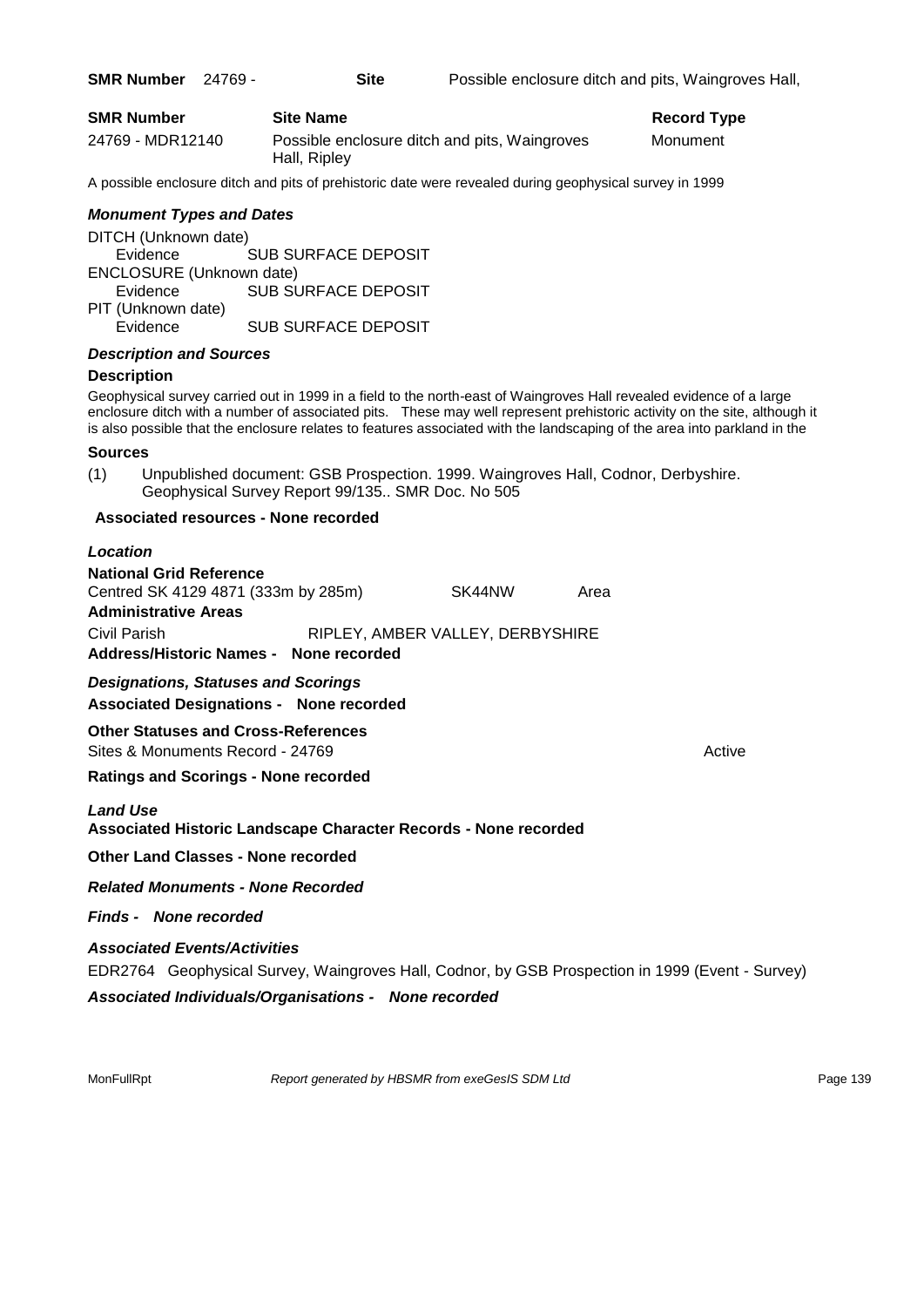| <b>SMR Number</b> |  | 24769 |
|-------------------|--|-------|
|-------------------|--|-------|

| <b>SMR Number</b> | <b>Site Name</b>                                              | Record Type |
|-------------------|---------------------------------------------------------------|-------------|
| 24769 - MDR12140  | Possible enclosure ditch and pits, Waingroves<br>Hall, Ripley | Monument    |

A possible enclosure ditch and pits of prehistoric date were revealed during geophysical survey in 1999

#### *Monument Types and Dates*

DITCH (Unknown date) Evidence SUB SURFACE DEPOSIT ENCLOSURE (Unknown date) Evidence SUB SURFACE DEPOSIT PIT (Unknown date) Evidence SUB SURFACE DEPOSIT

## *Description and Sources*

#### **Description**

Geophysical survey carried out in 1999 in a field to the north-east of Waingroves Hall revealed evidence of a large enclosure ditch with a number of associated pits. These may well represent prehistoric activity on the site, although it is also possible that the enclosure relates to features associated with the landscaping of the area into parkland in the

#### **Sources**

(1) Unpublished document: GSB Prospection. 1999. Waingroves Hall, Codnor, Derbyshire. Geophysical Survey Report 99/135.. SMR Doc. No 505

#### **Associated resources - None recorded**

# *Location*

| <b>National Grid Reference</b>         |                                  |      |
|----------------------------------------|----------------------------------|------|
| Centred SK 4129 4871 (333m by 285m)    | SK44NW                           | Area |
| <b>Administrative Areas</b>            |                                  |      |
| Civil Parish                           | RIPLEY, AMBER VALLEY, DERBYSHIRE |      |
| Address/Historic Names - None recorded |                                  |      |

*Designations, Statuses and Scorings* **Associated Designations - None recorded**

# **Other Statuses and Cross-References**

Sites & Monuments Record - 24769 Active Active Active Active

# **Ratings and Scorings - None recorded**

#### *Land Use*

#### **Associated Historic Landscape Character Records - None recorded**

**Other Land Classes - None recorded**

*Related Monuments - None Recorded*

#### *Finds - None recorded*

#### *Associated Events/Activities*

EDR2764 Geophysical Survey, Waingroves Hall, Codnor, by GSB Prospection in 1999 (Event - Survey)

*Associated Individuals/Organisations - None recorded*

MonFullRpt *Report generated by HBSMR from exeGesIS SDM Ltd Report 139* Page 139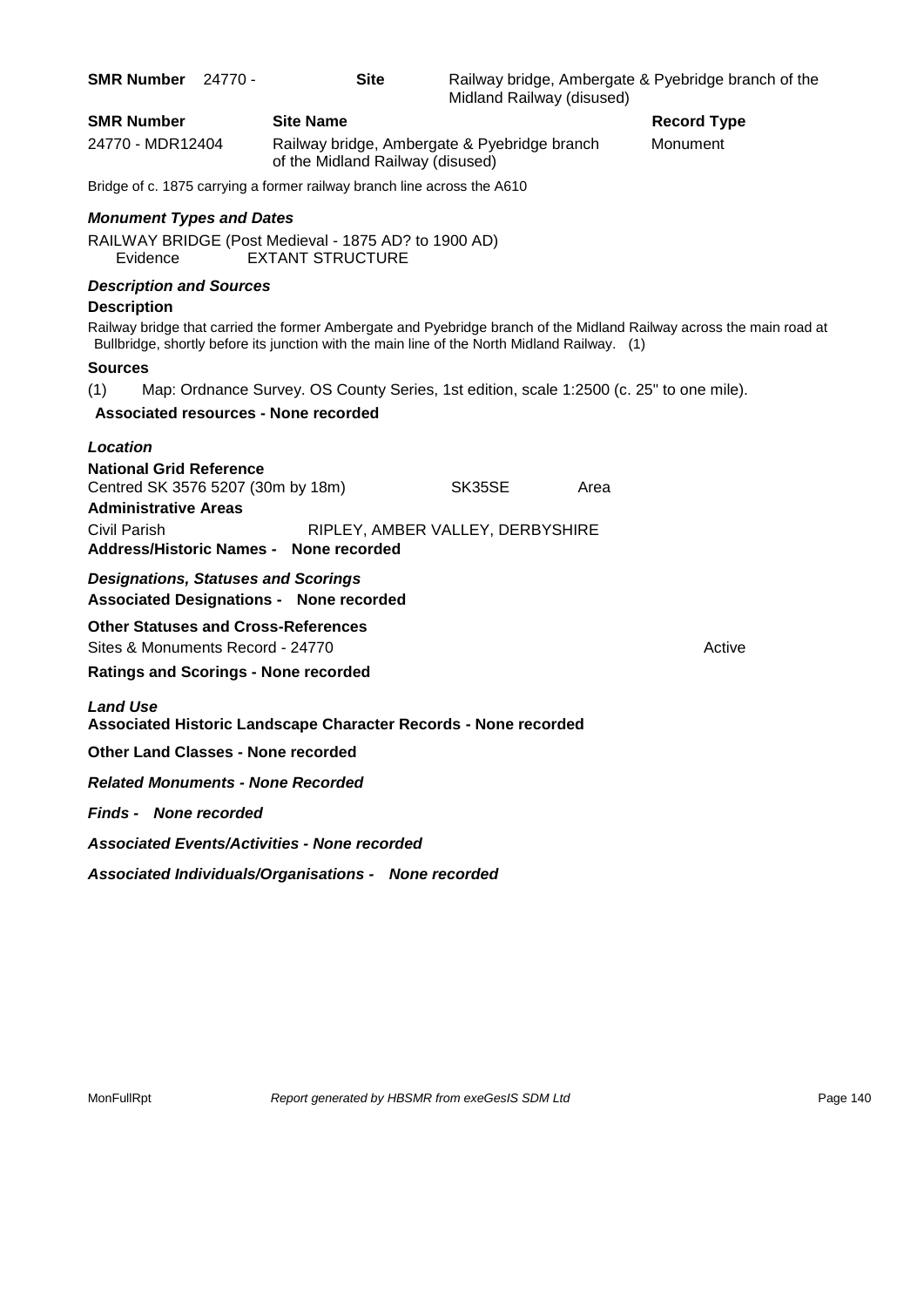| <b>SMR Number</b>                                                                                  | - 24770 | <b>Site</b>                                                                                  | Midland Railway (disused) |      | Railway bridge, Ambergate & Pyebridge branch of the                                                                  |
|----------------------------------------------------------------------------------------------------|---------|----------------------------------------------------------------------------------------------|---------------------------|------|----------------------------------------------------------------------------------------------------------------------|
| <b>SMR Number</b>                                                                                  |         | <b>Site Name</b>                                                                             |                           |      | <b>Record Type</b>                                                                                                   |
| 24770 - MDR12404                                                                                   |         | Railway bridge, Ambergate & Pyebridge branch<br>of the Midland Railway (disused)             |                           |      | Monument                                                                                                             |
|                                                                                                    |         | Bridge of c. 1875 carrying a former railway branch line across the A610                      |                           |      |                                                                                                                      |
| <b>Monument Types and Dates</b>                                                                    |         |                                                                                              |                           |      |                                                                                                                      |
| Evidence                                                                                           |         | RAILWAY BRIDGE (Post Medieval - 1875 AD? to 1900 AD)<br><b>EXTANT STRUCTURE</b>              |                           |      |                                                                                                                      |
| <b>Description and Sources</b><br><b>Description</b>                                               |         |                                                                                              |                           |      |                                                                                                                      |
|                                                                                                    |         | Bullbridge, shortly before its junction with the main line of the North Midland Railway. (1) |                           |      | Railway bridge that carried the former Ambergate and Pyebridge branch of the Midland Railway across the main road at |
| <b>Sources</b>                                                                                     |         |                                                                                              |                           |      |                                                                                                                      |
| (1)                                                                                                |         | Map: Ordnance Survey. OS County Series, 1st edition, scale 1:2500 (c. 25" to one mile).      |                           |      |                                                                                                                      |
|                                                                                                    |         | <b>Associated resources - None recorded</b>                                                  |                           |      |                                                                                                                      |
| Location                                                                                           |         |                                                                                              |                           |      |                                                                                                                      |
| <b>National Grid Reference</b><br>Centred SK 3576 5207 (30m by 18m)<br><b>Administrative Areas</b> |         |                                                                                              | SK35SE                    | Area |                                                                                                                      |
| <b>Civil Parish</b>                                                                                |         | RIPLEY, AMBER VALLEY, DERBYSHIRE                                                             |                           |      |                                                                                                                      |
|                                                                                                    |         | Address/Historic Names - None recorded                                                       |                           |      |                                                                                                                      |
| <b>Designations, Statuses and Scorings</b>                                                         |         | <b>Associated Designations - None recorded</b>                                               |                           |      |                                                                                                                      |
| <b>Other Statuses and Cross-References</b><br>Sites & Monuments Record - 24770                     |         |                                                                                              |                           |      | Active                                                                                                               |
| <b>Ratings and Scorings - None recorded</b>                                                        |         |                                                                                              |                           |      |                                                                                                                      |
| <b>Land Use</b>                                                                                    |         | Associated Historic Landscape Character Records - None recorded                              |                           |      |                                                                                                                      |
| <b>Other Land Classes - None recorded</b>                                                          |         |                                                                                              |                           |      |                                                                                                                      |
| <b>Related Monuments - None Recorded</b>                                                           |         |                                                                                              |                           |      |                                                                                                                      |
| <b>Finds - None recorded</b>                                                                       |         |                                                                                              |                           |      |                                                                                                                      |
|                                                                                                    |         | <b>Associated Events/Activities - None recorded</b>                                          |                           |      |                                                                                                                      |
|                                                                                                    |         | Associated Individuals/Organisations - None recorded                                         |                           |      |                                                                                                                      |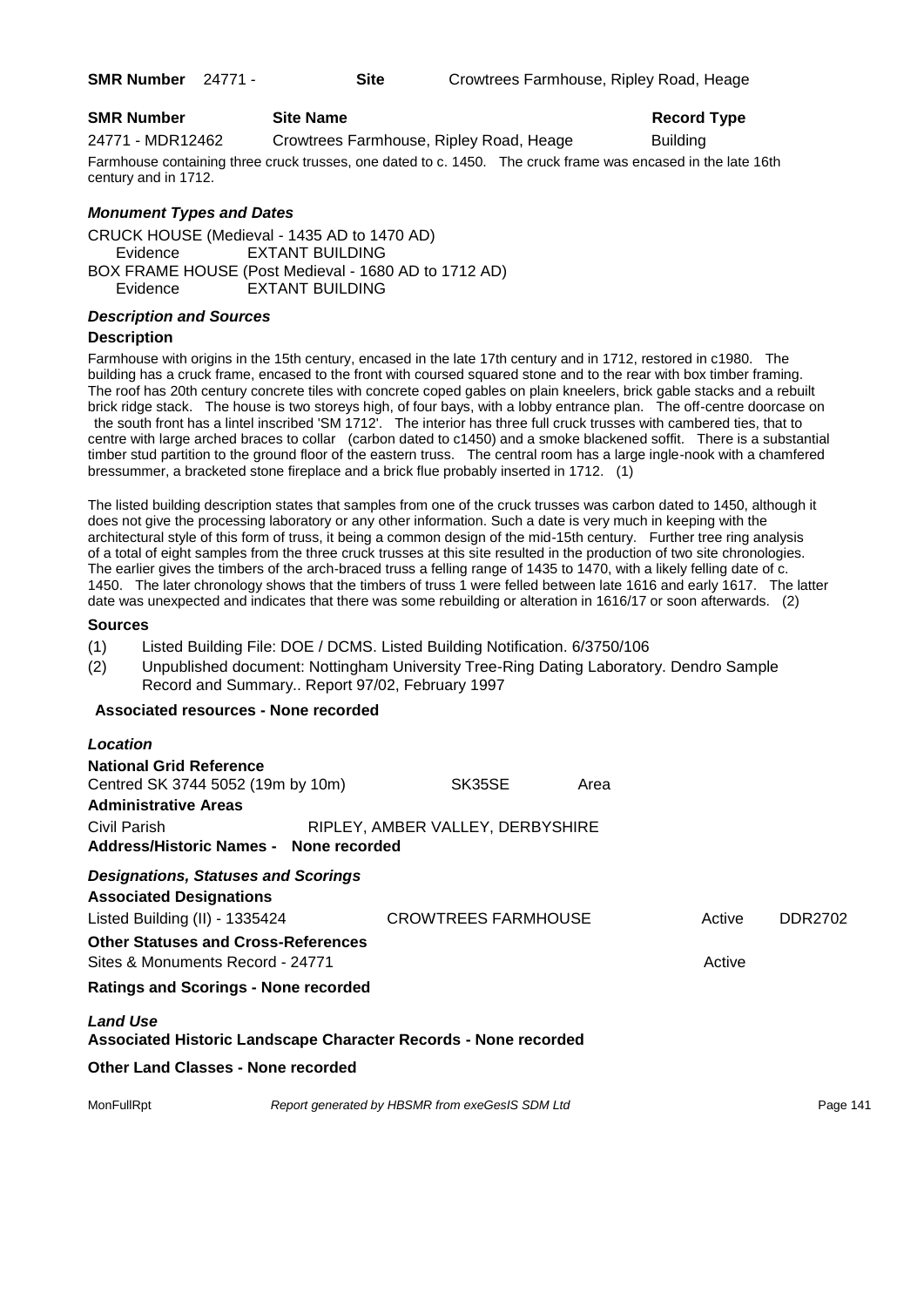**SMR Number** 24771 - **Site** Crowtrees Farmhouse, Ripley Road, Heage

# **SMR Number Site Name Record Type Record Type**

24771 - MDR12462 Crowtrees Farmhouse, Ripley Road, Heage Building

Farmhouse containing three cruck trusses, one dated to c. 1450. The cruck frame was encased in the late 16th century and in 1712.

# *Monument Types and Dates*

CRUCK HOUSE (Medieval - 1435 AD to 1470 AD) Evidence EXTANT BUILDING BOX FRAME HOUSE (Post Medieval - 1680 AD to 1712 AD) Evidence EXTANT BUILDING

# *Description and Sources*

# **Description**

Farmhouse with origins in the 15th century, encased in the late 17th century and in 1712, restored in c1980. The building has a cruck frame, encased to the front with coursed squared stone and to the rear with box timber framing. The roof has 20th century concrete tiles with concrete coped gables on plain kneelers, brick gable stacks and a rebuilt brick ridge stack. The house is two storeys high, of four bays, with a lobby entrance plan. The off-centre doorcase on the south front has a lintel inscribed 'SM 1712'. The interior has three full cruck trusses with cambered ties, that to centre with large arched braces to collar (carbon dated to c1450) and a smoke blackened soffit. There is a substantial timber stud partition to the ground floor of the eastern truss. The central room has a large ingle-nook with a chamfered bressummer, a bracketed stone fireplace and a brick flue probably inserted in 1712. (1)

The listed building description states that samples from one of the cruck trusses was carbon dated to 1450, although it does not give the processing laboratory or any other information. Such a date is very much in keeping with the architectural style of this form of truss, it being a common design of the mid-15th century. Further tree ring analysis of a total of eight samples from the three cruck trusses at this site resulted in the production of two site chronologies. The earlier gives the timbers of the arch-braced truss a felling range of 1435 to 1470, with a likely felling date of c. 1450. The later chronology shows that the timbers of truss 1 were felled between late 1616 and early 1617. The latter date was unexpected and indicates that there was some rebuilding or alteration in 1616/17 or soon afterwards. (2)

#### **Sources**

- (1) Listed Building File: DOE / DCMS. Listed Building Notification. 6/3750/106
- (2) Unpublished document: Nottingham University Tree-Ring Dating Laboratory. Dendro Sample Record and Summary.. Report 97/02, February 1997

#### **Associated resources - None recorded**

| Location                                                                                           |  |                                                 |        |        |          |
|----------------------------------------------------------------------------------------------------|--|-------------------------------------------------|--------|--------|----------|
| <b>National Grid Reference</b><br>Centred SK 3744 5052 (19m by 10m)<br><b>Administrative Areas</b> |  | SK35SE                                          | Area   |        |          |
| Civil Parish<br>Address/Historic Names - None recorded                                             |  | RIPLEY, AMBER VALLEY, DERBYSHIRE                |        |        |          |
| <b>Designations, Statuses and Scorings</b>                                                         |  |                                                 |        |        |          |
| <b>Associated Designations</b>                                                                     |  |                                                 |        |        |          |
| Listed Building (II) - 1335424                                                                     |  | <b>CROWTREES FARMHOUSE</b>                      |        | Active | DDR2702  |
| <b>Other Statuses and Cross-References</b><br>Sites & Monuments Record - 24771                     |  |                                                 | Active |        |          |
| <b>Ratings and Scorings - None recorded</b>                                                        |  |                                                 |        |        |          |
| <b>Land Use</b><br>Associated Historic Landscape Character Records - None recorded                 |  |                                                 |        |        |          |
| <b>Other Land Classes - None recorded</b>                                                          |  |                                                 |        |        |          |
| MonFullRpt                                                                                         |  | Report generated by HBSMR from exeGesIS SDM Ltd |        |        | Page 141 |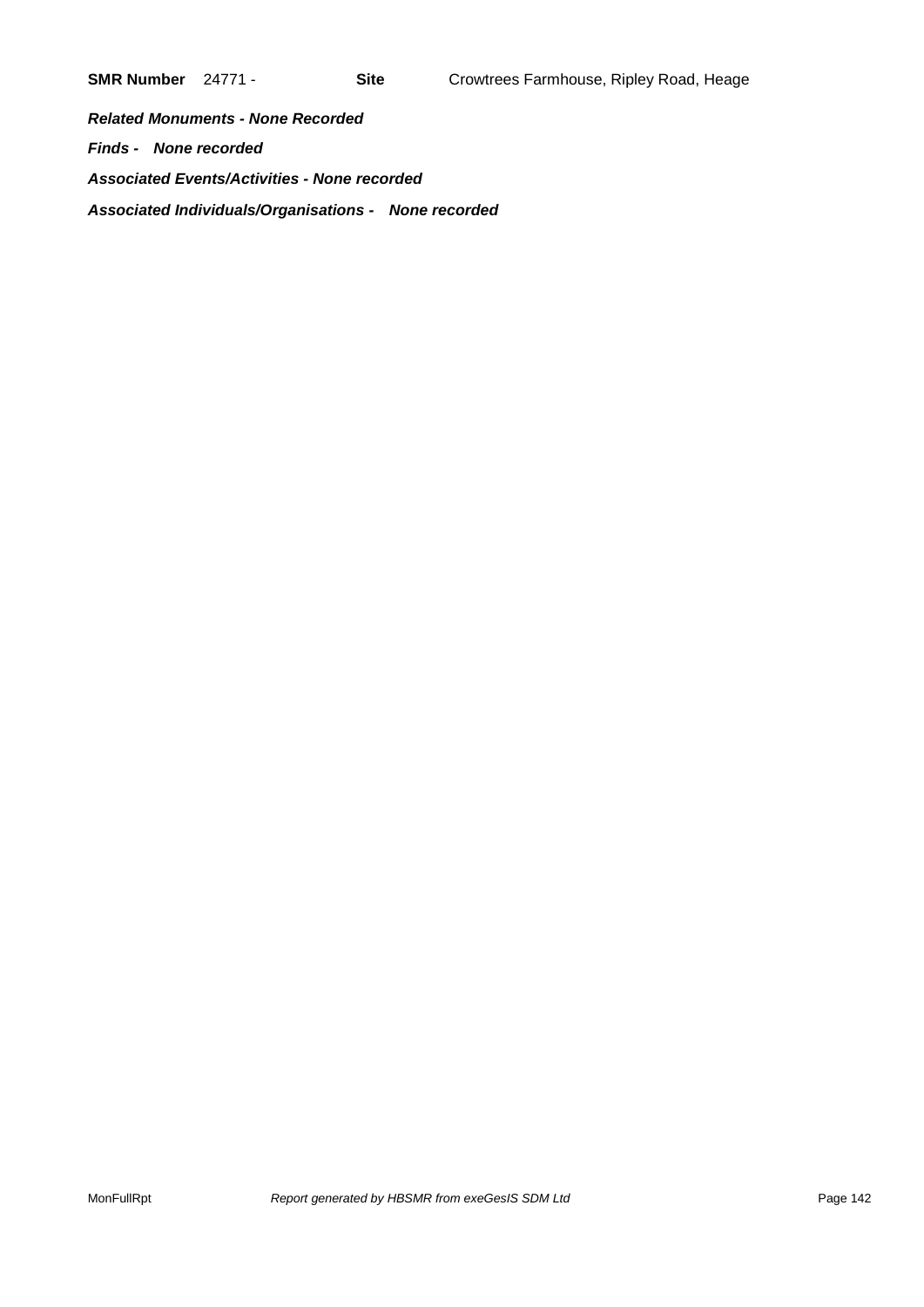*Related Monuments - None Recorded Finds - None recorded Associated Events/Activities - None recorded Associated Individuals/Organisations - None recorded*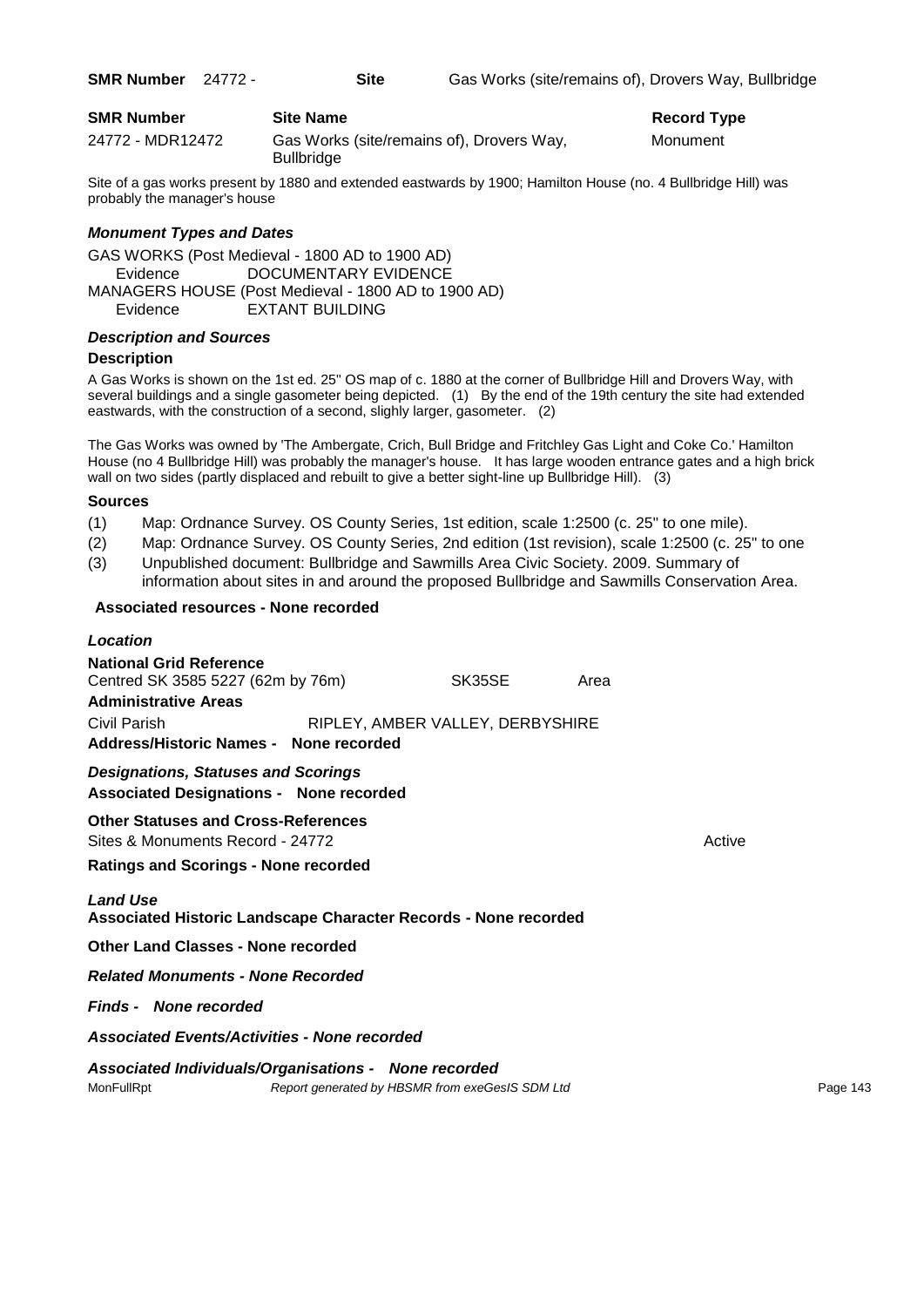| <b>SMR Number</b> | <b>Site Name</b>                                               | Record $T1$ |
|-------------------|----------------------------------------------------------------|-------------|
| 24772 - MDR12472  | Gas Works (site/remains of), Drovers Way,<br><b>Bullbridge</b> | Monument    |

**Record Type** 

Site of a gas works present by 1880 and extended eastwards by 1900; Hamilton House (no. 4 Bullbridge Hill) was probably the manager's house

# *Monument Types and Dates*

GAS WORKS (Post Medieval - 1800 AD to 1900 AD) Evidence DOCUMENTARY EVIDENCE MANAGERS HOUSE (Post Medieval - 1800 AD to 1900 AD) Evidence EXTANT BUILDING

# *Description and Sources*

# **Description**

A Gas Works is shown on the 1st ed. 25" OS map of c. 1880 at the corner of Bullbridge Hill and Drovers Way, with several buildings and a single gasometer being depicted. (1) By the end of the 19th century the site had extended eastwards, with the construction of a second, slighly larger, gasometer. (2)

The Gas Works was owned by 'The Ambergate, Crich, Bull Bridge and Fritchley Gas Light and Coke Co.' Hamilton House (no 4 Bullbridge Hill) was probably the manager's house. It has large wooden entrance gates and a high brick wall on two sides (partly displaced and rebuilt to give a better sight-line up Bullbridge Hill). (3)

#### **Sources**

- (1) Map: Ordnance Survey. OS County Series, 1st edition, scale 1:2500 (c. 25" to one mile).
- (2) Map: Ordnance Survey. OS County Series, 2nd edition (1st revision), scale 1:2500 (c. 25" to one
- (3) Unpublished document: Bullbridge and Sawmills Area Civic Society. 2009. Summary of information about sites in and around the proposed Bullbridge and Sawmills Conservation Area.

# **Associated resources - None recorded**

| Location                                                                                     |  |                                                 |      |        |          |
|----------------------------------------------------------------------------------------------|--|-------------------------------------------------|------|--------|----------|
| <b>National Grid Reference</b><br>Centred SK 3585 5227 (62m by 76m)                          |  | SK35SE                                          | Area |        |          |
| <b>Administrative Areas</b>                                                                  |  |                                                 |      |        |          |
| Civil Parish<br>Address/Historic Names - None recorded                                       |  | RIPLEY, AMBER VALLEY, DERBYSHIRE                |      |        |          |
| <b>Designations, Statuses and Scorings</b><br><b>Associated Designations - None recorded</b> |  |                                                 |      |        |          |
| <b>Other Statuses and Cross-References</b><br>Sites & Monuments Record - 24772               |  |                                                 |      | Active |          |
| <b>Ratings and Scorings - None recorded</b>                                                  |  |                                                 |      |        |          |
| <b>Land Use</b><br>Associated Historic Landscape Character Records - None recorded           |  |                                                 |      |        |          |
| Other Land Classes - None recorded                                                           |  |                                                 |      |        |          |
| <b>Related Monuments - None Recorded</b>                                                     |  |                                                 |      |        |          |
| <b>Finds - None recorded</b>                                                                 |  |                                                 |      |        |          |
| <b>Associated Events/Activities - None recorded</b>                                          |  |                                                 |      |        |          |
| Associated Individuals/Organisations - None recorded<br>MonFullRpt                           |  | Report generated by HBSMR from exeGesIS SDM Ltd |      |        | Page 143 |
|                                                                                              |  |                                                 |      |        |          |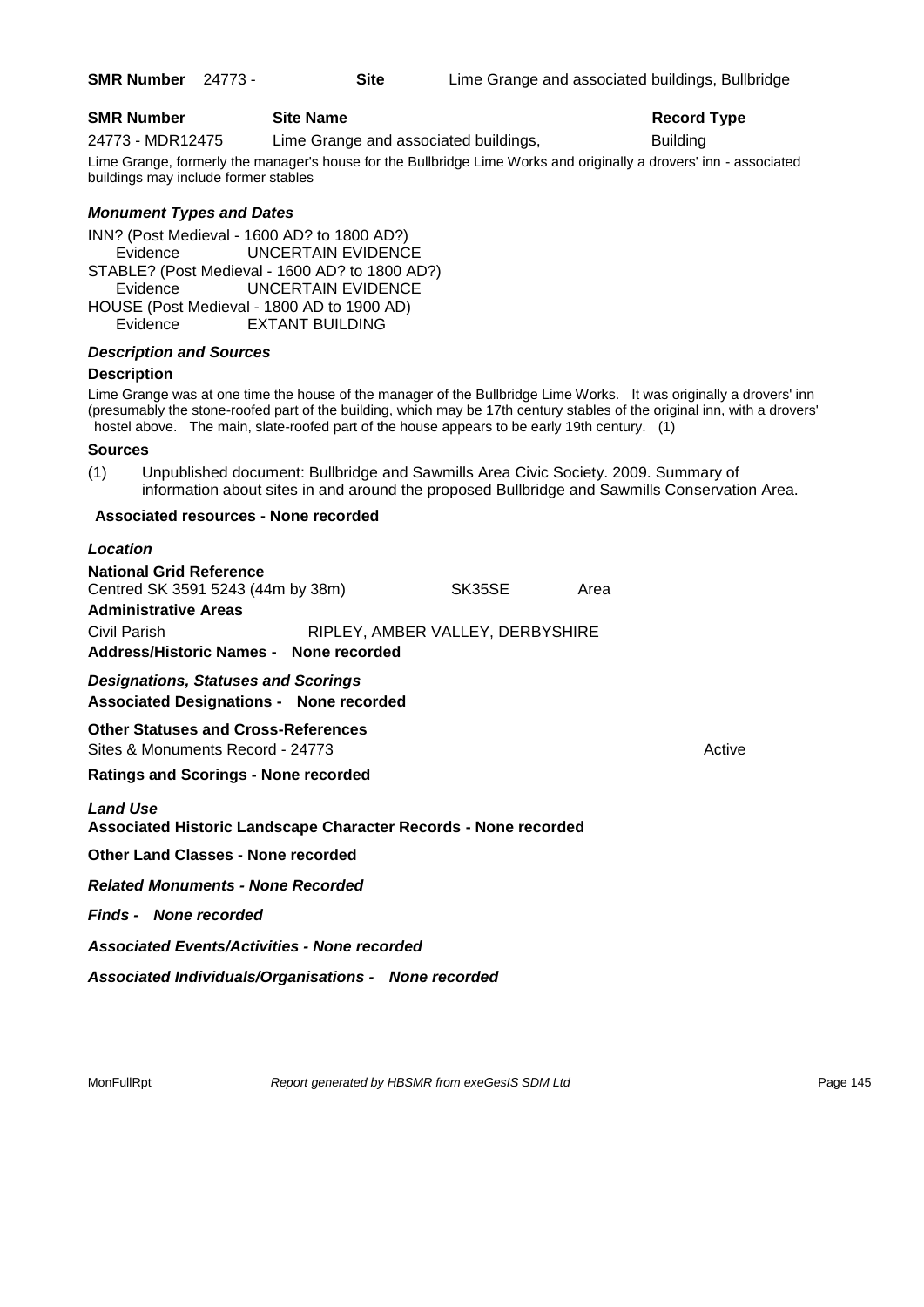## **SMR Number Site Name Record Type Record Type**

24773 - MDR12475 Lime Grange and associated buildings, Building

Lime Grange, formerly the manager's house for the Bullbridge Lime Works and originally a drovers' inn - associated buildings may include former stables

## *Monument Types and Dates*

INN? (Post Medieval - 1600 AD? to 1800 AD?) Evidence UNCERTAIN EVIDENCE STABLE? (Post Medieval - 1600 AD? to 1800 AD?) Evidence UNCERTAIN EVIDENCE HOUSE (Post Medieval - 1800 AD to 1900 AD) Evidence EXTANT BUILDING

## *Description and Sources*

## **Description**

Lime Grange was at one time the house of the manager of the Bullbridge Lime Works. It was originally a drovers' inn (presumably the stone-roofed part of the building, which may be 17th century stables of the original inn, with a drovers' hostel above. The main, slate-roofed part of the house appears to be early 19th century. (1)

#### **Sources**

(1) Unpublished document: Bullbridge and Sawmills Area Civic Society. 2009. Summary of information about sites in and around the proposed Bullbridge and Sawmills Conservation Area.

## **Associated resources - None recorded**

#### *Location*

| <b>National Grid Reference</b>         |                                  |      |
|----------------------------------------|----------------------------------|------|
| Centred SK 3591 5243 (44m by 38m)      | SK35SE                           | Area |
| <b>Administrative Areas</b>            |                                  |      |
| Civil Parish                           | RIPLEY, AMBER VALLEY, DERBYSHIRE |      |
| Address/Historic Names - None recorded |                                  |      |
|                                        |                                  |      |

*Designations, Statuses and Scorings* **Associated Designations - None recorded**

**Other Statuses and Cross-References** Sites & Monuments Record - 24773 Active Active Active Active

**Ratings and Scorings - None recorded**

## *Land Use*

**Associated Historic Landscape Character Records - None recorded**

**Other Land Classes - None recorded**

*Related Monuments - None Recorded*

*Finds - None recorded*

*Associated Events/Activities - None recorded*

*Associated Individuals/Organisations - None recorded*

MonFullRpt *Report generated by HBSMR from exeGesIS SDM Ltd Report 145*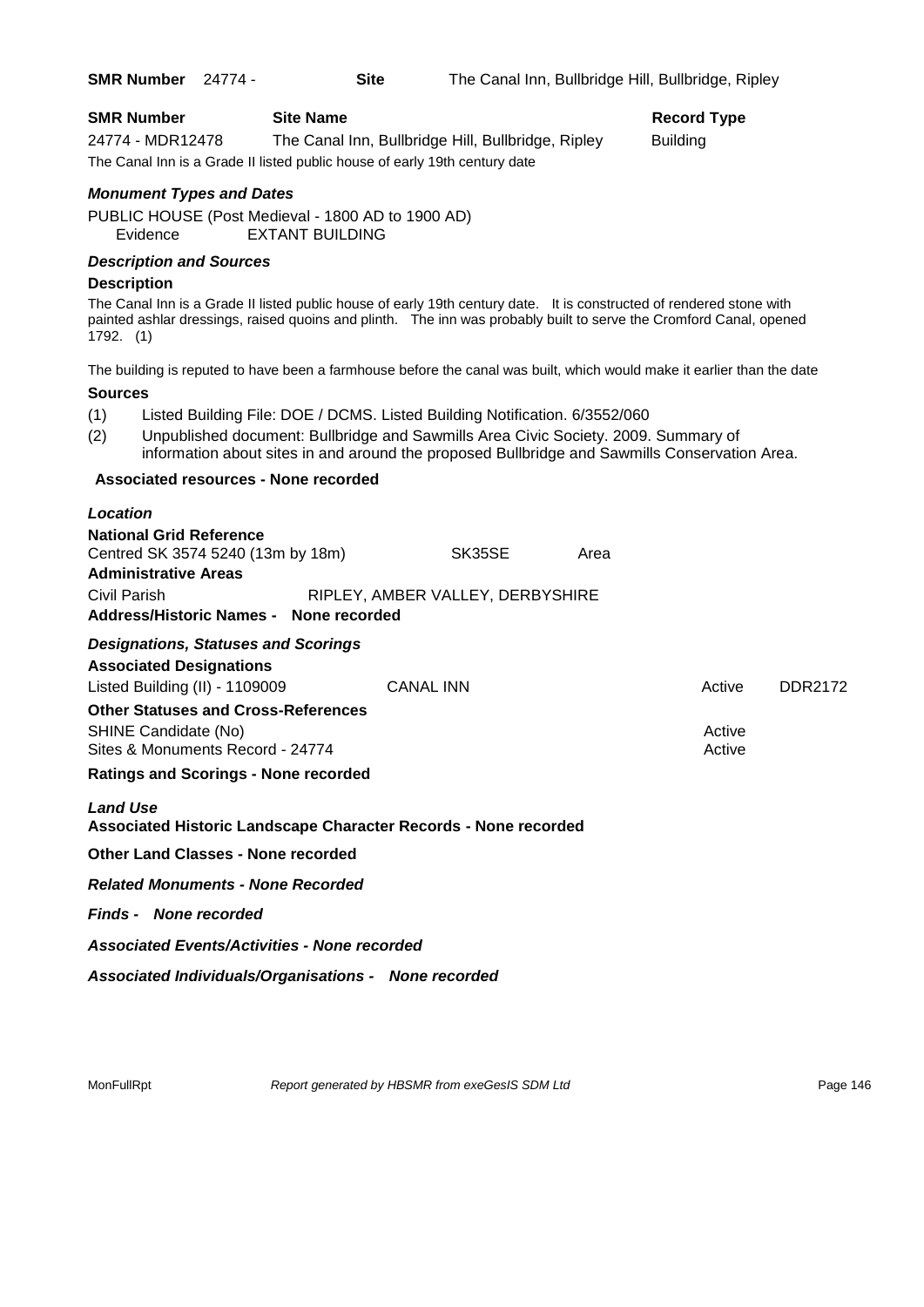| <b>SMR Number</b> 24774 -                                                                          | <b>Site</b>                                                                                                                                                      |                                  |      | The Canal Inn, Bullbridge Hill, Bullbridge, Ripley                                                                                                                                                                                         |
|----------------------------------------------------------------------------------------------------|------------------------------------------------------------------------------------------------------------------------------------------------------------------|----------------------------------|------|--------------------------------------------------------------------------------------------------------------------------------------------------------------------------------------------------------------------------------------------|
| <b>SMR Number</b><br>24774 - MDR12478                                                              | <b>Site Name</b><br>The Canal Inn, Bullbridge Hill, Bullbridge, Ripley<br>The Canal Inn is a Grade II listed public house of early 19th century date             |                                  |      | <b>Record Type</b><br><b>Building</b>                                                                                                                                                                                                      |
| <b>Monument Types and Dates</b><br>Evidence                                                        | PUBLIC HOUSE (Post Medieval - 1800 AD to 1900 AD)<br><b>EXTANT BUILDING</b>                                                                                      |                                  |      |                                                                                                                                                                                                                                            |
| <b>Description and Sources</b><br><b>Description</b><br>$1792.$ (1)                                |                                                                                                                                                                  |                                  |      | The Canal Inn is a Grade II listed public house of early 19th century date. It is constructed of rendered stone with<br>painted ashlar dressings, raised quoins and plinth. The inn was probably built to serve the Cromford Canal, opened |
|                                                                                                    |                                                                                                                                                                  |                                  |      | The building is reputed to have been a farmhouse before the canal was built, which would make it earlier than the date                                                                                                                     |
| <b>Sources</b>                                                                                     |                                                                                                                                                                  |                                  |      |                                                                                                                                                                                                                                            |
| (1)<br>(2)                                                                                         | Listed Building File: DOE / DCMS. Listed Building Notification. 6/3552/060<br>Unpublished document: Bullbridge and Sawmills Area Civic Society. 2009. Summary of |                                  |      | information about sites in and around the proposed Bullbridge and Sawmills Conservation Area.                                                                                                                                              |
| Associated resources - None recorded                                                               |                                                                                                                                                                  |                                  |      |                                                                                                                                                                                                                                            |
| Location                                                                                           |                                                                                                                                                                  |                                  |      |                                                                                                                                                                                                                                            |
| <b>National Grid Reference</b><br>Centred SK 3574 5240 (13m by 18m)<br><b>Administrative Areas</b> |                                                                                                                                                                  | SK35SE                           | Area |                                                                                                                                                                                                                                            |
| Civil Parish                                                                                       |                                                                                                                                                                  | RIPLEY, AMBER VALLEY, DERBYSHIRE |      |                                                                                                                                                                                                                                            |

**Address/Historic Names - None recorded**

| <b>Designations, Statuses and Scorings</b><br><b>Associated Designations</b>                           |                  |                  |         |
|--------------------------------------------------------------------------------------------------------|------------------|------------------|---------|
| Listed Building $(II)$ - 1109009                                                                       | <b>CANAL INN</b> | Active           | DDR2172 |
| <b>Other Statuses and Cross-References</b><br>SHINE Candidate (No)<br>Sites & Monuments Record - 24774 |                  | Active<br>Active |         |
| <b>Ratings and Scorings - None recorded</b>                                                            |                  |                  |         |
| <b>Land Use</b><br>Associated Historic Landscape Character Records - None recorded                     |                  |                  |         |
| <b>Other Land Classes - None recorded</b>                                                              |                  |                  |         |
| <b>Related Monuments - None Recorded</b>                                                               |                  |                  |         |
| <b>Finds - None recorded</b>                                                                           |                  |                  |         |
| <b>Associated Events/Activities - None recorded</b>                                                    |                  |                  |         |
| Associated Individuals/Organisations - None recorded                                                   |                  |                  |         |

MonFullRpt *Report generated by HBSMR from exeGesIS SDM Ltd Rage* **146** Page 146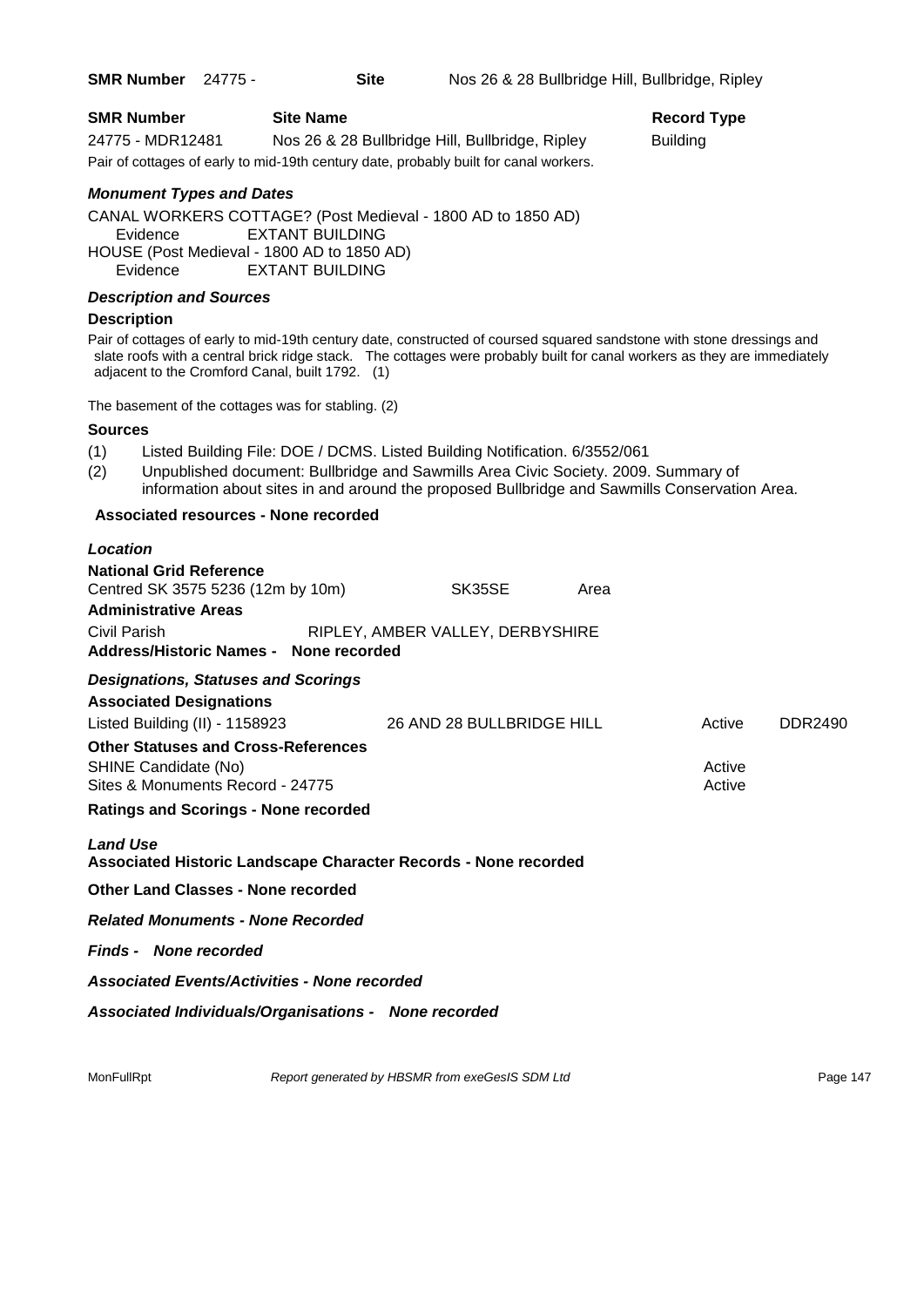| <b>SMR Number</b> | <b>Site Name</b>                                                                      | Record          |
|-------------------|---------------------------------------------------------------------------------------|-----------------|
| 24775 - MDR12481  | Nos 26 & 28 Bullbridge Hill, Bullbridge, Ripley                                       | <b>Building</b> |
|                   | Pair of cottages of early to mid-19th century date, probably built for canal workers. |                 |

## *Monument Types and Dates*

CANAL WORKERS COTTAGE? (Post Medieval - 1800 AD to 1850 AD) Evidence EXTANT BUILDING HOUSE (Post Medieval - 1800 AD to 1850 AD) Evidence EXTANT BUILDING

## *Description and Sources*

#### **Description**

Pair of cottages of early to mid-19th century date, constructed of coursed squared sandstone with stone dressings and slate roofs with a central brick ridge stack. The cottages were probably built for canal workers as they are immediately adjacent to the Cromford Canal, built 1792. (1)

The basement of the cottages was for stabling. (2)

#### **Sources**

- (1) Listed Building File: DOE / DCMS. Listed Building Notification. 6/3552/061
- (2) Unpublished document: Bullbridge and Sawmills Area Civic Society. 2009. Summary of information about sites in and around the proposed Bullbridge and Sawmills Conservation Area.

#### **Associated resources - None recorded**

| Location                                                                                               |                                  |      |                  |         |
|--------------------------------------------------------------------------------------------------------|----------------------------------|------|------------------|---------|
| <b>National Grid Reference</b><br>Centred SK 3575 5236 (12m by 10m)                                    | SK35SE                           | Area |                  |         |
| <b>Administrative Areas</b>                                                                            |                                  |      |                  |         |
| Civil Parish                                                                                           | RIPLEY, AMBER VALLEY, DERBYSHIRE |      |                  |         |
| Address/Historic Names - None recorded                                                                 |                                  |      |                  |         |
| <b>Designations, Statuses and Scorings</b><br><b>Associated Designations</b>                           |                                  |      |                  |         |
| Listed Building (II) - 1158923                                                                         | 26 AND 28 BULLBRIDGE HILL        |      | Active           | DDR2490 |
| <b>Other Statuses and Cross-References</b><br>SHINE Candidate (No)<br>Sites & Monuments Record - 24775 |                                  |      | Active<br>Active |         |
| <b>Ratings and Scorings - None recorded</b>                                                            |                                  |      |                  |         |
| <b>Land Use</b><br>Associated Historic Landscape Character Records - None recorded                     |                                  |      |                  |         |
| <b>Other Land Classes - None recorded</b>                                                              |                                  |      |                  |         |
| <b>Related Monuments - None Recorded</b>                                                               |                                  |      |                  |         |
| <b>Finds - None recorded</b>                                                                           |                                  |      |                  |         |
| <b>Associated Events/Activities - None recorded</b>                                                    |                                  |      |                  |         |
| Associated Individuals/Organisations - None recorded                                                   |                                  |      |                  |         |

MonFullRpt *Report generated by HBSMR from exeGesIS SDM Ltd Rage 147* Page 147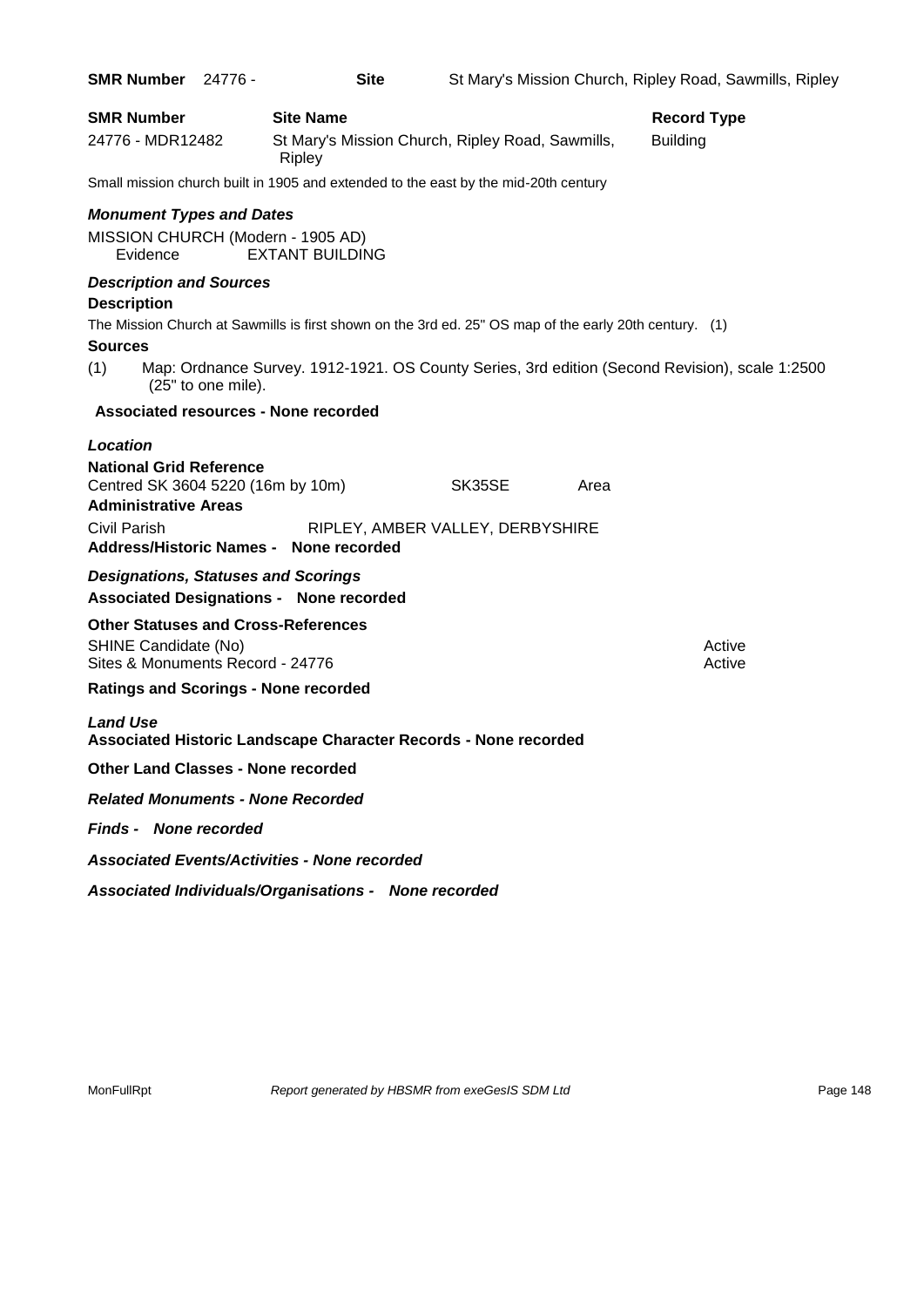| <b>SMR Number</b> 24776 -                            |                    | <b>Site</b>                                          |                                                                                                        |      | St Mary's Mission Church, Ripley Road, Sawmills, Ripley                                        |
|------------------------------------------------------|--------------------|------------------------------------------------------|--------------------------------------------------------------------------------------------------------|------|------------------------------------------------------------------------------------------------|
| <b>SMR Number</b>                                    |                    | <b>Site Name</b>                                     |                                                                                                        |      | <b>Record Type</b>                                                                             |
| 24776 - MDR12482                                     |                    | Ripley                                               | St Mary's Mission Church, Ripley Road, Sawmills,                                                       |      | <b>Building</b>                                                                                |
|                                                      |                    |                                                      | Small mission church built in 1905 and extended to the east by the mid-20th century                    |      |                                                                                                |
| <b>Monument Types and Dates</b>                      |                    |                                                      |                                                                                                        |      |                                                                                                |
| MISSION CHURCH (Modern - 1905 AD)<br>Evidence        |                    | <b>EXTANT BUILDING</b>                               |                                                                                                        |      |                                                                                                |
| <b>Description and Sources</b><br><b>Description</b> |                    |                                                      |                                                                                                        |      |                                                                                                |
|                                                      |                    |                                                      | The Mission Church at Sawmills is first shown on the 3rd ed. 25" OS map of the early 20th century. (1) |      |                                                                                                |
| <b>Sources</b>                                       |                    |                                                      |                                                                                                        |      |                                                                                                |
| (1)                                                  | (25" to one mile). |                                                      |                                                                                                        |      | Map: Ordnance Survey. 1912-1921. OS County Series, 3rd edition (Second Revision), scale 1:2500 |
|                                                      |                    | Associated resources - None recorded                 |                                                                                                        |      |                                                                                                |
| Location                                             |                    |                                                      |                                                                                                        |      |                                                                                                |
| <b>National Grid Reference</b>                       |                    |                                                      |                                                                                                        |      |                                                                                                |
| Centred SK 3604 5220 (16m by 10m)                    |                    |                                                      | SK35SE                                                                                                 | Area |                                                                                                |
| <b>Administrative Areas</b>                          |                    |                                                      |                                                                                                        |      |                                                                                                |
| Civil Parish                                         |                    |                                                      | RIPLEY, AMBER VALLEY, DERBYSHIRE                                                                       |      |                                                                                                |
|                                                      |                    | Address/Historic Names - None recorded               |                                                                                                        |      |                                                                                                |
| <b>Designations, Statuses and Scorings</b>           |                    | <b>Associated Designations - None recorded</b>       |                                                                                                        |      |                                                                                                |
| <b>Other Statuses and Cross-References</b>           |                    |                                                      |                                                                                                        |      |                                                                                                |
| SHINE Candidate (No)                                 |                    |                                                      |                                                                                                        |      | Active                                                                                         |
| Sites & Monuments Record - 24776                     |                    |                                                      |                                                                                                        |      | Active                                                                                         |
| <b>Ratings and Scorings - None recorded</b>          |                    |                                                      |                                                                                                        |      |                                                                                                |
| <b>Land Use</b>                                      |                    |                                                      | Associated Historic Landscape Character Records - None recorded                                        |      |                                                                                                |
| <b>Other Land Classes - None recorded</b>            |                    |                                                      |                                                                                                        |      |                                                                                                |
| <b>Related Monuments - None Recorded</b>             |                    |                                                      |                                                                                                        |      |                                                                                                |
| <b>Finds - None recorded</b>                         |                    |                                                      |                                                                                                        |      |                                                                                                |
|                                                      |                    | <b>Associated Events/Activities - None recorded</b>  |                                                                                                        |      |                                                                                                |
|                                                      |                    | Associated Individuals/Organisations - None recorded |                                                                                                        |      |                                                                                                |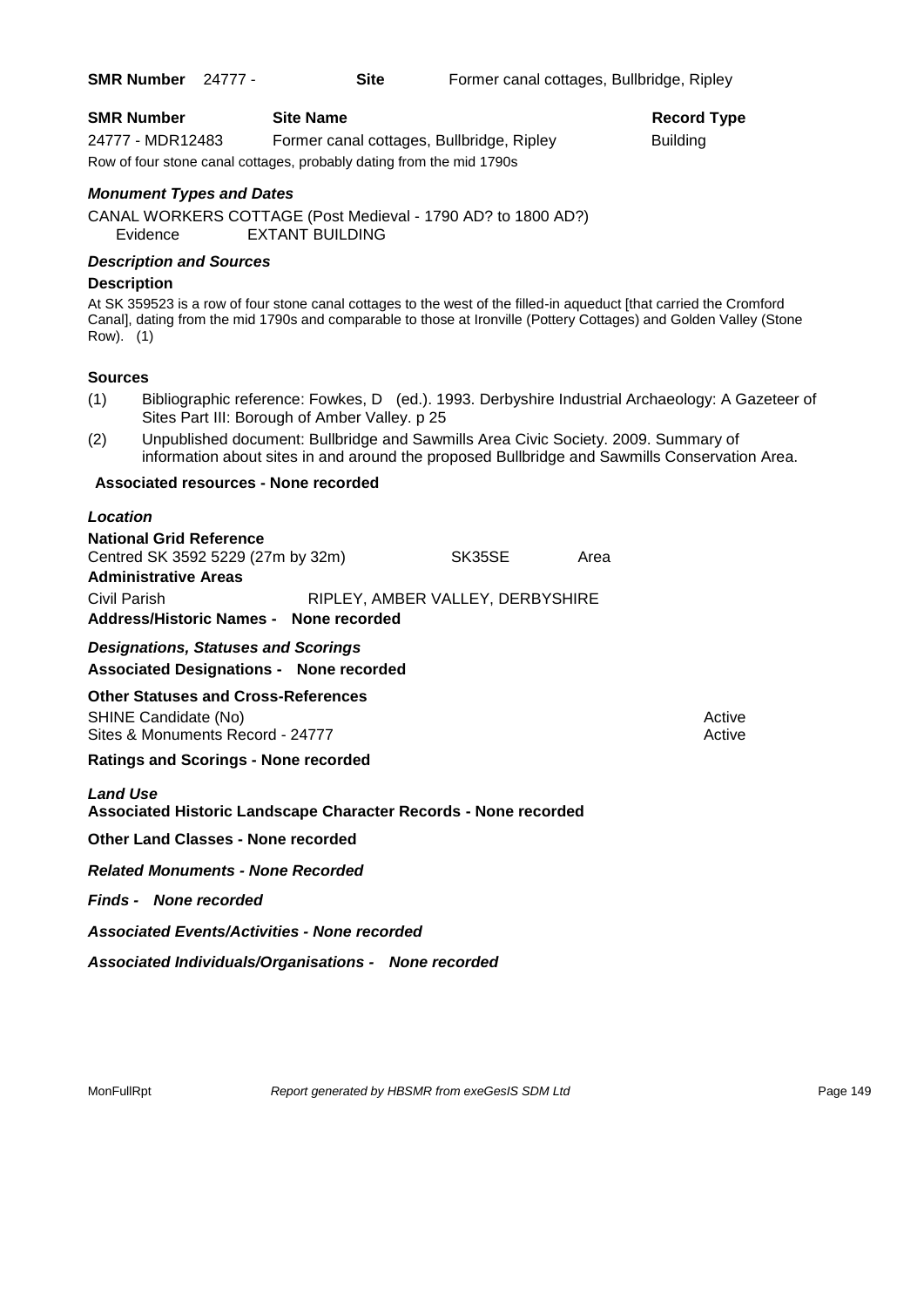**SMR Number** 24777 - **Site** Former canal cottages, Bullbridge, Ripley

| <b>SMR Number</b>                                                    | <b>Site Name</b>                          | Record          |  |  |
|----------------------------------------------------------------------|-------------------------------------------|-----------------|--|--|
| 24777 - MDR12483                                                     | Former canal cottages, Bullbridge, Ripley | <b>Building</b> |  |  |
| Row of four stone canal cottages, probably dating from the mid 1790s |                                           |                 |  |  |

**Record Type** 

*Monument Types and Dates*

CANAL WORKERS COTTAGE (Post Medieval - 1790 AD? to 1800 AD?) Evidence EXTANT BUILDING

## *Description and Sources*

## **Description**

At SK 359523 is a row of four stone canal cottages to the west of the filled-in aqueduct [that carried the Cromford Canal], dating from the mid 1790s and comparable to those at Ironville (Pottery Cottages) and Golden Valley (Stone Row). (1)

## **Sources**

- (1) Bibliographic reference: Fowkes, D (ed.). 1993. Derbyshire Industrial Archaeology: A Gazeteer of Sites Part III: Borough of Amber Valley. p 25
- (2) Unpublished document: Bullbridge and Sawmills Area Civic Society. 2009. Summary of information about sites in and around the proposed Bullbridge and Sawmills Conservation Area.

## **Associated resources - None recorded**

#### *Location*

| <b>National Grid Reference</b>    |               |                                  |      |
|-----------------------------------|---------------|----------------------------------|------|
| Centred SK 3592 5229 (27m by 32m) |               | SK35SE                           | Area |
| <b>Administrative Areas</b>       |               |                                  |      |
| Civil Parish                      |               | RIPLEY, AMBER VALLEY, DERBYSHIRE |      |
| <b>Address/Historic Names -</b>   | None recorded |                                  |      |

## *Designations, Statuses and Scorings*

## **Associated Designations - None recorded**

**Other Statuses and Cross-References**

SHINE Candidate (No) **Active** Active 30 Active 30 Active 30 Active 30 Active 30 Active Sites & Monuments Record - 24777 Active Active

## **Ratings and Scorings - None recorded**

## *Land Use*

**Associated Historic Landscape Character Records - None recorded**

**Other Land Classes - None recorded**

*Related Monuments - None Recorded*

*Finds - None recorded*

*Associated Events/Activities - None recorded*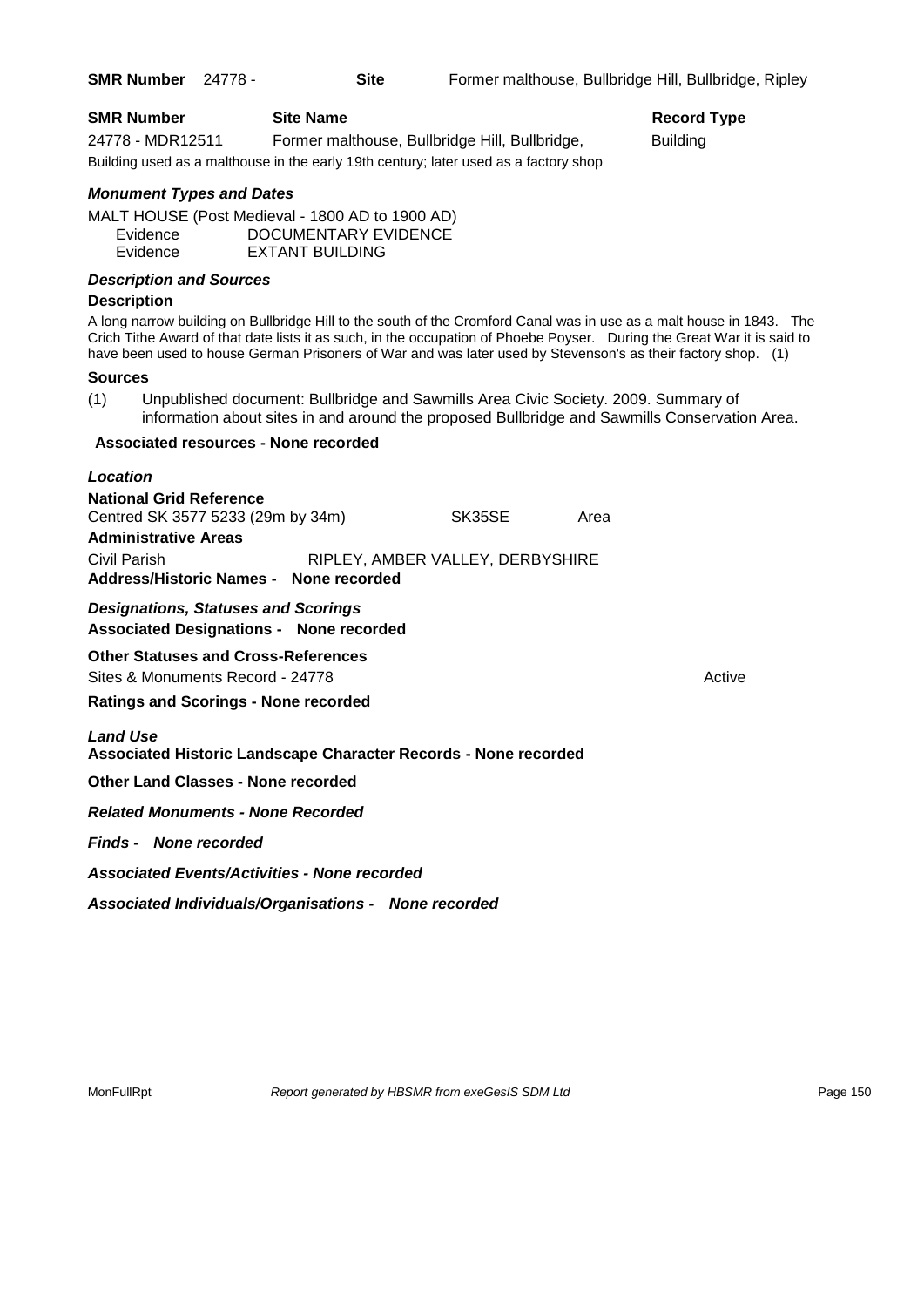| <b>SMR Number</b>               | <b>Site Name</b>                                                                     |                                                | <b>Record Type</b>                                                                                                                                                                                                                                                                                                                                              |
|---------------------------------|--------------------------------------------------------------------------------------|------------------------------------------------|-----------------------------------------------------------------------------------------------------------------------------------------------------------------------------------------------------------------------------------------------------------------------------------------------------------------------------------------------------------------|
| 24778 - MDR12511                |                                                                                      | Former malthouse, Bullbridge Hill, Bullbridge, | <b>Building</b>                                                                                                                                                                                                                                                                                                                                                 |
|                                 | Building used as a malthouse in the early 19th century; later used as a factory shop |                                                |                                                                                                                                                                                                                                                                                                                                                                 |
| <b>Monument Types and Dates</b> |                                                                                      |                                                |                                                                                                                                                                                                                                                                                                                                                                 |
| Evidence                        | MALT HOUSE (Post Medieval - 1800 AD to 1900 AD)<br>DOCUMENTARY EVIDENCE              |                                                |                                                                                                                                                                                                                                                                                                                                                                 |
| Evidence                        | <b>EXTANT BUILDING</b>                                                               |                                                |                                                                                                                                                                                                                                                                                                                                                                 |
| <b>Description and Sources</b>  |                                                                                      |                                                |                                                                                                                                                                                                                                                                                                                                                                 |
| <b>Description</b>              |                                                                                      |                                                |                                                                                                                                                                                                                                                                                                                                                                 |
|                                 |                                                                                      |                                                | A long narrow building on Bullbridge Hill to the south of the Cromford Canal was in use as a malt house in 1843. The<br>Crich Tithe Award of that date lists it as such, in the occupation of Phoebe Poyser. During the Great War it is said to<br>have been used to house German Prisoners of War and was later used by Stevenson's as their factory shop. (1) |
| <b>Sources</b>                  |                                                                                      |                                                |                                                                                                                                                                                                                                                                                                                                                                 |
| (1)                             | Unpublished document: Bullbridge and Sawmills Area Civic Society. 2009. Summary of   |                                                | information about sites in and around the proposed Bullbridge and Sawmills Conservation Area.                                                                                                                                                                                                                                                                   |
|                                 | <b>Associated resources - None recorded</b>                                          |                                                |                                                                                                                                                                                                                                                                                                                                                                 |
| Location                        |                                                                                      |                                                |                                                                                                                                                                                                                                                                                                                                                                 |
| <b>National Grid Reference</b>  |                                                                                      |                                                |                                                                                                                                                                                                                                                                                                                                                                 |
|                                 | Centred SK 3577 5233 (29m by 34m)                                                    | SK35SE                                         | Area                                                                                                                                                                                                                                                                                                                                                            |

**Administrative Areas** Civil Parish RIPLEY, AMBER VALLEY, DERBYSHIRE **Address/Historic Names - None recorded**

*Designations, Statuses and Scorings* **Associated Designations - None recorded**

**Other Statuses and Cross-References** Sites & Monuments Record - 24778 Active Active Active Active

**Ratings and Scorings - None recorded**

*Land Use* 

**Associated Historic Landscape Character Records - None recorded**

**Other Land Classes - None recorded**

*Related Monuments - None Recorded*

*Finds - None recorded*

*Associated Events/Activities - None recorded*

*Associated Individuals/Organisations - None recorded*

MonFullRpt *Report generated by HBSMR from exeGesIS SDM Ltd Rage 150* Page 150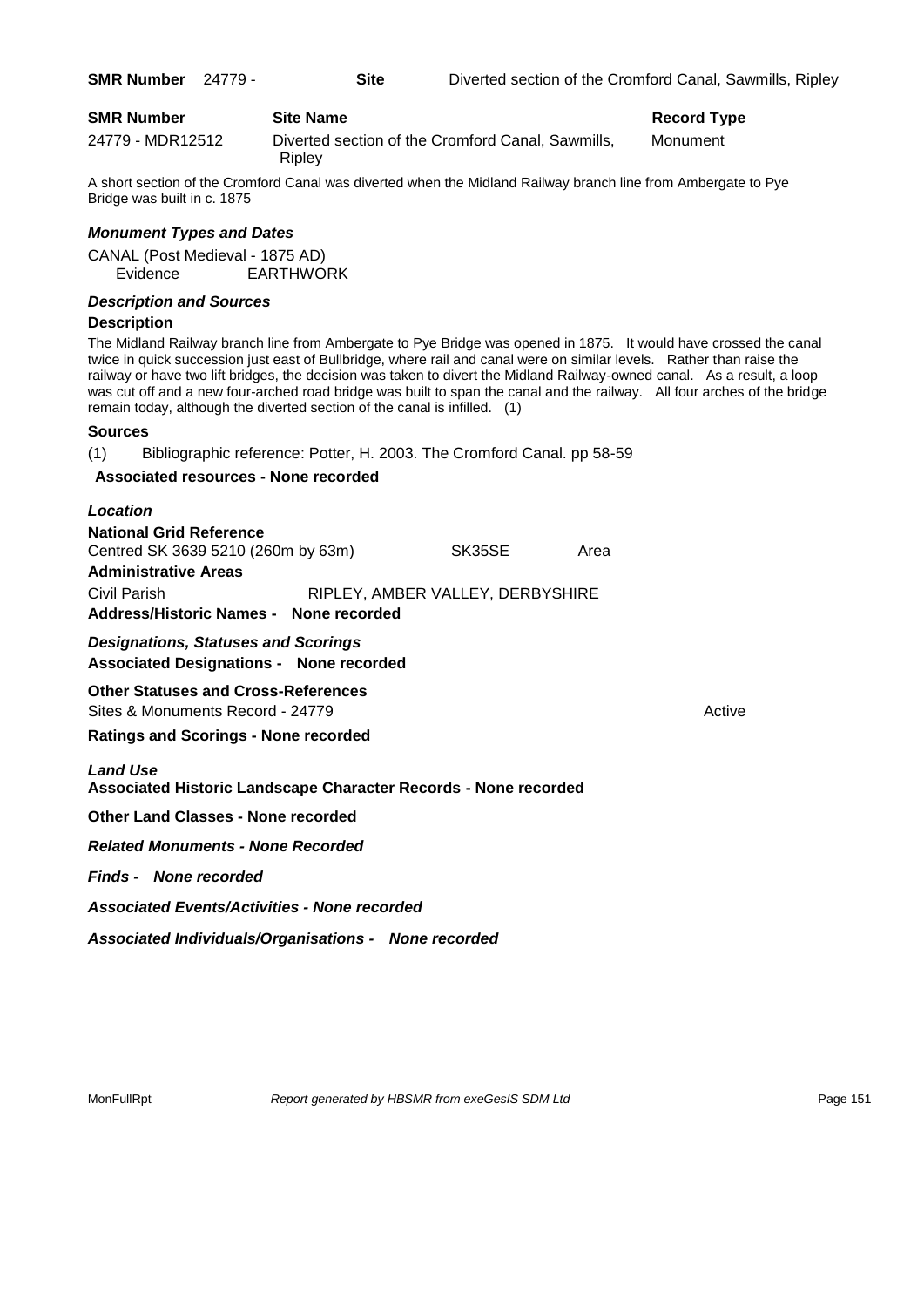A short section of the Cromford Canal was diverted when the Midland Railway branch line from Ambergate to Pye Bridge was built in c. 1875

## *Monument Types and Dates*

CANAL (Post Medieval - 1875 AD) Evidence EARTHWORK

## *Description and Sources*

## **Description**

The Midland Railway branch line from Ambergate to Pye Bridge was opened in 1875. It would have crossed the canal twice in quick succession just east of Bullbridge, where rail and canal were on similar levels. Rather than raise the railway or have two lift bridges, the decision was taken to divert the Midland Railway-owned canal. As a result, a loop was cut off and a new four-arched road bridge was built to span the canal and the railway. All four arches of the bridge remain today, although the diverted section of the canal is infilled. (1)

## **Sources**

(1) Bibliographic reference: Potter, H. 2003. The Cromford Canal. pp 58-59

## **Associated resources - None recorded**

| Location                                                                                            |                                  |      |        |
|-----------------------------------------------------------------------------------------------------|----------------------------------|------|--------|
| <b>National Grid Reference</b><br>Centred SK 3639 5210 (260m by 63m)<br><b>Administrative Areas</b> | SK35SE                           | Area |        |
| Civil Parish<br>Address/Historic Names - None recorded                                              | RIPLEY, AMBER VALLEY, DERBYSHIRE |      |        |
| <b>Designations, Statuses and Scorings</b><br><b>Associated Designations - None recorded</b>        |                                  |      |        |
| <b>Other Statuses and Cross-References</b><br>Sites & Monuments Record - 24779                      |                                  |      | Active |
| <b>Ratings and Scorings - None recorded</b>                                                         |                                  |      |        |
| <b>Land Use</b><br><b>Associated Historic Landscape Character Records - None recorded</b>           |                                  |      |        |
| <b>Other Land Classes - None recorded</b>                                                           |                                  |      |        |
| <b>Related Monuments - None Recorded</b>                                                            |                                  |      |        |
| <b>Finds - None recorded</b>                                                                        |                                  |      |        |
| <b>Associated Events/Activities - None recorded</b>                                                 |                                  |      |        |
| Associated Individuals/Organisations - None recorded                                                |                                  |      |        |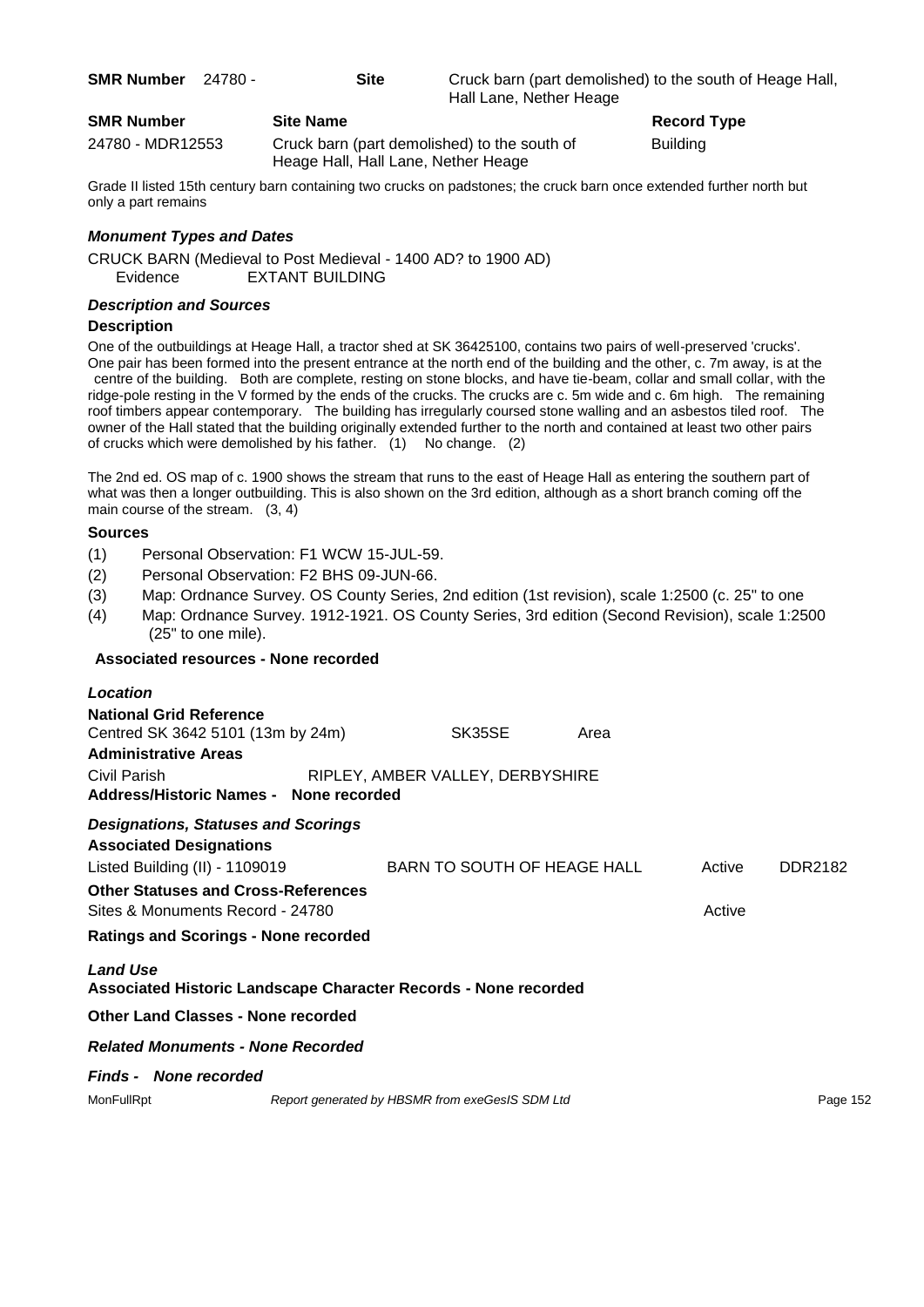| <b>SMR Number</b> | 24780 - |
|-------------------|---------|
|-------------------|---------|

**Site Site Cruck barn (part demolished) to the south of Heage Hall,** Hall Lane, Nether Heage

| <b>SMR Number</b> |                    | <b>Site Name</b>    |  |
|-------------------|--------------------|---------------------|--|
|                   | $0.1700$ MD1040550 | Cruel horn (nort of |  |

24780 - MDR12553 Cruck barn (part demolished) to the south of Building Heage Hall, Hall Lane, Nether Heage

**Record Type** 

Grade II listed 15th century barn containing two crucks on padstones; the cruck barn once extended further north but only a part remains

## *Monument Types and Dates*

CRUCK BARN (Medieval to Post Medieval - 1400 AD? to 1900 AD) Evidence EXTANT BUILDING

## *Description and Sources*

#### **Description**

One of the outbuildings at Heage Hall, a tractor shed at SK 36425100, contains two pairs of well-preserved 'crucks'. One pair has been formed into the present entrance at the north end of the building and the other, c. 7m away, is at the centre of the building. Both are complete, resting on stone blocks, and have tie-beam, collar and small collar, with the ridge-pole resting in the V formed by the ends of the crucks. The crucks are c. 5m wide and c. 6m high. The remaining roof timbers appear contemporary. The building has irregularly coursed stone walling and an asbestos tiled roof. The owner of the Hall stated that the building originally extended further to the north and contained at least two other pairs of crucks which were demolished by his father. (1) No change. (2)

The 2nd ed. OS map of c. 1900 shows the stream that runs to the east of Heage Hall as entering the southern part of what was then a longer outbuilding. This is also shown on the 3rd edition, although as a short branch coming off the main course of the stream. (3, 4)

## **Sources**

- (1) Personal Observation: F1 WCW 15-JUL-59.
- (2) Personal Observation: F2 BHS 09-JUN-66.
- (3) Map: Ordnance Survey. OS County Series, 2nd edition (1st revision), scale 1:2500 (c. 25" to one
- (4) Map: Ordnance Survey. 1912-1921. OS County Series, 3rd edition (Second Revision), scale 1:2500 (25" to one mile).

## **Associated resources - None recorded**

| Location                                                                                                       |                                                 |      |        |          |
|----------------------------------------------------------------------------------------------------------------|-------------------------------------------------|------|--------|----------|
| <b>National Grid Reference</b><br>Centred SK 3642 5101 (13m by 24m)<br><b>Administrative Areas</b>             | SK35SE                                          | Area |        |          |
| Civil Parish<br>Address/Historic Names - None recorded                                                         | RIPLEY, AMBER VALLEY, DERBYSHIRE                |      |        |          |
| <b>Designations, Statuses and Scorings</b><br><b>Associated Designations</b><br>Listed Building (II) - 1109019 | BARN TO SOUTH OF HEAGE HALL                     |      | Active | DDR2182  |
| <b>Other Statuses and Cross-References</b><br>Sites & Monuments Record - 24780                                 |                                                 |      | Active |          |
| <b>Ratings and Scorings - None recorded</b>                                                                    |                                                 |      |        |          |
| <b>Land Use</b><br>Associated Historic Landscape Character Records - None recorded                             |                                                 |      |        |          |
| <b>Other Land Classes - None recorded</b>                                                                      |                                                 |      |        |          |
| <b>Related Monuments - None Recorded</b>                                                                       |                                                 |      |        |          |
| <b>Finds - None recorded</b>                                                                                   |                                                 |      |        |          |
| MonFullRpt                                                                                                     | Report generated by HBSMR from exeGesIS SDM Ltd |      |        | Page 152 |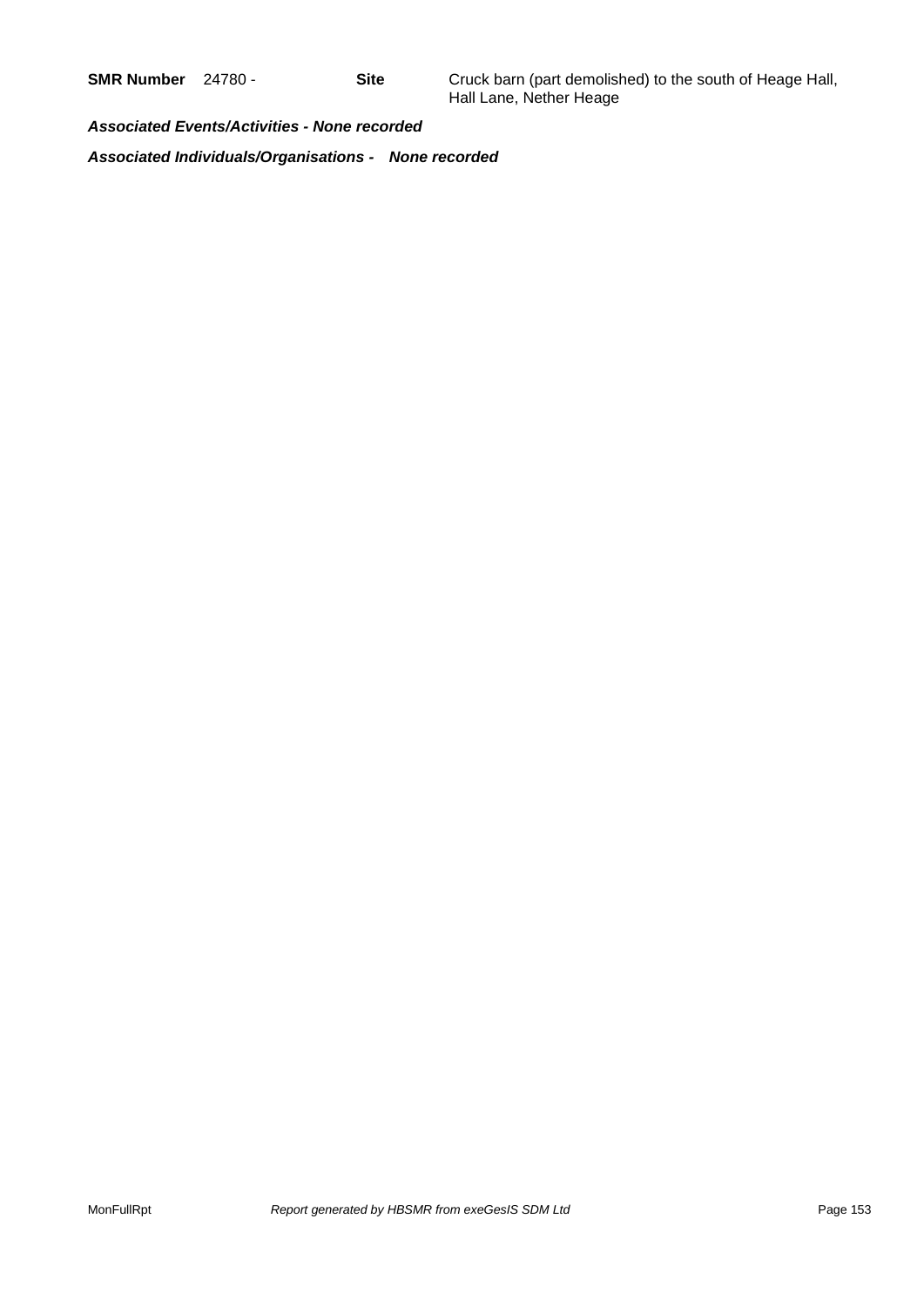**SMR Number** 24780 - **Site** Cruck barn (part demolished) to the south of Heage Hall, Hall Lane, Nether Heage

*Associated Events/Activities - None recorded*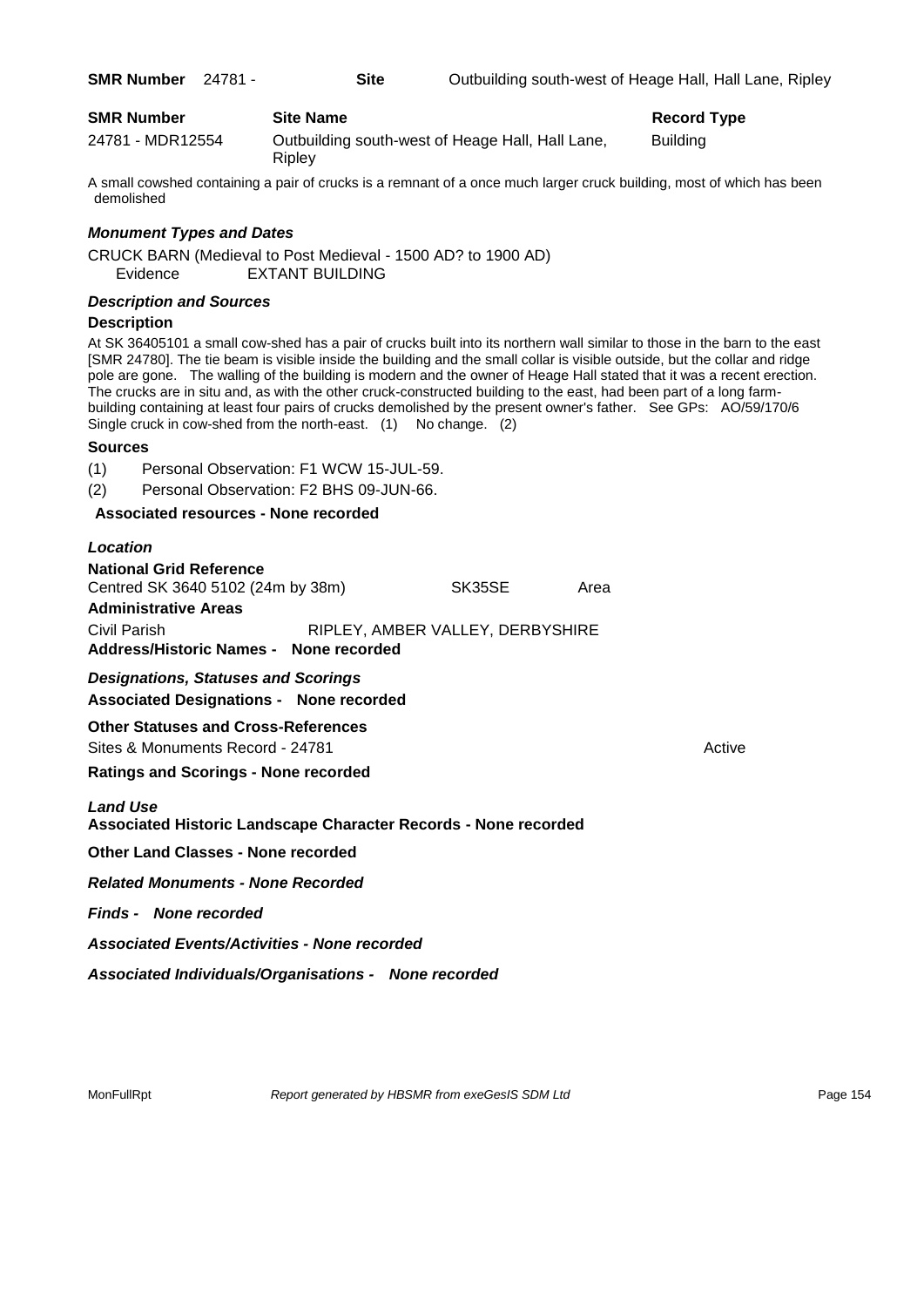| <b>SMR Number</b> | 24781 - | <b>Site</b>      |                                                  | Outbuilding south-west of Heage Hall, Hall Lane, Ripley |
|-------------------|---------|------------------|--------------------------------------------------|---------------------------------------------------------|
| <b>SMR Number</b> |         | <b>Site Name</b> |                                                  | Record Type                                             |
| 24781 - MDR12554  |         | Riplev           | Outbuilding south-west of Heage Hall, Hall Lane, | <b>Building</b>                                         |

A small cowshed containing a pair of crucks is a remnant of a once much larger cruck building, most of which has been demolished

## *Monument Types and Dates*

CRUCK BARN (Medieval to Post Medieval - 1500 AD? to 1900 AD) Evidence EXTANT BUILDING

#### *Description and Sources*

#### **Description**

At SK 36405101 a small cow-shed has a pair of crucks built into its northern wall similar to those in the barn to the east [SMR 24780]. The tie beam is visible inside the building and the small collar is visible outside, but the collar and ridge pole are gone. The walling of the building is modern and the owner of Heage Hall stated that it was a recent erection. The crucks are in situ and, as with the other cruck-constructed building to the east, had been part of a long farmbuilding containing at least four pairs of crucks demolished by the present owner's father. See GPs: AO/59/170/6 Single cruck in cow-shed from the north-east. (1) No change. (2)

#### **Sources**

(1) Personal Observation: F1 WCW 15-JUL-59.

(2) Personal Observation: F2 BHS 09-JUN-66.

**Associated resources - None recorded**

## *Location* **National Grid Reference** Centred SK 3640 5102 (24m by 38m) SK35SE Area **Administrative Areas** Civil Parish RIPLEY, AMBER VALLEY, DERBYSHIRE

**Address/Historic Names - None recorded**

## *Designations, Statuses and Scorings* **Associated Designations - None recorded**

**Other Statuses and Cross-References** Sites & Monuments Record - 24781 Active Active Active Active

**Ratings and Scorings - None recorded**

*Land Use* 

**Associated Historic Landscape Character Records - None recorded**

**Other Land Classes - None recorded**

*Related Monuments - None Recorded*

*Finds - None recorded*

*Associated Events/Activities - None recorded*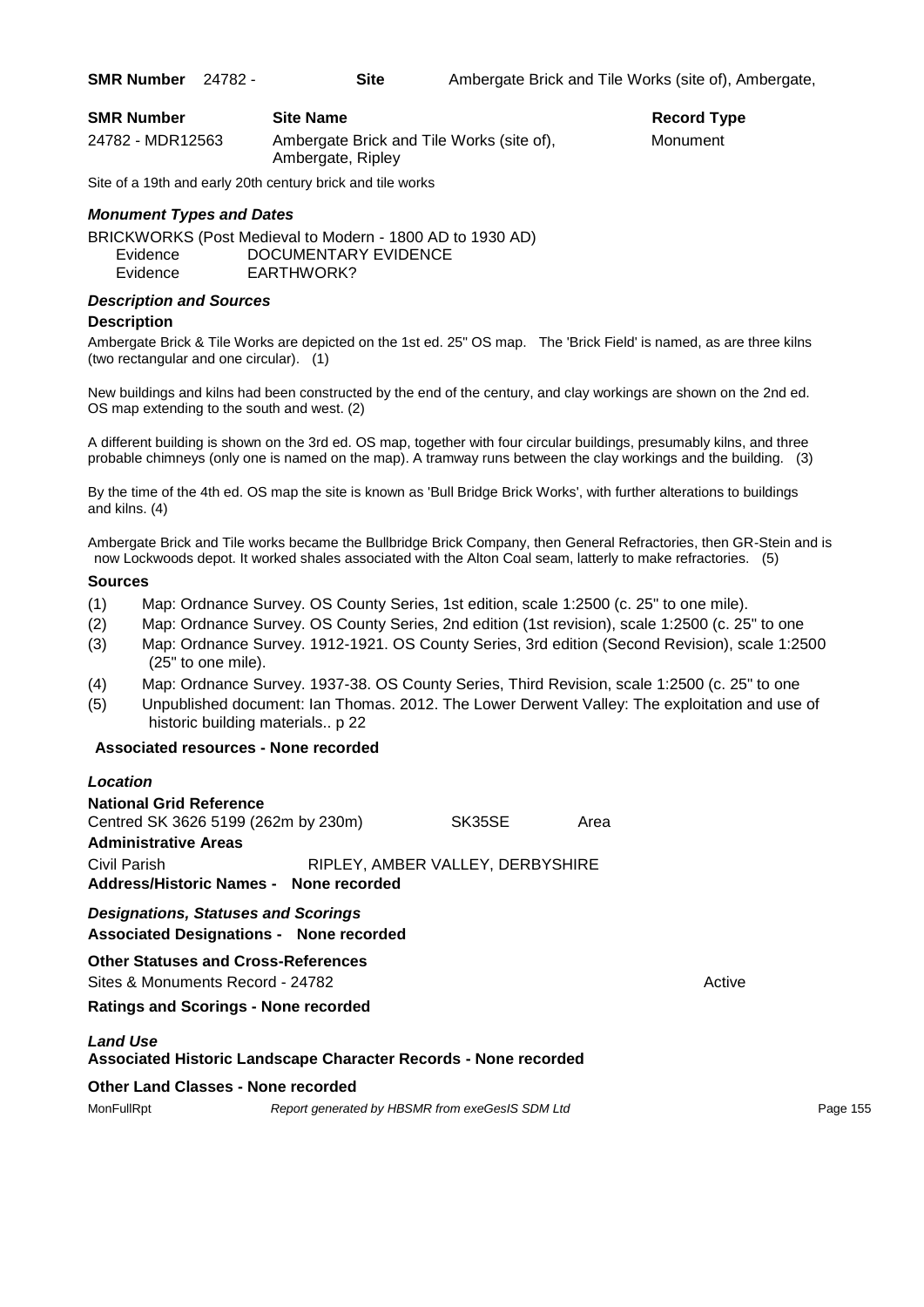| <b>SMR Number</b> | <b>Site Name</b>                                               | Record Ty |
|-------------------|----------------------------------------------------------------|-----------|
| 24782 - MDR12563  | Ambergate Brick and Tile Works (site of),<br>Ambergate, Ripley | Monument  |

Site of a 19th and early 20th century brick and tile works

## *Monument Types and Dates*

BRICKWORKS (Post Medieval to Modern - 1800 AD to 1930 AD) Evidence DOCUMENTARY EVIDENCE Evidence EARTHWORK?

#### *Description and Sources*

#### **Description**

Ambergate Brick & Tile Works are depicted on the 1st ed. 25" OS map. The 'Brick Field' is named, as are three kilns (two rectangular and one circular). (1)

New buildings and kilns had been constructed by the end of the century, and clay workings are shown on the 2nd ed. OS map extending to the south and west. (2)

A different building is shown on the 3rd ed. OS map, together with four circular buildings, presumably kilns, and three probable chimneys (only one is named on the map). A tramway runs between the clay workings and the building. (3)

By the time of the 4th ed. OS map the site is known as 'Bull Bridge Brick Works', with further alterations to buildings and kilns. (4)

Ambergate Brick and Tile works became the Bullbridge Brick Company, then General Refractories, then GR-Stein and is now Lockwoods depot. It worked shales associated with the Alton Coal seam, latterly to make refractories. (5)

#### **Sources**

- (1) Map: Ordnance Survey. OS County Series, 1st edition, scale 1:2500 (c. 25" to one mile).
- (2) Map: Ordnance Survey. OS County Series, 2nd edition (1st revision), scale 1:2500 (c. 25" to one
- (3) Map: Ordnance Survey. 1912-1921. OS County Series, 3rd edition (Second Revision), scale 1:2500 (25" to one mile).
- (4) Map: Ordnance Survey. 1937-38. OS County Series, Third Revision, scale 1:2500 (c. 25" to one
- (5) Unpublished document: Ian Thomas. 2012. The Lower Derwent Valley: The exploitation and use of historic building materials.. p 22

#### **Associated resources - None recorded**

| Location                                    |                                                |                                  |      |        |
|---------------------------------------------|------------------------------------------------|----------------------------------|------|--------|
| <b>National Grid Reference</b>              |                                                |                                  |      |        |
| Centred SK 3626 5199 (262m by 230m)         |                                                | SK35SE                           | Area |        |
| <b>Administrative Areas</b>                 |                                                |                                  |      |        |
| Civil Parish                                |                                                | RIPLEY, AMBER VALLEY, DERBYSHIRE |      |        |
|                                             | Address/Historic Names - None recorded         |                                  |      |        |
| <b>Designations, Statuses and Scorings</b>  |                                                |                                  |      |        |
|                                             | <b>Associated Designations - None recorded</b> |                                  |      |        |
| <b>Other Statuses and Cross-References</b>  |                                                |                                  |      |        |
| Sites & Monuments Record - 24782            |                                                |                                  |      | Active |
| <b>Ratings and Scorings - None recorded</b> |                                                |                                  |      |        |

## *Land Use*

**Associated Historic Landscape Character Records - None recorded**

#### **Other Land Classes - None recorded**

| MonFullRpt | Report generated by HBSMR from exeGesIS SDM Ltd | Page 155 |
|------------|-------------------------------------------------|----------|
|------------|-------------------------------------------------|----------|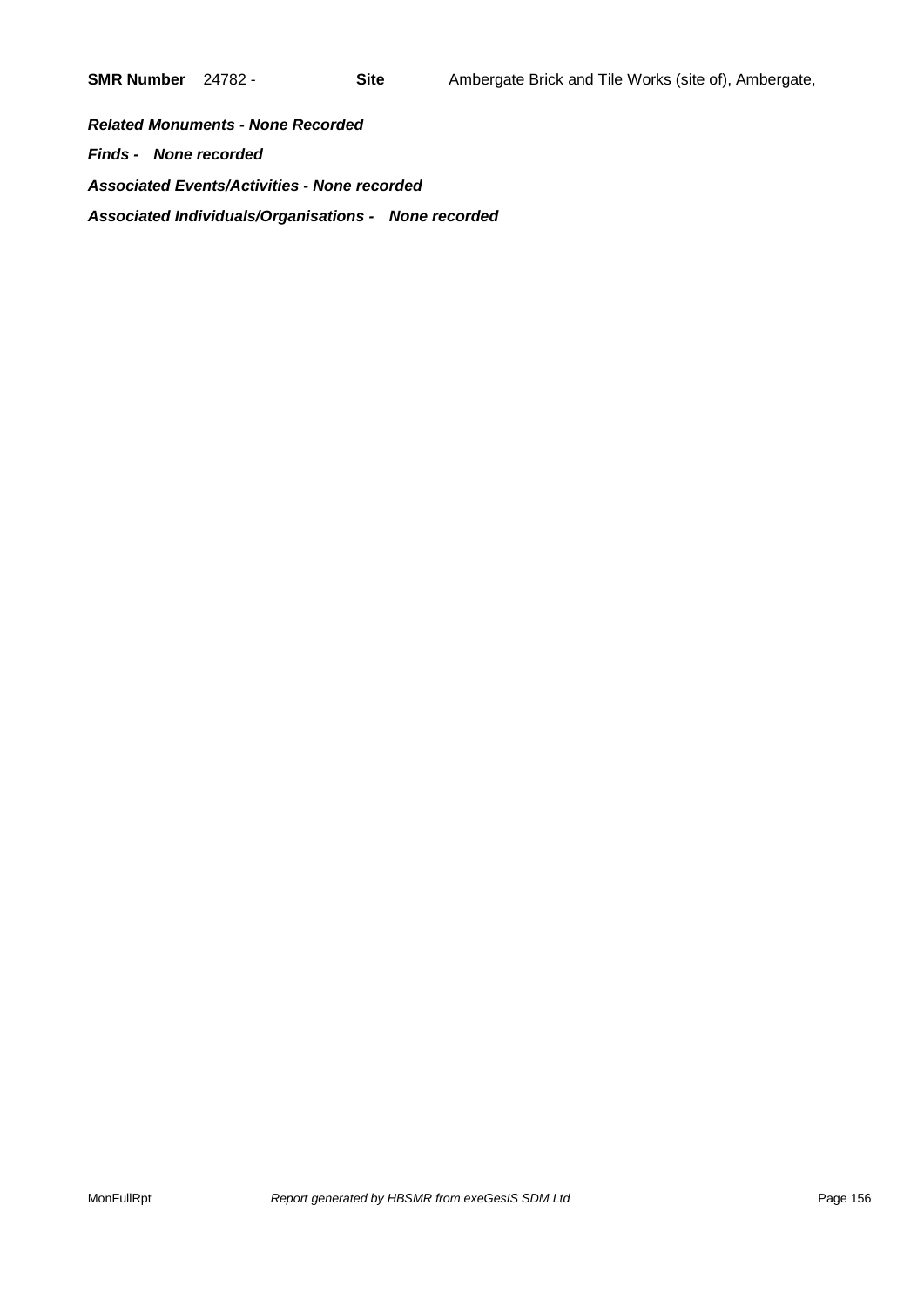*Related Monuments - None Recorded Finds - None recorded Associated Events/Activities - None recorded Associated Individuals/Organisations - None recorded*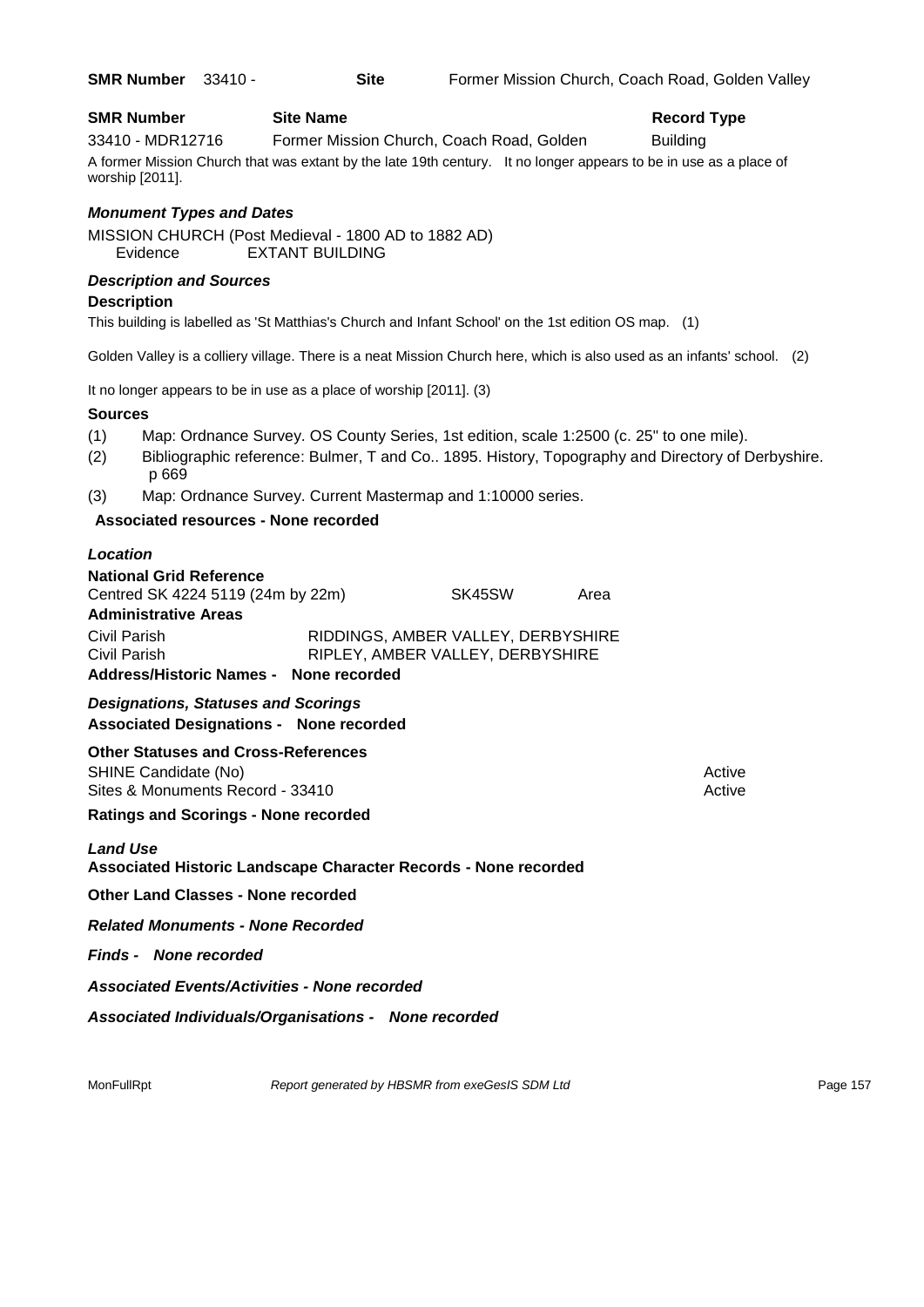#### **SMR Number Site Name Record Type Record Type**

33410 - MDR12716 Former Mission Church, Coach Road, Golden Building

A former Mission Church that was extant by the late 19th century. It no longer appears to be in use as a place of worship [2011].

## *Monument Types and Dates*

MISSION CHURCH (Post Medieval - 1800 AD to 1882 AD) Evidence EXTANT BUILDING

## *Description and Sources*

#### **Description**

This building is labelled as 'St Matthias's Church and Infant School' on the 1st edition OS map. (1)

Golden Valley is a colliery village. There is a neat Mission Church here, which is also used as an infants' school. (2)

It no longer appears to be in use as a place of worship [2011]. (3)

#### **Sources**

- (1) Map: Ordnance Survey. OS County Series, 1st edition, scale 1:2500 (c. 25" to one mile).
- (2) Bibliographic reference: Bulmer, T and Co.. 1895. History, Topography and Directory of Derbyshire. p 669
- (3) Map: Ordnance Survey. Current Mastermap and 1:10000 series.

## **Associated resources - None recorded**

## *Location*

**National Grid Reference** Centred SK 4224 5119 (24m by 22m) SK45SW Area

#### **Administrative Areas**

Civil Parish RIDDINGS, AMBER VALLEY, DERBYSHIRE Civil Parish RIPLEY, AMBER VALLEY, DERBYSHIRE **Address/Historic Names - None recorded**

## *Designations, Statuses and Scorings* **Associated Designations - None recorded**

## **Other Statuses and Cross-References**

SHINE Candidate (No) **Active** 3 Active 3 Active 3 Active 3 Active 3 Active 3 Active Sites & Monuments Record - 33410 Active Active Active Active

**Ratings and Scorings - None recorded**

## *Land Use*

**Associated Historic Landscape Character Records - None recorded**

**Other Land Classes - None recorded**

*Related Monuments - None Recorded*

*Finds - None recorded*

*Associated Events/Activities - None recorded*

*Associated Individuals/Organisations - None recorded*

MonFullRpt *Report generated by HBSMR from exeGesIS SDM Ltd Report 157*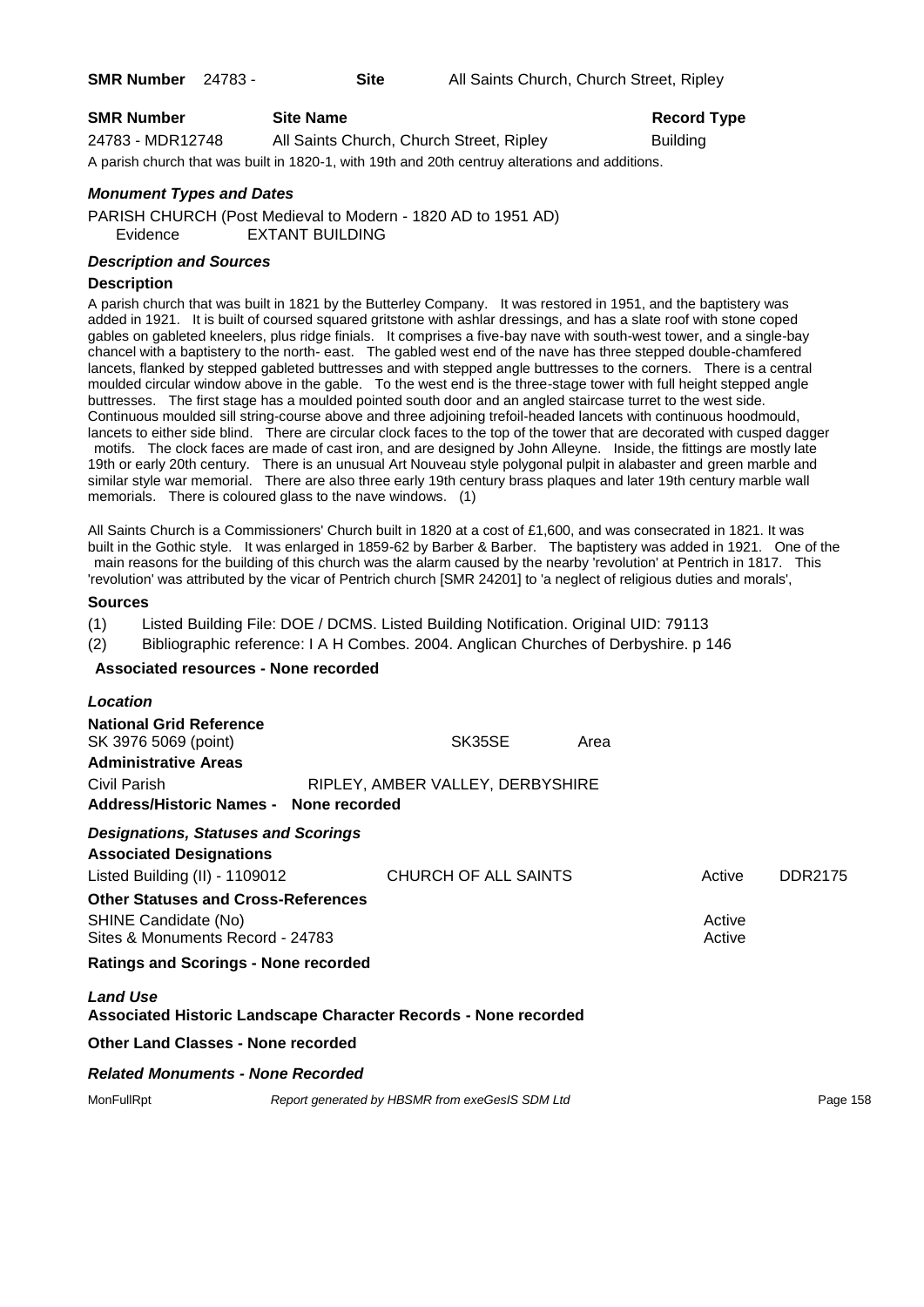| <b>SMR Number</b> | <b>Site Name</b>                         | Record          |
|-------------------|------------------------------------------|-----------------|
| 24783 - MDR12748  | All Saints Church, Church Street, Ripley | <b>Building</b> |
|                   |                                          |                 |

A parish church that was built in 1820-1, with 19th and 20th centruy alterations and additions.

## *Monument Types and Dates*

PARISH CHURCH (Post Medieval to Modern - 1820 AD to 1951 AD) Evidence EXTANT BUILDING

## *Description and Sources*

#### **Description**

A parish church that was built in 1821 by the Butterley Company. It was restored in 1951, and the baptistery was added in 1921. It is built of coursed squared gritstone with ashlar dressings, and has a slate roof with stone coped gables on gableted kneelers, plus ridge finials. It comprises a five-bay nave with south-west tower, and a single-bay chancel with a baptistery to the north- east. The gabled west end of the nave has three stepped double-chamfered lancets, flanked by stepped gableted buttresses and with stepped angle buttresses to the corners. There is a central moulded circular window above in the gable. To the west end is the three-stage tower with full height stepped angle buttresses. The first stage has a moulded pointed south door and an angled staircase turret to the west side. Continuous moulded sill string-course above and three adjoining trefoil-headed lancets with continuous hoodmould, lancets to either side blind. There are circular clock faces to the top of the tower that are decorated with cusped dagger motifs. The clock faces are made of cast iron, and are designed by John Alleyne. Inside, the fittings are mostly late 19th or early 20th century. There is an unusual Art Nouveau style polygonal pulpit in alabaster and green marble and similar style war memorial. There are also three early 19th century brass plaques and later 19th century marble wall memorials. There is coloured glass to the nave windows. (1)

All Saints Church is a Commissioners' Church built in 1820 at a cost of £1,600, and was consecrated in 1821. It was built in the Gothic style. It was enlarged in 1859-62 by Barber & Barber. The baptistery was added in 1921. One of the main reasons for the building of this church was the alarm caused by the nearby 'revolution' at Pentrich in 1817. This 'revolution' was attributed by the vicar of Pentrich church [SMR 24201] to 'a neglect of religious duties and morals',

#### **Sources**

(1) Listed Building File: DOE / DCMS. Listed Building Notification. Original UID: 79113

(2) Bibliographic reference: I A H Combes. 2004. Anglican Churches of Derbyshire. p 146

#### **Associated resources - None recorded**

|                                                                                | Area                                                      |                                                                                                                             |                |
|--------------------------------------------------------------------------------|-----------------------------------------------------------|-----------------------------------------------------------------------------------------------------------------------------|----------------|
| Address/Historic Names - None recorded                                         |                                                           |                                                                                                                             |                |
| <b>Designations, Statuses and Scorings</b>                                     |                                                           |                                                                                                                             |                |
| Listed Building (II) - 1109012                                                 |                                                           | Active                                                                                                                      | <b>DDR2175</b> |
| <b>Other Statuses and Cross-References</b><br>Sites & Monuments Record - 24783 |                                                           | Active<br>Active                                                                                                            |                |
| <b>Ratings and Scorings - None recorded</b>                                    |                                                           |                                                                                                                             |                |
|                                                                                |                                                           |                                                                                                                             |                |
| Other Land Classes - None recorded                                             |                                                           |                                                                                                                             |                |
| <b>Related Monuments - None Recorded</b>                                       |                                                           |                                                                                                                             |                |
|                                                                                |                                                           |                                                                                                                             | Page 158       |
|                                                                                | SK35SE<br>Report generated by HBSMR from exeGesIS SDM Ltd | RIPLEY, AMBER VALLEY, DERBYSHIRE<br>CHURCH OF ALL SAINTS<br>Associated Historic Landscape Character Records - None recorded |                |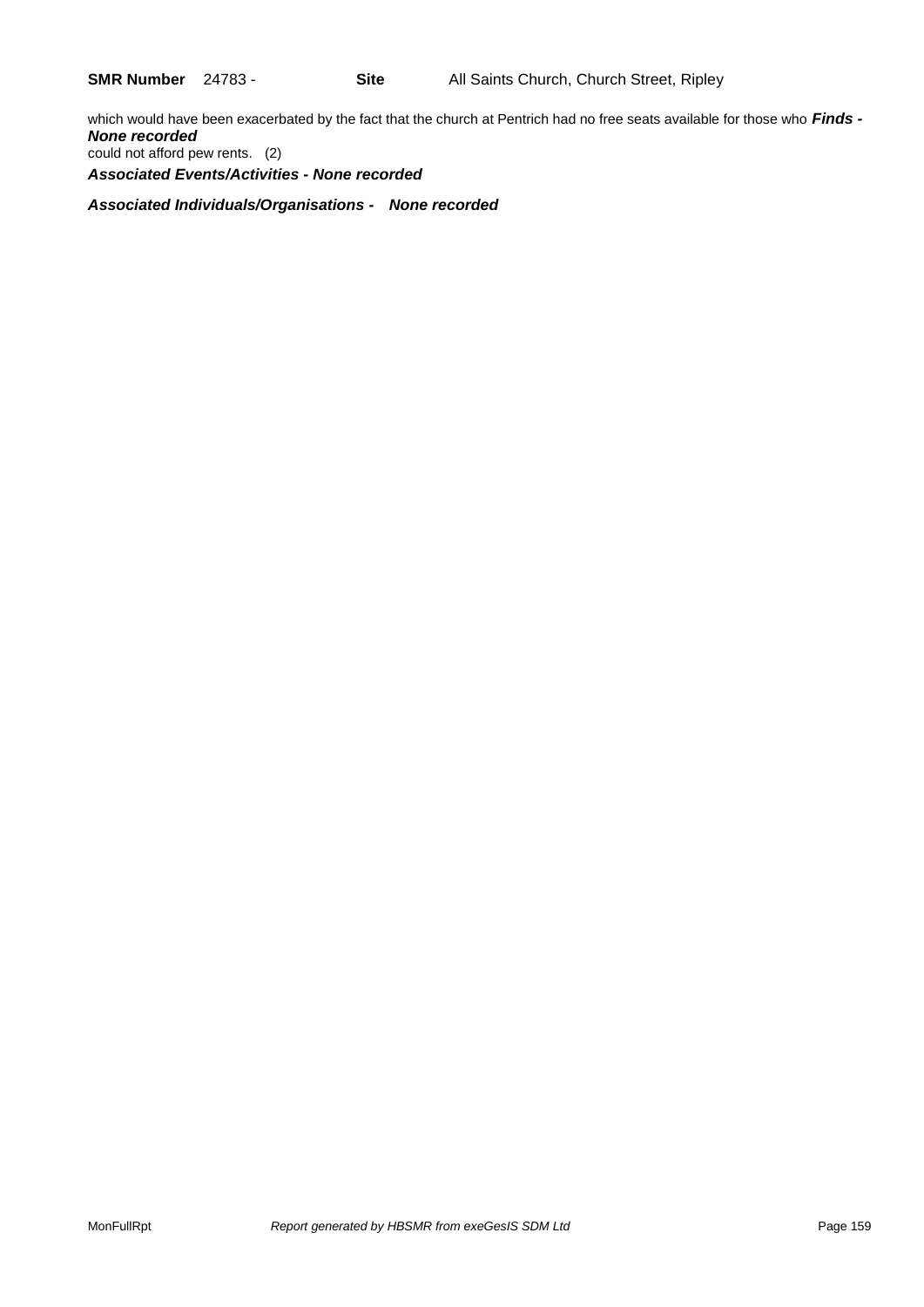which would have been exacerbated by the fact that the church at Pentrich had no free seats available for those who *Finds - None recorded* could not afford pew rents. (2) *Associated Events/Activities - None recorded*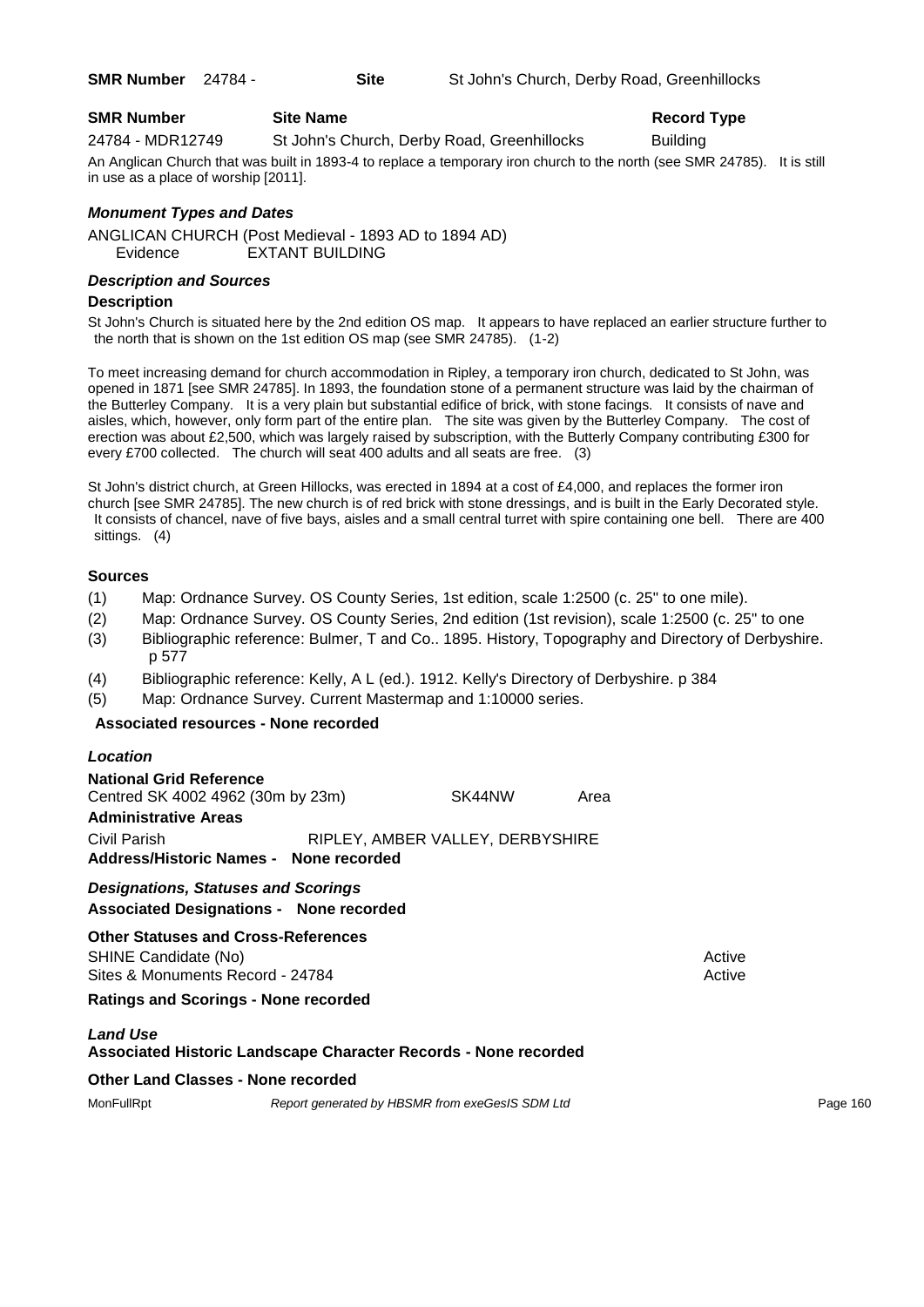| <b>SMR Number</b> 24784 - | Site | St John's Church, Derby Road, Greenhillocks |
|---------------------------|------|---------------------------------------------|
|                           |      |                                             |

| <b>SMR Number</b> | <b>Site Name</b> |
|-------------------|------------------|
| .                 | - -              |
| - - - - -         | .                |

24784 - MDR12749 St John's Church, Derby Road, Greenhillocks Building An Anglican Church that was built in 1893-4 to replace a temporary iron church to the north (see SMR 24785). It is still in use as a place of worship [2011].

## *Monument Types and Dates*

ANGLICAN CHURCH (Post Medieval - 1893 AD to 1894 AD) Evidence EXTANT BUILDING

## *Description and Sources*

## **Description**

St John's Church is situated here by the 2nd edition OS map. It appears to have replaced an earlier structure further to the north that is shown on the 1st edition OS map (see SMR 24785). (1-2)

To meet increasing demand for church accommodation in Ripley, a temporary iron church, dedicated to St John, was opened in 1871 [see SMR 24785]. In 1893, the foundation stone of a permanent structure was laid by the chairman of the Butterley Company. It is a very plain but substantial edifice of brick, with stone facings. It consists of nave and aisles, which, however, only form part of the entire plan. The site was given by the Butterley Company. The cost of erection was about £2,500, which was largely raised by subscription, with the Butterly Company contributing £300 for every £700 collected. The church will seat 400 adults and all seats are free. (3)

St John's district church, at Green Hillocks, was erected in 1894 at a cost of £4,000, and replaces the former iron church [see SMR 24785]. The new church is of red brick with stone dressings, and is built in the Early Decorated style. It consists of chancel, nave of five bays, aisles and a small central turret with spire containing one bell. There are 400 sittings. (4)

## **Sources**

- (1) Map: Ordnance Survey. OS County Series, 1st edition, scale 1:2500 (c. 25" to one mile).
- (2) Map: Ordnance Survey. OS County Series, 2nd edition (1st revision), scale 1:2500 (c. 25" to one
- (3) Bibliographic reference: Bulmer, T and Co.. 1895. History, Topography and Directory of Derbyshire. p 577
- (4) Bibliographic reference: Kelly, A L (ed.). 1912. Kelly's Directory of Derbyshire. p 384
- (5) Map: Ordnance Survey. Current Mastermap and 1:10000 series.

## **Associated resources - None recorded**

| Location                                                                                        |                                  |      |                  |
|-------------------------------------------------------------------------------------------------|----------------------------------|------|------------------|
| National Grid Reference<br>Centred SK 4002 4962 (30m by 23m)<br><b>Administrative Areas</b>     | SK44NW                           | Area |                  |
| Civil Parish<br>Address/Historic Names - None recorded                                          | RIPLEY, AMBER VALLEY, DERBYSHIRE |      |                  |
| <b>Designations, Statuses and Scorings</b><br><b>Associated Designations - None recorded</b>    |                                  |      |                  |
| Other Statuses and Cross-References<br>SHINE Candidate (No)<br>Sites & Monuments Record - 24784 |                                  |      | Active<br>Active |
| <b>Ratings and Scorings - None recorded</b>                                                     |                                  |      |                  |
| <b>Land Use</b><br>Associated Historic Landscape Character Records - None recorded              |                                  |      |                  |
| Other Land Classes - None recorded                                                              |                                  |      |                  |

MonFullRpt *Report generated by HBSMR from exeGesIS SDM Ltd Report 160* **Page 160**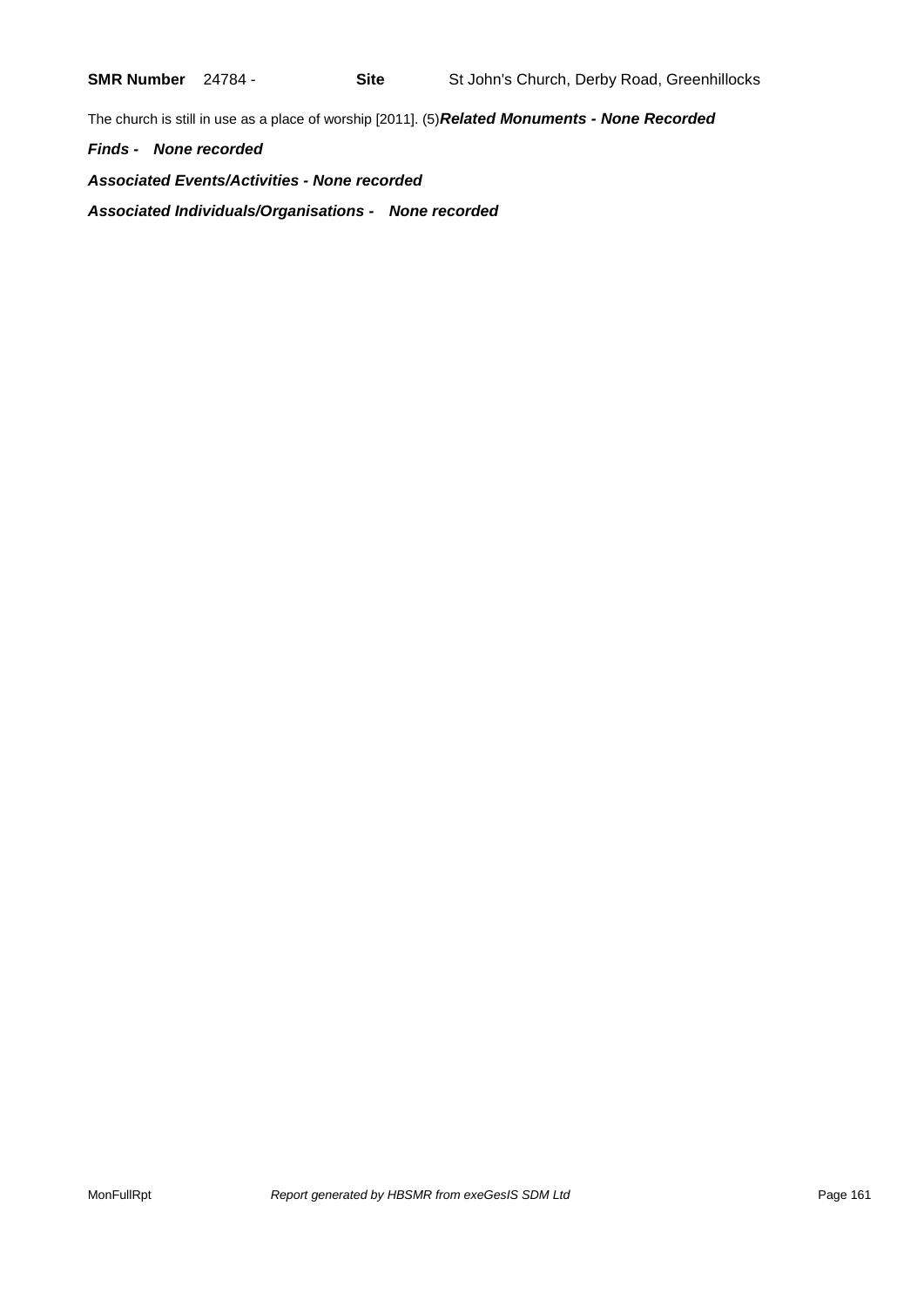The church is still in use as a place of worship [2011]. (5)*Related Monuments - None Recorded*

*Finds - None recorded*

*Associated Events/Activities - None recorded Associated Individuals/Organisations - None recorded*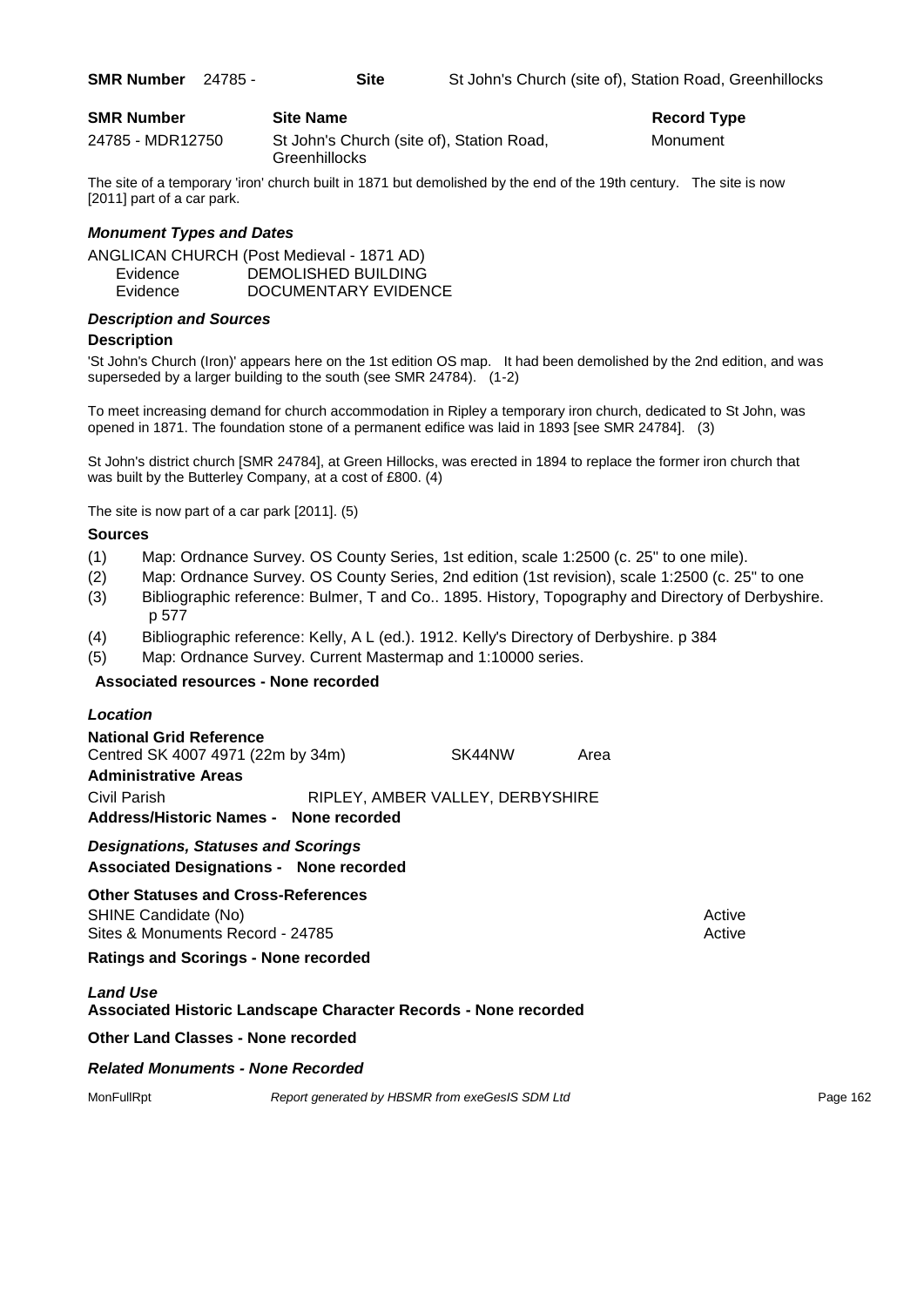| <b>SMR Number</b> | <b>Site Name</b>                                           | Record $T1$ |
|-------------------|------------------------------------------------------------|-------------|
| 24785 - MDR12750  | St John's Church (site of), Station Road,<br>Greenhillocks | Monument    |

The site of a temporary 'iron' church built in 1871 but demolished by the end of the 19th century. The site is now [2011] part of a car park.

## *Monument Types and Dates*

ANGLICAN CHURCH (Post Medieval - 1871 AD) Evidence DEMOLISHED BUILDING Evidence DOCUMENTARY EVIDENCE

## *Description and Sources*

## **Description**

'St John's Church (Iron)' appears here on the 1st edition OS map. It had been demolished by the 2nd edition, and was superseded by a larger building to the south (see SMR 24784). (1-2)

To meet increasing demand for church accommodation in Ripley a temporary iron church, dedicated to St John, was opened in 1871. The foundation stone of a permanent edifice was laid in 1893 [see SMR 24784]. (3)

St John's district church [SMR 24784], at Green Hillocks, was erected in 1894 to replace the former iron church that was built by the Butterley Company, at a cost of £800. (4)

The site is now part of a car park [2011]. (5)

#### **Sources**

- (1) Map: Ordnance Survey. OS County Series, 1st edition, scale 1:2500 (c. 25" to one mile).
- (2) Map: Ordnance Survey. OS County Series, 2nd edition (1st revision), scale 1:2500 (c. 25" to one
- (3) Bibliographic reference: Bulmer, T and Co.. 1895. History, Topography and Directory of Derbyshire. p 577
- (4) Bibliographic reference: Kelly, A L (ed.). 1912. Kelly's Directory of Derbyshire. p 384
- (5) Map: Ordnance Survey. Current Mastermap and 1:10000 series.

## **Associated resources - None recorded**

| Location                                                                                               |                                  |        |      |                  |  |  |
|--------------------------------------------------------------------------------------------------------|----------------------------------|--------|------|------------------|--|--|
| <b>National Grid Reference</b><br>Centred SK 4007 4971 (22m by 34m)<br><b>Administrative Areas</b>     |                                  | SK44NW | Area |                  |  |  |
| Civil Parish<br>Address/Historic Names - None recorded                                                 | RIPLEY, AMBER VALLEY, DERBYSHIRE |        |      |                  |  |  |
| <b>Designations, Statuses and Scorings</b><br><b>Associated Designations - None recorded</b>           |                                  |        |      |                  |  |  |
| <b>Other Statuses and Cross-References</b><br>SHINE Candidate (No)<br>Sites & Monuments Record - 24785 |                                  |        |      | Active<br>Active |  |  |
| <b>Ratings and Scorings - None recorded</b>                                                            |                                  |        |      |                  |  |  |
| <b>Land Use</b><br>Associated Historic Landscape Character Records - None recorded                     |                                  |        |      |                  |  |  |
| <b>Other Land Classes - None recorded</b>                                                              |                                  |        |      |                  |  |  |
| <b>Related Monuments - None Recorded</b>                                                               |                                  |        |      |                  |  |  |

MonFullRpt *Report generated by HBSMR from exeGesIS SDM Ltd Report 162* **Page 162**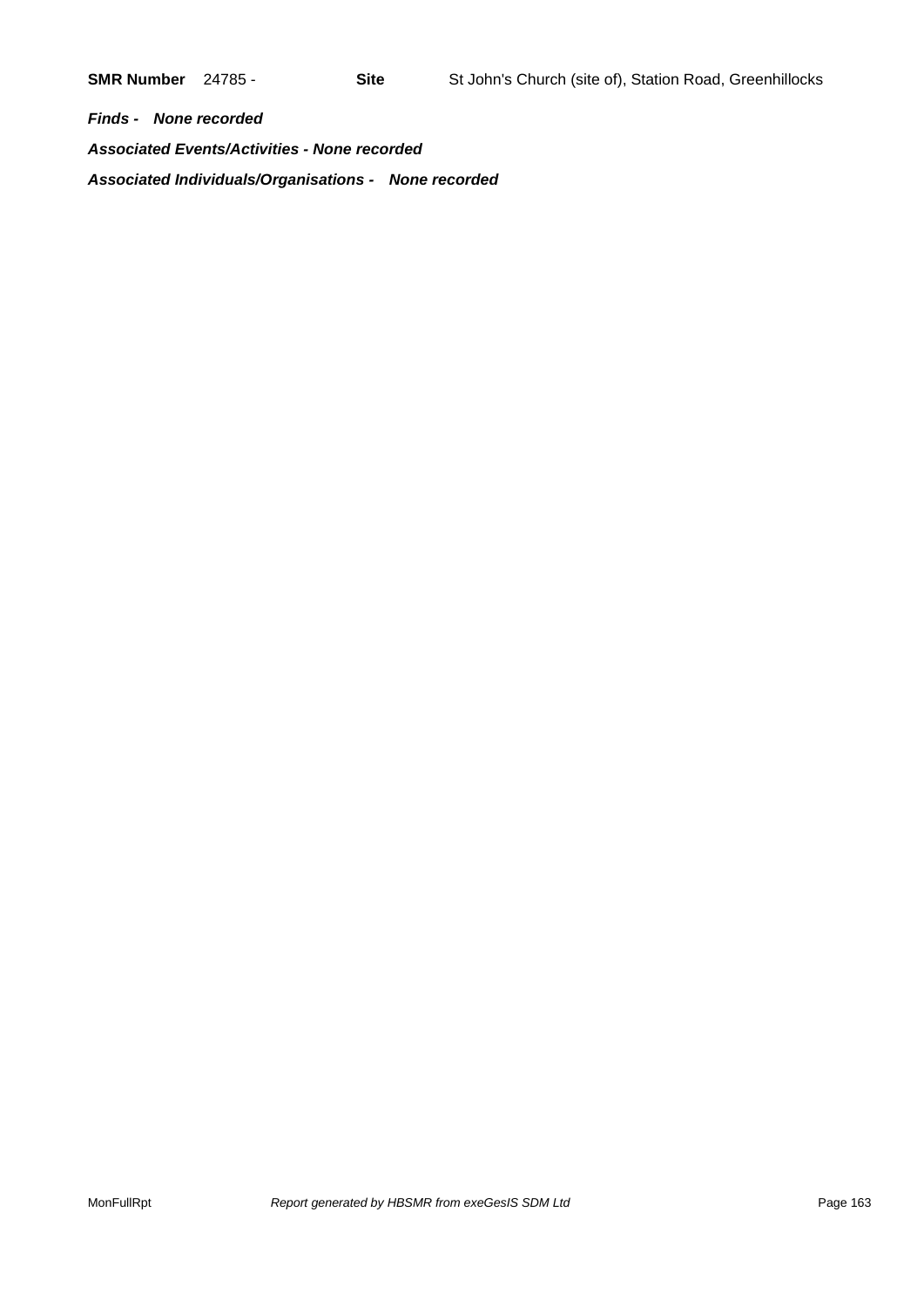*Finds - None recorded Associated Events/Activities - None recorded Associated Individuals/Organisations - None recorded*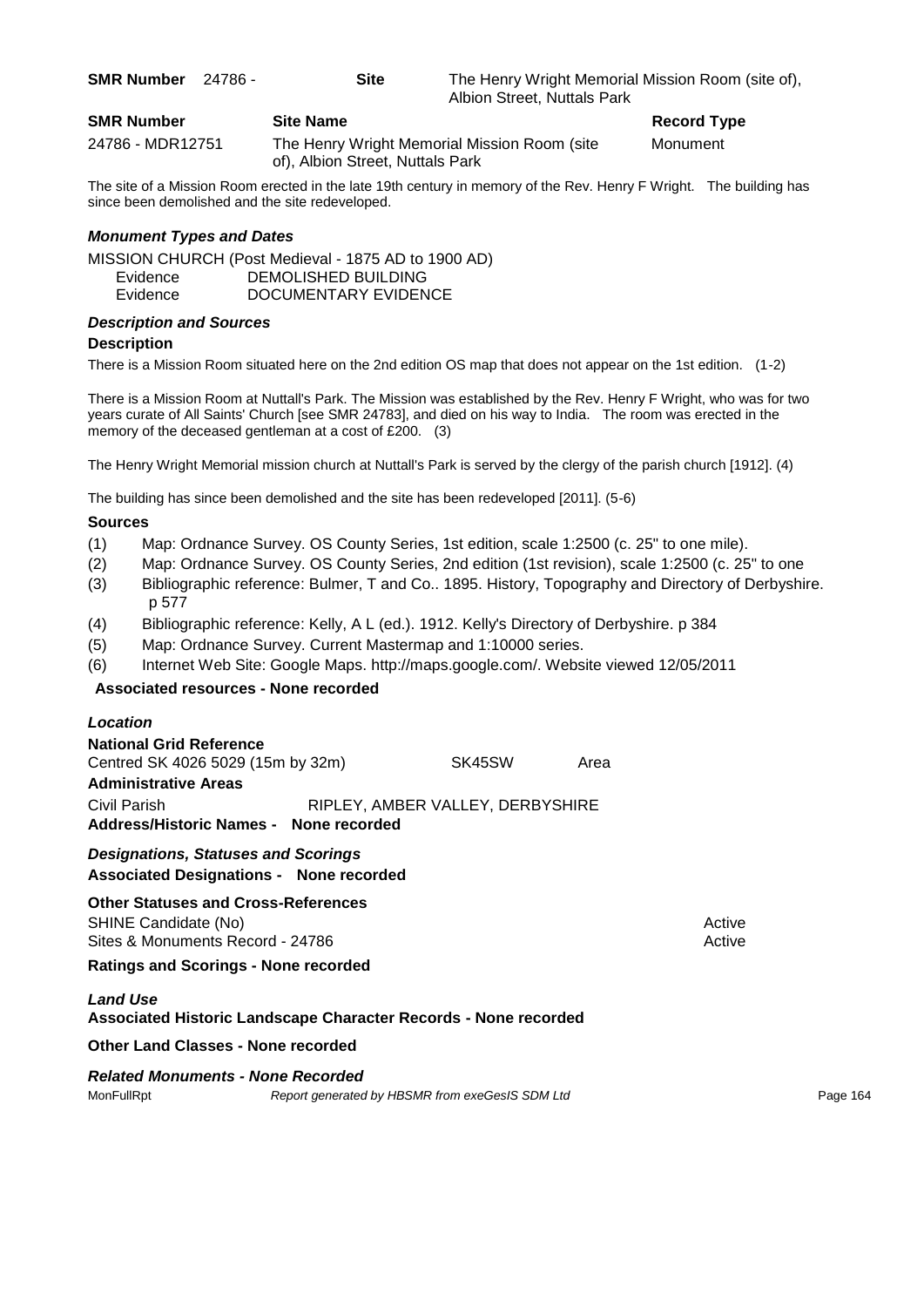**SMR Number** 24786 - **Site** The Henry Wright Memorial Mission Room (site of), Albion Street, Nuttals Park

| <b>SMR Number</b> | <b>Site Name</b>                                                                 | Record Ty |
|-------------------|----------------------------------------------------------------------------------|-----------|
| 24786 - MDR12751  | The Henry Wright Memorial Mission Room (site<br>of), Albion Street, Nuttals Park | Monument  |

**Record Type** 

The site of a Mission Room erected in the late 19th century in memory of the Rev. Henry F Wright. The building has since been demolished and the site redeveloped.

## *Monument Types and Dates*

MISSION CHURCH (Post Medieval - 1875 AD to 1900 AD) Evidence DEMOLISHED BUILDING

Evidence DOCUMENTARY EVIDENCE

## *Description and Sources*

## **Description**

There is a Mission Room situated here on the 2nd edition OS map that does not appear on the 1st edition. (1-2)

There is a Mission Room at Nuttall's Park. The Mission was established by the Rev. Henry F Wright, who was for two years curate of All Saints' Church [see SMR 24783], and died on his way to India. The room was erected in the memory of the deceased gentleman at a cost of £200. (3)

The Henry Wright Memorial mission church at Nuttall's Park is served by the clergy of the parish church [1912]. (4)

The building has since been demolished and the site has been redeveloped [2011]. (5-6)

## **Sources**

- (1) Map: Ordnance Survey. OS County Series, 1st edition, scale 1:2500 (c. 25" to one mile).
- (2) Map: Ordnance Survey. OS County Series, 2nd edition (1st revision), scale 1:2500 (c. 25" to one
- (3) Bibliographic reference: Bulmer, T and Co.. 1895. History, Topography and Directory of Derbyshire. p 577
- (4) Bibliographic reference: Kelly, A L (ed.). 1912. Kelly's Directory of Derbyshire. p 384
- (5) Map: Ordnance Survey. Current Mastermap and 1:10000 series.
- (6) Internet Web Site: Google Maps. http://maps.google.com/. Website viewed 12/05/2011

## **Associated resources - None recorded**

#### *Location*

| <b>National Grid Reference</b><br>Centred SK 4026 5029 (15m by 32m)<br><b>Administrative Areas</b> | SK45SW                           | Area |        |
|----------------------------------------------------------------------------------------------------|----------------------------------|------|--------|
| Civil Parish<br>Address/Historic Names - None recorded                                             | RIPLEY, AMBER VALLEY, DERBYSHIRE |      |        |
| <b>Designations, Statuses and Scorings</b><br><b>Associated Designations - None recorded</b>       |                                  |      |        |
| <b>Other Statuses and Cross-References</b>                                                         |                                  |      |        |
| SHINE Candidate (No)                                                                               |                                  |      | Active |
| Sites & Monuments Record - 24786                                                                   |                                  |      | Active |

**Ratings and Scorings - None recorded**

## *Land Use*

## **Associated Historic Landscape Character Records - None recorded**

**Other Land Classes - None recorded**

#### *Related Monuments - None Recorded*

MonFullRpt *Report generated by HBSMR from exeGesIS SDM Ltd Rage 164* Page 164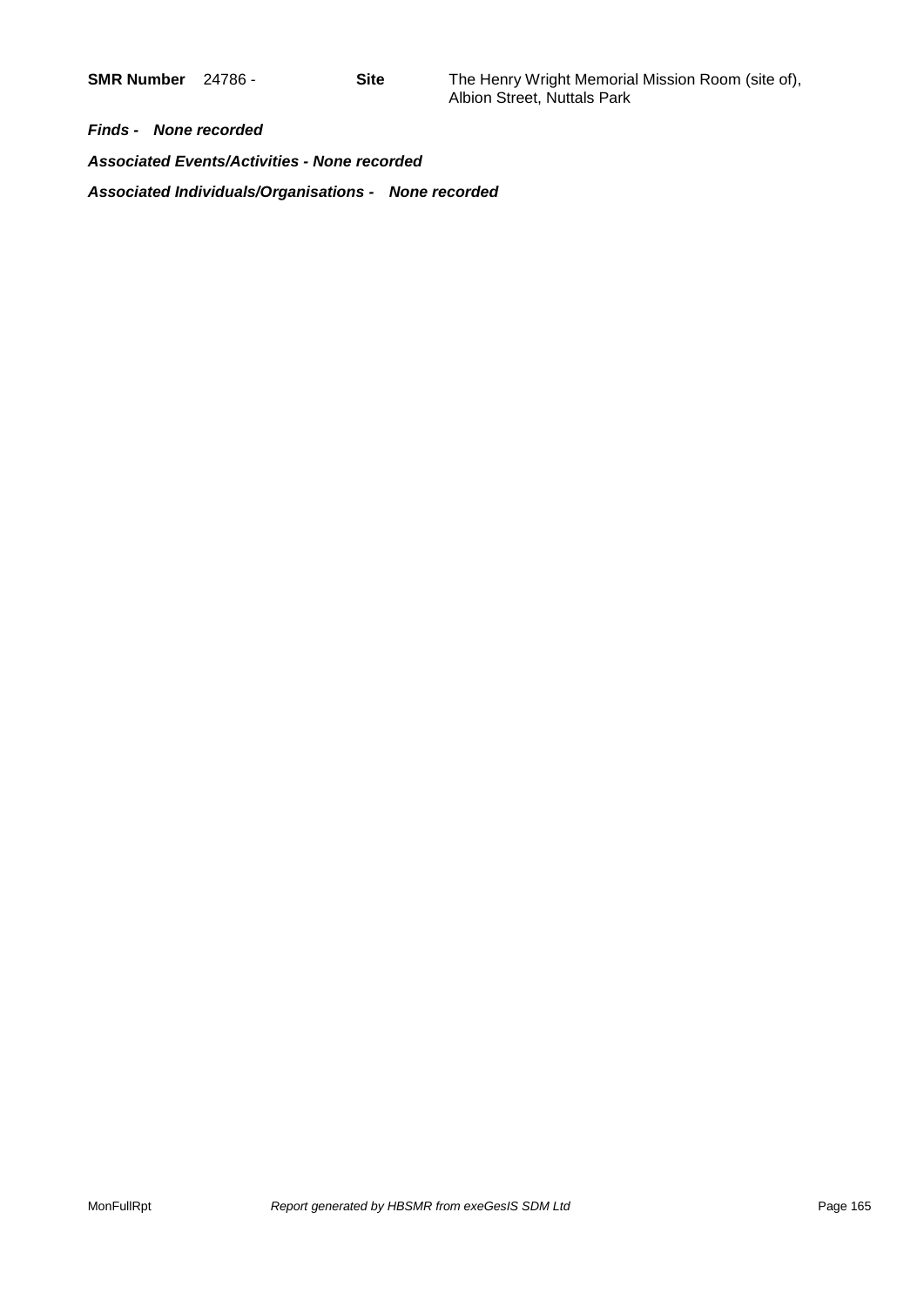*Finds - None recorded*

*Associated Events/Activities - None recorded*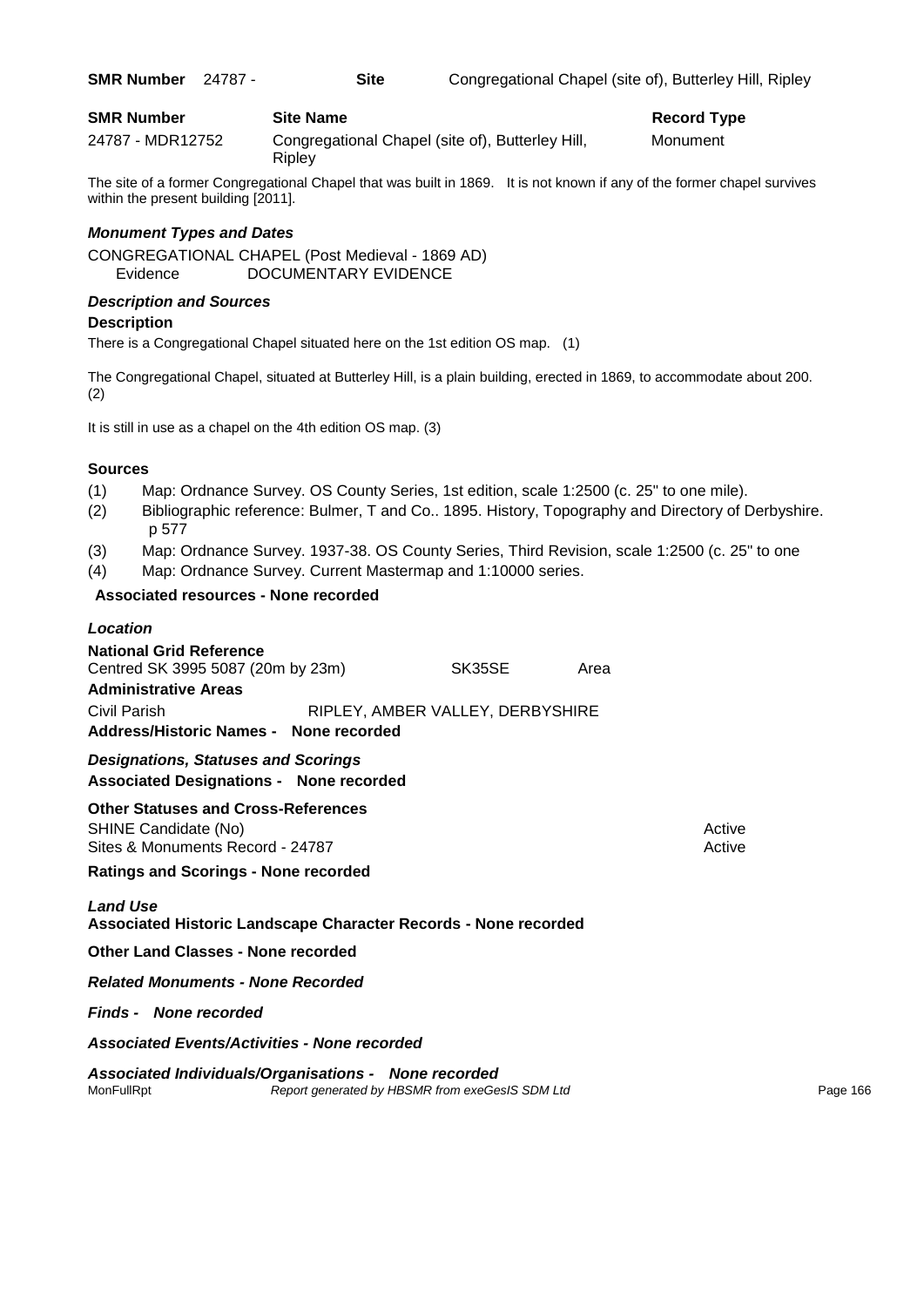|  | <b>SMR Number</b> | 24787 |
|--|-------------------|-------|
|--|-------------------|-------|

| <b>SMR Number</b> | <b>Site Name</b>                                           | Record Ty |
|-------------------|------------------------------------------------------------|-----------|
| 24787 - MDR12752  | Congregational Chapel (site of), Butterley Hill,<br>Ripley | Monument  |

The site of a former Congregational Chapel that was built in 1869. It is not known if any of the former chapel survives within the present building [2011].

## *Monument Types and Dates*

CONGREGATIONAL CHAPEL (Post Medieval - 1869 AD) Evidence DOCUMENTARY EVIDENCE

## *Description and Sources*

## **Description**

There is a Congregational Chapel situated here on the 1st edition OS map. (1)

The Congregational Chapel, situated at Butterley Hill, is a plain building, erected in 1869, to accommodate about 200. (2)

It is still in use as a chapel on the 4th edition OS map. (3)

## **Sources**

- (1) Map: Ordnance Survey. OS County Series, 1st edition, scale 1:2500 (c. 25" to one mile).
- (2) Bibliographic reference: Bulmer, T and Co.. 1895. History, Topography and Directory of Derbyshire. p 577
- (3) Map: Ordnance Survey. 1937-38. OS County Series, Third Revision, scale 1:2500 (c. 25" to one
- (4) Map: Ordnance Survey. Current Mastermap and 1:10000 series.

## **Associated resources - None recorded**

| Location                                                                                           |                                  |      |        |
|----------------------------------------------------------------------------------------------------|----------------------------------|------|--------|
| <b>National Grid Reference</b><br>Centred SK 3995 5087 (20m by 23m)<br><b>Administrative Areas</b> | SK35SE                           | Area |        |
| Civil Parish<br>Address/Historic Names - None recorded                                             | RIPLEY, AMBER VALLEY, DERBYSHIRE |      |        |
| <b>Designations, Statuses and Scorings</b><br><b>Associated Designations - None recorded</b>       |                                  |      |        |
| <b>Other Statuses and Cross-References</b>                                                         |                                  |      |        |
| SHINE Candidate (No)                                                                               |                                  |      | Active |
| Sites & Monuments Record - 24787                                                                   |                                  |      | Active |

**Ratings and Scorings - None recorded**

## *Land Use*

**Associated Historic Landscape Character Records - None recorded**

**Other Land Classes - None recorded**

*Related Monuments - None Recorded*

*Finds - None recorded*

*Associated Events/Activities - None recorded*

# *Associated Individuals/Organisations - None recorded*

Report generated by HBSMR from exeGesIS SDM Ltd **Page 166**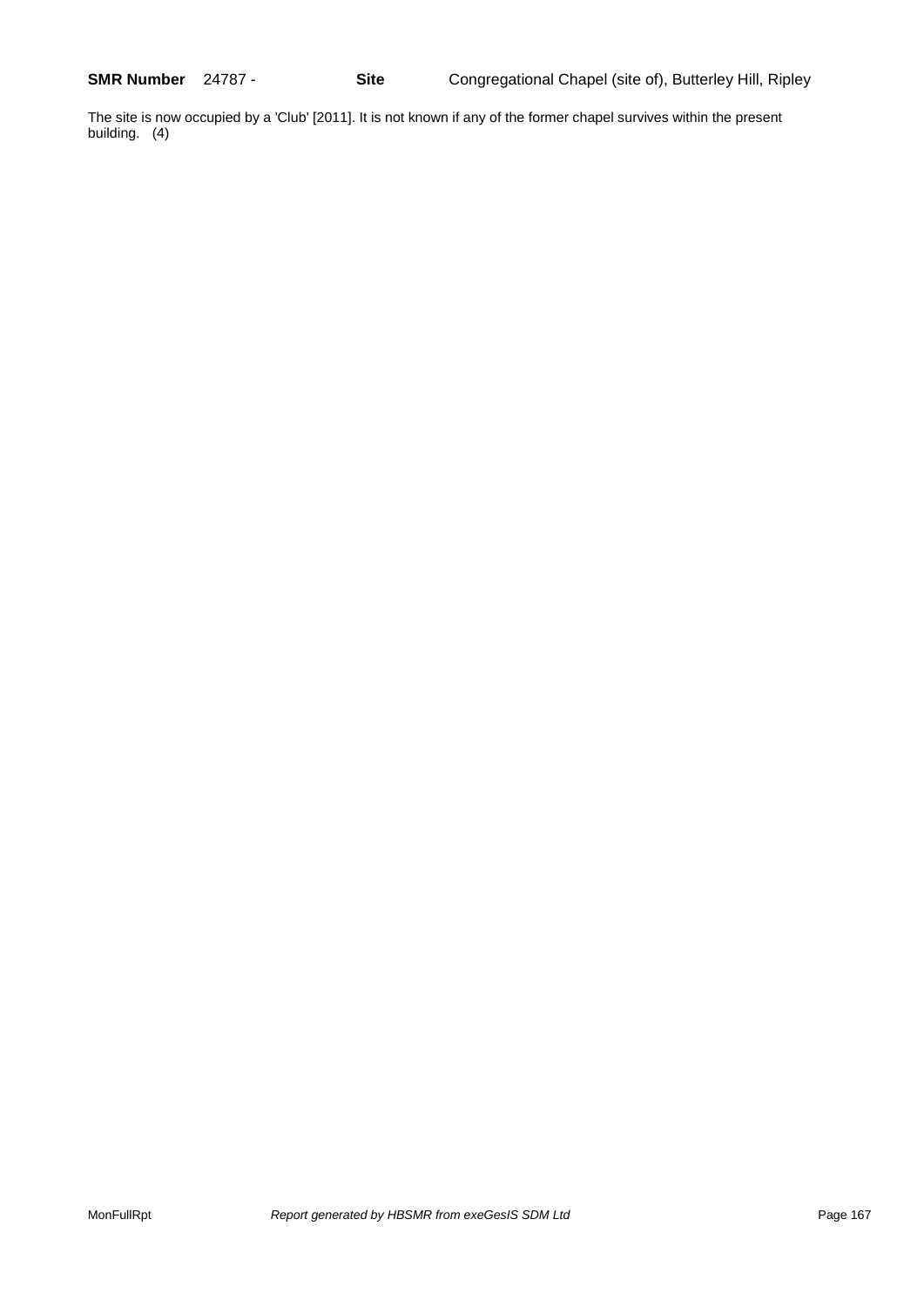The site is now occupied by a 'Club' [2011]. It is not known if any of the former chapel survives within the present building. (4)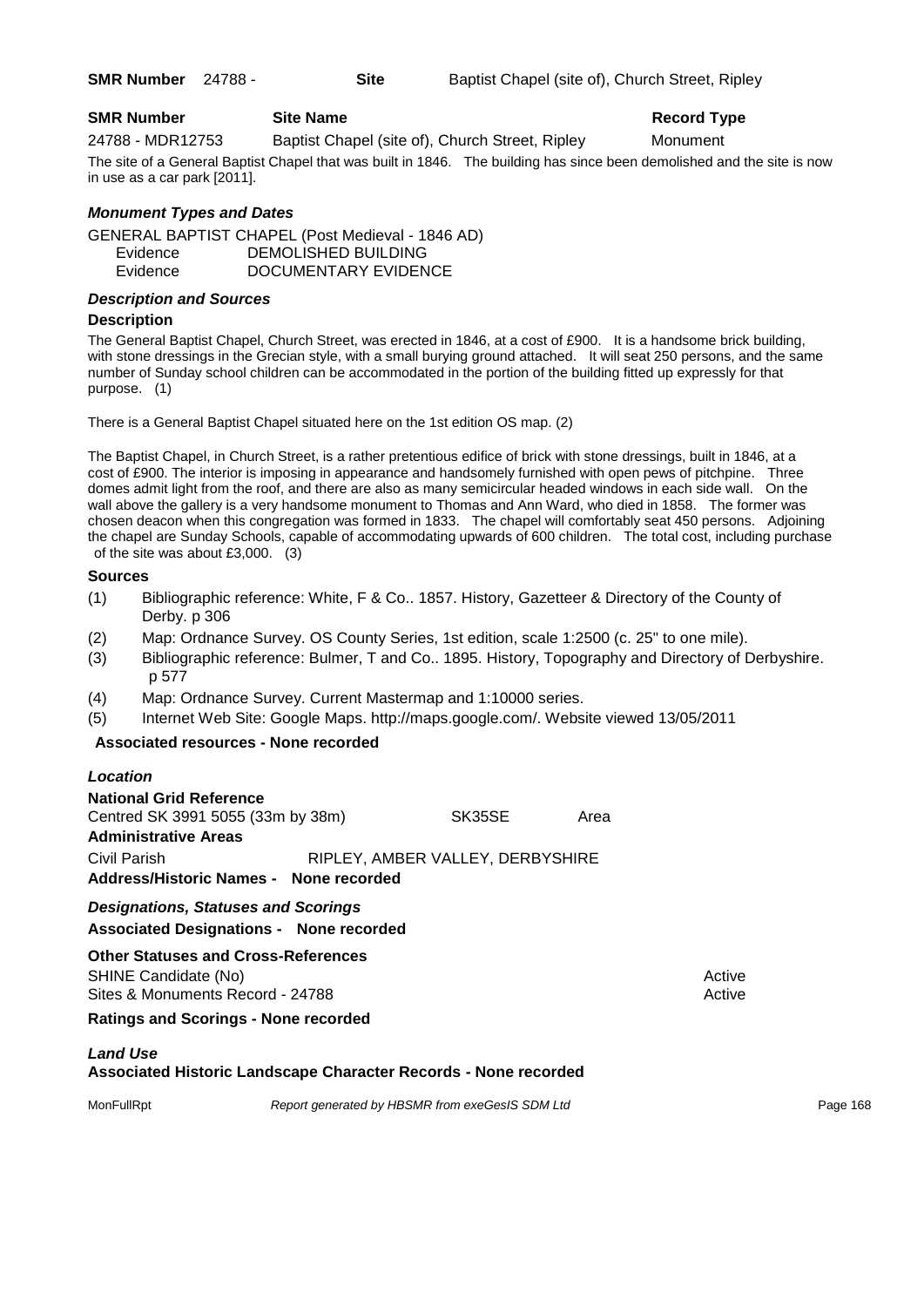| <b>SMR Number</b> 24788 - |  | <b>Site</b> |  | Baptist Chapel (site of), Church Street, Ripley |
|---------------------------|--|-------------|--|-------------------------------------------------|
|---------------------------|--|-------------|--|-------------------------------------------------|

## **SMR Number Site Name Record Type Record Type**

24788 - MDR12753 Baptist Chapel (site of), Church Street, Ripley Monument

The site of a General Baptist Chapel that was built in 1846. The building has since been demolished and the site is now in use as a car park [2011].

## *Monument Types and Dates*

GENERAL BAPTIST CHAPEL (Post Medieval - 1846 AD) Evidence DEMOLISHED BUILDING Evidence DOCUMENTARY EVIDENCE

## *Description and Sources*

#### **Description**

The General Baptist Chapel, Church Street, was erected in 1846, at a cost of £900. It is a handsome brick building, with stone dressings in the Grecian style, with a small burying ground attached. It will seat 250 persons, and the same number of Sunday school children can be accommodated in the portion of the building fitted up expressly for that purpose. (1)

There is a General Baptist Chapel situated here on the 1st edition OS map. (2)

The Baptist Chapel, in Church Street, is a rather pretentious edifice of brick with stone dressings, built in 1846, at a cost of £900. The interior is imposing in appearance and handsomely furnished with open pews of pitchpine. Three domes admit light from the roof, and there are also as many semicircular headed windows in each side wall. On the wall above the gallery is a very handsome monument to Thomas and Ann Ward, who died in 1858. The former was chosen deacon when this congregation was formed in 1833. The chapel will comfortably seat 450 persons. Adjoining the chapel are Sunday Schools, capable of accommodating upwards of 600 children. The total cost, including purchase of the site was about £3,000. (3)

#### **Sources**

- (1) Bibliographic reference: White, F & Co.. 1857. History, Gazetteer & Directory of the County of Derby. p 306
- (2) Map: Ordnance Survey. OS County Series, 1st edition, scale 1:2500 (c. 25" to one mile).
- (3) Bibliographic reference: Bulmer, T and Co.. 1895. History, Topography and Directory of Derbyshire. p 577
- (4) Map: Ordnance Survey. Current Mastermap and 1:10000 series.
- (5) Internet Web Site: Google Maps. http://maps.google.com/. Website viewed 13/05/2011

## **Associated resources - None recorded**

#### *Location*

| <b>National Grid Reference</b>                                                               |                                   |  |      |
|----------------------------------------------------------------------------------------------|-----------------------------------|--|------|
|                                                                                              | Centred SK 3991 5055 (33m by 38m) |  | Area |
| <b>Administrative Areas</b>                                                                  |                                   |  |      |
| Civil Parish<br>Address/Historic Names - None recorded                                       | RIPLEY, AMBER VALLEY, DERBYSHIRE  |  |      |
| <b>Designations, Statuses and Scorings</b><br><b>Associated Designations - None recorded</b> |                                   |  |      |

## **Other Statuses and Cross-References** SHINE Candidate (No) **Active** 3 Active 3 Active 3 Active 3 Active 3 Active 3 Active

Sites & Monuments Record - 24788 Active Active Active Active

## **Ratings and Scorings - None recorded**

#### *Land Use*

## **Associated Historic Landscape Character Records - None recorded**

MonFullRpt *Report generated by HBSMR from exeGesIS SDM Ltd Report 168*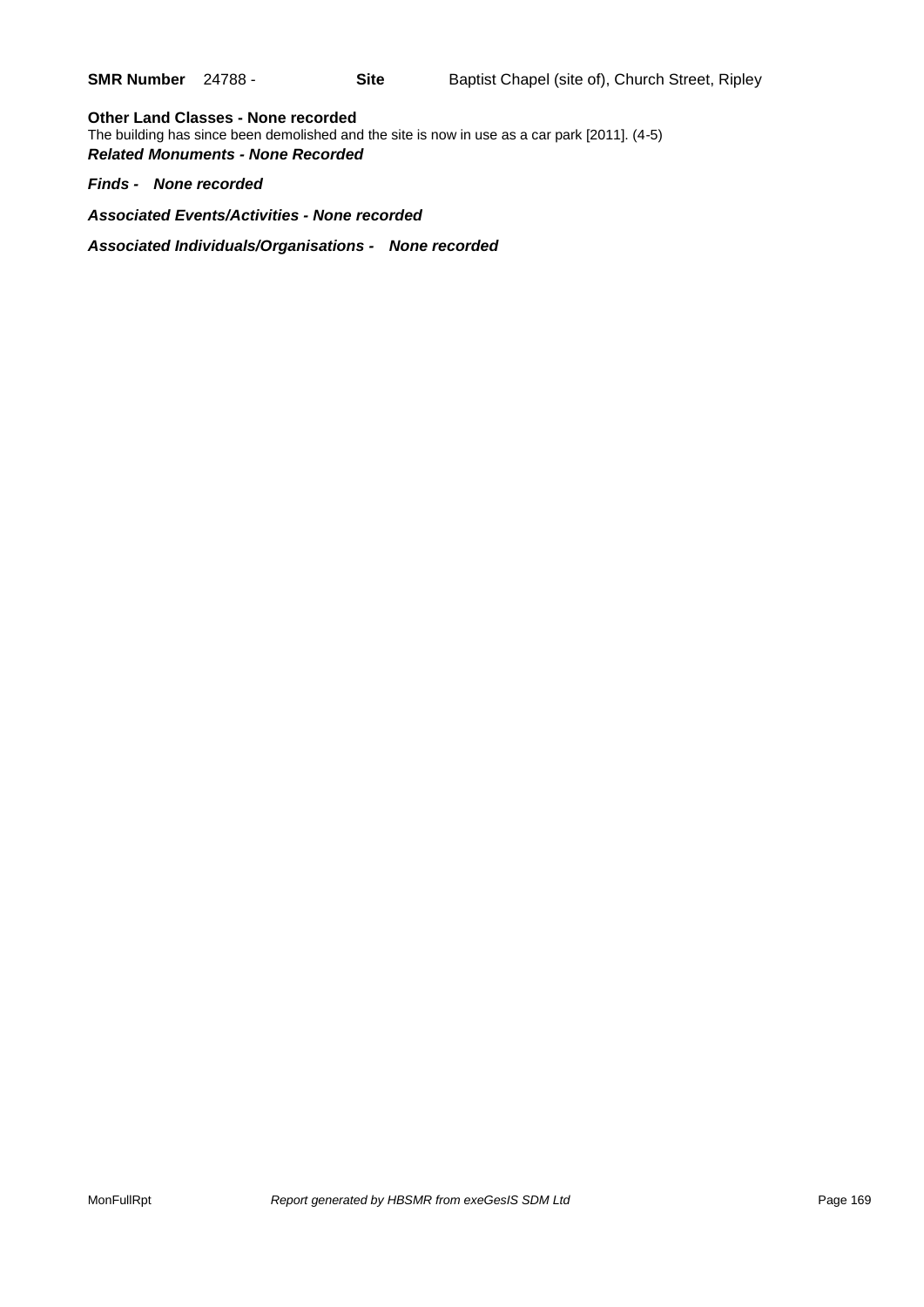**Other Land Classes - None recorded** The building has since been demolished and the site is now in use as a car park [2011]. (4-5) *Related Monuments - None Recorded*

*Finds - None recorded*

*Associated Events/Activities - None recorded*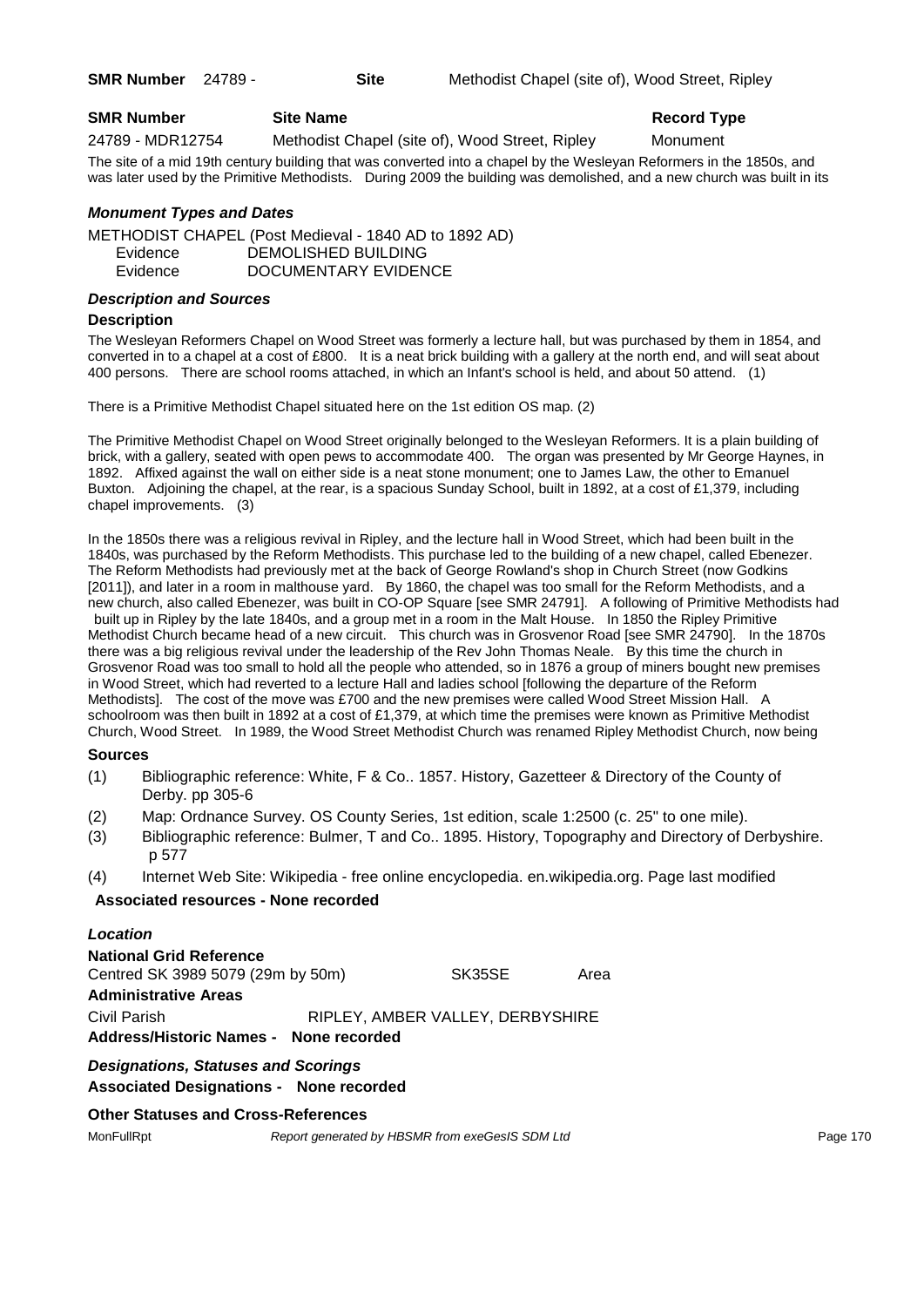**SMR Number** 24789 - **Site** Methodist Chapel (site of), Wood Street, Ripley

## **SMR Number Site Name Record Type Record Type**

24789 - MDR12754 Methodist Chapel (site of), Wood Street, Ripley Monument

The site of a mid 19th century building that was converted into a chapel by the Wesleyan Reformers in the 1850s, and was later used by the Primitive Methodists. During 2009 the building was demolished, and a new church was built in its

## *Monument Types and Dates*

METHODIST CHAPEL (Post Medieval - 1840 AD to 1892 AD) Evidence DEMOLISHED BUILDING Evidence DOCUMENTARY EVIDENCE

## *Description and Sources*

#### **Description**

The Wesleyan Reformers Chapel on Wood Street was formerly a lecture hall, but was purchased by them in 1854, and converted in to a chapel at a cost of £800. It is a neat brick building with a gallery at the north end, and will seat about 400 persons. There are school rooms attached, in which an Infant's school is held, and about 50 attend. (1)

There is a Primitive Methodist Chapel situated here on the 1st edition OS map. (2)

The Primitive Methodist Chapel on Wood Street originally belonged to the Wesleyan Reformers. It is a plain building of brick, with a gallery, seated with open pews to accommodate 400. The organ was presented by Mr George Haynes, in 1892. Affixed against the wall on either side is a neat stone monument; one to James Law, the other to Emanuel Buxton. Adjoining the chapel, at the rear, is a spacious Sunday School, built in 1892, at a cost of £1,379, including chapel improvements. (3)

In the 1850s there was a religious revival in Ripley, and the lecture hall in Wood Street, which had been built in the 1840s, was purchased by the Reform Methodists. This purchase led to the building of a new chapel, called Ebenezer. The Reform Methodists had previously met at the back of George Rowland's shop in Church Street (now Godkins [2011]), and later in a room in malthouse yard. By 1860, the chapel was too small for the Reform Methodists, and a new church, also called Ebenezer, was built in CO-OP Square [see SMR 24791]. A following of Primitive Methodists had built up in Ripley by the late 1840s, and a group met in a room in the Malt House. In 1850 the Ripley Primitive Methodist Church became head of a new circuit. This church was in Grosvenor Road [see SMR 24790]. In the 1870s there was a big religious revival under the leadership of the Rev John Thomas Neale. By this time the church in Grosvenor Road was too small to hold all the people who attended, so in 1876 a group of miners bought new premises in Wood Street, which had reverted to a lecture Hall and ladies school [following the departure of the Reform Methodists]. The cost of the move was £700 and the new premises were called Wood Street Mission Hall. A schoolroom was then built in 1892 at a cost of £1,379, at which time the premises were known as Primitive Methodist Church, Wood Street. In 1989, the Wood Street Methodist Church was renamed Ripley Methodist Church, now being

## **Sources**

- (1) Bibliographic reference: White, F & Co.. 1857. History, Gazetteer & Directory of the County of Derby. pp 305-6
- (2) Map: Ordnance Survey. OS County Series, 1st edition, scale 1:2500 (c. 25" to one mile).
- (3) Bibliographic reference: Bulmer, T and Co.. 1895. History, Topography and Directory of Derbyshire. p 577
- (4) Internet Web Site: Wikipedia free online encyclopedia. en.wikipedia.org. Page last modified

## **Associated resources - None recorded**

| Location                                                     |                                  |      |
|--------------------------------------------------------------|----------------------------------|------|
| National Grid Reference<br>Centred SK 3989 5079 (29m by 50m) | SK35SE                           | Area |
| Administrative Areas                                         |                                  |      |
| Civil Parish                                                 | RIPLEY, AMBER VALLEY, DERBYSHIRE |      |
| Address/Historic Names - None recorded                       |                                  |      |
| <b>Designations, Statuses and Scorings</b>                   |                                  |      |

#### **Associated Designations - None recorded**

## **Other Statuses and Cross-References**

MonFullRpt *Report generated by HBSMR from exeGesIS SDM Ltd Rage 170* Page 170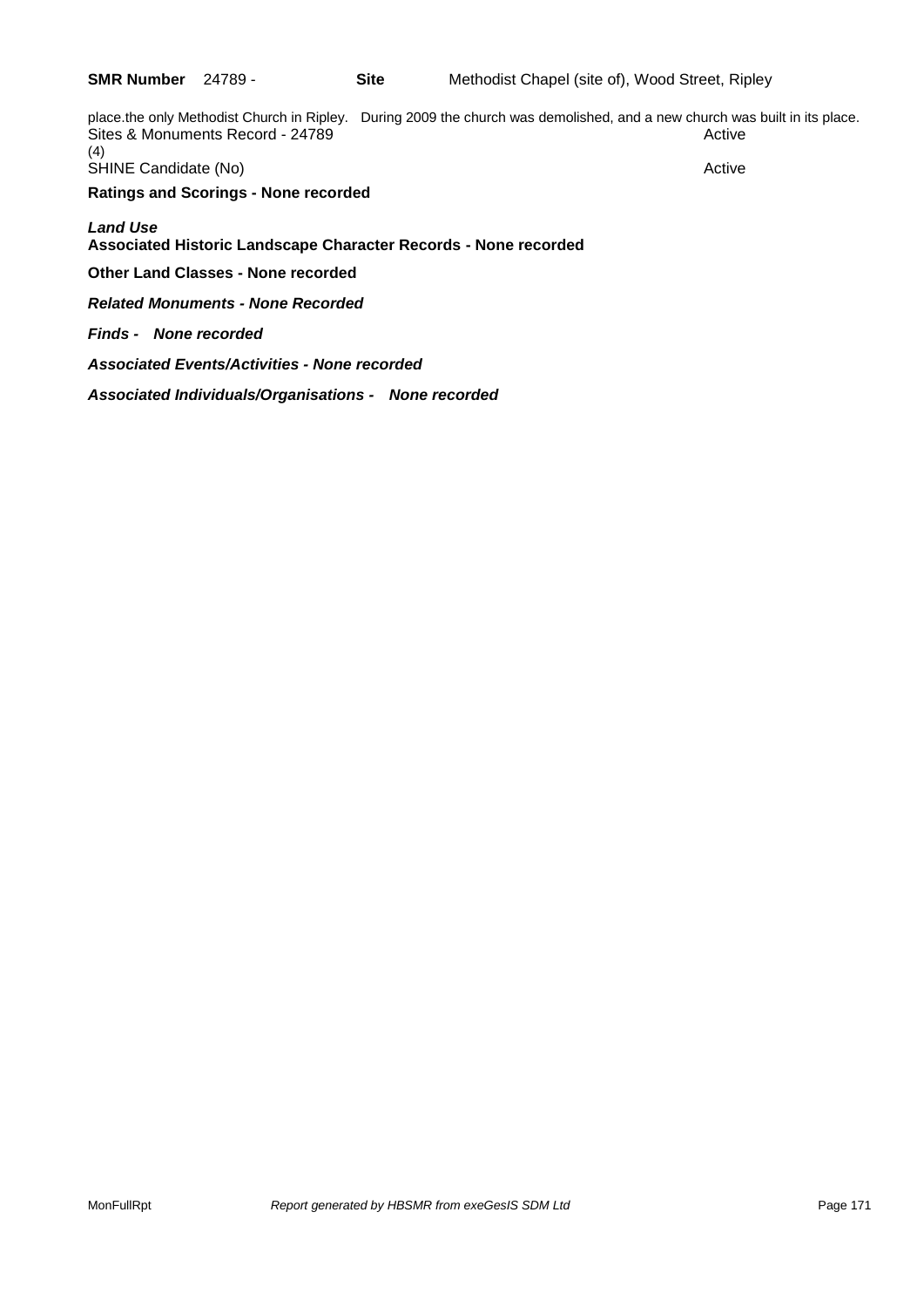place.the only Methodist Church in Ripley. During 2009 the church was demolished, and a new church was built in its place. Sites & Monuments Record - 24789 Active Active Active Active (4) SHINE Candidate (No) **Active** Active **Ratings and Scorings - None recorded** *Land Use*  **Associated Historic Landscape Character Records - None recorded Other Land Classes - None recorded** *Related Monuments - None Recorded Finds - None recorded*

*Associated Events/Activities - None recorded*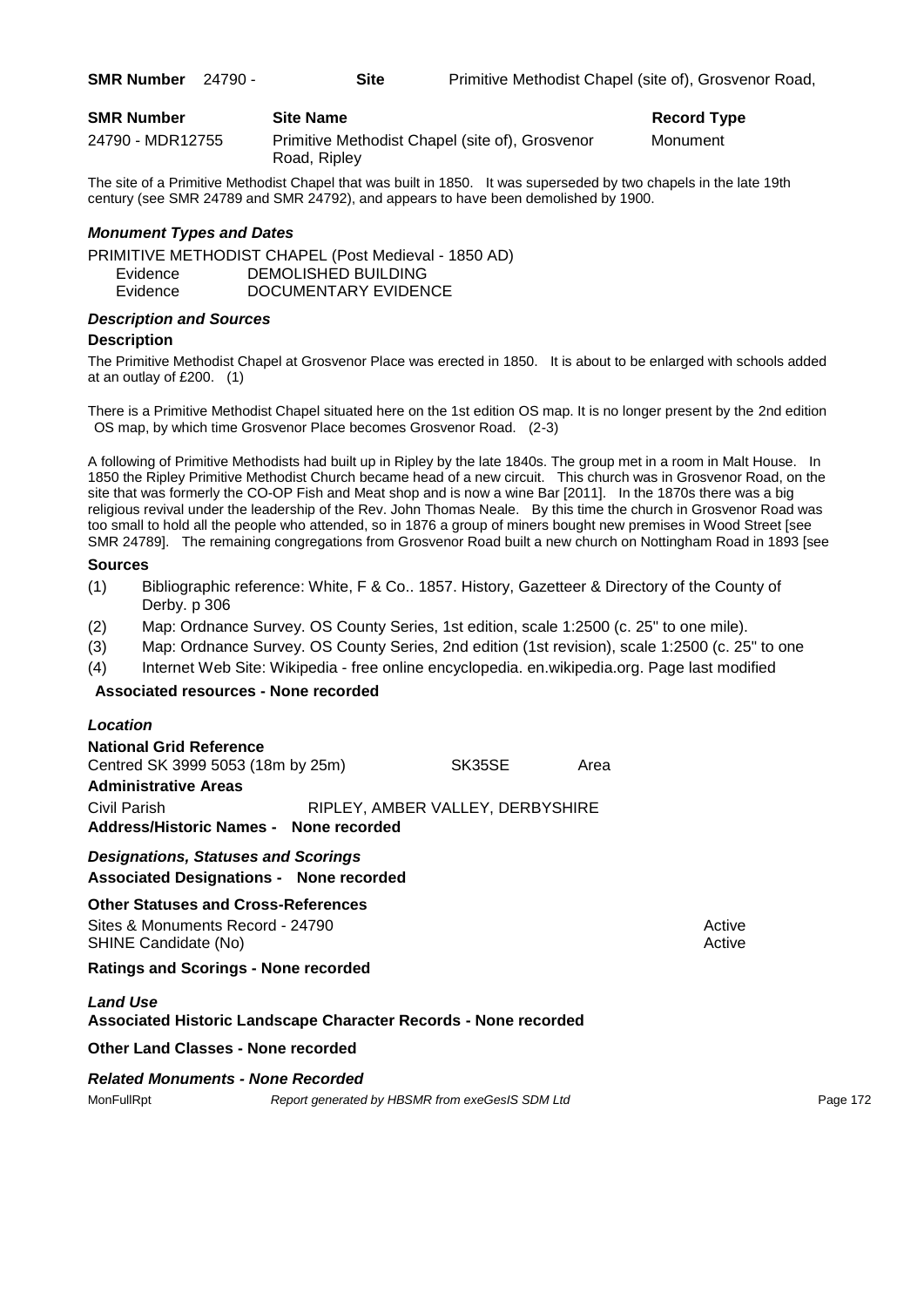| <b>SMR Number</b> | <b>Site Name</b>                                                | Record Ty |
|-------------------|-----------------------------------------------------------------|-----------|
| 24790 - MDR12755  | Primitive Methodist Chapel (site of), Grosvenor<br>Road, Ripley | Monument  |

The site of a Primitive Methodist Chapel that was built in 1850. It was superseded by two chapels in the late 19th century (see SMR 24789 and SMR 24792), and appears to have been demolished by 1900.

## *Monument Types and Dates*

PRIMITIVE METHODIST CHAPEL (Post Medieval - 1850 AD) Evidence DEMOLISHED BUILDING Evidence DOCUMENTARY EVIDENCE

# *Description and Sources*

#### **Description**

The Primitive Methodist Chapel at Grosvenor Place was erected in 1850. It is about to be enlarged with schools added at an outlay of £200. (1)

There is a Primitive Methodist Chapel situated here on the 1st edition OS map. It is no longer present by the 2nd edition OS map, by which time Grosvenor Place becomes Grosvenor Road. (2-3)

A following of Primitive Methodists had built up in Ripley by the late 1840s. The group met in a room in Malt House. In 1850 the Ripley Primitive Methodist Church became head of a new circuit. This church was in Grosvenor Road, on the site that was formerly the CO-OP Fish and Meat shop and is now a wine Bar [2011]. In the 1870s there was a big religious revival under the leadership of the Rev. John Thomas Neale. By this time the church in Grosvenor Road was too small to hold all the people who attended, so in 1876 a group of miners bought new premises in Wood Street [see SMR 24789]. The remaining congregations from Grosvenor Road built a new church on Nottingham Road in 1893 [see

#### **Sources**

- (1) Bibliographic reference: White, F & Co.. 1857. History, Gazetteer & Directory of the County of Derby. p 306
- (2) Map: Ordnance Survey. OS County Series, 1st edition, scale 1:2500 (c. 25" to one mile).
- (3) Map: Ordnance Survey. OS County Series, 2nd edition (1st revision), scale 1:2500 (c. 25" to one
- (4) Internet Web Site: Wikipedia free online encyclopedia. en.wikipedia.org. Page last modified

## **Associated resources - None recorded**

| Location                                                                                                           |                                                 |      |                  |          |
|--------------------------------------------------------------------------------------------------------------------|-------------------------------------------------|------|------------------|----------|
| <b>National Grid Reference</b><br>Centred SK 3999 5053 (18m by 25m)<br><b>Administrative Areas</b><br>Civil Parish | SK35SE<br>RIPLEY, AMBER VALLEY, DERBYSHIRE      | Area |                  |          |
| Address/Historic Names - None recorded                                                                             |                                                 |      |                  |          |
| <b>Designations, Statuses and Scorings</b><br><b>Associated Designations - None recorded</b>                       |                                                 |      |                  |          |
| <b>Other Statuses and Cross-References</b><br>Sites & Monuments Record - 24790<br>SHINE Candidate (No)             |                                                 |      | Active<br>Active |          |
| <b>Ratings and Scorings - None recorded</b>                                                                        |                                                 |      |                  |          |
| <b>Land Use</b><br>Associated Historic Landscape Character Records - None recorded                                 |                                                 |      |                  |          |
| <b>Other Land Classes - None recorded</b>                                                                          |                                                 |      |                  |          |
| <b>Related Monuments - None Recorded</b>                                                                           |                                                 |      |                  |          |
| MonFullRpt                                                                                                         | Report generated by HBSMR from exeGesIS SDM Ltd |      |                  | Page 172 |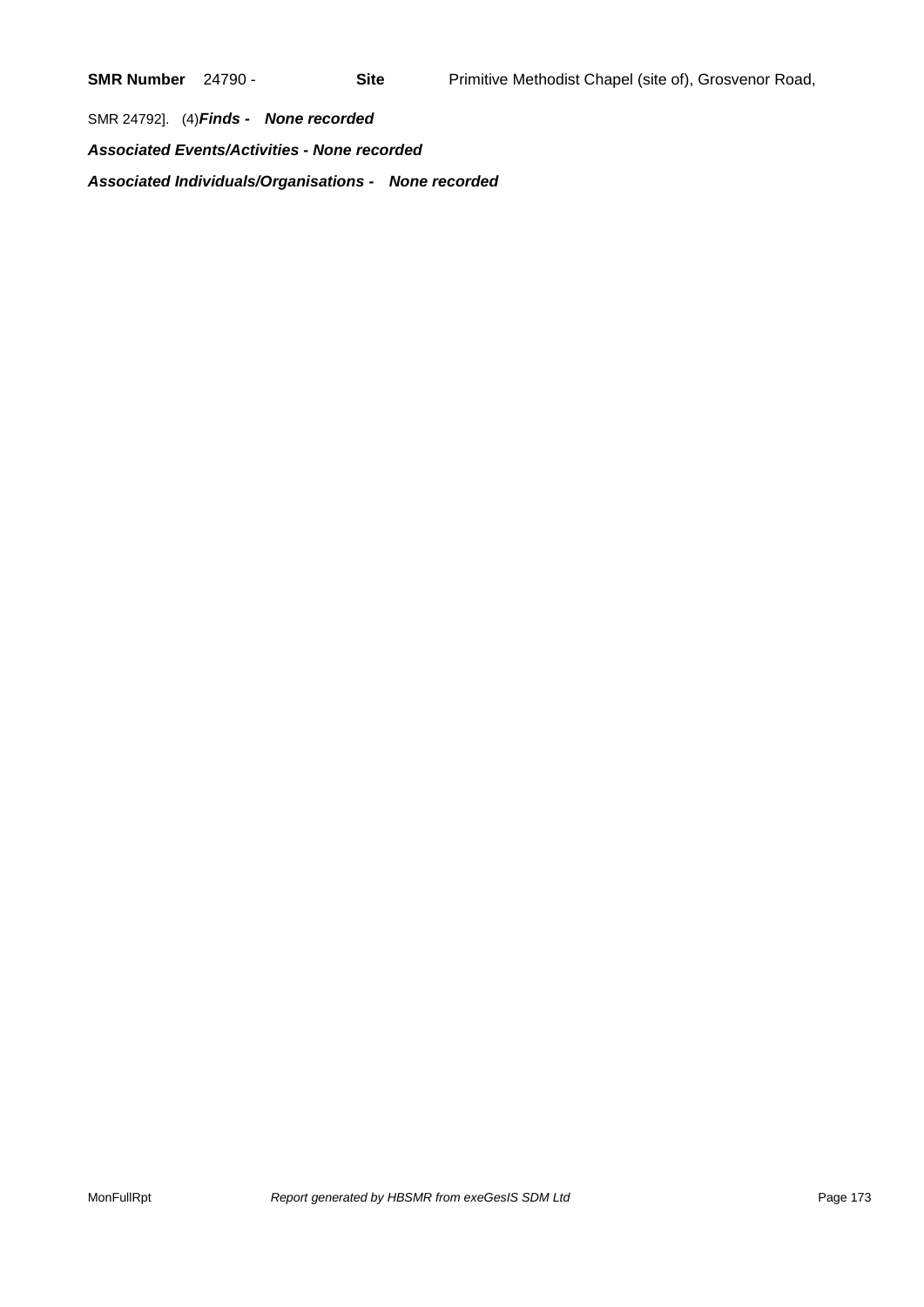SMR 24792]. (4)*Finds - None recorded*

*Associated Events/Activities - None recorded*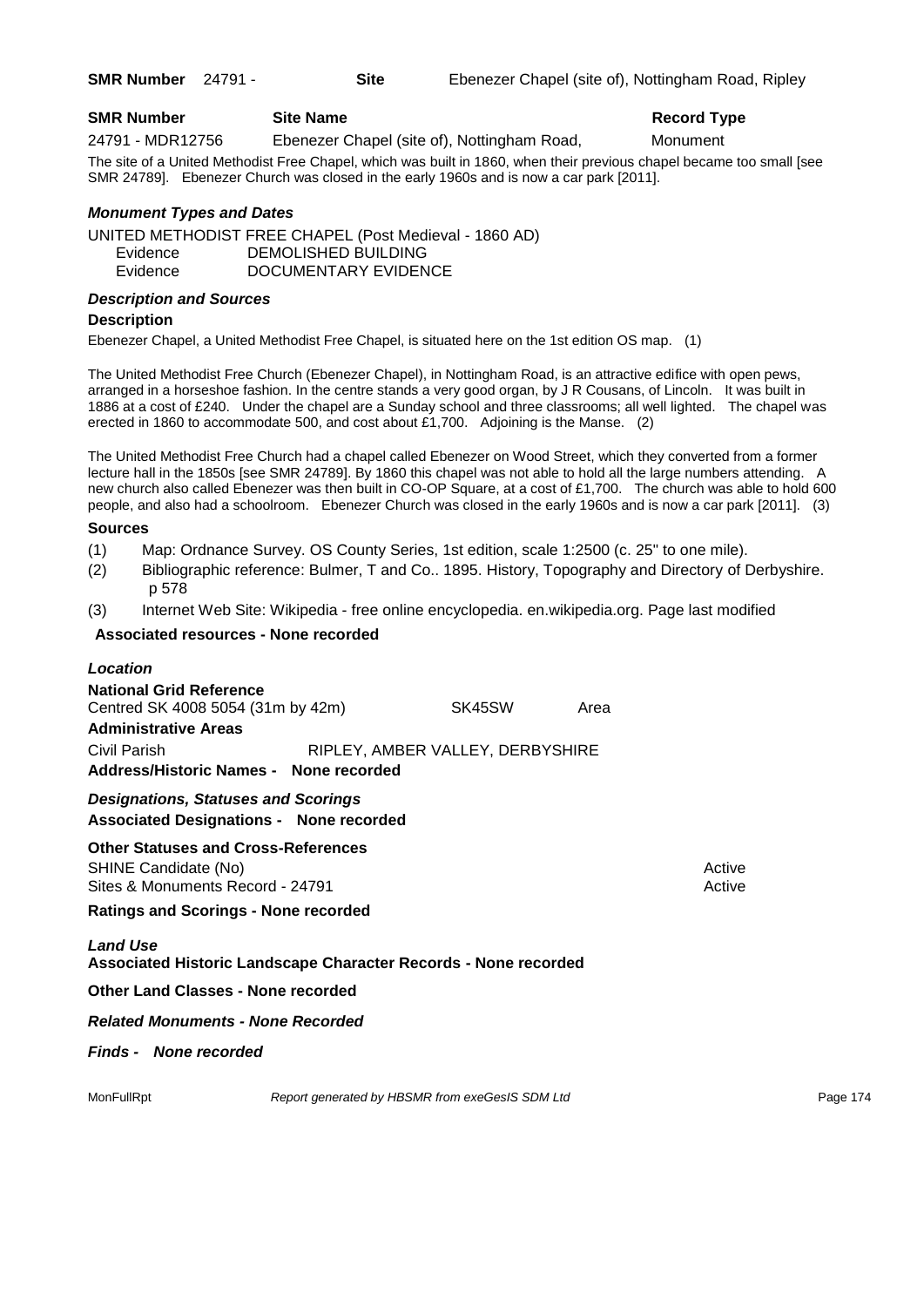**SMR Number** 24791 - **Site** Ebenezer Chapel (site of), Nottingham Road, Ripley

| <b>SMR Number</b> | <b>Site Name</b>                            | <b>Record Type</b> |  |
|-------------------|---------------------------------------------|--------------------|--|
| 24791 - MDR12756  | Ebenezer Chapel (site of), Nottingham Road, | Monument           |  |

The site of a United Methodist Free Chapel, which was built in 1860, when their previous chapel became too small [see SMR 24789]. Ebenezer Church was closed in the early 1960s and is now a car park [2011].

## *Monument Types and Dates*

UNITED METHODIST FREE CHAPEL (Post Medieval - 1860 AD) Evidence DEMOLISHED BUILDING Evidence DOCUMENTARY EVIDENCE

## *Description and Sources*

#### **Description**

Ebenezer Chapel, a United Methodist Free Chapel, is situated here on the 1st edition OS map. (1)

The United Methodist Free Church (Ebenezer Chapel), in Nottingham Road, is an attractive edifice with open pews, arranged in a horseshoe fashion. In the centre stands a very good organ, by J R Cousans, of Lincoln. It was built in 1886 at a cost of £240. Under the chapel are a Sunday school and three classrooms; all well lighted. The chapel was erected in 1860 to accommodate 500, and cost about £1,700. Adjoining is the Manse. (2)

The United Methodist Free Church had a chapel called Ebenezer on Wood Street, which they converted from a former lecture hall in the 1850s [see SMR 24789]. By 1860 this chapel was not able to hold all the large numbers attending. A new church also called Ebenezer was then built in CO-OP Square, at a cost of £1,700. The church was able to hold 600 people, and also had a schoolroom. Ebenezer Church was closed in the early 1960s and is now a car park [2011]. (3)

## **Sources**

- (1) Map: Ordnance Survey. OS County Series, 1st edition, scale 1:2500 (c. 25" to one mile).
- (2) Bibliographic reference: Bulmer, T and Co.. 1895. History, Topography and Directory of Derbyshire. p 578
- (3) Internet Web Site: Wikipedia free online encyclopedia. en.wikipedia.org. Page last modified

## **Associated resources - None recorded**

| Location                                                                                               |                                                 |      |                  |          |
|--------------------------------------------------------------------------------------------------------|-------------------------------------------------|------|------------------|----------|
| <b>National Grid Reference</b><br>Centred SK 4008 5054 (31m by 42m)                                    | SK45SW                                          | Area |                  |          |
| <b>Administrative Areas</b>                                                                            |                                                 |      |                  |          |
| Civil Parish                                                                                           | RIPLEY, AMBER VALLEY, DERBYSHIRE                |      |                  |          |
| Address/Historic Names - None recorded                                                                 |                                                 |      |                  |          |
| <b>Designations, Statuses and Scorings</b><br><b>Associated Designations - None recorded</b>           |                                                 |      |                  |          |
| <b>Other Statuses and Cross-References</b><br>SHINE Candidate (No)<br>Sites & Monuments Record - 24791 |                                                 |      | Active<br>Active |          |
| <b>Ratings and Scorings - None recorded</b>                                                            |                                                 |      |                  |          |
| <b>Land Use</b><br>Associated Historic Landscape Character Records - None recorded                     |                                                 |      |                  |          |
| <b>Other Land Classes - None recorded</b>                                                              |                                                 |      |                  |          |
| <b>Related Monuments - None Recorded</b>                                                               |                                                 |      |                  |          |
| <b>Finds - None recorded</b>                                                                           |                                                 |      |                  |          |
| MonFullRpt                                                                                             | Report generated by HBSMR from exeGesIS SDM Ltd |      |                  | Page 174 |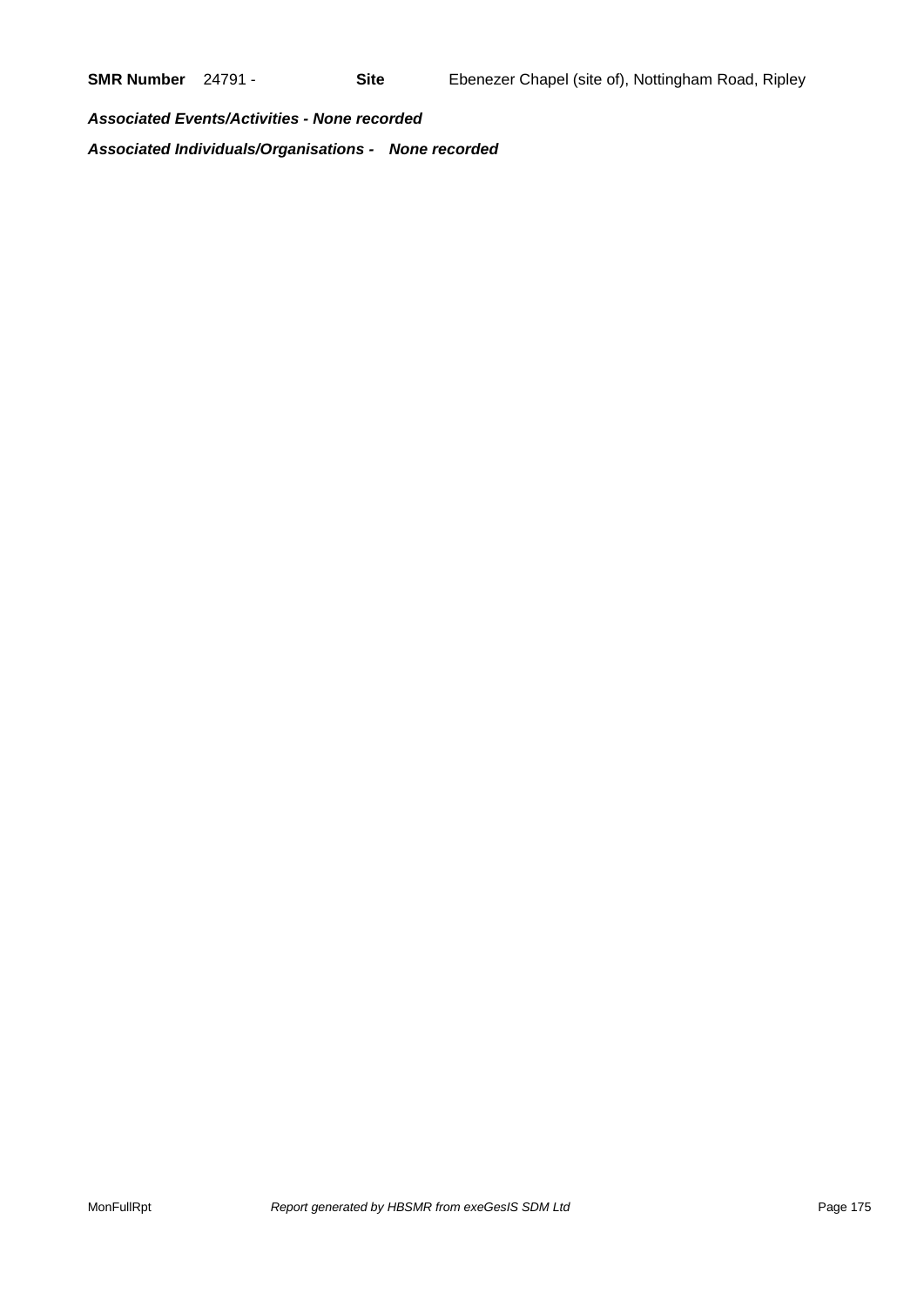*Associated Events/Activities - None recorded Associated Individuals/Organisations - None recorded*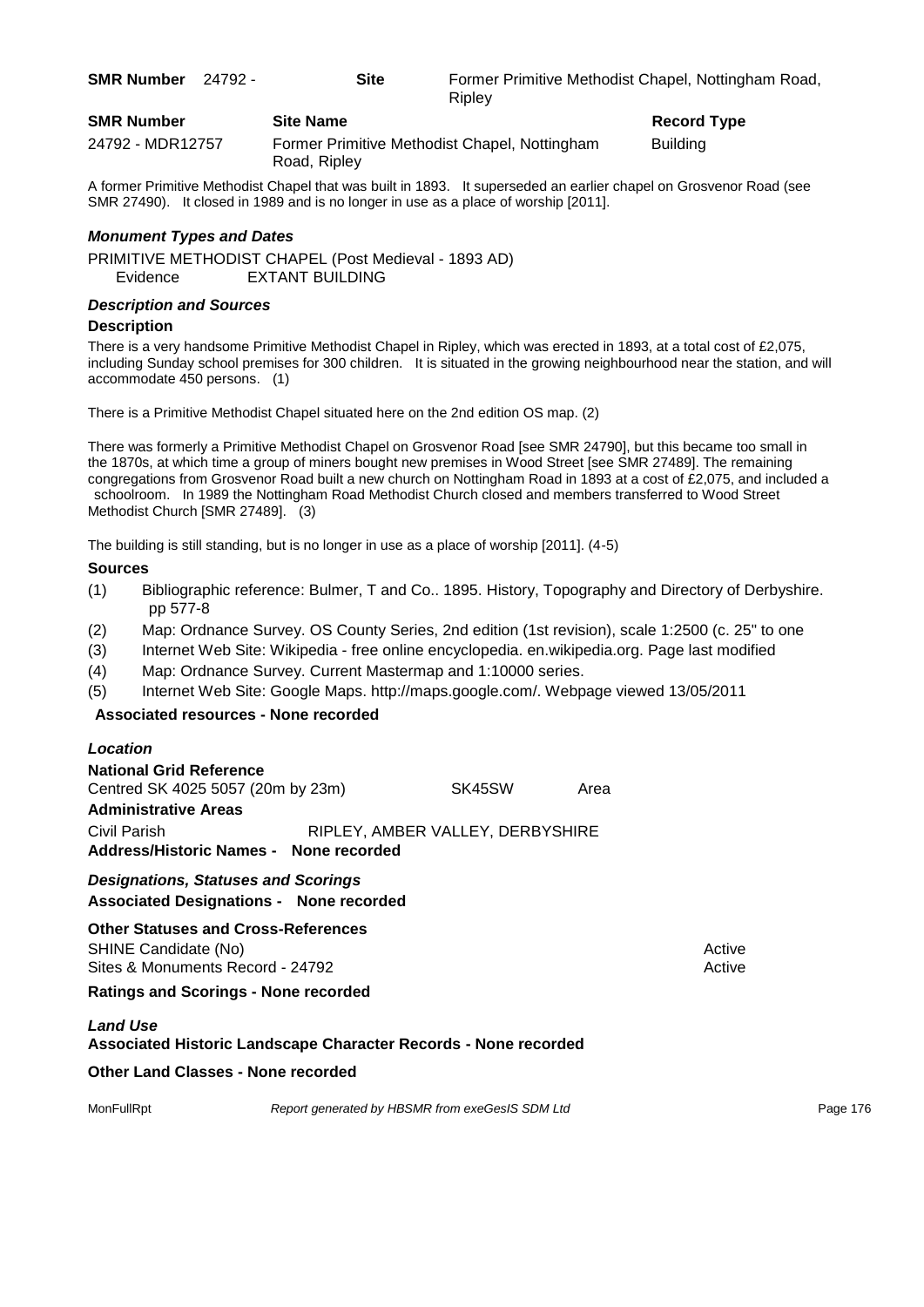| <b>SMR Number</b> | 24792 - | Site             | Ripley                                        | Former Primitive Methodist Chapel, Nottingham Road, |  |  |
|-------------------|---------|------------------|-----------------------------------------------|-----------------------------------------------------|--|--|
| <b>SMR Number</b> |         | <b>Site Name</b> |                                               | Record Type                                         |  |  |
| 24792 - MDR12757  |         |                  | Former Primitive Methodist Chapel, Nottingham | <b>Building</b>                                     |  |  |

Road, Ripley

A former Primitive Methodist Chapel that was built in 1893. It superseded an earlier chapel on Grosvenor Road (see SMR 27490). It closed in 1989 and is no longer in use as a place of worship [2011].

## *Monument Types and Dates*

PRIMITIVE METHODIST CHAPEL (Post Medieval - 1893 AD) Evidence EXTANT BUILDING

## *Description and Sources*

## **Description**

There is a very handsome Primitive Methodist Chapel in Ripley, which was erected in 1893, at a total cost of £2,075, including Sunday school premises for 300 children. It is situated in the growing neighbourhood near the station, and will accommodate 450 persons. (1)

There is a Primitive Methodist Chapel situated here on the 2nd edition OS map. (2)

There was formerly a Primitive Methodist Chapel on Grosvenor Road [see SMR 24790], but this became too small in the 1870s, at which time a group of miners bought new premises in Wood Street [see SMR 27489]. The remaining congregations from Grosvenor Road built a new church on Nottingham Road in 1893 at a cost of £2,075, and included a schoolroom. In 1989 the Nottingham Road Methodist Church closed and members transferred to Wood Street Methodist Church [SMR 27489]. (3)

The building is still standing, but is no longer in use as a place of worship [2011]. (4-5)

## **Sources**

- (1) Bibliographic reference: Bulmer, T and Co.. 1895. History, Topography and Directory of Derbyshire. pp 577-8
- (2) Map: Ordnance Survey. OS County Series, 2nd edition (1st revision), scale 1:2500 (c. 25" to one
- (3) Internet Web Site: Wikipedia free online encyclopedia. en.wikipedia.org. Page last modified
- (4) Map: Ordnance Survey. Current Mastermap and 1:10000 series.
- (5) Internet Web Site: Google Maps. http://maps.google.com/. Webpage viewed 13/05/2011

## **Associated resources - None recorded**

| Location                                                                                               |                                                 |      |                  |          |
|--------------------------------------------------------------------------------------------------------|-------------------------------------------------|------|------------------|----------|
| <b>National Grid Reference</b><br>Centred SK 4025 5057 (20m by 23m)<br><b>Administrative Areas</b>     | SK45SW                                          | Area |                  |          |
| Civil Parish<br>Address/Historic Names - None recorded                                                 | RIPLEY, AMBER VALLEY, DERBYSHIRE                |      |                  |          |
| <b>Designations, Statuses and Scorings</b><br><b>Associated Designations - None recorded</b>           |                                                 |      |                  |          |
| <b>Other Statuses and Cross-References</b><br>SHINE Candidate (No)<br>Sites & Monuments Record - 24792 |                                                 |      | Active<br>Active |          |
| <b>Ratings and Scorings - None recorded</b>                                                            |                                                 |      |                  |          |
| <b>Land Use</b><br><b>Associated Historic Landscape Character Records - None recorded</b>              |                                                 |      |                  |          |
| <b>Other Land Classes - None recorded</b>                                                              |                                                 |      |                  |          |
| MonFullRpt                                                                                             | Report generated by HBSMR from exeGesIS SDM Ltd |      |                  | Page 176 |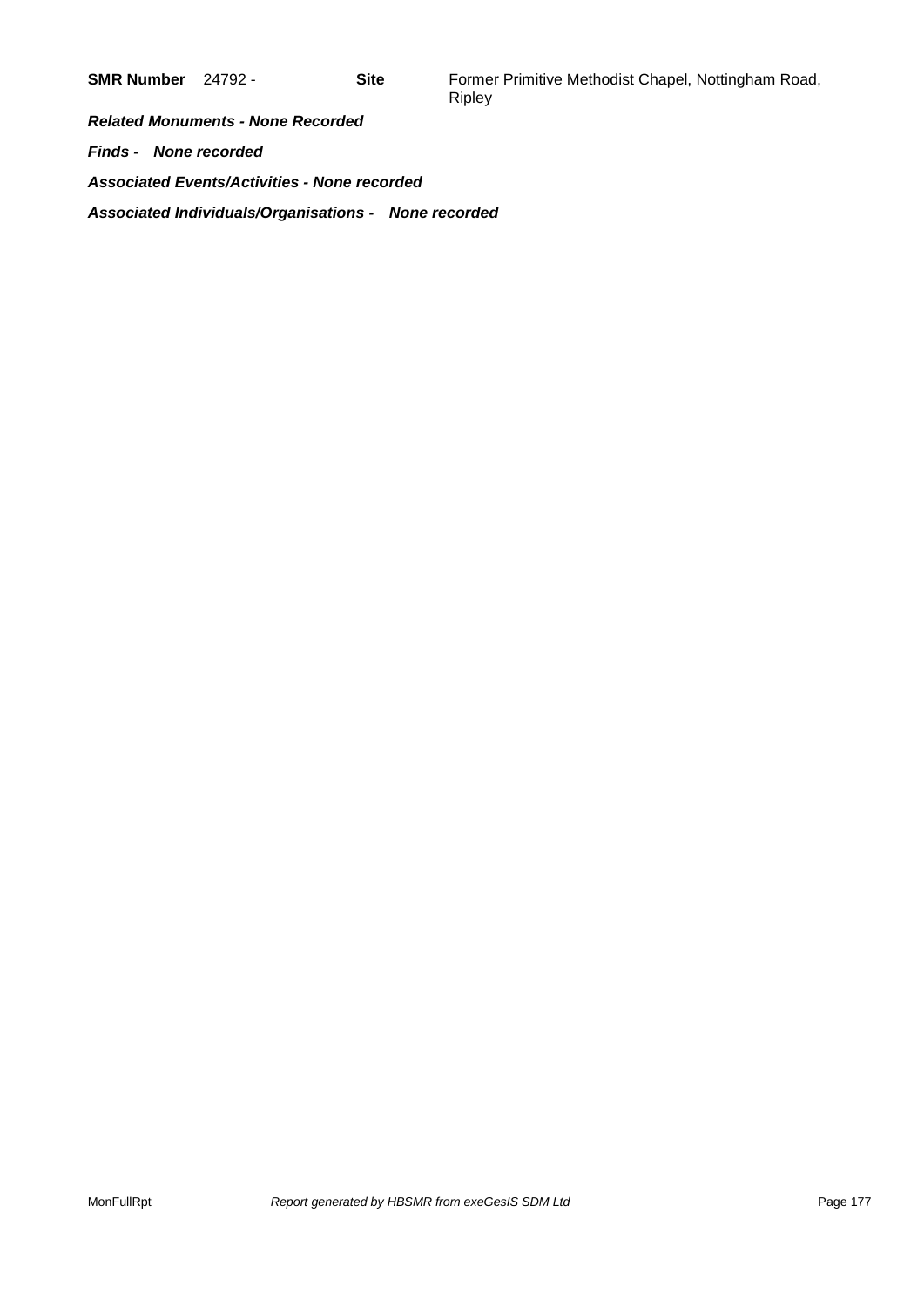**SMR Number** 24792 - **Site** Former Primitive Methodist Chapel, Nottingham Road, Ripley

*Related Monuments - None Recorded Finds - None recorded Associated Events/Activities - None recorded Associated Individuals/Organisations - None recorded*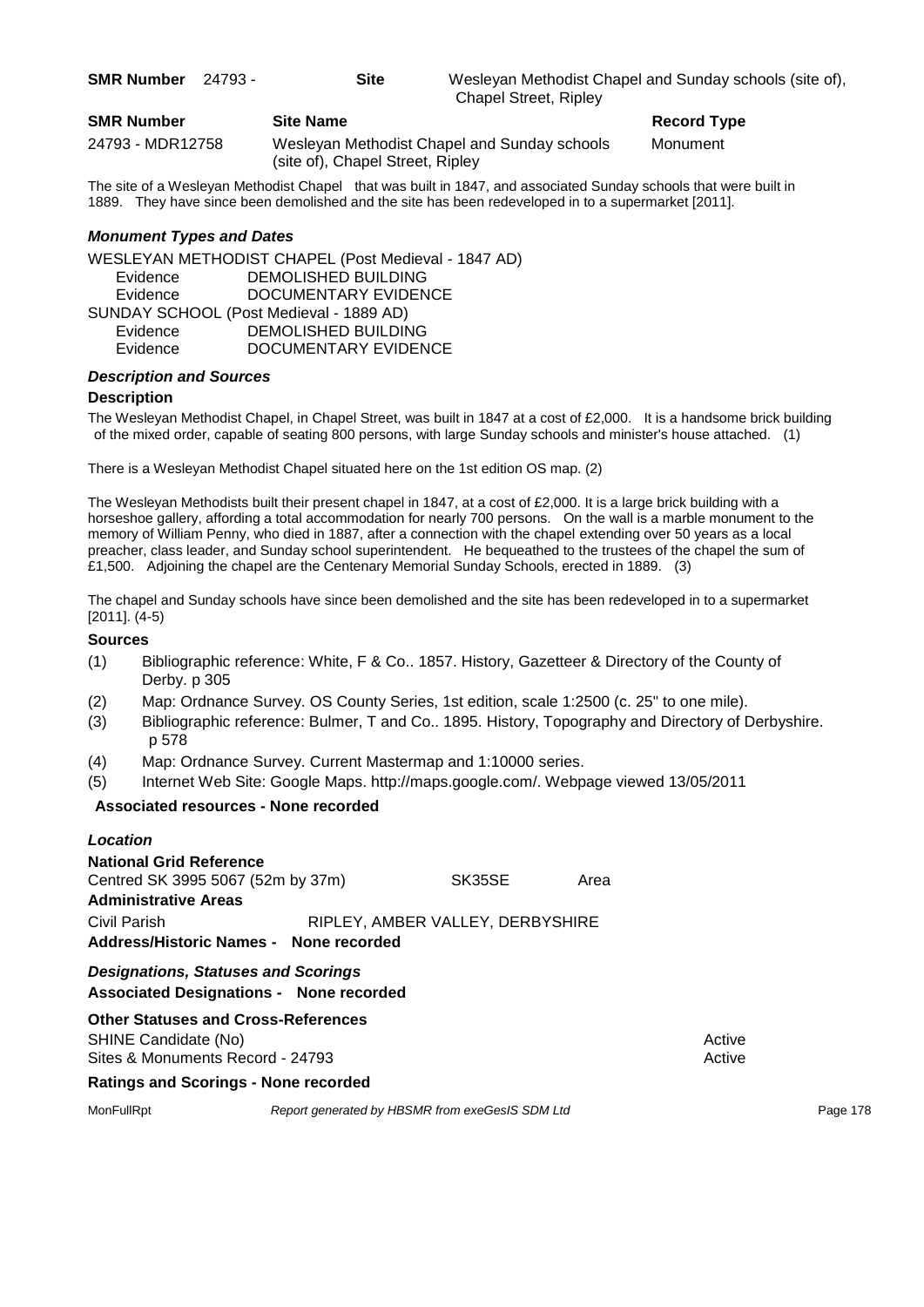**SMR Number** 24793 - **Site** Wesleyan Methodist Chapel and Sunday schools (site of), Chapel Street, Ripley

| <b>SMR Number</b> | <b>Site Name</b>                 |
|-------------------|----------------------------------|
| 24793 - MDR12758  | Wesleyan Methodist Chapel a      |
|                   | (site of), Chapel Street, Ripley |

**Record Type** 

dist Chapel and Sunday schools Monument

The site of a Wesleyan Methodist Chapel that was built in 1847, and associated Sunday schools that were built in 1889. They have since been demolished and the site has been redeveloped in to a supermarket [2011].

## *Monument Types and Dates*

WESLEYAN METHODIST CHAPEL (Post Medieval - 1847 AD) Evidence DEMOLISHED BUILDING Evidence DOCUMENTARY EVIDENCE SUNDAY SCHOOL (Post Medieval - 1889 AD) Evidence DEMOLISHED BUILDING Evidence DOCUMENTARY EVIDENCE

## *Description and Sources*

#### **Description**

The Wesleyan Methodist Chapel, in Chapel Street, was built in 1847 at a cost of £2,000. It is a handsome brick building of the mixed order, capable of seating 800 persons, with large Sunday schools and minister's house attached. (1)

There is a Wesleyan Methodist Chapel situated here on the 1st edition OS map. (2)

The Wesleyan Methodists built their present chapel in 1847, at a cost of £2,000. It is a large brick building with a horseshoe gallery, affording a total accommodation for nearly 700 persons. On the wall is a marble monument to the memory of William Penny, who died in 1887, after a connection with the chapel extending over 50 years as a local preacher, class leader, and Sunday school superintendent. He bequeathed to the trustees of the chapel the sum of £1,500. Adjoining the chapel are the Centenary Memorial Sunday Schools, erected in 1889. (3)

The chapel and Sunday schools have since been demolished and the site has been redeveloped in to a supermarket [2011]. (4-5)

## **Sources**

- (1) Bibliographic reference: White, F & Co.. 1857. History, Gazetteer & Directory of the County of Derby. p 305
- (2) Map: Ordnance Survey. OS County Series, 1st edition, scale 1:2500 (c. 25" to one mile).
- (3) Bibliographic reference: Bulmer, T and Co.. 1895. History, Topography and Directory of Derbyshire. p 578
- (4) Map: Ordnance Survey. Current Mastermap and 1:10000 series.
- (5) Internet Web Site: Google Maps. http://maps.google.com/. Webpage viewed 13/05/2011

#### **Associated resources - None recorded**

## *Location*

| <b>National Grid Reference</b>         |  |                                  |      |  |
|----------------------------------------|--|----------------------------------|------|--|
| Centred SK 3995 5067 (52m by 37m)      |  | SK35SE                           | Area |  |
| Administrative Areas                   |  |                                  |      |  |
| Civil Parish                           |  | RIPLEY, AMBER VALLEY, DERBYSHIRE |      |  |
| Address/Historic Names - None recorded |  |                                  |      |  |
| Bestemational Blottness and Beautume   |  |                                  |      |  |

*Designations, Statuses and Scorings* **Associated Designations - None recorded**

# **Other Statuses and Cross-References**

SHINE Candidate (No) **Active** Active 30 Active 30 Active 30 Active 30 Active 30 Active Sites & Monuments Record - 24793 Active Active Active Active

**Ratings and Scorings - None recorded**

MonFullRpt *Report generated by HBSMR from exeGesIS SDM Ltd Report 178*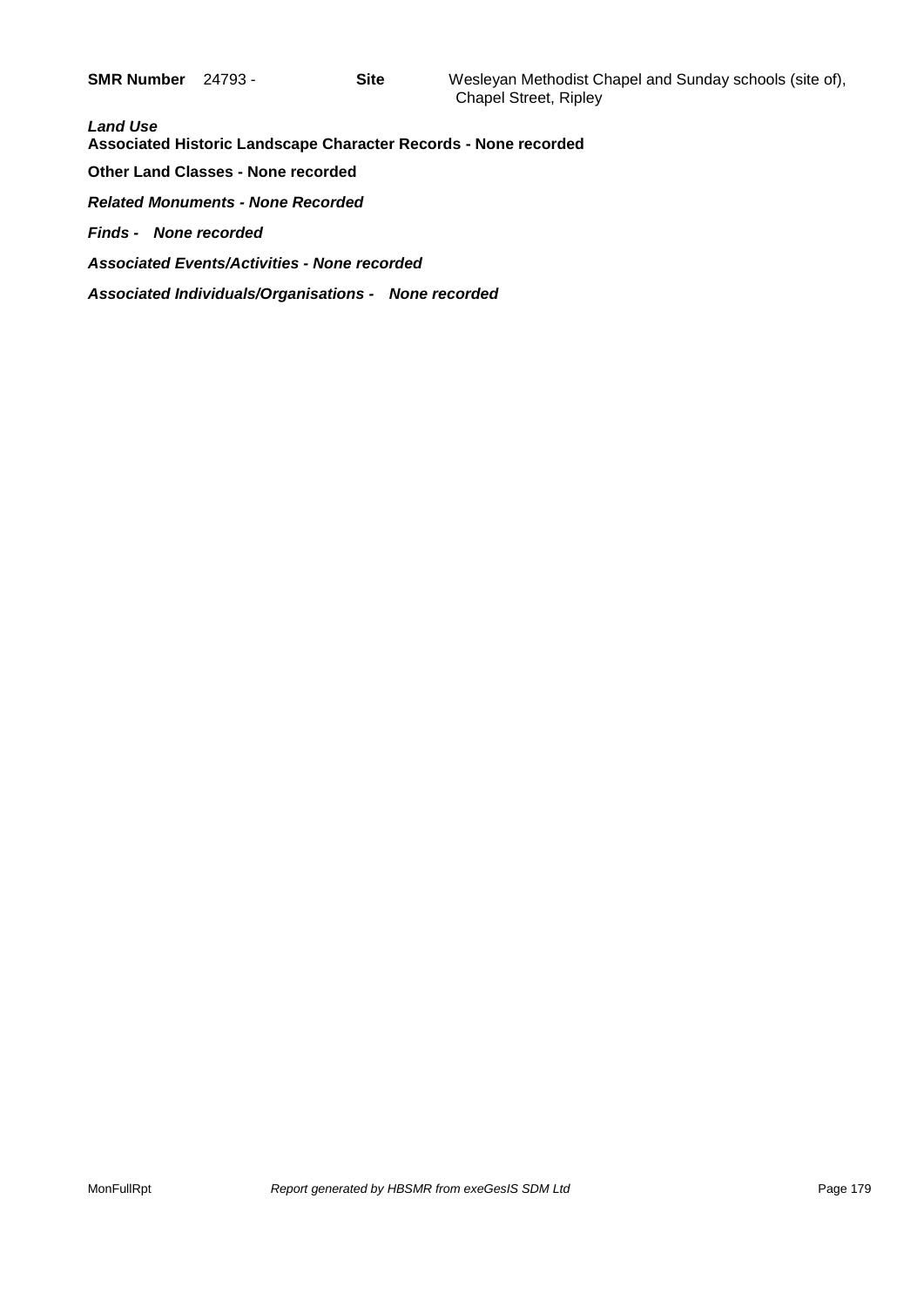| <b>Land Use</b><br>Associated Historic Landscape Character Records - None recorded |
|------------------------------------------------------------------------------------|
| <b>Other Land Classes - None recorded</b>                                          |
| <b>Related Monuments - None Recorded</b>                                           |
| <b>Finds - None recorded</b>                                                       |
| <b>Associated Events/Activities - None recorded</b>                                |
| Associated Individuals/Organisations - None recorded                               |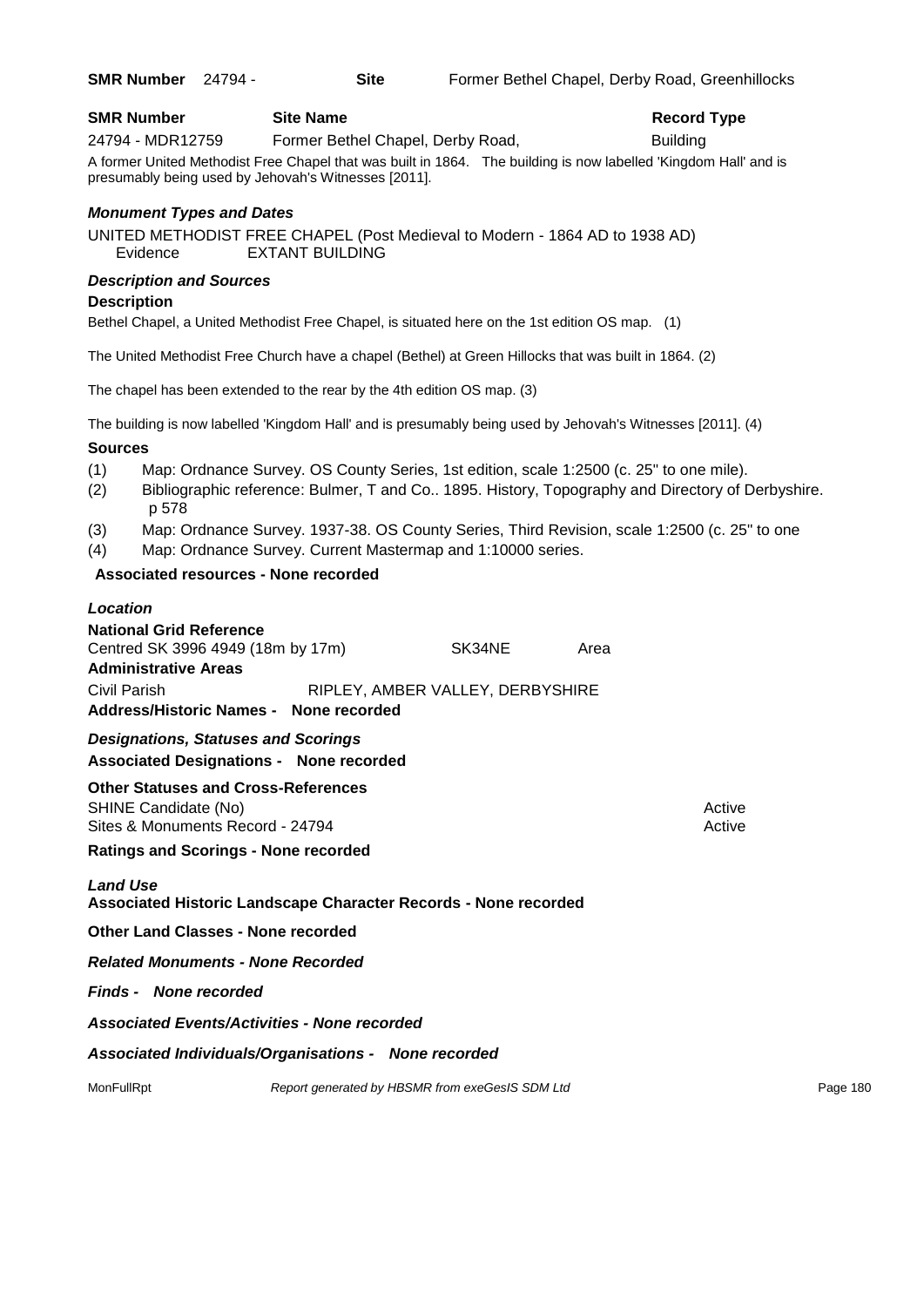| <b>SMR Number</b>               | <b>Site Name</b>                                                            | <b>Record Type</b>                                                                                               |
|---------------------------------|-----------------------------------------------------------------------------|------------------------------------------------------------------------------------------------------------------|
| 24794 - MDR12759                | Former Bethel Chapel, Derby Road,                                           | <b>Building</b>                                                                                                  |
|                                 | presumably being used by Jehovah's Witnesses [2011].                        | A former United Methodist Free Chapel that was built in 1864. The building is now labelled 'Kingdom Hall' and is |
| <b>Monument Types and Dates</b> |                                                                             |                                                                                                                  |
|                                 | UNITED METHODIST FREE CHAPEL (Post Medieval to Modern - 1864 AD to 1938 AD) |                                                                                                                  |

al to Modern - 1864 AD to 1938 AD) Evidence EXTANT BUILDING

#### *Description and Sources*

#### **Description**

Bethel Chapel, a United Methodist Free Chapel, is situated here on the 1st edition OS map. (1)

The United Methodist Free Church have a chapel (Bethel) at Green Hillocks that was built in 1864. (2)

The chapel has been extended to the rear by the 4th edition OS map. (3)

The building is now labelled 'Kingdom Hall' and is presumably being used by Jehovah's Witnesses [2011]. (4)

#### **Sources**

- (1) Map: Ordnance Survey. OS County Series, 1st edition, scale 1:2500 (c. 25" to one mile).
- (2) Bibliographic reference: Bulmer, T and Co.. 1895. History, Topography and Directory of Derbyshire. p 578
- (3) Map: Ordnance Survey. 1937-38. OS County Series, Third Revision, scale 1:2500 (c. 25" to one
- (4) Map: Ordnance Survey. Current Mastermap and 1:10000 series.

#### **Associated resources - None recorded**

## *Location*

| <b>National Grid Reference</b>         |                                  |      |
|----------------------------------------|----------------------------------|------|
| Centred SK 3996 4949 (18m by 17m)      | SK34NE                           | Area |
| <b>Administrative Areas</b>            |                                  |      |
| Civil Parish                           | RIPLEY, AMBER VALLEY, DERBYSHIRE |      |
| Address/Historic Names - None recorded |                                  |      |

*Designations, Statuses and Scorings* **Associated Designations - None recorded**

**Other Statuses and Cross-References** SHINE Candidate (No) **Active** Active 30 Active 30 Active 30 Active 30 Active 30 Active Sites & Monuments Record - 24794 Active Active Active Active

**Ratings and Scorings - None recorded**

#### *Land Use*

**Associated Historic Landscape Character Records - None recorded**

**Other Land Classes - None recorded**

*Related Monuments - None Recorded*

#### *Finds - None recorded*

*Associated Events/Activities - None recorded*

*Associated Individuals/Organisations - None recorded*

MonFullRpt *Report generated by HBSMR from exeGesIS SDM Ltd Report 180* Page 180

**SMR Number** 24794 - **Site** Former Bethel Chapel, Derby Road, Greenhillocks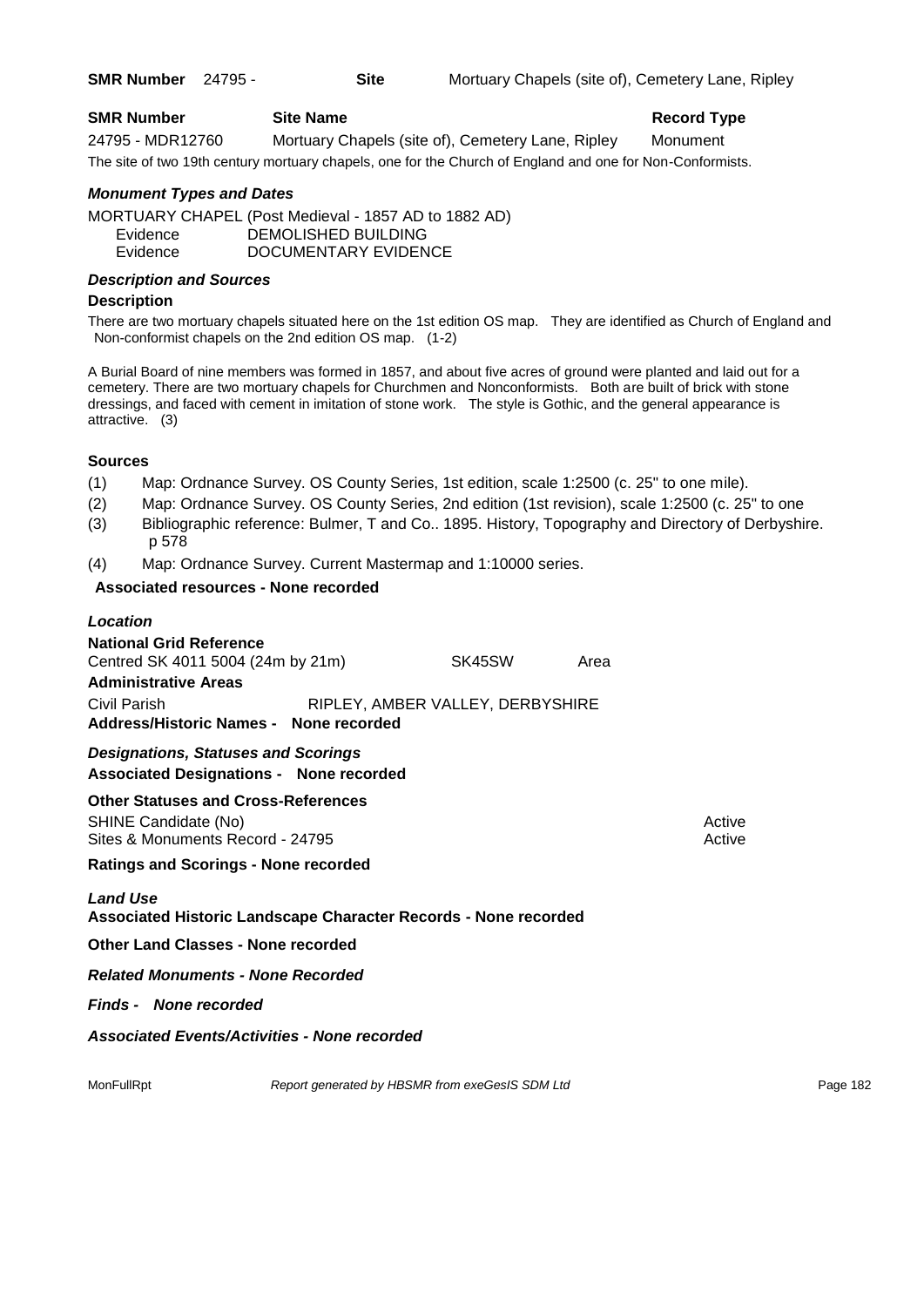**SMR Number** 24795 - **Site** Mortuary Chapels (site of), Cemetery Lane, Ripley

| <b>SMR Number</b> | <b>Site Name</b>                                                                                          | <b>Record Type</b> |
|-------------------|-----------------------------------------------------------------------------------------------------------|--------------------|
| 24795 - MDR12760  | Mortuary Chapels (site of), Cemetery Lane, Ripley                                                         | Monument           |
|                   | The site of two 19th century mortuary chapels, one for the Church of England and one for Non-Conformists. |                    |

### *Monument Types and Dates*

MORTUARY CHAPEL (Post Medieval - 1857 AD to 1882 AD) Evidence DEMOLISHED BUILDING Evidence DOCUMENTARY EVIDENCE

### *Description and Sources*

### **Description**

There are two mortuary chapels situated here on the 1st edition OS map. They are identified as Church of England and Non-conformist chapels on the 2nd edition OS map. (1-2)

A Burial Board of nine members was formed in 1857, and about five acres of ground were planted and laid out for a cemetery. There are two mortuary chapels for Churchmen and Nonconformists. Both are built of brick with stone dressings, and faced with cement in imitation of stone work. The style is Gothic, and the general appearance is attractive. (3)

### **Sources**

- (1) Map: Ordnance Survey. OS County Series, 1st edition, scale 1:2500 (c. 25" to one mile).
- (2) Map: Ordnance Survey. OS County Series, 2nd edition (1st revision), scale 1:2500 (c. 25" to one
- (3) Bibliographic reference: Bulmer, T and Co.. 1895. History, Topography and Directory of Derbyshire. p 578
- (4) Map: Ordnance Survey. Current Mastermap and 1:10000 series.

### **Associated resources - None recorded**

### *Location*

| <b>National Grid Reference</b><br>Centred SK 4011 5004 (24m by 21m)                                    | SK45SW                                          | Area |                  |          |
|--------------------------------------------------------------------------------------------------------|-------------------------------------------------|------|------------------|----------|
| <b>Administrative Areas</b>                                                                            |                                                 |      |                  |          |
| Civil Parish<br>Address/Historic Names - None recorded                                                 | RIPLEY, AMBER VALLEY, DERBYSHIRE                |      |                  |          |
| <b>Designations, Statuses and Scorings</b><br><b>Associated Designations - None recorded</b>           |                                                 |      |                  |          |
| <b>Other Statuses and Cross-References</b><br>SHINE Candidate (No)<br>Sites & Monuments Record - 24795 |                                                 |      | Active<br>Active |          |
| <b>Ratings and Scorings - None recorded</b>                                                            |                                                 |      |                  |          |
| <b>Land Use</b><br>Associated Historic Landscape Character Records - None recorded                     |                                                 |      |                  |          |
| <b>Other Land Classes - None recorded</b>                                                              |                                                 |      |                  |          |
| <b>Related Monuments - None Recorded</b>                                                               |                                                 |      |                  |          |
| <b>Finds - None recorded</b>                                                                           |                                                 |      |                  |          |
| <b>Associated Events/Activities - None recorded</b>                                                    |                                                 |      |                  |          |
| MonFullRpt                                                                                             | Report generated by HBSMR from exeGesIS SDM Ltd |      |                  | Page 182 |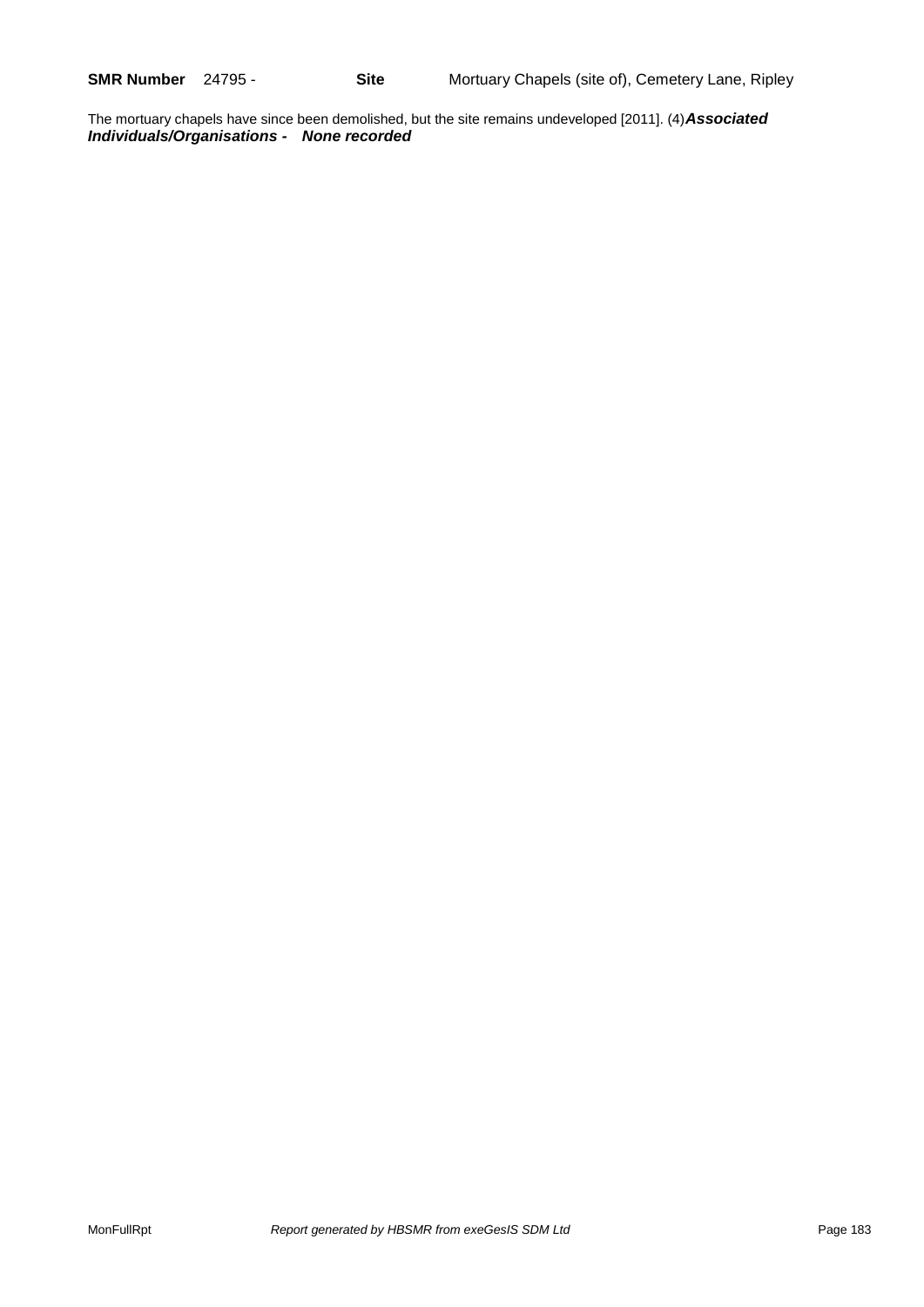The mortuary chapels have since been demolished, but the site remains undeveloped [2011]. (4)*Associated Individuals/Organisations - None recorded*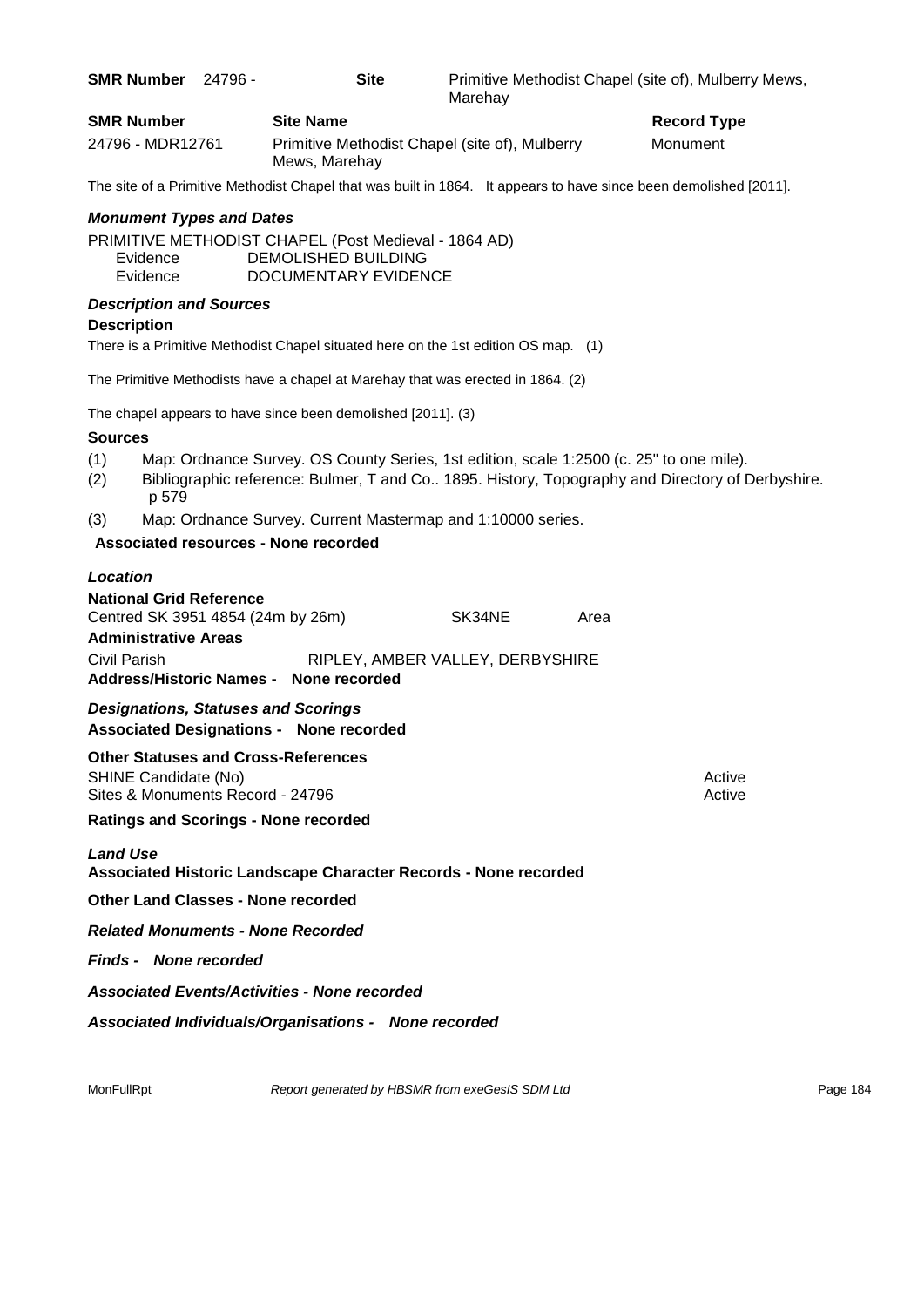| SMR Number 24796 -                                                                                 | <b>Site</b>                                                                                                | Marehay                          | Primitive Methodist Chapel (site of), Mulberry Mews,                                                                                                                                        |                    |
|----------------------------------------------------------------------------------------------------|------------------------------------------------------------------------------------------------------------|----------------------------------|---------------------------------------------------------------------------------------------------------------------------------------------------------------------------------------------|--------------------|
| <b>SMR Number</b>                                                                                  | <b>Site Name</b>                                                                                           |                                  |                                                                                                                                                                                             | <b>Record Type</b> |
| 24796 - MDR12761                                                                                   | Primitive Methodist Chapel (site of), Mulberry<br>Mews, Marehay                                            |                                  | Monument                                                                                                                                                                                    |                    |
|                                                                                                    |                                                                                                            |                                  | The site of a Primitive Methodist Chapel that was built in 1864. It appears to have since been demolished [2011].                                                                           |                    |
| <b>Monument Types and Dates</b>                                                                    |                                                                                                            |                                  |                                                                                                                                                                                             |                    |
| Evidence<br>Evidence                                                                               | PRIMITIVE METHODIST CHAPEL (Post Medieval - 1864 AD)<br>DEMOLISHED BUILDING<br><b>DOCUMENTARY EVIDENCE</b> |                                  |                                                                                                                                                                                             |                    |
| <b>Description and Sources</b>                                                                     |                                                                                                            |                                  |                                                                                                                                                                                             |                    |
| <b>Description</b>                                                                                 |                                                                                                            |                                  |                                                                                                                                                                                             |                    |
|                                                                                                    | There is a Primitive Methodist Chapel situated here on the 1st edition OS map. (1)                         |                                  |                                                                                                                                                                                             |                    |
|                                                                                                    | The Primitive Methodists have a chapel at Marehay that was erected in 1864. (2)                            |                                  |                                                                                                                                                                                             |                    |
|                                                                                                    | The chapel appears to have since been demolished [2011]. (3)                                               |                                  |                                                                                                                                                                                             |                    |
| <b>Sources</b>                                                                                     |                                                                                                            |                                  |                                                                                                                                                                                             |                    |
| (1)<br>(2)<br>p 579                                                                                |                                                                                                            |                                  | Map: Ordnance Survey. OS County Series, 1st edition, scale 1:2500 (c. 25" to one mile).<br>Bibliographic reference: Bulmer, T and Co 1895. History, Topography and Directory of Derbyshire. |                    |
| (3)                                                                                                | Map: Ordnance Survey. Current Mastermap and 1:10000 series.                                                |                                  |                                                                                                                                                                                             |                    |
|                                                                                                    | Associated resources - None recorded                                                                       |                                  |                                                                                                                                                                                             |                    |
| Location                                                                                           |                                                                                                            |                                  |                                                                                                                                                                                             |                    |
| <b>National Grid Reference</b><br>Centred SK 3951 4854 (24m by 26m)<br><b>Administrative Areas</b> |                                                                                                            | SK34NE                           | Area                                                                                                                                                                                        |                    |
| Civil Parish                                                                                       | Address/Historic Names - None recorded                                                                     | RIPLEY, AMBER VALLEY, DERBYSHIRE |                                                                                                                                                                                             |                    |
| <b>Designations, Statuses and Scorings</b>                                                         | <b>Associated Designations - None recorded</b>                                                             |                                  |                                                                                                                                                                                             |                    |
| <b>Other Statuses and Cross-References</b><br>SHINE Candidate (No)                                 |                                                                                                            |                                  |                                                                                                                                                                                             | Active             |
| Sites & Monuments Record - 24796                                                                   |                                                                                                            |                                  |                                                                                                                                                                                             | Active             |
| <b>Ratings and Scorings - None recorded</b>                                                        |                                                                                                            |                                  |                                                                                                                                                                                             |                    |
| <b>Land Use</b>                                                                                    | Associated Historic Landscape Character Records - None recorded                                            |                                  |                                                                                                                                                                                             |                    |
| <b>Other Land Classes - None recorded</b>                                                          |                                                                                                            |                                  |                                                                                                                                                                                             |                    |
| <b>Related Monuments - None Recorded</b>                                                           |                                                                                                            |                                  |                                                                                                                                                                                             |                    |
| <b>Finds - None recorded</b>                                                                       |                                                                                                            |                                  |                                                                                                                                                                                             |                    |
|                                                                                                    | <b>Associated Events/Activities - None recorded</b>                                                        |                                  |                                                                                                                                                                                             |                    |
|                                                                                                    | Associated Individuals/Organisations - None recorded                                                       |                                  |                                                                                                                                                                                             |                    |
|                                                                                                    |                                                                                                            |                                  |                                                                                                                                                                                             |                    |
| MonFullRpt                                                                                         | Report generated by HBSMR from exeGesIS SDM Ltd                                                            |                                  |                                                                                                                                                                                             | Page 184           |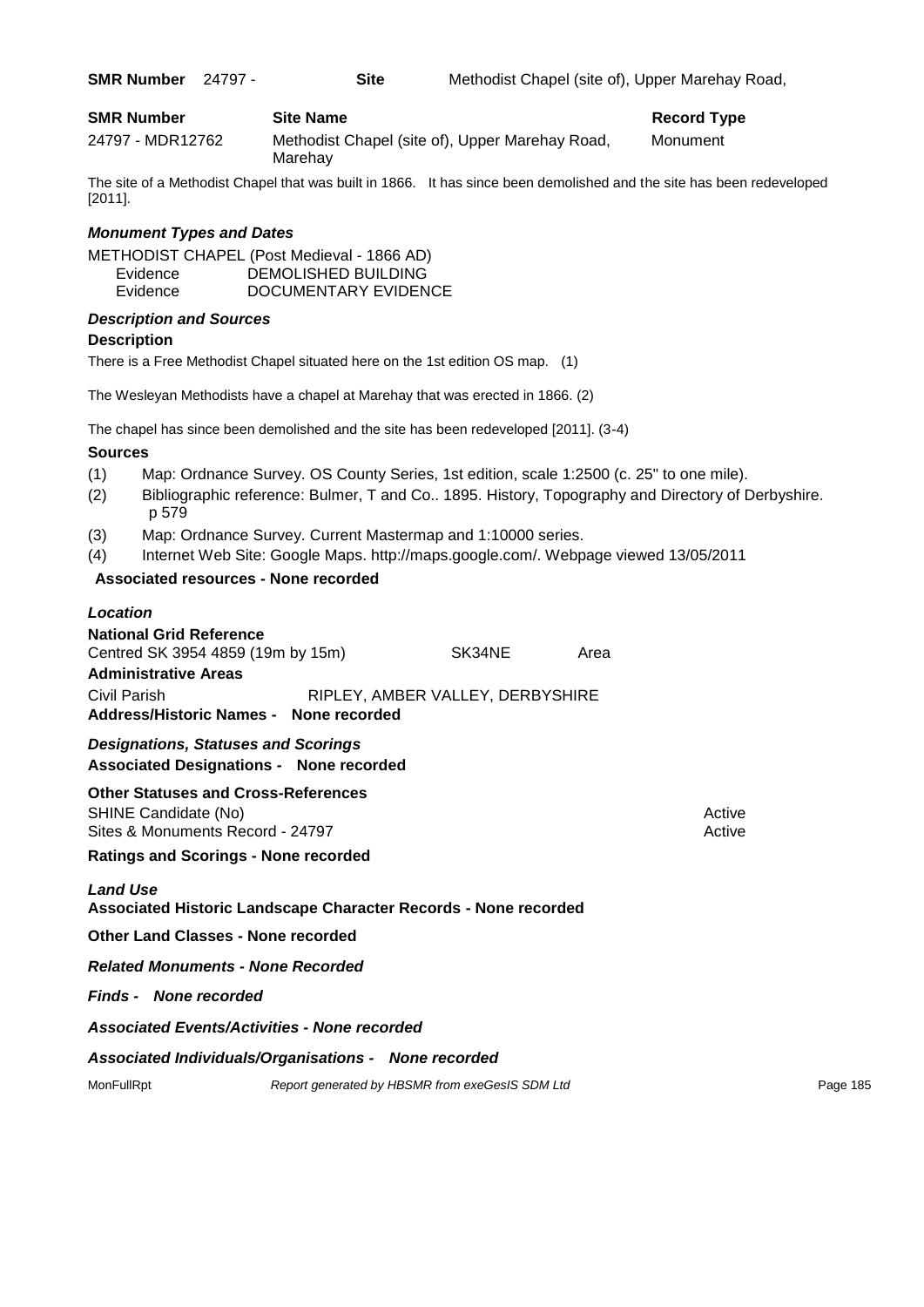| <b>SMR Number</b> | 24797 |
|-------------------|-------|
|-------------------|-------|

| <b>SMR Number</b> | <b>Site Name</b>                                           | <b>Record Type</b> |
|-------------------|------------------------------------------------------------|--------------------|
| 24797 - MDR12762  | Methodist Chapel (site of), Upper Marehay Road,<br>Marehay | Monument           |

The site of a Methodist Chapel that was built in 1866. It has since been demolished and the site has been redeveloped [2011].

### *Monument Types and Dates*

METHODIST CHAPEL (Post Medieval - 1866 AD) Evidence DEMOLISHED BUILDING Evidence DOCUMENTARY EVIDENCE

### *Description and Sources*

### **Description**

There is a Free Methodist Chapel situated here on the 1st edition OS map. (1)

The Wesleyan Methodists have a chapel at Marehay that was erected in 1866. (2)

The chapel has since been demolished and the site has been redeveloped [2011]. (3-4)

### **Sources**

- (1) Map: Ordnance Survey. OS County Series, 1st edition, scale 1:2500 (c. 25" to one mile).
- (2) Bibliographic reference: Bulmer, T and Co.. 1895. History, Topography and Directory of Derbyshire. p 579
- (3) Map: Ordnance Survey. Current Mastermap and 1:10000 series.
- (4) Internet Web Site: Google Maps. http://maps.google.com/. Webpage viewed 13/05/2011

### **Associated resources - None recorded**

### *Location*

| <b>National Grid Reference</b>                                                                         |  |        |      |                  |
|--------------------------------------------------------------------------------------------------------|--|--------|------|------------------|
| Centred SK 3954 4859 (19m by 15m)                                                                      |  | SK34NE | Area |                  |
| <b>Administrative Areas</b>                                                                            |  |        |      |                  |
| RIPLEY, AMBER VALLEY, DERBYSHIRE<br>Civil Parish<br>Address/Historic Names - None recorded             |  |        |      |                  |
| <b>Designations, Statuses and Scorings</b><br><b>Associated Designations - None recorded</b>           |  |        |      |                  |
| <b>Other Statuses and Cross-References</b><br>SHINE Candidate (No)<br>Sites & Monuments Record - 24797 |  |        |      | Active<br>Active |
| <b>Ratings and Scorings - None recorded</b>                                                            |  |        |      |                  |

### *Land Use*

**Associated Historic Landscape Character Records - None recorded**

**Other Land Classes - None recorded**

*Related Monuments - None Recorded*

*Finds - None recorded*

*Associated Events/Activities - None recorded*

### *Associated Individuals/Organisations - None recorded*

MonFullRpt *Report generated by HBSMR from exeGesIS SDM Ltd Report 185*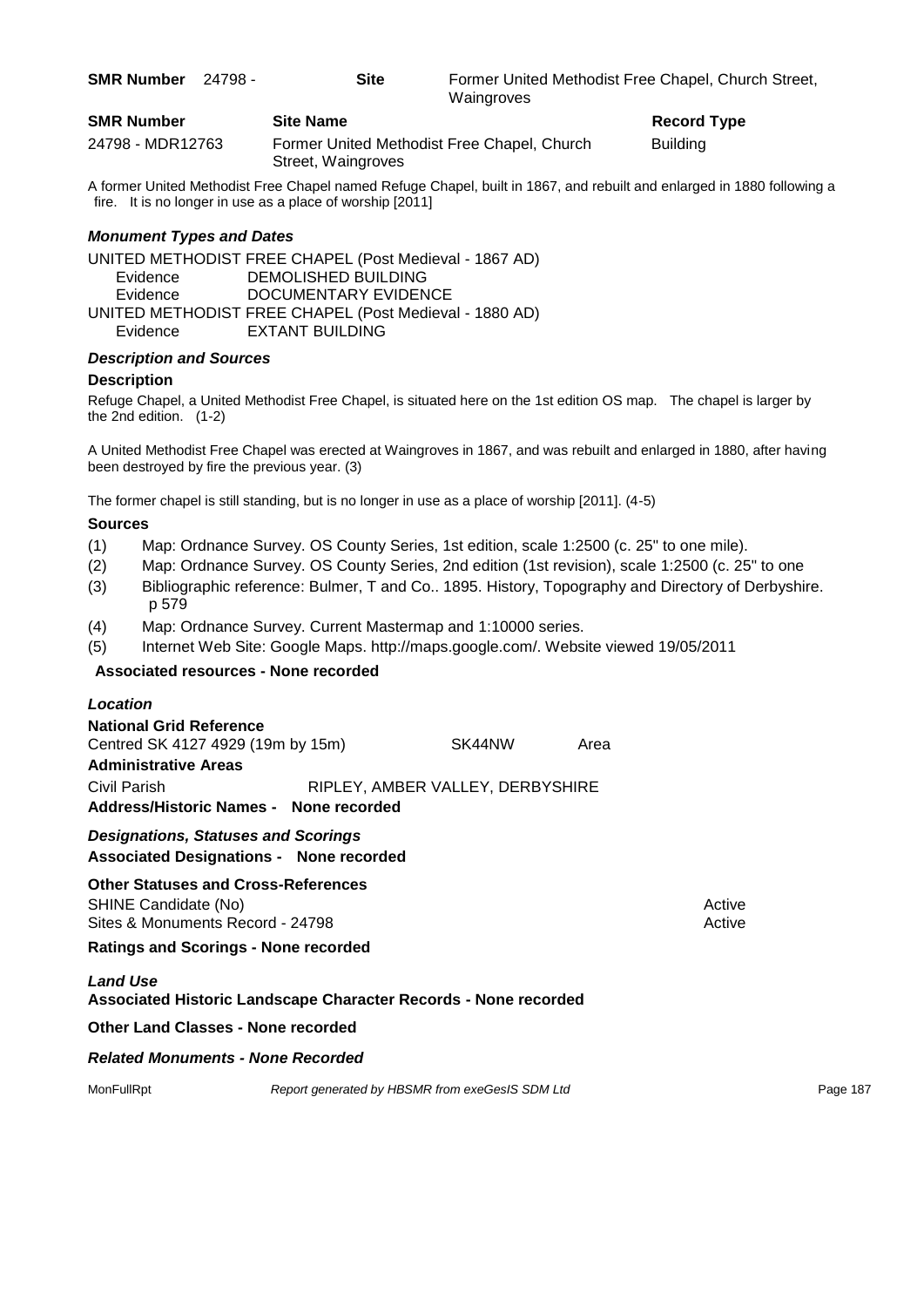| <b>SMR Number</b> | 24798 - | <b>Site</b>      | Waingroves                                  | Former United Methodist Free Chapel, Church Street, |
|-------------------|---------|------------------|---------------------------------------------|-----------------------------------------------------|
| <b>SMR Number</b> |         | <b>Site Name</b> |                                             | <b>Record Type</b>                                  |
| 24798 - MDR12763  |         |                  | Former United Methodist Free Chapel, Church | <b>Building</b>                                     |

A former United Methodist Free Chapel named Refuge Chapel, built in 1867, and rebuilt and enlarged in 1880 following a fire. It is no longer in use as a place of worship [2011]

### *Monument Types and Dates*

UNITED METHODIST FREE CHAPEL (Post Medieval - 1867 AD) Evidence DEMOLISHED BUILDING Evidence DOCUMENTARY EVIDENCE UNITED METHODIST FREE CHAPEL (Post Medieval - 1880 AD) Evidence EXTANT BUILDING

Street, Waingroves

### *Description and Sources*

### **Description**

Refuge Chapel, a United Methodist Free Chapel, is situated here on the 1st edition OS map. The chapel is larger by the 2nd edition. (1-2)

A United Methodist Free Chapel was erected at Waingroves in 1867, and was rebuilt and enlarged in 1880, after having been destroyed by fire the previous year. (3)

The former chapel is still standing, but is no longer in use as a place of worship [2011]. (4-5)

### **Sources**

- (1) Map: Ordnance Survey. OS County Series, 1st edition, scale 1:2500 (c. 25" to one mile).
- (2) Map: Ordnance Survey. OS County Series, 2nd edition (1st revision), scale 1:2500 (c. 25" to one
- (3) Bibliographic reference: Bulmer, T and Co.. 1895. History, Topography and Directory of Derbyshire. p 579
- (4) Map: Ordnance Survey. Current Mastermap and 1:10000 series.
- (5) Internet Web Site: Google Maps. http://maps.google.com/. Website viewed 19/05/2011

### **Associated resources - None recorded**

### *Location*

| <b>National Grid Reference</b>                 |  |                                  |      |
|------------------------------------------------|--|----------------------------------|------|
| Centred SK 4127 4929 (19m by 15m)              |  | SK44NW                           | Area |
| <b>Administrative Areas</b>                    |  |                                  |      |
| Civil Parish                                   |  | RIPLEY, AMBER VALLEY, DERBYSHIRE |      |
| Address/Historic Names - None recorded         |  |                                  |      |
| <b>Designations, Statuses and Scorings</b>     |  |                                  |      |
| <b>Associated Designations - None recorded</b> |  |                                  |      |

## **Other Statuses and Cross-References**

SHINE Candidate (No) **Active** Active 30 Active 30 Active 30 Active 30 Active 30 Active Sites & Monuments Record - 24798 Active Active Active Active

**Ratings and Scorings - None recorded**

### *Land Use*

### **Associated Historic Landscape Character Records - None recorded**

### **Other Land Classes - None recorded**

#### *Related Monuments - None Recorded*

MonFullRpt *Report generated by HBSMR from exeGesIS SDM Ltd Report 187* Page 187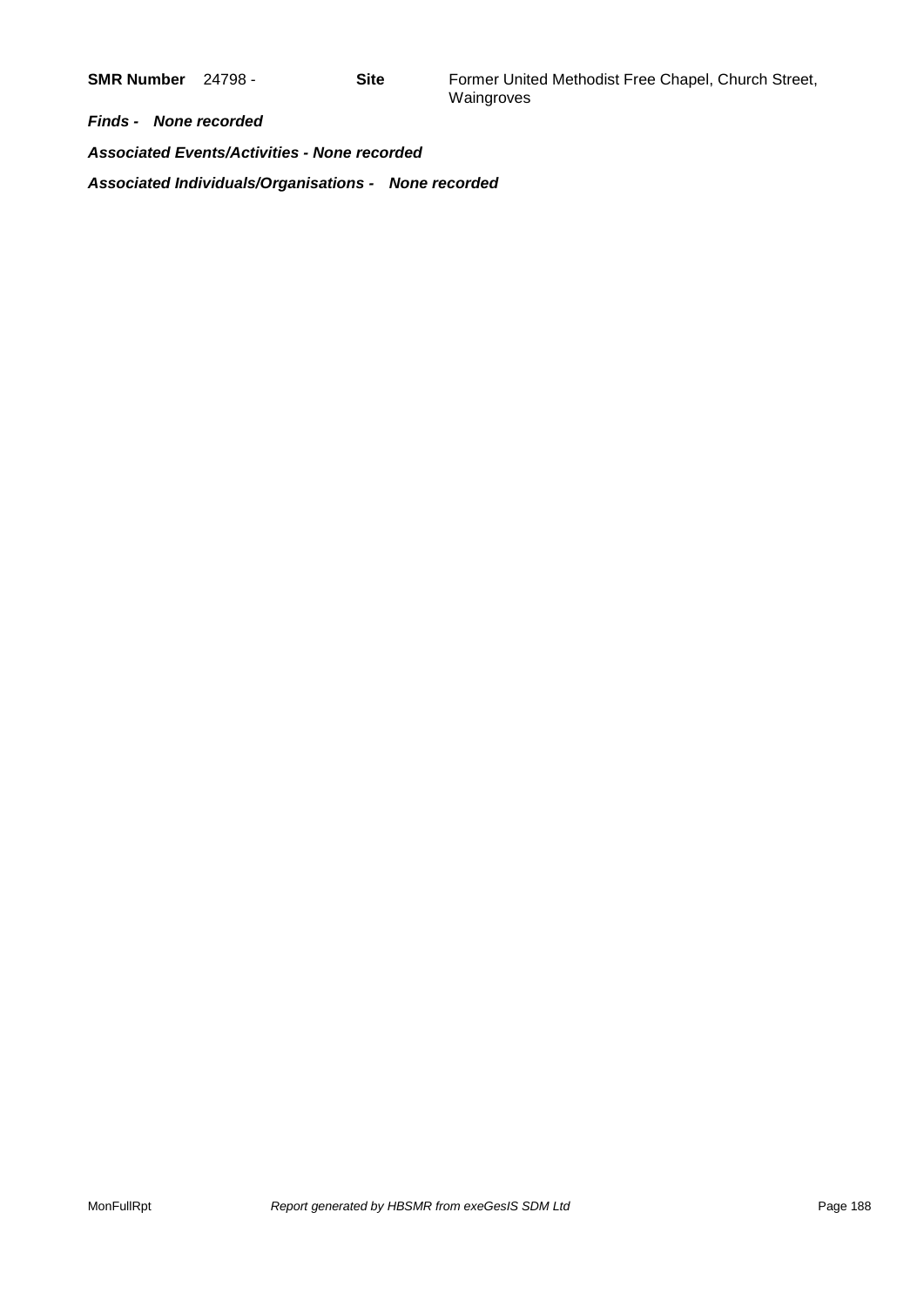**SMR Number** 24798 - **Site** Former United Methodist Free Chapel, Church Street, Waingroves

*Finds - None recorded*

*Associated Events/Activities - None recorded Associated Individuals/Organisations - None recorded*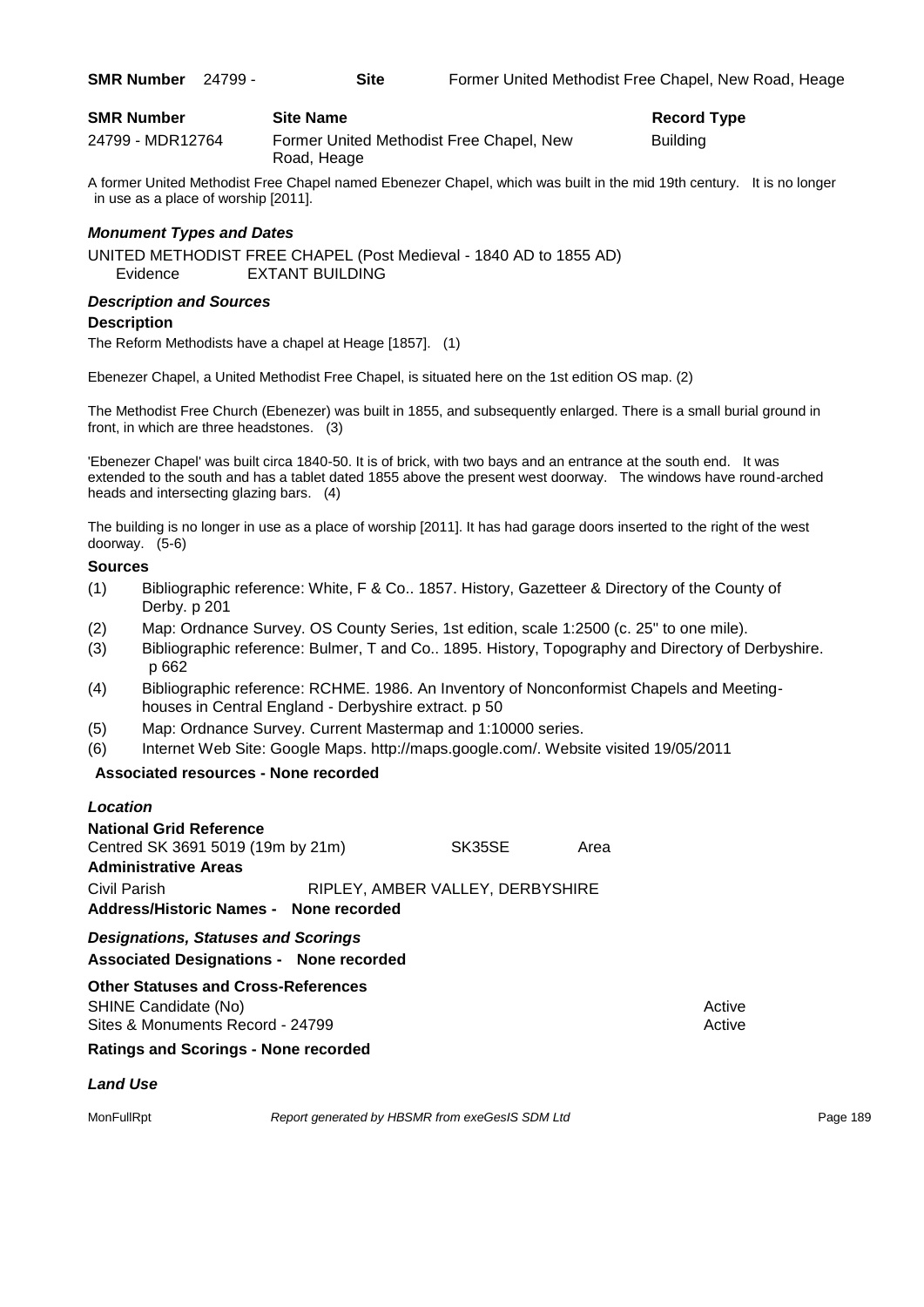| <b>SMR Number</b> | <b>Site Name</b>                                        | <b>Record Type</b> |
|-------------------|---------------------------------------------------------|--------------------|
| 24799 - MDR12764  | Former United Methodist Free Chapel, New<br>Road, Heage | <b>Building</b>    |

A former United Methodist Free Chapel named Ebenezer Chapel, which was built in the mid 19th century. It is no longer in use as a place of worship [2011].

### *Monument Types and Dates*

UNITED METHODIST FREE CHAPEL (Post Medieval - 1840 AD to 1855 AD) Evidence EXTANT BUILDING

### *Description and Sources*

### **Description**

The Reform Methodists have a chapel at Heage [1857]. (1)

Ebenezer Chapel, a United Methodist Free Chapel, is situated here on the 1st edition OS map. (2)

The Methodist Free Church (Ebenezer) was built in 1855, and subsequently enlarged. There is a small burial ground in front, in which are three headstones. (3)

'Ebenezer Chapel' was built circa 1840-50. It is of brick, with two bays and an entrance at the south end. It was extended to the south and has a tablet dated 1855 above the present west doorway. The windows have round-arched heads and intersecting glazing bars. (4)

The building is no longer in use as a place of worship [2011]. It has had garage doors inserted to the right of the west doorway. (5-6)

### **Sources**

- (1) Bibliographic reference: White, F & Co.. 1857. History, Gazetteer & Directory of the County of Derby. p 201
- (2) Map: Ordnance Survey. OS County Series, 1st edition, scale 1:2500 (c. 25" to one mile).
- (3) Bibliographic reference: Bulmer, T and Co.. 1895. History, Topography and Directory of Derbyshire. p 662
- (4) Bibliographic reference: RCHME. 1986. An Inventory of Nonconformist Chapels and Meetinghouses in Central England - Derbyshire extract. p 50
- (5) Map: Ordnance Survey. Current Mastermap and 1:10000 series.
- (6) Internet Web Site: Google Maps. http://maps.google.com/. Website visited 19/05/2011

### **Associated resources - None recorded**

| <b>Location</b>                                                     |                                  |      |
|---------------------------------------------------------------------|----------------------------------|------|
| <b>National Grid Reference</b><br>Centred SK 3691 5019 (19m by 21m) | SK35SE                           | Area |
| <b>Administrative Areas</b>                                         |                                  |      |
| Civil Parish                                                        | RIPLEY, AMBER VALLEY, DERBYSHIRE |      |
| Address/Historic Names - None recorded                              |                                  |      |

*Designations, Statuses and Scorings* **Associated Designations - None recorded**

### **Other Statuses and Cross-References** SHINE Candidate (No) **Active** Active 30 Active 30 Active 30 Active 30 Active 30 Active

Sites & Monuments Record - 24799 Active Active Active Active Active

### **Ratings and Scorings - None recorded**

### *Land Use*

MonFullRpt *Report generated by HBSMR from exeGesIS SDM Ltd Report 189* Page 189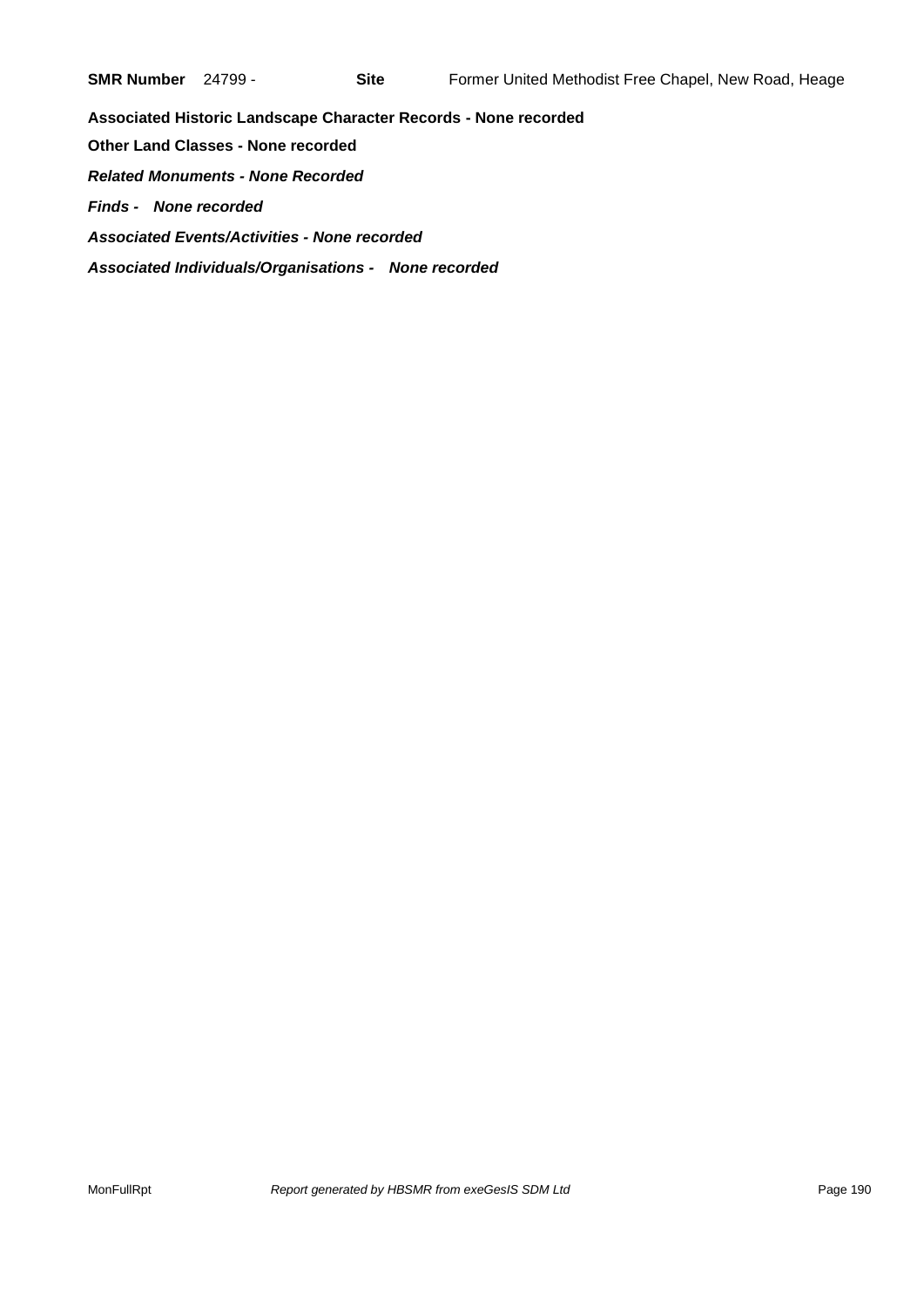**Associated Historic Landscape Character Records - None recorded Other Land Classes - None recorded** *Related Monuments - None Recorded Finds - None recorded Associated Events/Activities - None recorded Associated Individuals/Organisations - None recorded*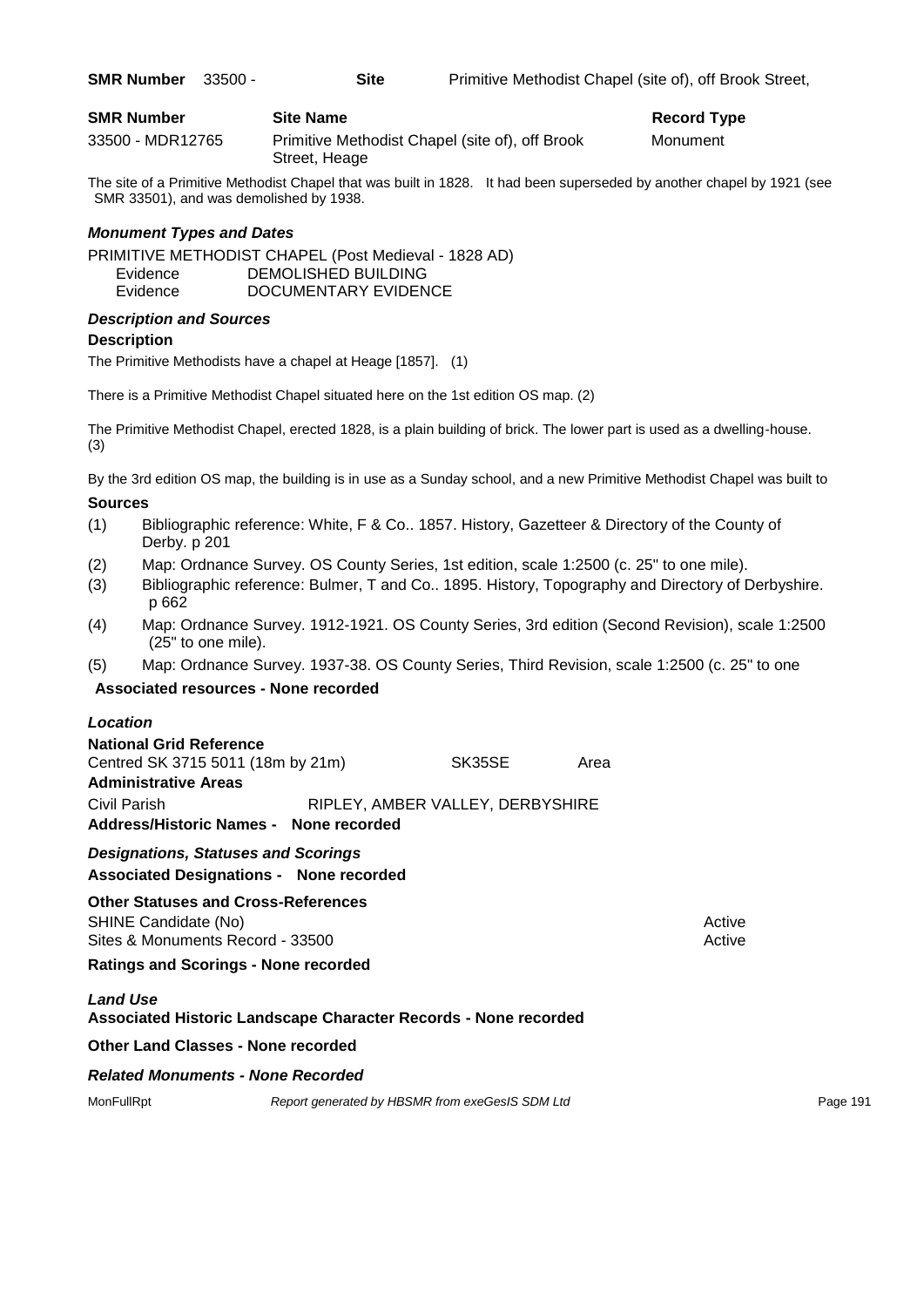| <b>SMR Number</b> | <b>Site Name</b>                                                 | <b>Record Type</b> |
|-------------------|------------------------------------------------------------------|--------------------|
| 33500 - MDR12765  | Primitive Methodist Chapel (site of), off Brook<br>Street, Heage | Monument           |

The site of a Primitive Methodist Chapel that was built in 1828. It had been superseded by another chapel by 1921 (see SMR 33501), and was demolished by 1938.

### *Monument Types and Dates*

PRIMITIVE METHODIST CHAPEL (Post Medieval - 1828 AD) Evidence DEMOLISHED BUILDING Evidence DOCUMENTARY EVIDENCE

### *Description and Sources*

### **Description**

The Primitive Methodists have a chapel at Heage [1857]. (1)

There is a Primitive Methodist Chapel situated here on the 1st edition OS map. (2)

The Primitive Methodist Chapel, erected 1828, is a plain building of brick. The lower part is used as a dwelling-house. (3)

By the 3rd edition OS map, the building is in use as a Sunday school, and a new Primitive Methodist Chapel was built to

### **Sources**

- (1) Bibliographic reference: White, F & Co.. 1857. History, Gazetteer & Directory of the County of Derby. p 201
- (2) Map: Ordnance Survey. OS County Series, 1st edition, scale 1:2500 (c. 25" to one mile).
- (3) Bibliographic reference: Bulmer, T and Co.. 1895. History, Topography and Directory of Derbyshire. p 662
- (4) Map: Ordnance Survey. 1912-1921. OS County Series, 3rd edition (Second Revision), scale 1:2500 (25" to one mile).
- (5) Map: Ordnance Survey. 1937-38. OS County Series, Third Revision, scale 1:2500 (c. 25" to one

### **Associated resources - None recorded**

### *Location*

| <b>National Grid Reference</b>             |  |                                  |      |  |  |
|--------------------------------------------|--|----------------------------------|------|--|--|
| Centred SK 3715 5011 (18m by 21m)          |  | SK35SE                           | Area |  |  |
| <b>Administrative Areas</b>                |  |                                  |      |  |  |
| Civil Parish                               |  | RIPLEY, AMBER VALLEY, DERBYSHIRE |      |  |  |
| Address/Historic Names - None recorded     |  |                                  |      |  |  |
| <b>Designations, Statuses and Scorings</b> |  |                                  |      |  |  |

**Associated Designations - None recorded**

### **Other Statuses and Cross-References** SHINE Candidate (No) **Active** 3 Active 3 Active 3 Active 3 Active 3 Active 3 Active Sites & Monuments Record - 33500 Active Active Active Active

**Ratings and Scorings - None recorded**

### *Land Use*

**Associated Historic Landscape Character Records - None recorded**

### **Other Land Classes - None recorded**

### *Related Monuments - None Recorded*

MonFullRpt *Report generated by HBSMR from exeGesIS SDM Ltd Report 191* Page 191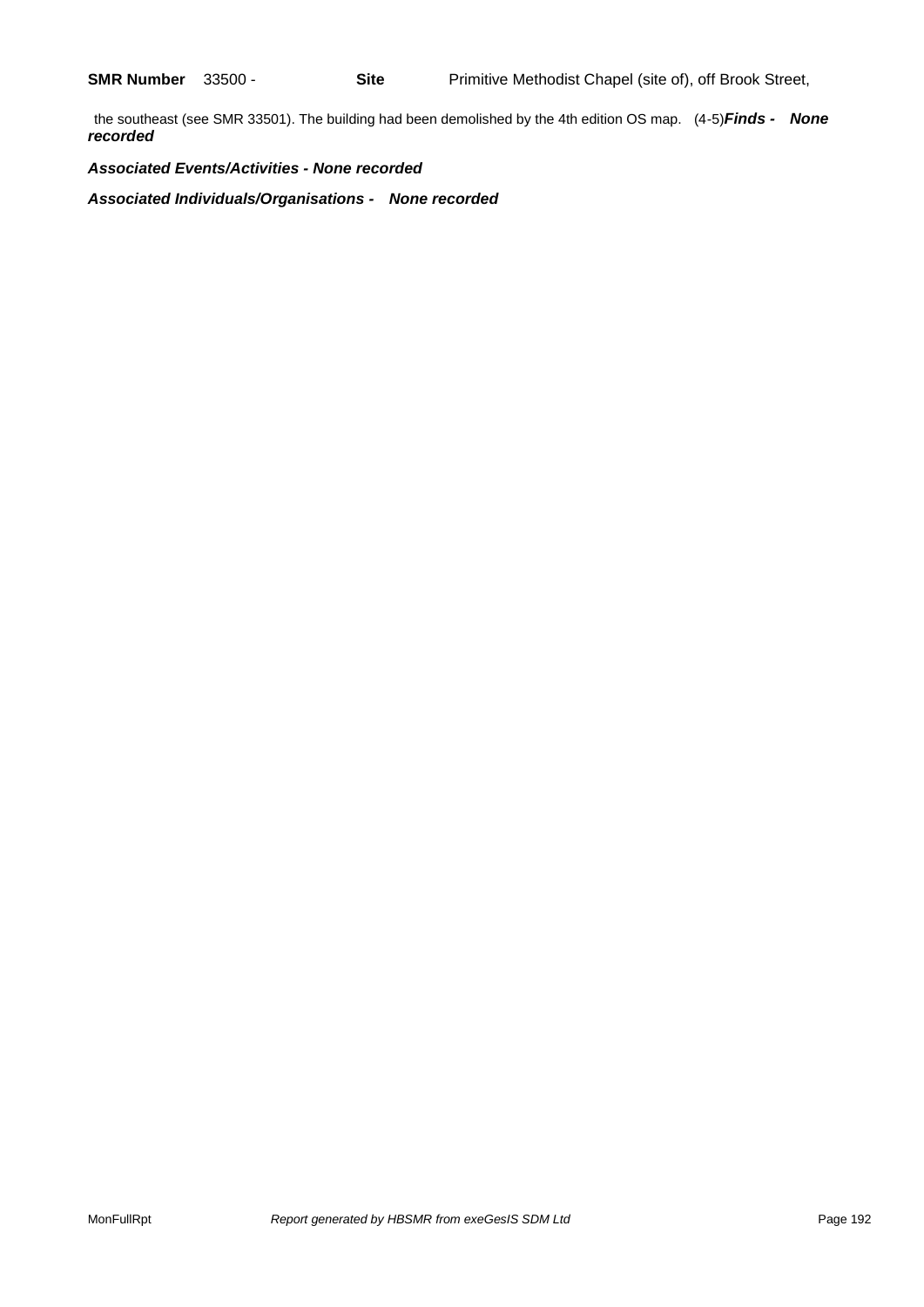the southeast (see SMR 33501). The building had been demolished by the 4th edition OS map. (4-5)*Finds - None recorded*

### *Associated Events/Activities - None recorded*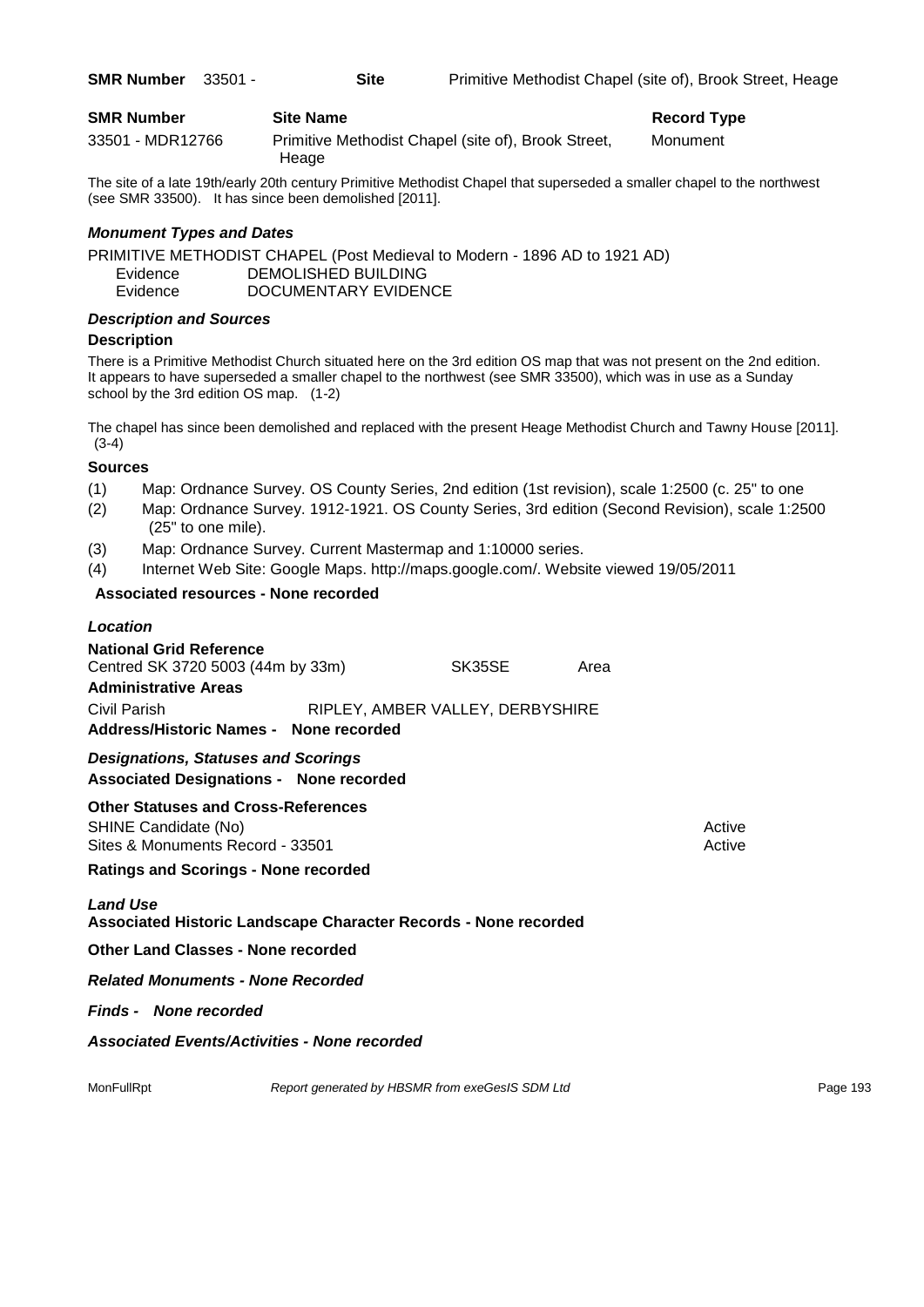| <b>SMR Number</b> | - 33501 - | Site                                                         | Primitive Methodist Chapel (site of), Brook Street, Heage |
|-------------------|-----------|--------------------------------------------------------------|-----------------------------------------------------------|
| <b>SMR Number</b> |           | <b>Site Name</b>                                             | <b>Record Type</b>                                        |
| 33501 - MDR12766  |           | Primitive Methodist Chapel (site of), Brook Street,<br>Heage | Monument                                                  |

The site of a late 19th/early 20th century Primitive Methodist Chapel that superseded a smaller chapel to the northwest (see SMR 33500). It has since been demolished [2011].

### *Monument Types and Dates*

PRIMITIVE METHODIST CHAPEL (Post Medieval to Modern - 1896 AD to 1921 AD) Evidence DEMOLISHED BUILDING Evidence DOCUMENTARY EVIDENCE

### *Description and Sources*

### **Description**

There is a Primitive Methodist Church situated here on the 3rd edition OS map that was not present on the 2nd edition. It appears to have superseded a smaller chapel to the northwest (see SMR 33500), which was in use as a Sunday school by the 3rd edition OS map. (1-2)

The chapel has since been demolished and replaced with the present Heage Methodist Church and Tawny House [2011]. (3-4)

### **Sources**

- (1) Map: Ordnance Survey. OS County Series, 2nd edition (1st revision), scale 1:2500 (c. 25" to one
- (2) Map: Ordnance Survey. 1912-1921. OS County Series, 3rd edition (Second Revision), scale 1:2500 (25" to one mile).
- (3) Map: Ordnance Survey. Current Mastermap and 1:10000 series.
- (4) Internet Web Site: Google Maps. http://maps.google.com/. Website viewed 19/05/2011

### **Associated resources - None recorded**

### *Location*

| <b>National Grid Reference</b>                                                               |                                  |        |        |
|----------------------------------------------------------------------------------------------|----------------------------------|--------|--------|
| Centred SK 3720 5003 (44m by 33m)                                                            | SK35SE                           | Area   |        |
| <b>Administrative Areas</b>                                                                  |                                  |        |        |
| Civil Parish                                                                                 | RIPLEY, AMBER VALLEY, DERBYSHIRE |        |        |
| Address/Historic Names - None recorded                                                       |                                  |        |        |
| <b>Designations, Statuses and Scorings</b><br><b>Associated Designations - None recorded</b> |                                  |        |        |
| <b>Other Statuses and Cross-References</b>                                                   |                                  |        |        |
| SHINE Candidate (No)                                                                         |                                  |        | Active |
| Sites & Monuments Record - 33501                                                             |                                  | Active |        |
| <b>Ratings and Scorings - None recorded</b>                                                  |                                  |        |        |
| <b>Land Use</b>                                                                              |                                  |        |        |
| . Se state di litate della scripta scripto Alexandro Repubblica il Medicine se sulla di      |                                  |        |        |

**Associated Historic Landscape Character Records - None recorded**

**Other Land Classes - None recorded**

*Related Monuments - None Recorded*

*Finds - None recorded*

*Associated Events/Activities - None recorded*

MonFullRpt *Report generated by HBSMR from exeGesIS SDM Ltd Report 193* Page 193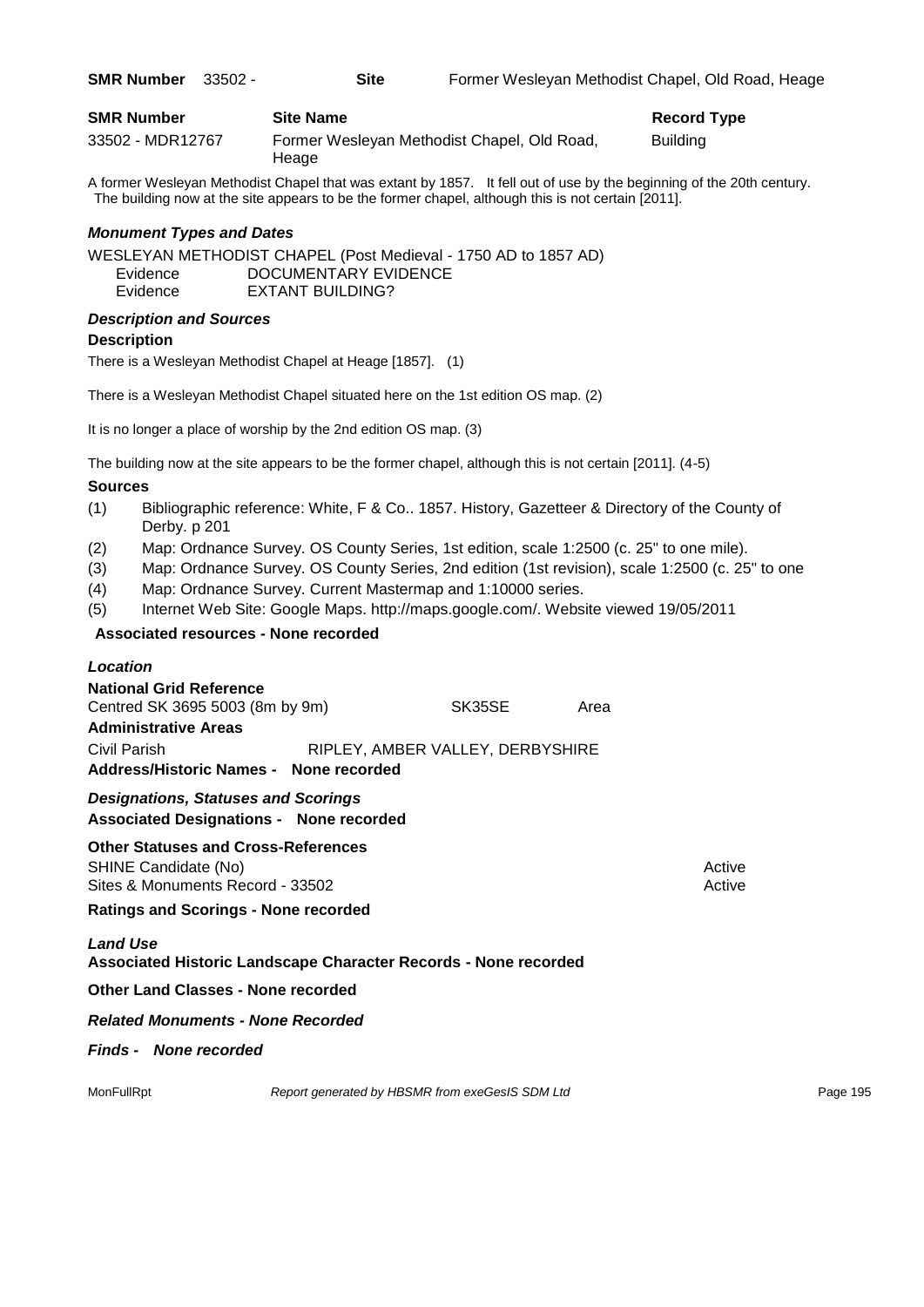| <b>SMR Number</b> | - 33502 - | <b>Site</b>      |                                             | Former Wesleyan Methodist Chapel, Old Road, Heage |
|-------------------|-----------|------------------|---------------------------------------------|---------------------------------------------------|
| <b>SMR Number</b> |           | <b>Site Name</b> |                                             | <b>Record Type</b>                                |
| 33502 - MDR12767  |           |                  | Former Wesleyan Methodist Chapel, Old Road, | <b>Building</b>                                   |

A former Wesleyan Methodist Chapel that was extant by 1857. It fell out of use by the beginning of the 20th century. The building now at the site appears to be the former chapel, although this is not certain [2011].

### *Monument Types and Dates*

WESLEYAN METHODIST CHAPEL (Post Medieval - 1750 AD to 1857 AD) Evidence DOCUMENTARY EVIDENCE Evidence EXTANT BUILDING?

### *Description and Sources*

### **Description**

There is a Wesleyan Methodist Chapel at Heage [1857]. (1)

Heage

There is a Wesleyan Methodist Chapel situated here on the 1st edition OS map. (2)

It is no longer a place of worship by the 2nd edition OS map. (3)

The building now at the site appears to be the former chapel, although this is not certain [2011]. (4-5)

### **Sources**

- (1) Bibliographic reference: White, F & Co.. 1857. History, Gazetteer & Directory of the County of Derby. p 201
- (2) Map: Ordnance Survey. OS County Series, 1st edition, scale 1:2500 (c. 25" to one mile).
- (3) Map: Ordnance Survey. OS County Series, 2nd edition (1st revision), scale 1:2500 (c. 25" to one
- (4) Map: Ordnance Survey. Current Mastermap and 1:10000 series.
- (5) Internet Web Site: Google Maps. http://maps.google.com/. Website viewed 19/05/2011

### **Associated resources - None recorded**

### *Location* **National Grid Reference**

Centred SK 3695 5003 (8m by 9m) SK35SE Area **Administrative Areas** Civil Parish RIPLEY, AMBER VALLEY, DERBYSHIRE **Address/Historic Names - None recorded** *Designations, Statuses and Scorings* **Associated Designations - None recorded Other Statuses and Cross-References** SHINE Candidate (No) **Active** 3 and 3 and 3 and 3 and 3 and 3 and 3 and 3 and 3 and 3 and 3 and 3 and 3 and 3 and 3 and 3 and 3 and 3 and 3 and 3 and 3 and 3 and 3 and 3 and 3 and 3 and 3 and 3 and 3 and 3 and 3 and 3 and Sites & Monuments Record - 33502 Active Active Active Active **Ratings and Scorings - None recorded** *Land Use*  **Associated Historic Landscape Character Records - None recorded Other Land Classes - None recorded** *Related Monuments - None Recorded Finds - None recorded* MonFullRpt *Report generated by HBSMR from exeGesIS SDM Ltd Report 195*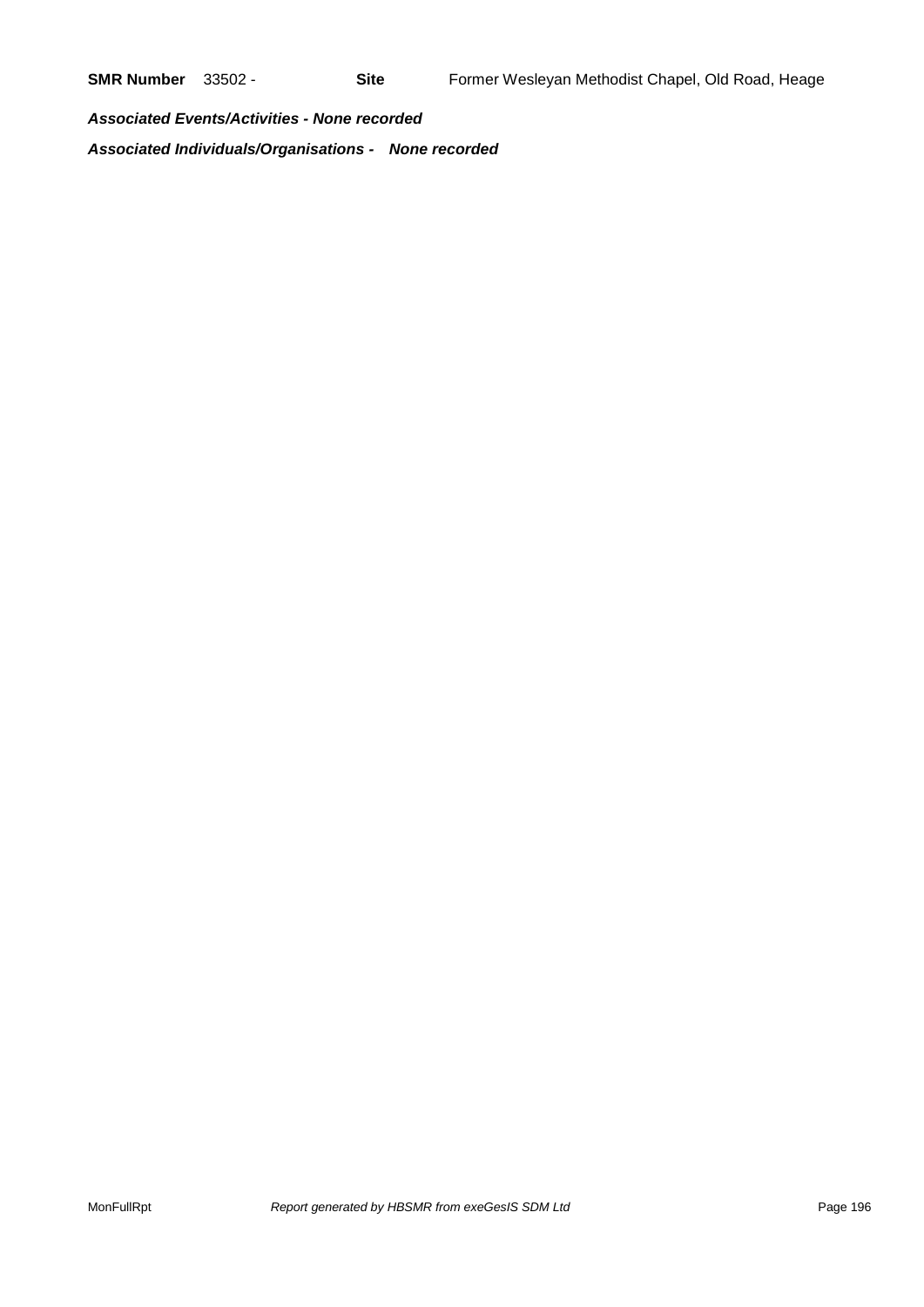*Associated Events/Activities - None recorded Associated Individuals/Organisations - None recorded*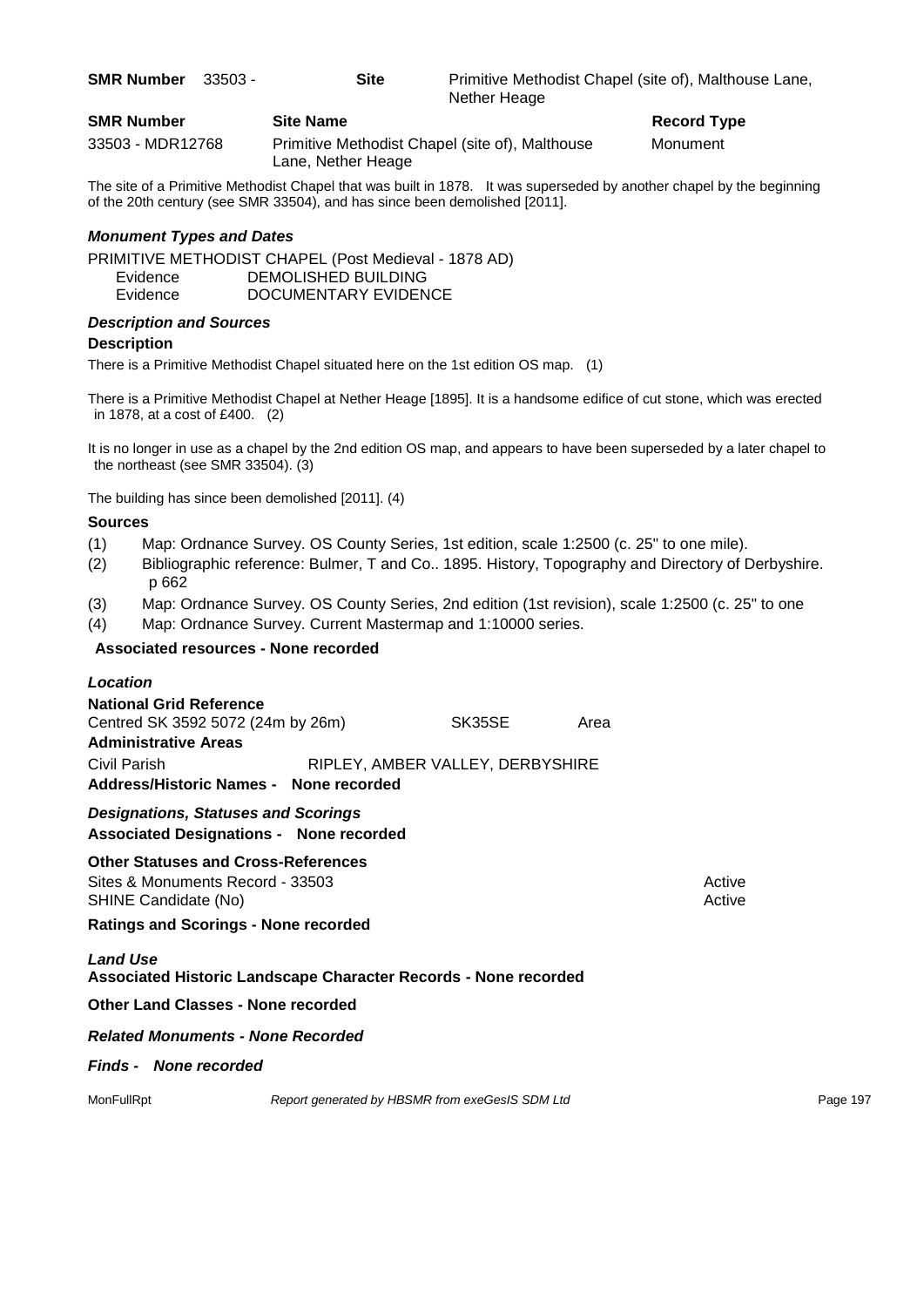| <b>SMR Number</b> | - 33503 - | <b>Site</b>      | Primitive Methodist Chapel (site of), Malthouse Lane,<br>Nether Heage |
|-------------------|-----------|------------------|-----------------------------------------------------------------------|
| <b>SMR Number</b> |           | <b>Site Name</b> | <b>Record Type</b>                                                    |

33503 - MDR12768 Primitive Methodist Chapel (site of), Malthouse Monument Lane, Nether Heage

The site of a Primitive Methodist Chapel that was built in 1878. It was superseded by another chapel by the beginning of the 20th century (see SMR 33504), and has since been demolished [2011].

### *Monument Types and Dates*

PRIMITIVE METHODIST CHAPEL (Post Medieval - 1878 AD) Evidence DEMOLISHED BUILDING Evidence DOCUMENTARY EVIDENCE

## *Description and Sources*

### **Description**

There is a Primitive Methodist Chapel situated here on the 1st edition OS map. (1)

There is a Primitive Methodist Chapel at Nether Heage [1895]. It is a handsome edifice of cut stone, which was erected in 1878, at a cost of £400. (2)

It is no longer in use as a chapel by the 2nd edition OS map, and appears to have been superseded by a later chapel to the northeast (see SMR 33504). (3)

The building has since been demolished [2011]. (4)

### **Sources**

- (1) Map: Ordnance Survey. OS County Series, 1st edition, scale 1:2500 (c. 25" to one mile).
- (2) Bibliographic reference: Bulmer, T and Co.. 1895. History, Topography and Directory of Derbyshire. p 662
- (3) Map: Ordnance Survey. OS County Series, 2nd edition (1st revision), scale 1:2500 (c. 25" to one
- (4) Map: Ordnance Survey. Current Mastermap and 1:10000 series.

### **Associated resources - None recorded**

| Location                                                                                               |                                                 |      |                  |          |
|--------------------------------------------------------------------------------------------------------|-------------------------------------------------|------|------------------|----------|
| <b>National Grid Reference</b><br>Centred SK 3592 5072 (24m by 26m)<br><b>Administrative Areas</b>     | SK35SE                                          | Area |                  |          |
| Civil Parish<br>Address/Historic Names - None recorded                                                 | RIPLEY, AMBER VALLEY, DERBYSHIRE                |      |                  |          |
| <b>Designations, Statuses and Scorings</b><br><b>Associated Designations - None recorded</b>           |                                                 |      |                  |          |
| <b>Other Statuses and Cross-References</b><br>Sites & Monuments Record - 33503<br>SHINE Candidate (No) |                                                 |      | Active<br>Active |          |
| <b>Ratings and Scorings - None recorded</b>                                                            |                                                 |      |                  |          |
| <b>Land Use</b><br>Associated Historic Landscape Character Records - None recorded                     |                                                 |      |                  |          |
| <b>Other Land Classes - None recorded</b>                                                              |                                                 |      |                  |          |
| <b>Related Monuments - None Recorded</b>                                                               |                                                 |      |                  |          |
| <b>Finds - None recorded</b>                                                                           |                                                 |      |                  |          |
| MonFullRpt                                                                                             | Report generated by HBSMR from exeGesIS SDM Ltd |      |                  | Page 197 |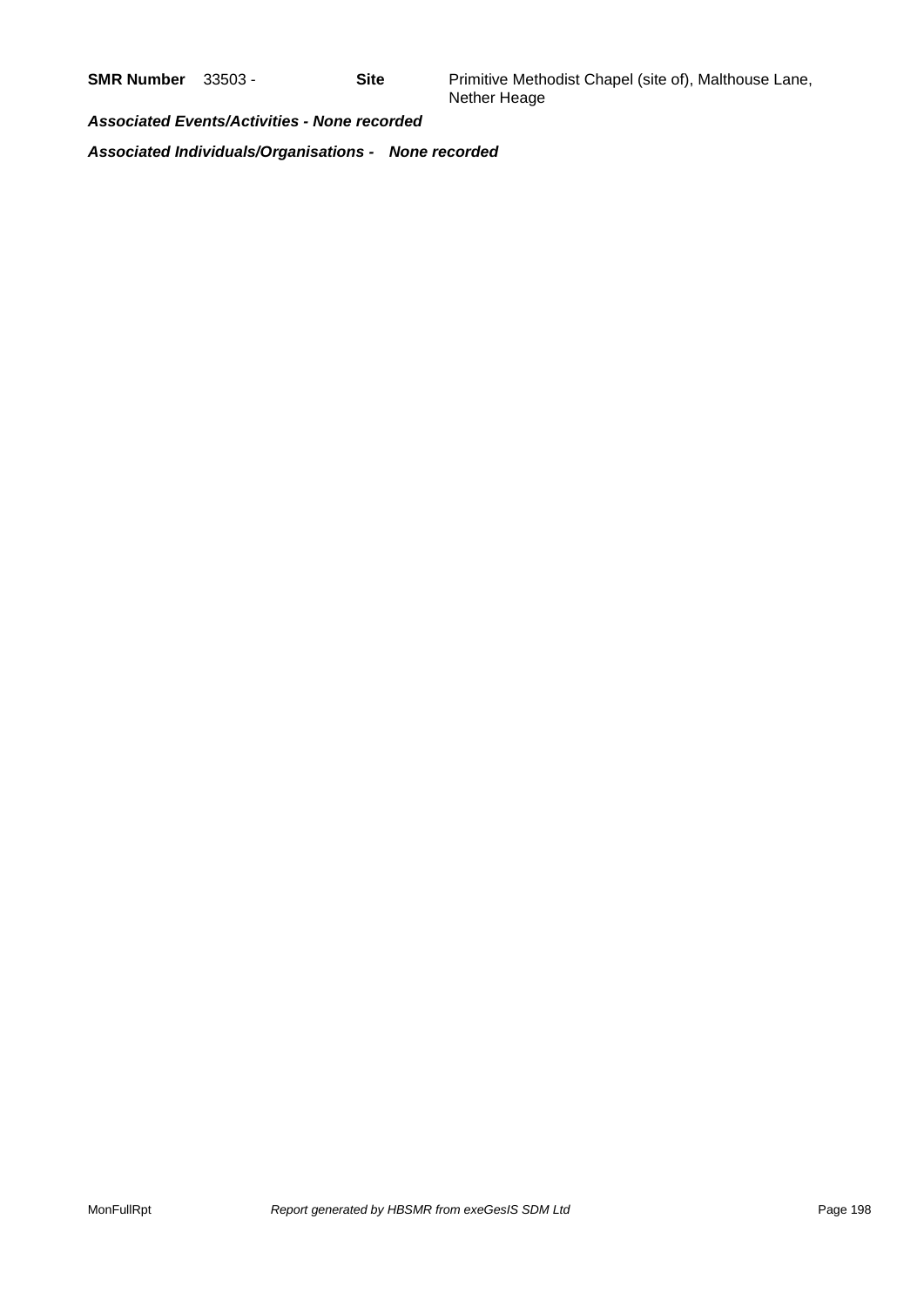*Associated Events/Activities - None recorded*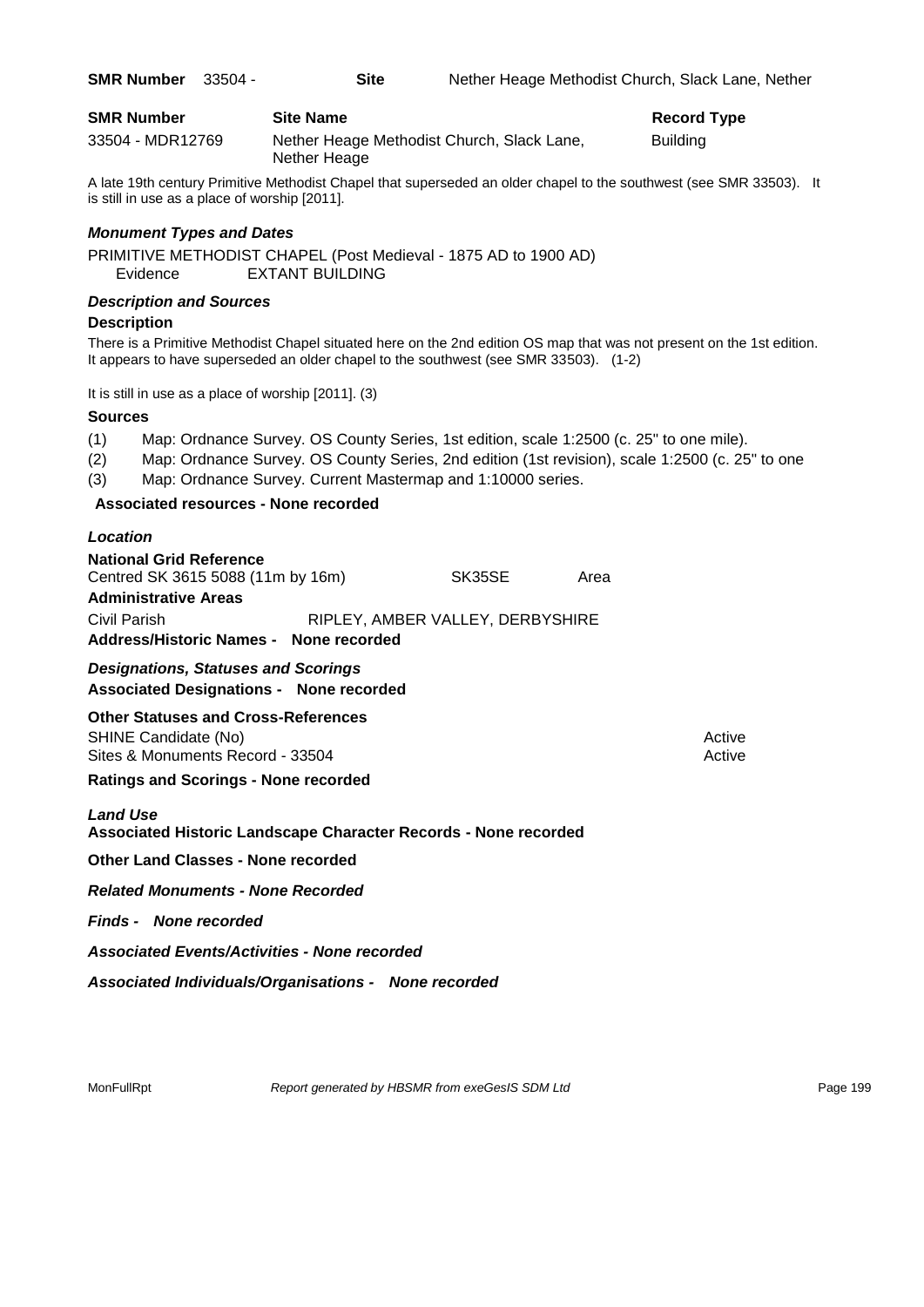| <b>SMR Number</b> | <b>Site Name</b>                                           | <b>Record Type</b> |
|-------------------|------------------------------------------------------------|--------------------|
| 33504 - MDR12769  | Nether Heage Methodist Church, Slack Lane,<br>Nether Heage | <b>Building</b>    |

**SMR Number** 33504 - **Site** Nether Heage Methodist Church, Slack Lane, Nether

A late 19th century Primitive Methodist Chapel that superseded an older chapel to the southwest (see SMR 33503). It is still in use as a place of worship [2011].

### *Monument Types and Dates*

PRIMITIVE METHODIST CHAPEL (Post Medieval - 1875 AD to 1900 AD) Evidence EXTANT BUILDING

### *Description and Sources*

### **Description**

There is a Primitive Methodist Chapel situated here on the 2nd edition OS map that was not present on the 1st edition. It appears to have superseded an older chapel to the southwest (see SMR 33503). (1-2)

It is still in use as a place of worship [2011]. (3)

### **Sources**

(1) Map: Ordnance Survey. OS County Series, 1st edition, scale 1:2500 (c. 25" to one mile).

(2) Map: Ordnance Survey. OS County Series, 2nd edition (1st revision), scale 1:2500 (c. 25" to one

(3) Map: Ordnance Survey. Current Mastermap and 1:10000 series.

### **Associated resources - None recorded**

| Location                               |                                  |      |
|----------------------------------------|----------------------------------|------|
| <b>National Grid Reference</b>         |                                  |      |
| Centred SK 3615 5088 (11m by 16m)      | SK35SE                           | Area |
| <b>Administrative Areas</b>            |                                  |      |
| Civil Parish                           | RIPLEY, AMBER VALLEY, DERBYSHIRE |      |
| Address/Historic Names - None recorded |                                  |      |

*Designations, Statuses and Scorings* **Associated Designations - None recorded**

**Other Statuses and Cross-References**

SHINE Candidate (No) **Active** Active 30 Active 30 Active 30 Active 30 Active 30 Active Sites & Monuments Record - 33504 Active Active Active Active Active Active Active

**Ratings and Scorings - None recorded**

### *Land Use*

**Associated Historic Landscape Character Records - None recorded**

**Other Land Classes - None recorded**

*Related Monuments - None Recorded*

*Finds - None recorded*

*Associated Events/Activities - None recorded*

*Associated Individuals/Organisations - None recorded*

MonFullRpt *Report generated by HBSMR from exeGesIS SDM Ltd Report 199* Page 199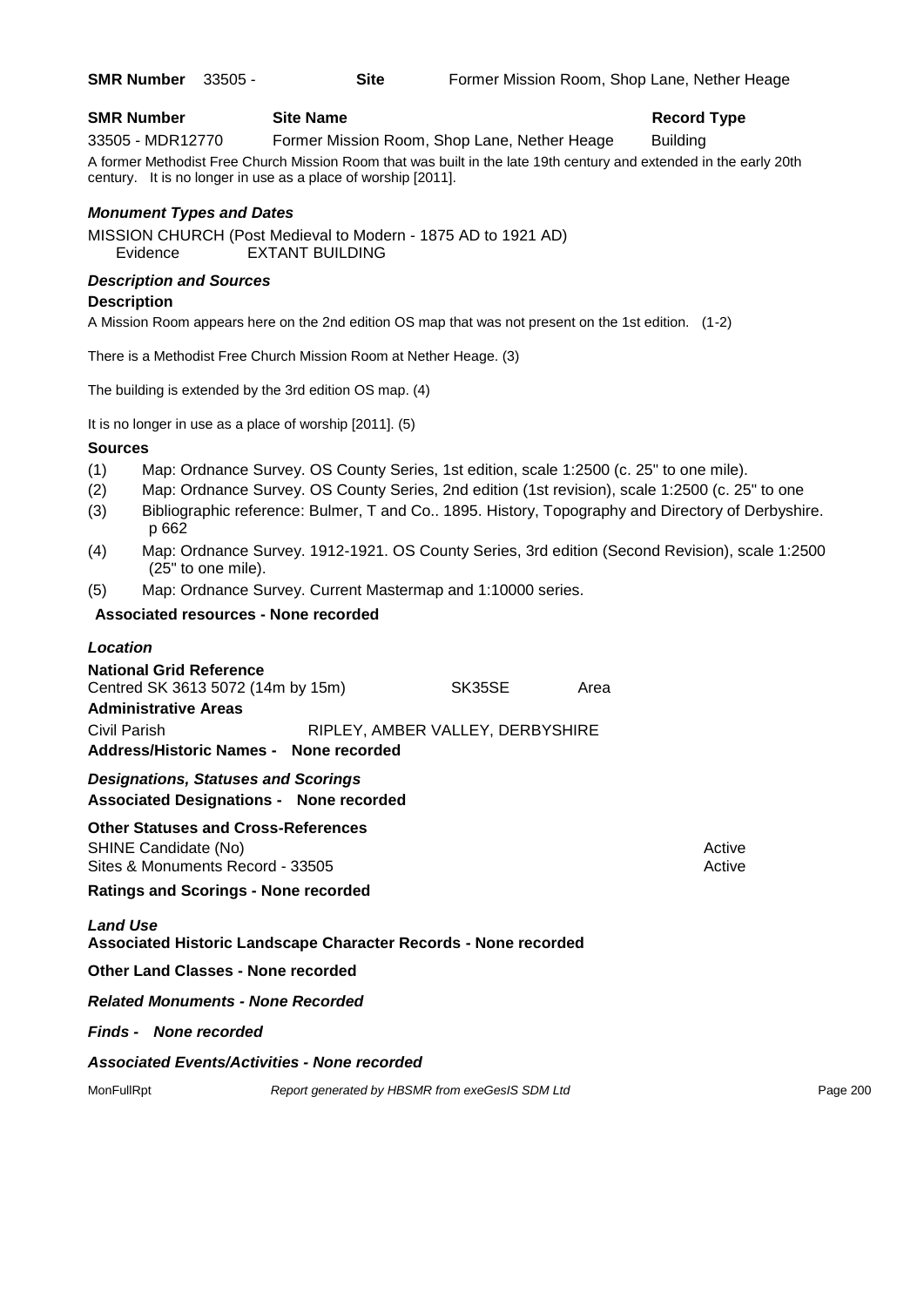### **SMR Number Site Name Record Type Record Type** 33505 - MDR12770 Former Mission Room, Shop Lane, Nether Heage Building A former Methodist Free Church Mission Room that was built in the late 19th century and extended in the early 20th century. It is no longer in use as a place of worship [2011].

### *Monument Types and Dates*

MISSION CHURCH (Post Medieval to Modern - 1875 AD to 1921 AD) Evidence EXTANT BUILDING

### *Description and Sources*

### **Description**

A Mission Room appears here on the 2nd edition OS map that was not present on the 1st edition. (1-2)

There is a Methodist Free Church Mission Room at Nether Heage. (3)

The building is extended by the 3rd edition OS map. (4)

It is no longer in use as a place of worship [2011]. (5)

### **Sources**

- (1) Map: Ordnance Survey. OS County Series, 1st edition, scale 1:2500 (c. 25" to one mile).
- (2) Map: Ordnance Survey. OS County Series, 2nd edition (1st revision), scale 1:2500 (c. 25" to one
- (3) Bibliographic reference: Bulmer, T and Co.. 1895. History, Topography and Directory of Derbyshire. p 662
- (4) Map: Ordnance Survey. 1912-1921. OS County Series, 3rd edition (Second Revision), scale 1:2500 (25" to one mile).
- (5) Map: Ordnance Survey. Current Mastermap and 1:10000 series.

### **Associated resources - None recorded**

## *Location* **National Grid Reference** Centred SK 3613 5072 (14m by 15m) SK35SE Area **Administrative Areas** Civil Parish RIPLEY, AMBER VALLEY, DERBYSHIRE **Address/Historic Names - None recorded** *Designations, Statuses and Scorings* **Associated Designations - None recorded Other Statuses and Cross-References** SHINE Candidate (No) **Active** Active 30 Active 30 Active 30 Active 30 Active 30 Active Sites & Monuments Record - 33505 Active Active Active Active **Ratings and Scorings - None recorded** *Land Use*  **Associated Historic Landscape Character Records - None recorded Other Land Classes - None recorded** *Related Monuments - None Recorded Finds - None recorded*

### *Associated Events/Activities - None recorded*

MonFullRpt *Report generated by HBSMR from exeGesIS SDM Ltd Report generated by HBSMR from exeGesIS SDM Ltd*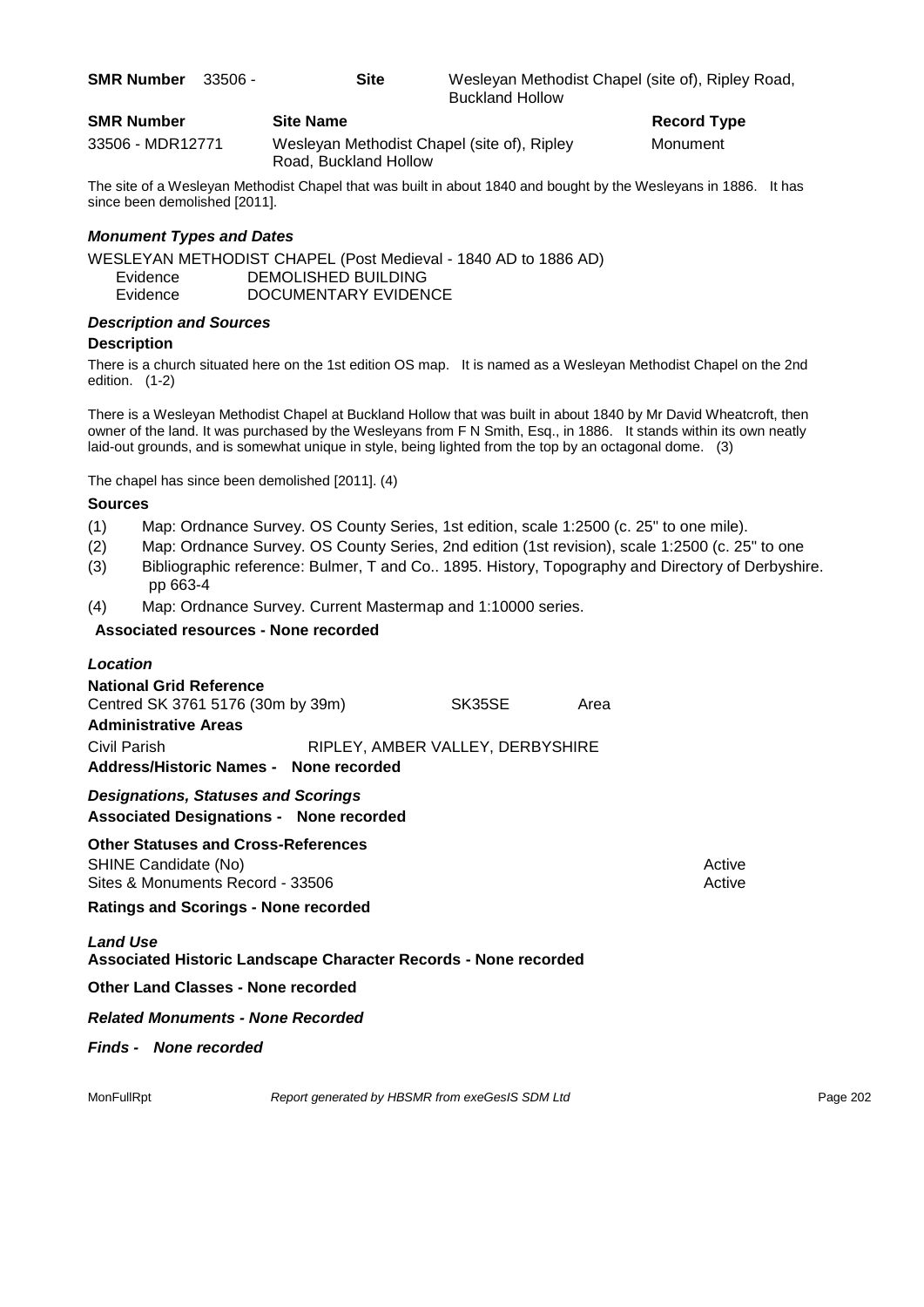| <b>SMR Number</b> |           | <b>Site Name</b> | <b>Record Type</b>                                                          |
|-------------------|-----------|------------------|-----------------------------------------------------------------------------|
| SMR Number        | - 33506 - | Site             | Wesleyan Methodist Chapel (site of), Ripley Road,<br><b>Buckland Hollow</b> |

| 33506 - MDR12771 | Wesleyan Methodist Chapel (site of), Ripley | Monument |
|------------------|---------------------------------------------|----------|
|                  | Road, Buckland Hollow                       |          |

The site of a Wesleyan Methodist Chapel that was built in about 1840 and bought by the Wesleyans in 1886. It has since been demolished [2011].

### *Monument Types and Dates*

WESLEYAN METHODIST CHAPEL (Post Medieval - 1840 AD to 1886 AD) Evidence DEMOLISHED BUILDING Evidence DOCUMENTARY EVIDENCE

### *Description and Sources*

### **Description**

There is a church situated here on the 1st edition OS map. It is named as a Wesleyan Methodist Chapel on the 2nd edition. (1-2)

There is a Wesleyan Methodist Chapel at Buckland Hollow that was built in about 1840 by Mr David Wheatcroft, then owner of the land. It was purchased by the Wesleyans from F N Smith, Esq., in 1886. It stands within its own neatly laid-out grounds, and is somewhat unique in style, being lighted from the top by an octagonal dome. (3)

The chapel has since been demolished [2011]. (4)

### **Sources**

- (1) Map: Ordnance Survey. OS County Series, 1st edition, scale 1:2500 (c. 25" to one mile).
- (2) Map: Ordnance Survey. OS County Series, 2nd edition (1st revision), scale 1:2500 (c. 25" to one
- (3) Bibliographic reference: Bulmer, T and Co.. 1895. History, Topography and Directory of Derbyshire. pp 663-4
- (4) Map: Ordnance Survey. Current Mastermap and 1:10000 series.

### **Associated resources - None recorded**

| Location                                                                                               |                                                 |      |                  |          |
|--------------------------------------------------------------------------------------------------------|-------------------------------------------------|------|------------------|----------|
| <b>National Grid Reference</b><br>Centred SK 3761 5176 (30m by 39m)                                    | SK35SE                                          | Area |                  |          |
| <b>Administrative Areas</b>                                                                            |                                                 |      |                  |          |
| Civil Parish                                                                                           | RIPLEY, AMBER VALLEY, DERBYSHIRE                |      |                  |          |
| Address/Historic Names - None recorded                                                                 |                                                 |      |                  |          |
| <b>Designations, Statuses and Scorings</b><br><b>Associated Designations - None recorded</b>           |                                                 |      |                  |          |
| <b>Other Statuses and Cross-References</b><br>SHINE Candidate (No)<br>Sites & Monuments Record - 33506 |                                                 |      | Active<br>Active |          |
| <b>Ratings and Scorings - None recorded</b>                                                            |                                                 |      |                  |          |
| <b>Land Use</b><br>Associated Historic Landscape Character Records - None recorded                     |                                                 |      |                  |          |
| <b>Other Land Classes - None recorded</b>                                                              |                                                 |      |                  |          |
| <b>Related Monuments - None Recorded</b>                                                               |                                                 |      |                  |          |
| <b>Finds - None recorded</b>                                                                           |                                                 |      |                  |          |
| MonFullRpt                                                                                             | Report generated by HBSMR from exeGesIS SDM Ltd |      |                  | Page 202 |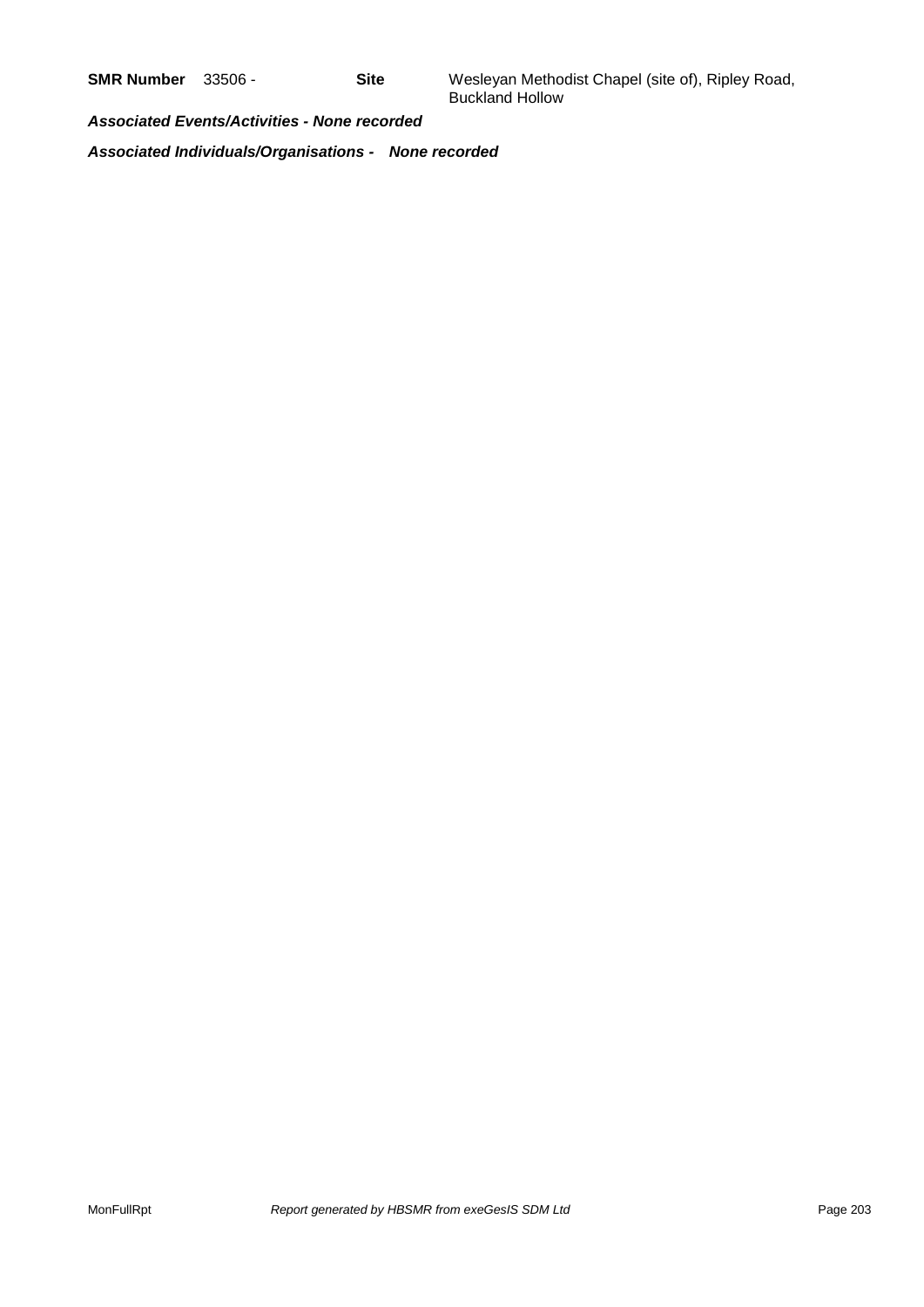**SMR Number** 33506 - **Site** Wesleyan Methodist Chapel (site of), Ripley Road, Buckland Hollow

*Associated Events/Activities - None recorded*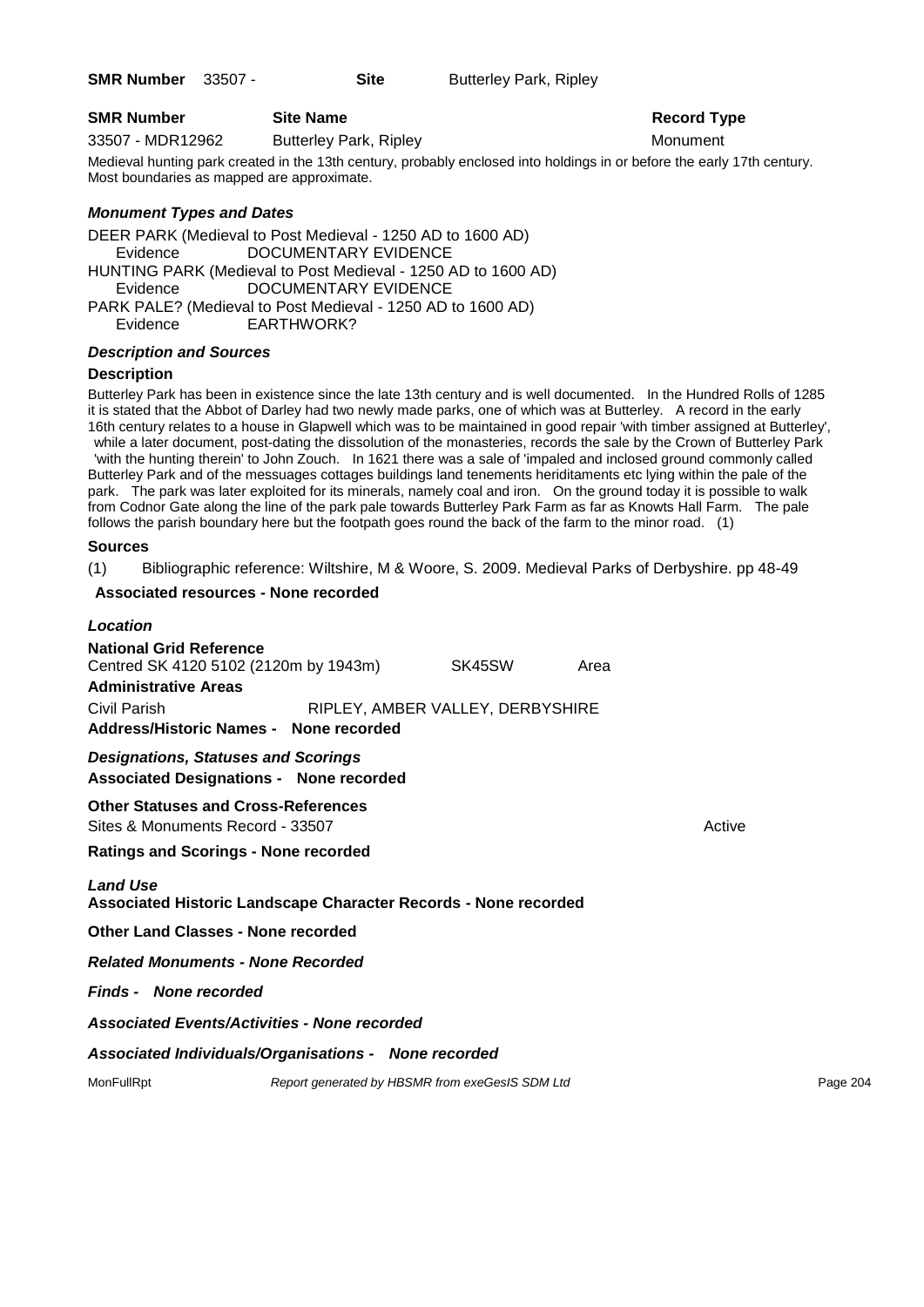| <b>SMR Number</b> | <b>Site Nan</b> |
|-------------------|-----------------|
|-------------------|-----------------|

33507 - MDR12962 Butterley Park, Ripley Monument

**SMR** Number **Site Name Record Type** 

Medieval hunting park created in the 13th century, probably enclosed into holdings in or before the early 17th century. Most boundaries as mapped are approximate.

### *Monument Types and Dates*

DEER PARK (Medieval to Post Medieval - 1250 AD to 1600 AD) Evidence DOCUMENTARY EVIDENCE HUNTING PARK (Medieval to Post Medieval - 1250 AD to 1600 AD) Evidence DOCUMENTARY EVIDENCE PARK PALE? (Medieval to Post Medieval - 1250 AD to 1600 AD) Evidence EARTHWORK?

### *Description and Sources*

### **Description**

Butterley Park has been in existence since the late 13th century and is well documented. In the Hundred Rolls of 1285 it is stated that the Abbot of Darley had two newly made parks, one of which was at Butterley. A record in the early 16th century relates to a house in Glapwell which was to be maintained in good repair 'with timber assigned at Butterley', while a later document, post-dating the dissolution of the monasteries, records the sale by the Crown of Butterley Park 'with the hunting therein' to John Zouch. In 1621 there was a sale of 'impaled and inclosed ground commonly called Butterley Park and of the messuages cottages buildings land tenements heriditaments etc lying within the pale of the park. The park was later exploited for its minerals, namely coal and iron. On the ground today it is possible to walk from Codnor Gate along the line of the park pale towards Butterley Park Farm as far as Knowts Hall Farm. The pale follows the parish boundary here but the footpath goes round the back of the farm to the minor road. (1)

### **Sources**

(1) Bibliographic reference: Wiltshire, M & Woore, S. 2009. Medieval Parks of Derbyshire. pp 48-49

### **Associated resources - None recorded**

| Location                                                                                     |                                                 |                                  |      |        |          |
|----------------------------------------------------------------------------------------------|-------------------------------------------------|----------------------------------|------|--------|----------|
| <b>National Grid Reference</b><br>Centred SK 4120 5102 (2120m by 1943m)                      |                                                 | SK45SW                           | Area |        |          |
| <b>Administrative Areas</b>                                                                  |                                                 |                                  |      |        |          |
| Civil Parish<br>Address/Historic Names - None recorded                                       |                                                 | RIPLEY, AMBER VALLEY, DERBYSHIRE |      |        |          |
| <b>Designations, Statuses and Scorings</b><br><b>Associated Designations - None recorded</b> |                                                 |                                  |      |        |          |
| <b>Other Statuses and Cross-References</b><br>Sites & Monuments Record - 33507               |                                                 |                                  |      | Active |          |
| <b>Ratings and Scorings - None recorded</b>                                                  |                                                 |                                  |      |        |          |
| <b>Land Use</b><br>Associated Historic Landscape Character Records - None recorded           |                                                 |                                  |      |        |          |
| Other Land Classes - None recorded                                                           |                                                 |                                  |      |        |          |
| <b>Related Monuments - None Recorded</b>                                                     |                                                 |                                  |      |        |          |
| <b>Finds - None recorded</b>                                                                 |                                                 |                                  |      |        |          |
| <b>Associated Events/Activities - None recorded</b>                                          |                                                 |                                  |      |        |          |
| Associated Individuals/Organisations - None recorded                                         |                                                 |                                  |      |        |          |
| MonFullRpt                                                                                   | Report generated by HBSMR from exeGesIS SDM Ltd |                                  |      |        | Page 204 |
|                                                                                              |                                                 |                                  |      |        |          |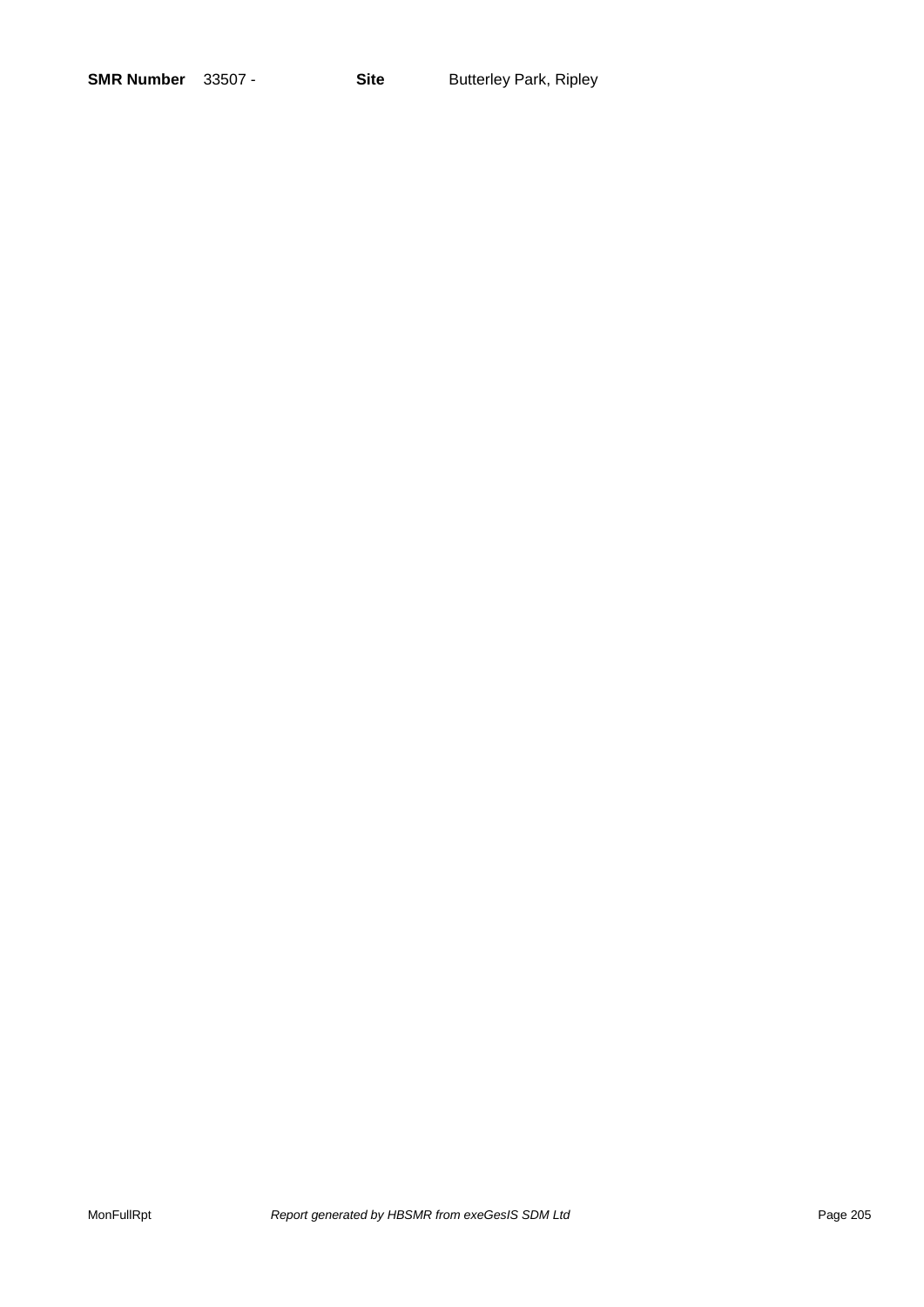| <b>SMR Number</b> | 33507 |
|-------------------|-------|
|-------------------|-------|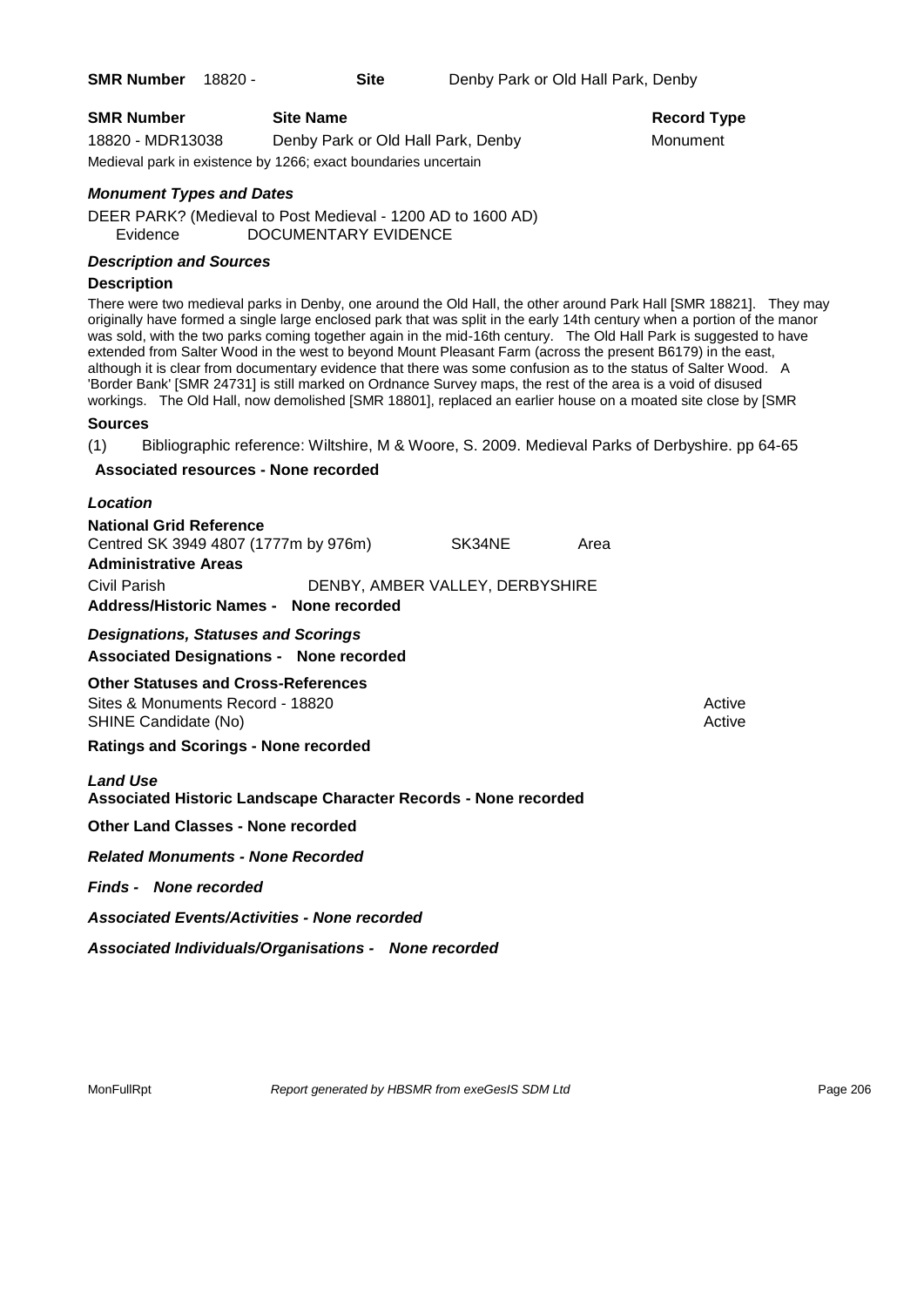| <b>SMR Number</b> | <b>Site Name</b>                                               | Record Ty |
|-------------------|----------------------------------------------------------------|-----------|
| 18820 - MDR13038  | Denby Park or Old Hall Park, Denby                             | Monument  |
|                   | Medieval park in existence by 1266; exact boundaries uncertain |           |

# **Record Type**

### *Monument Types and Dates*

DEER PARK? (Medieval to Post Medieval - 1200 AD to 1600 AD) Evidence DOCUMENTARY EVIDENCE

### *Description and Sources*

### **Description**

There were two medieval parks in Denby, one around the Old Hall, the other around Park Hall [SMR 18821]. They may originally have formed a single large enclosed park that was split in the early 14th century when a portion of the manor was sold, with the two parks coming together again in the mid-16th century. The Old Hall Park is suggested to have extended from Salter Wood in the west to beyond Mount Pleasant Farm (across the present B6179) in the east, although it is clear from documentary evidence that there was some confusion as to the status of Salter Wood. A 'Border Bank' [SMR 24731] is still marked on Ordnance Survey maps, the rest of the area is a void of disused workings. The Old Hall, now demolished [SMR 18801], replaced an earlier house on a moated site close by [SMR

### **Sources**

(1) Bibliographic reference: Wiltshire, M & Woore, S. 2009. Medieval Parks of Derbyshire. pp 64-65

### **Associated resources - None recorded**

### *Location*

| <b>National Grid Reference</b>         |                                 |      |
|----------------------------------------|---------------------------------|------|
| Centred SK 3949 4807 (1777m by 976m)   | SK34NE                          | Area |
| <b>Administrative Areas</b>            |                                 |      |
| Civil Parish                           | DENBY, AMBER VALLEY, DERBYSHIRE |      |
| Address/Historic Names - None recorded |                                 |      |

*Designations, Statuses and Scorings* **Associated Designations - None recorded**

**Other Statuses and Cross-References** Sites & Monuments Record - 18820 SHINE Candidate (No) **Active** Active 30 Active 30 Active 30 Active 30 Active 30 Active

**Ratings and Scorings - None recorded**

*Land Use*  **Associated Historic Landscape Character Records - None recorded**

**Other Land Classes - None recorded**

*Related Monuments - None Recorded*

*Finds - None recorded*

*Associated Events/Activities - None recorded*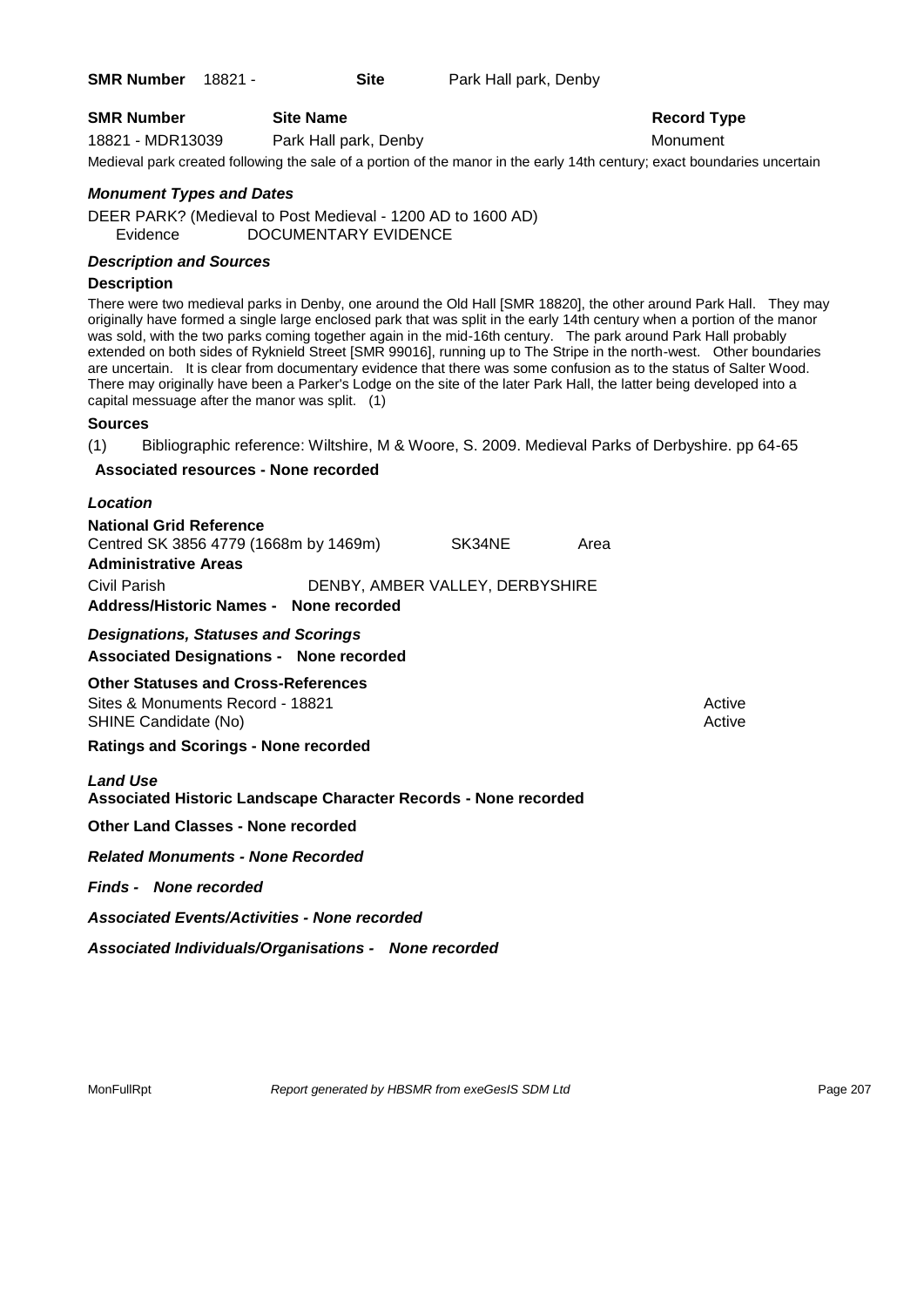**SMR Number** 18821 - **Site** Park Hall park, Denby

**Record Type** 

18821 - MDR13039 Park Hall park, Denby Monument

Medieval park created following the sale of a portion of the manor in the early 14th century; exact boundaries uncertain

### *Monument Types and Dates*

DEER PARK? (Medieval to Post Medieval - 1200 AD to 1600 AD) Evidence DOCUMENTARY EVIDENCE

### *Description and Sources*

### **Description**

There were two medieval parks in Denby, one around the Old Hall [SMR 18820], the other around Park Hall. They may originally have formed a single large enclosed park that was split in the early 14th century when a portion of the manor was sold, with the two parks coming together again in the mid-16th century. The park around Park Hall probably extended on both sides of Ryknield Street [SMR 99016], running up to The Stripe in the north-west. Other boundaries are uncertain. It is clear from documentary evidence that there was some confusion as to the status of Salter Wood. There may originally have been a Parker's Lodge on the site of the later Park Hall, the latter being developed into a capital messuage after the manor was split. (1)

### **Sources**

(1) Bibliographic reference: Wiltshire, M & Woore, S. 2009. Medieval Parks of Derbyshire. pp 64-65

### **Associated resources - None recorded**

### *Location*

**National Grid Reference** Centred SK 3856 4779 (1668m by 1469m) SK34NE Area **Administrative Areas** Civil Parish DENBY, AMBER VALLEY, DERBYSHIRE **Address/Historic Names - None recorded**

*Designations, Statuses and Scorings* **Associated Designations - None recorded**

**Other Statuses and Cross-References** Sites & Monuments Record - 18821 Active Active Active Active SHINE Candidate (No) **Active** Active 30 Active 30 Active 30 Active 30 Active 30 Active

**Ratings and Scorings - None recorded**

*Land Use*  **Associated Historic Landscape Character Records - None recorded**

**Other Land Classes - None recorded**

*Related Monuments - None Recorded*

*Finds - None recorded*

*Associated Events/Activities - None recorded*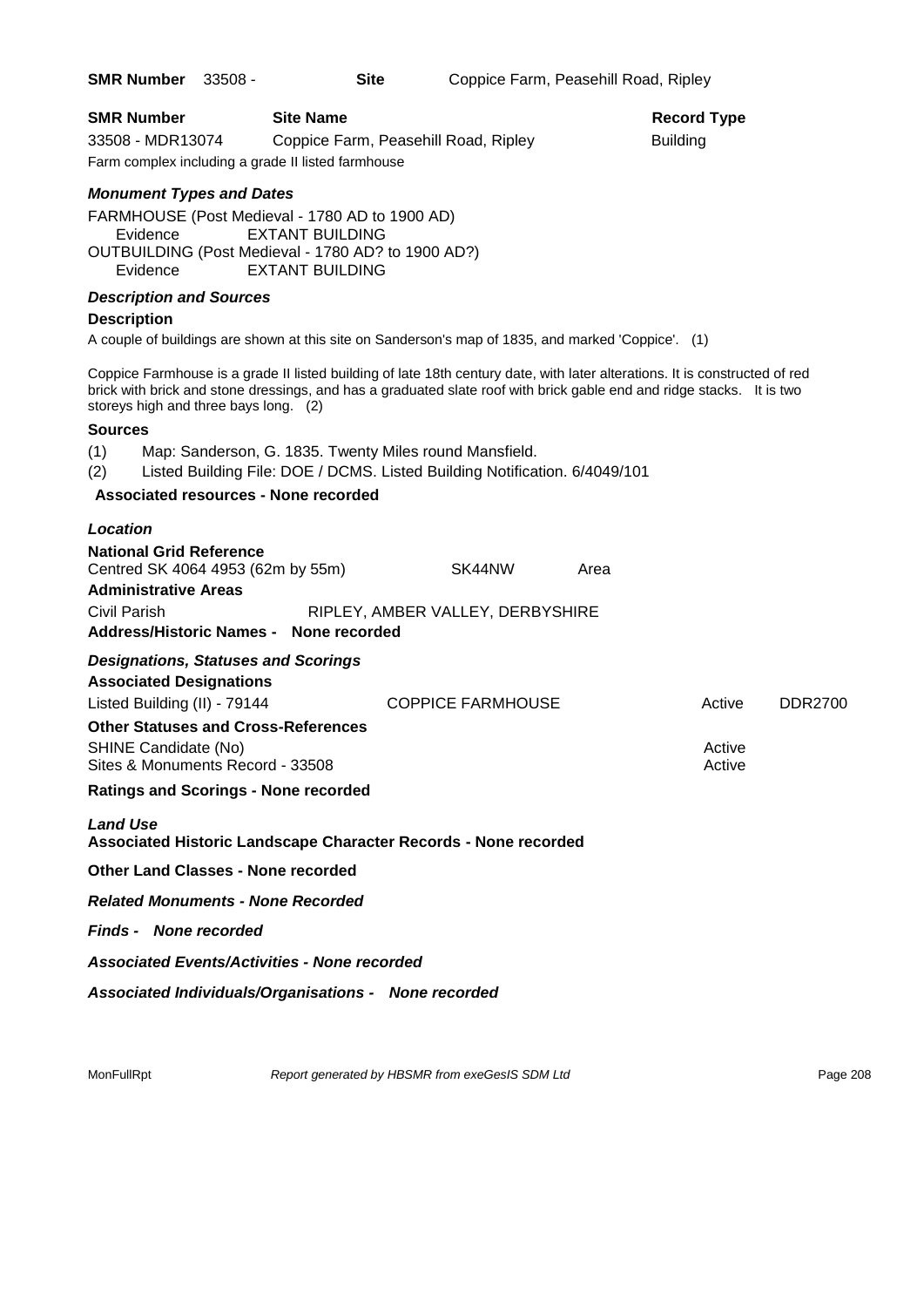| <b>SMR Number</b>                                                                                      | 33508 - | <b>Site</b>                                                                                                                                              |                                  | Coppice Farm, Peasehill Road, Ripley |      |                                                                                                                                                                                                                                                      |                |
|--------------------------------------------------------------------------------------------------------|---------|----------------------------------------------------------------------------------------------------------------------------------------------------------|----------------------------------|--------------------------------------|------|------------------------------------------------------------------------------------------------------------------------------------------------------------------------------------------------------------------------------------------------------|----------------|
| SMR Number                                                                                             |         | <b>Site Name</b>                                                                                                                                         |                                  |                                      |      | <b>Record Type</b>                                                                                                                                                                                                                                   |                |
| 33508 - MDR13074                                                                                       |         | Coppice Farm, Peasehill Road, Ripley<br>Farm complex including a grade II listed farmhouse                                                               |                                  |                                      |      | <b>Building</b>                                                                                                                                                                                                                                      |                |
| <b>Monument Types and Dates</b>                                                                        |         |                                                                                                                                                          |                                  |                                      |      |                                                                                                                                                                                                                                                      |                |
| Evidence<br>Evidence                                                                                   |         | FARMHOUSE (Post Medieval - 1780 AD to 1900 AD)<br><b>EXTANT BUILDING</b><br>OUTBUILDING (Post Medieval - 1780 AD? to 1900 AD?)<br><b>EXTANT BUILDING</b> |                                  |                                      |      |                                                                                                                                                                                                                                                      |                |
| <b>Description and Sources</b><br><b>Description</b>                                                   |         |                                                                                                                                                          |                                  |                                      |      |                                                                                                                                                                                                                                                      |                |
|                                                                                                        |         | A couple of buildings are shown at this site on Sanderson's map of 1835, and marked 'Coppice'. (1)                                                       |                                  |                                      |      |                                                                                                                                                                                                                                                      |                |
| storeys high and three bays long. (2)                                                                  |         |                                                                                                                                                          |                                  |                                      |      | Coppice Farmhouse is a grade II listed building of late 18th century date, with later alterations. It is constructed of red<br>brick with brick and stone dressings, and has a graduated slate roof with brick gable end and ridge stacks. It is two |                |
| <b>Sources</b>                                                                                         |         |                                                                                                                                                          |                                  |                                      |      |                                                                                                                                                                                                                                                      |                |
| (1)<br>(2)                                                                                             |         | Map: Sanderson, G. 1835. Twenty Miles round Mansfield.<br>Listed Building File: DOE / DCMS. Listed Building Notification. 6/4049/101                     |                                  |                                      |      |                                                                                                                                                                                                                                                      |                |
|                                                                                                        |         | Associated resources - None recorded                                                                                                                     |                                  |                                      |      |                                                                                                                                                                                                                                                      |                |
| Location                                                                                               |         |                                                                                                                                                          |                                  |                                      |      |                                                                                                                                                                                                                                                      |                |
| <b>National Grid Reference</b><br>Centred SK 4064 4953 (62m by 55m)<br><b>Administrative Areas</b>     |         |                                                                                                                                                          |                                  | SK44NW                               | Area |                                                                                                                                                                                                                                                      |                |
| Civil Parish                                                                                           |         | Address/Historic Names - None recorded                                                                                                                   | RIPLEY, AMBER VALLEY, DERBYSHIRE |                                      |      |                                                                                                                                                                                                                                                      |                |
| <b>Designations, Statuses and Scorings</b>                                                             |         |                                                                                                                                                          |                                  |                                      |      |                                                                                                                                                                                                                                                      |                |
| <b>Associated Designations</b>                                                                         |         |                                                                                                                                                          |                                  |                                      |      |                                                                                                                                                                                                                                                      |                |
| Listed Building (II) - 79144                                                                           |         |                                                                                                                                                          | <b>COPPICE FARMHOUSE</b>         |                                      |      | Active                                                                                                                                                                                                                                               | <b>DDR2700</b> |
| <b>Other Statuses and Cross-References</b><br>SHINE Candidate (No)<br>Sites & Monuments Record - 33508 |         |                                                                                                                                                          |                                  |                                      |      | Active<br>Active                                                                                                                                                                                                                                     |                |
| <b>Ratings and Scorings - None recorded</b>                                                            |         |                                                                                                                                                          |                                  |                                      |      |                                                                                                                                                                                                                                                      |                |
| <b>Land Use</b>                                                                                        |         | Associated Historic Landscape Character Records - None recorded                                                                                          |                                  |                                      |      |                                                                                                                                                                                                                                                      |                |
| <b>Other Land Classes - None recorded</b>                                                              |         |                                                                                                                                                          |                                  |                                      |      |                                                                                                                                                                                                                                                      |                |
| <b>Related Monuments - None Recorded</b>                                                               |         |                                                                                                                                                          |                                  |                                      |      |                                                                                                                                                                                                                                                      |                |
| <b>Finds - None recorded</b>                                                                           |         |                                                                                                                                                          |                                  |                                      |      |                                                                                                                                                                                                                                                      |                |
|                                                                                                        |         | <b>Associated Events/Activities - None recorded</b>                                                                                                      |                                  |                                      |      |                                                                                                                                                                                                                                                      |                |
|                                                                                                        |         | Associated Individuals/Organisations - None recorded                                                                                                     |                                  |                                      |      |                                                                                                                                                                                                                                                      |                |
|                                                                                                        |         |                                                                                                                                                          |                                  |                                      |      |                                                                                                                                                                                                                                                      |                |
|                                                                                                        |         |                                                                                                                                                          |                                  |                                      |      |                                                                                                                                                                                                                                                      |                |
|                                                                                                        |         |                                                                                                                                                          |                                  |                                      |      |                                                                                                                                                                                                                                                      |                |

MonFullRpt *Report generated by HBSMR from exeGesIS SDM Ltd Rage 208* Page 208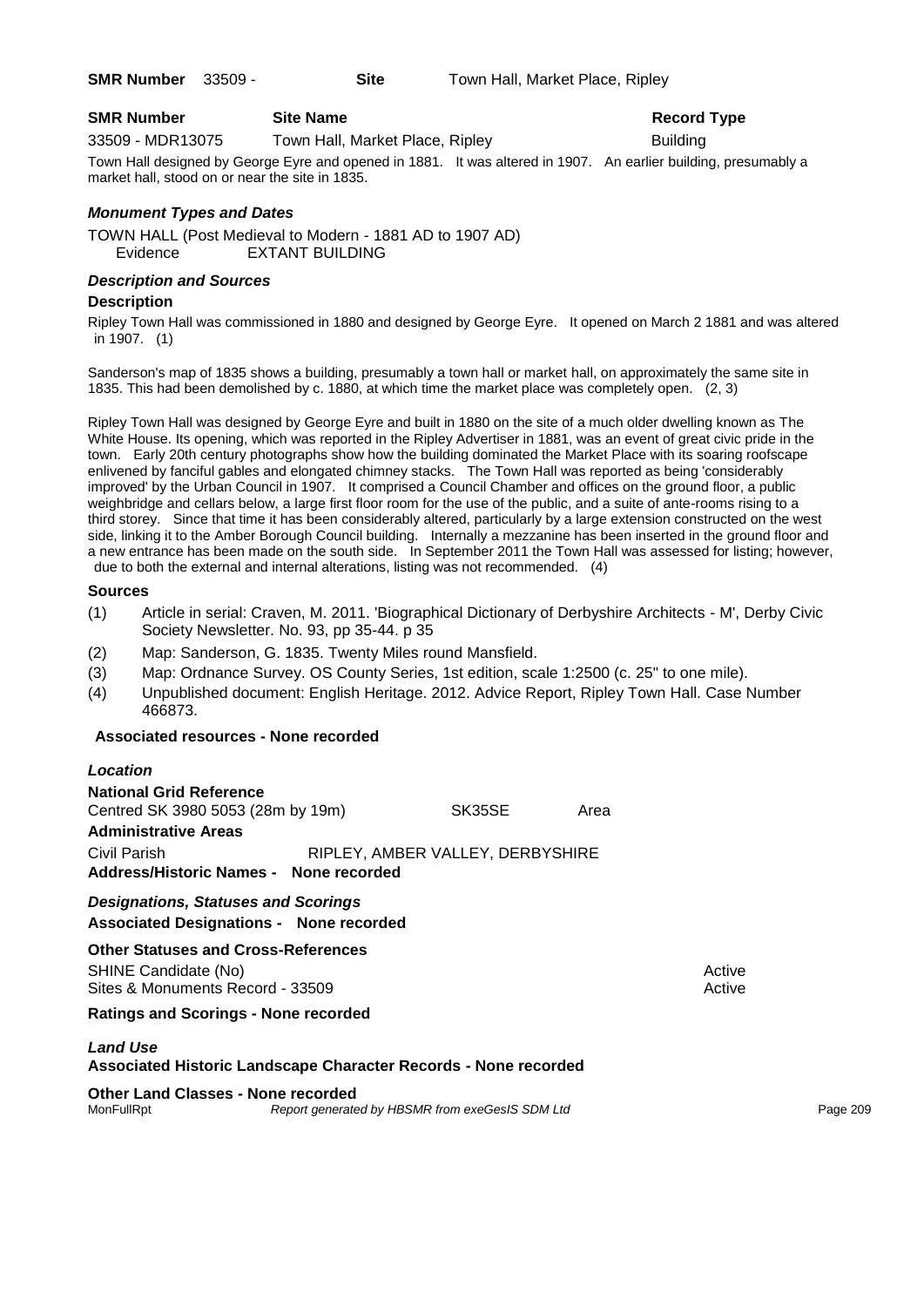### **SMR Number Site Name Record Type Record Type**

33509 - MDR13075 Town Hall, Market Place, Ripley Building

Town Hall designed by George Eyre and opened in 1881. It was altered in 1907. An earlier building, presumably a market hall, stood on or near the site in 1835.

### *Monument Types and Dates*

TOWN HALL (Post Medieval to Modern - 1881 AD to 1907 AD) Evidence EXTANT BUILDING

### *Description and Sources*

### **Description**

Ripley Town Hall was commissioned in 1880 and designed by George Eyre. It opened on March 2 1881 and was altered in 1907. (1)

Sanderson's map of 1835 shows a building, presumably a town hall or market hall, on approximately the same site in 1835. This had been demolished by c. 1880, at which time the market place was completely open. (2, 3)

Ripley Town Hall was designed by George Eyre and built in 1880 on the site of a much older dwelling known as The White House. Its opening, which was reported in the Ripley Advertiser in 1881, was an event of great civic pride in the town. Early 20th century photographs show how the building dominated the Market Place with its soaring roofscape enlivened by fanciful gables and elongated chimney stacks. The Town Hall was reported as being 'considerably improved' by the Urban Council in 1907. It comprised a Council Chamber and offices on the ground floor, a public weighbridge and cellars below, a large first floor room for the use of the public, and a suite of ante-rooms rising to a third storey. Since that time it has been considerably altered, particularly by a large extension constructed on the west side, linking it to the Amber Borough Council building. Internally a mezzanine has been inserted in the ground floor and a new entrance has been made on the south side. In September 2011 the Town Hall was assessed for listing; however, due to both the external and internal alterations, listing was not recommended. (4)

### **Sources**

- (1) Article in serial: Craven, M. 2011. 'Biographical Dictionary of Derbyshire Architects M', Derby Civic Society Newsletter. No. 93, pp 35-44. p 35
- (2) Map: Sanderson, G. 1835. Twenty Miles round Mansfield.
- (3) Map: Ordnance Survey. OS County Series, 1st edition, scale 1:2500 (c. 25" to one mile).
- (4) Unpublished document: English Heritage. 2012. Advice Report, Ripley Town Hall. Case Number 466873.

### **Associated resources - None recorded**

#### *Location*

| <b>National Grid Reference</b><br>Centred SK 3980 5053 (28m by 19m) | SK35SE                           | Area |
|---------------------------------------------------------------------|----------------------------------|------|
| <b>Administrative Areas</b>                                         |                                  |      |
| Civil Parish                                                        | RIPLEY, AMBER VALLEY, DERBYSHIRE |      |
| Address/Historic Names - None recorded                              |                                  |      |

### *Designations, Statuses and Scorings* **Associated Designations - None recorded**

**Other Statuses and Cross-References** SHINE Candidate (No) **Active** Active 30 Active 30 Active 30 Active 30 Active 30 Active Sites & Monuments Record - 33509 Active Active Active Active

**Ratings and Scorings - None recorded**

### *Land Use*

### **Associated Historic Landscape Character Records - None recorded**

### **Other Land Classes - None recorded**

MonFullRpt *Report generated by HBSMR from exeGesIS SDM Ltd Report generated by HBSMR from exeGesIS SDM Ltd*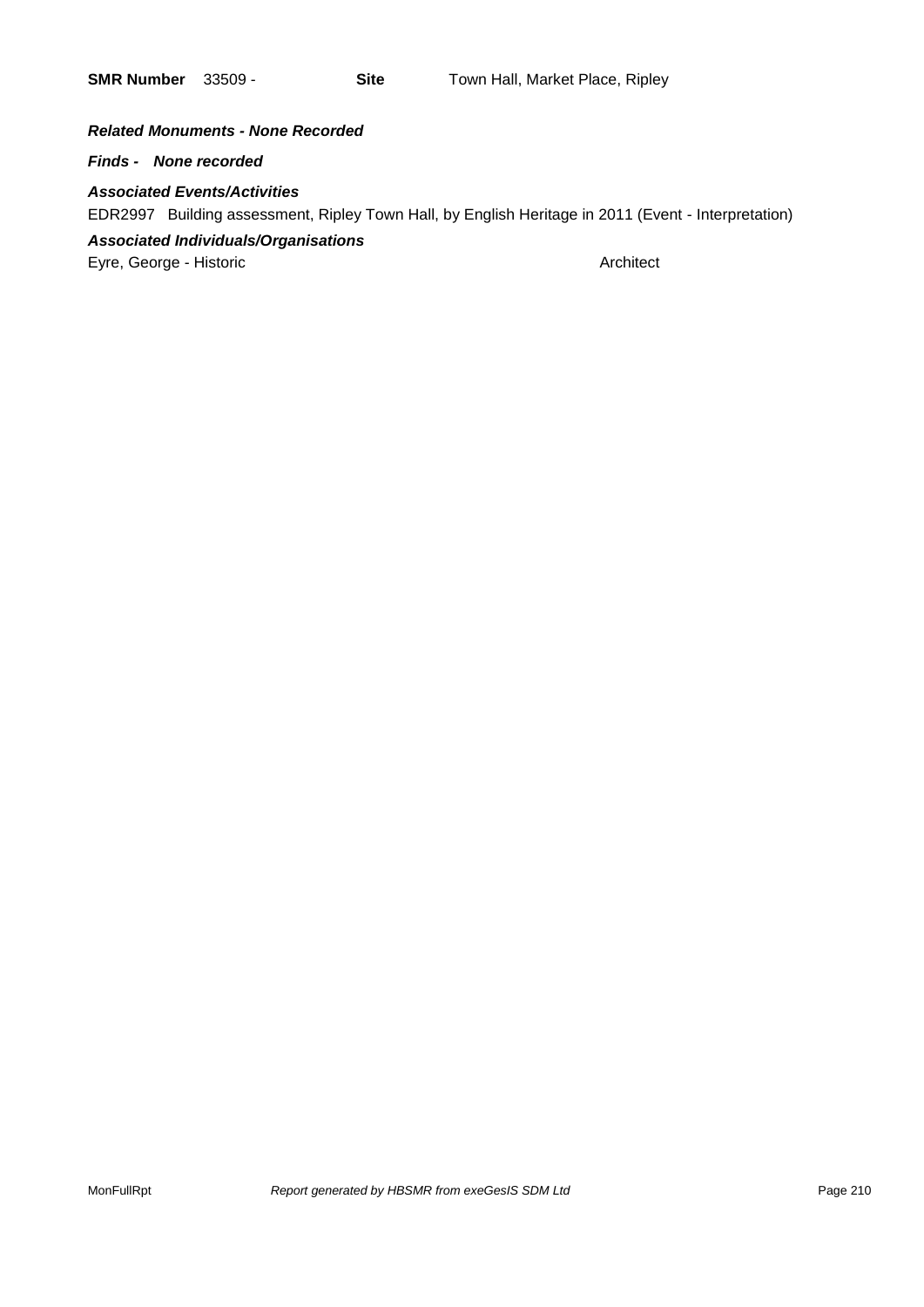### *Related Monuments - None Recorded*

*Finds - None recorded*

### *Associated Events/Activities*

EDR2997 Building assessment, Ripley Town Hall, by English Heritage in 2011 (Event - Interpretation)

### *Associated Individuals/Organisations*

Eyre, George - Historic **Architect** Architect **Architect**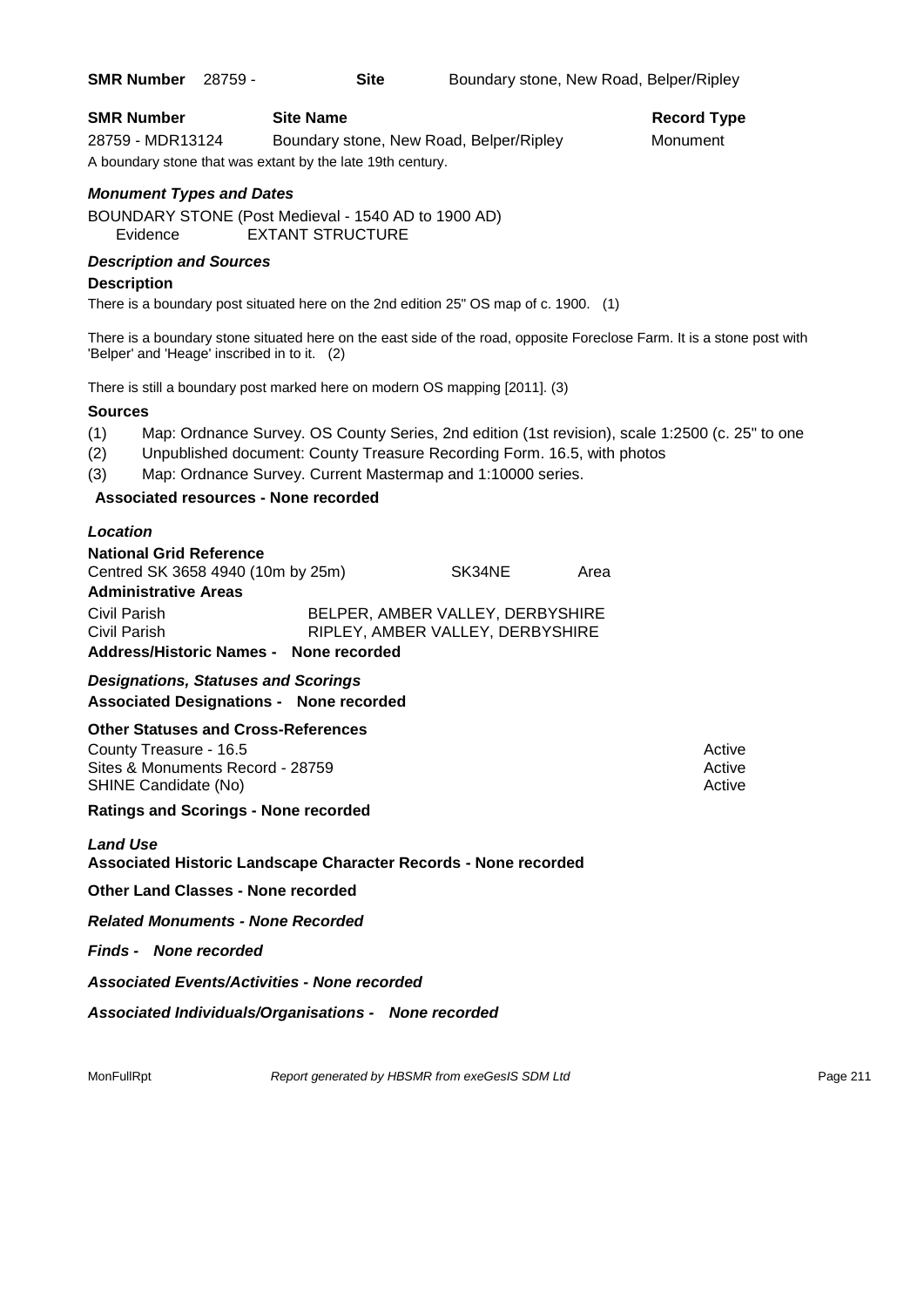| <b>SMR Number</b> 28759 - |  | <b>Site</b> | Boundary stone, New Road, Belper/Ripley |  |  |
|---------------------------|--|-------------|-----------------------------------------|--|--|
|---------------------------|--|-------------|-----------------------------------------|--|--|

**Record Type** 

| <b>SMR Number</b> | <b>Site Name</b>                                           | Record Ty |
|-------------------|------------------------------------------------------------|-----------|
| 28759 - MDR13124  | Boundary stone, New Road, Belper/Ripley                    | Monument  |
|                   | A boundary stone that was extant by the late 19th century. |           |

### *Monument Types and Dates*

BOUNDARY STONE (Post Medieval - 1540 AD to 1900 AD) Evidence EXTANT STRUCTURE

### *Description and Sources*

### **Description**

There is a boundary post situated here on the 2nd edition 25" OS map of c. 1900. (1)

There is a boundary stone situated here on the east side of the road, opposite Foreclose Farm. It is a stone post with 'Belper' and 'Heage' inscribed in to it. (2)

There is still a boundary post marked here on modern OS mapping [2011]. (3)

### **Sources**

- (1) Map: Ordnance Survey. OS County Series, 2nd edition (1st revision), scale 1:2500 (c. 25" to one
- (2) Unpublished document: County Treasure Recording Form. 16.5, with photos
- (3) Map: Ordnance Survey. Current Mastermap and 1:10000 series.

### **Associated resources - None recorded**

### *Location*

| <b>National Grid Reference</b>         |  |                                  |      |
|----------------------------------------|--|----------------------------------|------|
| Centred SK 3658 4940 (10m by 25m)      |  | SK34NE                           | Area |
| <b>Administrative Areas</b>            |  |                                  |      |
| Civil Parish                           |  | BELPER, AMBER VALLEY, DERBYSHIRE |      |
| Civil Parish                           |  | RIPLEY, AMBER VALLEY, DERBYSHIRE |      |
| Address/Historic Names - None recorded |  |                                  |      |

*Designations, Statuses and Scorings* **Associated Designations - None recorded**

### **Other Statuses and Cross-References**

County Treasure - 16.5 Active 2008 and the County Treasure of the County Treasure 2008 Active Sites & Monuments Record - 28759 Active Active Active Active SHINE Candidate (No) **Active** Active **Active** Active **Active** Active **Active** Active

### **Ratings and Scorings - None recorded**

### *Land Use*

**Associated Historic Landscape Character Records - None recorded**

**Other Land Classes - None recorded**

*Related Monuments - None Recorded*

*Finds - None recorded*

*Associated Events/Activities - None recorded*

*Associated Individuals/Organisations - None recorded*

MonFullRpt *Report generated by HBSMR from exeGesIS SDM Ltd Report 1998 211*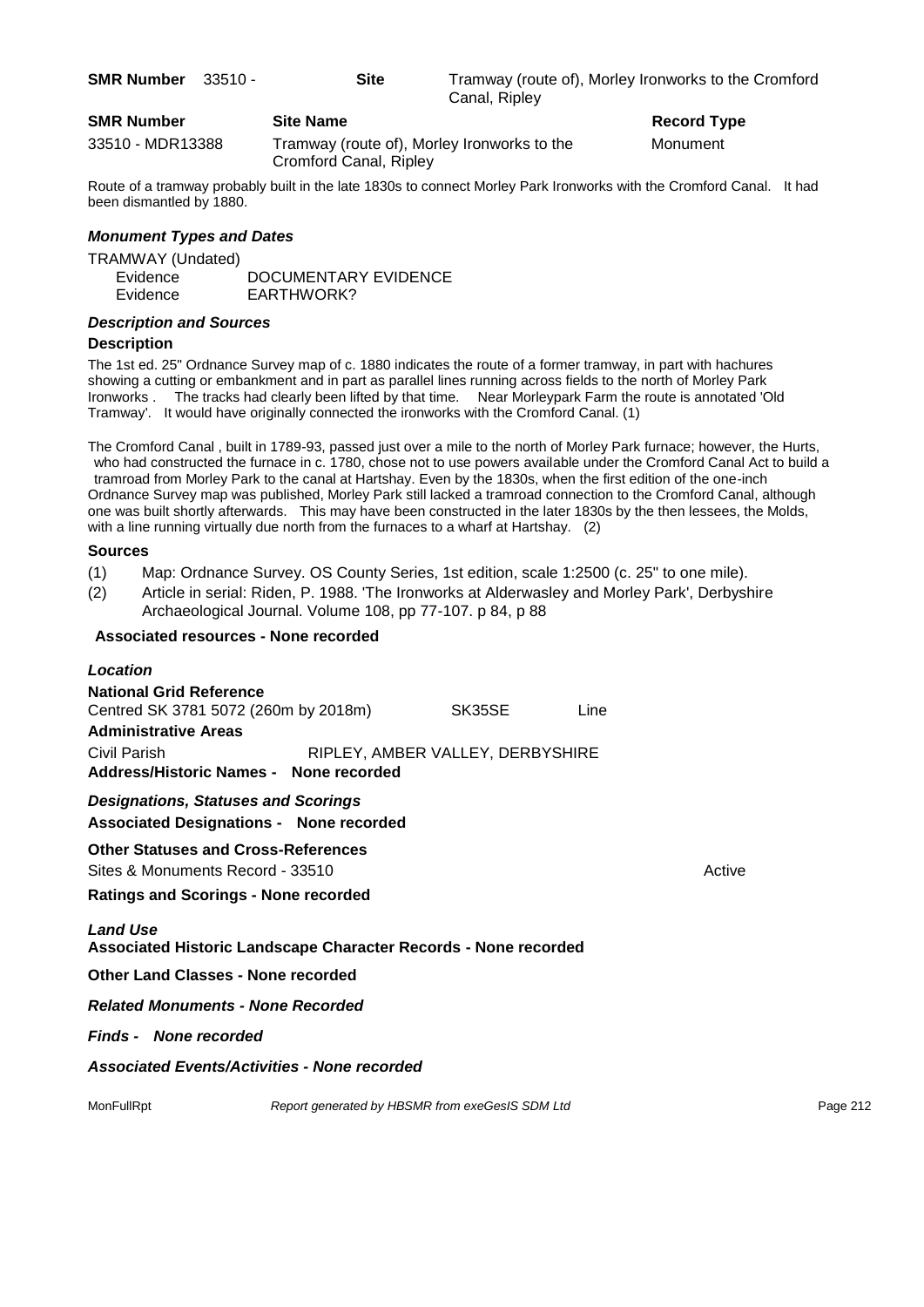**SMR Number** 33510 - **Site** Tramway (route of), Morley Ironworks to the Cromford Canal, Ripley

### **SMR Number Site Name Record Type Record Type**

33510 - MDR13388 Tramway (route of), Morley Ironworks to the Monument Cromford Canal, Ripley

Route of a tramway probably built in the late 1830s to connect Morley Park Ironworks with the Cromford Canal. It had been dismantled by 1880.

### *Monument Types and Dates*

| TRAMWAY (Undated) |                      |
|-------------------|----------------------|
| Evidence          | DOCUMENTARY EVIDENCE |
| Evidence          | EARTHWORK?           |

### *Description and Sources*

### **Description**

The 1st ed. 25" Ordnance Survey map of c. 1880 indicates the route of a former tramway, in part with hachures showing a cutting or embankment and in part as parallel lines running across fields to the north of Morley Park Ironworks . The tracks had clearly been lifted by that time. Near Morleypark Farm the route is annotated 'Old Tramway'. It would have originally connected the ironworks with the Cromford Canal. (1)

The Cromford Canal , built in 1789-93, passed just over a mile to the north of Morley Park furnace; however, the Hurts, who had constructed the furnace in c. 1780, chose not to use powers available under the Cromford Canal Act to build a tramroad from Morley Park to the canal at Hartshay. Even by the 1830s, when the first edition of the one-inch Ordnance Survey map was published, Morley Park still lacked a tramroad connection to the Cromford Canal, although one was built shortly afterwards. This may have been constructed in the later 1830s by the then lessees, the Molds, with a line running virtually due north from the furnaces to a wharf at Hartshay. (2)

### **Sources**

- (1) Map: Ordnance Survey. OS County Series, 1st edition, scale 1:2500 (c. 25" to one mile).
- (2) Article in serial: Riden, P. 1988. 'The Ironworks at Alderwasley and Morley Park', Derbyshire Archaeological Journal. Volume 108, pp 77-107. p 84, p 88

### **Associated resources - None recorded**

| <b>Location</b>                                                                              |                                                 |                                  |      |        |          |
|----------------------------------------------------------------------------------------------|-------------------------------------------------|----------------------------------|------|--------|----------|
| <b>National Grid Reference</b><br>Centred SK 3781 5072 (260m by 2018m)                       |                                                 | SK35SE                           | Line |        |          |
| <b>Administrative Areas</b>                                                                  |                                                 |                                  |      |        |          |
| Civil Parish                                                                                 |                                                 | RIPLEY, AMBER VALLEY, DERBYSHIRE |      |        |          |
| <b>Address/Historic Names - None recorded</b>                                                |                                                 |                                  |      |        |          |
| <b>Designations, Statuses and Scorings</b><br><b>Associated Designations - None recorded</b> |                                                 |                                  |      |        |          |
| <b>Other Statuses and Cross-References</b>                                                   |                                                 |                                  |      |        |          |
| Sites & Monuments Record - 33510                                                             |                                                 |                                  |      | Active |          |
| <b>Ratings and Scorings - None recorded</b>                                                  |                                                 |                                  |      |        |          |
| <b>Land Use</b><br><b>Associated Historic Landscape Character Records - None recorded</b>    |                                                 |                                  |      |        |          |
| <b>Other Land Classes - None recorded</b>                                                    |                                                 |                                  |      |        |          |
| <b>Related Monuments - None Recorded</b>                                                     |                                                 |                                  |      |        |          |
| <b>Finds - None recorded</b>                                                                 |                                                 |                                  |      |        |          |
| <b>Associated Events/Activities - None recorded</b>                                          |                                                 |                                  |      |        |          |
| MonFullRpt                                                                                   | Report generated by HBSMR from exeGesIS SDM Ltd |                                  |      |        | Page 212 |
|                                                                                              |                                                 |                                  |      |        |          |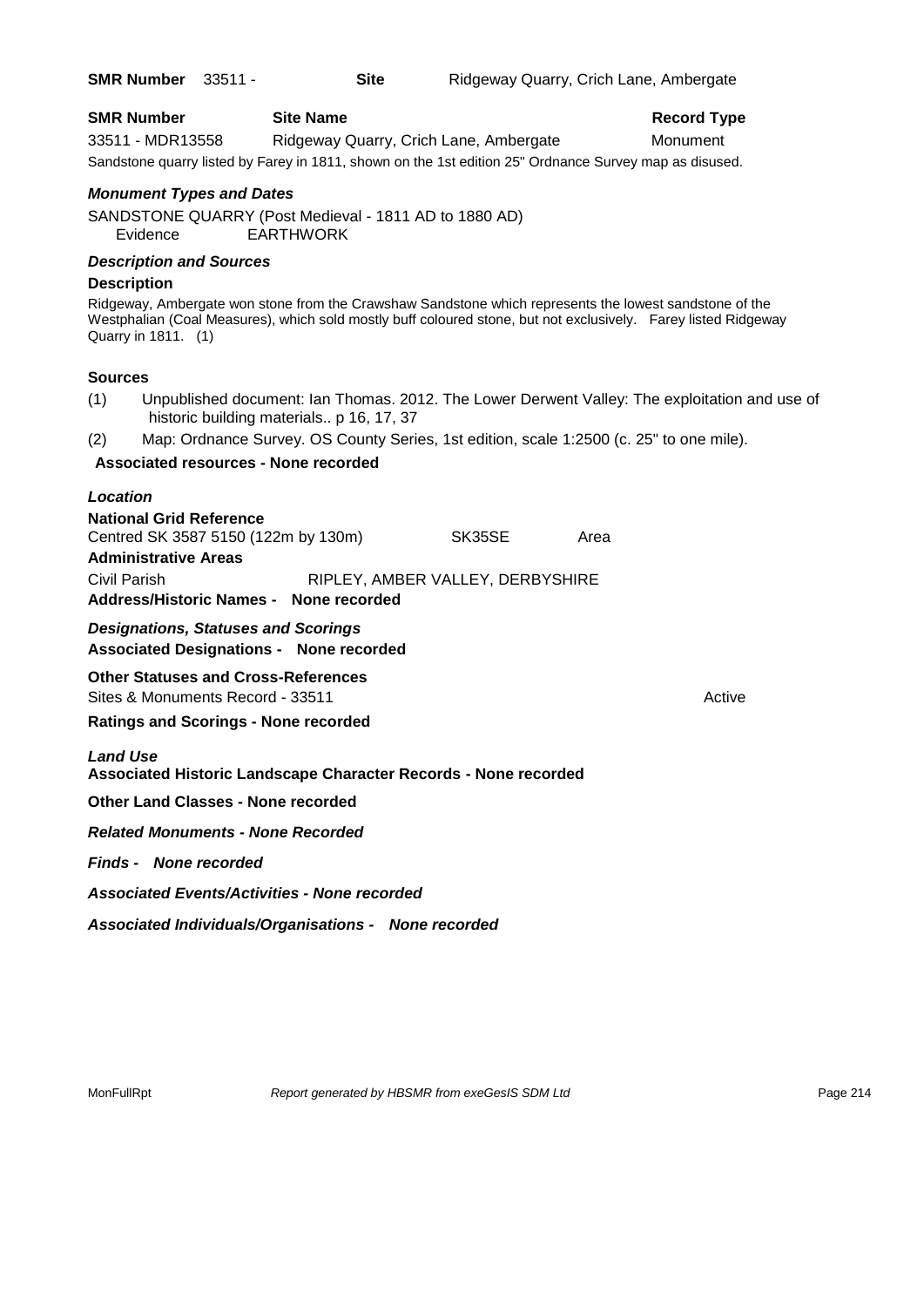| <b>SMR Number</b> 33511 - |  | Site | Ridgeway Quarry, Crich Lane, Ambergate |
|---------------------------|--|------|----------------------------------------|
|---------------------------|--|------|----------------------------------------|

| <b>SMR Number</b> | <b>Site Name</b>                       | <b>Record Type</b> |  |
|-------------------|----------------------------------------|--------------------|--|
| 33511 - MDR13558  | Ridgeway Quarry, Crich Lane, Ambergate | Monument           |  |
|                   |                                        |                    |  |

Sandstone quarry listed by Farey in 1811, shown on the 1st edition 25" Ordnance Survey map as disused.

### *Monument Types and Dates*

SANDSTONE QUARRY (Post Medieval - 1811 AD to 1880 AD) Evidence EARTHWORK

### *Description and Sources*

### **Description**

Ridgeway, Ambergate won stone from the Crawshaw Sandstone which represents the lowest sandstone of the Westphalian (Coal Measures), which sold mostly buff coloured stone, but not exclusively. Farey listed Ridgeway Quarry in 1811. (1)

### **Sources**

- (1) Unpublished document: Ian Thomas. 2012. The Lower Derwent Valley: The exploitation and use of historic building materials.. p 16, 17, 37
- (2) Map: Ordnance Survey. OS County Series, 1st edition, scale 1:2500 (c. 25" to one mile).

### **Associated resources - None recorded**

| <b>National Grid Reference</b><br>Centred SK 3587 5150 (122m by 130m)<br><b>Administrative Areas</b> |  |        |                                                                                                             |  |
|------------------------------------------------------------------------------------------------------|--|--------|-------------------------------------------------------------------------------------------------------------|--|
| Address/Historic Names - None recorded                                                               |  |        |                                                                                                             |  |
| <b>Designations, Statuses and Scorings</b><br><b>Associated Designations - None recorded</b>         |  |        |                                                                                                             |  |
| <b>Other Statuses and Cross-References</b><br>Sites & Monuments Record - 33511                       |  |        |                                                                                                             |  |
| <b>Ratings and Scorings - None recorded</b>                                                          |  |        |                                                                                                             |  |
|                                                                                                      |  |        |                                                                                                             |  |
| <b>Other Land Classes - None recorded</b>                                                            |  |        |                                                                                                             |  |
|                                                                                                      |  | SK35SE | Area<br>RIPLEY, AMBER VALLEY, DERBYSHIRE<br>Associated Historic Landscape Character Records - None recorded |  |

*Related Monuments - None Recorded*

*Finds - None recorded*

*Associated Events/Activities - None recorded*